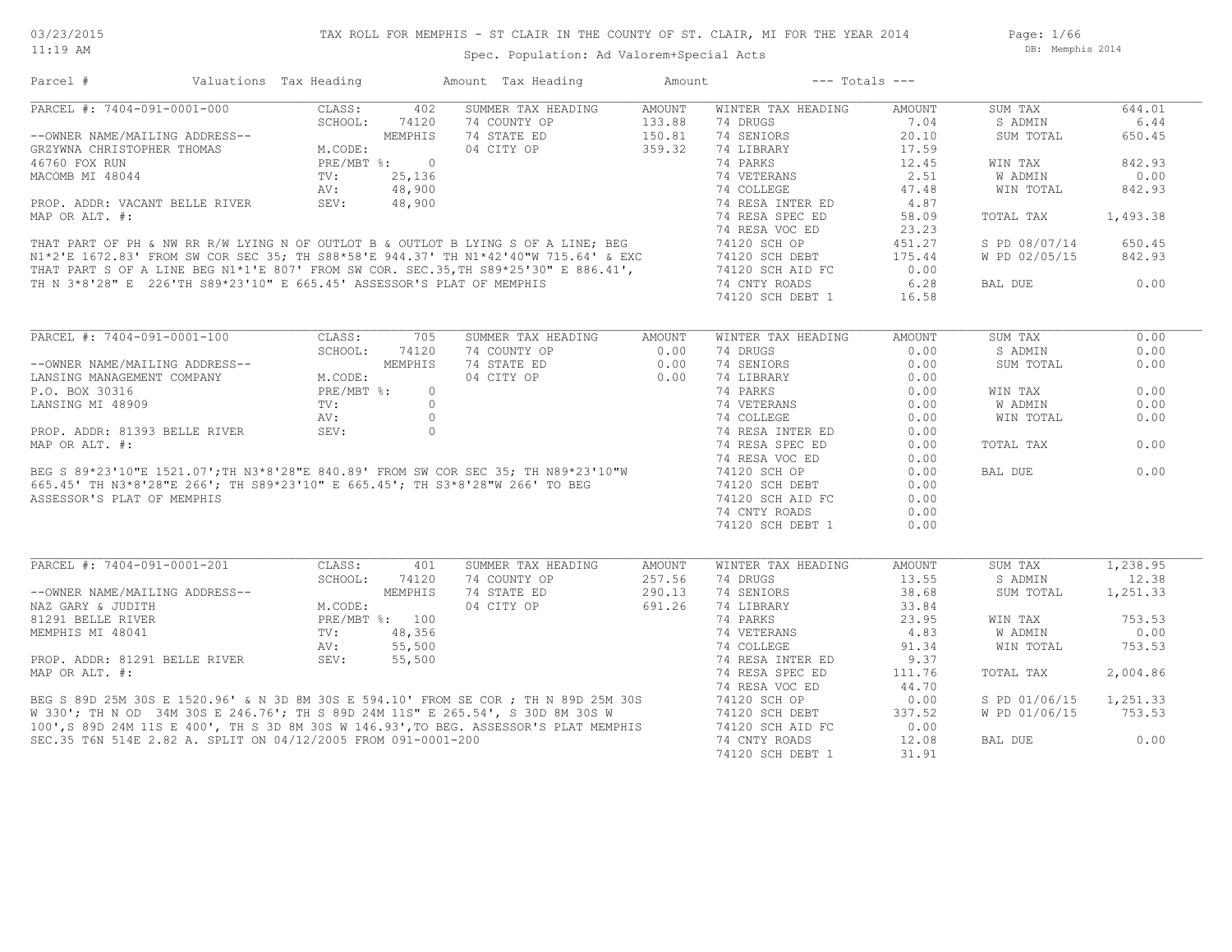Page: 1/66 DB: Memphis 2014

Spec. Population: Ad Valorem+Special Acts

| Parcel #                                                                                                                                                                                                                                         | Valuations Tax Heading |         | Amount Tax Heading                                                                                                                                                                                                                 | Amount               | $---$ Totals $---$ |               |                |          |
|--------------------------------------------------------------------------------------------------------------------------------------------------------------------------------------------------------------------------------------------------|------------------------|---------|------------------------------------------------------------------------------------------------------------------------------------------------------------------------------------------------------------------------------------|----------------------|--------------------|---------------|----------------|----------|
| PARCEL #: 7404-091-0001-000                                                                                                                                                                                                                      | CLASS:                 | 402     | SUMMER TAX HEADING                                                                                                                                                                                                                 | AMOUNT               | WINTER TAX HEADING | AMOUNT        | SUM TAX        | 644.01   |
|                                                                                                                                                                                                                                                  |                        |         | 74 COUNTY OP                                                                                                                                                                                                                       |                      | 74 DRUGS           | 7.04          | S ADMIN        | 6.44     |
| --OWNER NAME/MAILING ADDRESS--<br>GRZYWNA CHRISTOPHER THOMAS<br>46760 FOX RUN<br>MACOMB MI 48044<br>PROP. ADDR: VACANT BELLE RIVER<br>MACOMB MI 48044<br>PROP. ADDR: VACANT BELLE RIVER<br>MACOMB MI 48,900<br>MACOMB MI 48044<br>PROP. ADDR: VA |                        |         | 74 STATE ED                                                                                                                                                                                                                        | $133.88$<br>$150.81$ | 74 SENIORS         | 20.10         | SUM TOTAL      | 650.45   |
|                                                                                                                                                                                                                                                  |                        |         | 04 CITY OP                                                                                                                                                                                                                         | 359.32               | 74 LIBRARY         | 17.59         |                |          |
|                                                                                                                                                                                                                                                  |                        |         |                                                                                                                                                                                                                                    |                      | 74 PARKS           | 12.45         | WIN TAX        | 842.93   |
|                                                                                                                                                                                                                                                  |                        |         |                                                                                                                                                                                                                                    |                      |                    | 2.51          | W ADMIN        | 0.00     |
|                                                                                                                                                                                                                                                  |                        |         |                                                                                                                                                                                                                                    |                      |                    | 47.48         | WIN TOTAL      | 842.93   |
|                                                                                                                                                                                                                                                  |                        |         |                                                                                                                                                                                                                                    |                      |                    | 4.87          |                |          |
|                                                                                                                                                                                                                                                  |                        |         |                                                                                                                                                                                                                                    |                      |                    | 58.09         | TOTAL TAX      | 1,493.38 |
|                                                                                                                                                                                                                                                  |                        |         |                                                                                                                                                                                                                                    |                      |                    | 23.23         |                |          |
|                                                                                                                                                                                                                                                  |                        |         |                                                                                                                                                                                                                                    |                      |                    |               |                |          |
|                                                                                                                                                                                                                                                  |                        |         |                                                                                                                                                                                                                                    |                      |                    | 451.27        | S PD 08/07/14  | 650.45   |
|                                                                                                                                                                                                                                                  |                        |         |                                                                                                                                                                                                                                    |                      |                    | 175.44        | W PD 02/05/15  | 842.93   |
|                                                                                                                                                                                                                                                  |                        |         |                                                                                                                                                                                                                                    |                      |                    | 0.00          |                |          |
|                                                                                                                                                                                                                                                  |                        |         | TH N 3*8'28" E 226'TH S89*23'10" E 665.45' ASSESSOR'S PLAT OF MEMPHIS                                                                                                                                                              |                      | 74 CNTY ROADS      | 6.28          | BAL DUE        | 0.00     |
|                                                                                                                                                                                                                                                  |                        |         |                                                                                                                                                                                                                                    |                      | 74120 SCH DEBT 1   | 16.58         |                |          |
|                                                                                                                                                                                                                                                  |                        |         |                                                                                                                                                                                                                                    |                      |                    |               |                |          |
| PARCEL #: 7404-091-0001-100                                                                                                                                                                                                                      | CLASS:                 | 705     | SUMMER TAX HEADING AMOUNT                                                                                                                                                                                                          |                      | WINTER TAX HEADING | <b>AMOUNT</b> | SUM TAX        | 0.00     |
|                                                                                                                                                                                                                                                  | SCHOOL:                | 74120   | 74 COUNTY OP                                                                                                                                                                                                                       | 0.00                 | 74 DRUGS           | 0.00          | S ADMIN        | 0.00     |
| --OWNER NAME/MAILING ADDRESS--<br>LANSING MANAGEMENT COMPANY M.CODE:                                                                                                                                                                             |                        | MEMPHIS | 74 STATE ED                                                                                                                                                                                                                        | 0.00                 | 74 SENIORS         | 0.00          | SUM TOTAL      | 0.00     |
|                                                                                                                                                                                                                                                  |                        |         | 04 CITY OP                                                                                                                                                                                                                         | 0.00                 | 74 LIBRARY         | 0.00          |                |          |
|                                                                                                                                                                                                                                                  |                        |         |                                                                                                                                                                                                                                    |                      | 74 PARKS           | 0.00          | WIN TAX        | 0.00     |
|                                                                                                                                                                                                                                                  |                        |         |                                                                                                                                                                                                                                    |                      | 74 VETERANS        | 0.00          | <b>W ADMIN</b> | 0.00     |
|                                                                                                                                                                                                                                                  |                        |         |                                                                                                                                                                                                                                    |                      | 74 COLLEGE         | 0.00          | WIN TOTAL      | 0.00     |
|                                                                                                                                                                                                                                                  |                        |         |                                                                                                                                                                                                                                    |                      |                    |               |                |          |
|                                                                                                                                                                                                                                                  |                        |         |                                                                                                                                                                                                                                    |                      | 74 RESA INTER ED   | 0.00          |                |          |
|                                                                                                                                                                                                                                                  |                        |         |                                                                                                                                                                                                                                    |                      | 74 RESA SPEC ED    | 0.00          | TOTAL TAX      | 0.00     |
|                                                                                                                                                                                                                                                  |                        |         |                                                                                                                                                                                                                                    |                      | 74 RESA VOC ED     | 0.00          |                |          |
|                                                                                                                                                                                                                                                  |                        |         |                                                                                                                                                                                                                                    |                      | 74120 SCH OP       | 0.00          | BAL DUE        | 0.00     |
|                                                                                                                                                                                                                                                  |                        |         |                                                                                                                                                                                                                                    |                      | 74120 SCH DEBT     | 0.00          |                |          |
|                                                                                                                                                                                                                                                  |                        |         |                                                                                                                                                                                                                                    |                      | 74120 SCH AID FC   | 0.00          |                |          |
|                                                                                                                                                                                                                                                  |                        |         |                                                                                                                                                                                                                                    |                      | 74 CNTY ROADS      | 0.00          |                |          |
|                                                                                                                                                                                                                                                  |                        |         |                                                                                                                                                                                                                                    |                      | 74120 SCH DEBT 1   | 0.00          |                |          |
|                                                                                                                                                                                                                                                  |                        |         |                                                                                                                                                                                                                                    |                      |                    |               |                |          |
|                                                                                                                                                                                                                                                  |                        |         |                                                                                                                                                                                                                                    |                      | WINTER TAX HEADING | <b>AMOUNT</b> | SUM TAX        | 1,238.95 |
|                                                                                                                                                                                                                                                  | SCHOOL:                | 74120   | 74 COUNTY OP                                                                                                                                                                                                                       | 257.56               | 74 DRUGS           | 13.55         | S ADMIN        | 12.38    |
|                                                                                                                                                                                                                                                  |                        |         | 74 STATE ED                                                                                                                                                                                                                        | 290.13               | 74 SENIORS         | 38.68         | SUM TOTAL      | 1,251.33 |
|                                                                                                                                                                                                                                                  |                        |         | 04 CITY OP                                                                                                                                                                                                                         | 691.26               | 74 LIBRARY         | 33.84         |                |          |
|                                                                                                                                                                                                                                                  |                        |         |                                                                                                                                                                                                                                    |                      | 74 PARKS           | 23.95         | WIN TAX        | 753.53   |
| --OWNER NAME/MAILING ADDRESS--<br>NAZ GARY & JUDITH M.CODE:<br>81291 BELLE RIVER PRE/MBT %: 100<br>MEMPHIS MI 48041 TV: 48,356<br>PROP. ADDR: 81291 BELLE RIVER SEV: 55,500<br>PROP. ADDR: 81291 BELLE RIVER SEV: 55,500                         |                        |         |                                                                                                                                                                                                                                    |                      | 74 VETERANS        | 4.83          | <b>W ADMIN</b> | 0.00     |
|                                                                                                                                                                                                                                                  |                        |         |                                                                                                                                                                                                                                    |                      |                    |               |                | 753.53   |
|                                                                                                                                                                                                                                                  |                        |         |                                                                                                                                                                                                                                    |                      | 74 COLLEGE         | 91.34         | WIN TOTAL      |          |
|                                                                                                                                                                                                                                                  |                        |         |                                                                                                                                                                                                                                    |                      | 74 RESA INTER ED   | 9.37          |                |          |
| MAP OR ALT. #:                                                                                                                                                                                                                                   |                        |         |                                                                                                                                                                                                                                    |                      | 74 RESA SPEC ED    | 111.76        | TOTAL TAX      | 2,004.86 |
|                                                                                                                                                                                                                                                  |                        |         |                                                                                                                                                                                                                                    |                      |                    | 44.70         |                |          |
|                                                                                                                                                                                                                                                  |                        |         |                                                                                                                                                                                                                                    |                      |                    | 0.00          | S PD 01/06/15  | 1,251.33 |
|                                                                                                                                                                                                                                                  |                        |         | BEG S 89D 25M 30S E 1520.96' & N 3D 8M 30S E 594.10' FROM SE COR ; TH N 89D 25M 30S<br>W 330'; TH N OD 34M 30S E 246.76'; TH S 89D 24M 11S" E 265.54', S 30D 8M 30S W 74120 SCH OP<br>100', S 89D 24M 11S E 400', TH S 3D 8M 30S W |                      | 74120 SCH DEBT     | 337.52        | W PD 01/06/15  | 753.53   |
|                                                                                                                                                                                                                                                  |                        |         |                                                                                                                                                                                                                                    |                      |                    | 0.00          |                |          |
| SEC.35 T6N 514E 2.82 A. SPLIT ON 04/12/2005 FROM 091-0001-200                                                                                                                                                                                    |                        |         |                                                                                                                                                                                                                                    |                      | 74 CNTY ROADS      | 12.08         | BAL DUE        | 0.00     |
|                                                                                                                                                                                                                                                  |                        |         |                                                                                                                                                                                                                                    |                      | 74120 SCH DEBT 1   | 31.91         |                |          |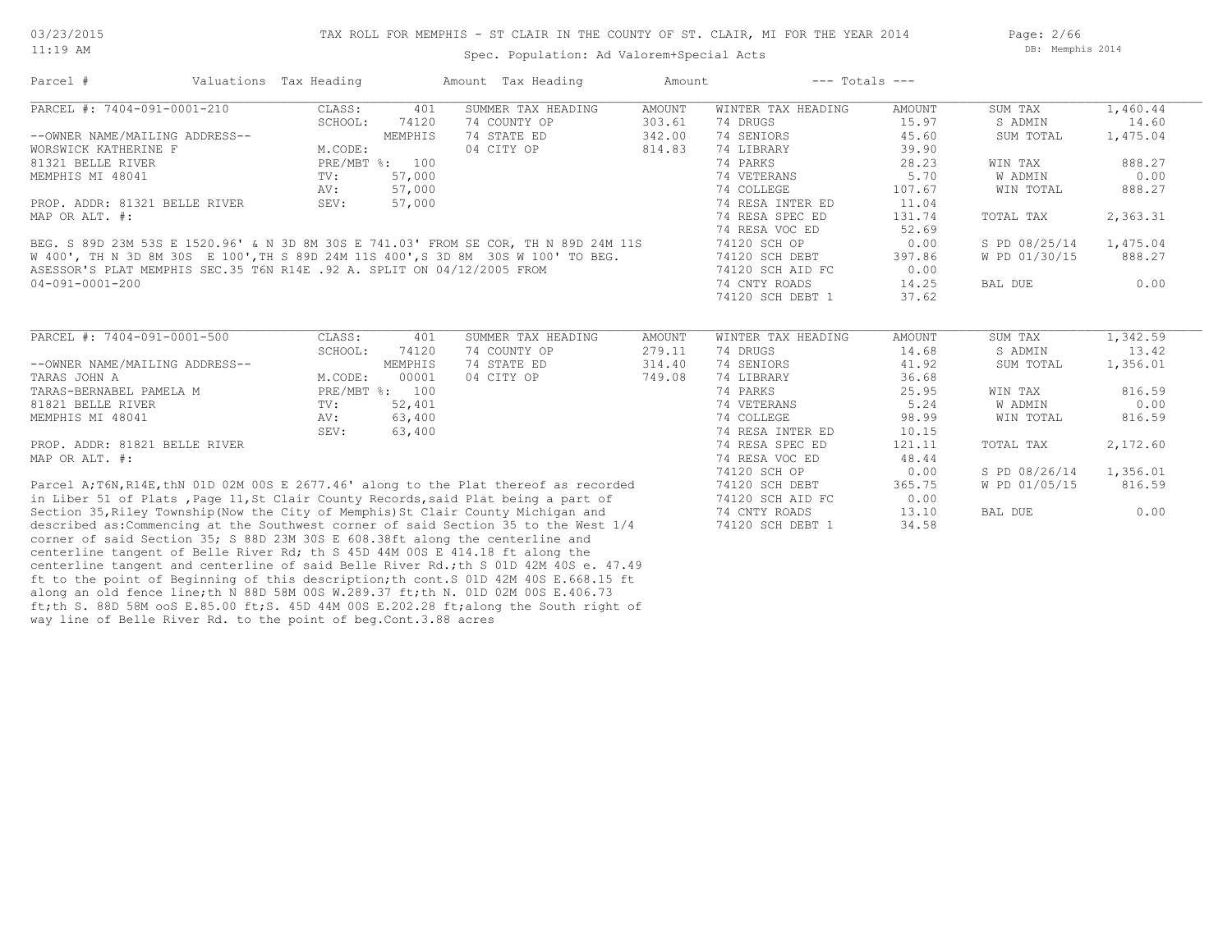Page: 2/66 DB: Memphis 2014

| Parcel #                                                                             | Valuations Tax Heading |                | Amount Tax Heading                 | Amount                  | $---$ Totals $---$             |                        |                    |                   |
|--------------------------------------------------------------------------------------|------------------------|----------------|------------------------------------|-------------------------|--------------------------------|------------------------|--------------------|-------------------|
| PARCEL #: 7404-091-0001-210                                                          | CLASS:                 | 401            | SUMMER TAX HEADING                 | <b>AMOUNT</b>           | WINTER TAX HEADING             | <b>AMOUNT</b>          | SUM TAX            | 1,460.44          |
|                                                                                      | SCHOOL:                | 74120          | 74 COUNTY OP                       | 303.61                  | 74 DRUGS                       | 15.97                  | S ADMIN            | 14.60             |
| --OWNER NAME/MAILING ADDRESS--                                                       |                        | MEMPHIS        | 74 STATE ED                        | 342.00                  | 74 SENIORS                     | 45.60                  | SUM TOTAL          | 1,475.04          |
| WORSWICK KATHERINE F                                                                 | M.CODE:                |                | 04 CITY OP                         | 814.83                  | 74 LIBRARY                     | 39.90                  |                    |                   |
| 81321 BELLE RIVER                                                                    |                        | PRE/MBT %: 100 |                                    |                         | 74 PARKS                       | 28.23                  | WIN TAX            | 888.27            |
| MEMPHIS MI 48041                                                                     | TV:                    | 57,000         |                                    |                         | 74 VETERANS                    | 5.70                   | W ADMIN            | 0.00              |
|                                                                                      | AV:                    | 57,000         |                                    |                         | 74 COLLEGE                     | 107.67                 | WIN TOTAL          | 888.27            |
| PROP. ADDR: 81321 BELLE RIVER                                                        | SEV:                   | 57,000         |                                    |                         | 74 RESA INTER ED               | 11.04                  |                    |                   |
| MAP OR ALT. #:                                                                       |                        |                |                                    |                         | 74 RESA SPEC ED                | 131.74                 | TOTAL TAX          | 2,363.31          |
|                                                                                      |                        |                |                                    |                         | 74 RESA VOC ED                 | 52.69                  |                    |                   |
| BEG. S 89D 23M 53S E 1520.96' & N 3D 8M 30S E 741.03' FROM SE COR, TH N 89D 24M 11S  |                        |                |                                    |                         | 74120 SCH OP                   | 0.00                   | S PD 08/25/14      | 1,475.04          |
| W 400', TH N 3D 8M 30S E 100', TH S 89D 24M 11S 400', S 3D 8M 30S W 100' TO BEG.     |                        |                |                                    |                         | 74120 SCH DEBT                 | 397.86                 | W PD 01/30/15      | 888.27            |
| ASESSOR'S PLAT MEMPHIS SEC.35 T6N R14E .92 A. SPLIT ON 04/12/2005 FROM               |                        |                |                                    |                         | 74120 SCH AID FC               | 0.00                   |                    |                   |
| $04 - 091 - 0001 - 200$                                                              |                        |                |                                    |                         | 74 CNTY ROADS                  | 14.25                  | BAL DUE            | 0.00              |
|                                                                                      |                        |                |                                    |                         | 74120 SCH DEBT 1               | 37.62                  |                    |                   |
| PARCEL #: 7404-091-0001-500                                                          | CLASS:<br>SCHOOL:      | 401<br>74120   | SUMMER TAX HEADING<br>74 COUNTY OP | <b>AMOUNT</b><br>279.11 | WINTER TAX HEADING<br>74 DRUGS | <b>AMOUNT</b><br>14.68 | SUM TAX<br>S ADMIN | 1,342.59<br>13.42 |
| --OWNER NAME/MAILING ADDRESS--                                                       |                        | MEMPHIS        | 74 STATE ED                        | 314.40                  | 74 SENIORS                     | 41.92                  | SUM TOTAL          | 1,356.01          |
| TARAS JOHN A                                                                         | M.CODE:                | 00001          | 04 CITY OP                         | 749.08                  | 74 LIBRARY                     | 36.68                  |                    |                   |
| TARAS-BERNABEL PAMELA M                                                              |                        | PRE/MBT %: 100 |                                    |                         | 74 PARKS                       | 25.95                  | WIN TAX            | 816.59            |
| 81821 BELLE RIVER                                                                    | TV:                    | 52,401         |                                    |                         | 74 VETERANS                    | 5.24                   | W ADMIN            | 0.00              |
| MEMPHIS MI 48041                                                                     | AV:                    | 63,400         |                                    |                         | 74 COLLEGE                     | 98.99                  | WIN TOTAL          | 816.59            |
|                                                                                      | SEV:                   | 63,400         |                                    |                         | 74 RESA INTER ED               | 10.15                  |                    |                   |
| PROP. ADDR: 81821 BELLE RIVER                                                        |                        |                |                                    |                         | 74 RESA SPEC ED                | 121.11                 | TOTAL TAX          | 2,172.60          |
| MAP OR ALT. #:                                                                       |                        |                |                                    |                         | 74 RESA VOC ED                 | 48.44                  |                    |                   |
|                                                                                      |                        |                |                                    |                         | 74120 SCH OP                   | 0.00                   | S PD 08/26/14      | 1,356.01          |
| Parcel A;T6N, R14E, thN 01D 02M 00S E 2677.46' along to the Plat thereof as recorded |                        |                |                                    |                         | 74120 SCH DEBT                 | 365.75                 | W PD 01/05/15      | 816.59            |
| in Liber 51 of Plats, Page 11, St Clair County Records, said Plat being a part of    |                        |                |                                    |                         | 74120 SCH AID FC               | 0.00                   |                    |                   |
| Section 35, Riley Township (Now the City of Memphis) St Clair County Michigan and    |                        |                |                                    |                         | 74 CNTY ROADS                  | 13.10                  | BAL DUE            | 0.00              |
| described as: Commencing at the Southwest corner of said Section 35 to the West 1/4  |                        |                |                                    |                         | 74120 SCH DEBT 1               | 34.58                  |                    |                   |
| corner of said Section 35; S 88D 23M 30S E 608.38ft along the centerline and         |                        |                |                                    |                         |                                |                        |                    |                   |
|                                                                                      |                        |                |                                    |                         |                                |                        |                    |                   |

way line of Belle River Rd. to the point of beg.Cont.3.88 acres ft;th S. 88D 58M ooS E.85.00 ft;S. 45D 44M 00S E.202.28 ft;along the South right of along an old fence line;th N 88D 58M 00S W.289.37 ft;th N. 01D 02M 00S E.406.73 ft to the point of Beginning of this description;th cont.S 01D 42M 40S E.668.15 ft centerline tangent and centerline of said Belle River Rd.;th S 01D 42M 40S e. 47.49 centerline tangent of Belle River Rd; th S 45D 44M 00S E 414.18 ft along the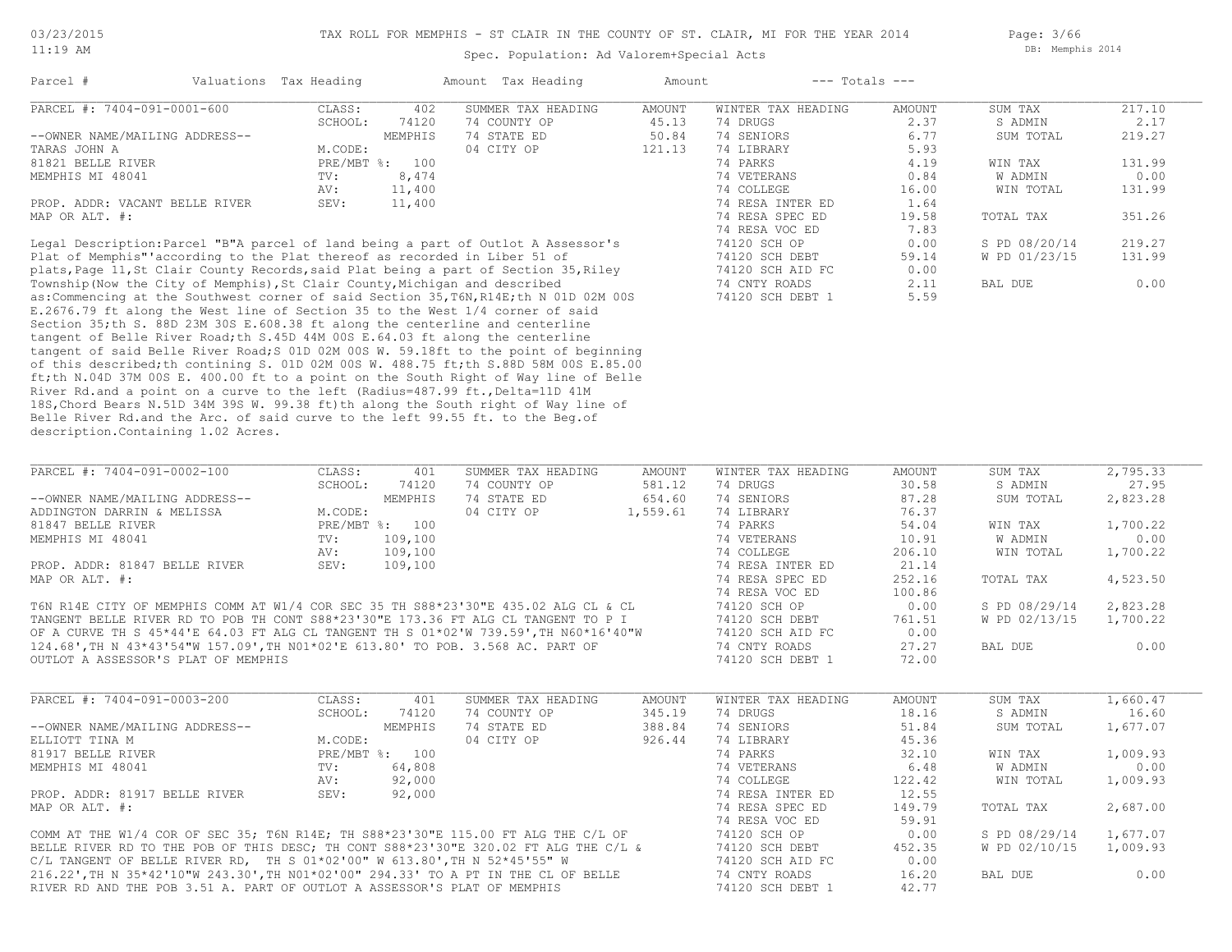Page: 3/66 DB: Memphis 2014

#### Spec. Population: Ad Valorem+Special Acts

| Parcel #                                                                                                                                                                                                                                                                                                | Valuations Tax Heading |                | Amount Tax Heading                                                                     | Amount |                    | $---$ Totals $---$ |               |        |
|---------------------------------------------------------------------------------------------------------------------------------------------------------------------------------------------------------------------------------------------------------------------------------------------------------|------------------------|----------------|----------------------------------------------------------------------------------------|--------|--------------------|--------------------|---------------|--------|
| PARCEL #: 7404-091-0001-600                                                                                                                                                                                                                                                                             | CLASS:                 | 402            | SUMMER TAX HEADING                                                                     | AMOUNT | WINTER TAX HEADING | AMOUNT             | SUM TAX       | 217.10 |
|                                                                                                                                                                                                                                                                                                         | SCHOOL:                | 74120          | 74 COUNTY OP                                                                           | 45.13  | 74 DRUGS           | 2.37               | S ADMIN       | 2.17   |
| --OWNER NAME/MAILING ADDRESS--                                                                                                                                                                                                                                                                          |                        | MEMPHIS        | 74 STATE ED                                                                            | 50.84  | 74 SENIORS         | 6.77               | SUM TOTAL     | 219.27 |
| TARAS JOHN A                                                                                                                                                                                                                                                                                            | M.CODE:                |                | 04 CITY OP                                                                             | 121.13 | 74 LIBRARY         | 5.93               |               |        |
| 81821 BELLE RIVER                                                                                                                                                                                                                                                                                       |                        | PRE/MBT %: 100 |                                                                                        |        | 74 PARKS           | 4.19               | WIN TAX       | 131.99 |
| MEMPHIS MI 48041                                                                                                                                                                                                                                                                                        | TV:                    | 8,474          |                                                                                        |        | 74 VETERANS        | 0.84               | W ADMIN       | 0.00   |
|                                                                                                                                                                                                                                                                                                         | AV:                    | 11,400         |                                                                                        |        | 74 COLLEGE         | 16.00              | WIN TOTAL     | 131.99 |
| PROP. ADDR: VACANT BELLE RIVER                                                                                                                                                                                                                                                                          | SEV:                   | 11,400         |                                                                                        |        | 74 RESA INTER ED   | 1.64               |               |        |
| MAP OR ALT. #:                                                                                                                                                                                                                                                                                          |                        |                |                                                                                        |        | 74 RESA SPEC ED    | 19.58              | TOTAL TAX     | 351.26 |
|                                                                                                                                                                                                                                                                                                         |                        |                |                                                                                        |        | 74 RESA VOC ED     | 7.83               |               |        |
|                                                                                                                                                                                                                                                                                                         |                        |                | Legal Description: Parcel "B"A parcel of land being a part of Outlot A Assessor's      |        | 74120 SCH OP       | 0.00               | S PD 08/20/14 | 219.27 |
| Plat of Memphis" according to the Plat thereof as recorded in Liber 51 of                                                                                                                                                                                                                               |                        |                |                                                                                        |        | 74120 SCH DEBT     | 59.14              | W PD 01/23/15 | 131.99 |
|                                                                                                                                                                                                                                                                                                         |                        |                | plats, Page 11, St Clair County Records, said Plat being a part of Section 35, Riley   |        | 74120 SCH AID FC   | 0.00               |               |        |
| Township (Now the City of Memphis), St Clair County, Michigan and described                                                                                                                                                                                                                             |                        |                |                                                                                        |        | 74 CNTY ROADS      | 2.11               | BAL DUE       | 0.00   |
|                                                                                                                                                                                                                                                                                                         |                        |                | as: Commencing at the Southwest corner of said Section 35, T6N, R14E; th N 01D 02M 00S |        | 74120 SCH DEBT 1   | 5.59               |               |        |
|                                                                                                                                                                                                                                                                                                         |                        |                | E.2676.79 ft along the West line of Section 35 to the West 1/4 corner of said          |        |                    |                    |               |        |
| Section 35; th S. 88D 23M 30S E.608.38 ft along the centerline and centerline                                                                                                                                                                                                                           |                        |                |                                                                                        |        |                    |                    |               |        |
| $\mathcal{L}$ , and $\mathcal{L}$ , and $\mathcal{L}$ , and $\mathcal{L}$ , and $\mathcal{L}$ , and $\mathcal{L}$ , and $\mathcal{L}$ , and $\mathcal{L}$ , and $\mathcal{L}$ , and $\mathcal{L}$ , and $\mathcal{L}$ , and $\mathcal{L}$ , and $\mathcal{L}$ , and $\mathcal{L}$ , and $\mathcal{L}$ , |                        |                |                                                                                        |        |                    |                    |               |        |

description.Containing 1.02 Acres. Belle River Rd.and the Arc. of said curve to the left 99.55 ft. to the Beg.of 18S,Chord Bears N.51D 34M 39S W. 99.38 ft)th along the South right of Way line of River Rd.and a point on a curve to the left (Radius=487.99 ft., Delta=11D 41M ft;th N.04D 37M 00S E. 400.00 ft to a point on the South Right of Way line of Belle of this described;th contining S. 01D 02M 00S W. 488.75 ft;th S.88D 58M 00S E.85.00 tangent of said Belle River Road;S 01D 02M 00S W. 59.18ft to the point of beginning tangent of Belle River Road;th S.45D 44M 00S E.64.03 ft along the centerline

| PARCEL #: 7404-091-0002-100                                                          | CLASS:  | 401            | SUMMER TAX HEADING | AMOUNT   | WINTER TAX HEADING | AMOUNT | SUM TAX       | 2,795.33 |
|--------------------------------------------------------------------------------------|---------|----------------|--------------------|----------|--------------------|--------|---------------|----------|
|                                                                                      | SCHOOL: | 74120          | 74 COUNTY OP       | 581.12   | 74 DRUGS           | 30.58  | S ADMIN       | 27.95    |
| --OWNER NAME/MAILING ADDRESS--                                                       |         | MEMPHIS        | 74 STATE ED        | 654.60   | 74 SENIORS         | 87.28  | SUM TOTAL     | 2,823.28 |
| ADDINGTON DARRIN & MELISSA                                                           | M.CODE: |                | 04 CITY OP         | 1,559.61 | 74 LIBRARY         | 76.37  |               |          |
| 81847 BELLE RIVER                                                                    |         | PRE/MBT %: 100 |                    |          | 74 PARKS           | 54.04  | WIN TAX       | 1,700.22 |
| MEMPHIS MI 48041                                                                     | TV:     | 109,100        |                    |          | 74 VETERANS        | 10.91  | W ADMIN       | 0.00     |
|                                                                                      | AV:     | 109,100        |                    |          | 74 COLLEGE         | 206.10 | WIN TOTAL     | 1,700.22 |
| PROP. ADDR: 81847 BELLE RIVER                                                        | SEV:    | 109,100        |                    |          | 74 RESA INTER ED   | 21.14  |               |          |
| MAP OR ALT. #:                                                                       |         |                |                    |          | 74 RESA SPEC ED    | 252.16 | TOTAL TAX     | 4,523.50 |
|                                                                                      |         |                |                    |          | 74 RESA VOC ED     | 100.86 |               |          |
| T6N R14E CITY OF MEMPHIS COMM AT W1/4 COR SEC 35 TH S88*23'30"E 435.02 ALG CL & CL   |         |                |                    |          | 74120 SCH OP       | 0.00   | S PD 08/29/14 | 2,823.28 |
| TANGENT BELLE RIVER RD TO POB TH CONT S88*23'30"E 173.36 FT ALG CL TANGENT TO P I    |         |                |                    |          | 74120 SCH DEBT     | 761.51 | W PD 02/13/15 | 1,700.22 |
| OF A CURVE TH S 45*44'E 64.03 FT ALG CL TANGENT TH S 01*02'W 739.59', TH N60*16'40"W |         |                |                    |          | 74120 SCH AID FC   | 0.00   |               |          |
| 124.68', TH N 43*43'54"W 157.09', TH NO1*02'E 613.80' TO POB. 3.568 AC. PART OF      |         |                |                    |          | 74 CNTY ROADS      | 27.27  | BAL DUE       | 0.00     |
| OUTLOT A ASSESSOR'S PLAT OF MEMPHIS                                                  |         |                |                    |          | 74120 SCH DEBT     | 72.00  |               |          |

| PARCEL #: 7404-091-0003-200                                                         | CLASS:  | 401            | SUMMER TAX HEADING | AMOUNT | WINTER TAX HEADING | AMOUNT | SUM TAX       | 1,660.47 |
|-------------------------------------------------------------------------------------|---------|----------------|--------------------|--------|--------------------|--------|---------------|----------|
|                                                                                     | SCHOOL: | 74120          | 74 COUNTY OP       | 345.19 | 74 DRUGS           | 18.16  | S ADMIN       | 16.60    |
| --OWNER NAME/MAILING ADDRESS--                                                      |         | MEMPHIS        | 74 STATE ED        | 388.84 | 74 SENIORS         | 51.84  | SUM TOTAL     | 1,677.07 |
| ELLIOTT TINA M                                                                      | M.CODE: |                | 04 CITY OP         | 926.44 | 74 LIBRARY         | 45.36  |               |          |
| 81917 BELLE RIVER                                                                   |         | PRE/MBT %: 100 |                    |        | 74 PARKS           | 32.10  | WIN TAX       | 1,009.93 |
| MEMPHIS MI 48041                                                                    | TV:     | 64,808         |                    |        | 74 VETERANS        | 6.48   | W ADMIN       | 0.00     |
|                                                                                     | AV:     | 92,000         |                    |        | 74 COLLEGE         | 122.42 | WIN TOTAL     | 1,009.93 |
| PROP. ADDR: 81917 BELLE RIVER                                                       | SEV:    | 92,000         |                    |        | 74 RESA INTER ED   | 12.55  |               |          |
| MAP OR ALT. #:                                                                      |         |                |                    |        | 74 RESA SPEC ED    | 149.79 | TOTAL TAX     | 2,687.00 |
|                                                                                     |         |                |                    |        | 74 RESA VOC ED     | 59.91  |               |          |
| COMM AT THE W1/4 COR OF SEC 35; T6N R14E; TH S88*23'30"E 115.00 FT ALG THE C/L OF   |         |                |                    |        | 74120 SCH OP       | 0.00   | S PD 08/29/14 | 1,677.07 |
| BELLE RIVER RD TO THE POB OF THIS DESC: TH CONT S88*23'30"E 320.02 FT ALG THE C/L & |         |                |                    |        | 74120 SCH DEBT     | 452.35 | W PD 02/10/15 | 1,009.93 |
| C/L TANGENT OF BELLE RIVER RD, TH S $01*02'00''$ W $613.80'$ , TH N $52*45'55''$ W  |         |                |                    |        | 74120 SCH AID FC   | 0.00   |               |          |
| 216.22', TH N 35*42'10"W 243.30', TH NO1*02'00" 294.33' TO A PT IN THE CL OF BELLE  |         |                |                    |        | 74 CNTY ROADS      | 16.20  | BAL DUE       | 0.00     |

RIVER RD AND THE POB 3.51 A. PART OF OUTLOT A ASSESSOR'S PLAT OF MEMPHIS 74120 SCH DEBT 1 42.77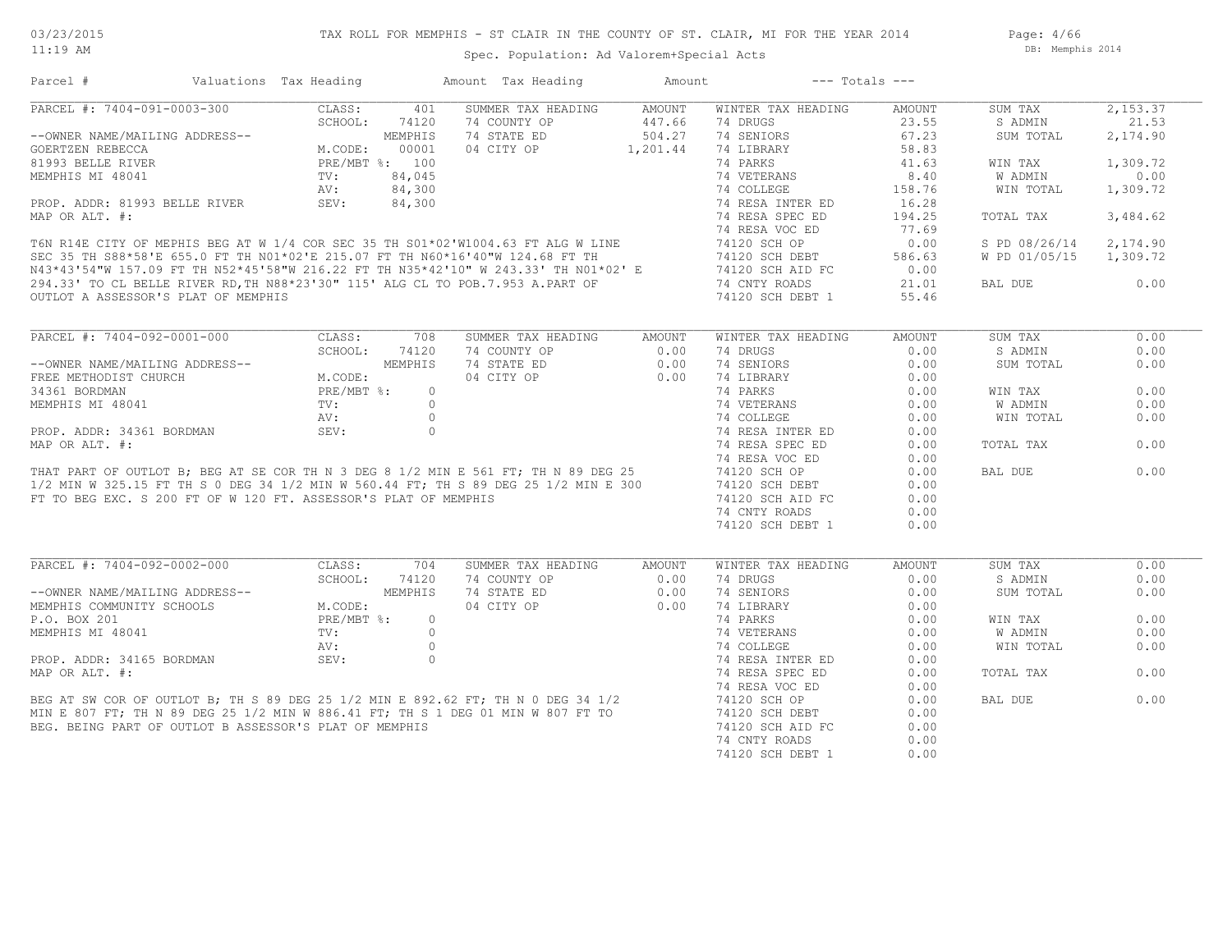Page: 4/66 DB: Memphis 2014

| Parcel #                                                                                                                                                                                                                                                                                                                                                                                                                                                       | Valuations Tax Heading                               |         | Amount Tax Heading  | Amount         | $---$ Totals $---$                            |        |                |          |
|----------------------------------------------------------------------------------------------------------------------------------------------------------------------------------------------------------------------------------------------------------------------------------------------------------------------------------------------------------------------------------------------------------------------------------------------------------------|------------------------------------------------------|---------|---------------------|----------------|-----------------------------------------------|--------|----------------|----------|
| PARCEL #: 7404-091-0003-300                                                                                                                                                                                                                                                                                                                                                                                                                                    | CLASS:                                               | 401     | SUMMER TAX HEADING  | AMOUNT         | WINTER TAX HEADING                            | AMOUNT | SUM TAX        | 2,153.37 |
|                                                                                                                                                                                                                                                                                                                                                                                                                                                                | SCHOOL:                                              | 74120   | 74 COUNTY OP        | 447.66         | 74 DRUGS                                      | 23.55  | S ADMIN        | 21.53    |
| --OWNER NAME/MAILING ADDRESS--                                                                                                                                                                                                                                                                                                                                                                                                                                 | MEMPHIS<br>M.CODE: 00001<br>PRE/MBT %: 100<br>TITLES |         | 74 STATE ED         | 504.27         | 74 SENIORS                                    | 67.23  | SUM TOTAL      | 2,174.90 |
| GOERTZEN REBECCA                                                                                                                                                                                                                                                                                                                                                                                                                                               |                                                      |         | 04 CITY OP 1,201.44 |                | 74 LIBRARY                                    | 58.83  |                |          |
| 81993 BELLE RIVER                                                                                                                                                                                                                                                                                                                                                                                                                                              |                                                      |         |                     |                | 74 PARKS                                      | 41.63  | WIN TAX        | 1,309.72 |
| MEMPHIS MI 48041                                                                                                                                                                                                                                                                                                                                                                                                                                               | TV:                                                  | 84,045  |                     |                | 74 VETERANS                                   | 8.40   | W ADMIN        | 0.00     |
|                                                                                                                                                                                                                                                                                                                                                                                                                                                                | AV:                                                  | 84,300  |                     |                | 74 COLLEGE                                    | 158.76 | WIN TOTAL      | 1,309.72 |
| PROP. ADDR: 81993 BELLE RIVER SEV:                                                                                                                                                                                                                                                                                                                                                                                                                             |                                                      | 84,300  |                     |                | 74 RESA INTER ED                              | 16.28  |                |          |
| MAP OR ALT. #:                                                                                                                                                                                                                                                                                                                                                                                                                                                 |                                                      |         |                     |                | 74 RESA SPEC ED                               | 194.25 | TOTAL TAX      | 3,484.62 |
|                                                                                                                                                                                                                                                                                                                                                                                                                                                                |                                                      |         |                     |                | 74 RESA VOC ED                                | 77.69  |                |          |
|                                                                                                                                                                                                                                                                                                                                                                                                                                                                |                                                      |         |                     |                |                                               | 0.00   | S PD 08/26/14  | 2,174.90 |
| 74 RESA VOC ED<br>SEC 35 TH S88*58'E 655.0 FT TH NO1*02'E 215.07 FT TH N60*16'40"W124.68 FT ALG W LINE<br>N43*43'54"W157.09 FT TH N52*45'58"W216.22 FT TH N35*42'10" W243.33' TH N01*02'E<br>294.33' TO CL BELLE RIVER RD, TEMPLISE:                                                                                                                                                                                                                           |                                                      |         |                     |                |                                               | 586.63 | W PD 01/05/15  | 1,309.72 |
|                                                                                                                                                                                                                                                                                                                                                                                                                                                                |                                                      |         |                     |                |                                               | 0.00   |                |          |
|                                                                                                                                                                                                                                                                                                                                                                                                                                                                |                                                      |         |                     |                |                                               |        |                |          |
|                                                                                                                                                                                                                                                                                                                                                                                                                                                                |                                                      |         |                     |                |                                               | 21.01  | BAL DUE        | 0.00     |
| OUTLOT A ASSESSOR'S PLAT OF MEMPHIS                                                                                                                                                                                                                                                                                                                                                                                                                            |                                                      |         |                     |                | 74120 SCH DEBT 1                              | 55.46  |                |          |
|                                                                                                                                                                                                                                                                                                                                                                                                                                                                |                                                      |         |                     |                |                                               |        |                |          |
| $\begin{tabular}{lllllllllll} \multicolumn{2}{c}{\textbf{ARCEL}} & $\ast$: $7404-\circ\ldots$ \\ \multicolumn{2}{c}{\textbf{--}} & & & & & & & & & & & \\ \multicolumn{2}{c}{\textbf{--}} & & & & & & & & & \\ \multicolumn{2}{c}{\textbf{FREE}~\textbf{METHODIST}~\textbf{CHURCH}} & & & & & & & & & \\ \multicolumn{2}{c}{\textbf{FREE}~\textbf{METHODIST}~\textbf{CHURCH}} & & & & & & & & \\ \multicolumn{2}{c}{\textbf{FRE}~\textbf{MBT}~$}: & & & & & &$ |                                                      | 708     | SUMMER TAX HEADING  | AMOUNT         | WINTER TAX HEADING                            | AMOUNT | SUM TAX        | 0.00     |
|                                                                                                                                                                                                                                                                                                                                                                                                                                                                |                                                      | 74120   | 74 COUNTY OP        | $\sim$ 0.00    | 74 DRUGS                                      | 0.00   | S ADMIN        | 0.00     |
|                                                                                                                                                                                                                                                                                                                                                                                                                                                                |                                                      | MEMPHIS | 74 STATE ED         | 0.00           | 74 SENIORS                                    | 0.00   | SUM TOTAL      | 0.00     |
|                                                                                                                                                                                                                                                                                                                                                                                                                                                                |                                                      |         | 04 CITY OP          | 0.00           | 74 LIBRARY                                    | 0.00   |                |          |
|                                                                                                                                                                                                                                                                                                                                                                                                                                                                |                                                      |         |                     |                | 74 PARKS                                      | 0.00   | WIN TAX        | 0.00     |
|                                                                                                                                                                                                                                                                                                                                                                                                                                                                |                                                      |         |                     |                |                                               | 0.00   | W ADMIN        | 0.00     |
| FREE METHODIST CHURCH<br>34361 BORDMAN PREMET *: 0<br>MEMPHIS MI 48041 TV: 0<br>PROP. ADDR: 34361 BORDMAN SEV: 0<br>MAP OR ALT. #:<br>THAT PART OF OUTLOT B; BEG AT SE COR TH N 3 DEG 8 1/2 MIN E 561 FT; TH N 89 DEG 25<br>1/2 MIN W 360.                                                                                                                                                                                                                     |                                                      |         |                     |                | 74 VETERANS<br>74 COLLEGE<br>74 RESA INTER ED | 0.00   | WIN TOTAL      | 0.00     |
|                                                                                                                                                                                                                                                                                                                                                                                                                                                                |                                                      |         |                     |                |                                               | 0.00   |                |          |
|                                                                                                                                                                                                                                                                                                                                                                                                                                                                |                                                      |         |                     |                | 74 RESA SPEC ED                               | 0.00   | TOTAL TAX      | 0.00     |
|                                                                                                                                                                                                                                                                                                                                                                                                                                                                |                                                      |         |                     |                | 74 RESA VOC ED                                | 0.00   |                |          |
|                                                                                                                                                                                                                                                                                                                                                                                                                                                                |                                                      |         |                     |                | 74120 SCH OP                                  | 0.00   | BAL DUE        | 0.00     |
|                                                                                                                                                                                                                                                                                                                                                                                                                                                                |                                                      |         |                     |                | 74120 SCH DEBT                                | 0.00   |                |          |
| FT TO BEG EXC. S 200 FT OF W 120 FT. ASSESSOR'S PLAT OF MEMPHIS                                                                                                                                                                                                                                                                                                                                                                                                |                                                      |         |                     |                | 74120 SCH AID FC                              | 0.00   |                |          |
|                                                                                                                                                                                                                                                                                                                                                                                                                                                                |                                                      |         |                     |                | 74 CNTY ROADS                                 | 0.00   |                |          |
|                                                                                                                                                                                                                                                                                                                                                                                                                                                                |                                                      |         |                     |                | 74120 SCH DEBT 1                              | 0.00   |                |          |
|                                                                                                                                                                                                                                                                                                                                                                                                                                                                |                                                      |         |                     |                |                                               |        |                |          |
|                                                                                                                                                                                                                                                                                                                                                                                                                                                                |                                                      |         |                     |                |                                               |        |                |          |
| PARCEL #: 7404-092-0002-000                                                                                                                                                                                                                                                                                                                                                                                                                                    | CLASS:                                               | 704     | SUMMER TAX HEADING  | AMOUNT         | WINTER TAX HEADING                            | AMOUNT | SUM TAX        | 0.00     |
|                                                                                                                                                                                                                                                                                                                                                                                                                                                                | SCHOOL:                                              | 74120   | 74 COUNTY OP        | 0.00           | 74 DRUGS                                      | 0.00   | S ADMIN        | 0.00     |
| --OWNER NAME/MAILING ADDRESS--<br>MEMPHIS COMMUNITY SCHOOLS                                                                                                                                                                                                                                                                                                                                                                                                    |                                                      | MEMPHIS | 74 STATE ED         | $0.00$<br>0.00 | 74 SENIORS                                    | 0.00   | SUM TOTAL      | 0.00     |
|                                                                                                                                                                                                                                                                                                                                                                                                                                                                | M.CODE:                                              |         | 04 CITY OP          |                | 74 LIBRARY                                    | 0.00   |                |          |
| P.O. BOX 201                                                                                                                                                                                                                                                                                                                                                                                                                                                   | PRE/MBT %:                                           | $\circ$ |                     |                | 74 PARKS                                      | 0.00   | WIN TAX        | 0.00     |
|                                                                                                                                                                                                                                                                                                                                                                                                                                                                |                                                      |         |                     |                | 74 VETERANS                                   | 0.00   | <b>W ADMIN</b> | 0.00     |
|                                                                                                                                                                                                                                                                                                                                                                                                                                                                |                                                      |         |                     |                | 74 COLLEGE                                    | 0.00   | WIN TOTAL      | 0.00     |
|                                                                                                                                                                                                                                                                                                                                                                                                                                                                |                                                      |         |                     |                | 74 RESA INTER ED                              | 0.00   |                |          |
|                                                                                                                                                                                                                                                                                                                                                                                                                                                                |                                                      |         |                     |                | 74 RESA SPEC ED                               | 0.00   | TOTAL TAX      | 0.00     |
|                                                                                                                                                                                                                                                                                                                                                                                                                                                                |                                                      |         |                     |                | 74 RESA VOC ED                                | 0.00   |                |          |
| P.O. BOX 201<br>MEMPHIS MI 48041<br>PROP. ADDR: 34165 BORDMAN<br>MAP OR ALT. #:<br>BEG AT SW COR OF OUTLOT B; TH S 89 DEG 25 1/2 MIN E 892.62 FT; TH N 0 DEG 34 1/2<br>MIN E 807 FT; TH N 89 DEG 25 1/2 MIN W 886.41 FT; TH S 1 DEG 01                                                                                                                                                                                                                         |                                                      |         |                     |                | 74120 SCH OP                                  | 0.00   | BAL DUE        | 0.00     |
|                                                                                                                                                                                                                                                                                                                                                                                                                                                                |                                                      |         |                     |                | 74120 SCH DEBT                                | 0.00   |                |          |
| BEG. BEING PART OF OUTLOT B ASSESSOR'S PLAT OF MEMPHIS                                                                                                                                                                                                                                                                                                                                                                                                         |                                                      |         |                     |                | 74120 SCH AID FC                              | 0.00   |                |          |
|                                                                                                                                                                                                                                                                                                                                                                                                                                                                |                                                      |         |                     |                | 74 CNTY ROADS                                 | 0.00   |                |          |
|                                                                                                                                                                                                                                                                                                                                                                                                                                                                |                                                      |         |                     |                | 74120 SCH DEBT 1                              | 0.00   |                |          |
|                                                                                                                                                                                                                                                                                                                                                                                                                                                                |                                                      |         |                     |                |                                               |        |                |          |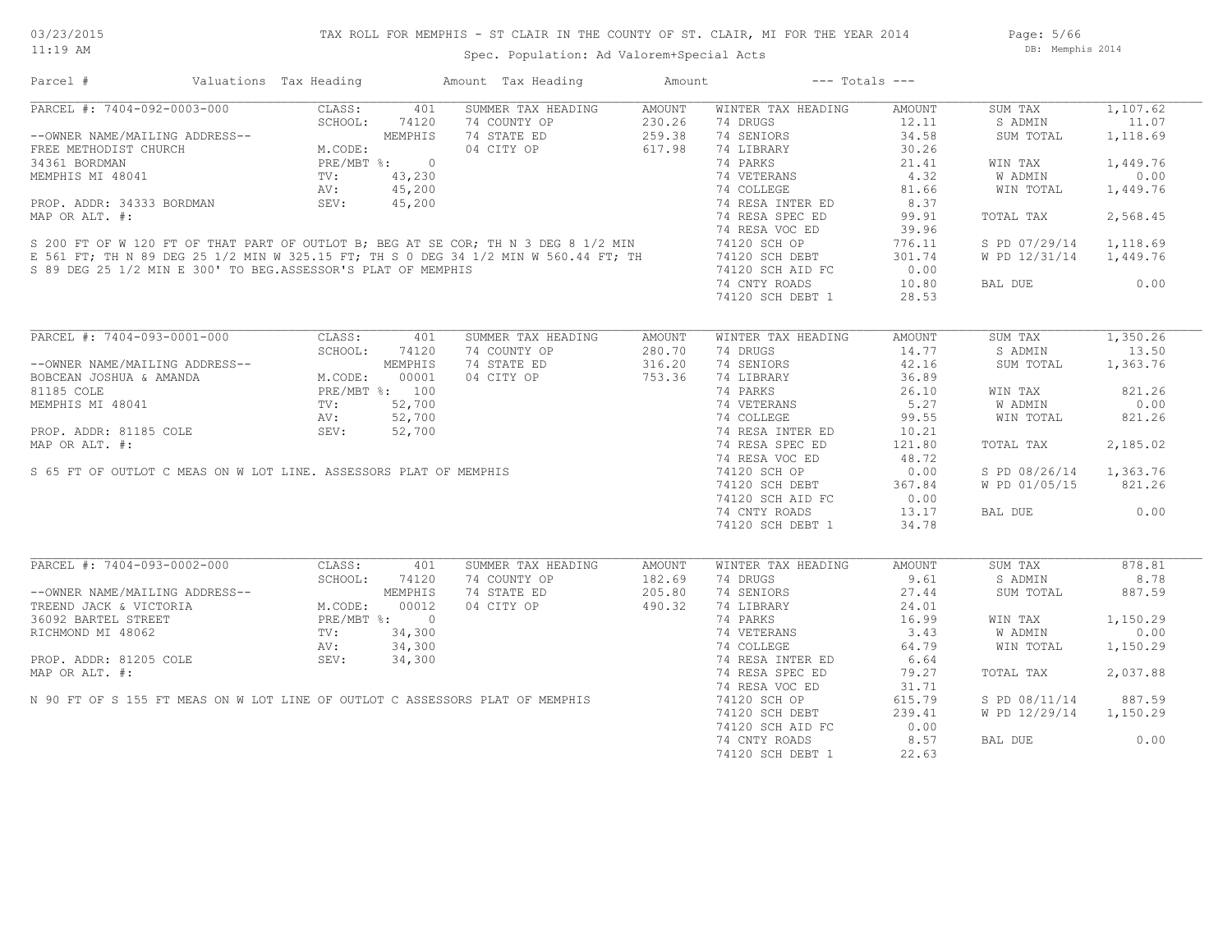# TAX ROLL FOR MEMPHIS - ST CLAIR IN THE COUNTY OF ST. CLAIR, MI FOR THE YEAR 2014

Spec. Population: Ad Valorem+Special Acts

Page: 5/66 DB: Memphis 2014

| Parcel #                                                                                                                                                                                                                                         | Valuations Tax Heading |               | Amount Tax Heading                                  | Amount | $---$ Totals $---$                                                                             |        |                        |          |
|--------------------------------------------------------------------------------------------------------------------------------------------------------------------------------------------------------------------------------------------------|------------------------|---------------|-----------------------------------------------------|--------|------------------------------------------------------------------------------------------------|--------|------------------------|----------|
| PARCEL #: 7404-092-0003-000                                                                                                                                                                                                                      |                        | CLASS: 401    | SUMMER TAX HEADING AMOUNT                           |        | WINTER TAX HEADING                                                                             | AMOUNT | SUM TAX                | 1,107.62 |
|                                                                                                                                                                                                                                                  |                        | SCHOOL: 74120 |                                                     |        | 74 DRUGS                                                                                       | 12.11  | S ADMIN                | 11.07    |
|                                                                                                                                                                                                                                                  |                        |               |                                                     |        | 74 SENIORS                                                                                     | 34.58  | SUM TOTAL              | 1,118.69 |
| --OWNER NAME/MAILING ADDRESS--<br>FREE METHODIST CHURCH<br>34361 BORDMAN PRE/MBT %: 0<br>MEMPHIS MI 48041 TV: 43,230<br>PROP. ADDR: 34333 BORDMAN SEV: 45,200<br>PROP. ADDR: 34333 BORDMAN SEV: 45,200<br>PROP. ADDR: 34333 BORDMAN SEV: 4       |                        |               | 74 COUNTY OP<br>74 STATE ED<br>04 CITY OP<br>617.98 |        | 74 LIBRARY                                                                                     | 30.26  |                        |          |
|                                                                                                                                                                                                                                                  |                        |               |                                                     |        | 74 PARKS                                                                                       | 21.41  | WIN TAX                | 1,449.76 |
|                                                                                                                                                                                                                                                  |                        |               |                                                     |        |                                                                                                | 4.32   | W ADMIN                | 0.00     |
|                                                                                                                                                                                                                                                  |                        |               |                                                     |        |                                                                                                | 81.66  | WIN TOTAL              | 1,449.76 |
|                                                                                                                                                                                                                                                  |                        |               |                                                     |        |                                                                                                |        |                        |          |
|                                                                                                                                                                                                                                                  |                        |               |                                                     |        |                                                                                                | 8.37   |                        |          |
|                                                                                                                                                                                                                                                  |                        |               |                                                     |        |                                                                                                | 99.91  | TOTAL TAX              | 2,568.45 |
| 34361 BORDMAN PRE/MBT *: 0<br>MEMPHIS MI 48041 TV: 43,230<br>PROP. ADDR: 34333 BORDMAN SEV: 45,200<br>MAP OR ALT. #: 74 RESA INTER ED<br>SEV: 45,200<br>SEV: 45,200<br>SEV: 45,200<br>SEV: 45,200<br>TOR MIT. 74 RESA INTER ED<br>74 RESA INTER  |                        |               |                                                     |        |                                                                                                | 39.96  |                        |          |
|                                                                                                                                                                                                                                                  |                        |               |                                                     |        |                                                                                                | 776.11 | S PD 07/29/14 1,118.69 |          |
|                                                                                                                                                                                                                                                  |                        |               |                                                     |        |                                                                                                | 301.74 | W PD 12/31/14 1,449.76 |          |
|                                                                                                                                                                                                                                                  |                        |               |                                                     |        |                                                                                                | 0.00   |                        |          |
|                                                                                                                                                                                                                                                  |                        |               |                                                     |        | 74 CNTY ROADS                                                                                  | 10.80  | BAL DUE                | 0.00     |
|                                                                                                                                                                                                                                                  |                        |               |                                                     |        | 74120 SCH DEBT 1                                                                               | 28.53  |                        |          |
|                                                                                                                                                                                                                                                  |                        |               |                                                     |        |                                                                                                |        |                        |          |
| PARCEL #: 7404-093-0001-000                                                                                                                                                                                                                      | CLASS:                 | 401           | SUMMER TAX HEADING                                  | AMOUNT | WINTER TAX HEADING                                                                             | AMOUNT | SUM TAX                | 1,350.26 |
|                                                                                                                                                                                                                                                  | SCHOOL:                | 74120         | 74 COUNTY OP                                        | 280.70 | 74 DRUGS                                                                                       | 14.77  | S ADMIN                | 13.50    |
| --OWNER NAME/MAILING ADDRESS--<br>BOBCEAN JOSHUA & AMANDA<br>81185 COLE<br>MEMPHIS MI 48041<br>MEMPHIS MI 48041<br>PRE/MBT %: 100<br>NEMPHIS MI 48041<br>PRE/MBT %: 52,700<br>AV: 52,700<br>PRE/MBT %: 52,700                                    |                        |               | 74 STATE ED                                         | 316.20 | 74 SENIORS                                                                                     | 42.16  | SUM TOTAL              | 1,363.76 |
|                                                                                                                                                                                                                                                  |                        |               | 04 CITY OP                                          | 753.36 | 74 LIBRARY                                                                                     | 36.89  |                        |          |
|                                                                                                                                                                                                                                                  |                        |               |                                                     |        | 1986 10<br>14 VETERANS<br>14 COLLEGE 199.55<br>14 RESA INTER ED 10.21<br>14 RESA SPECTER 10.21 |        | WIN TAX                | 821.26   |
|                                                                                                                                                                                                                                                  |                        |               |                                                     |        |                                                                                                |        | <b>W ADMIN</b>         | 0.00     |
|                                                                                                                                                                                                                                                  |                        |               |                                                     |        |                                                                                                |        |                        |          |
|                                                                                                                                                                                                                                                  |                        |               |                                                     |        |                                                                                                |        | WIN TOTAL              | 821.26   |
|                                                                                                                                                                                                                                                  |                        |               |                                                     |        |                                                                                                |        |                        |          |
|                                                                                                                                                                                                                                                  |                        |               |                                                     |        | 74 RESA SPEC ED                                                                                | 121.80 | TOTAL TAX              | 2,185.02 |
|                                                                                                                                                                                                                                                  |                        |               |                                                     |        | 74 RESA VOC ED                                                                                 | 48.72  |                        |          |
|                                                                                                                                                                                                                                                  |                        |               |                                                     |        | 74120 SCH OP                                                                                   | 0.00   | S PD 08/26/14 1,363.76 |          |
|                                                                                                                                                                                                                                                  |                        |               |                                                     |        | 74120 SCH DEBT                                                                                 | 367.84 | W PD 01/05/15 821.26   |          |
|                                                                                                                                                                                                                                                  |                        |               |                                                     |        | 74120 SCH AID FC                                                                               | 0.00   |                        |          |
|                                                                                                                                                                                                                                                  |                        |               |                                                     |        | 74 CNTY ROADS                                                                                  | 13.17  | BAL DUE                | 0.00     |
|                                                                                                                                                                                                                                                  |                        |               |                                                     |        | 74120 SCH DEBT 1                                                                               | 34.78  |                        |          |
| PROP. ADDR: 81185 COLE AND AV: 52,700<br>MAP OR ALT. #:<br>S 65 FT OF OUTLOT C MEAS ON W LOT LINE. ASSESSORS PLAT OF MEMPHIS                                                                                                                     |                        |               |                                                     |        |                                                                                                |        |                        |          |
| PARCEL #: 7404-093-0002-000<br>--OWNER NAME/MAILING ADDRESS--<br>TREEND JACK & VICTORIA M.CODE: 00012<br>36092 BARTEL STREET PRE/MBT %: 0<br>--OWNER MI 48062<br>--OWNER MI 48062<br>--OWNER MI 48062<br>TV: 34,300<br>--V: 34,300<br>--V: 34,30 |                        |               | SUMMER TAX HEADING                                  | AMOUNT | WINTER TAX HEADING                                                                             | AMOUNT | SUM TAX                | 878.81   |
|                                                                                                                                                                                                                                                  |                        |               | 74 COUNTY OP                                        | 182.69 | 74 DRUGS                                                                                       | 9.61   | S ADMIN                | 8.78     |
|                                                                                                                                                                                                                                                  |                        |               | 74 STATE ED 205.80<br>04 CITY OP 490.32             |        | 74 SENIORS                                                                                     | 27.44  | SUM TOTAL              | 887.59   |
|                                                                                                                                                                                                                                                  |                        |               | 04 CITY OP                                          |        | 74 LIBRARY                                                                                     | 24.01  |                        |          |
|                                                                                                                                                                                                                                                  |                        |               |                                                     |        | 74 PARKS                                                                                       | 16.99  | WIN TAX                | 1,150.29 |
|                                                                                                                                                                                                                                                  |                        |               |                                                     |        | 74 PARING<br>74 VETERANS<br>74 COLLEGE                                                         | 3.43   | W ADMIN                | 0.00     |
|                                                                                                                                                                                                                                                  |                        |               |                                                     |        |                                                                                                |        |                        |          |
| PROP. ADDR: 81205 COLE 5EV:                                                                                                                                                                                                                      |                        |               |                                                     |        |                                                                                                | 64.79  | WIN TOTAL              | 1,150.29 |
|                                                                                                                                                                                                                                                  |                        | 34,300        |                                                     |        | 74 RESA INTER ED                                                                               | 6.64   |                        |          |
| MAP OR ALT. #:                                                                                                                                                                                                                                   |                        |               |                                                     |        | 74 RESA SPEC ED                                                                                | 79.27  | TOTAL TAX              | 2,037.88 |
|                                                                                                                                                                                                                                                  |                        |               |                                                     |        | 74 RESA VOC ED                                                                                 | 31.71  |                        |          |
| N 90 FT OF S 155 FT MEAS ON W LOT LINE OF OUTLOT C ASSESSORS PLAT OF MEMPHIS                                                                                                                                                                     |                        |               |                                                     |        | 74120 SCH OP<br>74120 SCH DEBT                                                                 | 615.79 | S PD 08/11/14          | 887.59   |
|                                                                                                                                                                                                                                                  |                        |               |                                                     |        | 74120 SCH DEBT                                                                                 | 239.41 | W PD 12/29/14 1,150.29 |          |
|                                                                                                                                                                                                                                                  |                        |               |                                                     |        | 74120 SCH AID FC                                                                               | 0.00   |                        |          |
|                                                                                                                                                                                                                                                  |                        |               |                                                     |        | 74 CNTY ROADS                                                                                  | 8.57   | BAL DUE                | 0.00     |
|                                                                                                                                                                                                                                                  |                        |               |                                                     |        | 74120 SCH DEBT 1                                                                               | 22.63  |                        |          |
|                                                                                                                                                                                                                                                  |                        |               |                                                     |        |                                                                                                |        |                        |          |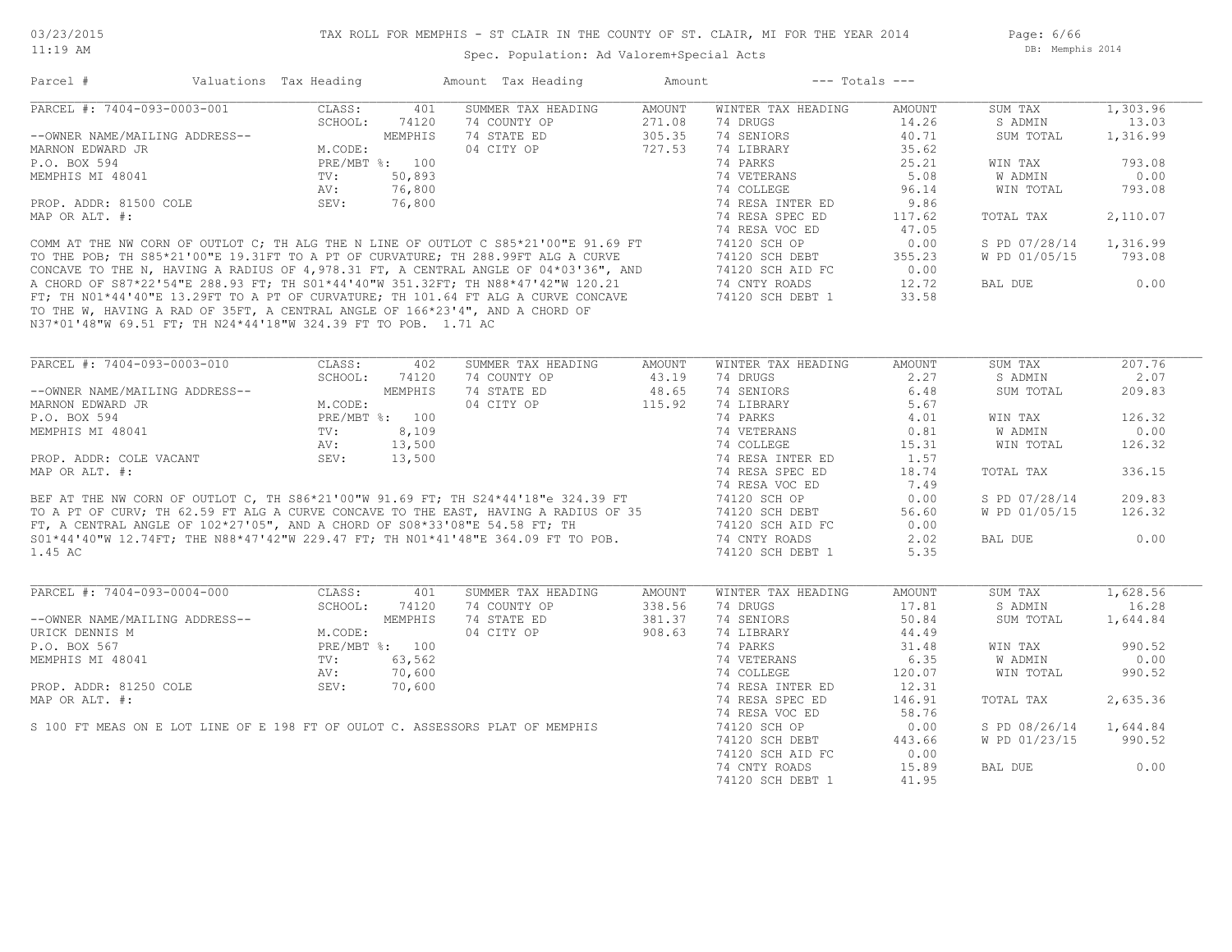Page: 6/66 DB: Memphis 2014

| Parcel #                                                       | Valuations Tax Heading                                                                           |                | Amount Tax Heading                                                                                                                                                                                                                   | Amount            |                                                                                                                | $---$ Totals $---$ |                        |          |
|----------------------------------------------------------------|--------------------------------------------------------------------------------------------------|----------------|--------------------------------------------------------------------------------------------------------------------------------------------------------------------------------------------------------------------------------------|-------------------|----------------------------------------------------------------------------------------------------------------|--------------------|------------------------|----------|
| PARCEL #: 7404-093-0003-001                                    |                                                                                                  | CLASS: 401     | SUMMER TAX HEADING                                                                                                                                                                                                                   | AMOUNT            | WINTER TAX HEADING                                                                                             | AMOUNT             | SUM TAX 1,303.96       |          |
|                                                                |                                                                                                  | SCHOOL: 74120  | 74 COUNTY OP                                                                                                                                                                                                                         | 271.08            | 74 DRUGS                                                                                                       | 14.26              | S ADMIN                | 13.03    |
| --OWNER NAME/MAILING ADDRESS--<br>MARNON EDWARD JR             |                                                                                                  | MEMPHIS        | 74 COUNTY OP<br>74 STATE ED 305.35<br>04 CITY OP 727.53<br>74 STATE ED                                                                                                                                                               |                   | 74 SENIORS                                                                                                     | 40.71              | SUM TOTAL              | 1,316.99 |
|                                                                | M.CODE:                                                                                          |                |                                                                                                                                                                                                                                      | 727.53            | 74 LIBRARY                                                                                                     | 35.62              |                        |          |
| P.O. BOX 594<br>MEMPHIS MI 48041                               |                                                                                                  | PRE/MBT %: 100 |                                                                                                                                                                                                                                      |                   | 74 PARKS                                                                                                       | 25.21              | WIN TAX                | 793.08   |
|                                                                | TV: 50,893                                                                                       |                |                                                                                                                                                                                                                                      |                   | 74 VETERANS                                                                                                    | 5.08               | W ADMIN                | 0.00     |
|                                                                | AV:                                                                                              | 76,800         |                                                                                                                                                                                                                                      |                   | 74 COLLEGE                                                                                                     | 96.14              | WIN TOTAL              | 793.08   |
| PROP. ADDR: 81500 COLE SEV:<br>SEV:                            |                                                                                                  | 76,800         |                                                                                                                                                                                                                                      |                   | 74 RESA INTER ED                                                                                               | 9.86               |                        |          |
| MAP OR ALT. #:                                                 |                                                                                                  |                |                                                                                                                                                                                                                                      |                   | 74 RESA SPEC ED                                                                                                | 117.62             | TOTAL TAX              | 2,110.07 |
|                                                                |                                                                                                  |                |                                                                                                                                                                                                                                      |                   | 74 RESA VOC ED                                                                                                 | 47.05              |                        |          |
|                                                                |                                                                                                  |                | COMM AT THE NW CORN OF OUTLOT C, TH ALG THE N LINE OF OUTLOT C S85*21'00"E 91.69 FT                                                                                                                                                  |                   | 74120 SCH OP                                                                                                   | 0.00               | S PD 07/28/14 1,316.99 |          |
|                                                                |                                                                                                  |                |                                                                                                                                                                                                                                      |                   | 74120 SCH DEBT<br>74120 SCH DEBT 355.23<br>74120 SCH AID FC 0.00                                               |                    | W PD 01/05/15          | 793.08   |
|                                                                |                                                                                                  |                |                                                                                                                                                                                                                                      |                   |                                                                                                                |                    |                        |          |
|                                                                |                                                                                                  |                | TO THE POB; TH S85*21'00"E 19.31FT TO A PT OF CURVATURE; TH 288.99FT ALG A CURVE TALL 20 SCH DEBT 355.23<br>CONCAVE TO THE N, HAVING A RADIUS OF 4,978.31 FT, A CENTRAL ANGLE OF 04*03'36", AND 74120 SCH AID FC 0.00<br>A CHORD O   |                   |                                                                                                                |                    | BAL DUE                | 0.00     |
|                                                                |                                                                                                  |                |                                                                                                                                                                                                                                      |                   |                                                                                                                |                    |                        |          |
|                                                                |                                                                                                  |                |                                                                                                                                                                                                                                      |                   |                                                                                                                |                    |                        |          |
|                                                                |                                                                                                  |                | TO THE W, HAVING A RAD OF 35FT, A CENTRAL ANGLE OF 166*23'4", AND A CHORD OF                                                                                                                                                         |                   |                                                                                                                |                    |                        |          |
| N37*01'48"W 69.51 FT; TH N24*44'18"W 324.39 FT TO POB. 1.71 AC |                                                                                                  |                |                                                                                                                                                                                                                                      |                   |                                                                                                                |                    |                        |          |
|                                                                |                                                                                                  |                |                                                                                                                                                                                                                                      |                   |                                                                                                                |                    |                        |          |
| PARCEL #: 7404-093-0003-010                                    | CLASS:                                                                                           | 402            | SUMMER TAX HEADING                                                                                                                                                                                                                   | AMOUNT            | WINTER TAX HEADING                                                                                             | AMOUNT             | SUM TAX                | 207.76   |
|                                                                |                                                                                                  | SCHOOL: 74120  | 74 COUNTY OP                                                                                                                                                                                                                         | 43.19             | 74 DRUGS                                                                                                       | 2.27               | S ADMIN                | 2.07     |
| --OWNER NAME/MAILING ADDRESS--                                 |                                                                                                  | MEMPHIS        | 74 STATE ED                                                                                                                                                                                                                          | 48.65             | 74 SENIORS                                                                                                     | 6.48               | SUM TOTAL              | 209.83   |
| MARNON EDWARD JR                                               | M.CODE:<br>M.CODE:<br>PRE/MBT %: 100                                                             |                | 04 CITY OP                                                                                                                                                                                                                           | $48.65$<br>115.92 | 74 LIBRARY                                                                                                     | 5.67               |                        |          |
| P.O. BOX 594                                                   |                                                                                                  |                |                                                                                                                                                                                                                                      |                   | 74 PARKS                                                                                                       | 4.01               | WIN TAX                | 126.32   |
| MEMPHIS MI 48041                                               | TV:                                                                                              | 8,109          |                                                                                                                                                                                                                                      |                   | 74 VETERANS                                                                                                    | 0.81               | W ADMIN                | 0.00     |
|                                                                | AV:                                                                                              | 13,500         |                                                                                                                                                                                                                                      |                   | 74 COLLEGE                                                                                                     | 15.31              | WIN TOTAL              | 126.32   |
| PROP. ADDR: COLE VACANT SEV:                                   |                                                                                                  | 13,500         |                                                                                                                                                                                                                                      |                   | 74 RESA INTER ED                                                                                               | 1.57               |                        |          |
| MAP OR ALT. #:                                                 |                                                                                                  |                |                                                                                                                                                                                                                                      |                   | 74 RESA SPEC ED                                                                                                | 18.74              | TOTAL TAX              | 336.15   |
|                                                                |                                                                                                  |                |                                                                                                                                                                                                                                      |                   | 74 RESA VOC ED                                                                                                 | 7.49               |                        |          |
|                                                                |                                                                                                  |                |                                                                                                                                                                                                                                      |                   | 74120 SCH OP                                                                                                   | 0.00               | S PD 07/28/14          | 209.83   |
|                                                                |                                                                                                  |                |                                                                                                                                                                                                                                      |                   |                                                                                                                |                    |                        |          |
|                                                                |                                                                                                  |                |                                                                                                                                                                                                                                      |                   | 74120 SCH DEBT                                                                                                 | 56.60              | W PD 01/05/15          | 126.32   |
|                                                                |                                                                                                  |                | BEF AT THE NW CORN OF OUTLOT C, TH S86*21'00"W 91.69 FT; TH S24*44'18"e 324.39 FT<br>TO A PT OF CURV; TH 62.59 FT ALG A CURVE CONCAVE TO THE EAST, HAVING A RADIUS OF 35<br>FT, A CENTRAL ANGLE OF 102*27'05", AND A CHORD OF S08*33 |                   | 74120 SCH AID FC                                                                                               | 0.00               |                        |          |
|                                                                |                                                                                                  |                |                                                                                                                                                                                                                                      |                   | 74 CNTY ROADS                                                                                                  | 2.02               | BAL DUE                | 0.00     |
| 1.45 AC                                                        |                                                                                                  |                |                                                                                                                                                                                                                                      |                   | 74120 SCH DEBT 1                                                                                               | 5.35               |                        |          |
|                                                                |                                                                                                  |                |                                                                                                                                                                                                                                      |                   |                                                                                                                |                    |                        |          |
| PARCEL #: 7404-093-0004-000                                    | CLASS:                                                                                           | 401            | SUMMER TAX HEADING                                                                                                                                                                                                                   | AMOUNT            | WINTER TAX HEADING                                                                                             | AMOUNT             | SUM TAX                | 1,628.56 |
|                                                                | ADDRESS--<br>$M. \text{CODE:}$<br>PRE/MBT %: 100<br>TV: 63,562<br>ADDRESS--<br>$\frac{100}{100}$ | SCHOOL: 74120  | 74 COUNTY OP                                                                                                                                                                                                                         | 338.56            | 74 DRUGS AND THE STATE OF THE STATE OF THE STATE OF THE STATE OF THE STATE OF THE STATE OF THE STATE OF THE ST | 17.81              | S ADMIN                | 16.28    |
| --OWNER NAME/MAILING ADDRESS--                                 |                                                                                                  |                | 74 STATE ED                                                                                                                                                                                                                          | 381.37            | 74 SENIORS                                                                                                     | 50.84              | SUM TOTAL              | 1,644.84 |
| URICK DENNIS M                                                 |                                                                                                  |                | 04 CITY OP                                                                                                                                                                                                                           | 908.63            | 74 LIBRARY                                                                                                     | 44.49              |                        |          |
| P.O. BOX 567                                                   |                                                                                                  |                |                                                                                                                                                                                                                                      |                   | 74 PARKS                                                                                                       | 31.48              | WIN TAX                | 990.52   |
| MEMPHIS MI 48041                                               |                                                                                                  |                |                                                                                                                                                                                                                                      |                   | 74 VETERANS                                                                                                    | 6.35               | W ADMIN                | 0.00     |
|                                                                | AV:                                                                                              | 70,600         |                                                                                                                                                                                                                                      |                   | 74 COLLEGE                                                                                                     | 120.07             | WIN TOTAL              | 990.52   |
| PROP. ADDR: 81250 COLE                                         | SEV:                                                                                             | 70,600         |                                                                                                                                                                                                                                      |                   | 74 RESA INTER ED                                                                                               | 12.31              |                        |          |
| MAP OR ALT. #:                                                 |                                                                                                  |                |                                                                                                                                                                                                                                      |                   | 74 RESA SPEC ED                                                                                                | 146.91             | TOTAL TAX              | 2,635.36 |
|                                                                |                                                                                                  |                |                                                                                                                                                                                                                                      |                   | 74 RESA VOC ED                                                                                                 | 58.76              |                        |          |
|                                                                |                                                                                                  |                |                                                                                                                                                                                                                                      |                   |                                                                                                                |                    |                        |          |
|                                                                |                                                                                                  |                | S 100 FT MEAS ON E LOT LINE OF E 198 FT OF OULOT C. ASSESSORS PLAT OF MEMPHIS                                                                                                                                                        |                   | 74120 SCH OP                                                                                                   | 0.00               | S PD 08/26/14 1,644.84 |          |
|                                                                |                                                                                                  |                |                                                                                                                                                                                                                                      |                   | 74120 SCH DEBT                                                                                                 | 443.66             | W PD 01/23/15 990.52   |          |
|                                                                |                                                                                                  |                |                                                                                                                                                                                                                                      |                   | 74120 SCH AID FC                                                                                               | 0.00               |                        |          |
|                                                                |                                                                                                  |                |                                                                                                                                                                                                                                      |                   | 74 CNTY ROADS                                                                                                  | 15.89              | BAL DUE                | 0.00     |
|                                                                |                                                                                                  |                |                                                                                                                                                                                                                                      |                   | 74120 SCH DEBT 1                                                                                               | 41.95              |                        |          |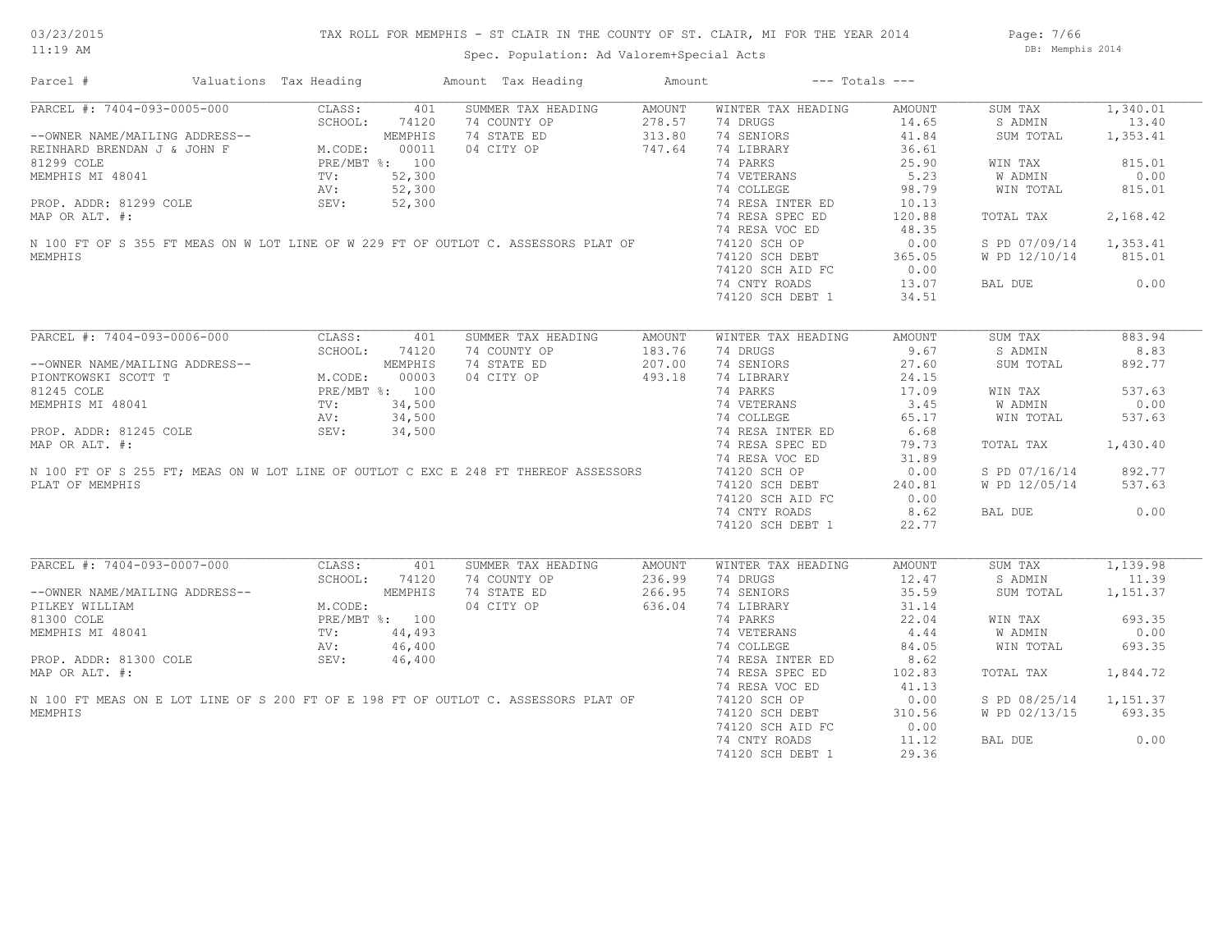Page: 7/66 DB: Memphis 2014

| Parcel #                                                                            | Valuations Tax Heading |                | Amount Tax Heading | Amount | $---$ Totals $---$ |        |               |          |
|-------------------------------------------------------------------------------------|------------------------|----------------|--------------------|--------|--------------------|--------|---------------|----------|
| PARCEL #: 7404-093-0005-000                                                         | CLASS:                 | 401            | SUMMER TAX HEADING | AMOUNT | WINTER TAX HEADING | AMOUNT | SUM TAX       | 1,340.01 |
|                                                                                     | SCHOOL:                | 74120          | 74 COUNTY OP       | 278.57 | 74 DRUGS           | 14.65  | S ADMIN       | 13.40    |
| --OWNER NAME/MAILING ADDRESS--                                                      |                        | MEMPHIS        | 74 STATE ED        | 313.80 | 74 SENIORS         | 41.84  | SUM TOTAL     | 1,353.41 |
| REINHARD BRENDAN J & JOHN F                                                         | M.CODE:                | 00011          | 04 CITY OP         | 747.64 | 74 LIBRARY         | 36.61  |               |          |
| 81299 COLE                                                                          |                        | PRE/MBT %: 100 |                    |        | 74 PARKS           | 25.90  | WIN TAX       | 815.01   |
| MEMPHIS MI 48041                                                                    | TV:                    | 52,300         |                    |        | 74 VETERANS        | 5.23   | W ADMIN       | 0.00     |
|                                                                                     | AV:                    | 52,300         |                    |        | 74 COLLEGE         | 98.79  | WIN TOTAL     | 815.01   |
|                                                                                     |                        |                |                    |        |                    |        |               |          |
| PROP. ADDR: 81299 COLE                                                              | SEV:                   | 52,300         |                    |        | 74 RESA INTER ED   | 10.13  |               |          |
| MAP OR ALT. #:                                                                      |                        |                |                    |        | 74 RESA SPEC ED    | 120.88 | TOTAL TAX     | 2,168.42 |
|                                                                                     |                        |                |                    |        | 74 RESA VOC ED     | 48.35  |               |          |
| N 100 FT OF S 355 FT MEAS ON W LOT LINE OF W 229 FT OF OUTLOT C. ASSESSORS PLAT OF  |                        |                |                    |        | 74120 SCH OP       | 0.00   | S PD 07/09/14 | 1,353.41 |
| MEMPHIS                                                                             |                        |                |                    |        | 74120 SCH DEBT     | 365.05 | W PD 12/10/14 | 815.01   |
|                                                                                     |                        |                |                    |        | 74120 SCH AID FC   | 0.00   |               |          |
|                                                                                     |                        |                |                    |        | 74 CNTY ROADS      | 13.07  | BAL DUE       | 0.00     |
|                                                                                     |                        |                |                    |        | 74120 SCH DEBT 1   | 34.51  |               |          |
|                                                                                     |                        |                |                    |        |                    |        |               |          |
| PARCEL #: 7404-093-0006-000                                                         | CLASS:                 | 401            | SUMMER TAX HEADING | AMOUNT | WINTER TAX HEADING | AMOUNT | SUM TAX       | 883.94   |
|                                                                                     | SCHOOL:                | 74120          | 74 COUNTY OP       | 183.76 | 74 DRUGS           | 9.67   | S ADMIN       | 8.83     |
| --OWNER NAME/MAILING ADDRESS--                                                      |                        | MEMPHIS        | 74 STATE ED        | 207.00 | 74 SENIORS         | 27.60  | SUM TOTAL     | 892.77   |
| PIONTKOWSKI SCOTT T                                                                 | M.CODE:                | 00003          | 04 CITY OP         | 493.18 | 74 LIBRARY         | 24.15  |               |          |
| 81245 COLE                                                                          |                        | PRE/MBT %: 100 |                    |        | 74 PARKS           | 17.09  | WIN TAX       | 537.63   |
| MEMPHIS MI 48041                                                                    |                        | 34,500         |                    |        | 74 VETERANS        | 3.45   | W ADMIN       | 0.00     |
|                                                                                     | TV:                    |                |                    |        |                    |        |               |          |
|                                                                                     | AV:                    | 34,500         |                    |        | 74 COLLEGE         | 65.17  | WIN TOTAL     | 537.63   |
| PROP. ADDR: 81245 COLE                                                              | SEV:                   | 34,500         |                    |        | 74 RESA INTER ED   | 6.68   |               |          |
| MAP OR ALT. #:                                                                      |                        |                |                    |        | 74 RESA SPEC ED    | 79.73  | TOTAL TAX     | 1,430.40 |
|                                                                                     |                        |                |                    |        | 74 RESA VOC ED     | 31.89  |               |          |
| N 100 FT OF S 255 FT; MEAS ON W LOT LINE OF OUTLOT C EXC E 248 FT THEREOF ASSESSORS |                        |                |                    |        | 74120 SCH OP       | 0.00   | S PD 07/16/14 | 892.77   |
| PLAT OF MEMPHIS                                                                     |                        |                |                    |        | 74120 SCH DEBT     | 240.81 | W PD 12/05/14 | 537.63   |
|                                                                                     |                        |                |                    |        | 74120 SCH AID FC   | 0.00   |               |          |
|                                                                                     |                        |                |                    |        | 74 CNTY ROADS      | 8.62   | BAL DUE       | 0.00     |
|                                                                                     |                        |                |                    |        | 74120 SCH DEBT 1   | 22.77  |               |          |
|                                                                                     |                        |                |                    |        |                    |        |               |          |
| PARCEL #: 7404-093-0007-000                                                         | CLASS:                 | 401            | SUMMER TAX HEADING | AMOUNT | WINTER TAX HEADING | AMOUNT | SUM TAX       | 1,139.98 |
|                                                                                     | SCHOOL:                | 74120          | 74 COUNTY OP       | 236.99 | 74 DRUGS           | 12.47  | S ADMIN       | 11.39    |
| --OWNER NAME/MAILING ADDRESS--                                                      |                        | MEMPHIS        | 74 STATE ED        | 266.95 | 74 SENIORS         | 35.59  | SUM TOTAL     | 1,151.37 |
| PILKEY WILLIAM                                                                      | M.CODE:                |                | 04 CITY OP         | 636.04 | 74 LIBRARY         | 31.14  |               |          |
|                                                                                     |                        |                |                    |        |                    |        |               | 693.35   |
| 81300 COLE                                                                          |                        | PRE/MBT %: 100 |                    |        | 74 PARKS           | 22.04  | WIN TAX       |          |
| MEMPHIS MI 48041                                                                    | TV:                    | 44,493         |                    |        | 74 VETERANS        | 4.44   | W ADMIN       | 0.00     |
|                                                                                     | AV:                    | 46,400         |                    |        | 74 COLLEGE         | 84.05  | WIN TOTAL     | 693.35   |
| PROP. ADDR: 81300 COLE                                                              | SEV:                   | 46,400         |                    |        | 74 RESA INTER ED   | 8.62   |               |          |
| MAP OR ALT. #:                                                                      |                        |                |                    |        | 74 RESA SPEC ED    | 102.83 | TOTAL TAX     | 1,844.72 |
|                                                                                     |                        |                |                    |        | 74 RESA VOC ED     | 41.13  |               |          |
| N 100 FT MEAS ON E LOT LINE OF S 200 FT OF E 198 FT OF OUTLOT C. ASSESSORS PLAT OF  |                        |                |                    |        | 74120 SCH OP       | 0.00   | S PD 08/25/14 | 1,151.37 |
| MEMPHIS                                                                             |                        |                |                    |        | 74120 SCH DEBT     | 310.56 | W PD 02/13/15 | 693.35   |
|                                                                                     |                        |                |                    |        | 74120 SCH AID FC   | 0.00   |               |          |
|                                                                                     |                        |                |                    |        | 74 CNTY ROADS      | 11.12  | BAL DUE       | 0.00     |
|                                                                                     |                        |                |                    |        |                    |        |               |          |
|                                                                                     |                        |                |                    |        | 74120 SCH DEBT 1   | 29.36  |               |          |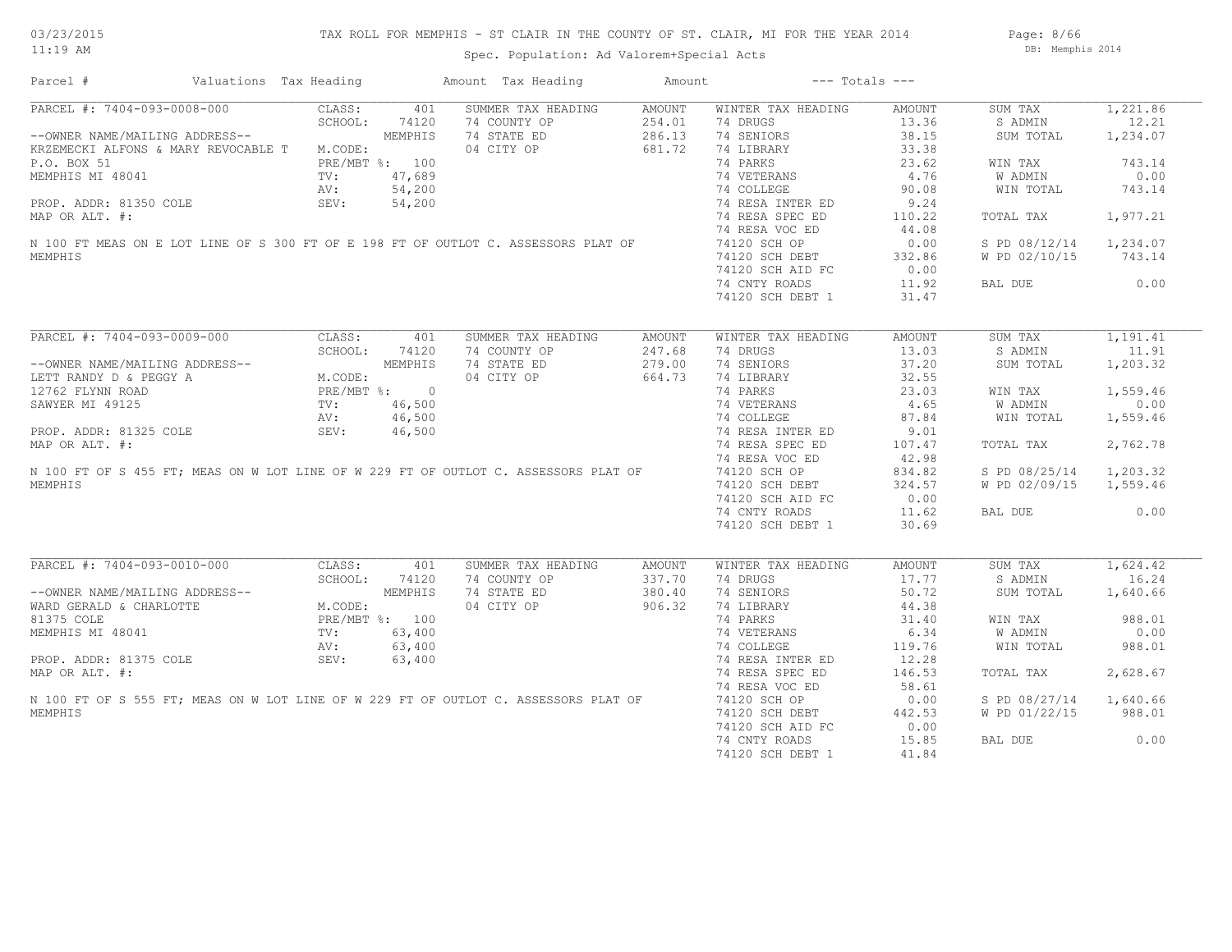# TAX ROLL FOR MEMPHIS - ST CLAIR IN THE COUNTY OF ST. CLAIR, MI FOR THE YEAR 2014

Spec. Population: Ad Valorem+Special Acts

Page: 8/66 DB: Memphis 2014

| PARCEL #: 7404-093-0008-000<br>CLASS:<br>SUMMER TAX HEADING<br>WINTER TAX HEADING<br>401<br>AMOUNT<br><b>AMOUNT</b><br>SUM TAX<br>SCHOOL:<br>74120<br>74 COUNTY OP<br>254.01<br>74 DRUGS<br>13.36<br>S ADMIN<br>--OWNER NAME/MAILING ADDRESS--<br>MEMPHIS<br>74 STATE ED<br>286.13<br>74 SENIORS<br>38.15<br>SUM TOTAL<br>KRZEMECKI ALFONS & MARY REVOCABLE T M.CODE:<br>04 CITY OP<br>681.72<br>74 LIBRARY<br>33.38<br>74 PARKS<br>P.O. BOX 51<br>PRE/MBT %: 100<br>23.62<br>WIN TAX<br>47,689<br>74 VETERANS<br>4.76<br>MEMPHIS MI 48041<br>W ADMIN<br>$\text{TV}$ :<br>54,200<br>74 COLLEGE<br>90.08<br>AV:<br>WIN TOTAL<br>74 RESA INTER ED<br>9.24<br>PROP. ADDR: 81350 COLE<br>SEV:<br>54,200<br>74 RESA SPEC ED<br>110.22<br>MAP OR ALT. #:<br>TOTAL TAX<br>74 RESA VOC ED<br>44.08<br>N 100 FT MEAS ON E LOT LINE OF S 300 FT OF E 198 FT OF OUTLOT C. ASSESSORS PLAT OF<br>74120 SCH OP<br>0.00<br>S PD 08/12/14<br>MEMPHIS<br>74120 SCH DEBT<br>332.86<br>W PD 02/10/15<br>74120 SCH AID FC<br>0.00<br>74 CNTY ROADS<br>11.92<br>BAL DUE<br>74120 SCH DEBT 1<br>31.47<br>PARCEL #: 7404-093-0009-000<br>CLASS:<br>SUMMER TAX HEADING<br>WINTER TAX HEADING<br>SUM TAX<br>401<br><b>AMOUNT</b><br>AMOUNT<br>SCHOOL:<br>74120<br>74 COUNTY OP<br>247.68<br>74 DRUGS<br>13.03<br>S ADMIN<br>MEMPHIS<br>74 STATE ED<br>279.00<br>74 SENIORS<br>37.20<br>--OWNER NAME/MAILING ADDRESS--<br>SUM TOTAL<br>LETT RANDY D & PEGGY A<br>M.CODE:<br>04 CITY OP<br>664.73<br>74 LIBRARY<br>32.55<br>12762 FLYNN ROAD<br>PRE/MBT %: 0<br>74 PARKS<br>23.03<br>WIN TAX<br>74 VETERANS<br>SAWYER MI 49125<br>46,500<br>4.65<br>W ADMIN<br>$\text{TV}$ :<br>46,500<br>74 COLLEGE<br>87.84<br>AV:<br>WIN TOTAL<br>PROP. ADDR: 81325 COLE<br>74 RESA INTER ED<br>9.01<br>SEV:<br>46,500<br>MAP OR ALT. #:<br>74 RESA SPEC ED<br>107.47<br>TOTAL TAX<br>42.98<br>74 RESA VOC ED<br>N 100 FT OF S 455 FT: MEAS ON W LOT LINE OF W 229 FT OF OUTLOT C. ASSESSORS PLAT OF<br>74120 SCH OP<br>834.82<br>S PD 08/25/14<br>MEMPHIS<br>74120 SCH DEBT<br>324.57<br>W PD 02/09/15<br>74120 SCH AID FC<br>0.00<br>74 CNTY ROADS<br>11.62<br>BAL DUE<br>30.69<br>74120 SCH DEBT 1<br>PARCEL #: 7404-093-0010-000<br>CLASS:<br>401<br>SUMMER TAX HEADING<br>WINTER TAX HEADING<br>SUM TAX<br><b>AMOUNT</b><br><b>AMOUNT</b><br>74 COUNTY OP<br>SCHOOL:<br>74120<br>337.70<br>74 DRUGS<br>17.77<br>S ADMIN<br>MEMPHIS<br>74 STATE ED<br>380.40<br>74 SENIORS<br>50.72<br>--OWNER NAME/MAILING ADDRESS--<br>SUM TOTAL<br>44.38<br>WARD GERALD & CHARLOTTE<br>M.CODE:<br>04 CITY OP<br>906.32<br>74 LIBRARY<br>81375 COLE<br>74 PARKS<br>31.40<br>PRE/MBT %: 100<br>WIN TAX<br>74 VETERANS<br>6.34<br>MEMPHIS MI 48041<br>TV:<br>63,400<br>W ADMIN<br>63,400<br>74 COLLEGE<br>119.76<br>AV:<br>WIN TOTAL<br>PROP. ADDR: 81375 COLE<br>12.28<br>SEV:<br>63,400<br>74 RESA INTER ED<br>MAP OR ALT. #:<br>74 RESA SPEC ED<br>146.53<br>TOTAL TAX<br>74 RESA VOC ED<br>58.61<br>N 100 FT OF S 555 FT; MEAS ON W LOT LINE OF W 229 FT OF OUTLOT C. ASSESSORS PLAT OF<br>74120 SCH OP<br>0.00<br>S PD 08/27/14<br>MEMPHIS<br>74120 SCH DEBT<br>442.53<br>W PD 01/22/15<br>74120 SCH AID FC<br>0.00<br>74 CNTY ROADS<br>15.85<br>BAL DUE | Parcel # | Valuations Tax Heading |  | Amount Tax Heading | Amount | $---$ Totals $---$ |       |          |
|-----------------------------------------------------------------------------------------------------------------------------------------------------------------------------------------------------------------------------------------------------------------------------------------------------------------------------------------------------------------------------------------------------------------------------------------------------------------------------------------------------------------------------------------------------------------------------------------------------------------------------------------------------------------------------------------------------------------------------------------------------------------------------------------------------------------------------------------------------------------------------------------------------------------------------------------------------------------------------------------------------------------------------------------------------------------------------------------------------------------------------------------------------------------------------------------------------------------------------------------------------------------------------------------------------------------------------------------------------------------------------------------------------------------------------------------------------------------------------------------------------------------------------------------------------------------------------------------------------------------------------------------------------------------------------------------------------------------------------------------------------------------------------------------------------------------------------------------------------------------------------------------------------------------------------------------------------------------------------------------------------------------------------------------------------------------------------------------------------------------------------------------------------------------------------------------------------------------------------------------------------------------------------------------------------------------------------------------------------------------------------------------------------------------------------------------------------------------------------------------------------------------------------------------------------------------------------------------------------------------------------------------------------------------------------------------------------------------------------------------------------------------------------------------------------------------------------------------------------------------------------------------------------------------------------------------------------------------------------------------------------------------------------------------------------------------------------------------------------------------------------------------------------------------------------------------------------------|----------|------------------------|--|--------------------|--------|--------------------|-------|----------|
| 12.21<br>1,234.07<br>743.14<br>0.00<br>743.14<br>1,977.21<br>1,234.07<br>743.14<br>0.00<br>1,191.41<br>11.91<br>1,203.32<br>1,559.46<br>0.00<br>1,559.46<br>2,762.78<br>1,203.32<br>1,559.46<br>0.00<br>1,624.42<br>16.24<br>1,640.66<br>988.01<br>0.00<br>988.01<br>2,628.67<br>1,640.66<br>988.01<br>0.00                                                                                                                                                                                                                                                                                                                                                                                                                                                                                                                                                                                                                                                                                                                                                                                                                                                                                                                                                                                                                                                                                                                                                                                                                                                                                                                                                                                                                                                                                                                                                                                                                                                                                                                                                                                                                                                                                                                                                                                                                                                                                                                                                                                                                                                                                                                                                                                                                                                                                                                                                                                                                                                                                                                                                                                                                                                                                               |          |                        |  |                    |        |                    |       | 1,221.86 |
|                                                                                                                                                                                                                                                                                                                                                                                                                                                                                                                                                                                                                                                                                                                                                                                                                                                                                                                                                                                                                                                                                                                                                                                                                                                                                                                                                                                                                                                                                                                                                                                                                                                                                                                                                                                                                                                                                                                                                                                                                                                                                                                                                                                                                                                                                                                                                                                                                                                                                                                                                                                                                                                                                                                                                                                                                                                                                                                                                                                                                                                                                                                                                                                                           |          |                        |  |                    |        |                    |       |          |
|                                                                                                                                                                                                                                                                                                                                                                                                                                                                                                                                                                                                                                                                                                                                                                                                                                                                                                                                                                                                                                                                                                                                                                                                                                                                                                                                                                                                                                                                                                                                                                                                                                                                                                                                                                                                                                                                                                                                                                                                                                                                                                                                                                                                                                                                                                                                                                                                                                                                                                                                                                                                                                                                                                                                                                                                                                                                                                                                                                                                                                                                                                                                                                                                           |          |                        |  |                    |        |                    |       |          |
|                                                                                                                                                                                                                                                                                                                                                                                                                                                                                                                                                                                                                                                                                                                                                                                                                                                                                                                                                                                                                                                                                                                                                                                                                                                                                                                                                                                                                                                                                                                                                                                                                                                                                                                                                                                                                                                                                                                                                                                                                                                                                                                                                                                                                                                                                                                                                                                                                                                                                                                                                                                                                                                                                                                                                                                                                                                                                                                                                                                                                                                                                                                                                                                                           |          |                        |  |                    |        |                    |       |          |
|                                                                                                                                                                                                                                                                                                                                                                                                                                                                                                                                                                                                                                                                                                                                                                                                                                                                                                                                                                                                                                                                                                                                                                                                                                                                                                                                                                                                                                                                                                                                                                                                                                                                                                                                                                                                                                                                                                                                                                                                                                                                                                                                                                                                                                                                                                                                                                                                                                                                                                                                                                                                                                                                                                                                                                                                                                                                                                                                                                                                                                                                                                                                                                                                           |          |                        |  |                    |        |                    |       |          |
|                                                                                                                                                                                                                                                                                                                                                                                                                                                                                                                                                                                                                                                                                                                                                                                                                                                                                                                                                                                                                                                                                                                                                                                                                                                                                                                                                                                                                                                                                                                                                                                                                                                                                                                                                                                                                                                                                                                                                                                                                                                                                                                                                                                                                                                                                                                                                                                                                                                                                                                                                                                                                                                                                                                                                                                                                                                                                                                                                                                                                                                                                                                                                                                                           |          |                        |  |                    |        |                    |       |          |
|                                                                                                                                                                                                                                                                                                                                                                                                                                                                                                                                                                                                                                                                                                                                                                                                                                                                                                                                                                                                                                                                                                                                                                                                                                                                                                                                                                                                                                                                                                                                                                                                                                                                                                                                                                                                                                                                                                                                                                                                                                                                                                                                                                                                                                                                                                                                                                                                                                                                                                                                                                                                                                                                                                                                                                                                                                                                                                                                                                                                                                                                                                                                                                                                           |          |                        |  |                    |        |                    |       |          |
|                                                                                                                                                                                                                                                                                                                                                                                                                                                                                                                                                                                                                                                                                                                                                                                                                                                                                                                                                                                                                                                                                                                                                                                                                                                                                                                                                                                                                                                                                                                                                                                                                                                                                                                                                                                                                                                                                                                                                                                                                                                                                                                                                                                                                                                                                                                                                                                                                                                                                                                                                                                                                                                                                                                                                                                                                                                                                                                                                                                                                                                                                                                                                                                                           |          |                        |  |                    |        |                    |       |          |
|                                                                                                                                                                                                                                                                                                                                                                                                                                                                                                                                                                                                                                                                                                                                                                                                                                                                                                                                                                                                                                                                                                                                                                                                                                                                                                                                                                                                                                                                                                                                                                                                                                                                                                                                                                                                                                                                                                                                                                                                                                                                                                                                                                                                                                                                                                                                                                                                                                                                                                                                                                                                                                                                                                                                                                                                                                                                                                                                                                                                                                                                                                                                                                                                           |          |                        |  |                    |        |                    |       |          |
|                                                                                                                                                                                                                                                                                                                                                                                                                                                                                                                                                                                                                                                                                                                                                                                                                                                                                                                                                                                                                                                                                                                                                                                                                                                                                                                                                                                                                                                                                                                                                                                                                                                                                                                                                                                                                                                                                                                                                                                                                                                                                                                                                                                                                                                                                                                                                                                                                                                                                                                                                                                                                                                                                                                                                                                                                                                                                                                                                                                                                                                                                                                                                                                                           |          |                        |  |                    |        |                    |       |          |
|                                                                                                                                                                                                                                                                                                                                                                                                                                                                                                                                                                                                                                                                                                                                                                                                                                                                                                                                                                                                                                                                                                                                                                                                                                                                                                                                                                                                                                                                                                                                                                                                                                                                                                                                                                                                                                                                                                                                                                                                                                                                                                                                                                                                                                                                                                                                                                                                                                                                                                                                                                                                                                                                                                                                                                                                                                                                                                                                                                                                                                                                                                                                                                                                           |          |                        |  |                    |        |                    |       |          |
|                                                                                                                                                                                                                                                                                                                                                                                                                                                                                                                                                                                                                                                                                                                                                                                                                                                                                                                                                                                                                                                                                                                                                                                                                                                                                                                                                                                                                                                                                                                                                                                                                                                                                                                                                                                                                                                                                                                                                                                                                                                                                                                                                                                                                                                                                                                                                                                                                                                                                                                                                                                                                                                                                                                                                                                                                                                                                                                                                                                                                                                                                                                                                                                                           |          |                        |  |                    |        |                    |       |          |
|                                                                                                                                                                                                                                                                                                                                                                                                                                                                                                                                                                                                                                                                                                                                                                                                                                                                                                                                                                                                                                                                                                                                                                                                                                                                                                                                                                                                                                                                                                                                                                                                                                                                                                                                                                                                                                                                                                                                                                                                                                                                                                                                                                                                                                                                                                                                                                                                                                                                                                                                                                                                                                                                                                                                                                                                                                                                                                                                                                                                                                                                                                                                                                                                           |          |                        |  |                    |        |                    |       |          |
|                                                                                                                                                                                                                                                                                                                                                                                                                                                                                                                                                                                                                                                                                                                                                                                                                                                                                                                                                                                                                                                                                                                                                                                                                                                                                                                                                                                                                                                                                                                                                                                                                                                                                                                                                                                                                                                                                                                                                                                                                                                                                                                                                                                                                                                                                                                                                                                                                                                                                                                                                                                                                                                                                                                                                                                                                                                                                                                                                                                                                                                                                                                                                                                                           |          |                        |  |                    |        |                    |       |          |
|                                                                                                                                                                                                                                                                                                                                                                                                                                                                                                                                                                                                                                                                                                                                                                                                                                                                                                                                                                                                                                                                                                                                                                                                                                                                                                                                                                                                                                                                                                                                                                                                                                                                                                                                                                                                                                                                                                                                                                                                                                                                                                                                                                                                                                                                                                                                                                                                                                                                                                                                                                                                                                                                                                                                                                                                                                                                                                                                                                                                                                                                                                                                                                                                           |          |                        |  |                    |        |                    |       |          |
|                                                                                                                                                                                                                                                                                                                                                                                                                                                                                                                                                                                                                                                                                                                                                                                                                                                                                                                                                                                                                                                                                                                                                                                                                                                                                                                                                                                                                                                                                                                                                                                                                                                                                                                                                                                                                                                                                                                                                                                                                                                                                                                                                                                                                                                                                                                                                                                                                                                                                                                                                                                                                                                                                                                                                                                                                                                                                                                                                                                                                                                                                                                                                                                                           |          |                        |  |                    |        |                    |       |          |
|                                                                                                                                                                                                                                                                                                                                                                                                                                                                                                                                                                                                                                                                                                                                                                                                                                                                                                                                                                                                                                                                                                                                                                                                                                                                                                                                                                                                                                                                                                                                                                                                                                                                                                                                                                                                                                                                                                                                                                                                                                                                                                                                                                                                                                                                                                                                                                                                                                                                                                                                                                                                                                                                                                                                                                                                                                                                                                                                                                                                                                                                                                                                                                                                           |          |                        |  |                    |        |                    |       |          |
|                                                                                                                                                                                                                                                                                                                                                                                                                                                                                                                                                                                                                                                                                                                                                                                                                                                                                                                                                                                                                                                                                                                                                                                                                                                                                                                                                                                                                                                                                                                                                                                                                                                                                                                                                                                                                                                                                                                                                                                                                                                                                                                                                                                                                                                                                                                                                                                                                                                                                                                                                                                                                                                                                                                                                                                                                                                                                                                                                                                                                                                                                                                                                                                                           |          |                        |  |                    |        |                    |       |          |
|                                                                                                                                                                                                                                                                                                                                                                                                                                                                                                                                                                                                                                                                                                                                                                                                                                                                                                                                                                                                                                                                                                                                                                                                                                                                                                                                                                                                                                                                                                                                                                                                                                                                                                                                                                                                                                                                                                                                                                                                                                                                                                                                                                                                                                                                                                                                                                                                                                                                                                                                                                                                                                                                                                                                                                                                                                                                                                                                                                                                                                                                                                                                                                                                           |          |                        |  |                    |        |                    |       |          |
|                                                                                                                                                                                                                                                                                                                                                                                                                                                                                                                                                                                                                                                                                                                                                                                                                                                                                                                                                                                                                                                                                                                                                                                                                                                                                                                                                                                                                                                                                                                                                                                                                                                                                                                                                                                                                                                                                                                                                                                                                                                                                                                                                                                                                                                                                                                                                                                                                                                                                                                                                                                                                                                                                                                                                                                                                                                                                                                                                                                                                                                                                                                                                                                                           |          |                        |  |                    |        |                    |       |          |
|                                                                                                                                                                                                                                                                                                                                                                                                                                                                                                                                                                                                                                                                                                                                                                                                                                                                                                                                                                                                                                                                                                                                                                                                                                                                                                                                                                                                                                                                                                                                                                                                                                                                                                                                                                                                                                                                                                                                                                                                                                                                                                                                                                                                                                                                                                                                                                                                                                                                                                                                                                                                                                                                                                                                                                                                                                                                                                                                                                                                                                                                                                                                                                                                           |          |                        |  |                    |        |                    |       |          |
|                                                                                                                                                                                                                                                                                                                                                                                                                                                                                                                                                                                                                                                                                                                                                                                                                                                                                                                                                                                                                                                                                                                                                                                                                                                                                                                                                                                                                                                                                                                                                                                                                                                                                                                                                                                                                                                                                                                                                                                                                                                                                                                                                                                                                                                                                                                                                                                                                                                                                                                                                                                                                                                                                                                                                                                                                                                                                                                                                                                                                                                                                                                                                                                                           |          |                        |  |                    |        |                    |       |          |
|                                                                                                                                                                                                                                                                                                                                                                                                                                                                                                                                                                                                                                                                                                                                                                                                                                                                                                                                                                                                                                                                                                                                                                                                                                                                                                                                                                                                                                                                                                                                                                                                                                                                                                                                                                                                                                                                                                                                                                                                                                                                                                                                                                                                                                                                                                                                                                                                                                                                                                                                                                                                                                                                                                                                                                                                                                                                                                                                                                                                                                                                                                                                                                                                           |          |                        |  |                    |        |                    |       |          |
|                                                                                                                                                                                                                                                                                                                                                                                                                                                                                                                                                                                                                                                                                                                                                                                                                                                                                                                                                                                                                                                                                                                                                                                                                                                                                                                                                                                                                                                                                                                                                                                                                                                                                                                                                                                                                                                                                                                                                                                                                                                                                                                                                                                                                                                                                                                                                                                                                                                                                                                                                                                                                                                                                                                                                                                                                                                                                                                                                                                                                                                                                                                                                                                                           |          |                        |  |                    |        |                    |       |          |
|                                                                                                                                                                                                                                                                                                                                                                                                                                                                                                                                                                                                                                                                                                                                                                                                                                                                                                                                                                                                                                                                                                                                                                                                                                                                                                                                                                                                                                                                                                                                                                                                                                                                                                                                                                                                                                                                                                                                                                                                                                                                                                                                                                                                                                                                                                                                                                                                                                                                                                                                                                                                                                                                                                                                                                                                                                                                                                                                                                                                                                                                                                                                                                                                           |          |                        |  |                    |        |                    |       |          |
|                                                                                                                                                                                                                                                                                                                                                                                                                                                                                                                                                                                                                                                                                                                                                                                                                                                                                                                                                                                                                                                                                                                                                                                                                                                                                                                                                                                                                                                                                                                                                                                                                                                                                                                                                                                                                                                                                                                                                                                                                                                                                                                                                                                                                                                                                                                                                                                                                                                                                                                                                                                                                                                                                                                                                                                                                                                                                                                                                                                                                                                                                                                                                                                                           |          |                        |  |                    |        |                    |       |          |
|                                                                                                                                                                                                                                                                                                                                                                                                                                                                                                                                                                                                                                                                                                                                                                                                                                                                                                                                                                                                                                                                                                                                                                                                                                                                                                                                                                                                                                                                                                                                                                                                                                                                                                                                                                                                                                                                                                                                                                                                                                                                                                                                                                                                                                                                                                                                                                                                                                                                                                                                                                                                                                                                                                                                                                                                                                                                                                                                                                                                                                                                                                                                                                                                           |          |                        |  |                    |        |                    |       |          |
|                                                                                                                                                                                                                                                                                                                                                                                                                                                                                                                                                                                                                                                                                                                                                                                                                                                                                                                                                                                                                                                                                                                                                                                                                                                                                                                                                                                                                                                                                                                                                                                                                                                                                                                                                                                                                                                                                                                                                                                                                                                                                                                                                                                                                                                                                                                                                                                                                                                                                                                                                                                                                                                                                                                                                                                                                                                                                                                                                                                                                                                                                                                                                                                                           |          |                        |  |                    |        |                    |       |          |
|                                                                                                                                                                                                                                                                                                                                                                                                                                                                                                                                                                                                                                                                                                                                                                                                                                                                                                                                                                                                                                                                                                                                                                                                                                                                                                                                                                                                                                                                                                                                                                                                                                                                                                                                                                                                                                                                                                                                                                                                                                                                                                                                                                                                                                                                                                                                                                                                                                                                                                                                                                                                                                                                                                                                                                                                                                                                                                                                                                                                                                                                                                                                                                                                           |          |                        |  |                    |        |                    |       |          |
|                                                                                                                                                                                                                                                                                                                                                                                                                                                                                                                                                                                                                                                                                                                                                                                                                                                                                                                                                                                                                                                                                                                                                                                                                                                                                                                                                                                                                                                                                                                                                                                                                                                                                                                                                                                                                                                                                                                                                                                                                                                                                                                                                                                                                                                                                                                                                                                                                                                                                                                                                                                                                                                                                                                                                                                                                                                                                                                                                                                                                                                                                                                                                                                                           |          |                        |  |                    |        |                    |       |          |
|                                                                                                                                                                                                                                                                                                                                                                                                                                                                                                                                                                                                                                                                                                                                                                                                                                                                                                                                                                                                                                                                                                                                                                                                                                                                                                                                                                                                                                                                                                                                                                                                                                                                                                                                                                                                                                                                                                                                                                                                                                                                                                                                                                                                                                                                                                                                                                                                                                                                                                                                                                                                                                                                                                                                                                                                                                                                                                                                                                                                                                                                                                                                                                                                           |          |                        |  |                    |        |                    |       |          |
|                                                                                                                                                                                                                                                                                                                                                                                                                                                                                                                                                                                                                                                                                                                                                                                                                                                                                                                                                                                                                                                                                                                                                                                                                                                                                                                                                                                                                                                                                                                                                                                                                                                                                                                                                                                                                                                                                                                                                                                                                                                                                                                                                                                                                                                                                                                                                                                                                                                                                                                                                                                                                                                                                                                                                                                                                                                                                                                                                                                                                                                                                                                                                                                                           |          |                        |  |                    |        |                    |       |          |
|                                                                                                                                                                                                                                                                                                                                                                                                                                                                                                                                                                                                                                                                                                                                                                                                                                                                                                                                                                                                                                                                                                                                                                                                                                                                                                                                                                                                                                                                                                                                                                                                                                                                                                                                                                                                                                                                                                                                                                                                                                                                                                                                                                                                                                                                                                                                                                                                                                                                                                                                                                                                                                                                                                                                                                                                                                                                                                                                                                                                                                                                                                                                                                                                           |          |                        |  |                    |        |                    |       |          |
|                                                                                                                                                                                                                                                                                                                                                                                                                                                                                                                                                                                                                                                                                                                                                                                                                                                                                                                                                                                                                                                                                                                                                                                                                                                                                                                                                                                                                                                                                                                                                                                                                                                                                                                                                                                                                                                                                                                                                                                                                                                                                                                                                                                                                                                                                                                                                                                                                                                                                                                                                                                                                                                                                                                                                                                                                                                                                                                                                                                                                                                                                                                                                                                                           |          |                        |  |                    |        |                    |       |          |
|                                                                                                                                                                                                                                                                                                                                                                                                                                                                                                                                                                                                                                                                                                                                                                                                                                                                                                                                                                                                                                                                                                                                                                                                                                                                                                                                                                                                                                                                                                                                                                                                                                                                                                                                                                                                                                                                                                                                                                                                                                                                                                                                                                                                                                                                                                                                                                                                                                                                                                                                                                                                                                                                                                                                                                                                                                                                                                                                                                                                                                                                                                                                                                                                           |          |                        |  |                    |        |                    |       |          |
|                                                                                                                                                                                                                                                                                                                                                                                                                                                                                                                                                                                                                                                                                                                                                                                                                                                                                                                                                                                                                                                                                                                                                                                                                                                                                                                                                                                                                                                                                                                                                                                                                                                                                                                                                                                                                                                                                                                                                                                                                                                                                                                                                                                                                                                                                                                                                                                                                                                                                                                                                                                                                                                                                                                                                                                                                                                                                                                                                                                                                                                                                                                                                                                                           |          |                        |  |                    |        |                    |       |          |
|                                                                                                                                                                                                                                                                                                                                                                                                                                                                                                                                                                                                                                                                                                                                                                                                                                                                                                                                                                                                                                                                                                                                                                                                                                                                                                                                                                                                                                                                                                                                                                                                                                                                                                                                                                                                                                                                                                                                                                                                                                                                                                                                                                                                                                                                                                                                                                                                                                                                                                                                                                                                                                                                                                                                                                                                                                                                                                                                                                                                                                                                                                                                                                                                           |          |                        |  |                    |        |                    |       |          |
|                                                                                                                                                                                                                                                                                                                                                                                                                                                                                                                                                                                                                                                                                                                                                                                                                                                                                                                                                                                                                                                                                                                                                                                                                                                                                                                                                                                                                                                                                                                                                                                                                                                                                                                                                                                                                                                                                                                                                                                                                                                                                                                                                                                                                                                                                                                                                                                                                                                                                                                                                                                                                                                                                                                                                                                                                                                                                                                                                                                                                                                                                                                                                                                                           |          |                        |  |                    |        |                    |       |          |
|                                                                                                                                                                                                                                                                                                                                                                                                                                                                                                                                                                                                                                                                                                                                                                                                                                                                                                                                                                                                                                                                                                                                                                                                                                                                                                                                                                                                                                                                                                                                                                                                                                                                                                                                                                                                                                                                                                                                                                                                                                                                                                                                                                                                                                                                                                                                                                                                                                                                                                                                                                                                                                                                                                                                                                                                                                                                                                                                                                                                                                                                                                                                                                                                           |          |                        |  |                    |        |                    |       |          |
|                                                                                                                                                                                                                                                                                                                                                                                                                                                                                                                                                                                                                                                                                                                                                                                                                                                                                                                                                                                                                                                                                                                                                                                                                                                                                                                                                                                                                                                                                                                                                                                                                                                                                                                                                                                                                                                                                                                                                                                                                                                                                                                                                                                                                                                                                                                                                                                                                                                                                                                                                                                                                                                                                                                                                                                                                                                                                                                                                                                                                                                                                                                                                                                                           |          |                        |  |                    |        |                    |       |          |
|                                                                                                                                                                                                                                                                                                                                                                                                                                                                                                                                                                                                                                                                                                                                                                                                                                                                                                                                                                                                                                                                                                                                                                                                                                                                                                                                                                                                                                                                                                                                                                                                                                                                                                                                                                                                                                                                                                                                                                                                                                                                                                                                                                                                                                                                                                                                                                                                                                                                                                                                                                                                                                                                                                                                                                                                                                                                                                                                                                                                                                                                                                                                                                                                           |          |                        |  |                    |        |                    |       |          |
|                                                                                                                                                                                                                                                                                                                                                                                                                                                                                                                                                                                                                                                                                                                                                                                                                                                                                                                                                                                                                                                                                                                                                                                                                                                                                                                                                                                                                                                                                                                                                                                                                                                                                                                                                                                                                                                                                                                                                                                                                                                                                                                                                                                                                                                                                                                                                                                                                                                                                                                                                                                                                                                                                                                                                                                                                                                                                                                                                                                                                                                                                                                                                                                                           |          |                        |  |                    |        |                    |       |          |
|                                                                                                                                                                                                                                                                                                                                                                                                                                                                                                                                                                                                                                                                                                                                                                                                                                                                                                                                                                                                                                                                                                                                                                                                                                                                                                                                                                                                                                                                                                                                                                                                                                                                                                                                                                                                                                                                                                                                                                                                                                                                                                                                                                                                                                                                                                                                                                                                                                                                                                                                                                                                                                                                                                                                                                                                                                                                                                                                                                                                                                                                                                                                                                                                           |          |                        |  |                    |        |                    |       |          |
|                                                                                                                                                                                                                                                                                                                                                                                                                                                                                                                                                                                                                                                                                                                                                                                                                                                                                                                                                                                                                                                                                                                                                                                                                                                                                                                                                                                                                                                                                                                                                                                                                                                                                                                                                                                                                                                                                                                                                                                                                                                                                                                                                                                                                                                                                                                                                                                                                                                                                                                                                                                                                                                                                                                                                                                                                                                                                                                                                                                                                                                                                                                                                                                                           |          |                        |  |                    |        |                    |       |          |
|                                                                                                                                                                                                                                                                                                                                                                                                                                                                                                                                                                                                                                                                                                                                                                                                                                                                                                                                                                                                                                                                                                                                                                                                                                                                                                                                                                                                                                                                                                                                                                                                                                                                                                                                                                                                                                                                                                                                                                                                                                                                                                                                                                                                                                                                                                                                                                                                                                                                                                                                                                                                                                                                                                                                                                                                                                                                                                                                                                                                                                                                                                                                                                                                           |          |                        |  |                    |        |                    |       |          |
|                                                                                                                                                                                                                                                                                                                                                                                                                                                                                                                                                                                                                                                                                                                                                                                                                                                                                                                                                                                                                                                                                                                                                                                                                                                                                                                                                                                                                                                                                                                                                                                                                                                                                                                                                                                                                                                                                                                                                                                                                                                                                                                                                                                                                                                                                                                                                                                                                                                                                                                                                                                                                                                                                                                                                                                                                                                                                                                                                                                                                                                                                                                                                                                                           |          |                        |  |                    |        |                    |       |          |
|                                                                                                                                                                                                                                                                                                                                                                                                                                                                                                                                                                                                                                                                                                                                                                                                                                                                                                                                                                                                                                                                                                                                                                                                                                                                                                                                                                                                                                                                                                                                                                                                                                                                                                                                                                                                                                                                                                                                                                                                                                                                                                                                                                                                                                                                                                                                                                                                                                                                                                                                                                                                                                                                                                                                                                                                                                                                                                                                                                                                                                                                                                                                                                                                           |          |                        |  |                    |        |                    |       |          |
|                                                                                                                                                                                                                                                                                                                                                                                                                                                                                                                                                                                                                                                                                                                                                                                                                                                                                                                                                                                                                                                                                                                                                                                                                                                                                                                                                                                                                                                                                                                                                                                                                                                                                                                                                                                                                                                                                                                                                                                                                                                                                                                                                                                                                                                                                                                                                                                                                                                                                                                                                                                                                                                                                                                                                                                                                                                                                                                                                                                                                                                                                                                                                                                                           |          |                        |  |                    |        |                    |       |          |
|                                                                                                                                                                                                                                                                                                                                                                                                                                                                                                                                                                                                                                                                                                                                                                                                                                                                                                                                                                                                                                                                                                                                                                                                                                                                                                                                                                                                                                                                                                                                                                                                                                                                                                                                                                                                                                                                                                                                                                                                                                                                                                                                                                                                                                                                                                                                                                                                                                                                                                                                                                                                                                                                                                                                                                                                                                                                                                                                                                                                                                                                                                                                                                                                           |          |                        |  |                    |        |                    |       |          |
|                                                                                                                                                                                                                                                                                                                                                                                                                                                                                                                                                                                                                                                                                                                                                                                                                                                                                                                                                                                                                                                                                                                                                                                                                                                                                                                                                                                                                                                                                                                                                                                                                                                                                                                                                                                                                                                                                                                                                                                                                                                                                                                                                                                                                                                                                                                                                                                                                                                                                                                                                                                                                                                                                                                                                                                                                                                                                                                                                                                                                                                                                                                                                                                                           |          |                        |  |                    |        | 74120 SCH DEBT 1   | 41.84 |          |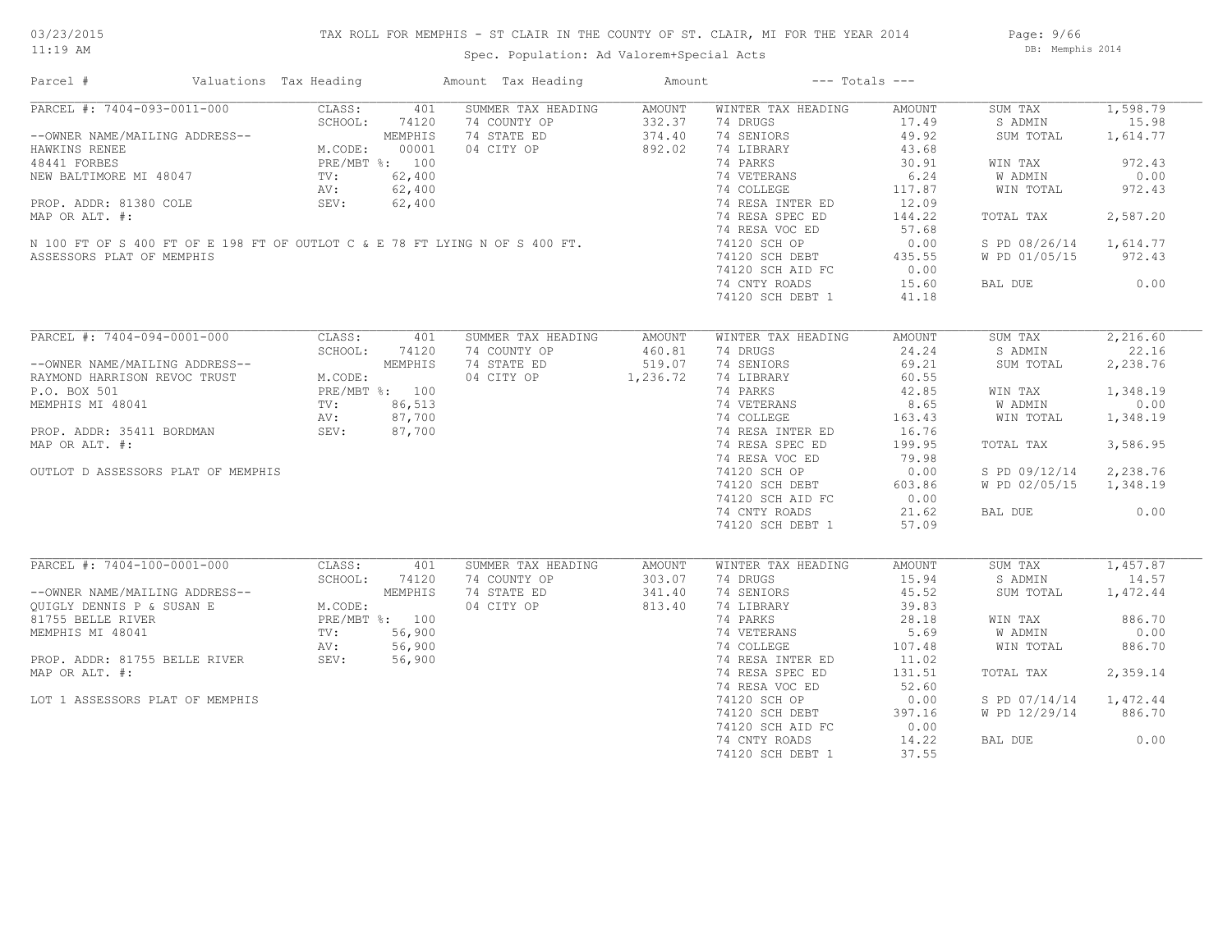# TAX ROLL FOR MEMPHIS - ST CLAIR IN THE COUNTY OF ST. CLAIR, MI FOR THE YEAR 2014

Spec. Population: Ad Valorem+Special Acts

Page: 9/66 DB: Memphis 2014

| Parcel #                                                                                                                                                                                                     | Valuations Tax Heading |       | Amount Tax Heading  | Amount           |                                | $---$ Totals $---$ |                        |          |
|--------------------------------------------------------------------------------------------------------------------------------------------------------------------------------------------------------------|------------------------|-------|---------------------|------------------|--------------------------------|--------------------|------------------------|----------|
| PARCEL #: 7404-093-0011-000                                                                                                                                                                                  | CLASS:                 | 401   | SUMMER TAX HEADING  | AMOUNT           | WINTER TAX HEADING             | AMOUNT             | SUM TAX                | 1,598.79 |
|                                                                                                                                                                                                              | SCHOOL:                | 74120 | 74 COUNTY OP        | 332.37           | 74 DRUGS                       | 17.49              | S ADMIN                | 15.98    |
| --OWNER NAME/MAILING ADDRESS--<br>HAWKINS RENEE M.CODE: 00001<br>48441 FORBES M.CODE: 00001<br>NEW BALTIMORE MI 48047 TV: 62,400<br>PROP. ADDR: 81380 COLE SEV: 62,400<br>PROP. ADDR: 81380 COLE SEV: 62,400 |                        |       | 74 STATE ED         | 374.40           | 74 SENIORS                     | 49.92              | SUM TOTAL              | 1,614.77 |
|                                                                                                                                                                                                              |                        |       | 04 CITY OP          | 892.02           | 74 LIBRARY                     | 43.68              |                        |          |
|                                                                                                                                                                                                              |                        |       |                     |                  | 74 PARKS                       | 30.91              | WIN TAX                | 972.43   |
| TV: 62,400<br>PROP. ADDR: 81380 COLE SEV: 62,400<br>MAP OR ALT. #:<br>N 100 FT OF S 400 FT OF E 198 FT OF OUTLOT C & E 78 FT LYING N OF S 400 FT.<br>ASSESSORS PLAT OF MEMPHIS                               |                        |       |                     |                  | 74 VETERANS                    | 6.24               | W ADMIN                | 0.00     |
|                                                                                                                                                                                                              |                        |       |                     |                  | 74 COLLEGE                     | 117.87             | WIN TOTAL              | 972.43   |
|                                                                                                                                                                                                              |                        |       |                     |                  | 74 RESA INTER ED               | 12.09              |                        |          |
|                                                                                                                                                                                                              |                        |       |                     |                  | 74 RESA SPEC ED                | 144.22             | TOTAL TAX              | 2,587.20 |
|                                                                                                                                                                                                              |                        |       |                     |                  | 74 RESA VOC ED                 | 57.68              |                        |          |
|                                                                                                                                                                                                              |                        |       |                     |                  |                                |                    |                        |          |
|                                                                                                                                                                                                              |                        |       |                     |                  | 74120 SCH OP                   | 0.00               | S PD 08/26/14 1,614.77 |          |
|                                                                                                                                                                                                              |                        |       |                     |                  | 74120 SCH DEBT                 | 435.55             | W PD 01/05/15          | 972.43   |
|                                                                                                                                                                                                              |                        |       |                     |                  | 74120 SCH AID FC               | 0.00               |                        |          |
|                                                                                                                                                                                                              |                        |       |                     |                  | 74 CNTY ROADS                  | 15.60              | BAL DUE                | 0.00     |
|                                                                                                                                                                                                              |                        |       |                     |                  | 74120 SCH DEBT 1               | 41.18              |                        |          |
|                                                                                                                                                                                                              |                        |       |                     |                  |                                |                    |                        |          |
| PARCEL #: 7404-094-0001-000                                                                                                                                                                                  | CLASS:                 | 401   | SUMMER TAX HEADING  | AMOUNT           | WINTER TAX HEADING             | AMOUNT             | SUM TAX                | 2,216.60 |
|                                                                                                                                                                                                              | SCHOOL:                | 74120 | 74 COUNTY OP        |                  | 74 DRUGS                       | 24.24              | S ADMIN                | 22.16    |
| --OWNER NAME/MAILING ADDRESS--<br>RAYMOND HARRISON REVOC TRUST<br>P.O. BOX 501<br>MEMPHIS MI 48041<br>MEMPHIS MI 48041<br>MEMPHIS MI 48041<br>TV: 86,513<br>AV: 87,700                                       |                        |       | 74 STATE ED         | 460.81<br>519.07 | 74 SENIORS                     | 69.21              | SUM TOTAL              | 2,238.76 |
|                                                                                                                                                                                                              |                        |       | 04 CITY OP 1,236.72 |                  | 74 LIBRARY                     | 60.55              |                        |          |
|                                                                                                                                                                                                              |                        |       |                     |                  | 74 PARKS                       | 42.85              | WIN TAX                | 1,348.19 |
|                                                                                                                                                                                                              |                        |       |                     |                  |                                | 8.65               | W ADMIN                | 0.00     |
|                                                                                                                                                                                                              |                        |       |                     |                  | 74 VETERANS<br>74 COLLEGE      | 163.43             | WIN TOTAL              | 1,348.19 |
| PROP. ADDR: 35411 BORDMAN                                                                                                                                                                                    |                        |       |                     |                  | 74 RESA INTER ED               | 16.76              |                        |          |
|                                                                                                                                                                                                              | SEV: 87,700            |       |                     |                  |                                |                    |                        |          |
| MAP OR ALT. #:                                                                                                                                                                                               |                        |       |                     |                  | 74 RESA SPEC ED                | 199.95             | TOTAL TAX              | 3,586.95 |
|                                                                                                                                                                                                              |                        |       |                     |                  | 74 RESA VOC ED                 | 79.98              |                        |          |
| OUTLOT D ASSESSORS PLAT OF MEMPHIS                                                                                                                                                                           |                        |       |                     |                  | 74120 SCH OP                   | 0.00               | S PD 09/12/14          | 2,238.76 |
|                                                                                                                                                                                                              |                        |       |                     |                  | 74120 SCH DEBT                 | 603.86             | W PD 02/05/15          | 1,348.19 |
|                                                                                                                                                                                                              |                        |       |                     |                  | 74120 SCH AID FC               | 0.00               |                        |          |
|                                                                                                                                                                                                              |                        |       |                     |                  | 74 CNTY ROADS                  | 21.62              | BAL DUE                | 0.00     |
|                                                                                                                                                                                                              |                        |       |                     |                  | 74120 SCH DEBT 1               | 57.09              |                        |          |
|                                                                                                                                                                                                              |                        |       |                     |                  |                                |                    |                        |          |
| PARCEL #: 7404-100-0001-000                                                                                                                                                                                  | CLASS:                 | 401   | SUMMER TAX HEADING  | AMOUNT           | WINTER TAX HEADING             | AMOUNT             | SUM TAX                | 1,457.87 |
|                                                                                                                                                                                                              | SCHOOL:                | 74120 | 74 COUNTY OP        | 303.07           | 74 DRUGS                       | 15.94              | S ADMIN                | 14.57    |
|                                                                                                                                                                                                              |                        |       | 74 STATE ED         | 341.40           | 74 SENIORS                     | 45.52              | SUM TOTAL              | 1,472.44 |
| --OWNER NAME/MAILING ADDRESS--<br>QUIGLY DENNIS P & SUSAN E M.CODE:<br>81755 BELLE RIVER PRE/MBT %: 100<br>MEMPHIS MI 48041 TV: 56,900<br>PROP. ADDR: 81755 BELLE RIVER SEV: 56,900<br>MAP OP ALT #: 56,900  |                        |       | 04 CITY OP          | 813.40           | 74 LIBRARY                     | 39.83              |                        |          |
|                                                                                                                                                                                                              |                        |       |                     |                  | 74 PARKS                       | 28.18              | WIN TAX                | 886.70   |
|                                                                                                                                                                                                              |                        |       |                     |                  | 74 VETERANS                    | 5.69               | W ADMIN                | 0.00     |
|                                                                                                                                                                                                              |                        |       |                     |                  | ה<br>האפייה<br>ה<br>74 COLLEGE | 107.48             |                        | 886.70   |
|                                                                                                                                                                                                              |                        |       |                     |                  |                                |                    | WIN TOTAL              |          |
|                                                                                                                                                                                                              |                        |       |                     |                  | 74 RESA INTER ED               | 11.02              |                        |          |
| MAP OR ALT. #:                                                                                                                                                                                               |                        |       |                     |                  | 74 RESA SPEC ED                | 131.51             | TOTAL TAX              | 2,359.14 |
|                                                                                                                                                                                                              |                        |       |                     |                  | 74 RESA VOC ED                 | 52.60              |                        |          |
| LOT 1 ASSESSORS PLAT OF MEMPHIS                                                                                                                                                                              |                        |       |                     |                  | 74120 SCH OP                   | 0.00               | S PD 07/14/14          | 1,472.44 |
|                                                                                                                                                                                                              |                        |       |                     |                  | 74120 SCH DEBT                 | 397.16             | W PD 12/29/14          | 886.70   |
|                                                                                                                                                                                                              |                        |       |                     |                  | 74120 SCH AID FC               | 0.00               |                        |          |
|                                                                                                                                                                                                              |                        |       |                     |                  | 74 CNTY ROADS                  | 14.22              | BAL DUE                | 0.00     |
|                                                                                                                                                                                                              |                        |       |                     |                  | 74120 SCH DEBT 1               | 37.55              |                        |          |
|                                                                                                                                                                                                              |                        |       |                     |                  |                                |                    |                        |          |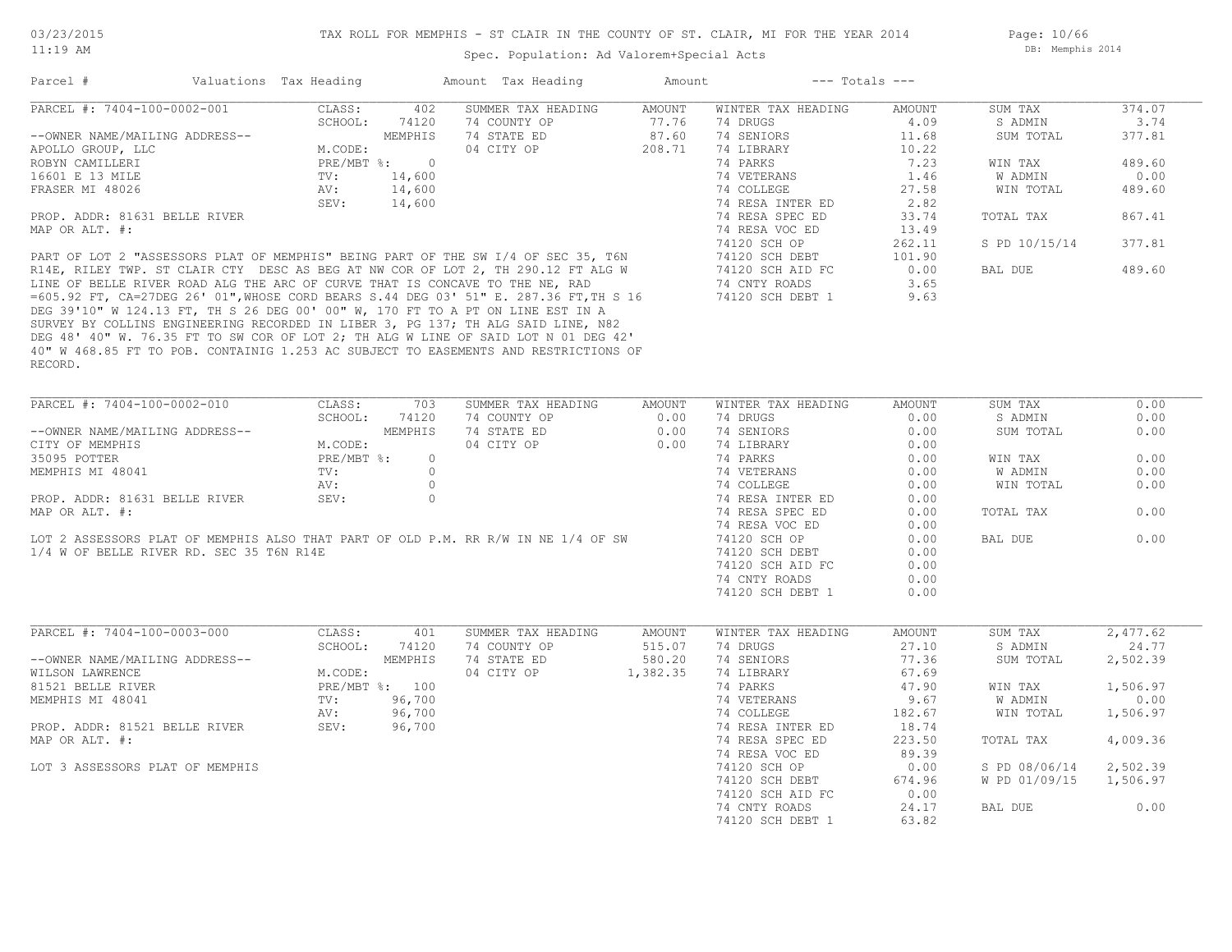Page: 10/66 DB: Memphis 2014

|                                                                                                                                                                                                                                                                                | Valuations Tax Heading                                                 |                                                                         | Amount Tax Heading                                                                                                                                                                                                                                                                                                                                                                                                  | Amount                             | $---$ Totals $---$                                                                                                                                                                                                                                      |                                                                                                                                 |                                                                                                             |                                                                                    |
|--------------------------------------------------------------------------------------------------------------------------------------------------------------------------------------------------------------------------------------------------------------------------------|------------------------------------------------------------------------|-------------------------------------------------------------------------|---------------------------------------------------------------------------------------------------------------------------------------------------------------------------------------------------------------------------------------------------------------------------------------------------------------------------------------------------------------------------------------------------------------------|------------------------------------|---------------------------------------------------------------------------------------------------------------------------------------------------------------------------------------------------------------------------------------------------------|---------------------------------------------------------------------------------------------------------------------------------|-------------------------------------------------------------------------------------------------------------|------------------------------------------------------------------------------------|
| PARCEL #: 7404-100-0002-001<br>--OWNER NAME/MAILING ADDRESS--<br>APOLLO GROUP, LLC<br>ROBYN CAMILLERI<br>16601 E 13 MILE<br>FRASER MI 48026<br>PROP. ADDR: 81631 BELLE RIVER<br>MAP OR ALT. #:<br>LINE OF BELLE RIVER ROAD ALG THE ARC OF CURVE THAT IS CONCAVE TO THE NE, RAD | CLASS:<br>SCHOOL:<br>M.CODE:<br>$PRE/MBT$ $\div$<br>TV:<br>AV:<br>SEV: | 402<br>74120<br>MEMPHIS<br>$\overline{0}$<br>14,600<br>14,600<br>14,600 | SUMMER TAX HEADING<br>74 COUNTY OP<br>74 STATE ED<br>04 CITY OP<br>PART OF LOT 2 "ASSESSORS PLAT OF MEMPHIS" BEING PART OF THE SW I/4 OF SEC 35, T6N<br>R14E, RILEY TWP. ST CLAIR CTY DESC AS BEG AT NW COR OF LOT 2, TH 290.12 FT ALG W<br>=605.92 FT, CA=27DEG 26' 01", WHOSE CORD BEARS S.44 DEG 03' 51" E. 287.36 FT, TH S 16<br>DEG 39'10" W 124.13 FT, TH S 26 DEG 00' 00" W, 170 FT TO A PT ON LINE EST IN A | AMOUNT<br>77.76<br>87.60<br>208.71 | WINTER TAX HEADING<br>74 DRUGS<br>74 SENIORS<br>74 LIBRARY<br>74 PARKS<br>74 VETERANS<br>74 COLLEGE<br>74 RESA INTER ED<br>74 RESA SPEC ED<br>74 RESA VOC ED<br>74120 SCH OP<br>74120 SCH DEBT<br>74120 SCH AID FC<br>74 CNTY ROADS<br>74120 SCH DEBT 1 | AMOUNT<br>4.09<br>11.68<br>10.22<br>7.23<br>1.46<br>27.58<br>2.82<br>33.74<br>13.49<br>262.11<br>101.90<br>0.00<br>3.65<br>9.63 | SUM TAX<br>S ADMIN<br>SUM TOTAL<br>WIN TAX<br>W ADMIN<br>WIN TOTAL<br>TOTAL TAX<br>S PD 10/15/14<br>BAL DUE | 374.07<br>3.74<br>377.81<br>489.60<br>0.00<br>489.60<br>867.41<br>377.81<br>489.60 |
| RECORD.                                                                                                                                                                                                                                                                        |                                                                        |                                                                         | SURVEY BY COLLINS ENGINEERING RECORDED IN LIBER 3, PG 137; TH ALG SAID LINE, N82<br>DEG 48' 40" W. 76.35 FT TO SW COR OF LOT 2; TH ALG W LINE OF SAID LOT N 01 DEG 42'<br>40" W 468.85 FT TO POB. CONTAINIG 1.253 AC SUBJECT TO EASEMENTS AND RESTRICTIONS OF                                                                                                                                                       |                                    |                                                                                                                                                                                                                                                         |                                                                                                                                 |                                                                                                             |                                                                                    |
| PARCEL #: 7404-100-0002-010                                                                                                                                                                                                                                                    | CLASS:                                                                 | 703                                                                     | SUMMER TAX HEADING                                                                                                                                                                                                                                                                                                                                                                                                  | AMOUNT                             | WINTER TAX HEADING                                                                                                                                                                                                                                      | AMOUNT                                                                                                                          | SUM TAX                                                                                                     | 0.00                                                                               |
|                                                                                                                                                                                                                                                                                | SCHOOL:                                                                | 74120                                                                   | 74 COUNTY OP                                                                                                                                                                                                                                                                                                                                                                                                        | 0.00                               | 74 DRUGS                                                                                                                                                                                                                                                | 0.00                                                                                                                            | S ADMIN                                                                                                     | 0.00                                                                               |
| --OWNER NAME/MAILING ADDRESS--                                                                                                                                                                                                                                                 |                                                                        | MEMPHIS                                                                 | 74 STATE ED                                                                                                                                                                                                                                                                                                                                                                                                         | 0.00                               | 74 SENIORS                                                                                                                                                                                                                                              | 0.00                                                                                                                            | SUM TOTAL                                                                                                   | 0.00                                                                               |
| CITY OF MEMPHIS                                                                                                                                                                                                                                                                | M.CODE:                                                                |                                                                         | 04 CITY OP                                                                                                                                                                                                                                                                                                                                                                                                          | 0.00                               | 74 LIBRARY                                                                                                                                                                                                                                              | 0.00                                                                                                                            |                                                                                                             |                                                                                    |
| 35095 POTTER                                                                                                                                                                                                                                                                   | PRE/MBT %:                                                             | $\circ$                                                                 |                                                                                                                                                                                                                                                                                                                                                                                                                     |                                    | 74 PARKS                                                                                                                                                                                                                                                | 0.00                                                                                                                            | WIN TAX                                                                                                     | 0.00                                                                               |
| MEMPHIS MI 48041                                                                                                                                                                                                                                                               | TV:                                                                    | $\circ$                                                                 |                                                                                                                                                                                                                                                                                                                                                                                                                     |                                    | 74 VETERANS                                                                                                                                                                                                                                             | 0.00                                                                                                                            | W ADMIN                                                                                                     | 0.00                                                                               |
|                                                                                                                                                                                                                                                                                | AV:                                                                    | $\circ$<br>$\circ$                                                      |                                                                                                                                                                                                                                                                                                                                                                                                                     |                                    | 74 COLLEGE                                                                                                                                                                                                                                              | 0.00                                                                                                                            | WIN TOTAL                                                                                                   | 0.00                                                                               |
|                                                                                                                                                                                                                                                                                |                                                                        |                                                                         |                                                                                                                                                                                                                                                                                                                                                                                                                     |                                    | 74 RESA INTER ED                                                                                                                                                                                                                                        | 0.00                                                                                                                            |                                                                                                             |                                                                                    |
| PROP. ADDR: 81631 BELLE RIVER                                                                                                                                                                                                                                                  | SEV:                                                                   |                                                                         |                                                                                                                                                                                                                                                                                                                                                                                                                     |                                    |                                                                                                                                                                                                                                                         |                                                                                                                                 |                                                                                                             |                                                                                    |
| MAP OR ALT. #:                                                                                                                                                                                                                                                                 |                                                                        |                                                                         |                                                                                                                                                                                                                                                                                                                                                                                                                     |                                    | 74 RESA SPEC ED                                                                                                                                                                                                                                         | 0.00                                                                                                                            | TOTAL TAX                                                                                                   | 0.00                                                                               |
|                                                                                                                                                                                                                                                                                |                                                                        |                                                                         |                                                                                                                                                                                                                                                                                                                                                                                                                     |                                    | 74 RESA VOC ED                                                                                                                                                                                                                                          | 0.00                                                                                                                            |                                                                                                             | 0.00                                                                               |
| 1/4 W OF BELLE RIVER RD. SEC 35 T6N R14E                                                                                                                                                                                                                                       |                                                                        |                                                                         | LOT 2 ASSESSORS PLAT OF MEMPHIS ALSO THAT PART OF OLD P.M. RR R/W IN NE 1/4 OF SW                                                                                                                                                                                                                                                                                                                                   |                                    | 74120 SCH OP<br>74120 SCH DEBT                                                                                                                                                                                                                          | 0.00<br>0.00                                                                                                                    | BAL DUE                                                                                                     |                                                                                    |
|                                                                                                                                                                                                                                                                                |                                                                        |                                                                         |                                                                                                                                                                                                                                                                                                                                                                                                                     |                                    | 74120 SCH AID FC                                                                                                                                                                                                                                        | 0.00                                                                                                                            |                                                                                                             |                                                                                    |
|                                                                                                                                                                                                                                                                                |                                                                        |                                                                         |                                                                                                                                                                                                                                                                                                                                                                                                                     |                                    | 74 CNTY ROADS                                                                                                                                                                                                                                           | 0.00                                                                                                                            |                                                                                                             |                                                                                    |
|                                                                                                                                                                                                                                                                                |                                                                        |                                                                         |                                                                                                                                                                                                                                                                                                                                                                                                                     |                                    | 74120 SCH DEBT 1                                                                                                                                                                                                                                        | 0.00                                                                                                                            |                                                                                                             |                                                                                    |
| PARCEL #: 7404-100-0003-000                                                                                                                                                                                                                                                    | CLASS:                                                                 | 401                                                                     | SUMMER TAX HEADING                                                                                                                                                                                                                                                                                                                                                                                                  | AMOUNT                             | WINTER TAX HEADING                                                                                                                                                                                                                                      | AMOUNT                                                                                                                          | SUM TAX                                                                                                     | 2,477.62                                                                           |
|                                                                                                                                                                                                                                                                                | SCHOOL:                                                                | 74120                                                                   | 74 COUNTY OP                                                                                                                                                                                                                                                                                                                                                                                                        | 515.07                             | 74 DRUGS                                                                                                                                                                                                                                                | 27.10                                                                                                                           | S ADMIN                                                                                                     | 24.77                                                                              |
| --OWNER NAME/MAILING ADDRESS--                                                                                                                                                                                                                                                 |                                                                        | MEMPHIS                                                                 | 74 STATE ED                                                                                                                                                                                                                                                                                                                                                                                                         | 580.20                             | 74 SENIORS                                                                                                                                                                                                                                              | 77.36                                                                                                                           | SUM TOTAL                                                                                                   | 2,502.39                                                                           |
| WILSON LAWRENCE                                                                                                                                                                                                                                                                | M.CODE:                                                                |                                                                         | 04 CITY OP                                                                                                                                                                                                                                                                                                                                                                                                          | 1,382.35                           | 74 LIBRARY                                                                                                                                                                                                                                              | 67.69                                                                                                                           |                                                                                                             |                                                                                    |
| 81521 BELLE RIVER                                                                                                                                                                                                                                                              |                                                                        | PRE/MBT %: 100                                                          |                                                                                                                                                                                                                                                                                                                                                                                                                     |                                    | 74 PARKS                                                                                                                                                                                                                                                | 47.90                                                                                                                           | WIN TAX                                                                                                     | 1,506.97                                                                           |
| MEMPHIS MI 48041                                                                                                                                                                                                                                                               | TV:                                                                    | 96,700                                                                  |                                                                                                                                                                                                                                                                                                                                                                                                                     |                                    | 74 VETERANS                                                                                                                                                                                                                                             | 9.67                                                                                                                            | W ADMIN                                                                                                     | 0.00                                                                               |
|                                                                                                                                                                                                                                                                                | AV:                                                                    | 96,700                                                                  |                                                                                                                                                                                                                                                                                                                                                                                                                     |                                    | 74 COLLEGE                                                                                                                                                                                                                                              | 182.67                                                                                                                          | WIN TOTAL                                                                                                   | 1,506.97                                                                           |
| PROP. ADDR: 81521 BELLE RIVER                                                                                                                                                                                                                                                  | SEV:                                                                   | 96,700                                                                  |                                                                                                                                                                                                                                                                                                                                                                                                                     |                                    | 74 RESA INTER ED                                                                                                                                                                                                                                        | 18.74                                                                                                                           |                                                                                                             |                                                                                    |
| MAP OR ALT. #:                                                                                                                                                                                                                                                                 |                                                                        |                                                                         |                                                                                                                                                                                                                                                                                                                                                                                                                     |                                    | 74 RESA SPEC ED                                                                                                                                                                                                                                         | 223.50                                                                                                                          | TOTAL TAX                                                                                                   | 4,009.36                                                                           |
|                                                                                                                                                                                                                                                                                |                                                                        |                                                                         |                                                                                                                                                                                                                                                                                                                                                                                                                     |                                    | 74 RESA VOC ED                                                                                                                                                                                                                                          | 89.39                                                                                                                           |                                                                                                             |                                                                                    |
| LOT 3 ASSESSORS PLAT OF MEMPHIS                                                                                                                                                                                                                                                |                                                                        |                                                                         |                                                                                                                                                                                                                                                                                                                                                                                                                     |                                    | 74120 SCH OP<br>74120 SCH DEBT                                                                                                                                                                                                                          | 0.00<br>674.96                                                                                                                  | S PD 08/06/14<br>W PD 01/09/15                                                                              | 2,502.39<br>1,506.97                                                               |
|                                                                                                                                                                                                                                                                                |                                                                        |                                                                         |                                                                                                                                                                                                                                                                                                                                                                                                                     |                                    | 74120 SCH AID FC                                                                                                                                                                                                                                        | 0.00                                                                                                                            |                                                                                                             |                                                                                    |
|                                                                                                                                                                                                                                                                                |                                                                        |                                                                         |                                                                                                                                                                                                                                                                                                                                                                                                                     |                                    | 74 CNTY ROADS                                                                                                                                                                                                                                           | 24.17                                                                                                                           | BAL DUE                                                                                                     | 0.00                                                                               |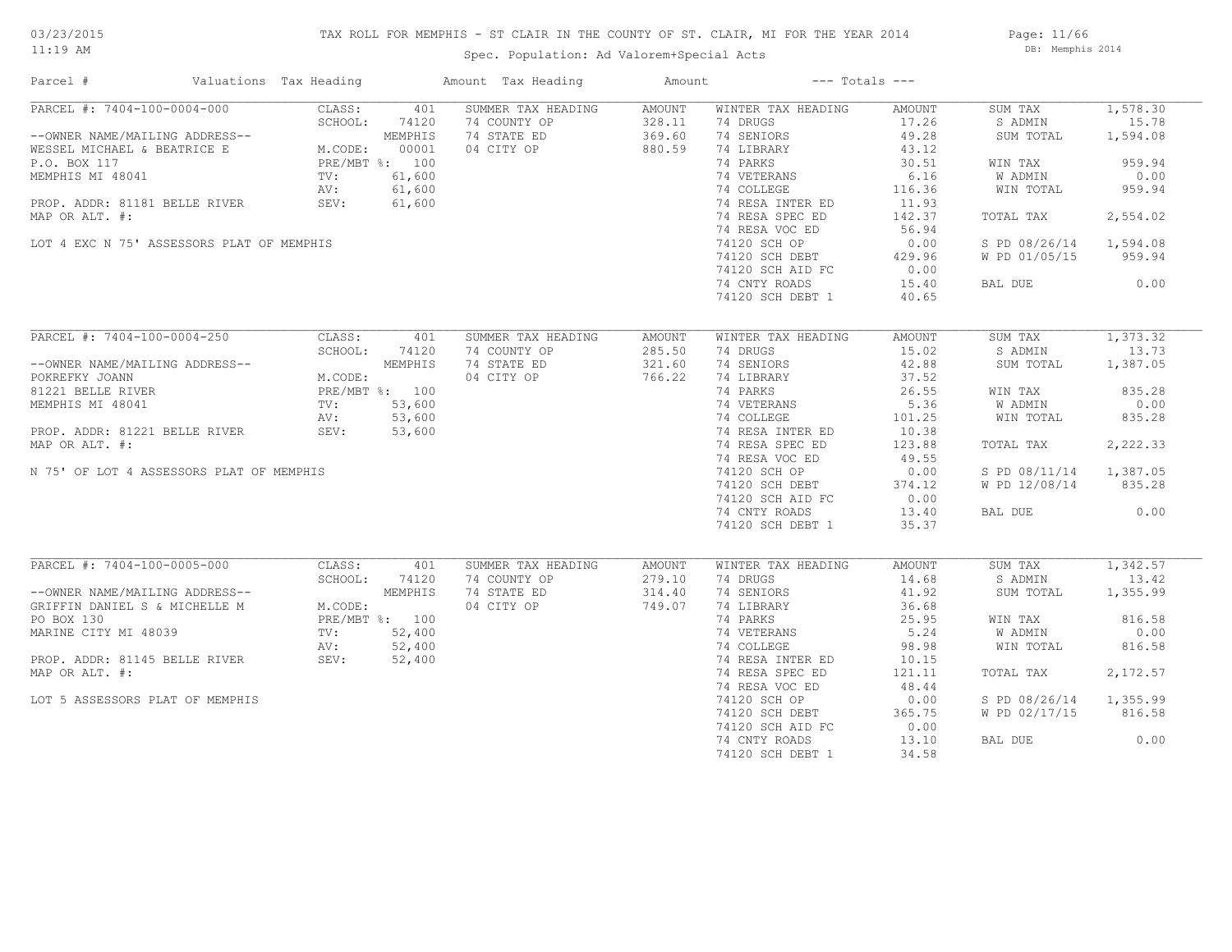# TAX ROLL FOR MEMPHIS - ST CLAIR IN THE COUNTY OF ST. CLAIR, MI FOR THE YEAR 2014

Spec. Population: Ad Valorem+Special Acts

Page: 11/66 DB: Memphis 2014

| Parcel #                                                                                                                                                                                                              | Valuations Tax Heading |                | Amount Tax Heading | Amount               | $---$ Totals $---$        |        |                        |                       |
|-----------------------------------------------------------------------------------------------------------------------------------------------------------------------------------------------------------------------|------------------------|----------------|--------------------|----------------------|---------------------------|--------|------------------------|-----------------------|
| PARCEL #: 7404-100-0004-000                                                                                                                                                                                           | CLASS:                 | 401            | SUMMER TAX HEADING | AMOUNT               | WINTER TAX HEADING        | AMOUNT | SUM TAX                | 1,578.30              |
|                                                                                                                                                                                                                       |                        |                | 74 COUNTY OP       | 328.11               | 74 DRUGS                  | 17.26  | S ADMIN                | 15.78                 |
| --OWNER NAME/MAILING ADDRESS--<br>WESSEL MICHAEL & BEATRICE E M.CODE: 00001<br>P.O. BOX 117 PRE/MBT %: 100<br>MEMPHIS MI 48041 TV: 61,600<br>PROP. ADDR: 81181 BELLE RIVER SEV: 61,600<br>MAR OP ALT *:               |                        |                | 74 STATE ED        | 369.60               | 74 SENIORS                | 49.28  | SUM TOTAL              | 1,594.08              |
|                                                                                                                                                                                                                       |                        |                | 04 CITY OP         | 880.59               | 74 LIBRARY                | 43.12  |                        |                       |
|                                                                                                                                                                                                                       |                        |                |                    |                      | 74 PARKS                  | 30.51  | WIN TAX                | 959.94                |
|                                                                                                                                                                                                                       |                        |                |                    |                      | 74 VETERANS               | 6.16   | W ADMIN                | 0.00                  |
|                                                                                                                                                                                                                       |                        |                |                    |                      | 74 COLLEGE                | 116.36 | WIN TOTAL              | 959.94                |
|                                                                                                                                                                                                                       |                        |                |                    |                      | 74 RESA INTER ED          | 11.93  |                        |                       |
| MAP OR ALT. #:                                                                                                                                                                                                        |                        |                |                    |                      | 74 RESA SPEC ED           | 142.37 | TOTAL TAX              | 2,554.02              |
|                                                                                                                                                                                                                       |                        |                |                    |                      | 74 RESA VOC ED            | 56.94  |                        |                       |
| LOT 4 EXC N 75' ASSESSORS PLAT OF MEMPHIS                                                                                                                                                                             |                        |                |                    |                      | 74120 SCH OP              | 0.00   | S PD 08/26/14 1,594.08 |                       |
|                                                                                                                                                                                                                       |                        |                |                    |                      | 74120 SCH DEBT            | 429.96 | W PD 01/05/15 959.94   |                       |
|                                                                                                                                                                                                                       |                        |                |                    |                      | 74120 SCH AID FC          | 0.00   |                        |                       |
|                                                                                                                                                                                                                       |                        |                |                    |                      | 74 CNTY ROADS             | 15.40  | BAL DUE                | 0.00                  |
|                                                                                                                                                                                                                       |                        |                |                    |                      | 74120 SCH DEBT 1          | 40.65  |                        |                       |
|                                                                                                                                                                                                                       |                        |                |                    |                      |                           |        |                        |                       |
| PARCEL #: 7404-100-0004-250                                                                                                                                                                                           | CLASS:                 | 401            | SUMMER TAX HEADING | AMOUNT               | WINTER TAX HEADING        | AMOUNT | SUM TAX                | 1,373.32              |
|                                                                                                                                                                                                                       | SCHOOL:                | 74120          | 74 COUNTY OP       | 285.50               | 74 DRUGS                  | 15.02  | S ADMIN                | 13.73                 |
| --OWNER NAME/MAILING ADDRESS--<br>POKREFKY JOANN MEMPHIS<br>81221 BELLE RIVER PRE/MBT %: 100<br>MEMPHIS MI 48041 TV: 53,600<br>PROP. ADDR: 81221 BELLE RIVER SEV: 53,600<br>PROP. ADDR: 81221 BELLE RIVER SEV: 53,600 |                        |                | 74 STATE ED        | 321.60               | 74 SENIORS                | 42.88  | SUM TOTAL              | 1,387.05              |
|                                                                                                                                                                                                                       |                        |                | 04 CITY OP         | 766.22               | 74 LIBRARY                | 37.52  |                        |                       |
|                                                                                                                                                                                                                       |                        |                |                    |                      | 74 PARKS                  | 26.55  | WIN TAX                | 835.28                |
|                                                                                                                                                                                                                       |                        |                |                    |                      | 74 VETERANS<br>74 COLLEGE | 5.36   | W ADMIN                | 0.00                  |
|                                                                                                                                                                                                                       |                        |                |                    |                      |                           | 101.25 | WIN TOTAL              | 835.28                |
|                                                                                                                                                                                                                       |                        |                |                    |                      | 74 RESA INTER ED          | 10.38  |                        |                       |
| MAP OR ALT. #:                                                                                                                                                                                                        |                        |                |                    |                      | 74 RESA SPEC ED           | 123.88 | TOTAL TAX              | 2,222.33              |
|                                                                                                                                                                                                                       |                        |                |                    |                      | 74 RESA VOC ED            | 49.55  |                        |                       |
| N 75' OF LOT 4 ASSESSORS PLAT OF MEMPHIS                                                                                                                                                                              |                        |                |                    |                      | 74120 SCH OP              | 0.00   | S PD 08/11/14 1,387.05 |                       |
|                                                                                                                                                                                                                       |                        |                |                    |                      | 74120 SCH DEBT            | 374.12 | W PD 12/08/14 835.28   |                       |
|                                                                                                                                                                                                                       |                        |                |                    |                      | 74120 SCH AID FC          | 0.00   |                        |                       |
|                                                                                                                                                                                                                       |                        |                |                    |                      | 74 CNTY ROADS             | 13.40  | BAL DUE                | 0.00                  |
|                                                                                                                                                                                                                       |                        |                |                    |                      | 74120 SCH DEBT 1          | 35.37  |                        |                       |
|                                                                                                                                                                                                                       |                        |                |                    |                      |                           |        |                        |                       |
| PARCEL #: 7404-100-0005-000                                                                                                                                                                                           | CLASS:                 | 401            | SUMMER TAX HEADING | AMOUNT               | WINTER TAX HEADING        | AMOUNT | SUM TAX                | $\overline{1,342.57}$ |
| EARCEL T. (1991)<br>--OWNER NAME/MAILING ADDRESS--<br>GRIFFIN DANIEL S & MICHELLE M M.CODE:<br>PRE/MBS                                                                                                                | SCHOOL:                | 74120          | 74 COUNTY OP       | 279.10               | 74 DRUGS                  | 14.68  | S ADMIN                | 13.42                 |
|                                                                                                                                                                                                                       |                        | MEMPHIS        | 74 STATE ED        | $314.40$<br>$749.07$ | 74 SENIORS                | 41.92  | SUM TOTAL              | 1,355.99              |
|                                                                                                                                                                                                                       | M.CODE:                |                | 04 CITY OP         | 749.07               | 74 LIBRARY                | 36.68  |                        |                       |
|                                                                                                                                                                                                                       |                        | PRE/MBT %: 100 |                    |                      | 74 PARKS                  | 25.95  | WIN TAX                | 816.58                |
| PO BOX 130<br>MARINE CITY MI 48039 TV: 52,400<br>PROP. ADDR: 81145 BELLE RIVER SEV: 52,400<br>PROP. ADDR: 81145 BELLE RIVER SEV: 52,400                                                                               |                        |                |                    |                      | 74 VETERANS               | 5.24   | W ADMIN                | 0.00                  |
|                                                                                                                                                                                                                       |                        |                |                    |                      | 74 COLLEGE                | 98.98  | WIN TOTAL              | 816.58                |
|                                                                                                                                                                                                                       |                        |                |                    |                      | 74 RESA INTER ED          | 10.15  |                        |                       |
| MAP OR ALT. #:                                                                                                                                                                                                        |                        |                |                    |                      | 74 RESA SPEC ED           | 121.11 | TOTAL TAX              | 2,172.57              |
|                                                                                                                                                                                                                       |                        |                |                    |                      | 74 RESA VOC ED            | 48.44  |                        |                       |
| LOT 5 ASSESSORS PLAT OF MEMPHIS                                                                                                                                                                                       |                        |                |                    |                      | 74120 SCH OP              | 0.00   | S PD 08/26/14 1,355.99 |                       |
|                                                                                                                                                                                                                       |                        |                |                    |                      | 74120 SCH DEBT            | 365.75 | W PD 02/17/15          | 816.58                |
|                                                                                                                                                                                                                       |                        |                |                    |                      | 74120 SCH AID FC          | 0.00   |                        |                       |
|                                                                                                                                                                                                                       |                        |                |                    |                      | 74 CNTY ROADS             | 13.10  | BAL DUE                | 0.00                  |
|                                                                                                                                                                                                                       |                        |                |                    |                      | 74120 SCH DEBT 1          | 34.58  |                        |                       |
|                                                                                                                                                                                                                       |                        |                |                    |                      |                           |        |                        |                       |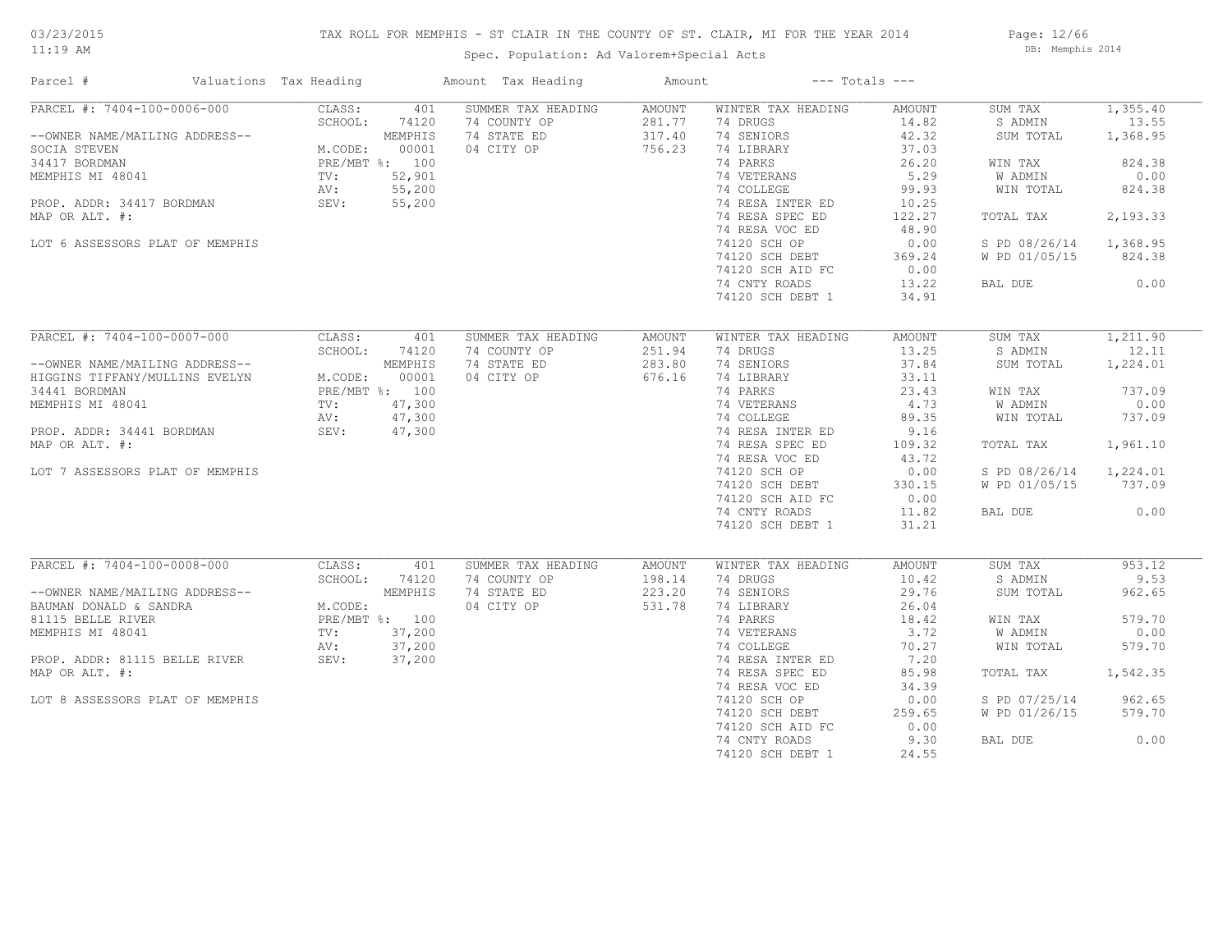# TAX ROLL FOR MEMPHIS - ST CLAIR IN THE COUNTY OF ST. CLAIR, MI FOR THE YEAR 2014

Spec. Population: Ad Valorem+Special Acts

Page: 12/66 DB: Memphis 2014

| Parcel #                                                                                                                                                                                                                                             | Valuations Tax Heading |               | Amount Tax Heading | Amount | $---$ Totals $---$                              |        |                        |          |
|------------------------------------------------------------------------------------------------------------------------------------------------------------------------------------------------------------------------------------------------------|------------------------|---------------|--------------------|--------|-------------------------------------------------|--------|------------------------|----------|
| PARCEL #: 7404-100-0006-000                                                                                                                                                                                                                          | CLASS:                 | 401           | SUMMER TAX HEADING | AMOUNT | WINTER TAX HEADING                              | AMOUNT | SUM TAX                | 1,355.40 |
| --OWNER NAME/MAILING ADDRESS--<br>SCHOOL: 74120<br>SCHOOL: 74120<br>SCHOOL: 74120<br>MEMPHIS<br>M.CODE: 00001<br>34417 BORDMAN<br>PRE/MBT %: 100<br>PROP. ADDR: 34417 BORDMAN<br>MRD OR N.T. 52,901<br>MRD OR N.T. 55,200<br>MRD OR N.T. 4417 BORDMA |                        |               | 74 COUNTY OP       | 281.77 | 74 DRUGS                                        | 14.82  | S ADMIN                | 13.55    |
|                                                                                                                                                                                                                                                      |                        |               | 74 STATE ED        | 317.40 | 74 SENIORS                                      | 42.32  | SUM TOTAL              | 1,368.95 |
|                                                                                                                                                                                                                                                      |                        |               | 04 CITY OP         | 756.23 | 74 LIBRARY                                      | 37.03  |                        |          |
|                                                                                                                                                                                                                                                      |                        |               |                    |        | 74 PARKS                                        | 26.20  | WIN TAX                | 824.38   |
|                                                                                                                                                                                                                                                      |                        |               |                    |        | 74 VETERANS<br>74 COLLEGE                       | 5.29   | W ADMIN                | 0.00     |
|                                                                                                                                                                                                                                                      |                        |               |                    |        | 74 COLLEGE                                      | 99.93  | WIN TOTAL              | 824.38   |
|                                                                                                                                                                                                                                                      |                        |               |                    |        | 74 RESA INTER ED                                | 10.25  |                        |          |
| MAP OR ALT. #:                                                                                                                                                                                                                                       |                        |               |                    |        | 74 RESA SPEC ED                                 | 122.27 | TOTAL TAX              | 2,193.33 |
|                                                                                                                                                                                                                                                      |                        |               |                    |        | 74 RESA VOC ED                                  | 48.90  |                        |          |
| LOT 6 ASSESSORS PLAT OF MEMPHIS                                                                                                                                                                                                                      |                        |               |                    |        | 74120 SCH OP                                    | 0.00   | S PD 08/26/14 1,368.95 |          |
|                                                                                                                                                                                                                                                      |                        |               |                    |        |                                                 |        | W PD 01/05/15 824.38   |          |
|                                                                                                                                                                                                                                                      |                        |               |                    |        | 74120 SCH DEBT 369.24<br>74120 SCH AID FC 0.00  |        |                        |          |
|                                                                                                                                                                                                                                                      |                        |               |                    |        | 74 CNTY ROADS                                   | 13.22  | BAL DUE                | 0.00     |
|                                                                                                                                                                                                                                                      |                        |               |                    |        | 74120 SCH DEBT 1                                | 34.91  |                        |          |
|                                                                                                                                                                                                                                                      |                        |               |                    |        |                                                 |        |                        |          |
|                                                                                                                                                                                                                                                      |                        |               |                    |        |                                                 |        |                        |          |
| PARCEL #: 7404-100-0007-000                                                                                                                                                                                                                          | CLASS:                 | 401           | SUMMER TAX HEADING | AMOUNT | WINTER TAX HEADING                              | AMOUNT | SUM TAX                | 1,211.90 |
| --OWNER NAME/MAILING ADDRESS--<br>HIGGINS TIFFANY/MULLINS EVELYN M.CODE: 00001<br>34441 BORDMAN PRE/MBT %: 100<br>MEMPHIS MI 48041 TV: 47,300<br>PROP. ADDR: 34441 BORDMAN SEV: 47,300<br>MAR OR ATT #:                                              |                        | SCHOOL: 74120 | 74 COUNTY OP       | 251.94 | 74 DRUGS                                        | 13.25  | S ADMIN                | 12.11    |
|                                                                                                                                                                                                                                                      |                        |               | 74 STATE ED        | 283.80 | 74 SENIORS                                      | 37.84  | SUM TOTAL              | 1,224.01 |
|                                                                                                                                                                                                                                                      |                        |               | 04 CITY OP         | 676.16 | 74 LIBRARY<br><sup>74</sup> LIBRARY<br>74 PARKS | 33.11  |                        |          |
|                                                                                                                                                                                                                                                      |                        |               |                    |        |                                                 | 23.43  | WIN TAX                | 737.09   |
|                                                                                                                                                                                                                                                      |                        |               |                    |        | 74 VETERANS 4.73<br>74 COLLEGE 89.35            |        | W ADMIN                | 0.00     |
|                                                                                                                                                                                                                                                      |                        |               |                    |        |                                                 |        | WIN TOTAL              | 737.09   |
|                                                                                                                                                                                                                                                      |                        |               |                    |        | 74 RESA INTER ED                                | 9.16   |                        |          |
| MAP OR ALT. #:                                                                                                                                                                                                                                       |                        |               |                    |        | 74 RESA SPEC ED                                 | 109.32 | TOTAL TAX              | 1,961.10 |
|                                                                                                                                                                                                                                                      |                        |               |                    |        | 74 RESA VOC ED                                  | 43.72  |                        |          |
| LOT 7 ASSESSORS PLAT OF MEMPHIS                                                                                                                                                                                                                      |                        |               |                    |        | 74120 SCH OP                                    | 0.00   | S PD 08/26/14 1,224.01 |          |
|                                                                                                                                                                                                                                                      |                        |               |                    |        | 74120 SCH DEBT                                  | 330.15 | W PD 01/05/15 737.09   |          |
|                                                                                                                                                                                                                                                      |                        |               |                    |        | 74120 SCH AID FC                                | 0.00   |                        |          |
|                                                                                                                                                                                                                                                      |                        |               |                    |        | 74 CNTY ROADS                                   | 11.82  | BAL DUE                | 0.00     |
|                                                                                                                                                                                                                                                      |                        |               |                    |        | 74120 SCH DEBT 1                                | 31.21  |                        |          |
|                                                                                                                                                                                                                                                      |                        |               |                    |        |                                                 |        |                        |          |
| PARCEL #: 7404-100-0008-000                                                                                                                                                                                                                          | CLASS:                 | 401           | SUMMER TAX HEADING | AMOUNT | WINTER TAX HEADING                              | AMOUNT | SUM TAX                | 953.12   |
|                                                                                                                                                                                                                                                      | SCHOOL:                | 74120         | 74 COUNTY OP       | 198.14 | 74 DRUGS                                        | 10.42  | S ADMIN                | 9.53     |
|                                                                                                                                                                                                                                                      |                        |               | 74 STATE ED        | 223.20 | 74 SENIORS                                      | 29.76  | SUM TOTAL              | 962.65   |
| --OWNER NAME/MAILING ADDRESS--<br>BAUMAN DONALD & SANDRA<br>81115 BELLE RIVER<br>81115 BELLE RIVER<br>MEMPHIS MI 48041<br>PROP. ADDR: 81115 BELLE RIVER<br>MAP OP ALT *<br>MAP OP ALT *<br>MAP OP ALT *                                              |                        |               | 04 CITY OP         | 531.78 |                                                 | 26.04  |                        |          |
|                                                                                                                                                                                                                                                      |                        |               |                    |        | 74 LIBRARY<br>74 PARKS                          | 18.42  | WIN TAX                | 579.70   |
|                                                                                                                                                                                                                                                      |                        |               |                    |        | 74 LINES<br>74 VETERANS<br>74 COLLEGE           | 3.72   | W ADMIN                | 0.00     |
|                                                                                                                                                                                                                                                      |                        |               |                    |        |                                                 | 70.27  | WIN TOTAL              | 579.70   |
|                                                                                                                                                                                                                                                      |                        |               |                    |        | 74 RESA INTER ED                                | 7.20   |                        |          |
| MAP OR ALT. #:                                                                                                                                                                                                                                       |                        |               |                    |        | 74 RESA SPEC ED                                 | 85.98  | TOTAL TAX              | 1,542.35 |
|                                                                                                                                                                                                                                                      |                        |               |                    |        | 74 RESA VOC ED                                  | 34.39  |                        |          |
| LOT 8 ASSESSORS PLAT OF MEMPHIS                                                                                                                                                                                                                      |                        |               |                    |        | 74120 SCH OP                                    | 0.00   | S PD 07/25/14          | 962.65   |
|                                                                                                                                                                                                                                                      |                        |               |                    |        | 74120 SCH DEBT                                  | 259.65 | W PD 01/26/15          | 579.70   |
|                                                                                                                                                                                                                                                      |                        |               |                    |        | 74120 SCH AID FC                                | 0.00   |                        |          |
|                                                                                                                                                                                                                                                      |                        |               |                    |        | 74 CNTY ROADS                                   | 9.30   | BAL DUE                | 0.00     |
|                                                                                                                                                                                                                                                      |                        |               |                    |        |                                                 |        |                        |          |
|                                                                                                                                                                                                                                                      |                        |               |                    |        | 74120 SCH DEBT 1                                | 24.55  |                        |          |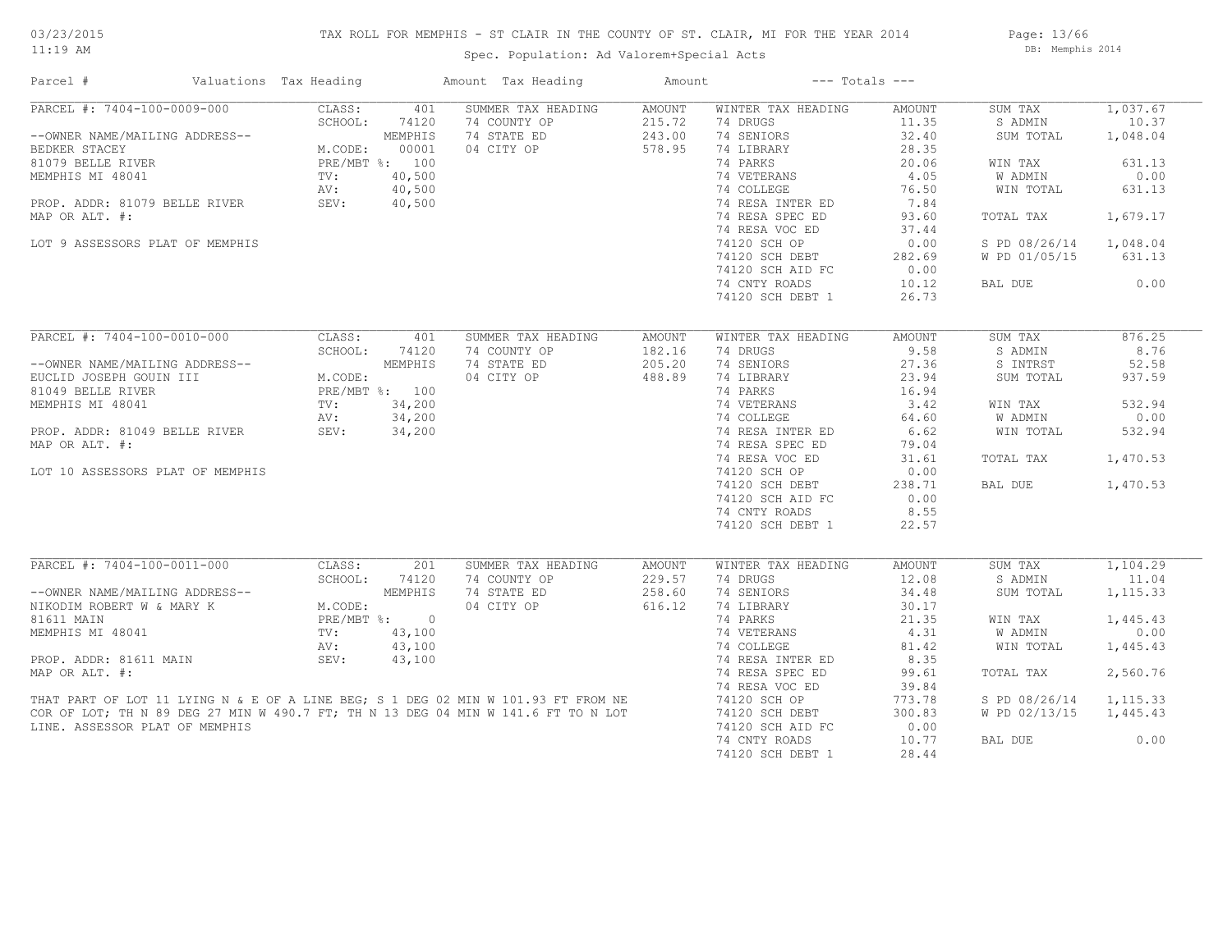# TAX ROLL FOR MEMPHIS - ST CLAIR IN THE COUNTY OF ST. CLAIR, MI FOR THE YEAR 2014

Spec. Population: Ad Valorem+Special Acts

Page: 13/66 DB: Memphis 2014

| Parcel #                                                                                                                                                               | Valuations Tax Heading                                                           |                | Amount Tax Heading | Amount | $---$ Totals $---$ |        |               |           |
|------------------------------------------------------------------------------------------------------------------------------------------------------------------------|----------------------------------------------------------------------------------|----------------|--------------------|--------|--------------------|--------|---------------|-----------|
| PARCEL #: 7404-100-0009-000                                                                                                                                            | CLASS:                                                                           | 401            | SUMMER TAX HEADING | AMOUNT | WINTER TAX HEADING | AMOUNT | SUM TAX       | 1,037.67  |
|                                                                                                                                                                        | SCHOOL:                                                                          | 74120          | 74 COUNTY OP       | 215.72 | 74 DRUGS           | 11.35  | S ADMIN       | 10.37     |
| --OWNER NAME/MAILING ADDRESS--                                                                                                                                         |                                                                                  | MEMPHIS        | 74 STATE ED        | 243.00 | 74 SENIORS         | 32.40  | SUM TOTAL     | 1,048.04  |
| BEDKER STACEY                                                                                                                                                          | M.CODE:                                                                          | 00001          | 04 CITY OP         | 578.95 | 74 LIBRARY         | 28.35  |               |           |
| 81079 BELLE RIVER                                                                                                                                                      |                                                                                  | PRE/MBT %: 100 |                    |        | 74 PARKS           | 20.06  | WIN TAX       | 631.13    |
| MEMPHIS MI 48041                                                                                                                                                       | $\texttt{TV}$ :                                                                  | 40,500         |                    |        | 74 VETERANS        | 4.05   | W ADMIN       | 0.00      |
|                                                                                                                                                                        | AV:                                                                              | 40,500         |                    |        | 74 COLLEGE         | 76.50  | WIN TOTAL     | 631.13    |
| PROP. ADDR: 81079 BELLE RIVER SEV:                                                                                                                                     |                                                                                  | 40,500         |                    |        | 74 RESA INTER ED   | 7.84   |               |           |
| MAP OR ALT. #:                                                                                                                                                         |                                                                                  |                |                    |        | 74 RESA SPEC ED    | 93.60  | TOTAL TAX     | 1,679.17  |
|                                                                                                                                                                        |                                                                                  |                |                    |        | 74 RESA VOC ED     | 37.44  |               |           |
| LOT 9 ASSESSORS PLAT OF MEMPHIS                                                                                                                                        |                                                                                  |                |                    |        | 74120 SCH OP       | 0.00   | S PD 08/26/14 | 1,048.04  |
|                                                                                                                                                                        |                                                                                  |                |                    |        | 74120 SCH DEBT     | 282.69 | W PD 01/05/15 | 631.13    |
|                                                                                                                                                                        |                                                                                  |                |                    |        | 74120 SCH AID FC   | 0.00   |               |           |
|                                                                                                                                                                        |                                                                                  |                |                    |        |                    |        |               | 0.00      |
|                                                                                                                                                                        |                                                                                  |                |                    |        | 74 CNTY ROADS      | 10.12  | BAL DUE       |           |
|                                                                                                                                                                        |                                                                                  |                |                    |        | 74120 SCH DEBT 1   | 26.73  |               |           |
| PARCEL #: 7404-100-0010-000                                                                                                                                            | CLASS:                                                                           | 401            | SUMMER TAX HEADING | AMOUNT | WINTER TAX HEADING | AMOUNT | SUM TAX       | 876.25    |
|                                                                                                                                                                        | SCHOOL:                                                                          | 74120          | 74 COUNTY OP       | 182.16 | 74 DRUGS           | 9.58   | S ADMIN       | 8.76      |
|                                                                                                                                                                        | ADDRESS--<br>TI M.CODE:<br>M.CODE:<br>PRE/MBT %: 100<br>TV: 34,200<br>AV. 24.200 |                |                    |        |                    |        |               |           |
| --OWNER NAME/MAILING ADDRESS--                                                                                                                                         |                                                                                  |                | 74 STATE ED        | 205.20 | 74 SENIORS         | 27.36  | S INTRST      | 52.58     |
| EUCLID JOSEPH GOUIN III                                                                                                                                                |                                                                                  |                | 04 CITY OP         | 488.89 | 74 LIBRARY         | 23.94  | SUM TOTAL     | 937.59    |
| 81049 BELLE RIVER                                                                                                                                                      |                                                                                  |                |                    |        | 74 PARKS           | 16.94  |               |           |
| MEMPHIS MI 48041                                                                                                                                                       |                                                                                  |                |                    |        | 74 VETERANS        | 3.42   | WIN TAX       | 532.94    |
|                                                                                                                                                                        | AV:                                                                              | 34,200         |                    |        | 74 COLLEGE         | 64.60  | W ADMIN       | 0.00      |
| PROP. ADDR: 81049 BELLE RIVER                                                                                                                                          | SEV:                                                                             | 34,200         |                    |        | 74 RESA INTER ED   | 6.62   | WIN TOTAL     | 532.94    |
| MAP OR ALT. #:                                                                                                                                                         |                                                                                  |                |                    |        | 74 RESA SPEC ED    | 79.04  |               |           |
|                                                                                                                                                                        |                                                                                  |                |                    |        | 74 RESA VOC ED     | 31.61  | TOTAL TAX     | 1,470.53  |
| LOT 10 ASSESSORS PLAT OF MEMPHIS                                                                                                                                       |                                                                                  |                |                    |        | 74120 SCH OP       | 0.00   |               |           |
|                                                                                                                                                                        |                                                                                  |                |                    |        | 74120 SCH DEBT     | 238.71 | BAL DUE       | 1,470.53  |
|                                                                                                                                                                        |                                                                                  |                |                    |        | 74120 SCH AID FC   | 0.00   |               |           |
|                                                                                                                                                                        |                                                                                  |                |                    |        | 74 CNTY ROADS      | 8.55   |               |           |
|                                                                                                                                                                        |                                                                                  |                |                    |        | 74120 SCH DEBT 1   | 22.57  |               |           |
|                                                                                                                                                                        |                                                                                  |                |                    |        |                    |        |               |           |
| PARCEL #: 7404-100-0011-000                                                                                                                                            | CLASS:                                                                           | 201            | SUMMER TAX HEADING | AMOUNT | WINTER TAX HEADING | AMOUNT | SUM TAX       | 1,104.29  |
|                                                                                                                                                                        |                                                                                  |                | 74 COUNTY OP       | 229.57 | 74 DRUGS           | 12.08  | S ADMIN       | 11.04     |
|                                                                                                                                                                        |                                                                                  |                | 74 STATE ED        | 258.60 | 74 SENIORS         | 34.48  | SUM TOTAL     | 1, 115.33 |
| ------<br>--OWNER NAME/MAILING ADDRESS--<br>NIKODIM ROBERT W & MARY K M.CODE:<br>PRE/MBT %: 0                                                                          |                                                                                  |                | 04 CITY OP         | 616.12 | 74 LIBRARY         | 30.17  |               |           |
|                                                                                                                                                                        |                                                                                  |                |                    |        | 74 PARKS           | 21.35  | WIN TAX       | 1,445.43  |
| MEMPHIS MI 48041                                                                                                                                                       | $\text{TV}$ :                                                                    | 43,100         |                    |        | 74 VETERANS        | 4.31   | W ADMIN       | 0.00      |
|                                                                                                                                                                        | AV:                                                                              | 43,100         |                    |        | 74 COLLEGE         | 81.42  | WIN TOTAL     | 1,445.43  |
| PROP. ADDR: 81611 MAIN                                                                                                                                                 | SEV:                                                                             | 43,100         |                    |        | 74 RESA INTER ED   | 8.35   |               |           |
| MAP OR ALT. #:                                                                                                                                                         |                                                                                  |                |                    |        | 74 RESA SPEC ED    | 99.61  | TOTAL TAX     | 2,560.76  |
|                                                                                                                                                                        |                                                                                  |                |                    |        | 74 RESA VOC ED     | 39.84  |               |           |
| THAT PART OF LOT 11 LYING N & E OF A LINE BEG; S 1 DEG 02 MIN W 101.93 FT FROM NE<br>COR OF LOT; TH N 89 DEG 27 MIN W 490.7 FT; TH N 13 DEG 04 MIN W 141.6 FT TO N LOT |                                                                                  |                |                    |        | 74120 SCH OP       | 773.78 | S PD 08/26/14 | 1,115.33  |
|                                                                                                                                                                        |                                                                                  |                |                    |        | 74120 SCH DEBT     | 300.83 | W PD 02/13/15 | 1,445.43  |
| LINE. ASSESSOR PLAT OF MEMPHIS                                                                                                                                         |                                                                                  |                |                    |        | 74120 SCH AID FC   | 0.00   |               |           |
|                                                                                                                                                                        |                                                                                  |                |                    |        | 74 CNTY ROADS      | 10.77  | BAL DUE       | 0.00      |
|                                                                                                                                                                        |                                                                                  |                |                    |        | 74120 SCH DEBT 1   | 28.44  |               |           |
|                                                                                                                                                                        |                                                                                  |                |                    |        |                    |        |               |           |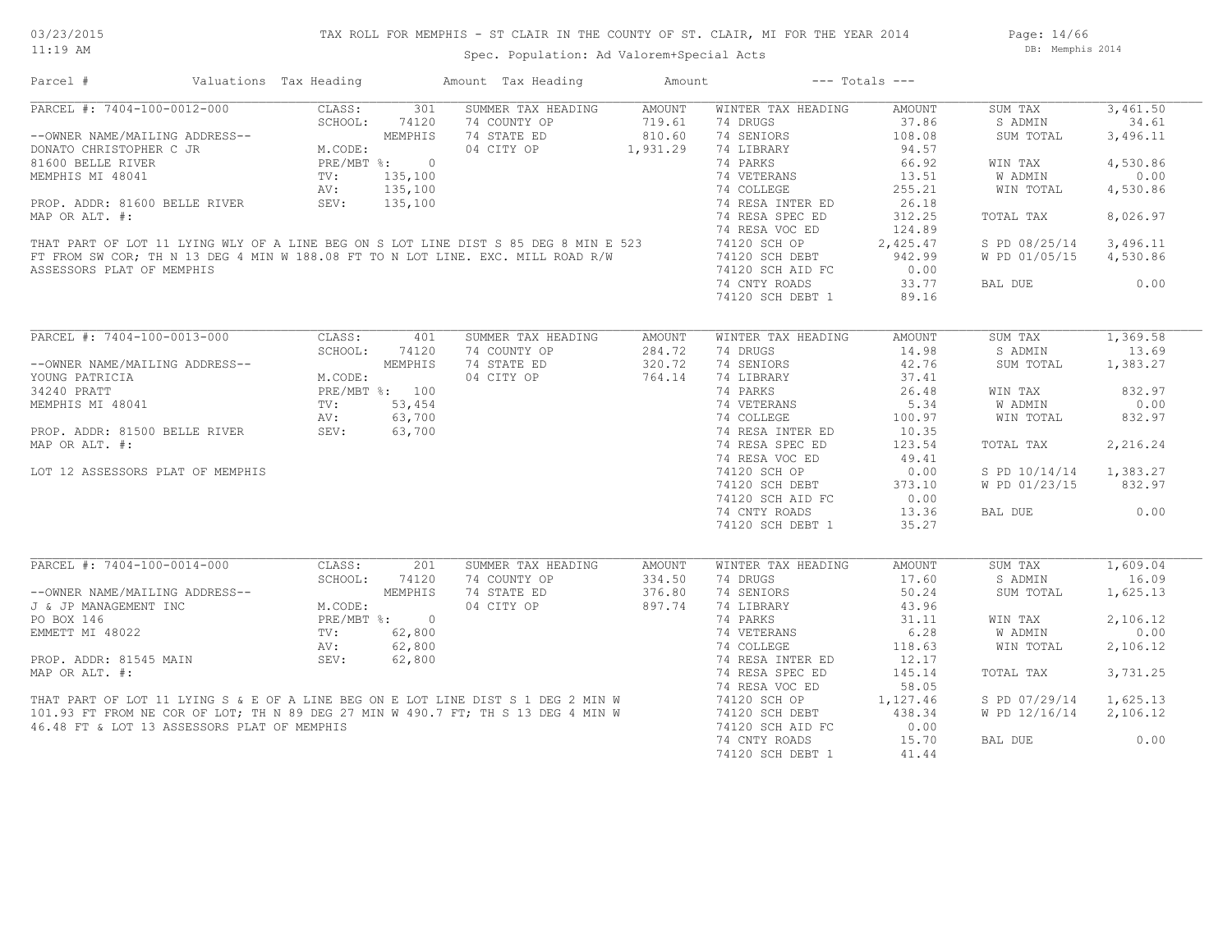# TAX ROLL FOR MEMPHIS - ST CLAIR IN THE COUNTY OF ST. CLAIR, MI FOR THE YEAR 2014

Spec. Population: Ad Valorem+Special Acts

Page: 14/66 DB: Memphis 2014

| Parcel #                                                                                                                                                                                                                         | Valuations Tax Heading |         |            | Amount Tax Heading                                                                                                                                                   | Amount   |                    | $---$ Totals $---$ |                        |          |
|----------------------------------------------------------------------------------------------------------------------------------------------------------------------------------------------------------------------------------|------------------------|---------|------------|----------------------------------------------------------------------------------------------------------------------------------------------------------------------|----------|--------------------|--------------------|------------------------|----------|
| ARCEL #: 7404-100-0012-000<br>--OWNER NAME/MAILING ADDRESS--<br>DONATO CHRISTOPHER C JR<br>81600 BELLE RIVER<br>TEMPHIS MI 48041<br>TV: 135,100<br>SEV: 135,100<br>SEV: 135,100<br>SEV: 135,100<br>29: 135,100                   |                        |         |            | SUMMER TAX HEADING                                                                                                                                                   | AMOUNT   | WINTER TAX HEADING | AMOUNT             | SUM TAX                | 3,461.50 |
|                                                                                                                                                                                                                                  |                        |         |            | 74 COUNTY OP                                                                                                                                                         | 719.61   | 74 DRUGS           | 37.86              | S ADMIN                | 34.61    |
|                                                                                                                                                                                                                                  |                        |         |            | 74 STATE ED                                                                                                                                                          | 810.60   | 74 SENIORS         | 108.08             | SUM TOTAL              | 3,496.11 |
|                                                                                                                                                                                                                                  |                        |         |            | 04 CITY OP                                                                                                                                                           | 1,931.29 | 74 LIBRARY         | 94.57              |                        |          |
|                                                                                                                                                                                                                                  |                        |         |            |                                                                                                                                                                      |          | 74 PARKS           | 66.92              | WIN TAX                | 4,530.86 |
|                                                                                                                                                                                                                                  |                        |         |            |                                                                                                                                                                      |          | 74 VETERANS        | 13.51              | W ADMIN                | 0.00     |
|                                                                                                                                                                                                                                  |                        |         |            |                                                                                                                                                                      |          | 74 COLLEGE         | 255.21             | WIN TOTAL              | 4,530.86 |
|                                                                                                                                                                                                                                  |                        |         |            |                                                                                                                                                                      |          | 74 RESA INTER ED   | 26.18              |                        |          |
| MAP OR ALT. #:                                                                                                                                                                                                                   |                        |         |            |                                                                                                                                                                      |          | 74 RESA SPEC ED    |                    | TOTAL TAX              | 8,026.97 |
|                                                                                                                                                                                                                                  |                        |         |            |                                                                                                                                                                      |          |                    | 312.25             |                        |          |
|                                                                                                                                                                                                                                  |                        |         |            |                                                                                                                                                                      |          | 74 RESA VOC ED     | 124.89             |                        |          |
|                                                                                                                                                                                                                                  |                        |         |            | THAT PART OF LOT 11 LYING WLY OF A LINE BEG ON S LOT LINE DIST S 85 DEG 8 MIN E 523                                                                                  |          | 74120 SCH OP       | 2,425.47           | S PD 08/25/14          | 3,496.11 |
|                                                                                                                                                                                                                                  |                        |         |            | FT FROM SW COR; TH N 13 DEG 4 MIN W 188.08 FT TO N LOT LINE. EXC. MILL ROAD R/W                                                                                      |          | 74120 SCH DEBT     | 942.99             | W PD 01/05/15          | 4,530.86 |
| ASSESSORS PLAT OF MEMPHIS                                                                                                                                                                                                        |                        |         |            |                                                                                                                                                                      |          | 74120 SCH AID FC   | 0.00               |                        |          |
|                                                                                                                                                                                                                                  |                        |         |            |                                                                                                                                                                      |          | 74 CNTY ROADS      | 33.77              | BAL DUE                | 0.00     |
|                                                                                                                                                                                                                                  |                        |         |            |                                                                                                                                                                      |          | 74120 SCH DEBT 1   | 89.16              |                        |          |
|                                                                                                                                                                                                                                  |                        |         |            |                                                                                                                                                                      |          |                    |                    |                        |          |
| PARCEL #: 7404-100-0013-000                                                                                                                                                                                                      |                        |         | CLASS: 401 | SUMMER TAX HEADING                                                                                                                                                   | AMOUNT   | WINTER TAX HEADING | AMOUNT             | SUM TAX                | 1,369.58 |
|                                                                                                                                                                                                                                  |                        | SCHOOL: | 74120      | 74 COUNTY OP                                                                                                                                                         | 284.72   | 74 DRUGS           | 14.98              | S ADMIN                | 13.69    |
| --OWNER NAME/MAILING ADDRESS--<br>YOUNG PATRICIA M.CODE:<br>34240 PRATT PRE/MBT %: 100<br>MEMPHIS MI 48041 TV: 53,454<br>PROP. ADDR: 81500 BELLE RIVER SEV: 63,700<br>MRD.OD.RIE #1500 BELLE RIVER SEV: 63,700                   |                        |         |            | 74 STATE ED                                                                                                                                                          | 320.72   | 74 SENIORS         | 42.76              | SUM TOTAL              | 1,383.27 |
|                                                                                                                                                                                                                                  |                        |         |            | 04 CITY OP                                                                                                                                                           | 764.14   | 74 LIBRARY         | 37.41              |                        |          |
|                                                                                                                                                                                                                                  |                        |         |            |                                                                                                                                                                      |          | 74 PARKS           | 26.48              | WIN TAX                | 832.97   |
|                                                                                                                                                                                                                                  |                        |         |            | PRE/MBT %: 100<br>TV: 53,454<br>AV: 63,700<br>SEV: 63,700                                                                                                            |          | 74 VETERANS        | 5.34               | W ADMIN                | 0.00     |
|                                                                                                                                                                                                                                  |                        |         |            |                                                                                                                                                                      |          |                    |                    |                        |          |
|                                                                                                                                                                                                                                  |                        |         |            |                                                                                                                                                                      |          | 74 COLLEGE         | 100.97             | WIN TOTAL              | 832.97   |
|                                                                                                                                                                                                                                  |                        |         |            |                                                                                                                                                                      |          | 74 RESA INTER ED   | 10.35              |                        |          |
| MAP OR ALT. #:                                                                                                                                                                                                                   |                        |         |            |                                                                                                                                                                      |          | 74 RESA SPEC ED    | 123.54             | TOTAL TAX              | 2,216.24 |
|                                                                                                                                                                                                                                  |                        |         |            |                                                                                                                                                                      |          | 74 RESA VOC ED     | 49.41              |                        |          |
| LOT 12 ASSESSORS PLAT OF MEMPHIS                                                                                                                                                                                                 |                        |         |            |                                                                                                                                                                      |          | 74120 SCH OP       | 0.00               | S PD 10/14/14          | 1,383.27 |
|                                                                                                                                                                                                                                  |                        |         |            |                                                                                                                                                                      |          | 74120 SCH DEBT     | 373.10             | W PD 01/23/15          | 832.97   |
|                                                                                                                                                                                                                                  |                        |         |            |                                                                                                                                                                      |          | 74120 SCH AID FC   | 0.00               |                        |          |
|                                                                                                                                                                                                                                  |                        |         |            |                                                                                                                                                                      |          | 74 CNTY ROADS      | 13.36              | BAL DUE                | 0.00     |
|                                                                                                                                                                                                                                  |                        |         |            |                                                                                                                                                                      |          | 74120 SCH DEBT 1   | 35.27              |                        |          |
|                                                                                                                                                                                                                                  |                        |         |            |                                                                                                                                                                      |          |                    |                    |                        |          |
| PARCEL #: 7404-100-0014-000                                                                                                                                                                                                      |                        | CLASS:  | 201        | SUMMER TAX HEADING                                                                                                                                                   | AMOUNT   | WINTER TAX HEADING | AMOUNT             | SUM TAX                | 1,609.04 |
|                                                                                                                                                                                                                                  |                        |         |            | 74 COUNTY OP                                                                                                                                                         | 334.50   | 74 DRUGS           | 17.60              | S ADMIN                | 16.09    |
|                                                                                                                                                                                                                                  |                        |         |            | 74 STATE ED                                                                                                                                                          | 376.80   | 74 SENIORS         | 50.24              | SUM TOTAL              | 1,625.13 |
|                                                                                                                                                                                                                                  |                        |         |            | 04 CITY OP                                                                                                                                                           | 897.74   | 74 LIBRARY         | 43.96              |                        |          |
|                                                                                                                                                                                                                                  |                        |         |            |                                                                                                                                                                      |          | 74 PARKS           | 31.11              |                        | 2,106.12 |
|                                                                                                                                                                                                                                  |                        |         |            |                                                                                                                                                                      |          |                    |                    | WIN TAX                | 0.00     |
|                                                                                                                                                                                                                                  |                        |         |            |                                                                                                                                                                      |          | 74 VETERANS        | 6.28               | W ADMIN                |          |
|                                                                                                                                                                                                                                  |                        |         |            |                                                                                                                                                                      |          | 74 COLLEGE         | 118.63             | WIN TOTAL              | 2,106.12 |
| SCHOOL: 74120<br>J & JP MANAGEMENT INC<br>PO BOX 146<br>EMMETT MI 48022<br>PRE/MBT %: 0<br>PRE/MBT %: 0<br>PRE/MBT %: 0<br>PRE/MBT %: 62,800<br>PRE/MBT %: 62,800<br>PRE/MBT %: 62,800<br>PRE/MBT %: 62,800<br>PRE/MBT %: 62,800 |                        |         |            |                                                                                                                                                                      |          | 74 RESA INTER ED   | 12.17              |                        |          |
| MAP OR ALT. #:                                                                                                                                                                                                                   |                        |         |            |                                                                                                                                                                      |          | 74 RESA SPEC ED    | 145.14             | TOTAL TAX              | 3,731.25 |
|                                                                                                                                                                                                                                  |                        |         |            |                                                                                                                                                                      |          | 74 RESA VOC ED     | 58.05              |                        |          |
|                                                                                                                                                                                                                                  |                        |         |            | THAT PART OF LOT 11 LYING S & E OF A LINE BEG ON E LOT LINE DIST S 1 DEG 2 MIN W<br>101.93 FT FROM NE COR OF LOT; TH N 89 DEG 27 MIN W 490.7 FT; TH S 13 DEG 4 MIN W |          | 74120 SCH OP       | 1,127.46           | S PD 07/29/14          | 1,625.13 |
|                                                                                                                                                                                                                                  |                        |         |            |                                                                                                                                                                      |          | 74120 SCH DEBT     | 438.34             | W PD 12/16/14 2,106.12 |          |
| 46.48 FT & LOT 13 ASSESSORS PLAT OF MEMPHIS                                                                                                                                                                                      |                        |         |            |                                                                                                                                                                      |          | 74120 SCH AID FC   | 0.00               |                        |          |
|                                                                                                                                                                                                                                  |                        |         |            |                                                                                                                                                                      |          | 74 CNTY ROADS      | 15.70              | BAL DUE                | 0.00     |
|                                                                                                                                                                                                                                  |                        |         |            |                                                                                                                                                                      |          | 74120 SCH DEBT 1   | 41.44              |                        |          |
|                                                                                                                                                                                                                                  |                        |         |            |                                                                                                                                                                      |          |                    |                    |                        |          |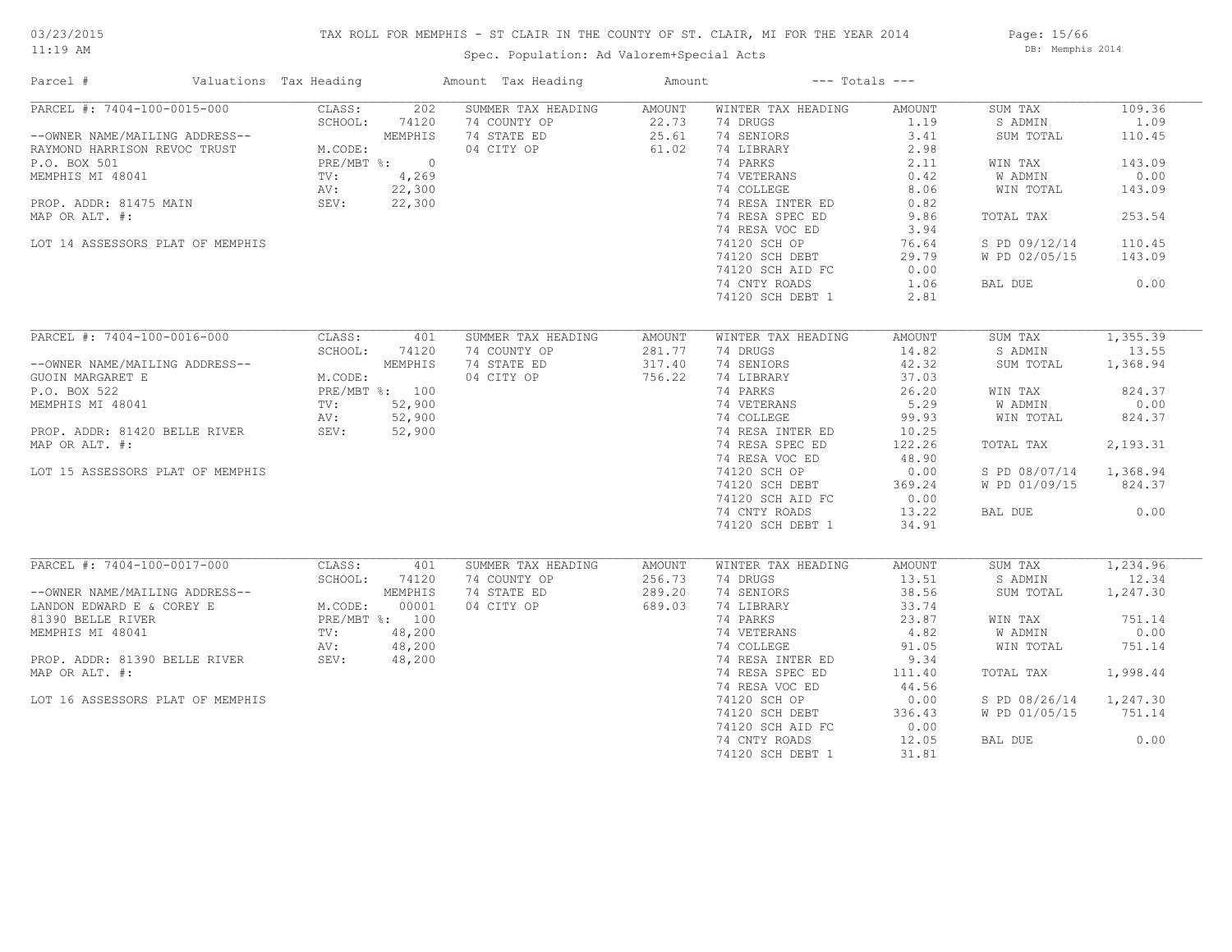# TAX ROLL FOR MEMPHIS - ST CLAIR IN THE COUNTY OF ST. CLAIR, MI FOR THE YEAR 2014

Spec. Population: Ad Valorem+Special Acts

Page: 15/66 DB: Memphis 2014

| Parcel #                                                                                                                                                                                                                                                                                                                              | Valuations Tax Heading |              | Amount Tax Heading                                              | Amount                                | $---$ Totals $---$                                                                                                                                                                                                                                                                        |                                                                                                                                    |                                                                                                                                              |                                                                                            |
|---------------------------------------------------------------------------------------------------------------------------------------------------------------------------------------------------------------------------------------------------------------------------------------------------------------------------------------|------------------------|--------------|-----------------------------------------------------------------|---------------------------------------|-------------------------------------------------------------------------------------------------------------------------------------------------------------------------------------------------------------------------------------------------------------------------------------------|------------------------------------------------------------------------------------------------------------------------------------|----------------------------------------------------------------------------------------------------------------------------------------------|--------------------------------------------------------------------------------------------|
| PARCEL #: 7404-100-0015-000<br>--OWNER NAME/MAILING ADDRESS--<br>RAYMOND HARRISON REVOC TRUST<br>P.O. BOX 501<br>MEMPHIS MI 48041<br>MEMPHIS MI 48041<br>PROP. ADDR: 81475 MAIN<br>PROP. ADDR: 81475 MAIN<br>PROP. ADDR: 81475 MAIN<br>PROP. ADDR: 81475 MAIN<br>PROP. ADDR: 81<br>MAP OR ALT. #:<br>LOT 14 ASSESSORS PLAT OF MEMPHIS | CLASS:<br>SCHOOL:      | 202<br>74120 | SUMMER TAX HEADING<br>74 COUNTY OP<br>74 STATE ED<br>04 CITY OP | AMOUNT<br>$22.73$<br>$25.61$<br>61.02 | WINTER TAX HEADING<br>74 DRUGS<br>74 SENIORS<br>74 LIBRARY<br>74 PARKS<br>74 VETERANS<br>74 COLLEGE<br>74 RESA INTER ED<br>74 RESA SPEC ED<br>74 RESA VOC ED<br>74120 SCH OP<br>74120 SCH DEBT<br>74120 SCH AID FC<br>74 CNTY ROADS<br>74120 SCH DEBT 1                                   | AMOUNT<br>1.19<br>3.41<br>2.98<br>2.11<br>$0.42$<br>8.06<br>0.82<br>9.86<br>3.94<br>76.64<br>29.79<br>0.00<br>1.06<br>2.81         | SUM TAX<br>S ADMIN<br>SUM TOTAL<br>WIN TAX<br>W ADMIN<br>WIN TOTAL<br>TOTAL TAX<br>S PD 09/12/14<br>W PD 02/05/15<br>BAL DUE                 | 109.36<br>1.09<br>110.45<br>143.09<br>0.00<br>143.09<br>253.54<br>110.45<br>143.09<br>0.00 |
| PARCEL #: 7404-100-0016-000<br>--OWNER NAME/MAILING ADDRESS--<br>GUOIN MARGARET E<br>P.O. BOX 522<br>MEMPHIS MI 48041<br>MEMPHIS MI 48041<br>PROP. ADDR: 81420 BELLE RIVER<br>MAR OP ALT #: 52,900<br>MAR OP ALT #: 52,900<br>MAR OP ALT #: 52,900<br>MAP OR ALT. #:<br>LOT 15 ASSESSORS PLAT OF MEMPHIS                              | CLASS:<br>SCHOOL:      | 401<br>74120 | SUMMER TAX HEADING<br>74 COUNTY OP<br>74 STATE ED<br>04 CITY OP | AMOUNT<br>281.77<br>317.40<br>756.22  | WINTER TAX HEADING<br>74 DRUGS<br>74 SENIORS<br>74 LIBRARY<br>74 PARKS<br>4 PARKS 26.20<br>74 VETERANS 5.29<br>74 COLLEGE 99.93<br>74 RESA INTER ED 10.25<br>74 RESA SPEC ED<br>74 RESA VOC ED<br>74120 SCH OP<br>74120 SCH DEBT<br>74120 SCH AID FC<br>74 CNTY ROADS<br>74120 SCH DEBT 1 | AMOUNT<br>14.82<br>42.32<br>37.03<br>26.20<br>122.26<br>48.90<br>0.00<br>369.24<br>0.00<br>13.22<br>34.91                          | SUM TAX<br>S ADMIN<br>SUM TOTAL<br>WIN TAX<br>W ADMIN<br>WIN TOTAL<br>TOTAL TAX<br>S PD 08/07/14 1,368.94<br>W PD 01/09/15 824.37<br>BAL DUE | 1,355.39<br>13.55<br>1,368.94<br>824.37<br>0.00<br>824.37<br>2,193.31<br>0.00              |
| PARCEL #: 7404-100-0017-000<br>--OWNER NAME/MAILING ADDRESS--<br>LANDON EDWARD E & COREY E<br>M.CODE: 00001<br>81390 BELLE RIVER<br>MEMPHIS MI 48041<br>PROP. ADDR: 81390 BELLE RIVER<br>PROP. ADDR: 81390 BELLE RIVER<br>PROP. ADDR: 81390 BELLE RIVER<br>SEV: 48,200<br>PROP.<br>MAP OR ALT. #:<br>LOT 16 ASSESSORS PLAT OF MEMPHIS | CLASS:<br>SCHOOL:      | 401<br>74120 | SUMMER TAX HEADING<br>74 COUNTY OP<br>74 STATE ED<br>04 CITY OP | AMOUNT<br>256.73<br>289.20<br>689.03  | WINTER TAX HEADING<br>74 DRUGS<br>74 SENIORS<br>74 LIBRARY<br>74 PARKS<br>74 VETERANS<br>74 COLLEGE<br>74 RESA INTER ED<br>74 RESA SPEC ED<br>74 RESA VOC ED<br>74120 SCH OP<br>74120 SCH DEBT<br>74120 SCH AID FC<br>74 CNTY ROADS<br>74120 SCH DEBT 1                                   | AMOUNT<br>13.51<br>38.56<br>33.74<br>23.87<br>4.82<br>91.05<br>9.34<br>111.40<br>44.56<br>0.00<br>336.43<br>0.00<br>12.05<br>31.81 | SUM TAX<br>S ADMIN<br>SUM TOTAL<br>WIN TAX<br>W ADMIN<br>WIN TOTAL<br>TOTAL TAX<br>S PD 08/26/14 1,247.30<br>W PD 01/05/15<br>BAL DUE        | 1,234.96<br>12.34<br>1,247.30<br>751.14<br>0.00<br>751.14<br>1,998.44<br>751.14<br>0.00    |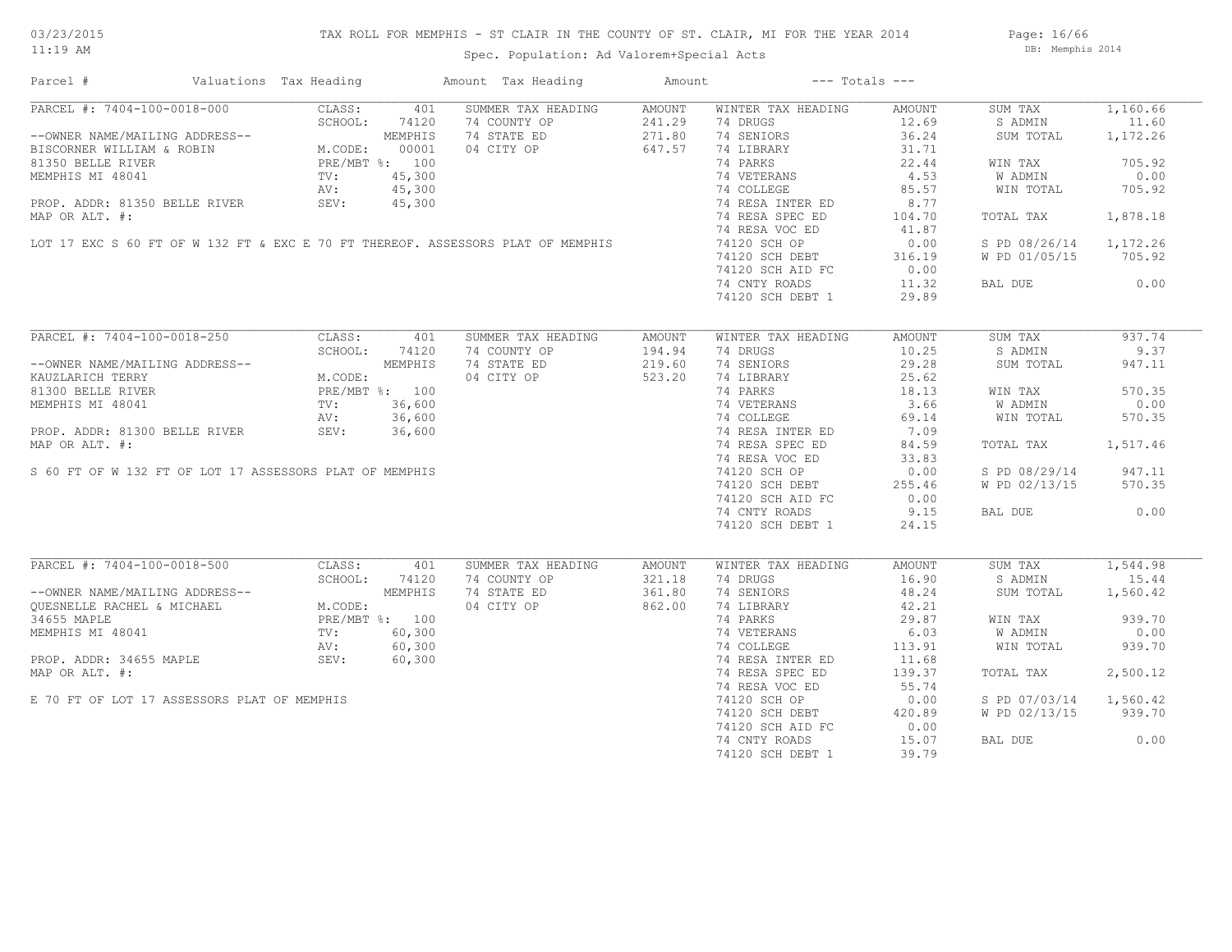# TAX ROLL FOR MEMPHIS - ST CLAIR IN THE COUNTY OF ST. CLAIR, MI FOR THE YEAR 2014

Spec. Population: Ad Valorem+Special Acts

Page: 16/66 DB: Memphis 2014

| Parcel #                                                                                                                                                                                                            | Valuations Tax Heading                                                |        | Amount Tax Heading                                                              | Amount | $---$ Totals $---$        |                 |               |          |
|---------------------------------------------------------------------------------------------------------------------------------------------------------------------------------------------------------------------|-----------------------------------------------------------------------|--------|---------------------------------------------------------------------------------|--------|---------------------------|-----------------|---------------|----------|
| PARCEL #: 7404-100-0018-000                                                                                                                                                                                         | CLASS:                                                                | 401    | SUMMER TAX HEADING                                                              | AMOUNT | WINTER TAX HEADING        | AMOUNT          | SUM TAX       | 1,160.66 |
|                                                                                                                                                                                                                     | SCHOOL:                                                               | 74120  | 74 COUNTY OP                                                                    | 241.29 | 74 DRUGS                  | 12.69           | S ADMIN       | 11.60    |
| --OWNER NAME/MAILING ADDRESS--<br>BISCORNER WILLIAM & ROBIN M.CODE: 00001<br>81350 BELLE RIVER PRE/MBT %: 100                                                                                                       |                                                                       |        | 74 STATE ED                                                                     | 271.80 | 74 SENIORS                | 36.24           | SUM TOTAL     | 1,172.26 |
|                                                                                                                                                                                                                     |                                                                       |        | 04 CITY OP                                                                      | 647.57 | 74 LIBRARY                | 31.71           |               |          |
|                                                                                                                                                                                                                     |                                                                       |        |                                                                                 |        | 74 PARKS                  | 22.44           | WIN TAX       | 705.92   |
| MEMPHIS MI 48041                                                                                                                                                                                                    | TV:                                                                   | 45,300 |                                                                                 |        | 74 VETERANS               | 4.53            | W ADMIN       | 0.00     |
|                                                                                                                                                                                                                     | AV:                                                                   | 45,300 |                                                                                 |        | 74 COLLEGE                | 85.57           | WIN TOTAL     | 705.92   |
| PROP. ADDR: 81350 BELLE RIVER SEV:                                                                                                                                                                                  |                                                                       | 45,300 |                                                                                 |        | 74 RESA INTER ED          | 8.77            |               |          |
| MAP OR ALT. #:                                                                                                                                                                                                      |                                                                       |        |                                                                                 |        | 74 RESA SPEC ED           |                 |               |          |
|                                                                                                                                                                                                                     |                                                                       |        |                                                                                 |        | 74 RESA VOC ED            | 104.70<br>41.87 | TOTAL TAX     | 1,878.18 |
|                                                                                                                                                                                                                     |                                                                       |        |                                                                                 |        |                           |                 |               |          |
|                                                                                                                                                                                                                     |                                                                       |        | LOT 17 EXC S 60 FT OF W 132 FT & EXC E 70 FT THEREOF. ASSESSORS PLAT OF MEMPHIS |        | 74120 SCH OP              | 0.00            | S PD 08/26/14 | 1,172.26 |
|                                                                                                                                                                                                                     |                                                                       |        |                                                                                 |        | 74120 SCH DEBT            | 316.19          | W PD 01/05/15 | 705.92   |
|                                                                                                                                                                                                                     |                                                                       |        |                                                                                 |        | 74120 SCH AID FC          | 0.00            |               |          |
|                                                                                                                                                                                                                     |                                                                       |        |                                                                                 |        | 74 CNTY ROADS             | 11.32           | BAL DUE       | 0.00     |
|                                                                                                                                                                                                                     |                                                                       |        |                                                                                 |        | 74120 SCH DEBT 1          | 29.89           |               |          |
|                                                                                                                                                                                                                     |                                                                       |        |                                                                                 |        |                           |                 |               |          |
| PARCEL #: 7404-100-0018-250                                                                                                                                                                                         | CLASS:                                                                | 401    | SUMMER TAX HEADING                                                              | AMOUNT | WINTER TAX HEADING        | AMOUNT          | SUM TAX       | 937.74   |
|                                                                                                                                                                                                                     | SCHOOL:                                                               | 74120  | 74 COUNTY OP                                                                    | 194.94 | 74 DRUGS                  | 10.25           | S ADMIN       | 9.37     |
| --OWNER NAME/MAILING ADDRESS--                                                                                                                                                                                      | NG ADDRESS--<br>M.CODE:<br>PRE/MBT %: 100<br>TV: 36,600<br>AV. 22.500 |        | 74 STATE ED                                                                     | 219.60 | 74 SENIORS                | 29.28           | SUM TOTAL     | 947.11   |
| KAUZLARICH TERRY                                                                                                                                                                                                    |                                                                       |        | 04 CITY OP                                                                      | 523.20 | 74 LIBRARY                | 25.62           |               |          |
| 81300 BELLE RIVER                                                                                                                                                                                                   |                                                                       |        |                                                                                 |        | 74 PARKS                  | 18.13           | WIN TAX       | 570.35   |
| MEMPHIS MI 48041                                                                                                                                                                                                    |                                                                       |        |                                                                                 |        | 74 VETERANS<br>74 COLLEGE | 3.66            | W ADMIN       | 0.00     |
|                                                                                                                                                                                                                     | AV:                                                                   | 36,600 |                                                                                 |        |                           | 69.14           | WIN TOTAL     | 570.35   |
| PROP. ADDR: 81300 BELLE RIVER                                                                                                                                                                                       | SEV:                                                                  | 36,600 |                                                                                 |        | 74 RESA INTER ED          | 7.09            |               |          |
| MAP OR ALT. #:                                                                                                                                                                                                      |                                                                       |        |                                                                                 |        | 74 RESA SPEC ED           | 84.59           | TOTAL TAX     | 1,517.46 |
|                                                                                                                                                                                                                     |                                                                       |        |                                                                                 |        | 74 RESA VOC ED            | 33.83           |               |          |
| S 60 FT OF W 132 FT OF LOT 17 ASSESSORS PLAT OF MEMPHIS                                                                                                                                                             |                                                                       |        |                                                                                 |        | 74120 SCH OP              | 0.00            | S PD 08/29/14 | 947.11   |
|                                                                                                                                                                                                                     |                                                                       |        |                                                                                 |        | 74120 SCH DEBT            | 255.46          | W PD 02/13/15 | 570.35   |
|                                                                                                                                                                                                                     |                                                                       |        |                                                                                 |        | 74120 SCH AID FC          | 0.00            |               |          |
|                                                                                                                                                                                                                     |                                                                       |        |                                                                                 |        | 74 CNTY ROADS             | 9.15            | BAL DUE       | 0.00     |
|                                                                                                                                                                                                                     |                                                                       |        |                                                                                 |        |                           |                 |               |          |
|                                                                                                                                                                                                                     |                                                                       |        |                                                                                 |        | 74120 SCH DEBT 1          | 24.15           |               |          |
| PARCEL #: 7404-100-0018-500                                                                                                                                                                                         | CLASS:                                                                | 401    | SUMMER TAX HEADING                                                              | AMOUNT | WINTER TAX HEADING        | AMOUNT          | SUM TAX       | 1,544.98 |
|                                                                                                                                                                                                                     | SCHOOL:                                                               | 74120  | 74 COUNTY OP                                                                    | 321.18 | 74 DRUGS                  | 16.90           | S ADMIN       | 15.44    |
|                                                                                                                                                                                                                     |                                                                       |        | 74 STATE ED                                                                     | 361.80 | 74 SENIORS                | 48.24           | SUM TOTAL     | 1,560.42 |
| --OWNER NAME/MAILING ADDRESS--<br>QUESNELLE RACHEL & MICHAEL<br>34655 MAPLE<br>MEMPHIS MI 48041<br>MEMPHIS MI 48041<br>PROP. ADDR: 34655 MAPLE<br>PROP. ADDR: 34655 MAPLE<br>PROP. ADDR: 34655 MAPLE<br>SEV: 60,300 |                                                                       |        | 04 CITY OP                                                                      | 862.00 | 74 LIBRARY                | 42.21           |               |          |
|                                                                                                                                                                                                                     |                                                                       |        |                                                                                 |        | 74 PARKS                  | 29.87           | WIN TAX       | 939.70   |
|                                                                                                                                                                                                                     |                                                                       |        |                                                                                 |        | 74 VETERANS               | 6.03            | W ADMIN       | 0.00     |
|                                                                                                                                                                                                                     |                                                                       |        |                                                                                 |        |                           |                 |               |          |
|                                                                                                                                                                                                                     |                                                                       |        |                                                                                 |        | 74 COLLEGE                | 113.91          | WIN TOTAL     | 939.70   |
|                                                                                                                                                                                                                     |                                                                       |        |                                                                                 |        | 74 RESA INTER ED          | 11.68           |               |          |
| MAP OR ALT. #:                                                                                                                                                                                                      |                                                                       |        |                                                                                 |        | 74 RESA SPEC ED           | 139.37          | TOTAL TAX     | 2,500.12 |
|                                                                                                                                                                                                                     |                                                                       |        |                                                                                 |        | 74 RESA VOC ED            | 55.74           |               |          |
| E 70 FT OF LOT 17 ASSESSORS PLAT OF MEMPHIS                                                                                                                                                                         |                                                                       |        |                                                                                 |        | 74120 SCH OP              | 0.00            | S PD 07/03/14 | 1,560.42 |
|                                                                                                                                                                                                                     |                                                                       |        |                                                                                 |        | 74120 SCH DEBT            | 420.89          | W PD 02/13/15 | 939.70   |
|                                                                                                                                                                                                                     |                                                                       |        |                                                                                 |        | 74120 SCH AID FC          | 0.00            |               |          |
|                                                                                                                                                                                                                     |                                                                       |        |                                                                                 |        | 74 CNTY ROADS             | 15.07           | BAL DUE       | 0.00     |
|                                                                                                                                                                                                                     |                                                                       |        |                                                                                 |        | 74120 SCH DEBT 1          | 39.79           |               |          |
|                                                                                                                                                                                                                     |                                                                       |        |                                                                                 |        |                           |                 |               |          |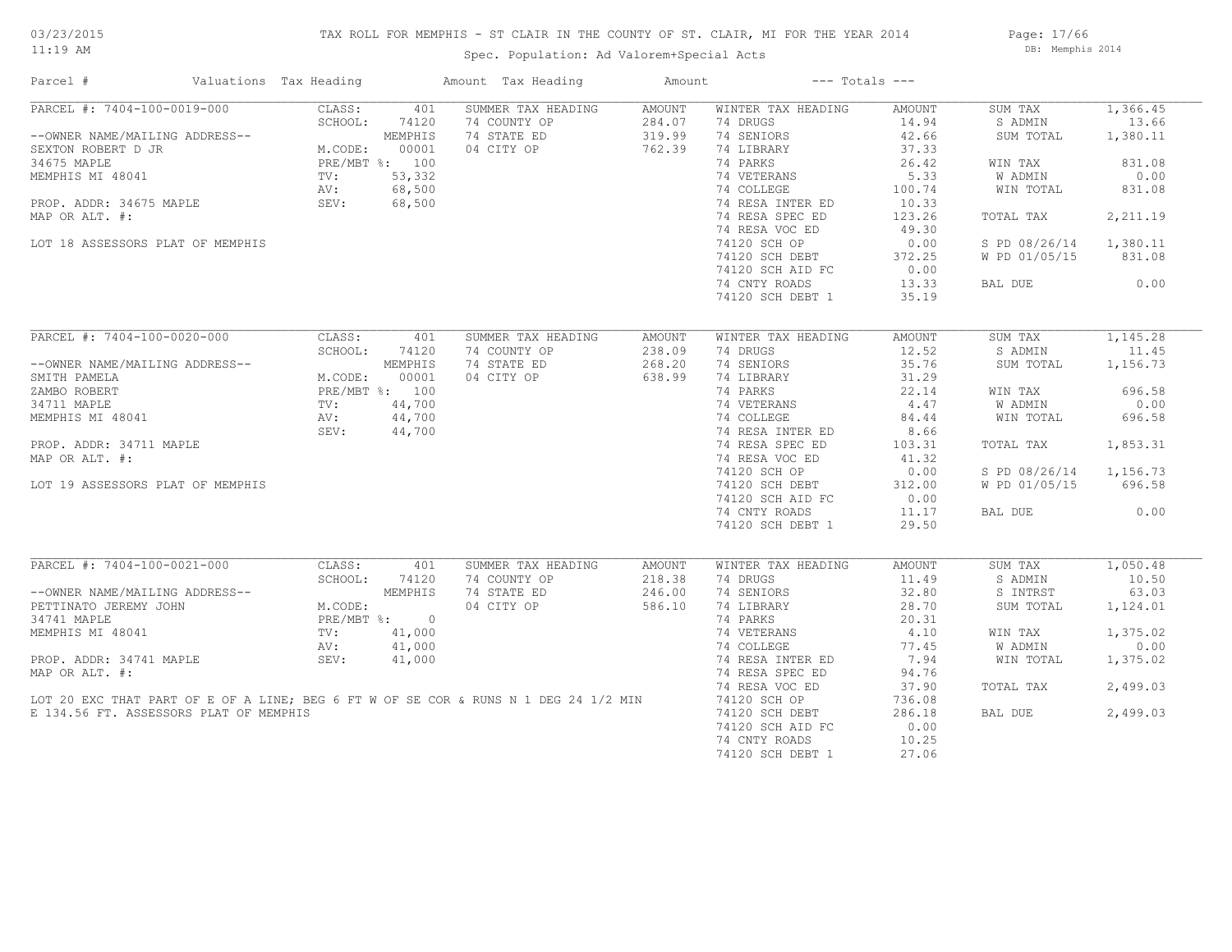# TAX ROLL FOR MEMPHIS - ST CLAIR IN THE COUNTY OF ST. CLAIR, MI FOR THE YEAR 2014

Spec. Population: Ad Valorem+Special Acts

Page: 17/66 DB: Memphis 2014

| SUMMER TAX HEADING<br>1,366.45<br>CLASS:<br>401<br>AMOUNT<br>WINTER TAX HEADING<br>AMOUNT<br>SUM TAX<br>PARCEL #: 7404-100-0019-000<br>-OWNER NAME/MAILING ADDRESS--<br>SEXTON ROBERT D JR<br>SEXTON ROBERT D JR<br>34675 MAPLE<br>M.CODE: 00001<br>PRE/MBT %: 100<br>MEMPHIS MI 48041<br>TV: 53,332<br>PROP. ADDR: 34675 MAPLE<br>PRE/MBT %: 100<br>NU: 68,<br>74 COUNTY OP<br>284.07<br>74 DRUGS<br>14.94<br>13.66<br>S ADMIN<br>74 STATE ED<br>319.99<br>74 SENIORS<br>42.66<br>SUM TOTAL<br>1,380.11<br>04 CITY OP<br>762.39<br>74 LIBRARY<br>37.33<br>74 PARKS<br>26.42<br>831.08<br>WIN TAX<br>74 VETERANS<br>5.33<br>W ADMIN<br>0.00<br>74 COLLEGE<br>100.74<br>WIN TOTAL<br>831.08<br>74 RESA INTER ED<br>10.33<br>74 RESA SPEC ED<br>MAP OR ALT. #:<br>123.26<br>TOTAL TAX<br>2,211.19<br>74 RESA VOC ED<br>49.30<br>74120 SCH OP<br>LOT 18 ASSESSORS PLAT OF MEMPHIS<br>0.00<br>S PD 08/26/14<br>1,380.11<br>372.25<br>74120 SUN U-<br>74120 SCH DEBT<br>- 11 ATD FC<br>W PD 01/05/15<br>831.08<br>0.00<br>13.33<br>0.00<br>74 CNTY ROADS<br>BAL DUE<br>35.19<br>74120 SCH DEBT 1<br>PARCEL #: 7404-100-0020-000<br>CLASS:<br>401<br>SUMMER TAX HEADING<br>WINTER TAX HEADING<br>AMOUNT<br>SUM TAX<br>1,145.28<br>AMOUNT<br>SCHOOL:<br>74120<br>74 COUNTY OP<br>238.09<br>74 DRUGS<br>12.52<br>S ADMIN<br>11.45<br>74 STATE ED<br>268.20<br>74 SENIORS<br>35.76<br>SUM TOTAL<br>1,156.73<br>--OWNER NAME/MAILING ADDRESS--<br>SMITH PAMELA M.CODE: 00001<br>ZAMBO ROBERT PRE/MBT %: 100<br>34711 MAPLE TV: 44,700<br>MEMPHIS MI 48041 AV: 44,700<br>SEV: 44,700<br>SEV: 44,700<br>04 CITY OP<br>638.99<br>74 LIBRARY<br>31.29<br>74 PARKS<br>696.58<br>22.14<br>WIN TAX<br>74 VETERANS<br>8: 100<br>44,700<br>44,700<br>44,700<br>$4.47$<br>W ADMIN<br>0.00<br>74 COLLEGE<br>84.44<br>WIN TOTAL<br>696.58<br>74 RESA INTER ED<br>8.66<br>74 RESA SPEC ED<br>PROP. ADDR: 34711 MAPLE<br>1,853.31<br>103.31<br>TOTAL TAX<br>MAP OR ALT. #:<br>74 RESA VOC ED<br>41.32<br>74120 SCH OP<br>0.00<br>S PD 08/26/14 1,156.73<br>LOT 19 ASSESSORS PLAT OF MEMPHIS<br>74120 SCH DEBT<br>312.00<br>W PD 01/05/15<br>696.58<br>74120 SCH AID FC<br>0.00<br>0.00<br>74 CNTY ROADS<br>11.17<br>BAL DUE<br>29.50<br>74120 SCH DEBT 1<br>$\overline{\text{PARCH}}$ #: 7404-100-0021-000<br>1,050.48<br>SUMMER TAX HEADING<br>WINTER TAX HEADING<br>SUM TAX<br>AMOUNT<br>AMOUNT<br>74 COUNTY OP<br>218.38<br>74 DRUGS<br>10.50<br>11.49<br>S ADMIN<br>--OWNER NAME/MAILING ADDRESS--<br>74 STATE ED<br>246.00<br>74 SENIORS<br>32.80<br>S INTRST<br>63.03<br>PETTINATO JEREMY JOHN<br>04 CITY OP<br>586.10<br>74 LIBRARY<br>28.70<br>1,124.01<br>SUM TOTAL<br>34741 MAPLE<br>74 PARKS<br>20.31<br>4.10<br>1,375.02<br>MEMPHIS MI 48041<br>74 VETERANS<br>WIN TAX<br>R<br>ED<br>S<br>W ADMIN<br>74 COLLEGE<br>77.45<br>0.00<br>PROP. ADDR: 34741 MAPLE<br>SEV:<br>41,000<br>74 RESA INTER ED<br>7.94<br>1,375.02<br>WIN TOTAL<br>MAP OR ALT. #:<br>74 RESA SPEC ED<br>94.76<br>37.90<br>74 RESA VOC ED<br>TOTAL TAX<br>2,499.03<br>LOT 20 EXC THAT PART OF E OF A LINE; BEG 6 FT W OF SE COR & RUNS N 1 DEG 24 1/2 MIN<br>74120 SCH OP<br>736.08<br>74120 SCH DEBT<br>286.18<br>2,499.03<br>E 134.56 FT. ASSESSORS PLAT OF MEMPHIS<br>BAL DUE<br>74120 SCH AID FC<br>0.00<br>74 CNTY ROADS<br>10.25<br>74120 SCH DEBT 1<br>27.06 | Parcel #                    | Valuations Tax Heading | Amount Tax Heading | Amount | $---$ Totals $---$ |  |  |
|---------------------------------------------------------------------------------------------------------------------------------------------------------------------------------------------------------------------------------------------------------------------------------------------------------------------------------------------------------------------------------------------------------------------------------------------------------------------------------------------------------------------------------------------------------------------------------------------------------------------------------------------------------------------------------------------------------------------------------------------------------------------------------------------------------------------------------------------------------------------------------------------------------------------------------------------------------------------------------------------------------------------------------------------------------------------------------------------------------------------------------------------------------------------------------------------------------------------------------------------------------------------------------------------------------------------------------------------------------------------------------------------------------------------------------------------------------------------------------------------------------------------------------------------------------------------------------------------------------------------------------------------------------------------------------------------------------------------------------------------------------------------------------------------------------------------------------------------------------------------------------------------------------------------------------------------------------------------------------------------------------------------------------------------------------------------------------------------------------------------------------------------------------------------------------------------------------------------------------------------------------------------------------------------------------------------------------------------------------------------------------------------------------------------------------------------------------------------------------------------------------------------------------------------------------------------------------------------------------------------------------------------------------------------------------------------------------------------------------------------------------------------------------------------------------------------------------------------------------------------------------------------------------------------------------------------------------------------------------------------------------------------------------------------------------------------------------------------------------------------------------------------------------------------------------------------------------------------------------------------------------------------------------------------------------------------------|-----------------------------|------------------------|--------------------|--------|--------------------|--|--|
|                                                                                                                                                                                                                                                                                                                                                                                                                                                                                                                                                                                                                                                                                                                                                                                                                                                                                                                                                                                                                                                                                                                                                                                                                                                                                                                                                                                                                                                                                                                                                                                                                                                                                                                                                                                                                                                                                                                                                                                                                                                                                                                                                                                                                                                                                                                                                                                                                                                                                                                                                                                                                                                                                                                                                                                                                                                                                                                                                                                                                                                                                                                                                                                                                                                                                                                           | PARCEL #: 7404-100-0019-000 |                        |                    |        |                    |  |  |
|                                                                                                                                                                                                                                                                                                                                                                                                                                                                                                                                                                                                                                                                                                                                                                                                                                                                                                                                                                                                                                                                                                                                                                                                                                                                                                                                                                                                                                                                                                                                                                                                                                                                                                                                                                                                                                                                                                                                                                                                                                                                                                                                                                                                                                                                                                                                                                                                                                                                                                                                                                                                                                                                                                                                                                                                                                                                                                                                                                                                                                                                                                                                                                                                                                                                                                                           |                             |                        |                    |        |                    |  |  |
|                                                                                                                                                                                                                                                                                                                                                                                                                                                                                                                                                                                                                                                                                                                                                                                                                                                                                                                                                                                                                                                                                                                                                                                                                                                                                                                                                                                                                                                                                                                                                                                                                                                                                                                                                                                                                                                                                                                                                                                                                                                                                                                                                                                                                                                                                                                                                                                                                                                                                                                                                                                                                                                                                                                                                                                                                                                                                                                                                                                                                                                                                                                                                                                                                                                                                                                           |                             |                        |                    |        |                    |  |  |
|                                                                                                                                                                                                                                                                                                                                                                                                                                                                                                                                                                                                                                                                                                                                                                                                                                                                                                                                                                                                                                                                                                                                                                                                                                                                                                                                                                                                                                                                                                                                                                                                                                                                                                                                                                                                                                                                                                                                                                                                                                                                                                                                                                                                                                                                                                                                                                                                                                                                                                                                                                                                                                                                                                                                                                                                                                                                                                                                                                                                                                                                                                                                                                                                                                                                                                                           |                             |                        |                    |        |                    |  |  |
|                                                                                                                                                                                                                                                                                                                                                                                                                                                                                                                                                                                                                                                                                                                                                                                                                                                                                                                                                                                                                                                                                                                                                                                                                                                                                                                                                                                                                                                                                                                                                                                                                                                                                                                                                                                                                                                                                                                                                                                                                                                                                                                                                                                                                                                                                                                                                                                                                                                                                                                                                                                                                                                                                                                                                                                                                                                                                                                                                                                                                                                                                                                                                                                                                                                                                                                           |                             |                        |                    |        |                    |  |  |
|                                                                                                                                                                                                                                                                                                                                                                                                                                                                                                                                                                                                                                                                                                                                                                                                                                                                                                                                                                                                                                                                                                                                                                                                                                                                                                                                                                                                                                                                                                                                                                                                                                                                                                                                                                                                                                                                                                                                                                                                                                                                                                                                                                                                                                                                                                                                                                                                                                                                                                                                                                                                                                                                                                                                                                                                                                                                                                                                                                                                                                                                                                                                                                                                                                                                                                                           |                             |                        |                    |        |                    |  |  |
|                                                                                                                                                                                                                                                                                                                                                                                                                                                                                                                                                                                                                                                                                                                                                                                                                                                                                                                                                                                                                                                                                                                                                                                                                                                                                                                                                                                                                                                                                                                                                                                                                                                                                                                                                                                                                                                                                                                                                                                                                                                                                                                                                                                                                                                                                                                                                                                                                                                                                                                                                                                                                                                                                                                                                                                                                                                                                                                                                                                                                                                                                                                                                                                                                                                                                                                           |                             |                        |                    |        |                    |  |  |
|                                                                                                                                                                                                                                                                                                                                                                                                                                                                                                                                                                                                                                                                                                                                                                                                                                                                                                                                                                                                                                                                                                                                                                                                                                                                                                                                                                                                                                                                                                                                                                                                                                                                                                                                                                                                                                                                                                                                                                                                                                                                                                                                                                                                                                                                                                                                                                                                                                                                                                                                                                                                                                                                                                                                                                                                                                                                                                                                                                                                                                                                                                                                                                                                                                                                                                                           |                             |                        |                    |        |                    |  |  |
|                                                                                                                                                                                                                                                                                                                                                                                                                                                                                                                                                                                                                                                                                                                                                                                                                                                                                                                                                                                                                                                                                                                                                                                                                                                                                                                                                                                                                                                                                                                                                                                                                                                                                                                                                                                                                                                                                                                                                                                                                                                                                                                                                                                                                                                                                                                                                                                                                                                                                                                                                                                                                                                                                                                                                                                                                                                                                                                                                                                                                                                                                                                                                                                                                                                                                                                           |                             |                        |                    |        |                    |  |  |
|                                                                                                                                                                                                                                                                                                                                                                                                                                                                                                                                                                                                                                                                                                                                                                                                                                                                                                                                                                                                                                                                                                                                                                                                                                                                                                                                                                                                                                                                                                                                                                                                                                                                                                                                                                                                                                                                                                                                                                                                                                                                                                                                                                                                                                                                                                                                                                                                                                                                                                                                                                                                                                                                                                                                                                                                                                                                                                                                                                                                                                                                                                                                                                                                                                                                                                                           |                             |                        |                    |        |                    |  |  |
|                                                                                                                                                                                                                                                                                                                                                                                                                                                                                                                                                                                                                                                                                                                                                                                                                                                                                                                                                                                                                                                                                                                                                                                                                                                                                                                                                                                                                                                                                                                                                                                                                                                                                                                                                                                                                                                                                                                                                                                                                                                                                                                                                                                                                                                                                                                                                                                                                                                                                                                                                                                                                                                                                                                                                                                                                                                                                                                                                                                                                                                                                                                                                                                                                                                                                                                           |                             |                        |                    |        |                    |  |  |
|                                                                                                                                                                                                                                                                                                                                                                                                                                                                                                                                                                                                                                                                                                                                                                                                                                                                                                                                                                                                                                                                                                                                                                                                                                                                                                                                                                                                                                                                                                                                                                                                                                                                                                                                                                                                                                                                                                                                                                                                                                                                                                                                                                                                                                                                                                                                                                                                                                                                                                                                                                                                                                                                                                                                                                                                                                                                                                                                                                                                                                                                                                                                                                                                                                                                                                                           |                             |                        |                    |        |                    |  |  |
|                                                                                                                                                                                                                                                                                                                                                                                                                                                                                                                                                                                                                                                                                                                                                                                                                                                                                                                                                                                                                                                                                                                                                                                                                                                                                                                                                                                                                                                                                                                                                                                                                                                                                                                                                                                                                                                                                                                                                                                                                                                                                                                                                                                                                                                                                                                                                                                                                                                                                                                                                                                                                                                                                                                                                                                                                                                                                                                                                                                                                                                                                                                                                                                                                                                                                                                           |                             |                        |                    |        |                    |  |  |
|                                                                                                                                                                                                                                                                                                                                                                                                                                                                                                                                                                                                                                                                                                                                                                                                                                                                                                                                                                                                                                                                                                                                                                                                                                                                                                                                                                                                                                                                                                                                                                                                                                                                                                                                                                                                                                                                                                                                                                                                                                                                                                                                                                                                                                                                                                                                                                                                                                                                                                                                                                                                                                                                                                                                                                                                                                                                                                                                                                                                                                                                                                                                                                                                                                                                                                                           |                             |                        |                    |        |                    |  |  |
|                                                                                                                                                                                                                                                                                                                                                                                                                                                                                                                                                                                                                                                                                                                                                                                                                                                                                                                                                                                                                                                                                                                                                                                                                                                                                                                                                                                                                                                                                                                                                                                                                                                                                                                                                                                                                                                                                                                                                                                                                                                                                                                                                                                                                                                                                                                                                                                                                                                                                                                                                                                                                                                                                                                                                                                                                                                                                                                                                                                                                                                                                                                                                                                                                                                                                                                           |                             |                        |                    |        |                    |  |  |
|                                                                                                                                                                                                                                                                                                                                                                                                                                                                                                                                                                                                                                                                                                                                                                                                                                                                                                                                                                                                                                                                                                                                                                                                                                                                                                                                                                                                                                                                                                                                                                                                                                                                                                                                                                                                                                                                                                                                                                                                                                                                                                                                                                                                                                                                                                                                                                                                                                                                                                                                                                                                                                                                                                                                                                                                                                                                                                                                                                                                                                                                                                                                                                                                                                                                                                                           |                             |                        |                    |        |                    |  |  |
|                                                                                                                                                                                                                                                                                                                                                                                                                                                                                                                                                                                                                                                                                                                                                                                                                                                                                                                                                                                                                                                                                                                                                                                                                                                                                                                                                                                                                                                                                                                                                                                                                                                                                                                                                                                                                                                                                                                                                                                                                                                                                                                                                                                                                                                                                                                                                                                                                                                                                                                                                                                                                                                                                                                                                                                                                                                                                                                                                                                                                                                                                                                                                                                                                                                                                                                           |                             |                        |                    |        |                    |  |  |
|                                                                                                                                                                                                                                                                                                                                                                                                                                                                                                                                                                                                                                                                                                                                                                                                                                                                                                                                                                                                                                                                                                                                                                                                                                                                                                                                                                                                                                                                                                                                                                                                                                                                                                                                                                                                                                                                                                                                                                                                                                                                                                                                                                                                                                                                                                                                                                                                                                                                                                                                                                                                                                                                                                                                                                                                                                                                                                                                                                                                                                                                                                                                                                                                                                                                                                                           |                             |                        |                    |        |                    |  |  |
|                                                                                                                                                                                                                                                                                                                                                                                                                                                                                                                                                                                                                                                                                                                                                                                                                                                                                                                                                                                                                                                                                                                                                                                                                                                                                                                                                                                                                                                                                                                                                                                                                                                                                                                                                                                                                                                                                                                                                                                                                                                                                                                                                                                                                                                                                                                                                                                                                                                                                                                                                                                                                                                                                                                                                                                                                                                                                                                                                                                                                                                                                                                                                                                                                                                                                                                           |                             |                        |                    |        |                    |  |  |
|                                                                                                                                                                                                                                                                                                                                                                                                                                                                                                                                                                                                                                                                                                                                                                                                                                                                                                                                                                                                                                                                                                                                                                                                                                                                                                                                                                                                                                                                                                                                                                                                                                                                                                                                                                                                                                                                                                                                                                                                                                                                                                                                                                                                                                                                                                                                                                                                                                                                                                                                                                                                                                                                                                                                                                                                                                                                                                                                                                                                                                                                                                                                                                                                                                                                                                                           |                             |                        |                    |        |                    |  |  |
|                                                                                                                                                                                                                                                                                                                                                                                                                                                                                                                                                                                                                                                                                                                                                                                                                                                                                                                                                                                                                                                                                                                                                                                                                                                                                                                                                                                                                                                                                                                                                                                                                                                                                                                                                                                                                                                                                                                                                                                                                                                                                                                                                                                                                                                                                                                                                                                                                                                                                                                                                                                                                                                                                                                                                                                                                                                                                                                                                                                                                                                                                                                                                                                                                                                                                                                           |                             |                        |                    |        |                    |  |  |
|                                                                                                                                                                                                                                                                                                                                                                                                                                                                                                                                                                                                                                                                                                                                                                                                                                                                                                                                                                                                                                                                                                                                                                                                                                                                                                                                                                                                                                                                                                                                                                                                                                                                                                                                                                                                                                                                                                                                                                                                                                                                                                                                                                                                                                                                                                                                                                                                                                                                                                                                                                                                                                                                                                                                                                                                                                                                                                                                                                                                                                                                                                                                                                                                                                                                                                                           |                             |                        |                    |        |                    |  |  |
|                                                                                                                                                                                                                                                                                                                                                                                                                                                                                                                                                                                                                                                                                                                                                                                                                                                                                                                                                                                                                                                                                                                                                                                                                                                                                                                                                                                                                                                                                                                                                                                                                                                                                                                                                                                                                                                                                                                                                                                                                                                                                                                                                                                                                                                                                                                                                                                                                                                                                                                                                                                                                                                                                                                                                                                                                                                                                                                                                                                                                                                                                                                                                                                                                                                                                                                           |                             |                        |                    |        |                    |  |  |
|                                                                                                                                                                                                                                                                                                                                                                                                                                                                                                                                                                                                                                                                                                                                                                                                                                                                                                                                                                                                                                                                                                                                                                                                                                                                                                                                                                                                                                                                                                                                                                                                                                                                                                                                                                                                                                                                                                                                                                                                                                                                                                                                                                                                                                                                                                                                                                                                                                                                                                                                                                                                                                                                                                                                                                                                                                                                                                                                                                                                                                                                                                                                                                                                                                                                                                                           |                             |                        |                    |        |                    |  |  |
|                                                                                                                                                                                                                                                                                                                                                                                                                                                                                                                                                                                                                                                                                                                                                                                                                                                                                                                                                                                                                                                                                                                                                                                                                                                                                                                                                                                                                                                                                                                                                                                                                                                                                                                                                                                                                                                                                                                                                                                                                                                                                                                                                                                                                                                                                                                                                                                                                                                                                                                                                                                                                                                                                                                                                                                                                                                                                                                                                                                                                                                                                                                                                                                                                                                                                                                           |                             |                        |                    |        |                    |  |  |
|                                                                                                                                                                                                                                                                                                                                                                                                                                                                                                                                                                                                                                                                                                                                                                                                                                                                                                                                                                                                                                                                                                                                                                                                                                                                                                                                                                                                                                                                                                                                                                                                                                                                                                                                                                                                                                                                                                                                                                                                                                                                                                                                                                                                                                                                                                                                                                                                                                                                                                                                                                                                                                                                                                                                                                                                                                                                                                                                                                                                                                                                                                                                                                                                                                                                                                                           |                             |                        |                    |        |                    |  |  |
|                                                                                                                                                                                                                                                                                                                                                                                                                                                                                                                                                                                                                                                                                                                                                                                                                                                                                                                                                                                                                                                                                                                                                                                                                                                                                                                                                                                                                                                                                                                                                                                                                                                                                                                                                                                                                                                                                                                                                                                                                                                                                                                                                                                                                                                                                                                                                                                                                                                                                                                                                                                                                                                                                                                                                                                                                                                                                                                                                                                                                                                                                                                                                                                                                                                                                                                           |                             |                        |                    |        |                    |  |  |
|                                                                                                                                                                                                                                                                                                                                                                                                                                                                                                                                                                                                                                                                                                                                                                                                                                                                                                                                                                                                                                                                                                                                                                                                                                                                                                                                                                                                                                                                                                                                                                                                                                                                                                                                                                                                                                                                                                                                                                                                                                                                                                                                                                                                                                                                                                                                                                                                                                                                                                                                                                                                                                                                                                                                                                                                                                                                                                                                                                                                                                                                                                                                                                                                                                                                                                                           |                             |                        |                    |        |                    |  |  |
|                                                                                                                                                                                                                                                                                                                                                                                                                                                                                                                                                                                                                                                                                                                                                                                                                                                                                                                                                                                                                                                                                                                                                                                                                                                                                                                                                                                                                                                                                                                                                                                                                                                                                                                                                                                                                                                                                                                                                                                                                                                                                                                                                                                                                                                                                                                                                                                                                                                                                                                                                                                                                                                                                                                                                                                                                                                                                                                                                                                                                                                                                                                                                                                                                                                                                                                           |                             |                        |                    |        |                    |  |  |
|                                                                                                                                                                                                                                                                                                                                                                                                                                                                                                                                                                                                                                                                                                                                                                                                                                                                                                                                                                                                                                                                                                                                                                                                                                                                                                                                                                                                                                                                                                                                                                                                                                                                                                                                                                                                                                                                                                                                                                                                                                                                                                                                                                                                                                                                                                                                                                                                                                                                                                                                                                                                                                                                                                                                                                                                                                                                                                                                                                                                                                                                                                                                                                                                                                                                                                                           |                             |                        |                    |        |                    |  |  |
|                                                                                                                                                                                                                                                                                                                                                                                                                                                                                                                                                                                                                                                                                                                                                                                                                                                                                                                                                                                                                                                                                                                                                                                                                                                                                                                                                                                                                                                                                                                                                                                                                                                                                                                                                                                                                                                                                                                                                                                                                                                                                                                                                                                                                                                                                                                                                                                                                                                                                                                                                                                                                                                                                                                                                                                                                                                                                                                                                                                                                                                                                                                                                                                                                                                                                                                           |                             |                        |                    |        |                    |  |  |
|                                                                                                                                                                                                                                                                                                                                                                                                                                                                                                                                                                                                                                                                                                                                                                                                                                                                                                                                                                                                                                                                                                                                                                                                                                                                                                                                                                                                                                                                                                                                                                                                                                                                                                                                                                                                                                                                                                                                                                                                                                                                                                                                                                                                                                                                                                                                                                                                                                                                                                                                                                                                                                                                                                                                                                                                                                                                                                                                                                                                                                                                                                                                                                                                                                                                                                                           |                             |                        |                    |        |                    |  |  |
|                                                                                                                                                                                                                                                                                                                                                                                                                                                                                                                                                                                                                                                                                                                                                                                                                                                                                                                                                                                                                                                                                                                                                                                                                                                                                                                                                                                                                                                                                                                                                                                                                                                                                                                                                                                                                                                                                                                                                                                                                                                                                                                                                                                                                                                                                                                                                                                                                                                                                                                                                                                                                                                                                                                                                                                                                                                                                                                                                                                                                                                                                                                                                                                                                                                                                                                           |                             |                        |                    |        |                    |  |  |
|                                                                                                                                                                                                                                                                                                                                                                                                                                                                                                                                                                                                                                                                                                                                                                                                                                                                                                                                                                                                                                                                                                                                                                                                                                                                                                                                                                                                                                                                                                                                                                                                                                                                                                                                                                                                                                                                                                                                                                                                                                                                                                                                                                                                                                                                                                                                                                                                                                                                                                                                                                                                                                                                                                                                                                                                                                                                                                                                                                                                                                                                                                                                                                                                                                                                                                                           |                             |                        |                    |        |                    |  |  |
|                                                                                                                                                                                                                                                                                                                                                                                                                                                                                                                                                                                                                                                                                                                                                                                                                                                                                                                                                                                                                                                                                                                                                                                                                                                                                                                                                                                                                                                                                                                                                                                                                                                                                                                                                                                                                                                                                                                                                                                                                                                                                                                                                                                                                                                                                                                                                                                                                                                                                                                                                                                                                                                                                                                                                                                                                                                                                                                                                                                                                                                                                                                                                                                                                                                                                                                           |                             |                        |                    |        |                    |  |  |
|                                                                                                                                                                                                                                                                                                                                                                                                                                                                                                                                                                                                                                                                                                                                                                                                                                                                                                                                                                                                                                                                                                                                                                                                                                                                                                                                                                                                                                                                                                                                                                                                                                                                                                                                                                                                                                                                                                                                                                                                                                                                                                                                                                                                                                                                                                                                                                                                                                                                                                                                                                                                                                                                                                                                                                                                                                                                                                                                                                                                                                                                                                                                                                                                                                                                                                                           |                             |                        |                    |        |                    |  |  |
|                                                                                                                                                                                                                                                                                                                                                                                                                                                                                                                                                                                                                                                                                                                                                                                                                                                                                                                                                                                                                                                                                                                                                                                                                                                                                                                                                                                                                                                                                                                                                                                                                                                                                                                                                                                                                                                                                                                                                                                                                                                                                                                                                                                                                                                                                                                                                                                                                                                                                                                                                                                                                                                                                                                                                                                                                                                                                                                                                                                                                                                                                                                                                                                                                                                                                                                           |                             |                        |                    |        |                    |  |  |
|                                                                                                                                                                                                                                                                                                                                                                                                                                                                                                                                                                                                                                                                                                                                                                                                                                                                                                                                                                                                                                                                                                                                                                                                                                                                                                                                                                                                                                                                                                                                                                                                                                                                                                                                                                                                                                                                                                                                                                                                                                                                                                                                                                                                                                                                                                                                                                                                                                                                                                                                                                                                                                                                                                                                                                                                                                                                                                                                                                                                                                                                                                                                                                                                                                                                                                                           |                             |                        |                    |        |                    |  |  |
|                                                                                                                                                                                                                                                                                                                                                                                                                                                                                                                                                                                                                                                                                                                                                                                                                                                                                                                                                                                                                                                                                                                                                                                                                                                                                                                                                                                                                                                                                                                                                                                                                                                                                                                                                                                                                                                                                                                                                                                                                                                                                                                                                                                                                                                                                                                                                                                                                                                                                                                                                                                                                                                                                                                                                                                                                                                                                                                                                                                                                                                                                                                                                                                                                                                                                                                           |                             |                        |                    |        |                    |  |  |
|                                                                                                                                                                                                                                                                                                                                                                                                                                                                                                                                                                                                                                                                                                                                                                                                                                                                                                                                                                                                                                                                                                                                                                                                                                                                                                                                                                                                                                                                                                                                                                                                                                                                                                                                                                                                                                                                                                                                                                                                                                                                                                                                                                                                                                                                                                                                                                                                                                                                                                                                                                                                                                                                                                                                                                                                                                                                                                                                                                                                                                                                                                                                                                                                                                                                                                                           |                             |                        |                    |        |                    |  |  |
|                                                                                                                                                                                                                                                                                                                                                                                                                                                                                                                                                                                                                                                                                                                                                                                                                                                                                                                                                                                                                                                                                                                                                                                                                                                                                                                                                                                                                                                                                                                                                                                                                                                                                                                                                                                                                                                                                                                                                                                                                                                                                                                                                                                                                                                                                                                                                                                                                                                                                                                                                                                                                                                                                                                                                                                                                                                                                                                                                                                                                                                                                                                                                                                                                                                                                                                           |                             |                        |                    |        |                    |  |  |
|                                                                                                                                                                                                                                                                                                                                                                                                                                                                                                                                                                                                                                                                                                                                                                                                                                                                                                                                                                                                                                                                                                                                                                                                                                                                                                                                                                                                                                                                                                                                                                                                                                                                                                                                                                                                                                                                                                                                                                                                                                                                                                                                                                                                                                                                                                                                                                                                                                                                                                                                                                                                                                                                                                                                                                                                                                                                                                                                                                                                                                                                                                                                                                                                                                                                                                                           |                             |                        |                    |        |                    |  |  |
|                                                                                                                                                                                                                                                                                                                                                                                                                                                                                                                                                                                                                                                                                                                                                                                                                                                                                                                                                                                                                                                                                                                                                                                                                                                                                                                                                                                                                                                                                                                                                                                                                                                                                                                                                                                                                                                                                                                                                                                                                                                                                                                                                                                                                                                                                                                                                                                                                                                                                                                                                                                                                                                                                                                                                                                                                                                                                                                                                                                                                                                                                                                                                                                                                                                                                                                           |                             |                        |                    |        |                    |  |  |
|                                                                                                                                                                                                                                                                                                                                                                                                                                                                                                                                                                                                                                                                                                                                                                                                                                                                                                                                                                                                                                                                                                                                                                                                                                                                                                                                                                                                                                                                                                                                                                                                                                                                                                                                                                                                                                                                                                                                                                                                                                                                                                                                                                                                                                                                                                                                                                                                                                                                                                                                                                                                                                                                                                                                                                                                                                                                                                                                                                                                                                                                                                                                                                                                                                                                                                                           |                             |                        |                    |        |                    |  |  |
|                                                                                                                                                                                                                                                                                                                                                                                                                                                                                                                                                                                                                                                                                                                                                                                                                                                                                                                                                                                                                                                                                                                                                                                                                                                                                                                                                                                                                                                                                                                                                                                                                                                                                                                                                                                                                                                                                                                                                                                                                                                                                                                                                                                                                                                                                                                                                                                                                                                                                                                                                                                                                                                                                                                                                                                                                                                                                                                                                                                                                                                                                                                                                                                                                                                                                                                           |                             |                        |                    |        |                    |  |  |
|                                                                                                                                                                                                                                                                                                                                                                                                                                                                                                                                                                                                                                                                                                                                                                                                                                                                                                                                                                                                                                                                                                                                                                                                                                                                                                                                                                                                                                                                                                                                                                                                                                                                                                                                                                                                                                                                                                                                                                                                                                                                                                                                                                                                                                                                                                                                                                                                                                                                                                                                                                                                                                                                                                                                                                                                                                                                                                                                                                                                                                                                                                                                                                                                                                                                                                                           |                             |                        |                    |        |                    |  |  |
|                                                                                                                                                                                                                                                                                                                                                                                                                                                                                                                                                                                                                                                                                                                                                                                                                                                                                                                                                                                                                                                                                                                                                                                                                                                                                                                                                                                                                                                                                                                                                                                                                                                                                                                                                                                                                                                                                                                                                                                                                                                                                                                                                                                                                                                                                                                                                                                                                                                                                                                                                                                                                                                                                                                                                                                                                                                                                                                                                                                                                                                                                                                                                                                                                                                                                                                           |                             |                        |                    |        |                    |  |  |
|                                                                                                                                                                                                                                                                                                                                                                                                                                                                                                                                                                                                                                                                                                                                                                                                                                                                                                                                                                                                                                                                                                                                                                                                                                                                                                                                                                                                                                                                                                                                                                                                                                                                                                                                                                                                                                                                                                                                                                                                                                                                                                                                                                                                                                                                                                                                                                                                                                                                                                                                                                                                                                                                                                                                                                                                                                                                                                                                                                                                                                                                                                                                                                                                                                                                                                                           |                             |                        |                    |        |                    |  |  |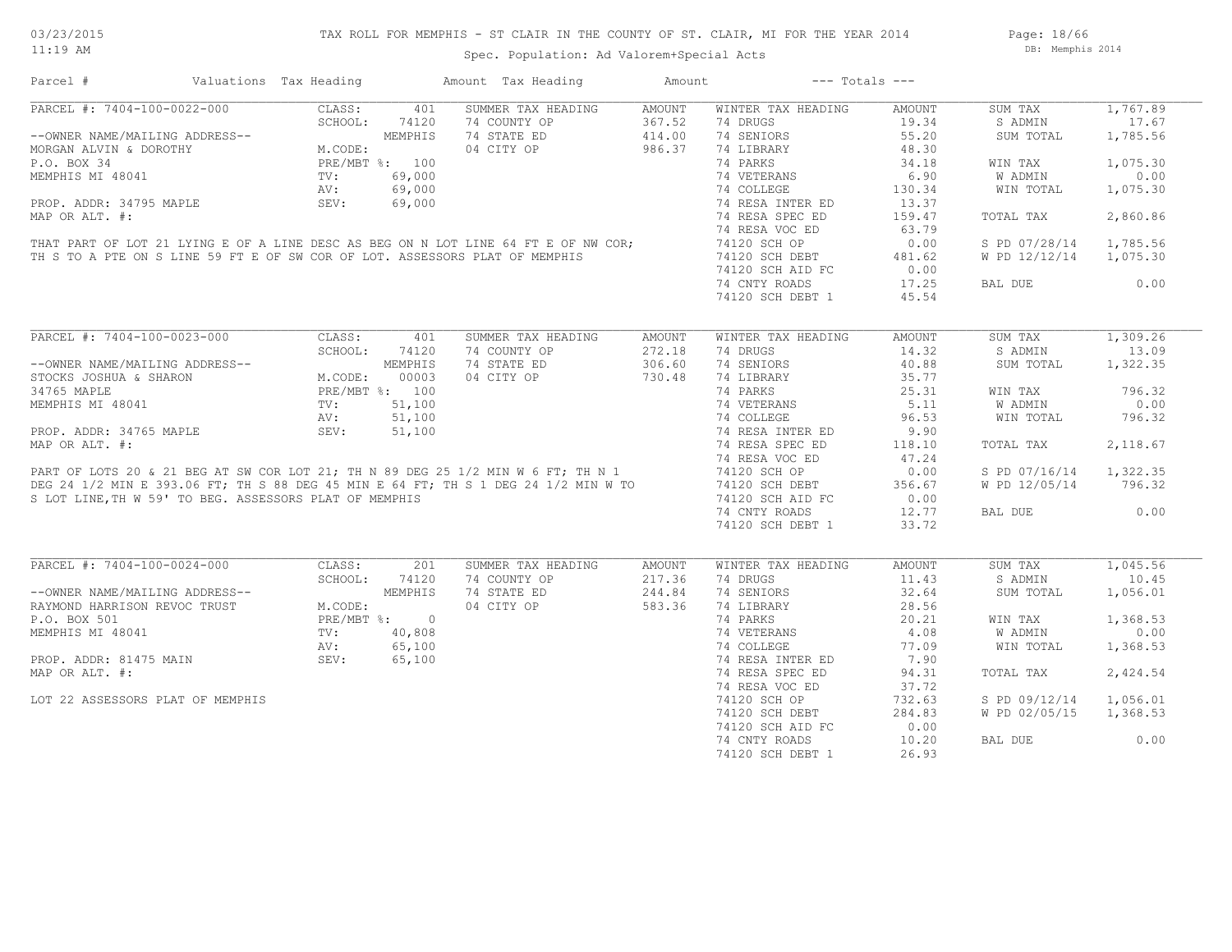# TAX ROLL FOR MEMPHIS - ST CLAIR IN THE COUNTY OF ST. CLAIR, MI FOR THE YEAR 2014

Spec. Population: Ad Valorem+Special Acts

Page: 18/66 DB: Memphis 2014

| Parcel #                                               | Valuations Tax Heading                                                                                                                                                                                                                    |         | Amount Tax Heading                                                                                                                                                                       | Amount | $---$ Totals $---$ |        |               |          |
|--------------------------------------------------------|-------------------------------------------------------------------------------------------------------------------------------------------------------------------------------------------------------------------------------------------|---------|------------------------------------------------------------------------------------------------------------------------------------------------------------------------------------------|--------|--------------------|--------|---------------|----------|
| PARCEL #: 7404-100-0022-000                            | CLASS:                                                                                                                                                                                                                                    | 401     | SUMMER TAX HEADING                                                                                                                                                                       | AMOUNT | WINTER TAX HEADING | AMOUNT | SUM TAX       | 1,767.89 |
|                                                        | SCHOOL:                                                                                                                                                                                                                                   | 74120   | 74 COUNTY OP                                                                                                                                                                             | 367.52 | 74 DRUGS           | 19.34  | S ADMIN       | 17.67    |
| --OWNER NAME/MAILING ADDRESS--                         |                                                                                                                                                                                                                                           | MEMPHIS | 74 STATE ED                                                                                                                                                                              | 414.00 | 74 SENIORS         | 55.20  | SUM TOTAL     | 1,785.56 |
| MORGAN ALVIN & DOROTHY                                 | M.CODE:                                                                                                                                                                                                                                   |         | 04 CITY OP                                                                                                                                                                               | 986.37 | 74 LIBRARY         | 48.30  |               |          |
| P.O. BOX 34                                            | PRE/MBT %: 100                                                                                                                                                                                                                            |         |                                                                                                                                                                                          |        | 74 PARKS           | 34.18  | WIN TAX       | 1,075.30 |
| MEMPHIS MI 48041                                       | TV:                                                                                                                                                                                                                                       | 69,000  |                                                                                                                                                                                          |        | 74 VETERANS        | 6.90   | W ADMIN       | 0.00     |
|                                                        | AV:                                                                                                                                                                                                                                       | 69,000  |                                                                                                                                                                                          |        | 74 COLLEGE         | 130.34 | WIN TOTAL     | 1,075.30 |
| PROP. ADDR: 34795 MAPLE                                | SEV:                                                                                                                                                                                                                                      | 69,000  |                                                                                                                                                                                          |        | 74 RESA INTER ED   | 13.37  |               |          |
| MAP OR ALT. #:                                         |                                                                                                                                                                                                                                           |         |                                                                                                                                                                                          |        | 74 RESA SPEC ED    | 159.47 | TOTAL TAX     | 2,860.86 |
|                                                        |                                                                                                                                                                                                                                           |         |                                                                                                                                                                                          |        | 74 RESA VOC ED     | 63.79  |               |          |
|                                                        |                                                                                                                                                                                                                                           |         |                                                                                                                                                                                          |        |                    |        |               |          |
|                                                        |                                                                                                                                                                                                                                           |         | THAT PART OF LOT 21 LYING E OF A LINE DESC AS BEG ON N LOT LINE 64 FT E OF NW COR;                                                                                                       |        | 74120 SCH OP       | 0.00   | S PD 07/28/14 | 1,785.56 |
|                                                        |                                                                                                                                                                                                                                           |         | TH S TO A PTE ON S LINE 59 FT E OF SW COR OF LOT. ASSESSORS PLAT OF MEMPHIS                                                                                                              |        | 74120 SCH DEBT     | 481.62 | W PD 12/12/14 | 1,075.30 |
|                                                        |                                                                                                                                                                                                                                           |         |                                                                                                                                                                                          |        | 74120 SCH AID FC   | 0.00   |               |          |
|                                                        |                                                                                                                                                                                                                                           |         |                                                                                                                                                                                          |        | 74 CNTY ROADS      | 17.25  | BAL DUE       | 0.00     |
|                                                        |                                                                                                                                                                                                                                           |         |                                                                                                                                                                                          |        | 74120 SCH DEBT 1   | 45.54  |               |          |
|                                                        |                                                                                                                                                                                                                                           |         |                                                                                                                                                                                          |        |                    |        |               |          |
| PARCEL #: 7404-100-0023-000                            | CLASS:                                                                                                                                                                                                                                    | 401     | SUMMER TAX HEADING                                                                                                                                                                       | AMOUNT | WINTER TAX HEADING | AMOUNT | SUM TAX       | 1,309.26 |
|                                                        | SCHOOL:                                                                                                                                                                                                                                   | 74120   | 74 COUNTY OP                                                                                                                                                                             | 272.18 | 74 DRUGS           | 14.32  | S ADMIN       | 13.09    |
| --OWNER NAME/MAILING ADDRESS--                         |                                                                                                                                                                                                                                           | MEMPHIS | 74 STATE ED                                                                                                                                                                              | 306.60 | 74 SENIORS         | 40.88  | SUM TOTAL     | 1,322.35 |
| STOCKS JOSHUA & SHARON                                 | $\begin{array}{cccccc} \texttt{ESS} & & & & \texttt{M.CODE:} & & & \texttt{0.01} \\ & & \texttt{M.CODE:} & & \texttt{0.00} \\ & & \texttt{PRE/MBT} & \texttt{\$:} & & \texttt{100} \\ & & \texttt{0.00} & & \texttt{0.00} \\ \end{array}$ |         | 04 CITY OP                                                                                                                                                                               | 730.48 | 74 LIBRARY         | 35.77  |               |          |
| 34765 MAPLE                                            |                                                                                                                                                                                                                                           |         |                                                                                                                                                                                          |        | 74 PARKS           | 25.31  | WIN TAX       | 796.32   |
| MEMPHIS MI 48041                                       |                                                                                                                                                                                                                                           |         |                                                                                                                                                                                          |        | 74 VETERANS        | 5.11   | W ADMIN       | 0.00     |
|                                                        | AV:                                                                                                                                                                                                                                       | 51,100  |                                                                                                                                                                                          |        | 74 COLLEGE         | 96.53  | WIN TOTAL     | 796.32   |
|                                                        | SEV:                                                                                                                                                                                                                                      |         |                                                                                                                                                                                          |        |                    | 9.90   |               |          |
| PROP. ADDR: 34765 MAPLE                                |                                                                                                                                                                                                                                           | 51,100  |                                                                                                                                                                                          |        | 74 RESA INTER ED   |        |               |          |
| MAP OR ALT. #:                                         |                                                                                                                                                                                                                                           |         |                                                                                                                                                                                          |        | 74 RESA SPEC ED    | 118.10 | TOTAL TAX     | 2,118.67 |
|                                                        |                                                                                                                                                                                                                                           |         | MAP OR ALT. #:<br>PART OF LOTS 20 & 21 BEG AT SW COR LOT 21; TH N 89 DEG 25 1/2 MIN W 6 FT; TH N 1<br>DEG 24 1/2 MIN E 393.06 FT; TH S 88 DEG 45 MIN E 64 FT; TH S 1 DEG 24 1/2 MIN W TO |        | 74 RESA VOC ED     | 47.24  |               |          |
|                                                        |                                                                                                                                                                                                                                           |         |                                                                                                                                                                                          |        | 74120 SCH OP       | 0.00   | S PD 07/16/14 | 1,322.35 |
|                                                        |                                                                                                                                                                                                                                           |         |                                                                                                                                                                                          |        | 74120 SCH DEBT     | 356.67 | W PD 12/05/14 | 796.32   |
| S LOT LINE, TH W 59' TO BEG. ASSESSORS PLAT OF MEMPHIS |                                                                                                                                                                                                                                           |         |                                                                                                                                                                                          |        | 74120 SCH AID FC   | 0.00   |               |          |
|                                                        |                                                                                                                                                                                                                                           |         |                                                                                                                                                                                          |        | 74 CNTY ROADS      | 12.77  | BAL DUE       | 0.00     |
|                                                        |                                                                                                                                                                                                                                           |         |                                                                                                                                                                                          |        | 74120 SCH DEBT 1   | 33.72  |               |          |
|                                                        |                                                                                                                                                                                                                                           |         |                                                                                                                                                                                          |        |                    |        |               |          |
| PARCEL #: 7404-100-0024-000                            | CLASS:                                                                                                                                                                                                                                    | 201     | SUMMER TAX HEADING                                                                                                                                                                       | AMOUNT | WINTER TAX HEADING | AMOUNT | SUM TAX       | 1,045.56 |
|                                                        | SCHOOL:                                                                                                                                                                                                                                   | 74120   | 74 COUNTY OP                                                                                                                                                                             | 217.36 | 74 DRUGS           | 11.43  | S ADMIN       | 10.45    |
| --OWNER NAME/MAILING ADDRESS--                         |                                                                                                                                                                                                                                           | MEMPHIS | 74 STATE ED                                                                                                                                                                              | 244.84 | 74 SENIORS         | 32.64  | SUM TOTAL     | 1,056.01 |
| RAYMOND HARRISON REVOC TRUST                           | M.CODE:                                                                                                                                                                                                                                   |         | 04 CITY OP                                                                                                                                                                               | 583.36 | 74 LIBRARY         | 28.56  |               |          |
| P.O. BOX 501                                           | PRE/MBT %: 0                                                                                                                                                                                                                              |         |                                                                                                                                                                                          |        | 74 PARKS           | 20.21  | WIN TAX       | 1,368.53 |
| MEMPHIS MI 48041                                       | TV:                                                                                                                                                                                                                                       | 40,808  |                                                                                                                                                                                          |        | 74 VETERANS        | 4.08   | W ADMIN       | 0.00     |
|                                                        | AV:                                                                                                                                                                                                                                       | 65,100  |                                                                                                                                                                                          |        | 74 COLLEGE         | 77.09  | WIN TOTAL     | 1,368.53 |
| PROP. ADDR: 81475 MAIN                                 | SEV:                                                                                                                                                                                                                                      | 65,100  |                                                                                                                                                                                          |        | 74 RESA INTER ED   | 7.90   |               |          |
| MAP OR ALT. #:                                         |                                                                                                                                                                                                                                           |         |                                                                                                                                                                                          |        | 74 RESA SPEC ED    | 94.31  | TOTAL TAX     | 2,424.54 |
|                                                        |                                                                                                                                                                                                                                           |         |                                                                                                                                                                                          |        | 74 RESA VOC ED     | 37.72  |               |          |
|                                                        |                                                                                                                                                                                                                                           |         |                                                                                                                                                                                          |        |                    |        |               |          |
| LOT 22 ASSESSORS PLAT OF MEMPHIS                       |                                                                                                                                                                                                                                           |         |                                                                                                                                                                                          |        | 74120 SCH OP       | 732.63 | S PD 09/12/14 | 1,056.01 |
|                                                        |                                                                                                                                                                                                                                           |         |                                                                                                                                                                                          |        | 74120 SCH DEBT     | 284.83 | W PD 02/05/15 | 1,368.53 |
|                                                        |                                                                                                                                                                                                                                           |         |                                                                                                                                                                                          |        | 74120 SCH AID FC   | 0.00   |               |          |
|                                                        |                                                                                                                                                                                                                                           |         |                                                                                                                                                                                          |        | 74 CNTY ROADS      | 10.20  | BAL DUE       | 0.00     |
|                                                        |                                                                                                                                                                                                                                           |         |                                                                                                                                                                                          |        | 74120 SCH DEBT 1   | 26.93  |               |          |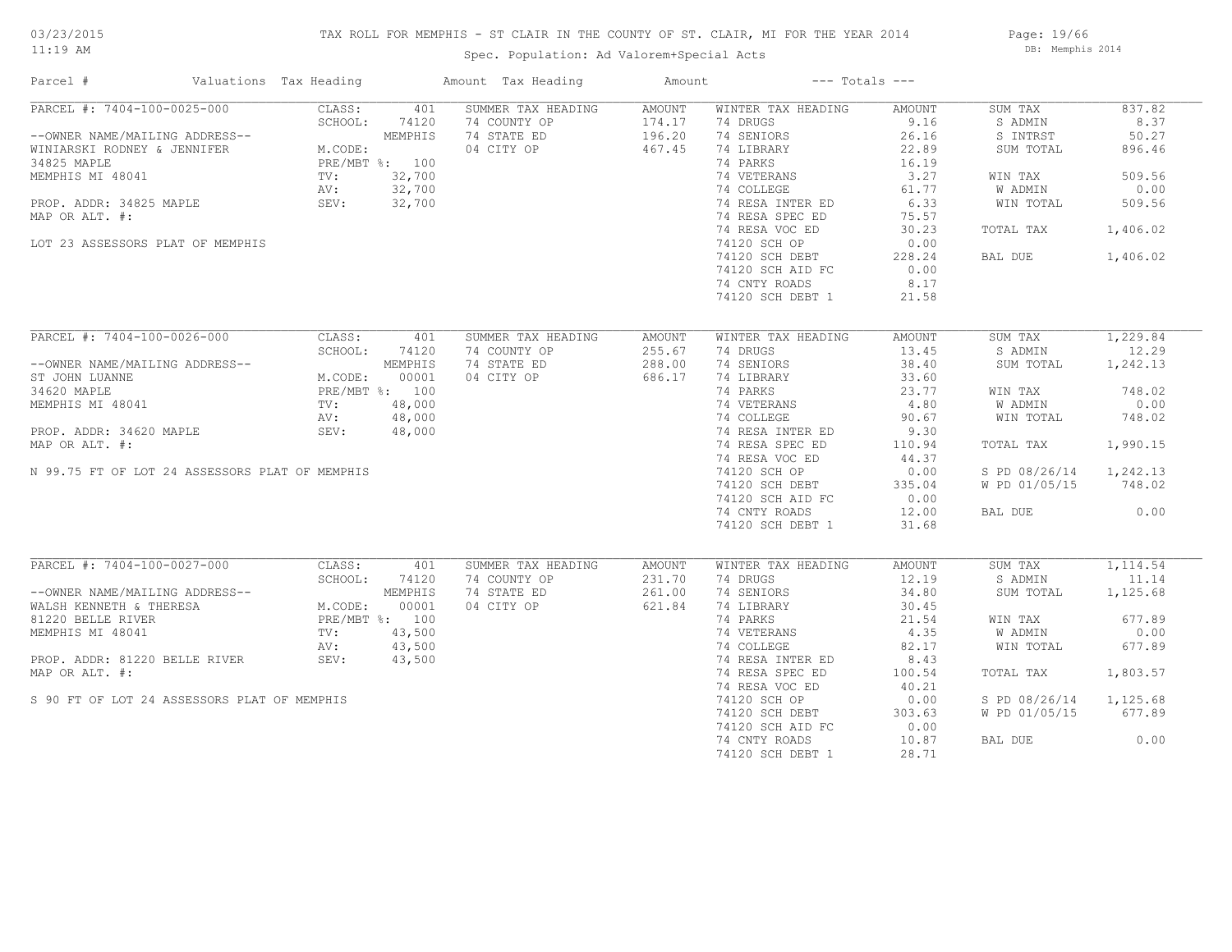# TAX ROLL FOR MEMPHIS - ST CLAIR IN THE COUNTY OF ST. CLAIR, MI FOR THE YEAR 2014

Spec. Population: Ad Valorem+Special Acts

Page: 19/66 DB: Memphis 2014

| Parcel #                                       | Valuations Tax Heading |                | Amount Tax Heading | Amount |                    | $---$ Totals $---$ |               |          |
|------------------------------------------------|------------------------|----------------|--------------------|--------|--------------------|--------------------|---------------|----------|
| PARCEL #: 7404-100-0025-000                    | CLASS:                 | 401            | SUMMER TAX HEADING | AMOUNT | WINTER TAX HEADING | AMOUNT             | SUM TAX       | 837.82   |
|                                                | SCHOOL:                | 74120          | 74 COUNTY OP       | 174.17 | 74 DRUGS           | 9.16               | S ADMIN       | 8.37     |
| --OWNER NAME/MAILING ADDRESS--                 |                        | MEMPHIS        | 74 STATE ED        | 196.20 | 74 SENIORS         | 26.16              | S INTRST      | 50.27    |
| WINIARSKI RODNEY & JENNIFER                    | M.CODE:                |                | 04 CITY OP         | 467.45 | 74 LIBRARY         | 22.89              | SUM TOTAL     | 896.46   |
| 34825 MAPLE                                    |                        | PRE/MBT %: 100 |                    |        | 74 PARKS           | 16.19              |               |          |
| MEMPHIS MI 48041                               | TV:                    | 32,700         |                    |        | 74 VETERANS        | 3.27               | WIN TAX       | 509.56   |
|                                                | AV:                    | 32,700         |                    |        | 74 COLLEGE         | 61.77              | W ADMIN       | 0.00     |
| PROP. ADDR: 34825 MAPLE                        | SEV:                   | 32,700         |                    |        | 74 RESA INTER ED   | 6.33               | WIN TOTAL     | 509.56   |
| MAP OR ALT. #:                                 |                        |                |                    |        | 74 RESA SPEC ED    | 75.57              |               |          |
|                                                |                        |                |                    |        | 74 RESA VOC ED     | 30.23              | TOTAL TAX     | 1,406.02 |
| LOT 23 ASSESSORS PLAT OF MEMPHIS               |                        |                |                    |        | 74120 SCH OP       | 0.00               |               |          |
|                                                |                        |                |                    |        | 74120 SCH DEBT     | 228.24             | BAL DUE       | 1,406.02 |
|                                                |                        |                |                    |        | 74120 SCH AID FC   | 0.00               |               |          |
|                                                |                        |                |                    |        | 74 CNTY ROADS      | 8.17               |               |          |
|                                                |                        |                |                    |        | 74120 SCH DEBT 1   | 21.58              |               |          |
|                                                |                        |                |                    |        |                    |                    |               |          |
| PARCEL #: 7404-100-0026-000                    | CLASS:                 | 401            | SUMMER TAX HEADING | AMOUNT | WINTER TAX HEADING | AMOUNT             | SUM TAX       | 1,229.84 |
|                                                | SCHOOL:                | 74120          | 74 COUNTY OP       | 255.67 | 74 DRUGS           | 13.45              | S ADMIN       | 12.29    |
| --OWNER NAME/MAILING ADDRESS--                 |                        | MEMPHIS        | 74 STATE ED        | 288.00 | 74 SENIORS         | 38.40              | SUM TOTAL     | 1,242.13 |
| ST JOHN LUANNE                                 | M.CODE:                | 00001          | 04 CITY OP         | 686.17 | 74 LIBRARY         | 33.60              |               |          |
| 34620 MAPLE                                    | PRE/MBT %: 100         |                |                    |        | 74 PARKS           | 23.77              | WIN TAX       | 748.02   |
|                                                |                        |                |                    |        |                    |                    |               |          |
| MEMPHIS MI 48041                               | TV:                    | 48,000         |                    |        | 74 VETERANS        | 4.80               | W ADMIN       | 0.00     |
|                                                | AV:                    | 48,000         |                    |        | 74 COLLEGE         | 90.67              | WIN TOTAL     | 748.02   |
| PROP. ADDR: 34620 MAPLE                        | SEV:                   | 48,000         |                    |        | 74 RESA INTER ED   | 9.30               |               |          |
| MAP OR ALT. #:                                 |                        |                |                    |        | 74 RESA SPEC ED    | 110.94             | TOTAL TAX     | 1,990.15 |
|                                                |                        |                |                    |        | 74 RESA VOC ED     | 44.37              |               |          |
| N 99.75 FT OF LOT 24 ASSESSORS PLAT OF MEMPHIS |                        |                |                    |        | 74120 SCH OP       | 0.00               | S PD 08/26/14 | 1,242.13 |
|                                                |                        |                |                    |        | 74120 SCH DEBT     | 335.04             | W PD 01/05/15 | 748.02   |
|                                                |                        |                |                    |        | 74120 SCH AID FC   | 0.00               |               |          |
|                                                |                        |                |                    |        | 74 CNTY ROADS      | 12.00              | BAL DUE       | 0.00     |
|                                                |                        |                |                    |        | 74120 SCH DEBT 1   | 31.68              |               |          |
|                                                |                        |                |                    |        |                    |                    |               |          |
| PARCEL #: 7404-100-0027-000                    | CLASS:                 | 401            | SUMMER TAX HEADING | AMOUNT | WINTER TAX HEADING | AMOUNT             | SUM TAX       | 1,114.54 |
|                                                | SCHOOL:                | 74120          | 74 COUNTY OP       | 231.70 | 74 DRUGS           | 12.19              | S ADMIN       | 11.14    |
| --OWNER NAME/MAILING ADDRESS--                 |                        | MEMPHIS        | 74 STATE ED        | 261.00 | 74 SENIORS         | 34.80              | SUM TOTAL     | 1,125.68 |
| WALSH KENNETH & THERESA                        | M.CODE:                | 00001          | 04 CITY OP         | 621.84 | 74 LIBRARY         | 30.45              |               |          |
| 81220 BELLE RIVER                              |                        | PRE/MBT %: 100 |                    |        | 74 PARKS           | 21.54              | WIN TAX       | 677.89   |
| MEMPHIS MI 48041                               | TV:                    | 43,500         |                    |        | 74 VETERANS        | 4.35               | W ADMIN       | 0.00     |
|                                                | AV:                    | 43,500         |                    |        | 74 COLLEGE         | 82.17              | WIN TOTAL     | 677.89   |
| PROP. ADDR: 81220 BELLE RIVER                  | SEV:                   | 43,500         |                    |        | 74 RESA INTER ED   | 8.43               |               |          |
| MAP OR ALT. #:                                 |                        |                |                    |        | 74 RESA SPEC ED    | 100.54             | TOTAL TAX     | 1,803.57 |
|                                                |                        |                |                    |        | 74 RESA VOC ED     | 40.21              |               |          |
| S 90 FT OF LOT 24 ASSESSORS PLAT OF MEMPHIS    |                        |                |                    |        | 74120 SCH OP       | 0.00               | S PD 08/26/14 | 1,125.68 |
|                                                |                        |                |                    |        | 74120 SCH DEBT     | 303.63             | W PD 01/05/15 | 677.89   |
|                                                |                        |                |                    |        | 74120 SCH AID FC   | 0.00               |               |          |
|                                                |                        |                |                    |        | 74 CNTY ROADS      | 10.87              | BAL DUE       | 0.00     |
|                                                |                        |                |                    |        | 74120 SCH DEBT 1   | 28.71              |               |          |
|                                                |                        |                |                    |        |                    |                    |               |          |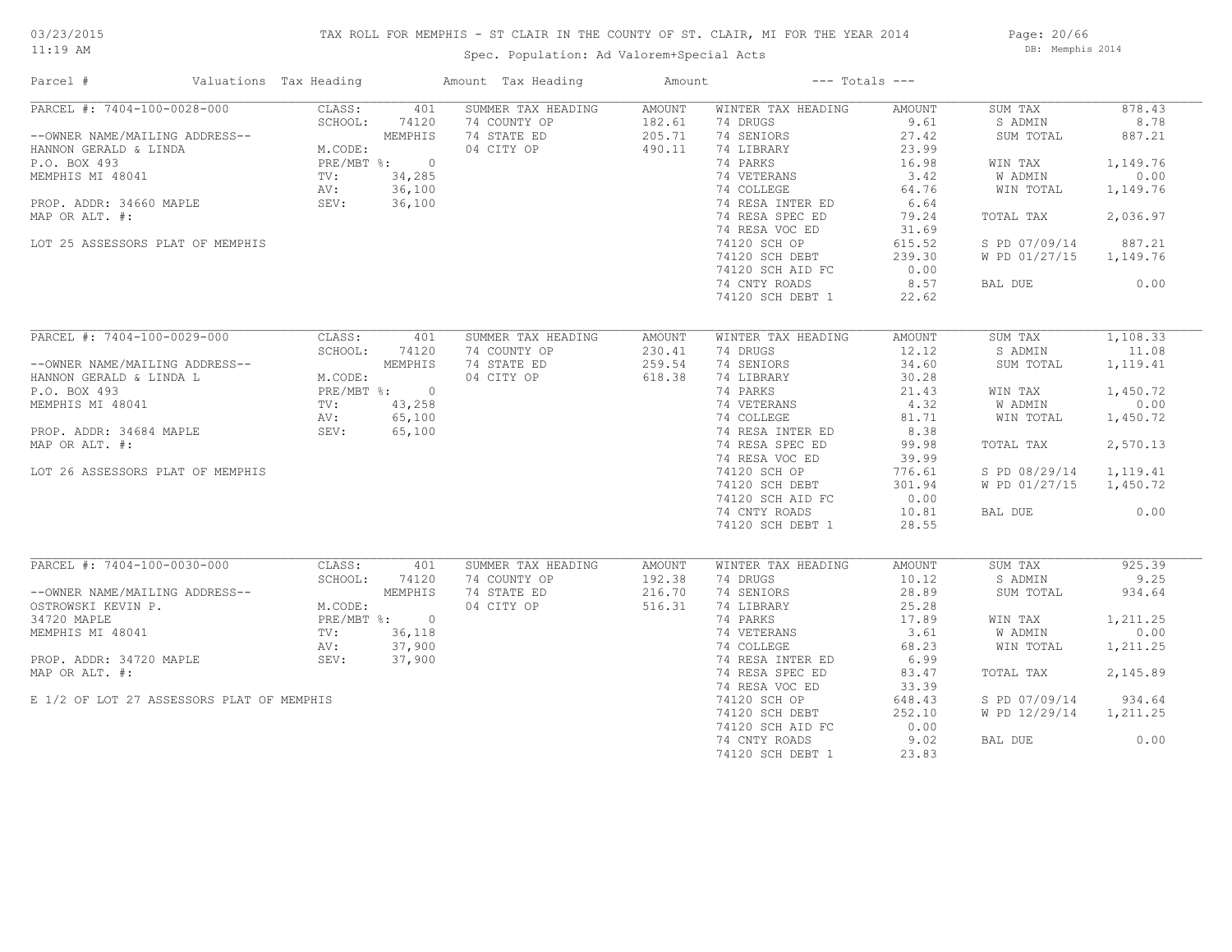# TAX ROLL FOR MEMPHIS - ST CLAIR IN THE COUNTY OF ST. CLAIR, MI FOR THE YEAR 2014

Spec. Population: Ad Valorem+Special Acts

Page: 20/66 DB: Memphis 2014

| SUMMER TAX HEADING<br>878.43<br>AMOUNT<br>WINTER TAX HEADING<br>AMOUNT<br>SUM TAX<br>PARCEL #: 7404-100-0028-000 CLASS: 401<br>-OWNER NAME/MAILING ADDRESS--<br>HANNON GERALD & LINDA M.CODE: MEMPHIS<br>P.O. BOX 493<br>MEMPHIS MI 48041 TV: 34,285<br>PROP. ADDR: 34660 MAPLE SEV: 36,100<br>MAR OB ALT #: 34,285<br>74 COUNTY OP<br>182.61<br>74 DRUGS<br>9.61<br>S ADMIN<br>8.78<br>74 STATE ED<br>205.71<br>74 SENIORS<br>27.42<br>887.21<br>SUM TOTAL<br>04 CITY OP<br>490.11<br>74 LIBRARY<br>23.99<br>74 PARKS<br>16.98<br>WIN TAX<br>1,149.76<br>74 VETERANS<br>74 COLLEGE<br>0.00<br>3.42<br>W ADMIN<br>64.76<br>74 COLLEGE<br>1,149.76<br>WIN TOTAL<br>74 RESA INTER ED<br>6.64<br>74 RESA SPEC ED<br>2,036.97<br>MAP OR ALT. #:<br>79.24<br>TOTAL TAX<br>74 RESA VOC ED<br>31.69<br>74120 SCH OP<br>LOT 25 ASSESSORS PLAT OF MEMPHIS<br>615.52<br>S PD 07/09/14<br>887.21<br>74120 SCH DEBT<br>239.30<br>W PD 01/27/15 1,149.76<br>0.00<br>74120 SCH AID FC<br>74 CNTY ROADS<br>8.57<br>BAL DUE<br>0.00<br>74120 SCH DEBT 1<br>22.62<br>PARCEL #: 7404-100-0029-000<br>CLASS:<br>401<br>SUMMER TAX HEADING<br>AMOUNT<br>WINTER TAX HEADING<br>AMOUNT<br>SUM TAX<br>1,108.33<br>12.12<br>SCHOOL: 74120<br>74 COUNTY OP<br>230.41<br>74 DRUGS<br>S ADMIN<br>11.08<br>--OWNER NAME/MAILING ADDRESS--<br>HANNON GERALD & LINDA L<br>P.O. BOX 493<br>MEMPHIS MI 48041<br>PROP. ADDR: 34684 MAPLE<br>MAR OR ATT #. (65,100<br>MAR OR ATT #. (65,100<br>259.54<br>1,119.41<br>74 STATE ED<br>74 SENIORS<br>34.60<br>SUM TOTAL<br>04 CITY OP<br>618.38<br>74 LIBRARY<br>30.28<br>1,450.72<br>1 FARNS<br>74 VETERANS<br>74 COLLEGE 132<br>74 RESA INTER ED 81.71<br>74 RESA SPECTER 1838<br>WIN TAX<br>0.00<br>W ADMIN<br>WIN TOTAL<br>1,450.72<br>74 RESA SPEC ED<br>99.98<br>2,570.13<br>MAP OR ALT. #:<br>TOTAL TAX<br>74 RESA VOC ED<br>39.99<br>74 KESA VOC ED<br>74120 SCH OP<br>74120 SCH DEBT<br>S PD 08/29/14 1,119.41<br>LOT 26 ASSESSORS PLAT OF MEMPHIS<br>776.61<br>74120 SCH DEBT<br>301.94<br>W PD 01/27/15 1,450.72<br>74120 SCH AID FC<br>0.00<br>0.00<br>74 CNTY ROADS<br>10.81<br>BAL DUE<br>74120 SCH DEBT 1<br>28.55<br>PARCEL #: 7404-100-0030-000<br>925.39<br>CLASS:<br>401<br>SUMMER TAX HEADING<br>WINTER TAX HEADING<br>AMOUNT<br>SUM TAX<br>AMOUNT<br>74 COUNTY OP<br>9.25<br>SCHOOL:<br>192.38<br>74 DRUGS<br>10.12<br>S ADMIN<br>74120<br>--OWNER NAME/MAILING ADDRESS--<br>OSTROWSKI KEVIN P.<br>34720 MAPLE<br>MEMPHIS MI 48041<br>PROP. ADDR: 34720 MAPLE<br>PROP. ADDR: 34720 MAPLE<br>PROP. ADDR: 34720 MAPLE<br>MEMPHIS MI 48041<br>PROP. ADDR: 37,900<br>MRD.ODRITE #: 37,900<br>74 STATE ED<br>216.70<br>74 SENIORS<br>28.89<br>SUM TOTAL<br>934.64<br>04 CITY OP<br>516.31<br>74 LIBRARY<br>25.28<br>74 PARKS<br>1,211.25<br>17.89<br>WIN TAX<br>$17.89$<br>3.61<br>74 VETERANS<br>W ADMIN<br>0.00<br>$68.23$<br>$6.99$<br>74 COLLEGE<br>WIN TOTAL<br>1,211.25<br>74 RESA INTER ED<br>2,145.89<br>MAP OR ALT. #:<br>74 RESA SPEC ED<br>83.47<br>TOTAL TAX<br>74 RESA VOC ED<br>33.39<br>E 1/2 OF LOT 27 ASSESSORS PLAT OF MEMPHIS<br>74120 SCH OP<br>74120 SCH DEBT<br>648.43<br>S PD 07/09/14<br>934.64<br>74120 SCH DEBT<br>252.10<br>W PD 12/29/14<br>1,211.25<br>74120 SCH AID FC<br>0.00<br>74 CNTY ROADS<br>9.02<br>BAL DUE<br>0.00 | Parcel # | Valuations Tax Heading | Amount Tax Heading | Amount | $---$ Totals $---$ |       |  |
|-------------------------------------------------------------------------------------------------------------------------------------------------------------------------------------------------------------------------------------------------------------------------------------------------------------------------------------------------------------------------------------------------------------------------------------------------------------------------------------------------------------------------------------------------------------------------------------------------------------------------------------------------------------------------------------------------------------------------------------------------------------------------------------------------------------------------------------------------------------------------------------------------------------------------------------------------------------------------------------------------------------------------------------------------------------------------------------------------------------------------------------------------------------------------------------------------------------------------------------------------------------------------------------------------------------------------------------------------------------------------------------------------------------------------------------------------------------------------------------------------------------------------------------------------------------------------------------------------------------------------------------------------------------------------------------------------------------------------------------------------------------------------------------------------------------------------------------------------------------------------------------------------------------------------------------------------------------------------------------------------------------------------------------------------------------------------------------------------------------------------------------------------------------------------------------------------------------------------------------------------------------------------------------------------------------------------------------------------------------------------------------------------------------------------------------------------------------------------------------------------------------------------------------------------------------------------------------------------------------------------------------------------------------------------------------------------------------------------------------------------------------------------------------------------------------------------------------------------------------------------------------------------------------------------------------------------------------------------------------------------------------------------------------------------------------------------------------------------------------------------------------------------------------------------------------------------------------------------------------------------------------------------------------|----------|------------------------|--------------------|--------|--------------------|-------|--|
|                                                                                                                                                                                                                                                                                                                                                                                                                                                                                                                                                                                                                                                                                                                                                                                                                                                                                                                                                                                                                                                                                                                                                                                                                                                                                                                                                                                                                                                                                                                                                                                                                                                                                                                                                                                                                                                                                                                                                                                                                                                                                                                                                                                                                                                                                                                                                                                                                                                                                                                                                                                                                                                                                                                                                                                                                                                                                                                                                                                                                                                                                                                                                                                                                                                                                     |          |                        |                    |        |                    |       |  |
|                                                                                                                                                                                                                                                                                                                                                                                                                                                                                                                                                                                                                                                                                                                                                                                                                                                                                                                                                                                                                                                                                                                                                                                                                                                                                                                                                                                                                                                                                                                                                                                                                                                                                                                                                                                                                                                                                                                                                                                                                                                                                                                                                                                                                                                                                                                                                                                                                                                                                                                                                                                                                                                                                                                                                                                                                                                                                                                                                                                                                                                                                                                                                                                                                                                                                     |          |                        |                    |        |                    |       |  |
|                                                                                                                                                                                                                                                                                                                                                                                                                                                                                                                                                                                                                                                                                                                                                                                                                                                                                                                                                                                                                                                                                                                                                                                                                                                                                                                                                                                                                                                                                                                                                                                                                                                                                                                                                                                                                                                                                                                                                                                                                                                                                                                                                                                                                                                                                                                                                                                                                                                                                                                                                                                                                                                                                                                                                                                                                                                                                                                                                                                                                                                                                                                                                                                                                                                                                     |          |                        |                    |        |                    |       |  |
|                                                                                                                                                                                                                                                                                                                                                                                                                                                                                                                                                                                                                                                                                                                                                                                                                                                                                                                                                                                                                                                                                                                                                                                                                                                                                                                                                                                                                                                                                                                                                                                                                                                                                                                                                                                                                                                                                                                                                                                                                                                                                                                                                                                                                                                                                                                                                                                                                                                                                                                                                                                                                                                                                                                                                                                                                                                                                                                                                                                                                                                                                                                                                                                                                                                                                     |          |                        |                    |        |                    |       |  |
|                                                                                                                                                                                                                                                                                                                                                                                                                                                                                                                                                                                                                                                                                                                                                                                                                                                                                                                                                                                                                                                                                                                                                                                                                                                                                                                                                                                                                                                                                                                                                                                                                                                                                                                                                                                                                                                                                                                                                                                                                                                                                                                                                                                                                                                                                                                                                                                                                                                                                                                                                                                                                                                                                                                                                                                                                                                                                                                                                                                                                                                                                                                                                                                                                                                                                     |          |                        |                    |        |                    |       |  |
|                                                                                                                                                                                                                                                                                                                                                                                                                                                                                                                                                                                                                                                                                                                                                                                                                                                                                                                                                                                                                                                                                                                                                                                                                                                                                                                                                                                                                                                                                                                                                                                                                                                                                                                                                                                                                                                                                                                                                                                                                                                                                                                                                                                                                                                                                                                                                                                                                                                                                                                                                                                                                                                                                                                                                                                                                                                                                                                                                                                                                                                                                                                                                                                                                                                                                     |          |                        |                    |        |                    |       |  |
|                                                                                                                                                                                                                                                                                                                                                                                                                                                                                                                                                                                                                                                                                                                                                                                                                                                                                                                                                                                                                                                                                                                                                                                                                                                                                                                                                                                                                                                                                                                                                                                                                                                                                                                                                                                                                                                                                                                                                                                                                                                                                                                                                                                                                                                                                                                                                                                                                                                                                                                                                                                                                                                                                                                                                                                                                                                                                                                                                                                                                                                                                                                                                                                                                                                                                     |          |                        |                    |        |                    |       |  |
|                                                                                                                                                                                                                                                                                                                                                                                                                                                                                                                                                                                                                                                                                                                                                                                                                                                                                                                                                                                                                                                                                                                                                                                                                                                                                                                                                                                                                                                                                                                                                                                                                                                                                                                                                                                                                                                                                                                                                                                                                                                                                                                                                                                                                                                                                                                                                                                                                                                                                                                                                                                                                                                                                                                                                                                                                                                                                                                                                                                                                                                                                                                                                                                                                                                                                     |          |                        |                    |        |                    |       |  |
|                                                                                                                                                                                                                                                                                                                                                                                                                                                                                                                                                                                                                                                                                                                                                                                                                                                                                                                                                                                                                                                                                                                                                                                                                                                                                                                                                                                                                                                                                                                                                                                                                                                                                                                                                                                                                                                                                                                                                                                                                                                                                                                                                                                                                                                                                                                                                                                                                                                                                                                                                                                                                                                                                                                                                                                                                                                                                                                                                                                                                                                                                                                                                                                                                                                                                     |          |                        |                    |        |                    |       |  |
|                                                                                                                                                                                                                                                                                                                                                                                                                                                                                                                                                                                                                                                                                                                                                                                                                                                                                                                                                                                                                                                                                                                                                                                                                                                                                                                                                                                                                                                                                                                                                                                                                                                                                                                                                                                                                                                                                                                                                                                                                                                                                                                                                                                                                                                                                                                                                                                                                                                                                                                                                                                                                                                                                                                                                                                                                                                                                                                                                                                                                                                                                                                                                                                                                                                                                     |          |                        |                    |        |                    |       |  |
|                                                                                                                                                                                                                                                                                                                                                                                                                                                                                                                                                                                                                                                                                                                                                                                                                                                                                                                                                                                                                                                                                                                                                                                                                                                                                                                                                                                                                                                                                                                                                                                                                                                                                                                                                                                                                                                                                                                                                                                                                                                                                                                                                                                                                                                                                                                                                                                                                                                                                                                                                                                                                                                                                                                                                                                                                                                                                                                                                                                                                                                                                                                                                                                                                                                                                     |          |                        |                    |        |                    |       |  |
|                                                                                                                                                                                                                                                                                                                                                                                                                                                                                                                                                                                                                                                                                                                                                                                                                                                                                                                                                                                                                                                                                                                                                                                                                                                                                                                                                                                                                                                                                                                                                                                                                                                                                                                                                                                                                                                                                                                                                                                                                                                                                                                                                                                                                                                                                                                                                                                                                                                                                                                                                                                                                                                                                                                                                                                                                                                                                                                                                                                                                                                                                                                                                                                                                                                                                     |          |                        |                    |        |                    |       |  |
|                                                                                                                                                                                                                                                                                                                                                                                                                                                                                                                                                                                                                                                                                                                                                                                                                                                                                                                                                                                                                                                                                                                                                                                                                                                                                                                                                                                                                                                                                                                                                                                                                                                                                                                                                                                                                                                                                                                                                                                                                                                                                                                                                                                                                                                                                                                                                                                                                                                                                                                                                                                                                                                                                                                                                                                                                                                                                                                                                                                                                                                                                                                                                                                                                                                                                     |          |                        |                    |        |                    |       |  |
|                                                                                                                                                                                                                                                                                                                                                                                                                                                                                                                                                                                                                                                                                                                                                                                                                                                                                                                                                                                                                                                                                                                                                                                                                                                                                                                                                                                                                                                                                                                                                                                                                                                                                                                                                                                                                                                                                                                                                                                                                                                                                                                                                                                                                                                                                                                                                                                                                                                                                                                                                                                                                                                                                                                                                                                                                                                                                                                                                                                                                                                                                                                                                                                                                                                                                     |          |                        |                    |        |                    |       |  |
|                                                                                                                                                                                                                                                                                                                                                                                                                                                                                                                                                                                                                                                                                                                                                                                                                                                                                                                                                                                                                                                                                                                                                                                                                                                                                                                                                                                                                                                                                                                                                                                                                                                                                                                                                                                                                                                                                                                                                                                                                                                                                                                                                                                                                                                                                                                                                                                                                                                                                                                                                                                                                                                                                                                                                                                                                                                                                                                                                                                                                                                                                                                                                                                                                                                                                     |          |                        |                    |        |                    |       |  |
|                                                                                                                                                                                                                                                                                                                                                                                                                                                                                                                                                                                                                                                                                                                                                                                                                                                                                                                                                                                                                                                                                                                                                                                                                                                                                                                                                                                                                                                                                                                                                                                                                                                                                                                                                                                                                                                                                                                                                                                                                                                                                                                                                                                                                                                                                                                                                                                                                                                                                                                                                                                                                                                                                                                                                                                                                                                                                                                                                                                                                                                                                                                                                                                                                                                                                     |          |                        |                    |        |                    |       |  |
|                                                                                                                                                                                                                                                                                                                                                                                                                                                                                                                                                                                                                                                                                                                                                                                                                                                                                                                                                                                                                                                                                                                                                                                                                                                                                                                                                                                                                                                                                                                                                                                                                                                                                                                                                                                                                                                                                                                                                                                                                                                                                                                                                                                                                                                                                                                                                                                                                                                                                                                                                                                                                                                                                                                                                                                                                                                                                                                                                                                                                                                                                                                                                                                                                                                                                     |          |                        |                    |        |                    |       |  |
|                                                                                                                                                                                                                                                                                                                                                                                                                                                                                                                                                                                                                                                                                                                                                                                                                                                                                                                                                                                                                                                                                                                                                                                                                                                                                                                                                                                                                                                                                                                                                                                                                                                                                                                                                                                                                                                                                                                                                                                                                                                                                                                                                                                                                                                                                                                                                                                                                                                                                                                                                                                                                                                                                                                                                                                                                                                                                                                                                                                                                                                                                                                                                                                                                                                                                     |          |                        |                    |        |                    |       |  |
|                                                                                                                                                                                                                                                                                                                                                                                                                                                                                                                                                                                                                                                                                                                                                                                                                                                                                                                                                                                                                                                                                                                                                                                                                                                                                                                                                                                                                                                                                                                                                                                                                                                                                                                                                                                                                                                                                                                                                                                                                                                                                                                                                                                                                                                                                                                                                                                                                                                                                                                                                                                                                                                                                                                                                                                                                                                                                                                                                                                                                                                                                                                                                                                                                                                                                     |          |                        |                    |        |                    |       |  |
|                                                                                                                                                                                                                                                                                                                                                                                                                                                                                                                                                                                                                                                                                                                                                                                                                                                                                                                                                                                                                                                                                                                                                                                                                                                                                                                                                                                                                                                                                                                                                                                                                                                                                                                                                                                                                                                                                                                                                                                                                                                                                                                                                                                                                                                                                                                                                                                                                                                                                                                                                                                                                                                                                                                                                                                                                                                                                                                                                                                                                                                                                                                                                                                                                                                                                     |          |                        |                    |        |                    |       |  |
|                                                                                                                                                                                                                                                                                                                                                                                                                                                                                                                                                                                                                                                                                                                                                                                                                                                                                                                                                                                                                                                                                                                                                                                                                                                                                                                                                                                                                                                                                                                                                                                                                                                                                                                                                                                                                                                                                                                                                                                                                                                                                                                                                                                                                                                                                                                                                                                                                                                                                                                                                                                                                                                                                                                                                                                                                                                                                                                                                                                                                                                                                                                                                                                                                                                                                     |          |                        |                    |        |                    |       |  |
|                                                                                                                                                                                                                                                                                                                                                                                                                                                                                                                                                                                                                                                                                                                                                                                                                                                                                                                                                                                                                                                                                                                                                                                                                                                                                                                                                                                                                                                                                                                                                                                                                                                                                                                                                                                                                                                                                                                                                                                                                                                                                                                                                                                                                                                                                                                                                                                                                                                                                                                                                                                                                                                                                                                                                                                                                                                                                                                                                                                                                                                                                                                                                                                                                                                                                     |          |                        |                    |        |                    |       |  |
|                                                                                                                                                                                                                                                                                                                                                                                                                                                                                                                                                                                                                                                                                                                                                                                                                                                                                                                                                                                                                                                                                                                                                                                                                                                                                                                                                                                                                                                                                                                                                                                                                                                                                                                                                                                                                                                                                                                                                                                                                                                                                                                                                                                                                                                                                                                                                                                                                                                                                                                                                                                                                                                                                                                                                                                                                                                                                                                                                                                                                                                                                                                                                                                                                                                                                     |          |                        |                    |        |                    |       |  |
|                                                                                                                                                                                                                                                                                                                                                                                                                                                                                                                                                                                                                                                                                                                                                                                                                                                                                                                                                                                                                                                                                                                                                                                                                                                                                                                                                                                                                                                                                                                                                                                                                                                                                                                                                                                                                                                                                                                                                                                                                                                                                                                                                                                                                                                                                                                                                                                                                                                                                                                                                                                                                                                                                                                                                                                                                                                                                                                                                                                                                                                                                                                                                                                                                                                                                     |          |                        |                    |        |                    |       |  |
|                                                                                                                                                                                                                                                                                                                                                                                                                                                                                                                                                                                                                                                                                                                                                                                                                                                                                                                                                                                                                                                                                                                                                                                                                                                                                                                                                                                                                                                                                                                                                                                                                                                                                                                                                                                                                                                                                                                                                                                                                                                                                                                                                                                                                                                                                                                                                                                                                                                                                                                                                                                                                                                                                                                                                                                                                                                                                                                                                                                                                                                                                                                                                                                                                                                                                     |          |                        |                    |        |                    |       |  |
|                                                                                                                                                                                                                                                                                                                                                                                                                                                                                                                                                                                                                                                                                                                                                                                                                                                                                                                                                                                                                                                                                                                                                                                                                                                                                                                                                                                                                                                                                                                                                                                                                                                                                                                                                                                                                                                                                                                                                                                                                                                                                                                                                                                                                                                                                                                                                                                                                                                                                                                                                                                                                                                                                                                                                                                                                                                                                                                                                                                                                                                                                                                                                                                                                                                                                     |          |                        |                    |        |                    |       |  |
|                                                                                                                                                                                                                                                                                                                                                                                                                                                                                                                                                                                                                                                                                                                                                                                                                                                                                                                                                                                                                                                                                                                                                                                                                                                                                                                                                                                                                                                                                                                                                                                                                                                                                                                                                                                                                                                                                                                                                                                                                                                                                                                                                                                                                                                                                                                                                                                                                                                                                                                                                                                                                                                                                                                                                                                                                                                                                                                                                                                                                                                                                                                                                                                                                                                                                     |          |                        |                    |        |                    |       |  |
|                                                                                                                                                                                                                                                                                                                                                                                                                                                                                                                                                                                                                                                                                                                                                                                                                                                                                                                                                                                                                                                                                                                                                                                                                                                                                                                                                                                                                                                                                                                                                                                                                                                                                                                                                                                                                                                                                                                                                                                                                                                                                                                                                                                                                                                                                                                                                                                                                                                                                                                                                                                                                                                                                                                                                                                                                                                                                                                                                                                                                                                                                                                                                                                                                                                                                     |          |                        |                    |        |                    |       |  |
|                                                                                                                                                                                                                                                                                                                                                                                                                                                                                                                                                                                                                                                                                                                                                                                                                                                                                                                                                                                                                                                                                                                                                                                                                                                                                                                                                                                                                                                                                                                                                                                                                                                                                                                                                                                                                                                                                                                                                                                                                                                                                                                                                                                                                                                                                                                                                                                                                                                                                                                                                                                                                                                                                                                                                                                                                                                                                                                                                                                                                                                                                                                                                                                                                                                                                     |          |                        |                    |        |                    |       |  |
|                                                                                                                                                                                                                                                                                                                                                                                                                                                                                                                                                                                                                                                                                                                                                                                                                                                                                                                                                                                                                                                                                                                                                                                                                                                                                                                                                                                                                                                                                                                                                                                                                                                                                                                                                                                                                                                                                                                                                                                                                                                                                                                                                                                                                                                                                                                                                                                                                                                                                                                                                                                                                                                                                                                                                                                                                                                                                                                                                                                                                                                                                                                                                                                                                                                                                     |          |                        |                    |        |                    |       |  |
|                                                                                                                                                                                                                                                                                                                                                                                                                                                                                                                                                                                                                                                                                                                                                                                                                                                                                                                                                                                                                                                                                                                                                                                                                                                                                                                                                                                                                                                                                                                                                                                                                                                                                                                                                                                                                                                                                                                                                                                                                                                                                                                                                                                                                                                                                                                                                                                                                                                                                                                                                                                                                                                                                                                                                                                                                                                                                                                                                                                                                                                                                                                                                                                                                                                                                     |          |                        |                    |        |                    |       |  |
|                                                                                                                                                                                                                                                                                                                                                                                                                                                                                                                                                                                                                                                                                                                                                                                                                                                                                                                                                                                                                                                                                                                                                                                                                                                                                                                                                                                                                                                                                                                                                                                                                                                                                                                                                                                                                                                                                                                                                                                                                                                                                                                                                                                                                                                                                                                                                                                                                                                                                                                                                                                                                                                                                                                                                                                                                                                                                                                                                                                                                                                                                                                                                                                                                                                                                     |          |                        |                    |        |                    |       |  |
|                                                                                                                                                                                                                                                                                                                                                                                                                                                                                                                                                                                                                                                                                                                                                                                                                                                                                                                                                                                                                                                                                                                                                                                                                                                                                                                                                                                                                                                                                                                                                                                                                                                                                                                                                                                                                                                                                                                                                                                                                                                                                                                                                                                                                                                                                                                                                                                                                                                                                                                                                                                                                                                                                                                                                                                                                                                                                                                                                                                                                                                                                                                                                                                                                                                                                     |          |                        |                    |        |                    |       |  |
|                                                                                                                                                                                                                                                                                                                                                                                                                                                                                                                                                                                                                                                                                                                                                                                                                                                                                                                                                                                                                                                                                                                                                                                                                                                                                                                                                                                                                                                                                                                                                                                                                                                                                                                                                                                                                                                                                                                                                                                                                                                                                                                                                                                                                                                                                                                                                                                                                                                                                                                                                                                                                                                                                                                                                                                                                                                                                                                                                                                                                                                                                                                                                                                                                                                                                     |          |                        |                    |        |                    |       |  |
|                                                                                                                                                                                                                                                                                                                                                                                                                                                                                                                                                                                                                                                                                                                                                                                                                                                                                                                                                                                                                                                                                                                                                                                                                                                                                                                                                                                                                                                                                                                                                                                                                                                                                                                                                                                                                                                                                                                                                                                                                                                                                                                                                                                                                                                                                                                                                                                                                                                                                                                                                                                                                                                                                                                                                                                                                                                                                                                                                                                                                                                                                                                                                                                                                                                                                     |          |                        |                    |        |                    |       |  |
|                                                                                                                                                                                                                                                                                                                                                                                                                                                                                                                                                                                                                                                                                                                                                                                                                                                                                                                                                                                                                                                                                                                                                                                                                                                                                                                                                                                                                                                                                                                                                                                                                                                                                                                                                                                                                                                                                                                                                                                                                                                                                                                                                                                                                                                                                                                                                                                                                                                                                                                                                                                                                                                                                                                                                                                                                                                                                                                                                                                                                                                                                                                                                                                                                                                                                     |          |                        |                    |        |                    |       |  |
|                                                                                                                                                                                                                                                                                                                                                                                                                                                                                                                                                                                                                                                                                                                                                                                                                                                                                                                                                                                                                                                                                                                                                                                                                                                                                                                                                                                                                                                                                                                                                                                                                                                                                                                                                                                                                                                                                                                                                                                                                                                                                                                                                                                                                                                                                                                                                                                                                                                                                                                                                                                                                                                                                                                                                                                                                                                                                                                                                                                                                                                                                                                                                                                                                                                                                     |          |                        |                    |        |                    |       |  |
|                                                                                                                                                                                                                                                                                                                                                                                                                                                                                                                                                                                                                                                                                                                                                                                                                                                                                                                                                                                                                                                                                                                                                                                                                                                                                                                                                                                                                                                                                                                                                                                                                                                                                                                                                                                                                                                                                                                                                                                                                                                                                                                                                                                                                                                                                                                                                                                                                                                                                                                                                                                                                                                                                                                                                                                                                                                                                                                                                                                                                                                                                                                                                                                                                                                                                     |          |                        |                    |        |                    |       |  |
|                                                                                                                                                                                                                                                                                                                                                                                                                                                                                                                                                                                                                                                                                                                                                                                                                                                                                                                                                                                                                                                                                                                                                                                                                                                                                                                                                                                                                                                                                                                                                                                                                                                                                                                                                                                                                                                                                                                                                                                                                                                                                                                                                                                                                                                                                                                                                                                                                                                                                                                                                                                                                                                                                                                                                                                                                                                                                                                                                                                                                                                                                                                                                                                                                                                                                     |          |                        |                    |        |                    |       |  |
|                                                                                                                                                                                                                                                                                                                                                                                                                                                                                                                                                                                                                                                                                                                                                                                                                                                                                                                                                                                                                                                                                                                                                                                                                                                                                                                                                                                                                                                                                                                                                                                                                                                                                                                                                                                                                                                                                                                                                                                                                                                                                                                                                                                                                                                                                                                                                                                                                                                                                                                                                                                                                                                                                                                                                                                                                                                                                                                                                                                                                                                                                                                                                                                                                                                                                     |          |                        |                    |        |                    |       |  |
|                                                                                                                                                                                                                                                                                                                                                                                                                                                                                                                                                                                                                                                                                                                                                                                                                                                                                                                                                                                                                                                                                                                                                                                                                                                                                                                                                                                                                                                                                                                                                                                                                                                                                                                                                                                                                                                                                                                                                                                                                                                                                                                                                                                                                                                                                                                                                                                                                                                                                                                                                                                                                                                                                                                                                                                                                                                                                                                                                                                                                                                                                                                                                                                                                                                                                     |          |                        |                    |        |                    |       |  |
|                                                                                                                                                                                                                                                                                                                                                                                                                                                                                                                                                                                                                                                                                                                                                                                                                                                                                                                                                                                                                                                                                                                                                                                                                                                                                                                                                                                                                                                                                                                                                                                                                                                                                                                                                                                                                                                                                                                                                                                                                                                                                                                                                                                                                                                                                                                                                                                                                                                                                                                                                                                                                                                                                                                                                                                                                                                                                                                                                                                                                                                                                                                                                                                                                                                                                     |          |                        |                    |        |                    |       |  |
|                                                                                                                                                                                                                                                                                                                                                                                                                                                                                                                                                                                                                                                                                                                                                                                                                                                                                                                                                                                                                                                                                                                                                                                                                                                                                                                                                                                                                                                                                                                                                                                                                                                                                                                                                                                                                                                                                                                                                                                                                                                                                                                                                                                                                                                                                                                                                                                                                                                                                                                                                                                                                                                                                                                                                                                                                                                                                                                                                                                                                                                                                                                                                                                                                                                                                     |          |                        |                    |        |                    |       |  |
|                                                                                                                                                                                                                                                                                                                                                                                                                                                                                                                                                                                                                                                                                                                                                                                                                                                                                                                                                                                                                                                                                                                                                                                                                                                                                                                                                                                                                                                                                                                                                                                                                                                                                                                                                                                                                                                                                                                                                                                                                                                                                                                                                                                                                                                                                                                                                                                                                                                                                                                                                                                                                                                                                                                                                                                                                                                                                                                                                                                                                                                                                                                                                                                                                                                                                     |          |                        |                    |        |                    |       |  |
|                                                                                                                                                                                                                                                                                                                                                                                                                                                                                                                                                                                                                                                                                                                                                                                                                                                                                                                                                                                                                                                                                                                                                                                                                                                                                                                                                                                                                                                                                                                                                                                                                                                                                                                                                                                                                                                                                                                                                                                                                                                                                                                                                                                                                                                                                                                                                                                                                                                                                                                                                                                                                                                                                                                                                                                                                                                                                                                                                                                                                                                                                                                                                                                                                                                                                     |          |                        |                    |        |                    |       |  |
|                                                                                                                                                                                                                                                                                                                                                                                                                                                                                                                                                                                                                                                                                                                                                                                                                                                                                                                                                                                                                                                                                                                                                                                                                                                                                                                                                                                                                                                                                                                                                                                                                                                                                                                                                                                                                                                                                                                                                                                                                                                                                                                                                                                                                                                                                                                                                                                                                                                                                                                                                                                                                                                                                                                                                                                                                                                                                                                                                                                                                                                                                                                                                                                                                                                                                     |          |                        |                    |        |                    |       |  |
|                                                                                                                                                                                                                                                                                                                                                                                                                                                                                                                                                                                                                                                                                                                                                                                                                                                                                                                                                                                                                                                                                                                                                                                                                                                                                                                                                                                                                                                                                                                                                                                                                                                                                                                                                                                                                                                                                                                                                                                                                                                                                                                                                                                                                                                                                                                                                                                                                                                                                                                                                                                                                                                                                                                                                                                                                                                                                                                                                                                                                                                                                                                                                                                                                                                                                     |          |                        |                    |        |                    |       |  |
|                                                                                                                                                                                                                                                                                                                                                                                                                                                                                                                                                                                                                                                                                                                                                                                                                                                                                                                                                                                                                                                                                                                                                                                                                                                                                                                                                                                                                                                                                                                                                                                                                                                                                                                                                                                                                                                                                                                                                                                                                                                                                                                                                                                                                                                                                                                                                                                                                                                                                                                                                                                                                                                                                                                                                                                                                                                                                                                                                                                                                                                                                                                                                                                                                                                                                     |          |                        |                    |        | 74120 SCH DEBT 1   | 23.83 |  |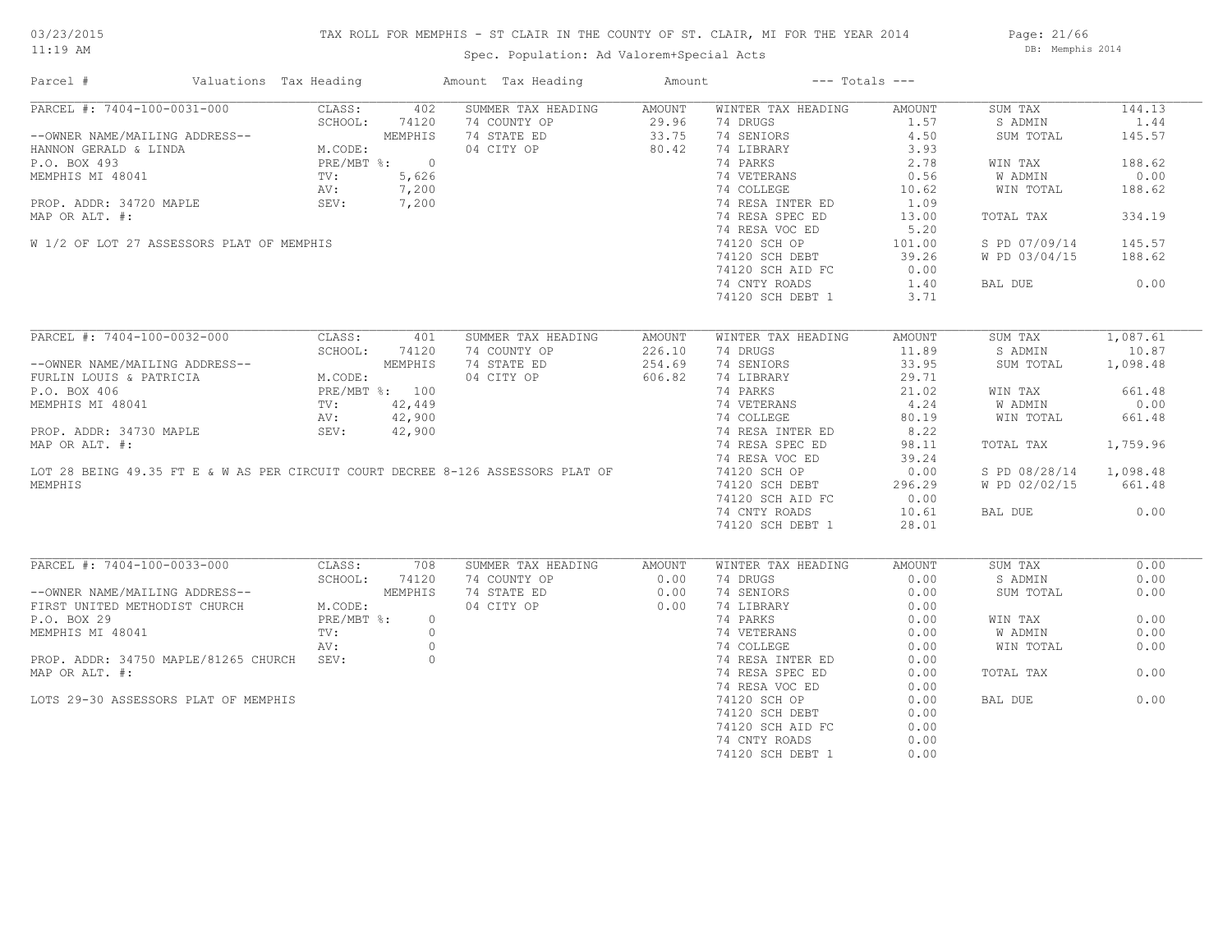# TAX ROLL FOR MEMPHIS - ST CLAIR IN THE COUNTY OF ST. CLAIR, MI FOR THE YEAR 2014

Spec. Population: Ad Valorem+Special Acts

Page: 21/66 DB: Memphis 2014

| Parcel #                                                                                                                                                                                                     | Valuations Tax Heading |              |               | Amount Tax Heading | Amount         |                                | $---$ Totals $---$                                                                        |                        |          |
|--------------------------------------------------------------------------------------------------------------------------------------------------------------------------------------------------------------|------------------------|--------------|---------------|--------------------|----------------|--------------------------------|-------------------------------------------------------------------------------------------|------------------------|----------|
| PARCEL #: 7404-100-0031-000                                                                                                                                                                                  | CLASS:                 |              | 402           | SUMMER TAX HEADING | AMOUNT         | WINTER TAX HEADING             | AMOUNT                                                                                    | SUM TAX                | 144.13   |
|                                                                                                                                                                                                              |                        | SCHOOL:      | 74120         | 74 COUNTY OP       | 29.96          | 74 DRUGS                       | 1.57                                                                                      | S ADMIN                | 1.44     |
| --OWNER NAME/MAILING ADDRESS--<br>HANNON GERALD & LINDA MEMPHIS<br>P.O. BOX 493<br>MEMPHIS MI 48041 TV: 5,626<br>PROP. ADDR: 34720 MAPLE<br>PROP. ADDR: 34720 MAPLE<br>PROP. ADDR: 34720 MAPLE<br>SEV: 7,200 |                        |              |               | 74 STATE ED        | 29.96<br>33.75 | 74 SENIORS                     | 4.50                                                                                      | SUM TOTAL              | 145.57   |
|                                                                                                                                                                                                              |                        |              |               | 04 CITY OP         | 80.42          | 74 LIBRARY                     | 3.93                                                                                      |                        |          |
|                                                                                                                                                                                                              |                        |              |               |                    |                | 74 PARKS                       | 2.78                                                                                      | WIN TAX                | 188.62   |
|                                                                                                                                                                                                              |                        |              |               |                    |                | 74 VETERANS                    | 0.56                                                                                      | W ADMIN                | 0.00     |
|                                                                                                                                                                                                              |                        |              |               |                    |                | 74 COLLEGE                     | 10.62                                                                                     | WIN TOTAL              | 188.62   |
|                                                                                                                                                                                                              |                        |              |               |                    |                | 74 RESA INTER ED               | 1.09                                                                                      |                        |          |
| MAP OR ALT. #:                                                                                                                                                                                               |                        |              |               |                    |                | 74 RESA SPEC ED                | 13.00                                                                                     | TOTAL TAX              | 334.19   |
|                                                                                                                                                                                                              |                        |              |               |                    |                | 74 RESA VOC ED                 | 5.20                                                                                      |                        |          |
| W 1/2 OF LOT 27 ASSESSORS PLAT OF MEMPHIS                                                                                                                                                                    |                        |              |               |                    |                |                                | 101.00                                                                                    | S PD 07/09/14          | 145.57   |
|                                                                                                                                                                                                              |                        |              |               |                    |                | 74120 SCH OP<br>74120 SCH DEBT | 39.26                                                                                     | W PD 03/04/15          | 188.62   |
|                                                                                                                                                                                                              |                        |              |               |                    |                |                                |                                                                                           |                        |          |
|                                                                                                                                                                                                              |                        |              |               |                    |                | 74120 SCH AID FC               | 0.00                                                                                      |                        |          |
|                                                                                                                                                                                                              |                        |              |               |                    |                | 74 CNTY ROADS                  | 1.40                                                                                      | BAL DUE                | 0.00     |
|                                                                                                                                                                                                              |                        |              |               |                    |                | 74120 SCH DEBT 1               | 3.71                                                                                      |                        |          |
| PARCEL #: 7404-100-0032-000                                                                                                                                                                                  |                        | CLASS:       | 401           | SUMMER TAX HEADING | AMOUNT         | WINTER TAX HEADING             | AMOUNT                                                                                    | SUM TAX                | 1,087.61 |
|                                                                                                                                                                                                              |                        |              | SCHOOL: 74120 | 74 COUNTY OP       | 226.10         | 74 DRUGS                       | 11.89                                                                                     | S ADMIN                | 10.87    |
| --OWNER NAME/MAILING ADDRESS--<br>FURLIN LOUIS & PATRICIA MEMPHIS<br>P.O. BOX 406<br>MEMPHIS MI 48041 TV: 42,449<br>PROP. ADDR: 34730 MAPLE SEV: 42,900<br>PROP. ADDR: 34730 MAPLE SEV: 42,900               |                        |              |               | 74 STATE ED        | 254.69         | 74 SENIORS                     | 33.95                                                                                     | SUM TOTAL              | 1,098.48 |
|                                                                                                                                                                                                              |                        |              |               | 04 CITY OP         | 606.82         | 74 LIBRARY                     | 29.71                                                                                     |                        |          |
|                                                                                                                                                                                                              |                        |              |               |                    |                |                                |                                                                                           |                        | 661.48   |
|                                                                                                                                                                                                              |                        |              |               |                    |                | 74 PARKS                       | $\begin{array}{c} 21.02 \\ 21.02 \\ 4.24 \\ 80.19 \\ \text{R ED} \end{array}$<br>RED 8.22 | WIN TAX                |          |
|                                                                                                                                                                                                              |                        |              |               |                    |                | 74 VETERANS                    |                                                                                           | W ADMIN                | 0.00     |
|                                                                                                                                                                                                              |                        |              |               |                    |                | 74 COLLEGE                     |                                                                                           | WIN TOTAL              | 661.48   |
|                                                                                                                                                                                                              |                        |              |               |                    |                | 74 RESA INTER ED               |                                                                                           |                        |          |
| MAP OR ALT. #:                                                                                                                                                                                               |                        |              |               |                    |                | 74 RESA SPEC ED                | 98.11                                                                                     | TOTAL TAX              | 1,759.96 |
|                                                                                                                                                                                                              |                        |              |               |                    |                | 74 RESA VOC ED                 | 39.24                                                                                     |                        |          |
| LOT 28 BEING 49.35 FT E & W AS PER CIRCUIT COURT DECREE 8-126 ASSESSORS PLAT OF                                                                                                                              |                        |              |               |                    |                | 74120 SCH OP                   | 0.00                                                                                      | S PD 08/28/14 1,098.48 |          |
| MEMPHIS                                                                                                                                                                                                      |                        |              |               |                    |                | 74120 SCH DEBT                 | 296.29                                                                                    | W PD 02/02/15          | 661.48   |
|                                                                                                                                                                                                              |                        |              |               |                    |                | 74120 SCH AID FC               | 0.00                                                                                      |                        |          |
|                                                                                                                                                                                                              |                        |              |               |                    |                | 74 CNTY ROADS                  | 10.61                                                                                     | BAL DUE                | 0.00     |
|                                                                                                                                                                                                              |                        |              |               |                    |                | 74120 SCH DEBT 1               | 28.01                                                                                     |                        |          |
|                                                                                                                                                                                                              |                        |              |               |                    |                |                                |                                                                                           |                        |          |
| PARCEL #: 7404-100-0033-000                                                                                                                                                                                  |                        | CLASS:       | 708           | SUMMER TAX HEADING | AMOUNT         | WINTER TAX HEADING             | AMOUNT                                                                                    | SUM TAX                | 0.00     |
|                                                                                                                                                                                                              |                        | SCHOOL:      | 74120         | 74 COUNTY OP       | 0.00           | 74 DRUGS                       | 0.00                                                                                      | S ADMIN                | 0.00     |
| --OWNER NAME/MAILING ADDRESS--                                                                                                                                                                               |                        |              | MEMPHIS       | 74 STATE ED        | 0.00           | 74 SENIORS                     | 0.00                                                                                      | SUM TOTAL              | 0.00     |
| FIRST UNITED METHODIST CHURCH                                                                                                                                                                                | M.CODE:<br>M.CODE:     | M.CODE:      |               | 04 CITY OP         | 0.00           | 74 LIBRARY                     | 0.00                                                                                      |                        |          |
| P.O. BOX 29                                                                                                                                                                                                  |                        | $PRE/MBT$ %: | $\circ$       |                    |                | 74 PARKS                       | 0.00                                                                                      | WIN TAX                | 0.00     |
| MEMPHIS MI 48041                                                                                                                                                                                             | TV:                    |              | $\circ$       |                    |                | 74 VETERANS                    | 0.00                                                                                      | W ADMIN                | 0.00     |
|                                                                                                                                                                                                              | AV:                    |              | $\circ$       |                    |                | 74 COLLEGE                     | 0.00                                                                                      | WIN TOTAL              | 0.00     |
| PROP. ADDR: 34750 MAPLE/81265 CHURCH SEV:                                                                                                                                                                    |                        |              | $\circ$       |                    |                | 74 RESA INTER ED               | 0.00                                                                                      |                        |          |
| MAP OR ALT. #:                                                                                                                                                                                               |                        |              |               |                    |                | 74 RESA SPEC ED                | 0.00                                                                                      | TOTAL TAX              | 0.00     |
|                                                                                                                                                                                                              |                        |              |               |                    |                | 74 RESA VOC ED                 | 0.00                                                                                      |                        |          |
| LOTS 29-30 ASSESSORS PLAT OF MEMPHIS                                                                                                                                                                         |                        |              |               |                    |                | 74120 SCH OP                   | 0.00                                                                                      | BAL DUE                | 0.00     |
|                                                                                                                                                                                                              |                        |              |               |                    |                | 74120 SCH DEBT                 | 0.00                                                                                      |                        |          |
|                                                                                                                                                                                                              |                        |              |               |                    |                | 74120 SCH AID FC               | 0.00                                                                                      |                        |          |
|                                                                                                                                                                                                              |                        |              |               |                    |                | 74 CNTY ROADS                  | 0.00                                                                                      |                        |          |
|                                                                                                                                                                                                              |                        |              |               |                    |                | 74120 SCH DEBT 1               | 0.00                                                                                      |                        |          |
|                                                                                                                                                                                                              |                        |              |               |                    |                |                                |                                                                                           |                        |          |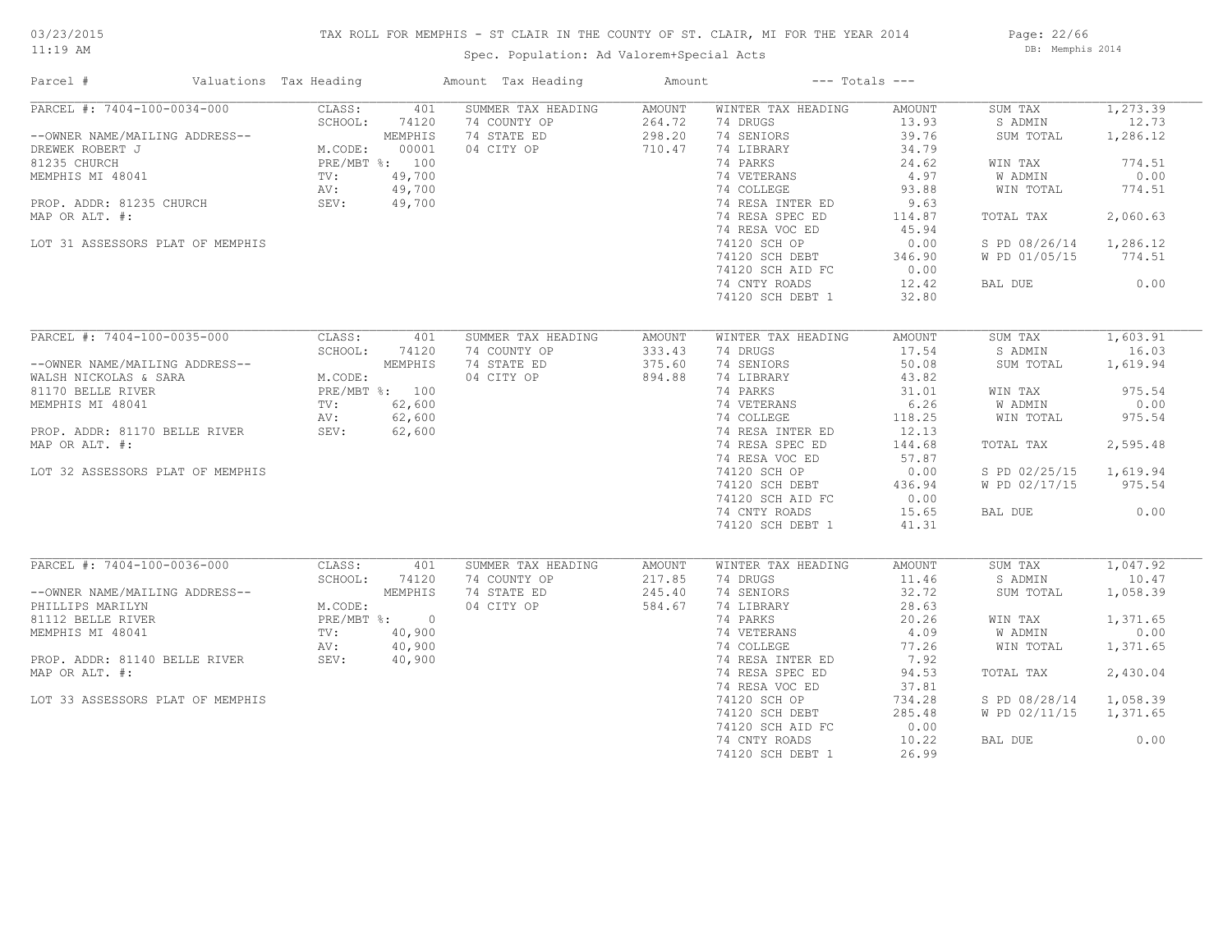# TAX ROLL FOR MEMPHIS - ST CLAIR IN THE COUNTY OF ST. CLAIR, MI FOR THE YEAR 2014

Spec. Population: Ad Valorem+Special Acts

Page: 22/66 DB: Memphis 2014

| Parcel #                                                                                                                                                                                                                                                                                                                              | Valuations Tax Heading                            |                                                       | Amount Tax Heading                                              | Amount                               | $---$ Totals $---$                                                                                                                                                                                                                                                  |                                                                                                                                                                                |                                                                                                                                              |                                                                                                           |
|---------------------------------------------------------------------------------------------------------------------------------------------------------------------------------------------------------------------------------------------------------------------------------------------------------------------------------------|---------------------------------------------------|-------------------------------------------------------|-----------------------------------------------------------------|--------------------------------------|---------------------------------------------------------------------------------------------------------------------------------------------------------------------------------------------------------------------------------------------------------------------|--------------------------------------------------------------------------------------------------------------------------------------------------------------------------------|----------------------------------------------------------------------------------------------------------------------------------------------|-----------------------------------------------------------------------------------------------------------|
| $PARCEL$ #: 7404-100-0034-000<br>--OWNER NAME/MAILING ADDRESS--<br>DREWER ROBERT J<br>BLEWER ROBERT J<br>81235 CHURCH<br>MEMPHIS MI 48041<br>PROP. ADDR: 81235 CHURCH<br>MAP OR ALT #.<br>MAP OR ALT +.<br>MAP OR ALT +.<br>MAP OR ALT +.<br>MAP OR ALT. #:<br>LOT 31 ASSESSORS PLAT OF MEMPHIS                                       | CLASS:<br>SCHOOL:                                 | 401<br>74120                                          | SUMMER TAX HEADING<br>74 COUNTY OP<br>74 STATE ED<br>04 CITY OP | AMOUNT<br>264.72<br>298.20<br>710.47 | WINTER TAX HEADING<br>74 DRUGS<br>74 SENIORS<br>74 LIBRARY<br>74 PARKS<br>74 VETERANS<br>74 COLLEGE<br>74 RESA INTER ED<br>74 RESA SPEC ED<br>74 RESA VOC ED<br>74120 SCH OP<br>74120 SCH DEBT                                                                      | AMOUNT<br>13.93<br>39.76<br>34.79<br>24.62<br>4.97<br>93.88<br>9.63<br>114.87<br>45.94<br>0.00<br>346.90                                                                       | SUM TAX<br>S ADMIN<br>SUM TOTAL<br>WIN TAX<br>W ADMIN<br>WIN TOTAL<br>TOTAL TAX<br>S PD 08/26/14 1,286.12<br>W PD 01/05/15 774.51            | 1, 273.39<br>12.73<br>1,286.12<br>774.51<br>0.00<br>774.51<br>2,060.63                                    |
|                                                                                                                                                                                                                                                                                                                                       |                                                   |                                                       |                                                                 |                                      | 74120 SCH AID FC<br>74 CNTY ROADS<br>74120 SCH DEBT 1                                                                                                                                                                                                               | 0.00<br>12.42<br>32.80                                                                                                                                                         | BAL DUE                                                                                                                                      | 0.00                                                                                                      |
| PARCEL #: 7404-100-0035-000<br>--OWNER NAME/MAILING ADDRESS--<br>WALSH NICKOLAS & SARA<br>MICSOLIE RIVER<br>100 MEMPHIS MI 48041<br>MEMPHIS MI 48041<br>TV: 62,600<br>PROP. ADDR: 81170 BELLE RIVER<br>PROP. ADDR: 81170 BELLE RIVER<br>SEV: 62,600<br>PROP. ADDR: 1170 BELLE R<br>MAP OR ALT. #:<br>LOT 32 ASSESSORS PLAT OF MEMPHIS | CLASS:<br>SCHOOL:                                 | 401<br>74120                                          | SUMMER TAX HEADING<br>74 COUNTY OP<br>74 STATE ED<br>04 CITY OP | AMOUNT<br>333.43<br>375.60<br>894.88 | WINTER TAX HEADING<br>74 DRUGS<br>74 SENIORS<br>74 LIBRARY<br>74 PARKS<br>74 LINNE<br>74 VETERANS<br>74 COLLEGE<br>74 RESA INTER ED<br>74 RESA SPEC ED<br>74 RESA VOC ED<br>74120 SCH OP<br>74120 SCH DEBT<br>74120 SCH AID FC<br>74 CNTY ROADS<br>74120 SCH DEBT 1 | AMOUNT<br>17.54<br>50.08<br>43.82<br>31.01<br>6.26<br>118.25<br>12.13<br>144.68<br>57.87<br>0.00<br>436.94<br>0.00<br>15.65<br>41.31                                           | SUM TAX<br>S ADMIN<br>SUM TOTAL<br>WIN TAX<br>W ADMIN<br>WIN TOTAL<br>TOTAL TAX<br>S PD 02/25/15 1,619.94<br>W PD 02/17/15 975.54<br>BAL DUE | 1,603.91<br>16.03<br>1,619.94<br>975.54<br>0.00<br>975.54<br>2,595.48<br>0.00                             |
| PARCEL #: 7404-100-0036-000<br>--OWNER NAME/MAILING ADDRESS--<br>PHILLIPS MARILYN<br>81112 BELLE RIVER<br>MEMPHIS MI 48041<br>RV: 40,900<br>PROP. ADDR: 81140 BELLE RIVER SEV: 40,900<br>MAP OR ALT. #:<br>LOT 33 ASSESSORS PLAT OF MEMPHIS                                                                                           | CLASS:<br>SCHOOL:<br>$M.$ CODE $\cdot$<br>M.CODE: | 401<br>74120<br>MEMPHIS<br>PRE/MBT %: 0<br>TV: 40,900 | SUMMER TAX HEADING<br>74 COUNTY OP<br>74 STATE ED<br>04 CITY OP | AMOUNT<br>217.85<br>245.40<br>584.67 | WINTER TAX HEADING<br>74 DRUGS<br>74 SENIORS<br>74 LIBRARY<br>74 PARKS<br>74 VETERANS<br>74 COLLEGE<br>74 RESA INTER ED<br>74 RESA SPEC ED<br>74 RESA VOC ED<br>74120 SCH OP<br>74120 SCH DEBT<br>74120 SCH AID FC<br>74 CNTY ROADS<br>74120 SCH DEBT 1             | AMOUNT<br>11.46<br>32.72<br>28.63<br>20.26<br>$\begin{array}{cc}\n & 77.26 \\  & 7.92 \\  & 6.53\n\end{array}$<br>94.53<br>37.81<br>734.28<br>285.48<br>0.00<br>10.22<br>26.99 | SUM TAX<br>S ADMIN<br>SUM TOTAL<br>WIN TAX<br>W ADMIN<br>WIN TOTAL<br>TOTAL TAX<br>S PD 08/28/14<br>W PD 02/11/15<br>BAL DUE                 | 1,047.92<br>10.47<br>1,058.39<br>1,371.65<br>0.00<br>1,371.65<br>2,430.04<br>1,058.39<br>1,371.65<br>0.00 |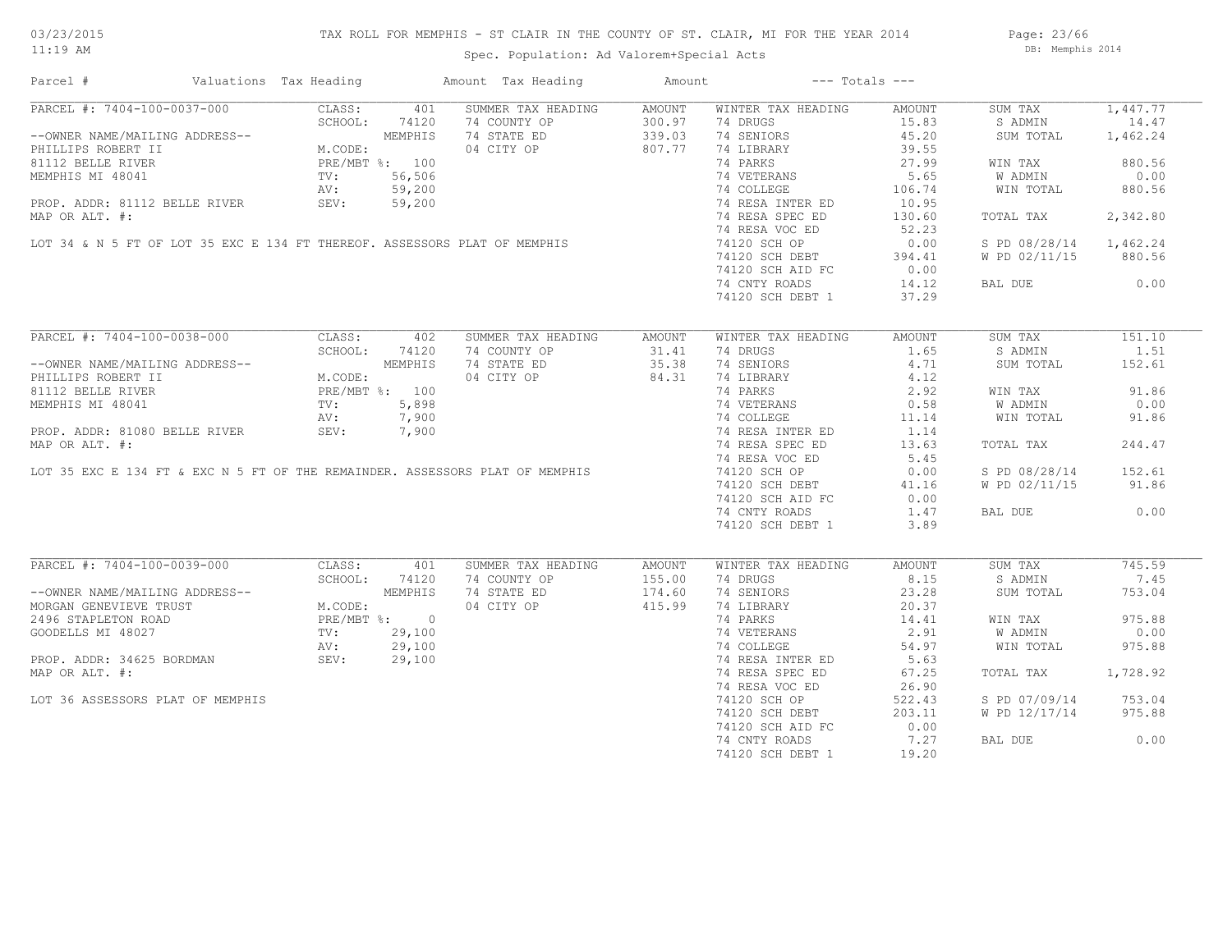# TAX ROLL FOR MEMPHIS - ST CLAIR IN THE COUNTY OF ST. CLAIR, MI FOR THE YEAR 2014

Spec. Population: Ad Valorem+Special Acts

Page: 23/66 DB: Memphis 2014

| Parcel #                                                                                                                                                                                                                                          | Valuations Tax Heading |            | Amount Tax Heading                                                  | Amount | $---$ Totals $---$                               |        |                        |          |
|---------------------------------------------------------------------------------------------------------------------------------------------------------------------------------------------------------------------------------------------------|------------------------|------------|---------------------------------------------------------------------|--------|--------------------------------------------------|--------|------------------------|----------|
| PARCEL #: 7404-100-0037-000                                                                                                                                                                                                                       | CLASS:                 | 401        | SUMMER TAX HEADING                                                  | AMOUNT | WINTER TAX HEADING                               | AMOUNT | SUM TAX                | 1,447.77 |
| --OWNER NAME/MAILING ADDRESS--<br>PHILLIPS ROBERT II M.CODE:<br>81112 BELLE RIVER PRE/MBT %: 100<br>MEMPHIS MI 48041 TV: 56,506<br>PROP. ADDR: 81112 BELLE RIVER SEV: 59,200<br>PROP. ADDR: 81112 BELLE RIVER SEV: 59,200                         |                        |            | 74 COUNTY OP                                                        | 300.97 | 74 DRUGS                                         | 15.83  | S ADMIN                | 14.47    |
|                                                                                                                                                                                                                                                   |                        |            | 74 STATE ED                                                         | 339.03 | 74 SENIORS                                       | 45.20  | SUM TOTAL              | 1,462.24 |
| -OWNER NAME/MAILING ADDRECT II<br>3112 BELE RIVER<br>MEMPHIS MI 48041<br>MEMPHIS MI 48041<br>MEMPHIS MI 48041<br>PRE/MBT %: 100<br>TV: 56,506<br>AV: 59,200<br>PROP. ADDR: 81112 BELLE RIVER<br>MAP OR ALT. #:<br>LOT 34 & N 5 FT OF LOT 35 EXC E |                        |            |                                                                     |        | 74 LIBRARY                                       | 39.55  |                        |          |
|                                                                                                                                                                                                                                                   |                        |            |                                                                     |        | 74 PARKS                                         | 27.99  | WIN TAX                | 880.56   |
|                                                                                                                                                                                                                                                   |                        |            |                                                                     |        | 74 VETERANS                                      | 5.65   | W ADMIN                | 0.00     |
|                                                                                                                                                                                                                                                   |                        |            |                                                                     |        | 74 COLLEGE                                       | 106.74 | WIN TOTAL              | 880.56   |
|                                                                                                                                                                                                                                                   |                        |            |                                                                     |        |                                                  |        |                        |          |
|                                                                                                                                                                                                                                                   |                        |            |                                                                     |        | 74 RESA INTER ED<br>74 RESA SPEC ED              | 10.95  |                        |          |
|                                                                                                                                                                                                                                                   |                        |            |                                                                     |        | 74 RESA SPEC ED                                  | 130.60 | TOTAL TAX              | 2,342.80 |
|                                                                                                                                                                                                                                                   |                        |            |                                                                     |        | 74 RESA VOC ED                                   | 52.23  |                        |          |
|                                                                                                                                                                                                                                                   |                        |            |                                                                     |        | 74120 SCH OP                                     | 0.00   | S PD 08/28/14 1,462.24 |          |
|                                                                                                                                                                                                                                                   |                        |            |                                                                     |        | 74120 SCH DEBT<br>74120 SCH DEBT                 | 394.41 | W PD 02/11/15          | 880.56   |
|                                                                                                                                                                                                                                                   |                        |            |                                                                     |        | 74120 SCH AID FC                                 | 0.00   |                        |          |
|                                                                                                                                                                                                                                                   |                        |            |                                                                     |        | 74 CNTY ROADS                                    | 14.12  | BAL DUE                | 0.00     |
|                                                                                                                                                                                                                                                   |                        |            |                                                                     |        | 74120 SCH DEBT 1                                 | 37.29  |                        |          |
|                                                                                                                                                                                                                                                   |                        |            |                                                                     |        |                                                  |        |                        |          |
| PARCEL #: 7404-100-0038-000                                                                                                                                                                                                                       |                        | CLASS: 402 | SUMMER TAX HEADING                                                  | AMOUNT | WINTER TAX HEADING                               | AMOUNT | SUM TAX                | 151.10   |
|                                                                                                                                                                                                                                                   | SCHOOL:                | 74120      | 74 COUNTY OP                                                        | 31.41  | 74 DRUGS                                         | 1.65   | S ADMIN                | 1.51     |
|                                                                                                                                                                                                                                                   |                        |            | 74 STATE ED                                                         | 35.38  | 74 SENIORS                                       | 4.71   | SUM TOTAL              | 152.61   |
| --OWNER NAME/MAILING ADDRESS--<br>PHILLIPS ROBERT II M.CODE:<br>81112 BELLE RIVER PRE/MBT %: 100<br>MEMPHIS MI 48041 TV: 5,898<br>AV: 7,900                                                                                                       |                        |            | 04 CITY OP                                                          | 84.31  |                                                  | 4.12   |                        |          |
|                                                                                                                                                                                                                                                   |                        |            |                                                                     |        | 74 LIBRARY<br>74 PARKS                           | 2.92   | WIN TAX                | 91.86    |
|                                                                                                                                                                                                                                                   |                        |            |                                                                     |        |                                                  |        | W ADMIN                | 0.00     |
|                                                                                                                                                                                                                                                   |                        |            |                                                                     |        | 74 VETERANS 0.58<br>74 COLLEGE 11.14             |        | WIN TOTAL              | 91.86    |
|                                                                                                                                                                                                                                                   |                        |            |                                                                     |        | 74 RESA INTER ED                                 | 1.14   |                        |          |
|                                                                                                                                                                                                                                                   |                        |            |                                                                     |        |                                                  |        |                        |          |
|                                                                                                                                                                                                                                                   |                        |            |                                                                     |        | 74 RESA SPEC ED                                  | 13.63  | TOTAL TAX              | 244.47   |
|                                                                                                                                                                                                                                                   |                        |            |                                                                     |        | 74 RESA VOC ED                                   | 5.45   |                        |          |
|                                                                                                                                                                                                                                                   |                        |            |                                                                     |        | 74120 SCH OP                                     | 0.00   | S PD 08/28/14          | 152.61   |
|                                                                                                                                                                                                                                                   |                        |            |                                                                     |        | 74120 SCH DEBT                                   | 41.16  | W PD 02/11/15          | 91.86    |
|                                                                                                                                                                                                                                                   |                        |            |                                                                     |        | 74120 SCH AID FC                                 | 0.00   |                        |          |
|                                                                                                                                                                                                                                                   |                        |            |                                                                     |        | 74 CNTY ROADS                                    | 1.47   | BAL DUE                | 0.00     |
|                                                                                                                                                                                                                                                   |                        |            |                                                                     |        | 74120 SCH DEBT 1                                 | 3.89   |                        |          |
|                                                                                                                                                                                                                                                   |                        |            |                                                                     |        |                                                  |        |                        |          |
| PARCEL #: 7404-100-0039-000                                                                                                                                                                                                                       | CLASS:                 | 401        | SUMMER TAX HEADING                                                  | AMOUNT | WINTER TAX HEADING                               | AMOUNT | SUM TAX                | 745.59   |
|                                                                                                                                                                                                                                                   | SCHOOL:                | 74120      | 74 COUNTY OP                                                        | 155.00 | 74 DRUGS                                         | 8.15   | S ADMIN                | 7.45     |
|                                                                                                                                                                                                                                                   |                        |            | 74 STATE ED                                                         | 174.60 | 74 SENIORS                                       | 23.28  | SUM TOTAL              | 753.04   |
| --OWNER NAME/MAILING ADDRESS--<br>MORGAN GENEVIEVE TRUST<br>2496 STAPLETON ROAD<br>GOODELLS MI 48027 TV: 29,100<br>PROP. ADDR: 34625 BORDMAN SEV: 29,100<br>MAP OP ALT #: 29,100<br>MAP OP ALT #:                                                 |                        |            | 04 CITY OP                                                          | 415.99 | 74 LIBRARY                                       | 20.37  |                        |          |
|                                                                                                                                                                                                                                                   |                        |            | $\begin{array}{r} 29,100 \\ 29,100 \\ 29,100 \\ 29,100 \end{array}$ |        | 74 PARKS                                         | 14.41  | WIN TAX                | 975.88   |
|                                                                                                                                                                                                                                                   |                        |            |                                                                     |        | 74 VETERANS                                      | 2.91   | <b>W ADMIN</b>         | 0.00     |
|                                                                                                                                                                                                                                                   |                        |            |                                                                     |        | 74 COLLEGE                                       | 54.97  | WIN TOTAL              | 975.88   |
|                                                                                                                                                                                                                                                   |                        |            |                                                                     |        | 74 RESA INTER ED                                 | 5.63   |                        |          |
| MAP OR ALT. #:                                                                                                                                                                                                                                    |                        |            |                                                                     |        | 74 RESA SPEC ED                                  | 67.25  | TOTAL TAX              | 1,728.92 |
|                                                                                                                                                                                                                                                   |                        |            |                                                                     |        | 74 RESA VOC ED                                   | 26.90  |                        |          |
| LOT 36 ASSESSORS PLAT OF MEMPHIS                                                                                                                                                                                                                  |                        |            |                                                                     |        |                                                  | 522.43 | S PD 07/09/14          | 753.04   |
|                                                                                                                                                                                                                                                   |                        |            |                                                                     |        | 74120 SCH OP<br>74120 SCH DEBT<br>74120 SCH DEBT | 203.11 | W PD 12/17/14          | 975.88   |
|                                                                                                                                                                                                                                                   |                        |            |                                                                     |        | 74120 SCH AID FC                                 | 0.00   |                        |          |
|                                                                                                                                                                                                                                                   |                        |            |                                                                     |        |                                                  |        |                        |          |
|                                                                                                                                                                                                                                                   |                        |            |                                                                     |        | 74 CNTY ROADS                                    | 7.27   | BAL DUE                | 0.00     |
|                                                                                                                                                                                                                                                   |                        |            |                                                                     |        | 74120 SCH DEBT 1                                 | 19.20  |                        |          |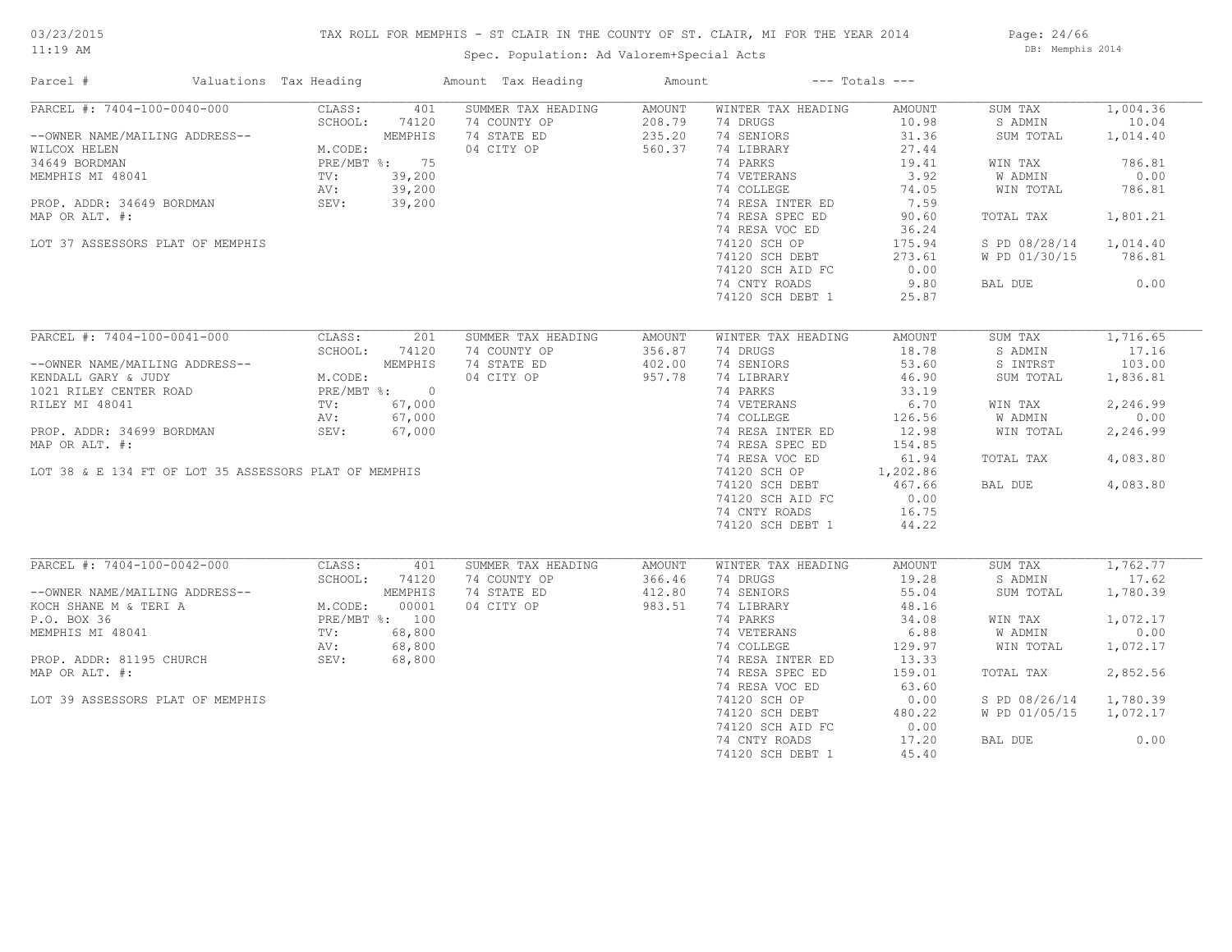# TAX ROLL FOR MEMPHIS - ST CLAIR IN THE COUNTY OF ST. CLAIR, MI FOR THE YEAR 2014

Spec. Population: Ad Valorem+Special Acts

Page: 24/66 DB: Memphis 2014

| Parcel #                                                                                                                                                                                                                                 | Valuations Tax Heading |        | Amount Tax Heading | Amount | $---$ Totals $---$           |          |                        |          |
|------------------------------------------------------------------------------------------------------------------------------------------------------------------------------------------------------------------------------------------|------------------------|--------|--------------------|--------|------------------------------|----------|------------------------|----------|
| PARCEL #: 7404-100-0040-000                                                                                                                                                                                                              | CLASS:                 | 401    | SUMMER TAX HEADING | AMOUNT | WINTER TAX HEADING           | AMOUNT   | SUM TAX                | 1,004.36 |
|                                                                                                                                                                                                                                          | SCHOOL:                | 74120  | 74 COUNTY OP       | 208.79 | 74 DRUGS                     | 10.98    | S ADMIN                | 10.04    |
| --OWNER NAME/MAILING ADDRESS--<br>WILCOX HELEN<br>34649 BORDMAN M.CODE:<br>MEMPHIS MI 48041 PRE/MBT %: 75<br>MEMPHIS MI 48041 TV: 39,200<br>PROP. ADDR: 34649 BORDMAN SEV: 39,200<br>MRD.ODRITE #:                                       |                        |        | 74 STATE ED        | 235.20 | 74 SENIORS                   | 31.36    | SUM TOTAL              | 1,014.40 |
|                                                                                                                                                                                                                                          |                        |        | 04 CITY OP         | 560.37 | 74 LIBRARY                   | 27.44    |                        |          |
|                                                                                                                                                                                                                                          |                        |        |                    |        | 74 PARKS                     | 19.41    | WIN TAX                | 786.81   |
|                                                                                                                                                                                                                                          |                        |        |                    |        | 74 VETERANS<br>74 COLLEGE    | 3.92     | W ADMIN                | 0.00     |
|                                                                                                                                                                                                                                          |                        |        |                    |        |                              | 74.05    | WIN TOTAL              | 786.81   |
|                                                                                                                                                                                                                                          |                        |        |                    |        | 74 RESA INTER ED             | 7.59     |                        |          |
| MAP OR ALT. #:                                                                                                                                                                                                                           |                        |        |                    |        | 74 RESA SPEC ED              | 90.60    | TOTAL TAX              | 1,801.21 |
|                                                                                                                                                                                                                                          |                        |        |                    |        | 74 RESA VOC ED               | 36.24    |                        |          |
| LOT 37 ASSESSORS PLAT OF MEMPHIS                                                                                                                                                                                                         |                        |        |                    |        | 74120 SCH OP                 | 175.94   | S PD 08/28/14 1,014.40 |          |
|                                                                                                                                                                                                                                          |                        |        |                    |        | 74120 SCH DEBT               | 273.61   | W PD 01/30/15          | 786.81   |
|                                                                                                                                                                                                                                          |                        |        |                    |        | 74120 SCH AID FC             | 0.00     |                        |          |
|                                                                                                                                                                                                                                          |                        |        |                    |        |                              |          |                        |          |
|                                                                                                                                                                                                                                          |                        |        |                    |        | 74 CNTY ROADS                | 9.80     | BAL DUE                | 0.00     |
|                                                                                                                                                                                                                                          |                        |        |                    |        | 74120 SCH DEBT 1             | 25.87    |                        |          |
|                                                                                                                                                                                                                                          |                        |        |                    |        |                              |          |                        |          |
| PARCEL #: 7404-100-0041-000                                                                                                                                                                                                              | CLASS:                 | 201    | SUMMER TAX HEADING | AMOUNT | WINTER TAX HEADING           | AMOUNT   | SUM TAX                | 1,716.65 |
|                                                                                                                                                                                                                                          | SCHOOL:                | 74120  | 74 COUNTY OP       | 356.87 | 74 DRUGS                     | 18.78    | S ADMIN                | 17.16    |
|                                                                                                                                                                                                                                          |                        |        | 74 STATE ED        | 402.00 | 74 SENIORS                   | 53.60    | S INTRST               | 103.00   |
|                                                                                                                                                                                                                                          |                        |        | 04 CITY OP         | 957.78 | 74 LIBRARY                   | 46.90    | SUM TOTAL              | 1,836.81 |
|                                                                                                                                                                                                                                          |                        |        |                    |        | 74 PARKS                     | 33.19    |                        |          |
| --OWNER NAME/MAILING ADDRESS--<br>KENDALL GARY & JUDY MEMPHIS<br>1021 RILEY CENTER ROAD PRE/MBT %: 0<br>RILEY MI 48041 TV: 67,000<br>AV: 67,000                                                                                          |                        |        |                    |        | 74 VETERANS                  | 6.70     | WIN TAX                | 2,246.99 |
|                                                                                                                                                                                                                                          |                        |        |                    |        | 74 COLLEGE                   | 126.56   | W ADMIN                | 0.00     |
| PROP. ADDR: 34699 BORDMAN                                                                                                                                                                                                                | SEV:                   | 67,000 |                    |        | 74 RESA INTER ED             | 12.98    | WIN TOTAL              | 2,246.99 |
| MAP OR ALT. #:                                                                                                                                                                                                                           |                        |        |                    |        | 74 RESA SPEC ED              | 154.85   |                        |          |
|                                                                                                                                                                                                                                          |                        |        |                    |        | 74 RESA VOC ED               | 61.94    | TOTAL TAX              | 4,083.80 |
| LOT 38 & E 134 FT OF LOT 35 ASSESSORS PLAT OF MEMPHIS                                                                                                                                                                                    |                        |        |                    |        | 74120 SCH OP                 | 1,202.86 |                        |          |
|                                                                                                                                                                                                                                          |                        |        |                    |        |                              | 467.66   | BAL DUE 4,083.80       |          |
|                                                                                                                                                                                                                                          |                        |        |                    |        | 74120 SCH DEBT               |          |                        |          |
|                                                                                                                                                                                                                                          |                        |        |                    |        | 74120 SCH AID FC             | 0.00     |                        |          |
|                                                                                                                                                                                                                                          |                        |        |                    |        | 74 CNTY ROADS                | 16.75    |                        |          |
|                                                                                                                                                                                                                                          |                        |        |                    |        | 74120 SCH DEBT 1             | 44.22    |                        |          |
|                                                                                                                                                                                                                                          |                        |        |                    |        |                              |          |                        |          |
| PARCEL #: 7404-100-0042-000                                                                                                                                                                                                              | CLASS:                 | 401    | SUMMER TAX HEADING | AMOUNT | WINTER TAX HEADING           | AMOUNT   | SUM TAX                | 1,762,77 |
|                                                                                                                                                                                                                                          | SCHOOL:                | 74120  | 74 COUNTY OP       | 366.46 | 74 DRUGS                     | 19.28    | S ADMIN                | 17.62    |
|                                                                                                                                                                                                                                          |                        |        | 74 STATE ED        | 412.80 | 74 SENIORS                   | 55.04    | SUM TOTAL              | 1,780.39 |
|                                                                                                                                                                                                                                          |                        |        | 04 CITY OP         | 983.51 | 74 LIBRARY                   | 48.16    |                        |          |
| --OWNER NAME/MAILING ADDRESS--<br>KOCH SHANE M & TERI A M.CODE: 00001<br>P.O. BOX 36 PRE/MBT %: 100<br>MEMPHIS MI 48041 TV: 68,800<br>PROP. ADDR: 81195 CHURCH SEV: 68,800<br>NET REPORTED AND AV: 68,800<br>NET REPORTED AND AV: 68,800 |                        |        |                    |        | 74 PARKS                     | 34.08    | WIN TAX                | 1,072.17 |
|                                                                                                                                                                                                                                          |                        |        |                    |        | 74 VETERANS                  | 6.88     | W ADMIN                | 0.00     |
|                                                                                                                                                                                                                                          |                        |        |                    |        | ar RD<br>Ar RD<br>74 COLLEGE | 129.97   | WIN TOTAL              | 1,072.17 |
|                                                                                                                                                                                                                                          |                        |        |                    |        | 74 RESA INTER ED             | 13.33    |                        |          |
| MAP OR ALT. #:                                                                                                                                                                                                                           |                        |        |                    |        | 74 RESA SPEC ED              | 159.01   | TOTAL TAX              | 2,852.56 |
|                                                                                                                                                                                                                                          |                        |        |                    |        | 74 RESA VOC ED               | 63.60    |                        |          |
| LOT 39 ASSESSORS PLAT OF MEMPHIS                                                                                                                                                                                                         |                        |        |                    |        | 74120 SCH OP                 | 0.00     | S PD 08/26/14          | 1,780.39 |
|                                                                                                                                                                                                                                          |                        |        |                    |        | 74120 SCH DEBT               | 480.22   | W PD 01/05/15 1,072.17 |          |
|                                                                                                                                                                                                                                          |                        |        |                    |        | 74120 SCH AID FC             | 0.00     |                        |          |
|                                                                                                                                                                                                                                          |                        |        |                    |        | 74 CNTY ROADS                | 17.20    | BAL DUE                | 0.00     |
|                                                                                                                                                                                                                                          |                        |        |                    |        | 74120 SCH DEBT 1             | 45.40    |                        |          |
|                                                                                                                                                                                                                                          |                        |        |                    |        |                              |          |                        |          |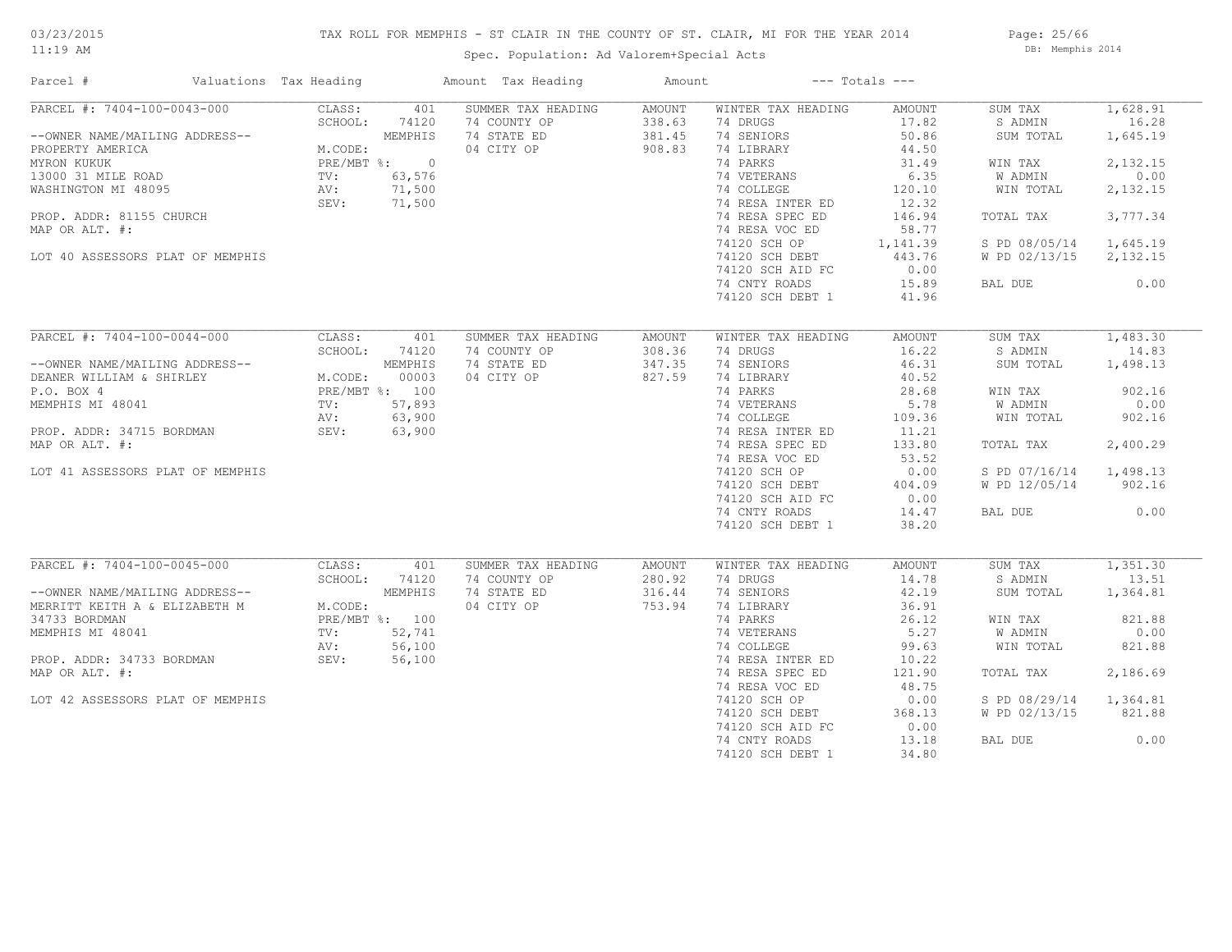# TAX ROLL FOR MEMPHIS - ST CLAIR IN THE COUNTY OF ST. CLAIR, MI FOR THE YEAR 2014

Spec. Population: Ad Valorem+Special Acts

Page: 25/66 DB: Memphis 2014

| Parcel #                                                                                                                                                                                                                                                                                                                                                                | Valuations Tax Heading |                      | Amount Tax Heading                                                                          | Amount                               | $---$ Totals $---$                                                                                                                                                                                                                                               |                                                                                                                                      |                                                                                                                                                |                                                                                                      |
|-------------------------------------------------------------------------------------------------------------------------------------------------------------------------------------------------------------------------------------------------------------------------------------------------------------------------------------------------------------------------|------------------------|----------------------|---------------------------------------------------------------------------------------------|--------------------------------------|------------------------------------------------------------------------------------------------------------------------------------------------------------------------------------------------------------------------------------------------------------------|--------------------------------------------------------------------------------------------------------------------------------------|------------------------------------------------------------------------------------------------------------------------------------------------|------------------------------------------------------------------------------------------------------|
| PARCEL #: 7404-100-0043-000<br>CHOOL: 74120<br>--OWNER NAME/MAILING ADDRESS--<br>PROPERTY AMERICA<br>MEMPHIS<br>13000 31 MILE ROAD<br>13000 31 MILE ROAD<br>TV: 63,576<br>WASHINGTON MI 48095<br>PROPERTY AMERICA<br>TV: 63,576<br>NASHINGTON MI 48095<br>PROPERTY: 71,500<br>PROPERT<br>PROP. ADDR: 81155 CHURCH<br>MAP OR ALT. #:<br>LOT 40 ASSESSORS PLAT OF MEMPHIS | CLASS:                 | 401                  | SUMMER TAX HEADING<br>74 COUNTY OP<br>74 STATE ED<br>04 CITY OP                             | AMOUNT<br>338.63<br>381.45<br>908.83 | WINTER TAX HEADING<br>74 DRUGS<br>74 SENIORS<br>74 LIBRARY<br>74 PARKS<br>74 VETERANS<br>74 COLLEGE<br>74 RESA INTER ED<br>74 RESA SPEC ED<br>74 RESA VOC ED<br>74120 SCH OP 1,141.39<br>74120 SCH DEBT<br>74120 SCH AID FC<br>74 CNTY ROADS<br>74120 SCH DEBT 1 | AMOUNT<br>17.82<br>50.86<br>44.50<br>31.49<br>6.35<br>120.10<br>12.32<br>146.94<br>58.77<br>443.76<br>0.00<br>15.89<br>41.96         | SUM TAX<br>S ADMIN<br>SUM TOTAL<br>WIN TAX<br>W ADMIN<br>WIN TOTAL<br>TOTAL TAX<br>S PD 08/05/14 1,645.19<br>W PD 02/13/15 2,132.15<br>BAL DUE | 1,628.91<br>16.28<br>1,645.19<br>2,132.15<br>0.00<br>2,132.15<br>3,777.34<br>0.00                    |
|                                                                                                                                                                                                                                                                                                                                                                         |                        |                      |                                                                                             |                                      |                                                                                                                                                                                                                                                                  |                                                                                                                                      |                                                                                                                                                |                                                                                                      |
| PARCEL #: 7404-100-0044-000<br>--OWNER NAME/MAILING ADDRESS--<br>DEANER WILLIAM & SHIRLEY M.CODE: 00003<br>P.O. BOX 4<br>MEMPHIS MI 48041<br>MEMPHIS MI 48041<br>PROP. ADDR: 34715 BORDMAN<br>MAP OR ALT. #: 63,900<br>MAP OR ALT. #: 63,900<br>MAP OR ALT. #:<br>LOT 41 ASSESSORS PLAT OF MEMPHIS                                                                      | CLASS:                 | 401<br>SCHOOL: 74120 | SUMMER TAX HEADING<br>74 COUNTY OP<br>74 STATE ED<br>04 CITY OP<br>$\frac{3}{0}$<br>0<br>10 | AMOUNT<br>308.36<br>347.35<br>827.59 | WINTER TAX HEADING<br>74 DRUGS<br>74 SENIORS<br>74 LIBRARY<br>74 PARKS<br>74 VETERANS<br>74 COLLEGE<br>74 RESA INTER ED<br>74 RESA SPEC ED<br>74 RESA VOC ED<br>74120 SCH OP<br>74120 SCH DEBT<br>74120 SCH AID FC<br>74 CNTY ROADS<br>74120 SCH DEBT 1          | AMOUNT<br>16.22<br>46.31<br>40.52<br>28.68<br>5.78<br>109.36<br>11.21<br>133.80<br>53.52<br>0.00<br>404.09<br>0.00<br>14.47<br>38.20 | SUM TAX<br>S ADMIN<br>SUM TOTAL<br>WIN TAX<br>W ADMIN<br>WIN TOTAL<br>TOTAL TAX<br>S PD 07/16/14 1,498.13<br>W PD 12/05/14 902.16<br>BAL DUE   | 1,483.30<br>14.83<br>1,498.13<br>902.16<br>0.00<br>902.16<br>2,400.29<br>0.00                        |
| PARCEL #: 7404-100-0045-000 CLASS:<br>--OWNER NAME/MAILING ADDRESS--<br>MERRITT KEITH A & ELIZABETH M M.CODE:<br>34733 BORDMAN PRE/MBT %: 100<br>MEMPHIS MI 48041 TV: 52,741<br>PROP. ADDR: 34733 BORDMAN SEV: 56,100<br>MAP OP ALT #:<br>MAP OP ALT #:<br>MAP OR ALT. #:<br>LOT 42 ASSESSORS PLAT OF MEMPHIS                                                           |                        | 401                  | SUMMER TAX HEADING<br>74 COUNTY OP<br>74 STATE ED<br>04 CITY OP                             | AMOUNT<br>280.92<br>316.44<br>753.94 | WINTER TAX HEADING<br>74 DRUGS<br>74 SENIORS<br>74 LIBRARY<br>74 PARKS<br>74 VETERANS<br>74 COLLEGE<br>74 RESA INTER ED<br>74 RESA SPEC ED<br>74 RESA VOC ED<br>74120 SCH OP<br>74120 SCH DEBT<br>74120 SCH AID FC<br>74 CNTY ROADS<br>74120 SCH DEBT 1          | AMOUNT<br>14.78<br>42.19<br>36.91<br>26.12<br>5.27<br>99.63<br>10.22<br>121.90<br>48.75<br>0.00<br>368.13<br>0.00<br>13.18<br>34.80  | SUM TAX<br>S ADMIN<br>SUM TOTAL<br>WIN TAX<br>W ADMIN<br>WIN TOTAL<br>TOTAL TAX<br>S PD 08/29/14 1,364.81<br>W PD 02/13/15<br>BAL DUE          | $\overline{1,351.30}$<br>13.51<br>1,364.81<br>821.88<br>0.00<br>821.88<br>2,186.69<br>821.88<br>0.00 |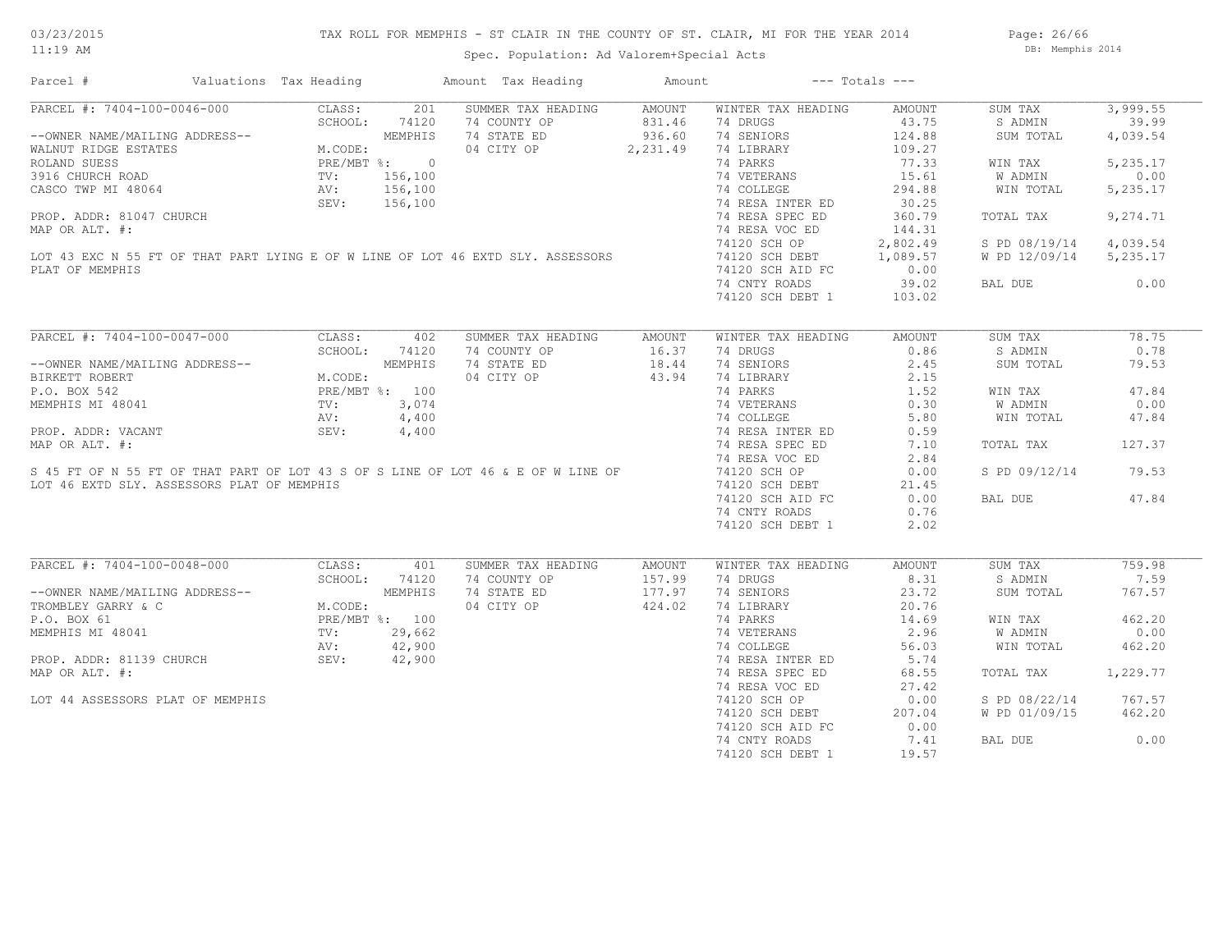Page: 26/66 DB: Memphis 2014

| Parcel #                                                                                                                                                                                                                                                                                                                                                                                                                                          | Valuations Tax Heading |               | Amount Tax Heading Mount                                                      |                  | $---$ Totals $---$                                                                                                                                                          |        |                        |          |
|---------------------------------------------------------------------------------------------------------------------------------------------------------------------------------------------------------------------------------------------------------------------------------------------------------------------------------------------------------------------------------------------------------------------------------------------------|------------------------|---------------|-------------------------------------------------------------------------------|------------------|-----------------------------------------------------------------------------------------------------------------------------------------------------------------------------|--------|------------------------|----------|
| PARCEL #: 7404-100-0046-000                                                                                                                                                                                                                                                                                                                                                                                                                       |                        | CLASS: 201    | SUMMER TAX HEADING AMOUNT                                                     |                  | WINTER TAX HEADING                                                                                                                                                          | AMOUNT | SUM TAX                | 3,999.55 |
| PARCEL #: 7404-100-0046-000<br>-OWNER NAME/MAILING ADDRESS--<br>WEMPHIS<br>WALNUT RIDGE ESTATES<br>ROLAND SUESS<br>3916 CHURCH ROAD<br>CASCO TWP MI 48064<br>PRE/MBT %: 0<br>CASCO TWP MI 48064<br>PRE/MBT %: 0<br>SEV: 156,100<br>SEV: 156,100<br>PRE                                                                                                                                                                                            |                        |               | 74 COUNTY OP                                                                  |                  | 74 DRUGS                                                                                                                                                                    | 43.75  | S ADMIN                | 39.99    |
|                                                                                                                                                                                                                                                                                                                                                                                                                                                   |                        |               | 74 STATE ED                                                                   | 831.46<br>936.60 | 74 SENIORS                                                                                                                                                                  | 124.88 | SUM TOTAL              | 4,039.54 |
|                                                                                                                                                                                                                                                                                                                                                                                                                                                   |                        |               | 04 CITY OP 2, 231.49                                                          |                  | 74 LIBRARY                                                                                                                                                                  | 109.27 |                        |          |
|                                                                                                                                                                                                                                                                                                                                                                                                                                                   |                        |               |                                                                               |                  | 74 PARKS                                                                                                                                                                    | 77.33  | WIN TAX                | 5,235.17 |
| FREE THE PART OF THE PART OF THE SERIES PROP.<br>TO THE 156,100<br>PROP. ADDR: 81047 CHURCH<br>MAP OR ALT. #:<br>LOT 43 EXC N 55 FT OF THAT PART LYING E OF W LINE OF LOT 46 EXTD SLY. ASSESSORS<br>PLAT OF MEMPHIS                                                                                                                                                                                                                               |                        |               |                                                                               |                  |                                                                                                                                                                             | 15.61  | W ADMIN                | 0.00     |
|                                                                                                                                                                                                                                                                                                                                                                                                                                                   |                        |               |                                                                               |                  | 74 VETERANS<br>74 COLLEGE                                                                                                                                                   | 294.88 | WIN TOTAL              | 5,235.17 |
|                                                                                                                                                                                                                                                                                                                                                                                                                                                   |                        |               |                                                                               |                  |                                                                                                                                                                             | 30.25  |                        |          |
|                                                                                                                                                                                                                                                                                                                                                                                                                                                   |                        |               |                                                                               |                  | 74 RESA INTER ED<br>74 DECA SPECIED<br>74 RESA SPEC ED                                                                                                                      | 360.79 | TOTAL TAX              | 9,274.71 |
|                                                                                                                                                                                                                                                                                                                                                                                                                                                   |                        |               |                                                                               |                  |                                                                                                                                                                             | 144.31 |                        |          |
|                                                                                                                                                                                                                                                                                                                                                                                                                                                   |                        |               |                                                                               |                  | 74 RESA VOC ED                                                                                                                                                              |        | S PD 08/19/14 4,039.54 |          |
|                                                                                                                                                                                                                                                                                                                                                                                                                                                   |                        |               |                                                                               |                  | 74120 SCH OP 2,802.49<br>74120 SCH DEBT 1,089.57                                                                                                                            |        |                        |          |
|                                                                                                                                                                                                                                                                                                                                                                                                                                                   |                        |               |                                                                               |                  |                                                                                                                                                                             |        | W PD 12/09/14 5,235.17 |          |
| PLAT OF MEMPHIS                                                                                                                                                                                                                                                                                                                                                                                                                                   |                        |               |                                                                               |                  | 74120 SCH AID FC                                                                                                                                                            | 0.00   |                        |          |
|                                                                                                                                                                                                                                                                                                                                                                                                                                                   |                        |               |                                                                               |                  | 74 CNTY ROADS                                                                                                                                                               | 39.02  | BAL DUE 0.00           |          |
|                                                                                                                                                                                                                                                                                                                                                                                                                                                   |                        |               |                                                                               |                  | 74120 SCH DEBT 1                                                                                                                                                            | 103.02 |                        |          |
|                                                                                                                                                                                                                                                                                                                                                                                                                                                   |                        |               |                                                                               |                  |                                                                                                                                                                             |        |                        |          |
| PARCEL #: 7404-100-0047-000 CLASS: 402                                                                                                                                                                                                                                                                                                                                                                                                            |                        |               | SUMMER TAX HEADING                                                            | AMOUNT           | WINTER TAX HEADING                                                                                                                                                          | AMOUNT | SUM TAX                | 78.75    |
|                                                                                                                                                                                                                                                                                                                                                                                                                                                   |                        | SCHOOL: 74120 | 74 COUNTY OP 16.37<br>74 STATE ED 18.44                                       |                  | 74 DRUGS                                                                                                                                                                    | 0.86   | S ADMIN                | 0.78     |
|                                                                                                                                                                                                                                                                                                                                                                                                                                                   |                        |               | 74 STATE ED                                                                   |                  | 74 SENIORS                                                                                                                                                                  | 2.45   | SUM TOTAL              | 79.53    |
|                                                                                                                                                                                                                                                                                                                                                                                                                                                   |                        |               | 04 CITY OP 43.94                                                              |                  |                                                                                                                                                                             |        |                        |          |
|                                                                                                                                                                                                                                                                                                                                                                                                                                                   |                        |               |                                                                               |                  |                                                                                                                                                                             |        | WIN TAX                | 47.84    |
| --OWNER NAME/MAILING ADDRESS--<br>BIRKETT ROBERT M.CODE: MEMPHIS<br>P.O. BOX 542 PRE/MBT %: 100<br>MEMPHIS MI 48041 TV: 3,074<br>PROP. ADDR: VACANT SEV: 4,400<br>PROP. ADDR: VACANT SEV: 4,400<br>P.O. BOX 542<br>MEMPHIS MI 48041<br>PROP. ADDR: VACANT<br>PROP. ADDR: VACANT<br>MEMPHIS MI 48041<br>MEMPHIS MI 48041<br>MAP OR ALT. #:<br>S 45 FT OF N 55 FT OF THAT PART OF LOT 43 S OF S LINE OF LOT 46 & E OF W LINE OF<br>LOT 46 EVTD SIVE |                        |               |                                                                               |                  | 74 DIBRARY<br>74 DIBRARY<br>74 PARKS<br>74 VETERANS<br>74 COLLEGE<br>74 RESA INTER ED<br>74 RESA INTER ED<br>74 RESA SPEC ED<br>74 RESA SPEC ED<br>74 RESA SPEC ED<br>71.10 |        | W ADMIN                | 0.00     |
|                                                                                                                                                                                                                                                                                                                                                                                                                                                   |                        |               |                                                                               |                  |                                                                                                                                                                             |        | WIN TOTAL              | 47.84    |
|                                                                                                                                                                                                                                                                                                                                                                                                                                                   |                        |               |                                                                               |                  |                                                                                                                                                                             |        |                        |          |
|                                                                                                                                                                                                                                                                                                                                                                                                                                                   |                        |               |                                                                               |                  |                                                                                                                                                                             |        | TOTAL TAX              | 127.37   |
|                                                                                                                                                                                                                                                                                                                                                                                                                                                   |                        |               |                                                                               |                  | 74 RESA VOC ED                                                                                                                                                              | 2.84   |                        |          |
|                                                                                                                                                                                                                                                                                                                                                                                                                                                   |                        |               |                                                                               |                  | <sup>74</sup> KESA VOC ED<br>74120 SCH OP                                                                                                                                   | 0.00   | S PD 09/12/14          | 79.53    |
| LOT 46 EXTD SLY. ASSESSORS PLAT OF MEMPHIS                                                                                                                                                                                                                                                                                                                                                                                                        |                        |               |                                                                               |                  | 74120 SCH DEBT                                                                                                                                                              | 21.45  |                        |          |
|                                                                                                                                                                                                                                                                                                                                                                                                                                                   |                        |               |                                                                               |                  | 74120 SCH AID FC                                                                                                                                                            |        | BAL DUE 47.84          |          |
|                                                                                                                                                                                                                                                                                                                                                                                                                                                   |                        |               |                                                                               |                  |                                                                                                                                                                             | 0.00   |                        |          |
|                                                                                                                                                                                                                                                                                                                                                                                                                                                   |                        |               |                                                                               |                  | 74 CNTY ROADS                                                                                                                                                               | 0.76   |                        |          |
|                                                                                                                                                                                                                                                                                                                                                                                                                                                   |                        |               |                                                                               |                  | 74120 SCH DEBT 1                                                                                                                                                            | 2.02   |                        |          |
|                                                                                                                                                                                                                                                                                                                                                                                                                                                   |                        |               |                                                                               |                  |                                                                                                                                                                             |        |                        |          |
| PARCEL #: 7404-100-0048-000 CLASS:                                                                                                                                                                                                                                                                                                                                                                                                                |                        | 401           | SUMMER TAX HEADING                                                            | AMOUNT           | WINTER TAX HEADING                                                                                                                                                          | AMOUNT | SUM TAX                | 759.98   |
|                                                                                                                                                                                                                                                                                                                                                                                                                                                   |                        |               |                                                                               |                  | 74 DRUGS                                                                                                                                                                    | 8.31   | S ADMIN                | 7.59     |
|                                                                                                                                                                                                                                                                                                                                                                                                                                                   |                        |               |                                                                               |                  | 74 SENIORS                                                                                                                                                                  | 23.72  | SUM TOTAL              | 767.57   |
| -OWNER NAME/MAILING ADDRESS--<br>TROMBLEY GARRY & C<br>P.O. BOX 61<br>MEMPHIS MI 48041<br>MEMPHIS MI 48041<br>MEMPHIS MI 48041<br>TV: 29,662<br>PROP. ADDR: 81139 CHURCH<br>PRE/MBT %: 100<br>NEMPHIS MI 48041<br>TV: 29,662<br>AV: 42,900<br>PROP. AD                                                                                                                                                                                            |                        |               | 14 COUNTY OP<br>74 STATE ED<br>04 CITY OP<br>74 244.02                        |                  | 74 LIBRARY<br>74 LIBRARY<br>74 PARKS<br>74 VETERANS<br>74 COLLEGE<br>74 RESA INTER ED<br>5.74                                                                               |        |                        |          |
|                                                                                                                                                                                                                                                                                                                                                                                                                                                   |                        |               | $\begin{array}{cccc}\n? & * & 100 \\ 29,662 \\ 42,900 \\ 42,900\n\end{array}$ |                  |                                                                                                                                                                             |        | WIN TAX                | 462.20   |
|                                                                                                                                                                                                                                                                                                                                                                                                                                                   |                        |               |                                                                               |                  |                                                                                                                                                                             |        | W ADMIN                | 0.00     |
|                                                                                                                                                                                                                                                                                                                                                                                                                                                   |                        |               |                                                                               |                  |                                                                                                                                                                             |        | WIN TOTAL              | 462.20   |
|                                                                                                                                                                                                                                                                                                                                                                                                                                                   |                        |               |                                                                               |                  |                                                                                                                                                                             |        |                        |          |
| MAP OR ALT. #:                                                                                                                                                                                                                                                                                                                                                                                                                                    |                        |               |                                                                               |                  | 74 RESA SPEC ED                                                                                                                                                             | 68.55  | TOTAL TAX              | 1,229.77 |
|                                                                                                                                                                                                                                                                                                                                                                                                                                                   |                        |               |                                                                               |                  | 74 RESA VOC ED                                                                                                                                                              | 27.42  |                        |          |
| LOT 44 ASSESSORS PLAT OF MEMPHIS                                                                                                                                                                                                                                                                                                                                                                                                                  |                        |               |                                                                               |                  |                                                                                                                                                                             | 0.00   | S PD 08/22/14          | 767.57   |
|                                                                                                                                                                                                                                                                                                                                                                                                                                                   |                        |               |                                                                               |                  | 74120 SCH OP<br>74120 SCH DEBT                                                                                                                                              | 207.04 | W PD 01/09/15 462.20   |          |
|                                                                                                                                                                                                                                                                                                                                                                                                                                                   |                        |               |                                                                               |                  | 74120 SCH AID FC                                                                                                                                                            | 0.00   |                        |          |
|                                                                                                                                                                                                                                                                                                                                                                                                                                                   |                        |               |                                                                               |                  | 74 CNTY ROADS                                                                                                                                                               | 7.41   | BAL DUE                | 0.00     |
|                                                                                                                                                                                                                                                                                                                                                                                                                                                   |                        |               |                                                                               |                  | 74120 SCH DEBT 1                                                                                                                                                            | 19.57  |                        |          |
|                                                                                                                                                                                                                                                                                                                                                                                                                                                   |                        |               |                                                                               |                  |                                                                                                                                                                             |        |                        |          |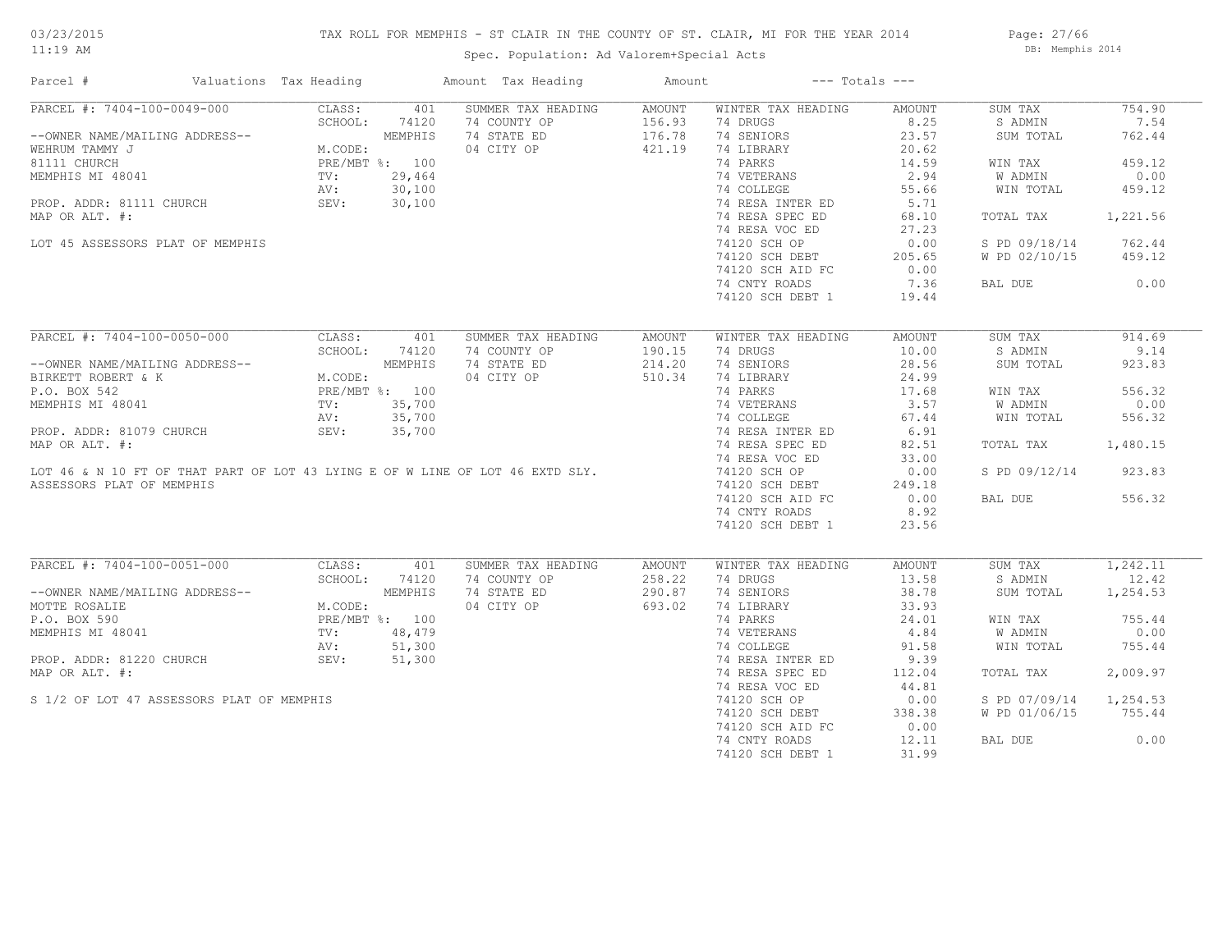# TAX ROLL FOR MEMPHIS - ST CLAIR IN THE COUNTY OF ST. CLAIR, MI FOR THE YEAR 2014

Spec. Population: Ad Valorem+Special Acts

Page: 27/66 DB: Memphis 2014

| Parcel #                                                                                                                                                                                                                                               | Valuations Tax Heading |               | Amount Tax Heading                                                            | Amount           | $---$ Totals $---$                                                                                                                                                                                                                                                                      |        |                        |          |
|--------------------------------------------------------------------------------------------------------------------------------------------------------------------------------------------------------------------------------------------------------|------------------------|---------------|-------------------------------------------------------------------------------|------------------|-----------------------------------------------------------------------------------------------------------------------------------------------------------------------------------------------------------------------------------------------------------------------------------------|--------|------------------------|----------|
| PARCEL #: 7404-100-0049-000                                                                                                                                                                                                                            | CLASS:                 | 401           | SUMMER TAX HEADING                                                            | AMOUNT           | WINTER TAX HEADING                                                                                                                                                                                                                                                                      | AMOUNT | SUM TAX                | 754.90   |
| --OWNER NAME/MAILING ADDRESS--<br>WEMPHIS<br>WEMPHIS MEERUM TAMMY J<br>81111 CHURCH<br>MEMPHIS MI 48041<br>MEMPHIS MI 48041<br>PROP. ADDR: 81111 CHURCH<br>MAP OP ALT #:<br>MAP OP ALT #:<br>MAP OP ALT #:<br>MAP OP ALT #:<br>MAP OP ALT #:<br>MAP OP |                        |               |                                                                               |                  | 74 DRUGS                                                                                                                                                                                                                                                                                | 8.25   | S ADMIN                | 7.54     |
|                                                                                                                                                                                                                                                        |                        |               | 74 COUNTY OP 156.93<br>74 STATE ED 176.78<br>04 CITY OP 421.19                |                  | 74 SENIORS                                                                                                                                                                                                                                                                              | 23.57  | SUM TOTAL              | 762.44   |
|                                                                                                                                                                                                                                                        |                        |               |                                                                               |                  | 74 LIBRARY                                                                                                                                                                                                                                                                              | 20.62  |                        |          |
|                                                                                                                                                                                                                                                        |                        |               |                                                                               |                  | 74 PARKS                                                                                                                                                                                                                                                                                | 14.59  | WIN TAX                | 459.12   |
|                                                                                                                                                                                                                                                        |                        |               |                                                                               |                  |                                                                                                                                                                                                                                                                                         | 2.94   | W ADMIN                | 0.00     |
|                                                                                                                                                                                                                                                        |                        |               |                                                                               |                  | 74 VETERANS<br>74 COLLEGE                                                                                                                                                                                                                                                               | 55.66  | WIN TOTAL              | 459.12   |
|                                                                                                                                                                                                                                                        |                        |               |                                                                               |                  |                                                                                                                                                                                                                                                                                         |        |                        |          |
| MAP OR ALT. #:                                                                                                                                                                                                                                         |                        |               |                                                                               |                  | 74 RESA INTER ED 5.71<br>74 RESA SPEC ED 68.10                                                                                                                                                                                                                                          |        | TOTAL TAX              | 1,221.56 |
|                                                                                                                                                                                                                                                        |                        |               |                                                                               |                  | 74 RESA VOC ED                                                                                                                                                                                                                                                                          | 27.23  |                        |          |
| LOT 45 ASSESSORS PLAT OF MEMPHIS                                                                                                                                                                                                                       |                        |               |                                                                               |                  | 74 KESA VOC ED<br>74120 SCH OP                                                                                                                                                                                                                                                          | 0.00   | S PD 09/18/14          | 762.44   |
|                                                                                                                                                                                                                                                        |                        |               |                                                                               |                  |                                                                                                                                                                                                                                                                                         |        | W PD 02/10/15 459.12   |          |
|                                                                                                                                                                                                                                                        |                        |               |                                                                               |                  | 74120 SCH DEBT 205.65<br>74120 SCH AID FC 0.00                                                                                                                                                                                                                                          |        |                        |          |
|                                                                                                                                                                                                                                                        |                        |               |                                                                               |                  | 74 CNTY ROADS                                                                                                                                                                                                                                                                           | 7.36   | BAL DUE 0.00           |          |
|                                                                                                                                                                                                                                                        |                        |               |                                                                               |                  |                                                                                                                                                                                                                                                                                         | 19.44  |                        |          |
|                                                                                                                                                                                                                                                        |                        |               |                                                                               |                  | 74120 SCH DEBT 1                                                                                                                                                                                                                                                                        |        |                        |          |
|                                                                                                                                                                                                                                                        |                        |               |                                                                               |                  |                                                                                                                                                                                                                                                                                         |        |                        |          |
| PARCEL #: 7404-100-0050-000 CLASS: 401                                                                                                                                                                                                                 |                        |               | SUMMER TAX HEADING                                                            | AMOUNT           | WINTER TAX HEADING                                                                                                                                                                                                                                                                      | AMOUNT | SUM TAX                | 914.69   |
|                                                                                                                                                                                                                                                        |                        | SCHOOL: 74120 | 74 COUNTY OP                                                                  | 190.15<br>214.20 | 74 DRUGS                                                                                                                                                                                                                                                                                | 10.00  | S ADMIN                | 9.14     |
| --OWNER NAME/MAILING ADDRESS--<br>BIRKETT ROBERT & K<br>P.O. BOX 542<br>MEMPHIS MI 48041<br>MEMPHIS MI 48041<br>TV: 35,700<br>NEMPHIS MI 48041<br>TV: 35,700<br>AV: 35,700                                                                             |                        |               | 74 STATE ED                                                                   |                  | 74 SENIORS                                                                                                                                                                                                                                                                              | 28.56  | SUM TOTAL              | 923.83   |
|                                                                                                                                                                                                                                                        |                        |               | 04 CITY OP 510.34                                                             |                  |                                                                                                                                                                                                                                                                                         | 24.99  |                        |          |
|                                                                                                                                                                                                                                                        |                        |               |                                                                               |                  | 74 LIBRARY<br>74 PARKS                                                                                                                                                                                                                                                                  | 17.68  | WIN TAX                | 556.32   |
|                                                                                                                                                                                                                                                        |                        |               |                                                                               |                  | $\begin{tabular}{llllllll} 74 \hbox{ PARKS} & & & 17.68 \\ 74 \hbox{ VETERANS} & & 3.57 \\ 74 \hbox{ COLLEGE} & & 67.44 \\ 74 \hbox{ RESA NPEC ED} & & 6.91 \\ 74 \hbox{ RESA SPEC ED} & & 82.51 \\ 74 \hbox{ RESA VOC ED} & & 33.00 \\ 74120 \hbox{ SCH OP} & & 0.00 \\ \end{tabular}$ |        | W ADMIN                | 0.00     |
|                                                                                                                                                                                                                                                        |                        |               |                                                                               |                  |                                                                                                                                                                                                                                                                                         |        | WIN TOTAL              | 556.32   |
| PROP. ADDR: 81079 CHURCH SEV: 35,700                                                                                                                                                                                                                   |                        |               |                                                                               |                  |                                                                                                                                                                                                                                                                                         |        |                        |          |
| MAP OR ALT. #:                                                                                                                                                                                                                                         |                        |               |                                                                               |                  |                                                                                                                                                                                                                                                                                         |        | TOTAL TAX              | 1,480.15 |
|                                                                                                                                                                                                                                                        |                        |               |                                                                               |                  |                                                                                                                                                                                                                                                                                         |        |                        |          |
|                                                                                                                                                                                                                                                        |                        |               | LOT 46 & N 10 FT OF THAT PART OF LOT 43 LYING E OF W LINE OF LOT 46 EXTD SLY. |                  | 74120 SCH OP                                                                                                                                                                                                                                                                            |        | S PD 09/12/14 923.83   |          |
| ASSESSORS PLAT OF MEMPHIS                                                                                                                                                                                                                              |                        |               |                                                                               |                  | 74120 SCH DEBT                                                                                                                                                                                                                                                                          | 249.18 |                        |          |
|                                                                                                                                                                                                                                                        |                        |               |                                                                               |                  | 74120 SCH AID FC                                                                                                                                                                                                                                                                        | 0.00   | BAL DUE                | 556.32   |
|                                                                                                                                                                                                                                                        |                        |               |                                                                               |                  | 74 CNTY ROADS                                                                                                                                                                                                                                                                           | 8.92   |                        |          |
|                                                                                                                                                                                                                                                        |                        |               |                                                                               |                  | 74120 SCH DEBT 1                                                                                                                                                                                                                                                                        | 23.56  |                        |          |
|                                                                                                                                                                                                                                                        |                        |               |                                                                               |                  |                                                                                                                                                                                                                                                                                         |        |                        |          |
|                                                                                                                                                                                                                                                        |                        |               |                                                                               |                  |                                                                                                                                                                                                                                                                                         |        |                        |          |
| PARCEL #: 7404-100-0051-000 CLASS:                                                                                                                                                                                                                     |                        | 401           | SUMMER TAX HEADING                                                            | AMOUNT           | WINTER TAX HEADING                                                                                                                                                                                                                                                                      | AMOUNT | SUM TAX 1,242.11       |          |
| --OWNER NAME/MAILING ADDRESS--<br>MCTTE ROSALIE<br>P.O. BOX 590<br>MEMPHIS MI 48041<br>PROP. ADDR: 81220 CHURCH<br>PROP. ADDR: 81220 CHURCH<br>PROP. ADDR: 81220 CHURCH<br>PROP. ADDR: 81220 CHURCH<br>PROP. ADDR: 81220 CHURCH<br>SEV: 51,300         |                        | SCHOOL: 74120 | 74 COUNTY OP<br>74 STATE ED 290.87<br>04 CITY OP 693.02                       |                  | 74 DRUGS                                                                                                                                                                                                                                                                                | 13.58  | S ADMIN                | 12.42    |
|                                                                                                                                                                                                                                                        |                        |               |                                                                               |                  | 74 SENIORS                                                                                                                                                                                                                                                                              | 38.78  | SUM TOTAL              | 1,254.53 |
|                                                                                                                                                                                                                                                        |                        |               |                                                                               |                  | 74 LIBRARY                                                                                                                                                                                                                                                                              | 33.93  |                        |          |
|                                                                                                                                                                                                                                                        |                        |               |                                                                               |                  | 14 LIBRANT 1991<br>14 PARKS 24.01<br>14 VETERANS 4.84<br>14 COLLEGE 91.58<br>14 RESA INTER ED 9.39                                                                                                                                                                                      |        | WIN TAX                | 755.44   |
|                                                                                                                                                                                                                                                        |                        |               |                                                                               |                  |                                                                                                                                                                                                                                                                                         |        | W ADMIN                | 0.00     |
|                                                                                                                                                                                                                                                        |                        |               |                                                                               |                  |                                                                                                                                                                                                                                                                                         |        | WIN TOTAL              | 755.44   |
|                                                                                                                                                                                                                                                        |                        |               |                                                                               |                  |                                                                                                                                                                                                                                                                                         |        |                        |          |
| MAP OR ALT. #:                                                                                                                                                                                                                                         |                        |               |                                                                               |                  | 74 RESA SPEC ED                                                                                                                                                                                                                                                                         | 112.04 | TOTAL TAX              | 2,009.97 |
|                                                                                                                                                                                                                                                        |                        |               |                                                                               |                  | 74 RESA VOC ED                                                                                                                                                                                                                                                                          | 44.81  |                        |          |
| S 1/2 OF LOT 47 ASSESSORS PLAT OF MEMPHIS                                                                                                                                                                                                              |                        |               |                                                                               |                  | 74120 SCH OP                                                                                                                                                                                                                                                                            | 0.00   | S PD 07/09/14 1,254.53 |          |
|                                                                                                                                                                                                                                                        |                        |               | $\frac{479}{300}$<br>300<br>300                                               |                  | 74120 SCH DEBT                                                                                                                                                                                                                                                                          | 338.38 | W PD 01/06/15 755.44   |          |
|                                                                                                                                                                                                                                                        |                        |               |                                                                               |                  | 74120 SCH AID FC                                                                                                                                                                                                                                                                        | 0.00   |                        |          |
|                                                                                                                                                                                                                                                        |                        |               |                                                                               |                  | 74 CNTY ROADS                                                                                                                                                                                                                                                                           | 12.11  | BAL DUE                | 0.00     |
|                                                                                                                                                                                                                                                        |                        |               |                                                                               |                  | 74120 SCH DEBT 1                                                                                                                                                                                                                                                                        | 31.99  |                        |          |
|                                                                                                                                                                                                                                                        |                        |               |                                                                               |                  |                                                                                                                                                                                                                                                                                         |        |                        |          |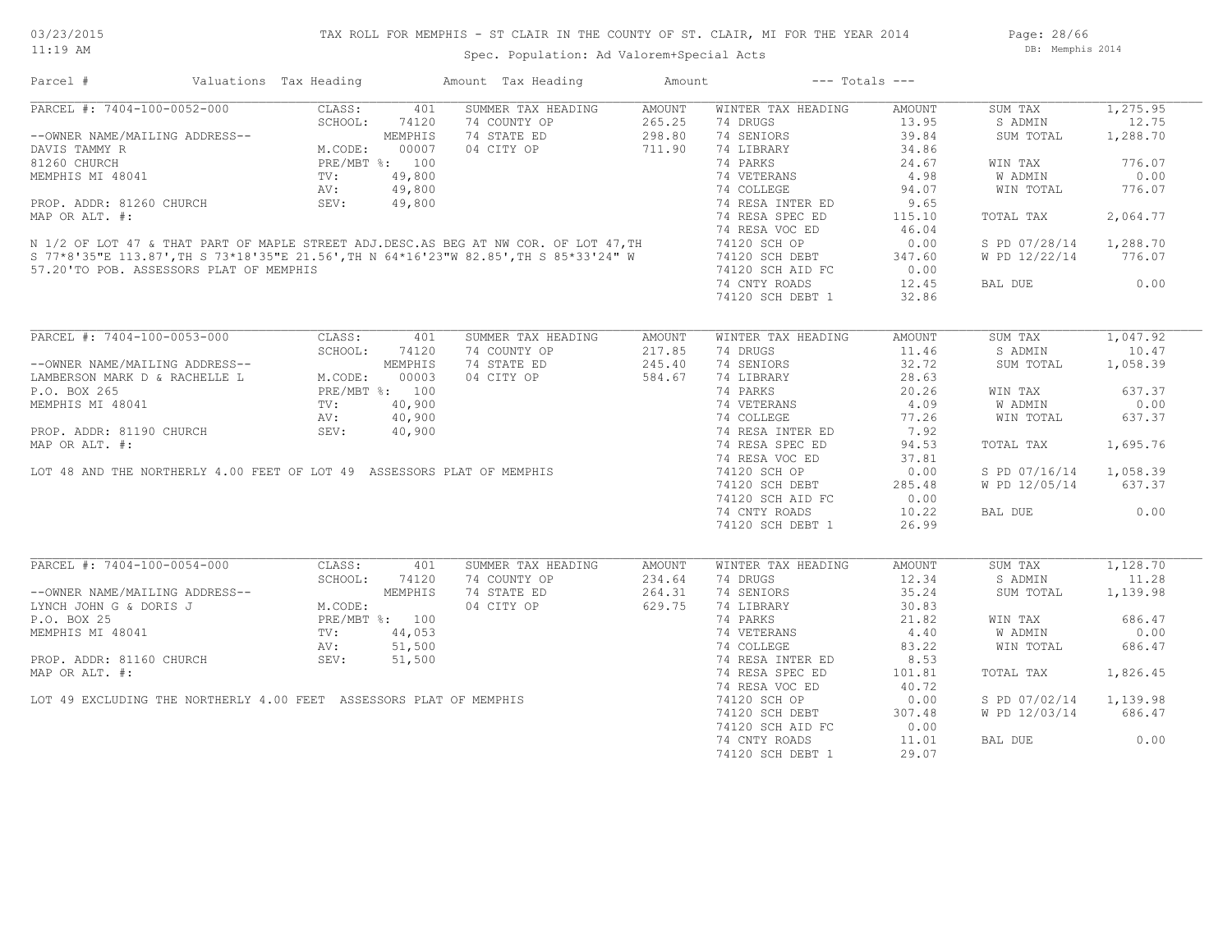Page: 28/66 DB: Memphis 2014

| Parcel #                                                                                                                                                                                                                                                                                                                                                                                              | Valuations Tax Heading |            | Amount Tax Heading                                      | Amount           | $---$ Totals $---$                                                                                                                                      |                 |                        |           |
|-------------------------------------------------------------------------------------------------------------------------------------------------------------------------------------------------------------------------------------------------------------------------------------------------------------------------------------------------------------------------------------------------------|------------------------|------------|---------------------------------------------------------|------------------|---------------------------------------------------------------------------------------------------------------------------------------------------------|-----------------|------------------------|-----------|
| $\begin{tabular}{l c c c c} \hline \texttt{PARCEL & \texttt{#: } 7404-100-0052-000} & \texttt{CLASS:} & 401\\ \hline \texttt{--OWNER NAME/MAILING ADDRESS--} & \texttt{SCHOOL:} & 74120\\ \texttt{DAVIS TAMMY R} & \texttt{M.CODE:} & 00007\\ \texttt{81260 CHURCH} & \texttt{PRE/MBT & \texttt{8: } 100}\\ \texttt{MEMPHIS MI 48041} & \texttt{TV:} & 49,800\\ \texttt{PROP. ADDR: } 81260 CHURCH &$ |                        |            | SUMMER TAX HEADING                                      | AMOUNT           | WINTER TAX HEADING                                                                                                                                      | AMOUNT          | SUM TAX                | 1, 275.95 |
|                                                                                                                                                                                                                                                                                                                                                                                                       |                        |            | 74 COUNTY OP                                            | 265.25<br>298.80 | 74 DRUGS                                                                                                                                                | 13.95           | S ADMIN                | 12.75     |
|                                                                                                                                                                                                                                                                                                                                                                                                       |                        |            | 74 STATE ED                                             |                  | 74 SENIORS                                                                                                                                              | 39.84           | SUM TOTAL              | 1,288.70  |
|                                                                                                                                                                                                                                                                                                                                                                                                       |                        |            | 04 CITY OP 711.90                                       |                  | 74 LIBRARY                                                                                                                                              | 34.86           |                        |           |
| DAVIS TAMMY R<br>81260 CHURCH<br>MEMPHIS MI 48041 PRE/MBT %: 49,800<br>PROP. ADDR: 81260 CHURCH AV: 49,800<br>PROP. ADDR: 81260 CHURCH AV: 49,800<br>MAP OR ALT. #:<br>N 1/2 OF LOT 47 & THAT PART OF MAPLE STREET ADJ.DESC.AS BEG AT NW C                                                                                                                                                            |                        |            |                                                         |                  | 74 PARKS                                                                                                                                                | 24.67           | WIN TAX                | 776.07    |
|                                                                                                                                                                                                                                                                                                                                                                                                       |                        |            |                                                         |                  |                                                                                                                                                         |                 | W ADMIN                | 0.00      |
|                                                                                                                                                                                                                                                                                                                                                                                                       |                        |            |                                                         |                  | 74 VETERANS<br>74 COLLEGE                                                                                                                               | $4.98$<br>94.07 | WIN TOTAL              | 776.07    |
|                                                                                                                                                                                                                                                                                                                                                                                                       |                        |            |                                                         |                  |                                                                                                                                                         | 9.65            |                        |           |
|                                                                                                                                                                                                                                                                                                                                                                                                       |                        |            |                                                         |                  | 74 RESA INTER ED<br>74 RESA SPEC ED                                                                                                                     |                 |                        |           |
|                                                                                                                                                                                                                                                                                                                                                                                                       |                        |            |                                                         |                  |                                                                                                                                                         | 115.10          | TOTAL TAX              | 2,064.77  |
|                                                                                                                                                                                                                                                                                                                                                                                                       |                        |            |                                                         |                  | 74 RESA VOC ED                                                                                                                                          | 46.04           |                        |           |
|                                                                                                                                                                                                                                                                                                                                                                                                       |                        |            |                                                         |                  | 74120 SCH OP                                                                                                                                            | 0.00            | S PD 07/28/14 1,288.70 |           |
|                                                                                                                                                                                                                                                                                                                                                                                                       |                        |            |                                                         |                  |                                                                                                                                                         |                 | W PD 12/22/14          | 776.07    |
| 57.20'TO POB. ASSESSORS PLAT OF MEMPHIS                                                                                                                                                                                                                                                                                                                                                               |                        |            |                                                         |                  | 74120 SCH DEBT 347.60<br>74120 SCH AID FC 0.00                                                                                                          |                 |                        |           |
|                                                                                                                                                                                                                                                                                                                                                                                                       |                        |            |                                                         |                  | 74 CNTY ROADS                                                                                                                                           | 12.45           | BAL DUE                | 0.00      |
|                                                                                                                                                                                                                                                                                                                                                                                                       |                        |            |                                                         |                  | 74120 SCH DEBT 1                                                                                                                                        | 32.86           |                        |           |
|                                                                                                                                                                                                                                                                                                                                                                                                       |                        |            |                                                         |                  |                                                                                                                                                         |                 |                        |           |
| PARCEL #: 7404-100-0053-000                                                                                                                                                                                                                                                                                                                                                                           |                        | CLASS: 401 | SUMMER TAX HEADING                                      | AMOUNT           | WINTER TAX HEADING                                                                                                                                      | AMOUNT          | SUM TAX                | 1,047.92  |
| CHOOL: 74120<br>--OWNER NAME/MAILING ADDRESS--<br>LAMBERSON MARK D & RACHELLE L M.CODE: 00003<br>P.O. BOX 265<br>MEMPHIS MI 48041<br>TV: 40,900<br>PRE, ADDRESS--<br>PRE/MBT %: 100<br>NEMPHIS MI 48041<br>TV: 40,900<br>PRE, 100<br>AV: 40,900                                                                                                                                                       |                        |            | 74 COUNTY OP                                            | 217.85           | 74 DRUGS                                                                                                                                                | 11.46           | S ADMIN                | 10.47     |
|                                                                                                                                                                                                                                                                                                                                                                                                       |                        |            | 74 STATE ED                                             | 245.40           | 74 SENIORS                                                                                                                                              | 32.72           | SUM TOTAL 1,058.39     |           |
|                                                                                                                                                                                                                                                                                                                                                                                                       |                        |            | 04 CITY OP 584.67                                       |                  | 74 DIBRARY<br>74 DIBRARY<br>74 PARKS<br>74 OCLLEGE<br>74 COLLEGE<br>74 RESA INTER ED<br>74 RESA INTER ED<br>74 RESA SPEC ED<br>74 RESA SPEC ED<br>84.53 |                 |                        |           |
|                                                                                                                                                                                                                                                                                                                                                                                                       |                        |            |                                                         |                  |                                                                                                                                                         |                 | WIN TAX                | 637.37    |
|                                                                                                                                                                                                                                                                                                                                                                                                       |                        |            |                                                         |                  |                                                                                                                                                         |                 | W ADMIN                | 0.00      |
|                                                                                                                                                                                                                                                                                                                                                                                                       |                        |            |                                                         |                  |                                                                                                                                                         |                 |                        |           |
|                                                                                                                                                                                                                                                                                                                                                                                                       |                        |            |                                                         |                  |                                                                                                                                                         |                 | WIN TOTAL              | 637.37    |
|                                                                                                                                                                                                                                                                                                                                                                                                       |                        |            |                                                         |                  |                                                                                                                                                         |                 |                        |           |
|                                                                                                                                                                                                                                                                                                                                                                                                       |                        |            |                                                         |                  |                                                                                                                                                         |                 | TOTAL TAX              | 1,695.76  |
|                                                                                                                                                                                                                                                                                                                                                                                                       |                        |            |                                                         |                  |                                                                                                                                                         | 37.81           |                        |           |
|                                                                                                                                                                                                                                                                                                                                                                                                       |                        |            |                                                         |                  | 74 RESA VOC ED<br>74120 SCH OP                                                                                                                          | 0.00            | S PD 07/16/14 1,058.39 |           |
|                                                                                                                                                                                                                                                                                                                                                                                                       |                        |            |                                                         |                  |                                                                                                                                                         |                 | W PD 12/05/14 637.37   |           |
|                                                                                                                                                                                                                                                                                                                                                                                                       |                        |            |                                                         |                  | 74120 SCH DEBT 285.48<br>74120 SCH AID FC 0.00                                                                                                          |                 |                        |           |
|                                                                                                                                                                                                                                                                                                                                                                                                       |                        |            |                                                         |                  | 74 CNTY ROADS                                                                                                                                           | 10.22           | BAL DUE                | 0.00      |
|                                                                                                                                                                                                                                                                                                                                                                                                       |                        |            |                                                         |                  | 74120 SCH DEBT 1                                                                                                                                        | 26.99           |                        |           |
|                                                                                                                                                                                                                                                                                                                                                                                                       |                        |            |                                                         |                  |                                                                                                                                                         |                 |                        |           |
| PARCEL #: 7404-100-0054-000 CLASS:                                                                                                                                                                                                                                                                                                                                                                    |                        | 401        | SUMMER TAX HEADING                                      | AMOUNT           | WINTER TAX HEADING                                                                                                                                      | AMOUNT          | SUM TAX                | 1,128.70  |
|                                                                                                                                                                                                                                                                                                                                                                                                       |                        |            |                                                         |                  | 74 DRUGS                                                                                                                                                | 12.34           | S ADMIN                | 11.28     |
|                                                                                                                                                                                                                                                                                                                                                                                                       |                        |            | 74 COUNTY OP<br>74 STATE ED 264.31<br>04 CITY OP 629.75 |                  | 74 SENIORS                                                                                                                                              | 35.24           | SUM TOTAL              | 1,139.98  |
|                                                                                                                                                                                                                                                                                                                                                                                                       |                        |            |                                                         |                  | 74 LIBRARY                                                                                                                                              | 30.83           |                        |           |
|                                                                                                                                                                                                                                                                                                                                                                                                       |                        |            |                                                         |                  |                                                                                                                                                         |                 | WIN TAX                | 686.47    |
|                                                                                                                                                                                                                                                                                                                                                                                                       |                        |            | ORDER MEMPHIS                                           |                  | 74 PARKS<br>74 VETERANS<br>74 COLLEGE 83.22                                                                                                             |                 | <b>W ADMIN</b>         | 0.00      |
|                                                                                                                                                                                                                                                                                                                                                                                                       |                        |            |                                                         |                  |                                                                                                                                                         |                 |                        |           |
|                                                                                                                                                                                                                                                                                                                                                                                                       |                        |            |                                                         |                  |                                                                                                                                                         |                 | WIN TOTAL              | 686.47    |
| CHOOL: 74120<br>--OWNER NAME/MAILING ADDRESS--<br>LYNCH JOHN G & DORIS J<br>P.O. BOX 25<br>MEMPHIS MI 48041<br>MEMPHIS MI 48041<br>TV: 44,053<br>PROP. ADDR: 81160 CHURCH<br>TV: 51,500<br>PROP. ADDR: 81160 CHURCH<br>SEV: 51,500                                                                                                                                                                    |                        |            |                                                         |                  | 74 RESA INTER ED                                                                                                                                        | 8.53            |                        |           |
| MAP OR ALT. #:                                                                                                                                                                                                                                                                                                                                                                                        |                        |            |                                                         |                  | 74 RESA SPEC ED                                                                                                                                         | 101.81          | TOTAL TAX              | 1,826.45  |
|                                                                                                                                                                                                                                                                                                                                                                                                       |                        |            |                                                         |                  | 74 RESA VOC ED                                                                                                                                          | 40.72           |                        |           |
| LOT 49 EXCLUDING THE NORTHERLY 4.00 FEET ASSESSORS PLAT OF MEMPHIS                                                                                                                                                                                                                                                                                                                                    |                        |            |                                                         |                  | 74120 SCH OP<br>74120 SCH DEBT                                                                                                                          | 0.00            | S PD 07/02/14 1,139.98 |           |
|                                                                                                                                                                                                                                                                                                                                                                                                       |                        |            |                                                         |                  |                                                                                                                                                         | 307.48          | W PD 12/03/14 686.47   |           |
|                                                                                                                                                                                                                                                                                                                                                                                                       |                        |            |                                                         |                  | 74120 SCH AID FC                                                                                                                                        | 0.00            |                        |           |
|                                                                                                                                                                                                                                                                                                                                                                                                       |                        |            |                                                         |                  | 74 CNTY ROADS                                                                                                                                           | 11.01           | BAL DUE                | 0.00      |
|                                                                                                                                                                                                                                                                                                                                                                                                       |                        |            |                                                         |                  | 74120 SCH DEBT 1                                                                                                                                        | 29.07           |                        |           |
|                                                                                                                                                                                                                                                                                                                                                                                                       |                        |            |                                                         |                  |                                                                                                                                                         |                 |                        |           |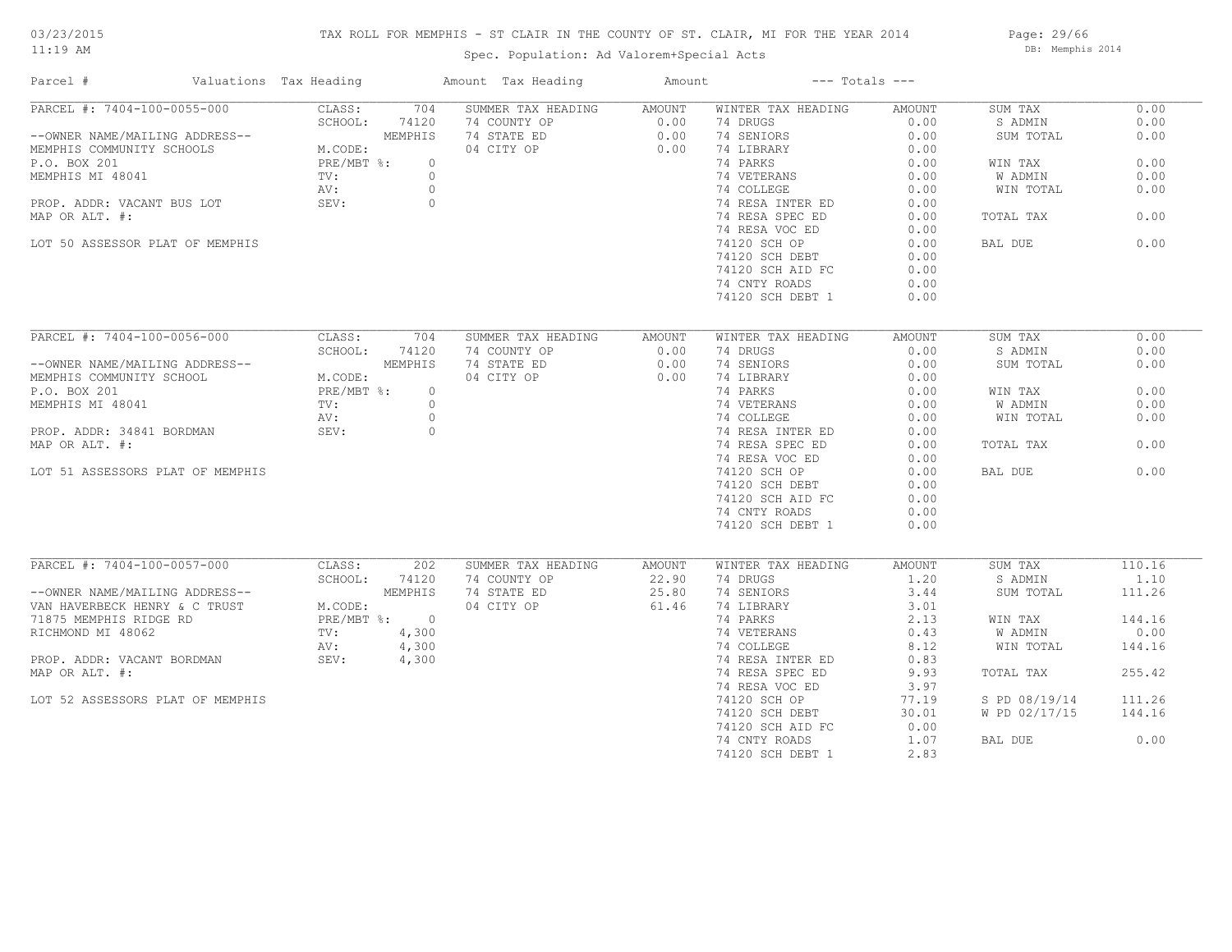# TAX ROLL FOR MEMPHIS - ST CLAIR IN THE COUNTY OF ST. CLAIR, MI FOR THE YEAR 2014

Spec. Population: Ad Valorem+Special Acts

Page: 29/66 DB: Memphis 2014

| Parcel #                                                                                                                                                                                                   | Valuations Tax Heading |         |               | Amount Tax Heading                                       | Amount                              | $---$ Totals $---$                                                                                                                                                                                   |        |               |        |
|------------------------------------------------------------------------------------------------------------------------------------------------------------------------------------------------------------|------------------------|---------|---------------|----------------------------------------------------------|-------------------------------------|------------------------------------------------------------------------------------------------------------------------------------------------------------------------------------------------------|--------|---------------|--------|
| PARCEL #: 7404-100-0055-000                                                                                                                                                                                |                        | CLASS:  | 704           | SUMMER TAX HEADING AMOUNT                                |                                     | WINTER TAX HEADING                                                                                                                                                                                   | AMOUNT | SUM TAX       | 0.00   |
|                                                                                                                                                                                                            |                        | SCHOOL: | 74120         |                                                          |                                     | 74 DRUGS                                                                                                                                                                                             | 0.00   | S ADMIN       | 0.00   |
| --OWNER NAME/MAILING ADDRESS--<br>MEMPHIS COMMUNITY SCHOOLS<br>P.O. BOX 201<br>MEMPHIS MI 48041<br>MEMPHIS MI 48041<br>MEMPHIS MI 48041<br>MEMPHIS MI 48041<br>AV:                                         |                        |         | MEMPHIS       | 74 COUNTY OP 0.00<br>74 STATE ED 0.00<br>04 CITY OP 0.00 |                                     | 74 SENIORS                                                                                                                                                                                           | 0.00   | SUM TOTAL     | 0.00   |
|                                                                                                                                                                                                            |                        |         |               |                                                          |                                     | 74 LIBRARY                                                                                                                                                                                           | 0.00   |               |        |
|                                                                                                                                                                                                            |                        |         | $\circ$       |                                                          |                                     | 74 PARKS                                                                                                                                                                                             | 0.00   | WIN TAX       | 0.00   |
|                                                                                                                                                                                                            |                        |         | $\circ$       |                                                          |                                     |                                                                                                                                                                                                      |        | W ADMIN       | 0.00   |
|                                                                                                                                                                                                            |                        |         | $\circ$       |                                                          |                                     | 74 VETERANS 0.00<br>74 COLLEGE 0.00                                                                                                                                                                  |        | WIN TOTAL     | 0.00   |
| PROP. ADDR: VACANT BUS LOT SEV:                                                                                                                                                                            |                        |         | $\circ$       |                                                          |                                     |                                                                                                                                                                                                      | 0.00   |               |        |
| MAP OR ALT. #:                                                                                                                                                                                             |                        |         |               |                                                          |                                     | 74 RESA INTER ED<br>74 RESA SPEC ED<br>74 RESA SPEC ED                                                                                                                                               | 0.00   | TOTAL TAX     | 0.00   |
|                                                                                                                                                                                                            |                        |         |               |                                                          |                                     | 74 RESA VOC ED                                                                                                                                                                                       | 0.00   |               |        |
| LOT 50 ASSESSOR PLAT OF MEMPHIS                                                                                                                                                                            |                        |         |               |                                                          |                                     | 74120 SCH OP                                                                                                                                                                                         | 0.00   | BAL DUE       | 0.00   |
|                                                                                                                                                                                                            |                        |         |               |                                                          |                                     |                                                                                                                                                                                                      |        |               |        |
|                                                                                                                                                                                                            |                        |         |               |                                                          |                                     | 74120 SCH DEBT                                                                                                                                                                                       | 0.00   |               |        |
|                                                                                                                                                                                                            |                        |         |               |                                                          |                                     | 74120 SCH AID FC                                                                                                                                                                                     | 0.00   |               |        |
|                                                                                                                                                                                                            |                        |         |               |                                                          |                                     | 74 CNTY ROADS                                                                                                                                                                                        | 0.00   |               |        |
|                                                                                                                                                                                                            |                        |         |               |                                                          |                                     | 74120 SCH DEBT 1                                                                                                                                                                                     | 0.00   |               |        |
|                                                                                                                                                                                                            |                        |         |               |                                                          |                                     |                                                                                                                                                                                                      |        |               |        |
| PARCEL #: 7404-100-0056-000                                                                                                                                                                                |                        | CLASS:  | 704           | SUMMER TAX HEADING                                       | AMOUNT                              | WINTER TAX HEADING                                                                                                                                                                                   | AMOUNT | SUM TAX       | 0.00   |
|                                                                                                                                                                                                            |                        |         | SCHOOL: 74120 | 74 COUNTY OP                                             | $\begin{array}{c} 0.00 \end{array}$ | 74 DRUGS                                                                                                                                                                                             | 0.00   | S ADMIN       | 0.00   |
| --OWNER NAME/MAILING ADDRESS--<br>MEMPHIS COMMUNITY SCHOOL M.CODE:<br>P.O. BOX 201 PRE/MBT %:<br>MEMPHIS MI 48041 TV:<br>AV:                                                                               |                        |         | MEMPHIS       | 74 STATE ED                                              | 0.00                                | 74 SENIORS                                                                                                                                                                                           | 0.00   | SUM TOTAL     | 0.00   |
|                                                                                                                                                                                                            |                        |         |               | 04 CITY OP                                               | $\sim$ 0.00                         | 74 LIBRARY                                                                                                                                                                                           | 0.00   |               |        |
|                                                                                                                                                                                                            |                        |         | $\circ$       |                                                          |                                     |                                                                                                                                                                                                      |        | WIN TAX       | 0.00   |
|                                                                                                                                                                                                            |                        |         | $\circ$       |                                                          |                                     | $\begin{tabular}{cc} 74 LIBKAK & 0.00 \\ 74 PARKS & 0.00 \\ 74 VETERANS & 0.00 \\ 74 COLLEGE & 0.00 \\ 74 RESA INTER ED & 0.00 \\ 74 RESA SPEC ED & 0.00 \\ 74 RESA SPEC ED & 0.00 \\ \end{tabular}$ |        | W ADMIN       | 0.00   |
|                                                                                                                                                                                                            |                        |         | $\circ$       |                                                          |                                     |                                                                                                                                                                                                      |        | WIN TOTAL     | 0.00   |
| PROP. ADDR: 34841 BORDMAN                                                                                                                                                                                  | SEV:                   |         | $\circ$       |                                                          |                                     |                                                                                                                                                                                                      |        |               |        |
| MAP OR ALT. #:                                                                                                                                                                                             |                        |         |               |                                                          |                                     |                                                                                                                                                                                                      |        | TOTAL TAX     | 0.00   |
|                                                                                                                                                                                                            |                        |         |               |                                                          |                                     |                                                                                                                                                                                                      | 0.00   |               |        |
|                                                                                                                                                                                                            |                        |         |               |                                                          |                                     | 74 RESA VOC ED                                                                                                                                                                                       | 0.00   |               | 0.00   |
| LOT 51 ASSESSORS PLAT OF MEMPHIS                                                                                                                                                                           |                        |         |               |                                                          |                                     | 74120 SCH OP                                                                                                                                                                                         |        | BAL DUE       |        |
|                                                                                                                                                                                                            |                        |         |               |                                                          |                                     | 74120 SCH DEBT                                                                                                                                                                                       | 0.00   |               |        |
|                                                                                                                                                                                                            |                        |         |               |                                                          |                                     | 74120 SCH AID FC                                                                                                                                                                                     | 0.00   |               |        |
|                                                                                                                                                                                                            |                        |         |               |                                                          |                                     | 74 CNTY ROADS                                                                                                                                                                                        | 0.00   |               |        |
|                                                                                                                                                                                                            |                        |         |               |                                                          |                                     | 74120 SCH DEBT 1                                                                                                                                                                                     | 0.00   |               |        |
|                                                                                                                                                                                                            |                        |         |               |                                                          |                                     |                                                                                                                                                                                                      |        |               |        |
| PARCEL #: 7404-100-0057-000 CLASS:                                                                                                                                                                         |                        |         | 202           | SUMMER TAX HEADING                                       | AMOUNT                              | WINTER TAX HEADING                                                                                                                                                                                   | AMOUNT | SUM TAX       | 110.16 |
|                                                                                                                                                                                                            |                        |         |               | 74 COUNTY OP                                             | 22.90<br>$22.90$<br>$25.80$         | 74 DRUGS                                                                                                                                                                                             | 1.20   | S ADMIN       | 1.10   |
| --OWNER NAME/MAILING ADDRESS--<br>VAN HAVERBECK HENRY & C TRUST<br>71875 MEMPHIS RIDGE RD<br>RICHMOND MI 48062 TV: 4,300<br>PROP. ADDR: VACANT BORDMAN SEV: 4,300<br>PROP. ADDR: VACANT BORDMAN SEV: 4,300 |                        |         |               | 74 STATE ED                                              |                                     | 74 SENIORS                                                                                                                                                                                           | 3.44   | SUM TOTAL     | 111.26 |
|                                                                                                                                                                                                            |                        |         |               | 04 CITY OP                                               | 61.46                               | 74 LIBRARY                                                                                                                                                                                           | 3.01   |               |        |
|                                                                                                                                                                                                            |                        |         |               |                                                          |                                     | 74 PARKS                                                                                                                                                                                             | 2.13   | WIN TAX       | 144.16 |
|                                                                                                                                                                                                            |                        |         |               |                                                          |                                     | 74 VETERANS 0.43<br>74 COLLEGE 8.12<br>74 RESA INTER ED 0.83                                                                                                                                         |        | W ADMIN       | 0.00   |
|                                                                                                                                                                                                            |                        |         |               |                                                          |                                     |                                                                                                                                                                                                      |        | WIN TOTAL     | 144.16 |
|                                                                                                                                                                                                            |                        |         |               |                                                          |                                     |                                                                                                                                                                                                      |        |               |        |
| MAP OR ALT. #:                                                                                                                                                                                             |                        |         |               |                                                          |                                     | 74 RESA SPEC ED                                                                                                                                                                                      | 9.93   | TOTAL TAX     | 255.42 |
|                                                                                                                                                                                                            |                        |         |               |                                                          |                                     | 74 RESA VOC ED                                                                                                                                                                                       | 3.97   |               |        |
| LOT 52 ASSESSORS PLAT OF MEMPHIS                                                                                                                                                                           |                        |         |               |                                                          |                                     | 74120 SCH OP                                                                                                                                                                                         | 77.19  | S PD 08/19/14 | 111.26 |
|                                                                                                                                                                                                            |                        |         |               |                                                          |                                     | 74120 SCH DEBT                                                                                                                                                                                       | 30.01  | W PD 02/17/15 | 144.16 |
|                                                                                                                                                                                                            |                        |         |               |                                                          |                                     | 74120 SCH AID FC                                                                                                                                                                                     | 0.00   |               |        |
|                                                                                                                                                                                                            |                        |         |               |                                                          |                                     | 74 CNTY ROADS                                                                                                                                                                                        | 1.07   | BAL DUE       | 0.00   |
|                                                                                                                                                                                                            |                        |         |               |                                                          |                                     |                                                                                                                                                                                                      |        |               |        |
|                                                                                                                                                                                                            |                        |         |               |                                                          |                                     | 74120 SCH DEBT 1                                                                                                                                                                                     | 2.83   |               |        |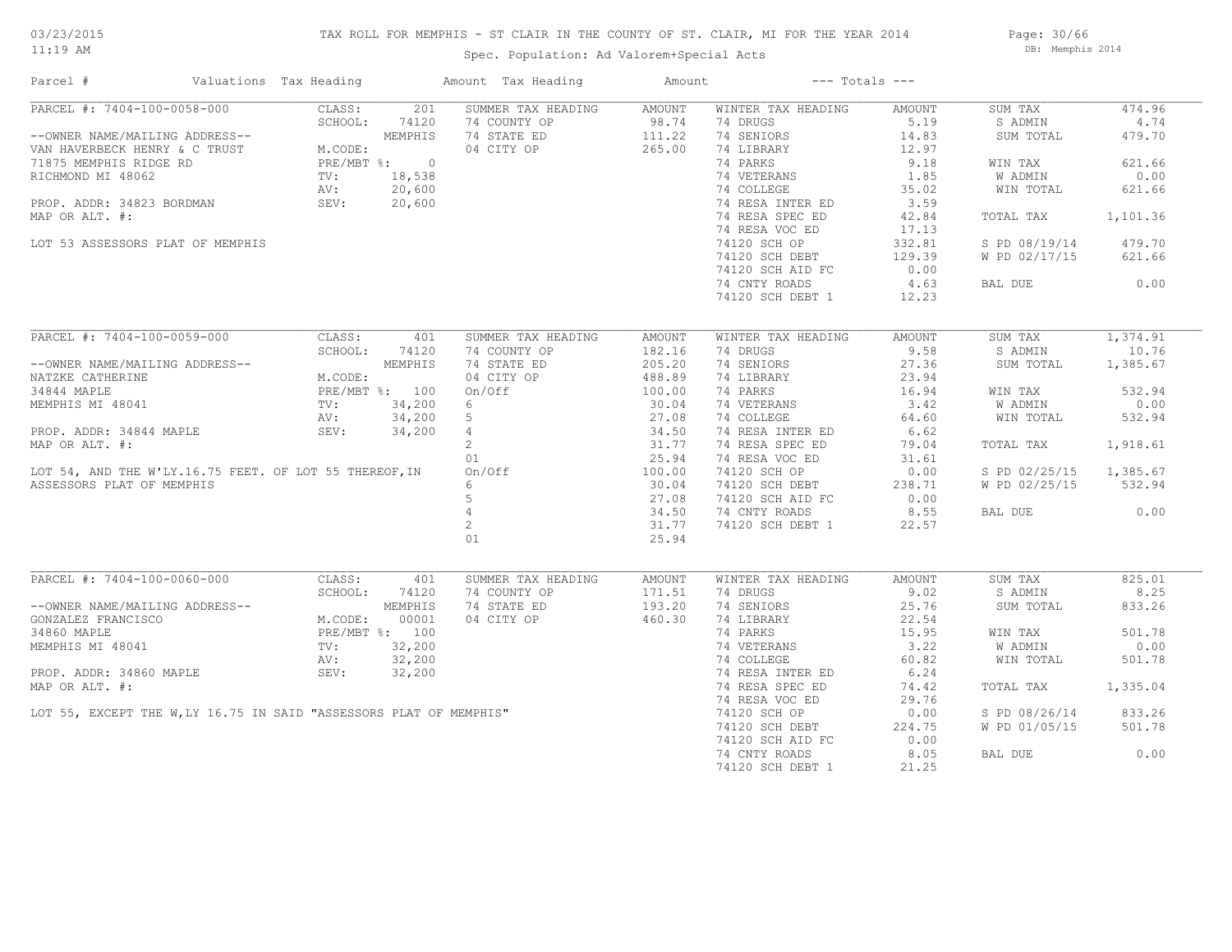# TAX ROLL FOR MEMPHIS - ST CLAIR IN THE COUNTY OF ST. CLAIR, MI FOR THE YEAR 2014

Spec. Population: Ad Valorem+Special Acts

Page: 30/66 DB: Memphis 2014

| Parcel #                                                                                                                                                                                                                                                                                                                                                                                                   | Valuations Tax Heading |               | Amount Tax Heading                                                                                                                                                                                                                                               | Amount               | $---$ Totals $---$                                                                               |        |                        |          |
|------------------------------------------------------------------------------------------------------------------------------------------------------------------------------------------------------------------------------------------------------------------------------------------------------------------------------------------------------------------------------------------------------------|------------------------|---------------|------------------------------------------------------------------------------------------------------------------------------------------------------------------------------------------------------------------------------------------------------------------|----------------------|--------------------------------------------------------------------------------------------------|--------|------------------------|----------|
| PARCEL #: 7404-100-0058-000                                                                                                                                                                                                                                                                                                                                                                                |                        |               | CLASS: 201 SUMMER TAX HEADING AMOUNT                                                                                                                                                                                                                             |                      | WINTER TAX HEADING                                                                               | AMOUNT | SUM TAX                | 474.96   |
| --OWNER NAME/MAILING ADDRESS--<br>VAN HAVERBECK HENRY & C TRUST MEODE:<br>71875 MEMPHIS RIDGE RD PRE/MBT %: 0<br>RICHMOND MI 48062 TV: 18,538<br>PROP. ADDR: 34823 BORDMAN SEV: 20,600<br>PROP. ADDR: 34823 BORDMAN SEV: 20,600                                                                                                                                                                            |                        | SCHOOL: 74120 | SUMMER TAX HEADING<br>74 COUNTY OP 98.74 74 DRUGS<br>74 STATE ED 111.22 74 SENIORS<br>04 CITY OP 265.00 74 LIBRARY<br>74 PARKS                                                                                                                                   |                      |                                                                                                  | 5.19   | S ADMIN                | 4.74     |
|                                                                                                                                                                                                                                                                                                                                                                                                            |                        |               |                                                                                                                                                                                                                                                                  |                      |                                                                                                  | 14.83  | SUM TOTAL              | 479.70   |
|                                                                                                                                                                                                                                                                                                                                                                                                            |                        |               |                                                                                                                                                                                                                                                                  |                      |                                                                                                  | 12.97  |                        |          |
|                                                                                                                                                                                                                                                                                                                                                                                                            |                        |               |                                                                                                                                                                                                                                                                  |                      | 14 PARKS<br>1.85<br>74 COLLEGE<br>74 RESA INTER ED<br>74 RESA INTER ED<br>3.59<br>75.02<br>75.02 |        | WIN TAX                | 621.66   |
|                                                                                                                                                                                                                                                                                                                                                                                                            |                        |               |                                                                                                                                                                                                                                                                  |                      |                                                                                                  |        | W ADMIN                | 0.00     |
|                                                                                                                                                                                                                                                                                                                                                                                                            |                        |               |                                                                                                                                                                                                                                                                  |                      |                                                                                                  |        | WIN TOTAL              | 621.66   |
|                                                                                                                                                                                                                                                                                                                                                                                                            |                        |               |                                                                                                                                                                                                                                                                  |                      |                                                                                                  |        |                        |          |
| MAP OR ALT. #:                                                                                                                                                                                                                                                                                                                                                                                             |                        |               |                                                                                                                                                                                                                                                                  |                      | 74 RESA SPEC ED                                                                                  | 42.84  | TOTAL TAX 1,101.36     |          |
|                                                                                                                                                                                                                                                                                                                                                                                                            |                        |               |                                                                                                                                                                                                                                                                  |                      | 74 RESA VOC ED                                                                                   | 17.13  |                        |          |
| LOT 53 ASSESSORS PLAT OF MEMPHIS                                                                                                                                                                                                                                                                                                                                                                           |                        |               |                                                                                                                                                                                                                                                                  |                      |                                                                                                  |        | S PD 08/19/14 479.70   |          |
|                                                                                                                                                                                                                                                                                                                                                                                                            |                        |               |                                                                                                                                                                                                                                                                  |                      | 74120 SCH OP 332.81<br>74120 SCH DEBT 129.39                                                     |        | W PD 02/17/15          | 621.66   |
|                                                                                                                                                                                                                                                                                                                                                                                                            |                        |               |                                                                                                                                                                                                                                                                  |                      | 74120 SCH AID FC                                                                                 | 0.00   |                        |          |
|                                                                                                                                                                                                                                                                                                                                                                                                            |                        |               |                                                                                                                                                                                                                                                                  |                      | 74 CNTY ROADS 4.63                                                                               |        | BAL DUE                | 0.00     |
|                                                                                                                                                                                                                                                                                                                                                                                                            |                        |               |                                                                                                                                                                                                                                                                  |                      | 74120 SCH DEBT 1 12.23                                                                           |        |                        |          |
|                                                                                                                                                                                                                                                                                                                                                                                                            |                        |               |                                                                                                                                                                                                                                                                  |                      |                                                                                                  |        |                        |          |
|                                                                                                                                                                                                                                                                                                                                                                                                            |                        |               |                                                                                                                                                                                                                                                                  |                      |                                                                                                  |        |                        |          |
| PARCEL #: 7404-100-0059-000 CLASS: 401 SUMMER TAX HEAD:<br>-OWNER NAME/MAILING ADDRESS--<br>NATZKE CATHERINE MEMPHIS 74 STATE ED<br>NATZKE CATHERINE MEMPHIS 74 STATE ED<br>34844 MAPLE PRE/MBT %: 100 ON/Off<br>MEMPHIS MI 48041 TV: 34                                                                                                                                                                   |                        |               | SUMMER TAX HEADING                                                                                                                                                                                                                                               | AMOUNT               | WINTER TAX HEADING                                                                               | AMOUNT | SUM TAX                | 1,374.91 |
|                                                                                                                                                                                                                                                                                                                                                                                                            |                        |               |                                                                                                                                                                                                                                                                  |                      | 74 DRUGS 9.58<br>74 SENIORS 27.36<br>74 LIBRARY 23.94                                            |        | S ADMIN                | 10.76    |
|                                                                                                                                                                                                                                                                                                                                                                                                            |                        |               |                                                                                                                                                                                                                                                                  |                      |                                                                                                  |        | SUM TOTAL              | 1,385.67 |
|                                                                                                                                                                                                                                                                                                                                                                                                            |                        |               | 74 COUNTY OP 182.16<br>74 STATE ED 205.20<br>04 CITY OP 488.89<br>0n/Off 100.00                                                                                                                                                                                  |                      | 74 LIBRARY                                                                                       | 23.94  |                        |          |
|                                                                                                                                                                                                                                                                                                                                                                                                            |                        |               |                                                                                                                                                                                                                                                                  |                      | 74 PARKS                                                                                         | 16.94  | WIN TAX                | 532.94   |
|                                                                                                                                                                                                                                                                                                                                                                                                            |                        |               | $6\overline{)}$                                                                                                                                                                                                                                                  | 30.04                | 74 VETERANS 3.42<br>74 COLLEGE 64.60                                                             |        | W ADMIN                | 0.00     |
|                                                                                                                                                                                                                                                                                                                                                                                                            |                        |               |                                                                                                                                                                                                                                                                  |                      |                                                                                                  |        |                        |          |
|                                                                                                                                                                                                                                                                                                                                                                                                            |                        |               |                                                                                                                                                                                                                                                                  |                      | 74 RESA INTER ED 6.62<br>74 RESA SPEC ED 79.04                                                   |        |                        |          |
|                                                                                                                                                                                                                                                                                                                                                                                                            |                        |               |                                                                                                                                                                                                                                                                  |                      |                                                                                                  |        | TOTAL TAX 1,918.61     |          |
|                                                                                                                                                                                                                                                                                                                                                                                                            |                        |               |                                                                                                                                                                                                                                                                  |                      | 74 RESA VOC ED                                                                                   | 31.61  |                        |          |
|                                                                                                                                                                                                                                                                                                                                                                                                            |                        |               |                                                                                                                                                                                                                                                                  |                      | 74 RESA VOC ED<br>74120 SCH OP                                                                   | 0.00   | S PD 02/25/15 1,385.67 |          |
|                                                                                                                                                                                                                                                                                                                                                                                                            |                        |               |                                                                                                                                                                                                                                                                  |                      |                                                                                                  | 238.71 | W PD 02/25/15 532.94   |          |
|                                                                                                                                                                                                                                                                                                                                                                                                            |                        |               |                                                                                                                                                                                                                                                                  |                      | 74120 SCH DEBT 238.71<br>74120 SCH AID FC 0.00                                                   |        |                        |          |
|                                                                                                                                                                                                                                                                                                                                                                                                            |                        |               |                                                                                                                                                                                                                                                                  |                      | 74 CNTY ROADS                                                                                    | 8.55   | BAL DUE 0.00           |          |
|                                                                                                                                                                                                                                                                                                                                                                                                            |                        |               | MEMPHIS MI 48041<br>PROP. ADDR: 34844 MAPLE<br>MAP OR ALT. #:<br>MAP OR ALT. #:<br>LOT 54, AND THE W'LY.16.75 FEET. OF LOT 55 THEREOF, IN<br>AND THE W'LY.16.75 FEET. OF LOT 55 THEREOF, IN<br>SEV:<br>$\begin{array}{cccccc} 34,200 & 5 & 27.08 \\ 2 & 31.77 &$ | 31.77                | 74120 SCH DEBT 1                                                                                 | 22.57  |                        |          |
|                                                                                                                                                                                                                                                                                                                                                                                                            |                        |               | 01                                                                                                                                                                                                                                                               | 25.94                |                                                                                                  |        |                        |          |
|                                                                                                                                                                                                                                                                                                                                                                                                            |                        |               |                                                                                                                                                                                                                                                                  |                      |                                                                                                  |        |                        |          |
| $\begin{tabular}{l c c c} \multicolumn{1}{c}{\textbf{PARCH}} & $\mathit{f}:$ $7404$--100$--0060$--000 & $CLASS:\\ & $401$ & $SCHOOL:\\ & $74120$ & $CUMD.\\ \multicolumn{1}{c}{\textbf{GONZALEZ FRANCISCO}} & $M. \textbf{COD}E-S--\\ \multicolumn{1}{c}{\textbf{GONZALEZ FRANCISCO}} & $M. \textbf{CODE:} & $00001$\\ & $34860$ MAPLE & $PC/MBT$ & $: $100$\\ \multicolumn{1}{c}{\textbf{MEMPHIS} MI 480$ |                        |               | SUMMER TAX HEADING                                                                                                                                                                                                                                               | AMOUNT               | WINTER TAX HEADING                                                                               | AMOUNT | SUM TAX                | 825.01   |
|                                                                                                                                                                                                                                                                                                                                                                                                            |                        |               | 74 COUNTY OP                                                                                                                                                                                                                                                     |                      | 74 DRUGS 9.02                                                                                    |        | S ADMIN                | 8.25     |
|                                                                                                                                                                                                                                                                                                                                                                                                            |                        |               | 74 STATE ED                                                                                                                                                                                                                                                      | $171.51$<br>$193.20$ | 74 SENIORS                                                                                       | 25.76  | SUM TOTAL              | 833.26   |
|                                                                                                                                                                                                                                                                                                                                                                                                            |                        |               | 04 CITY OP 460.30                                                                                                                                                                                                                                                |                      | 74 LIBRARY                                                                                       | 22.54  |                        |          |
|                                                                                                                                                                                                                                                                                                                                                                                                            |                        |               |                                                                                                                                                                                                                                                                  |                      | 74 PARKS                                                                                         | 15.95  | WIN TAX                | 501.78   |
|                                                                                                                                                                                                                                                                                                                                                                                                            |                        |               |                                                                                                                                                                                                                                                                  |                      |                                                                                                  |        | W ADMIN                | 0.00     |
|                                                                                                                                                                                                                                                                                                                                                                                                            |                        |               |                                                                                                                                                                                                                                                                  |                      | 74 VETERANS 3.22<br>74 COLLEGE 60.82                                                             |        | WIN TOTAL              | 501.78   |
|                                                                                                                                                                                                                                                                                                                                                                                                            |                        |               |                                                                                                                                                                                                                                                                  |                      |                                                                                                  |        |                        |          |
|                                                                                                                                                                                                                                                                                                                                                                                                            |                        |               | 34860 MAPLE<br>PRE/MBT %: 100<br>MEMPHIS MI 48041<br>PRE/MBT %: 100<br>NEMPHIS MI 48041<br>TV: 32,200<br>AV: 32,200<br>AV: 32,200<br>SEV: 32,200<br>MAP OR ALT. #:<br>LOT 55, EXCEPT THE W,LY 16.75 IN SAID "ASSESSORS PLAT OF MEMPHIS"                          |                      | 74 RESA INTER ED 6.24<br>74 RESA SPEC ED 74.42                                                   |        |                        | 1,335.04 |
|                                                                                                                                                                                                                                                                                                                                                                                                            |                        |               |                                                                                                                                                                                                                                                                  |                      |                                                                                                  |        | TOTAL TAX              |          |
|                                                                                                                                                                                                                                                                                                                                                                                                            |                        |               |                                                                                                                                                                                                                                                                  |                      | 74 RESA VOC ED<br>74 RESA VOC ED<br>74120 SCH OP                                                 | 29.76  |                        |          |
|                                                                                                                                                                                                                                                                                                                                                                                                            |                        |               |                                                                                                                                                                                                                                                                  |                      |                                                                                                  | 0.00   | S PD 08/26/14 833.26   |          |
|                                                                                                                                                                                                                                                                                                                                                                                                            |                        |               |                                                                                                                                                                                                                                                                  |                      | 74120 SCH DEBT                                                                                   | 224.75 | W PD 01/05/15          | 501.78   |
|                                                                                                                                                                                                                                                                                                                                                                                                            |                        |               |                                                                                                                                                                                                                                                                  |                      | 74120 SCH AID FC                                                                                 | 0.00   |                        |          |
|                                                                                                                                                                                                                                                                                                                                                                                                            |                        |               |                                                                                                                                                                                                                                                                  |                      | 74 CNTY ROADS                                                                                    | 8.05   | BAL DUE                | 0.00     |
|                                                                                                                                                                                                                                                                                                                                                                                                            |                        |               |                                                                                                                                                                                                                                                                  |                      | 74120 SCH DEBT 1                                                                                 | 21.25  |                        |          |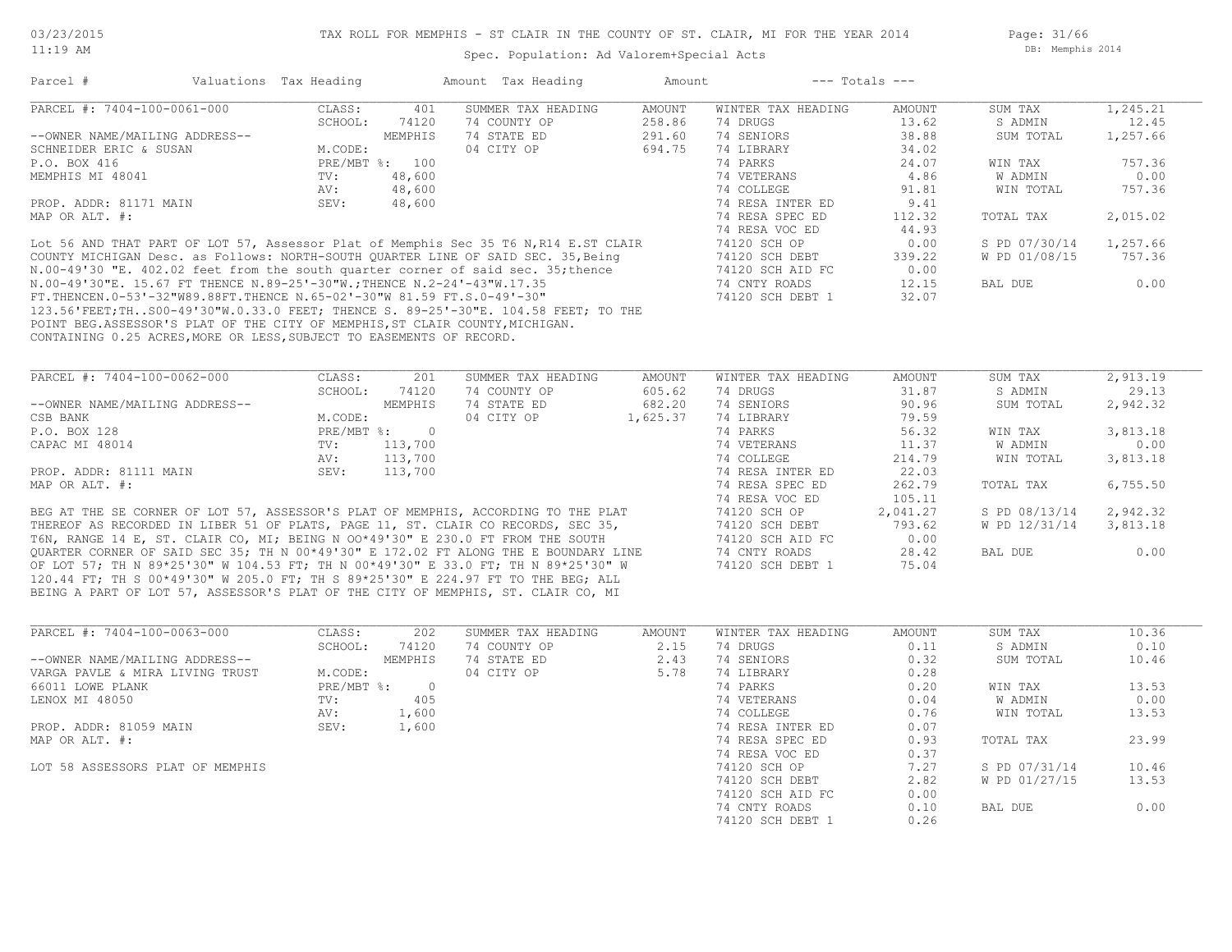Page: 31/66 DB: Memphis 2014

| Parcel #                                                                | Valuations Tax Heading |         | Amount Tax Heading                                                                   | Amount   | $---$ Totals $---$ |        |               |          |
|-------------------------------------------------------------------------|------------------------|---------|--------------------------------------------------------------------------------------|----------|--------------------|--------|---------------|----------|
| PARCEL #: 7404-100-0061-000                                             | CLASS:                 | 401     | SUMMER TAX HEADING                                                                   | AMOUNT   | WINTER TAX HEADING | AMOUNT | SUM TAX       | 1,245.21 |
|                                                                         | SCHOOL:                | 74120   | 74 COUNTY OP                                                                         | 258.86   | 74 DRUGS           | 13.62  | S ADMIN       | 12.45    |
| --OWNER NAME/MAILING ADDRESS--                                          |                        | MEMPHIS | 74 STATE ED                                                                          | 291.60   | 74 SENIORS         | 38.88  | SUM TOTAL     | 1,257.66 |
| SCHNEIDER ERIC & SUSAN                                                  | M.CODE:                |         | 04 CITY OP                                                                           | 694.75   | 74 LIBRARY         | 34.02  |               |          |
| P.O. BOX 416                                                            | $PRE/MBT$ %:           | 100     |                                                                                      |          | 74 PARKS           | 24.07  | WIN TAX       | 757.36   |
| MEMPHIS MI 48041                                                        | TV:                    | 48,600  |                                                                                      |          | 74 VETERANS        | 4.86   | W ADMIN       | 0.00     |
|                                                                         | AV:                    | 48,600  |                                                                                      |          | 74 COLLEGE         | 91.81  | WIN TOTAL     | 757.36   |
| PROP. ADDR: 81171 MAIN                                                  | SEV:                   | 48,600  |                                                                                      |          | 74 RESA INTER ED   | 9.41   |               |          |
| MAP OR ALT. #:                                                          |                        |         |                                                                                      |          | 74 RESA SPEC ED    | 112.32 | TOTAL TAX     | 2,015.02 |
|                                                                         |                        |         |                                                                                      |          | 74 RESA VOC ED     | 44.93  |               |          |
|                                                                         |                        |         | Lot 56 AND THAT PART OF LOT 57, Assessor Plat of Memphis Sec 35 T6 N, R14 E.ST CLAIR |          | 74120 SCH OP       | 0.00   | S PD 07/30/14 | 1,257.66 |
|                                                                         |                        |         | COUNTY MICHIGAN Desc. as Follows: NORTH-SOUTH QUARTER LINE OF SAID SEC. 35, Being    |          | 74120 SCH DEBT     | 339.22 | W PD 01/08/15 | 757.36   |
|                                                                         |                        |         | N.00-49'30 "E. 402.02 feet from the south quarter corner of said sec. 35; thence     |          | 74120 SCH AID FC   | 0.00   |               |          |
| N.00-49'30"E. 15.67 FT THENCE N.89-25'-30"W.; THENCE N.2-24'-43"W.17.35 |                        |         |                                                                                      |          | 74 CNTY ROADS      | 12.15  | BAL DUE       | 0.00     |
| FT.THENCEN.0-53'-32"W89.88FT.THENCE N.65-02'-30"W 81.59 FT.S.0-49'-30"  |                        |         |                                                                                      |          | 74120 SCH DEBT 1   | 32.07  |               |          |
|                                                                         |                        |         | 123.56'FEET;THS00-49'30"W.0.33.0 FEET; THENCE S. 89-25'-30"E. 104.58 FEET; TO THE    |          |                    |        |               |          |
|                                                                         |                        |         | POINT BEG.ASSESSOR'S PLAT OF THE CITY OF MEMPHIS, ST CLAIR COUNTY, MICHIGAN.         |          |                    |        |               |          |
| CONTAINING 0.25 ACRES, MORE OR LESS, SUBJECT TO EASEMENTS OF RECORD.    |                        |         |                                                                                      |          |                    |        |               |          |
|                                                                         |                        |         |                                                                                      |          |                    |        |               |          |
| PARCEL #: 7404-100-0062-000                                             | CLASS:                 | 201     | SUMMER TAX HEADING                                                                   | AMOUNT   | WINTER TAX HEADING | AMOUNT | SUM TAX       | 2,913.19 |
|                                                                         | SCHOOL:                | 74120   | 74 COUNTY OP                                                                         | 605.62   | 74 DRUGS           | 31.87  | S ADMIN       | 29.13    |
| --OWNER NAME/MAILING ADDRESS--                                          |                        | MEMPHIS | 74 STATE ED                                                                          | 682.20   | 74 SENIORS         | 90.96  | SUM TOTAL     | 2,942.32 |
| CSB BANK                                                                | M.CODE:                |         | 04 CITY OP                                                                           | 1,625.37 | 74 LIBRARY         | 79.59  |               |          |
| P.O. BOX 128                                                            | PRE/MBT %:             | $\circ$ |                                                                                      |          | 74 PARKS           | 56.32  | WIN TAX       | 3,813.18 |

BEING A PART OF LOT 57, ASSESSOR'S PLAT OF THE CITY OF MEMPHIS, ST. CLAIR CO, MI 120.44 FT; TH S 00\*49'30" W 205.0 FT; TH S 89\*25'30" E 224.97 FT TO THE BEG; ALL OF LOT 57; TH N 89\*25'30" W 104.53 FT; TH N 00\*49'30" E 33.0 FT; TH N 89\*25'30" W QUARTER CORNER OF SAID SEC 35; TH N  $00*49'30''$  E 172.02 FT ALONG THE E BOUNDARY LINE T6N, RANGE 14 E, ST. CLAIR CO, MI; BEING N OO\*49'30" E 230.0 FT FROM THE SOUTH THEREOF AS RECORDED IN LIBER 51 OF PLATS, PAGE 11, ST. CLAIR CO RECORDS, SEC 35, BEG AT THE SE CORNER OF LOT 57, ASSESSOR'S PLAT OF MEMPHIS, ACCORDING TO THE PLAT  $74120$  SCH OP  $2,041.27$  S PD 08/13/14  $2,942.32$ 

| P.O. BOX 128                                                                          | PRE/MBT %: |                                                                                     | 74 PARKS         | 56.32    | WIN TAX       | 3,813.18 |  |
|---------------------------------------------------------------------------------------|------------|-------------------------------------------------------------------------------------|------------------|----------|---------------|----------|--|
| CAPAC MI 48014                                                                        | TV:        | 113,700                                                                             | 74 VETERANS      | 11.37    | W ADMIN       | 0.00     |  |
|                                                                                       | AV:        | 113,700                                                                             | 74 COLLEGE       | 214.79   | WIN TOTAL     | 3,813.18 |  |
| PROP. ADDR: 81111 MAIN                                                                | SEV:       | 113,700                                                                             | 74 RESA INTER ED | 22.03    |               |          |  |
| MAP OR ALT. #:                                                                        |            |                                                                                     | 74 RESA SPEC ED  | 262.79   | TOTAL TAX     | 6,755.50 |  |
|                                                                                       |            |                                                                                     | 74 RESA VOC ED   | 105.11   |               |          |  |
|                                                                                       |            | BEG AT THE SE CORNER OF LOT 57, ASSESSOR'S PLAT OF MEMPHIS, ACCORDING TO THE PLAT   | 74120 SCH OP     | 2,041.27 | S PD 08/13/14 | 2,942.32 |  |
| THEREOF AS RECORDED IN LIBER 51 OF PLATS, PAGE 11, ST. CLAIR CO RECORDS, SEC 35,      |            |                                                                                     | 74120 SCH DEBT   | 793.62   | W PD 12/31/14 | 3,813.18 |  |
| T6N, RANGE 14 E, ST. CLAIR CO, MI; BEING N OO*49'30" E 230.0 FT FROM THE SOUTH        |            |                                                                                     | 74120 SCH AID FC | 0.00     |               |          |  |
|                                                                                       |            | OUARTER CORNER OF SAID SEC 35; TH N 00*49'30" E 172.02 FT ALONG THE E BOUNDARY LINE | 74 CNTY ROADS    | 28.42    | BAL DUE       | 0.00     |  |
|                                                                                       |            | OF LOT 57; TH N 89*25'30" W 104.53 FT; TH N 00*49'30" E 33.0 FT; TH N 89*25'30" W   | 74120 SCH DEBT 1 | 75.04    |               |          |  |
| $100-11$ cm, music actional in one of music actor and contact and communicated in the |            |                                                                                     |                  |          |               |          |  |

| PARCEL #: 7404-100-0063-000      | CLASS:       | 202     | SUMMER TAX HEADING | AMOUNT | WINTER TAX HEADING | AMOUNT | SUM TAX       | 10.36 |
|----------------------------------|--------------|---------|--------------------|--------|--------------------|--------|---------------|-------|
|                                  | SCHOOL:      | 74120   | 74 COUNTY OP       | 2.15   | 74 DRUGS           | 0.11   | S ADMIN       | 0.10  |
| --OWNER NAME/MAILING ADDRESS--   |              | MEMPHIS | 74 STATE ED        | 2.43   | 74 SENIORS         | 0.32   | SUM TOTAL     | 10.46 |
| VARGA PAVLE & MIRA LIVING TRUST  | M.CODE:      |         | 04 CITY OP         | 5.78   | 74 LIBRARY         | 0.28   |               |       |
| 66011 LOWE PLANK                 | $PRE/MBT$ %: | - 0     |                    |        | 74 PARKS           | 0.20   | WIN TAX       | 13.53 |
| LENOX MI 48050                   | TV:          | 405     |                    |        | 74 VETERANS        | 0.04   | W ADMIN       | 0.00  |
|                                  | AV:          | 1,600   |                    |        | 74 COLLEGE         | 0.76   | WIN TOTAL     | 13.53 |
| PROP. ADDR: 81059 MAIN           | SEV:         | 1,600   |                    |        | 74 RESA INTER ED   | 0.07   |               |       |
| MAP OR ALT. #:                   |              |         |                    |        | 74 RESA SPEC ED    | 0.93   | TOTAL TAX     | 23.99 |
|                                  |              |         |                    |        | 74 RESA VOC ED     | 0.37   |               |       |
| LOT 58 ASSESSORS PLAT OF MEMPHIS |              |         |                    |        | 74120 SCH OP       | 7.27   | S PD 07/31/14 | 10.46 |
|                                  |              |         |                    |        | 74120 SCH DEBT     | 2.82   | W PD 01/27/15 | 13.53 |
|                                  |              |         |                    |        | 74120 SCH AID FC   | 0.00   |               |       |
|                                  |              |         |                    |        | 74 CNTY ROADS      | 0.10   | BAL DUE       | 0.00  |
|                                  |              |         |                    |        | 74120 SCH DEBT 1   | 0.26   |               |       |
|                                  |              |         |                    |        |                    |        |               |       |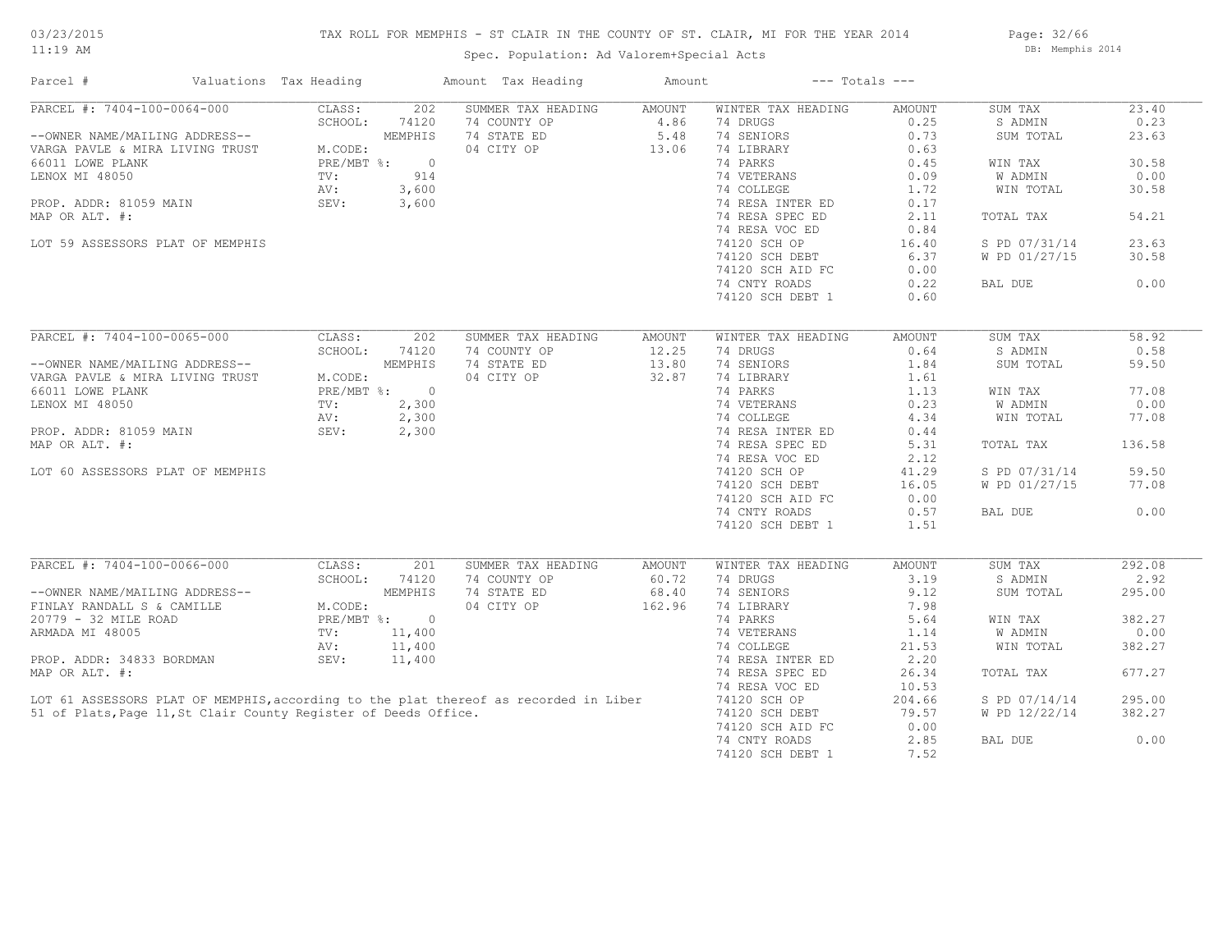# TAX ROLL FOR MEMPHIS - ST CLAIR IN THE COUNTY OF ST. CLAIR, MI FOR THE YEAR 2014

Spec. Population: Ad Valorem+Special Acts

Page: 32/66 DB: Memphis 2014

| Parcel #                                                        | Valuations Tax Heading |                | Amount Tax Heading                                                                   | Amount |                    | $---$ Totals $---$ |                |        |
|-----------------------------------------------------------------|------------------------|----------------|--------------------------------------------------------------------------------------|--------|--------------------|--------------------|----------------|--------|
| PARCEL #: 7404-100-0064-000                                     | CLASS:                 | 202            | SUMMER TAX HEADING                                                                   | AMOUNT | WINTER TAX HEADING | AMOUNT             | SUM TAX        | 23.40  |
|                                                                 | SCHOOL:                | 74120          | 74 COUNTY OP                                                                         | 4.86   | 74 DRUGS           | 0.25               | S ADMIN        | 0.23   |
| --OWNER NAME/MAILING ADDRESS--                                  |                        | MEMPHIS        | 74 STATE ED                                                                          | 5.48   | 74 SENIORS         | 0.73               | SUM TOTAL      | 23.63  |
| VARGA PAVLE & MIRA LIVING TRUST                                 | M.CODE:                |                | 04 CITY OP                                                                           | 13.06  | 74 LIBRARY         | 0.63               |                |        |
| 66011 LOWE PLANK                                                | $PRE/MBT$ %:           | $\sim$ 0       |                                                                                      |        | 74 PARKS           | 0.45               | WIN TAX        | 30.58  |
| LENOX MI 48050                                                  | TV:                    | 914            |                                                                                      |        | 74 VETERANS        | 0.09               | W ADMIN        | 0.00   |
|                                                                 | AV:                    | 3,600          |                                                                                      |        | 74 COLLEGE         | 1.72               | WIN TOTAL      | 30.58  |
| PROP. ADDR: 81059 MAIN                                          | SEV:                   | 3,600          |                                                                                      |        | 74 RESA INTER ED   | 0.17               |                |        |
| MAP OR ALT. #:                                                  |                        |                |                                                                                      |        | 74 RESA SPEC ED    | 2.11               | TOTAL TAX      | 54.21  |
|                                                                 |                        |                |                                                                                      |        |                    |                    |                |        |
|                                                                 |                        |                |                                                                                      |        | 74 RESA VOC ED     | 0.84               |                |        |
| LOT 59 ASSESSORS PLAT OF MEMPHIS                                |                        |                |                                                                                      |        | 74120 SCH OP       | 16.40              | S PD 07/31/14  | 23.63  |
|                                                                 |                        |                |                                                                                      |        | 74120 SCH DEBT     | 6.37               | W PD 01/27/15  | 30.58  |
|                                                                 |                        |                |                                                                                      |        | 74120 SCH AID FC   | 0.00               |                |        |
|                                                                 |                        |                |                                                                                      |        | 74 CNTY ROADS      | 0.22               | BAL DUE        | 0.00   |
|                                                                 |                        |                |                                                                                      |        | 74120 SCH DEBT 1   | 0.60               |                |        |
|                                                                 |                        |                |                                                                                      |        |                    |                    |                |        |
| PARCEL #: 7404-100-0065-000                                     | CLASS:                 | 202            | SUMMER TAX HEADING                                                                   | AMOUNT | WINTER TAX HEADING | <b>AMOUNT</b>      | SUM TAX        | 58.92  |
|                                                                 | SCHOOL:                | 74120          | 74 COUNTY OP                                                                         | 12.25  | 74 DRUGS           | 0.64               | S ADMIN        | 0.58   |
| --OWNER NAME/MAILING ADDRESS--                                  |                        | MEMPHIS        | 74 STATE ED                                                                          | 13.80  | 74 SENIORS         | 1.84               | SUM TOTAL      | 59.50  |
| VARGA PAVLE & MIRA LIVING TRUST                                 | M.CODE:                |                | 04 CITY OP                                                                           | 32.87  | 74 LIBRARY         | 1.61               |                |        |
| 66011 LOWE PLANK                                                | PRE/MBT %:             | $\overline{0}$ |                                                                                      |        | 74 PARKS           | 1.13               | WIN TAX        | 77.08  |
|                                                                 |                        | 2,300          |                                                                                      |        | 74 VETERANS        | 0.23               | <b>W ADMIN</b> | 0.00   |
| LENOX MI 48050                                                  | $\text{TV}$ :          |                |                                                                                      |        |                    |                    |                |        |
|                                                                 | AV:                    | 2,300          |                                                                                      |        | 74 COLLEGE         | 4.34               | WIN TOTAL      | 77.08  |
| PROP. ADDR: 81059 MAIN                                          | SEV:                   | 2,300          |                                                                                      |        | 74 RESA INTER ED   | 0.44               |                |        |
| MAP OR ALT. #:                                                  |                        |                |                                                                                      |        | 74 RESA SPEC ED    | 5.31               | TOTAL TAX      | 136.58 |
|                                                                 |                        |                |                                                                                      |        | 74 RESA VOC ED     | 2.12               |                |        |
| LOT 60 ASSESSORS PLAT OF MEMPHIS                                |                        |                |                                                                                      |        | 74120 SCH OP       | 41.29              | S PD 07/31/14  | 59.50  |
|                                                                 |                        |                |                                                                                      |        | 74120 SCH DEBT     | 16.05              | W PD 01/27/15  | 77.08  |
|                                                                 |                        |                |                                                                                      |        | 74120 SCH AID FC   | 0.00               |                |        |
|                                                                 |                        |                |                                                                                      |        | 74 CNTY ROADS      | 0.57               | BAL DUE        | 0.00   |
|                                                                 |                        |                |                                                                                      |        | 74120 SCH DEBT 1   | 1.51               |                |        |
|                                                                 |                        |                |                                                                                      |        |                    |                    |                |        |
| PARCEL #: 7404-100-0066-000                                     | CLASS:                 | 201            | SUMMER TAX HEADING                                                                   | AMOUNT | WINTER TAX HEADING | AMOUNT             | SUM TAX        | 292.08 |
|                                                                 | SCHOOL:                | 74120          | 74 COUNTY OP                                                                         | 60.72  | 74 DRUGS           | 3.19               | S ADMIN        | 2.92   |
| --OWNER NAME/MAILING ADDRESS--                                  |                        | MEMPHIS        | 74 STATE ED                                                                          | 68.40  | 74 SENIORS         | 9.12               | SUM TOTAL      | 295.00 |
| FINLAY RANDALL S & CAMILLE                                      | M.CODE:                |                | 04 CITY OP                                                                           | 162.96 | 74 LIBRARY         | 7.98               |                |        |
| 20779 - 32 MILE ROAD                                            |                        | PRE/MBT %: 0   |                                                                                      |        | 74 PARKS           | 5.64               | WIN TAX        | 382.27 |
|                                                                 |                        |                |                                                                                      |        |                    |                    |                |        |
| ARMADA MI 48005                                                 | $\text{TV}$ :          | 11,400         |                                                                                      |        | 74 VETERANS        | 1.14               | W ADMIN        | 0.00   |
|                                                                 | AV:                    | 11,400         |                                                                                      |        | 74 COLLEGE         | 21.53              | WIN TOTAL      | 382.27 |
| PROP. ADDR: 34833 BORDMAN                                       | SEV:                   | 11,400         |                                                                                      |        | 74 RESA INTER ED   | 2.20               |                |        |
| MAP OR ALT. #:                                                  |                        |                |                                                                                      |        | 74 RESA SPEC ED    | 26.34              | TOTAL TAX      | 677.27 |
|                                                                 |                        |                |                                                                                      |        | 74 RESA VOC ED     | 10.53              |                |        |
|                                                                 |                        |                | LOT 61 ASSESSORS PLAT OF MEMPHIS, according to the plat thereof as recorded in Liber |        | 74120 SCH OP       | 204.66             | S PD 07/14/14  | 295.00 |
| 51 of Plats, Page 11, St Clair County Register of Deeds Office. |                        |                |                                                                                      |        | 74120 SCH DEBT     | 79.57              | W PD 12/22/14  | 382.27 |
|                                                                 |                        |                |                                                                                      |        | 74120 SCH AID FC   | 0.00               |                |        |
|                                                                 |                        |                |                                                                                      |        | 74 CNTY ROADS      | 2.85               | BAL DUE        | 0.00   |
|                                                                 |                        |                |                                                                                      |        |                    |                    |                |        |
|                                                                 |                        |                |                                                                                      |        | 74120 SCH DEBT 1   | 7.52               |                |        |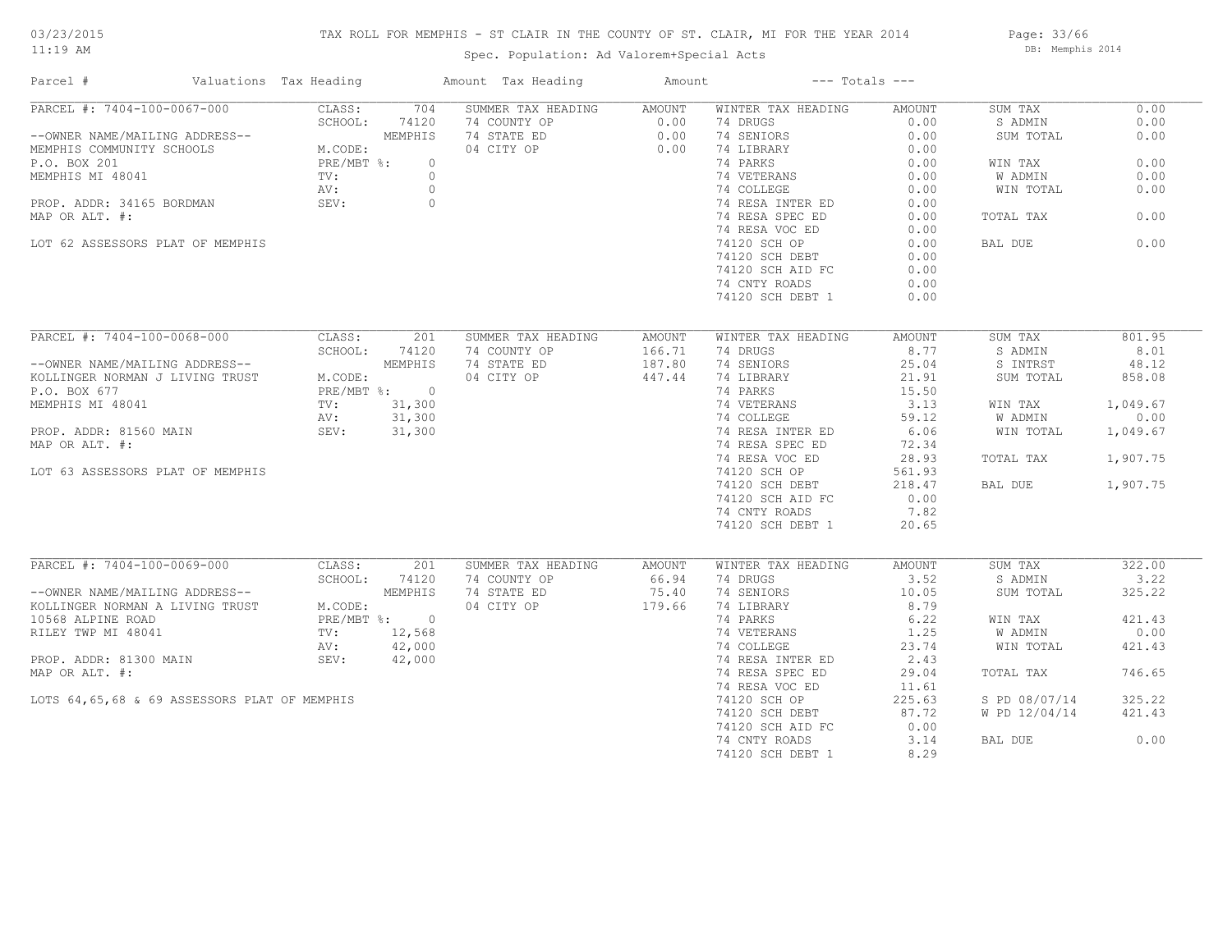# TAX ROLL FOR MEMPHIS - ST CLAIR IN THE COUNTY OF ST. CLAIR, MI FOR THE YEAR 2014

Spec. Population: Ad Valorem+Special Acts

Page: 33/66 DB: Memphis 2014

| Parcel #                                                                                                                                                                                                                     | Valuations Tax Heading |            | Amount Tax Heading                                  | Amount           | $---$ Totals $---$                                                                     |        |                  |          |
|------------------------------------------------------------------------------------------------------------------------------------------------------------------------------------------------------------------------------|------------------------|------------|-----------------------------------------------------|------------------|----------------------------------------------------------------------------------------|--------|------------------|----------|
| PARCEL #: 7404-100-0067-000                                                                                                                                                                                                  | CLASS:                 | 704        | SUMMER TAX HEADING AMOUNT                           |                  | WINTER TAX HEADING                                                                     | AMOUNT | SUM TAX          | 0.00     |
|                                                                                                                                                                                                                              | SCHOOL:                | 74120      | 74 COUNTY OP<br>74 STATE ED 0.00<br>04 CITY OP 0.00 |                  | 74 DRUGS                                                                               | 0.00   | S ADMIN          | 0.00     |
| --OWNER NAME/MAILING ADDRESS--<br>MEMPHIS COMMUNITY SCHOOLS<br>P.O. BOX 201<br>MEMPHIS MI 48041<br>MEMPHIS MI 48041<br>TV:<br>PRE/MBT %:<br>0<br>NOI FRE/MBT %:<br>0<br>NOI FRE/MBT %:<br>0<br>NOI FRE/MBT %:<br>0           |                        |            |                                                     |                  | 74 SENIORS                                                                             | 0.00   | SUM TOTAL        | 0.00     |
|                                                                                                                                                                                                                              |                        |            |                                                     |                  | 74 LIBRARY                                                                             | 0.00   |                  |          |
|                                                                                                                                                                                                                              |                        |            |                                                     |                  | 74 PARKS                                                                               | 0.00   | WIN TAX          | 0.00     |
|                                                                                                                                                                                                                              |                        |            |                                                     |                  |                                                                                        |        | W ADMIN          | 0.00     |
|                                                                                                                                                                                                                              |                        |            |                                                     |                  | 74 VETERANS 0.00<br>74 COLLEGE 0.00                                                    |        | WIN TOTAL        | 0.00     |
| PROP. ADDR: 34165 BORDMAN SEV: 0                                                                                                                                                                                             |                        |            |                                                     |                  |                                                                                        | 0.00   |                  |          |
| MAP OR ALT. #:                                                                                                                                                                                                               |                        |            |                                                     |                  | 74 RESA INTER ED<br>74 RESA SPEC ED<br>74 RESA SPEC ED                                 | 0.00   | TOTAL TAX        | 0.00     |
|                                                                                                                                                                                                                              |                        |            |                                                     |                  | 74 RESA VOC ED                                                                         | 0.00   |                  |          |
|                                                                                                                                                                                                                              |                        |            |                                                     |                  | 74120 SCH OP                                                                           | 0.00   | BAL DUE          | 0.00     |
| LOT 62 ASSESSORS PLAT OF MEMPHIS                                                                                                                                                                                             |                        |            |                                                     |                  |                                                                                        |        |                  |          |
|                                                                                                                                                                                                                              |                        |            |                                                     |                  | 74120 SCH DEBT                                                                         | 0.00   |                  |          |
|                                                                                                                                                                                                                              |                        |            |                                                     |                  | 74120 SCH AID FC                                                                       | 0.00   |                  |          |
|                                                                                                                                                                                                                              |                        |            |                                                     |                  | 74 CNTY ROADS                                                                          | 0.00   |                  |          |
|                                                                                                                                                                                                                              |                        |            |                                                     |                  | 74120 SCH DEBT 1                                                                       | 0.00   |                  |          |
|                                                                                                                                                                                                                              |                        |            |                                                     |                  |                                                                                        |        |                  |          |
| PARCEL #: 7404-100-0068-000                                                                                                                                                                                                  |                        | CLASS: 201 | SUMMER TAX HEADING                                  | AMOUNT           | WINTER TAX HEADING                                                                     | AMOUNT | SUM TAX          | 801.95   |
|                                                                                                                                                                                                                              | SCHOOL: 74120          |            | 74 COUNTY OP                                        | 166.71           | 74 DRUGS                                                                               | 8.77   | S ADMIN          | 8.01     |
|                                                                                                                                                                                                                              |                        |            | 74 STATE ED                                         | 166.71<br>187.80 | 74 SENIORS                                                                             | 25.04  | S INTRST         | 48.12    |
|                                                                                                                                                                                                                              |                        |            | 04 CITY OP 447.44                                   |                  | 74 LIBRARY                                                                             | 21.91  | SUM TOTAL        | 858.08   |
|                                                                                                                                                                                                                              |                        |            |                                                     |                  | 74 PARKS                                                                               | 15.50  |                  |          |
| --OWNER NAME/MAILING ADDRESS--<br>KOLLINGER NORMAN J LIVING TRUST<br>P.O. BOX 677<br>MEMPHIS MI 48041<br>PROP. ADDR: 81560 MAIN<br>PROP. ADDR: 81560 MAIN<br>PROP. ADDR: 81560 MAIN<br>PROP. ADDR: 81560 MAIN<br>PROP. 2017. |                        |            |                                                     |                  |                                                                                        |        | WIN TAX          | 1,049.67 |
|                                                                                                                                                                                                                              |                        |            |                                                     |                  | 74 VETERANS 3.13<br>74 COLLEGE 59.12<br>74 RESA INTER ED 6.06<br>74 RESA SPEC ED 72.34 |        | <b>W ADMIN</b>   | 0.00     |
|                                                                                                                                                                                                                              |                        |            |                                                     |                  |                                                                                        |        | WIN TOTAL        |          |
|                                                                                                                                                                                                                              |                        |            |                                                     |                  |                                                                                        |        |                  | 1,049.67 |
| MAP OR ALT. #:                                                                                                                                                                                                               |                        |            |                                                     |                  |                                                                                        |        |                  |          |
|                                                                                                                                                                                                                              |                        |            |                                                     |                  | 74 RESA VOC ED<br>74 RESA VOC ED<br>74120 SCH OP                                       | 28.93  | TOTAL TAX        | 1,907.75 |
| LOT 63 ASSESSORS PLAT OF MEMPHIS                                                                                                                                                                                             |                        |            |                                                     |                  |                                                                                        | 561.93 |                  |          |
|                                                                                                                                                                                                                              |                        |            |                                                     |                  | 74120 SCH DEBT                                                                         | 218.47 | BAL DUE 1,907.75 |          |
|                                                                                                                                                                                                                              |                        |            |                                                     |                  | 74120 SCH AID FC                                                                       | 0.00   |                  |          |
|                                                                                                                                                                                                                              |                        |            |                                                     |                  | 74 CNTY ROADS                                                                          | 7.82   |                  |          |
|                                                                                                                                                                                                                              |                        |            |                                                     |                  | 74120 SCH DEBT 1                                                                       | 20.65  |                  |          |
|                                                                                                                                                                                                                              |                        |            |                                                     |                  |                                                                                        |        |                  |          |
| PARCEL #: 7404-100-0069-000 CLASS:                                                                                                                                                                                           |                        | 201        | SUMMER TAX HEADING                                  | AMOUNT           | WINTER TAX HEADING                                                                     | AMOUNT | SUM TAX          | 322.00   |
|                                                                                                                                                                                                                              |                        |            | 74 COUNTY OP 66.94<br>74 STATE ED 75.40             |                  | 74 DRUGS                                                                               | 3.52   | S ADMIN          | 3.22     |
|                                                                                                                                                                                                                              |                        |            |                                                     |                  | 74 SENIORS                                                                             | 10.05  | SUM TOTAL        | 325.22   |
| SCHOOL: 74120<br>--OWNER NAME/MAILING ADDRESS--<br>KOLLINGER NORMAN A LIVING TRUST<br>10568 ALPINE ROAD<br>RILEY TWP MI 48041<br>HE/MBT %: 0<br>TV: 12,568<br>AV: 42,000                                                     |                        |            | 04 CITY OP 179.66                                   |                  | 74 LIBRARY                                                                             | 8.79   |                  |          |
|                                                                                                                                                                                                                              |                        |            |                                                     |                  | 74 PARKS                                                                               | 6.22   | WIN TAX          | 421.43   |
|                                                                                                                                                                                                                              |                        |            |                                                     |                  |                                                                                        |        | W ADMIN          | 0.00     |
|                                                                                                                                                                                                                              |                        |            |                                                     |                  | 74 VETERANS 1.25<br>74 COLLEGE 23.74<br>74 RESA INTER ED 2.43                          |        | WIN TOTAL        | 421.43   |
| PROP. ADDR: 81300 MAIN SEV:                                                                                                                                                                                                  |                        | 42,000     |                                                     |                  |                                                                                        |        |                  |          |
| MAP OR ALT. #:                                                                                                                                                                                                               |                        |            |                                                     |                  | 74 RESA SPEC ED                                                                        | 29.04  | TOTAL TAX        | 746.65   |
|                                                                                                                                                                                                                              |                        |            |                                                     |                  |                                                                                        |        |                  |          |
|                                                                                                                                                                                                                              |                        |            |                                                     |                  | 74 RESA VOC ED                                                                         | 11.61  |                  |          |
| LOTS 64,65,68 & 69 ASSESSORS PLAT OF MEMPHIS                                                                                                                                                                                 |                        |            |                                                     |                  | 74120 SCH OP                                                                           | 225.63 | S PD 08/07/14    | 325.22   |
|                                                                                                                                                                                                                              |                        |            |                                                     |                  | 74120 SCH DEBT                                                                         | 87.72  | W PD 12/04/14    | 421.43   |
|                                                                                                                                                                                                                              |                        |            |                                                     |                  | 74120 SCH AID FC                                                                       | 0.00   |                  |          |
|                                                                                                                                                                                                                              |                        |            |                                                     |                  | 74 CNTY ROADS                                                                          | 3.14   | BAL DUE          | 0.00     |
|                                                                                                                                                                                                                              |                        |            |                                                     |                  | 74120 SCH DEBT 1                                                                       | 8.29   |                  |          |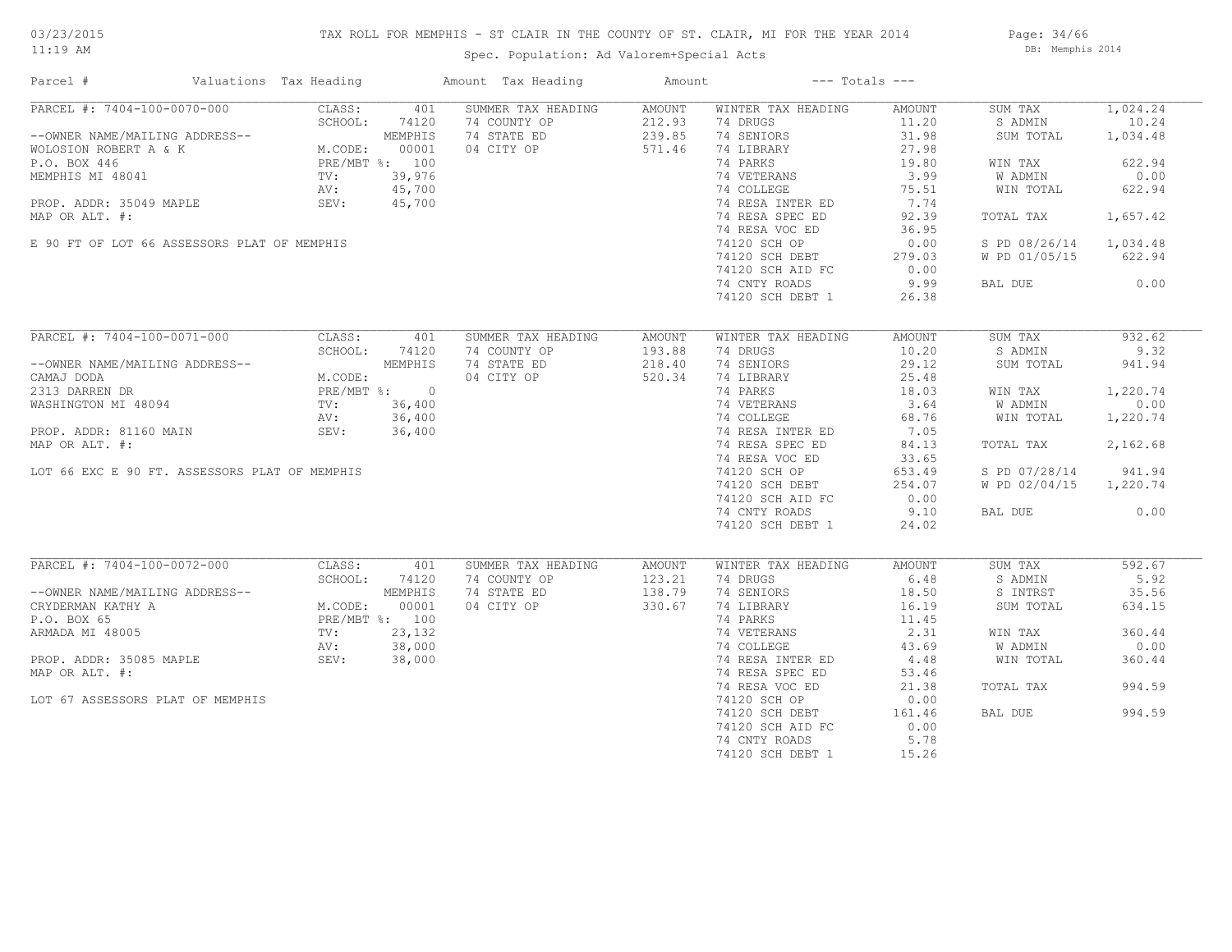# TAX ROLL FOR MEMPHIS - ST CLAIR IN THE COUNTY OF ST. CLAIR, MI FOR THE YEAR 2014

Spec. Population: Ad Valorem+Special Acts

Page: 34/66 DB: Memphis 2014

| Parcel #                                                                                                                                                                                                                                           | Valuations Tax Heading | Amount Tax Heading                          | Amount | $---$ Totals $---$                                                          |        |                        |          |
|----------------------------------------------------------------------------------------------------------------------------------------------------------------------------------------------------------------------------------------------------|------------------------|---------------------------------------------|--------|-----------------------------------------------------------------------------|--------|------------------------|----------|
| PARCEL #: 7404-100-0070-000 CLASS: 401<br>-OWNER NAME/MAILING ADDRESS-- MEMPHIS<br>WOLOSION ROBERT A & K M.CODE: 00001<br>P.O. BOX 446 PRE/MBT %: 100<br>MEMPHIS MI 48041 TV: 39,976<br>AV: 45,700<br>PREPLARE: 100                                |                        | SUMMER TAX HEADING                          | AMOUNT | WINTER TAX HEADING                                                          | AMOUNT | SUM TAX                | 1,024.24 |
|                                                                                                                                                                                                                                                    |                        | 74 COUNTY OP                                | 212.93 | 74 DRUGS                                                                    | 11.20  | S ADMIN                | 10.24    |
|                                                                                                                                                                                                                                                    |                        | 74 STATE ED                                 | 239.85 | 74 SENIORS                                                                  | 31.98  | SUM TOTAL              | 1,034.48 |
|                                                                                                                                                                                                                                                    |                        | 04 CITY OP 571.46                           |        | 74 LIBRARY                                                                  | 27.98  |                        |          |
|                                                                                                                                                                                                                                                    |                        |                                             |        | 74 PARKS                                                                    | 19.80  | WIN TAX                | 622.94   |
|                                                                                                                                                                                                                                                    |                        |                                             |        | 74 VETERANS                                                                 | 3.99   | W ADMIN                | 0.00     |
|                                                                                                                                                                                                                                                    |                        |                                             |        | 74 COLLEGE                                                                  | 75.51  | WIN TOTAL              | 622.94   |
| PROP. ADDR: 35049 MAPLE SEV: 45,700                                                                                                                                                                                                                |                        |                                             |        |                                                                             |        |                        |          |
| MAP OR ALT. #:                                                                                                                                                                                                                                     |                        |                                             |        |                                                                             |        | TOTAL TAX              | 1,657.42 |
|                                                                                                                                                                                                                                                    |                        |                                             |        | 74 RESA VOC ED                                                              | 36.95  |                        |          |
|                                                                                                                                                                                                                                                    |                        |                                             |        |                                                                             |        |                        |          |
| E 90 FT OF LOT 66 ASSESSORS PLAT OF MEMPHIS                                                                                                                                                                                                        |                        |                                             |        | 74120 SCH OP                                                                | 0.00   | S PD 08/26/14 1,034.48 |          |
|                                                                                                                                                                                                                                                    |                        |                                             |        | 74120 SCH DEBT 279.03<br>74120 SCH AID FC 0.00                              |        | W PD 01/05/15 622.94   |          |
|                                                                                                                                                                                                                                                    |                        |                                             |        |                                                                             |        |                        |          |
|                                                                                                                                                                                                                                                    |                        |                                             |        | 74 CNTY ROADS                                                               | 9.99   | BAL DUE 0.00           |          |
|                                                                                                                                                                                                                                                    |                        |                                             |        | 74120 SCH DEBT 1                                                            | 26.38  |                        |          |
|                                                                                                                                                                                                                                                    |                        |                                             |        |                                                                             |        |                        |          |
| PARCEL #: 7404-100-0071-000                                                                                                                                                                                                                        | CLASS: 401             | SUMMER TAX HEADING                          | AMOUNT | WINTER TAX HEADING                                                          | AMOUNT | SUM TAX                | 932.62   |
|                                                                                                                                                                                                                                                    | SCHOOL: 74120          | 74 COUNTY OP                                | 193.88 | 74 DRUGS                                                                    | 10.20  | S ADMIN                | 9.32     |
|                                                                                                                                                                                                                                                    |                        | 74 STATE ED                                 | 218.40 | 74 SENIORS                                                                  | 29.12  | SUM TOTAL              | 941.94   |
|                                                                                                                                                                                                                                                    |                        | 04 CITY OP                                  | 520.34 | 74 LIBRARY                                                                  | 25.48  |                        |          |
|                                                                                                                                                                                                                                                    |                        | $0$<br>, 400<br>, 400<br>$5,400$<br>$6,400$ |        | 74 PARKS                                                                    | 18.03  | WIN TAX                | 1,220.74 |
| --OWNER NAME/MAILING ADDRESS--<br>CAMAJ DODA<br>2313 DARREN DR<br>WASHINGTON MI 48094<br>PROP. ADDR: 81160 MAIN<br>MRD OD ATT #: 36,400<br>MRD OD ATT #: 36,400<br>MRD OD ATT #: 36,400<br>MRD OD ATT #: 36,400                                    |                        |                                             |        |                                                                             |        | W ADMIN                | 0.00     |
|                                                                                                                                                                                                                                                    |                        |                                             |        | 74 VETERANS<br>74 COLLEGE<br>74 RESA INTER ED<br>7.05 74 RESA SPEC ED 84.13 |        | W ADMIN<br>WIN TOTAL   |          |
|                                                                                                                                                                                                                                                    |                        |                                             |        |                                                                             |        |                        | 1,220.74 |
|                                                                                                                                                                                                                                                    |                        |                                             |        |                                                                             |        |                        |          |
| MAP OR ALT. #:                                                                                                                                                                                                                                     |                        |                                             |        |                                                                             |        | TOTAL TAX              | 2,162.68 |
|                                                                                                                                                                                                                                                    |                        |                                             |        | 74 RESA VOC ED<br>74 RESA VOC ED<br>74120 SCH OP                            | 33.65  |                        |          |
| LOT 66 EXC E 90 FT. ASSESSORS PLAT OF MEMPHIS                                                                                                                                                                                                      |                        |                                             |        |                                                                             | 653.49 | S PD 07/28/14 941.94   |          |
|                                                                                                                                                                                                                                                    |                        |                                             |        | 74120 SCH DEBT                                                              | 254.07 | W PD 02/04/15 1,220.74 |          |
|                                                                                                                                                                                                                                                    |                        |                                             |        | 74120 SCH AID FC                                                            | 0.00   |                        |          |
|                                                                                                                                                                                                                                                    |                        |                                             |        | 74 CNTY ROADS                                                               | 9.10   | BAL DUE                | 0.00     |
|                                                                                                                                                                                                                                                    |                        |                                             |        | 74120 SCH DEBT 1                                                            | 24.02  |                        |          |
|                                                                                                                                                                                                                                                    |                        |                                             |        |                                                                             |        |                        |          |
| PARCEL #: 7404-100-0072-000                                                                                                                                                                                                                        | CLASS:                 | SUMMER TAX HEADING<br>401                   | AMOUNT | WINTER TAX HEADING                                                          | AMOUNT | SUM TAX                | 592.67   |
|                                                                                                                                                                                                                                                    | SCHOOL:<br>74120       | 74 COUNTY OP                                | 123.21 | 74 DRUGS                                                                    | 6.48   | S ADMIN                | 5.92     |
| --OWNER NAME/MAILING ADDRESS--<br>CRYDERMAN KATHY A<br>CRYDERMAN KATHY A<br>P.O. BOX 65<br>ARMADA MI 48005<br>PROP. ADDR: 35085 MAPLE<br>PROP. ADDR: 35085 MAPLE<br>PROP. ADDR: 35085 MAPLE<br>SEV: 38,000<br>PROP. ADDR: 35085 MAPLE<br>SEV: 38,0 |                        | /4 COUNTY OP<br>74 STATE ED                 | 138.79 | 74 SENIORS                                                                  | 18.50  | S INTRST               | 35.56    |
|                                                                                                                                                                                                                                                    |                        | 04 CITY OP                                  | 330.67 |                                                                             | 16.19  | SUM TOTAL              | 634.15   |
|                                                                                                                                                                                                                                                    |                        |                                             |        | 74 LIBRARY<br>74 PARKS                                                      |        |                        |          |
|                                                                                                                                                                                                                                                    |                        | $\frac{132}{000}$<br>000<br>000             |        |                                                                             | 11.45  |                        |          |
|                                                                                                                                                                                                                                                    |                        |                                             |        |                                                                             |        | WIN TAX                | 360.44   |
|                                                                                                                                                                                                                                                    |                        |                                             |        |                                                                             |        | W ADMIN                | 0.00     |
|                                                                                                                                                                                                                                                    |                        |                                             |        |                                                                             |        | WIN TOTAL              | 360.44   |
| MAP OR ALT. #:                                                                                                                                                                                                                                     |                        |                                             |        | 74 RESA SPEC ED                                                             | 53.46  |                        |          |
|                                                                                                                                                                                                                                                    |                        |                                             |        | 74 RESA VOC ED                                                              | 21.38  | TOTAL TAX              | 994.59   |
| LOT 67 ASSESSORS PLAT OF MEMPHIS                                                                                                                                                                                                                   |                        |                                             |        | 74120 SCH OP                                                                | 0.00   |                        |          |
|                                                                                                                                                                                                                                                    |                        |                                             |        | 74120 SCH DEBT                                                              | 161.46 | BAL DUE                | 994.59   |
|                                                                                                                                                                                                                                                    |                        |                                             |        | 74120 SCH AID FC                                                            | 0.00   |                        |          |
|                                                                                                                                                                                                                                                    |                        |                                             |        | 74 CNTY ROADS                                                               | 5.78   |                        |          |
|                                                                                                                                                                                                                                                    |                        |                                             |        | 74120 SCH DEBT 1                                                            | 15.26  |                        |          |
|                                                                                                                                                                                                                                                    |                        |                                             |        |                                                                             |        |                        |          |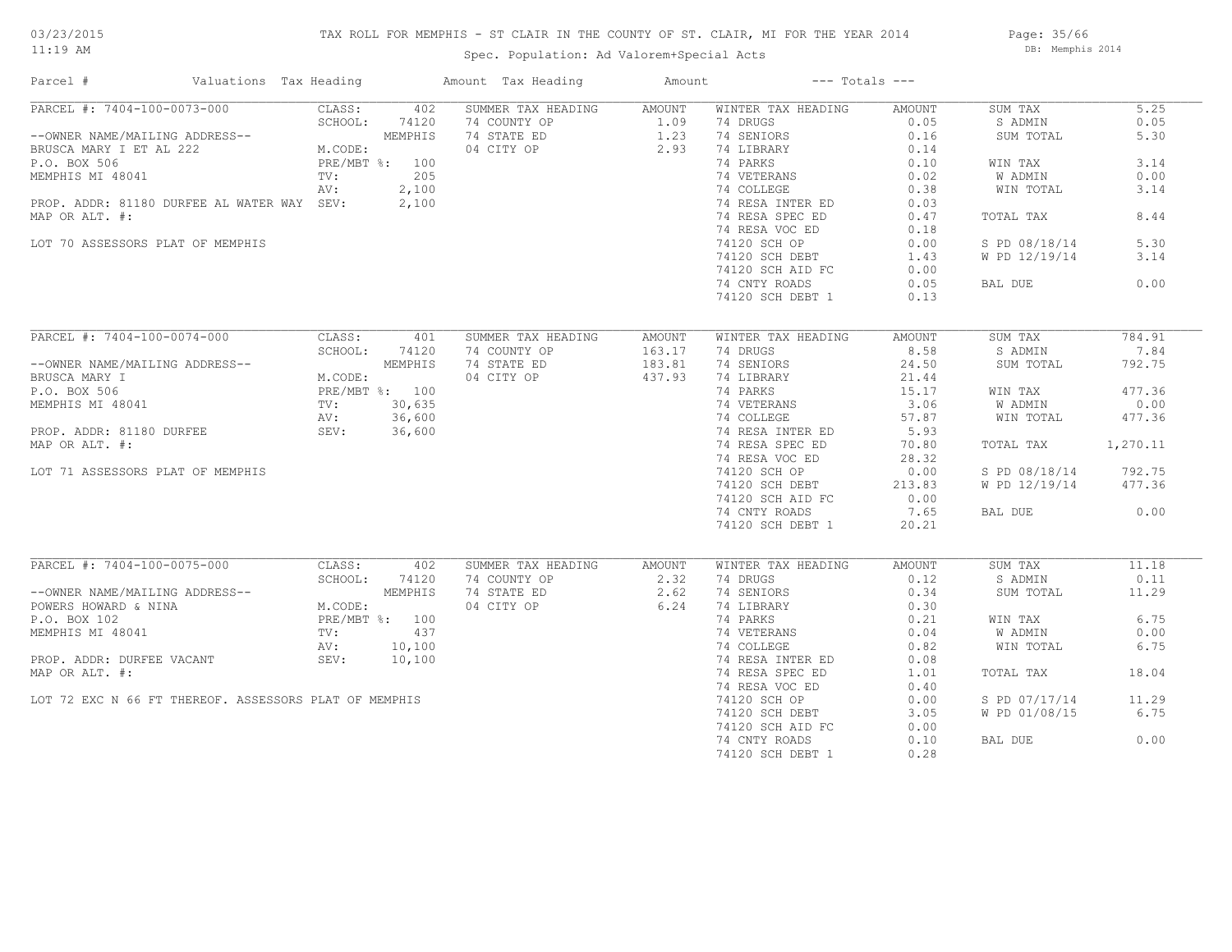# 03/23/2015

11:19 AM

# TAX ROLL FOR MEMPHIS - ST CLAIR IN THE COUNTY OF ST. CLAIR, MI FOR THE YEAR 2014

Spec. Population: Ad Valorem+Special Acts

Page: 35/66 DB: Memphis 2014

| Parcel #                                              | Valuations Tax Heading    | Amount Tax Heading | Amount |                    | $---$ Totals $---$ |               |          |
|-------------------------------------------------------|---------------------------|--------------------|--------|--------------------|--------------------|---------------|----------|
| PARCEL #: 7404-100-0073-000                           | 402<br>CLASS:             | SUMMER TAX HEADING | AMOUNT | WINTER TAX HEADING | AMOUNT             | SUM TAX       | 5.25     |
|                                                       | SCHOOL:<br>74120          | 74 COUNTY OP       | 1.09   | 74 DRUGS           | 0.05               | S ADMIN       | 0.05     |
| --OWNER NAME/MAILING ADDRESS--                        | MEMPHIS                   | 74 STATE ED        | 1.23   | 74 SENIORS         | 0.16               | SUM TOTAL     | 5.30     |
| BRUSCA MARY I ET AL 222                               | M.CODE:                   | 04 CITY OP         | 2.93   | 74 LIBRARY         | 0.14               |               |          |
| P.O. BOX 506                                          | PRE/MBT %: 100            |                    |        | 74 PARKS           | 0.10               | WIN TAX       | 3.14     |
| MEMPHIS MI 48041                                      | 205<br>TV:                |                    |        | 74 VETERANS        | 0.02               | W ADMIN       | 0.00     |
|                                                       | 2,100<br>AV:              |                    |        | 74 COLLEGE         | 0.38               | WIN TOTAL     | 3.14     |
| PROP. ADDR: 81180 DURFEE AL WATER WAY SEV:            | 2,100                     |                    |        | 74 RESA INTER ED   | 0.03               |               |          |
| MAP OR ALT. #:                                        |                           |                    |        | 74 RESA SPEC ED    | 0.47               | TOTAL TAX     | 8.44     |
|                                                       |                           |                    |        | 74 RESA VOC ED     | 0.18               |               |          |
| LOT 70 ASSESSORS PLAT OF MEMPHIS                      |                           |                    |        | 74120 SCH OP       | 0.00               | S PD 08/18/14 | 5.30     |
|                                                       |                           |                    |        | 74120 SCH DEBT     | 1.43               | W PD 12/19/14 | 3.14     |
|                                                       |                           |                    |        | 74120 SCH AID FC   | 0.00               |               |          |
|                                                       |                           |                    |        | 74 CNTY ROADS      | 0.05               | BAL DUE       | 0.00     |
|                                                       |                           |                    |        |                    |                    |               |          |
|                                                       |                           |                    |        | 74120 SCH DEBT 1   | 0.13               |               |          |
| PARCEL #: 7404-100-0074-000                           | CLASS:<br>401             | SUMMER TAX HEADING | AMOUNT | WINTER TAX HEADING | AMOUNT             | SUM TAX       | 784.91   |
|                                                       | SCHOOL:<br>74120          | 74 COUNTY OP       | 163.17 | 74 DRUGS           | 8.58               | S ADMIN       | 7.84     |
| --OWNER NAME/MAILING ADDRESS--                        | MEMPHIS                   | 74 STATE ED        | 183.81 | 74 SENIORS         | 24.50              | SUM TOTAL     | 792.75   |
| BRUSCA MARY I                                         | M.CODE:                   | 04 CITY OP         | 437.93 | 74 LIBRARY         | 21.44              |               |          |
|                                                       |                           |                    |        | 74 PARKS           |                    |               | 477.36   |
| P.O. BOX 506                                          | PRE/MBT %: 100            |                    |        |                    | 15.17              | WIN TAX       |          |
| MEMPHIS MI 48041                                      | 30,635<br>$\texttt{TV}$ : |                    |        | 74 VETERANS        | 3.06               | W ADMIN       | 0.00     |
|                                                       | 36,600<br>AV:             |                    |        | 74 COLLEGE         | 57.87              | WIN TOTAL     | 477.36   |
| PROP. ADDR: 81180 DURFEE                              | SEV:<br>36,600            |                    |        | 74 RESA INTER ED   | 5.93               |               |          |
| MAP OR ALT. #:                                        |                           |                    |        | 74 RESA SPEC ED    | 70.80              | TOTAL TAX     | 1,270.11 |
|                                                       |                           |                    |        | 74 RESA VOC ED     | 28.32              |               |          |
| LOT 71 ASSESSORS PLAT OF MEMPHIS                      |                           |                    |        | 74120 SCH OP       | 0.00               | S PD 08/18/14 | 792.75   |
|                                                       |                           |                    |        | 74120 SCH DEBT     | 213.83             | W PD 12/19/14 | 477.36   |
|                                                       |                           |                    |        | 74120 SCH AID FC   | 0.00               |               |          |
|                                                       |                           |                    |        | 74 CNTY ROADS      | 7.65               | BAL DUE       | 0.00     |
|                                                       |                           |                    |        | 74120 SCH DEBT 1   | 20.21              |               |          |
|                                                       |                           |                    |        |                    |                    |               |          |
| PARCEL #: 7404-100-0075-000                           | CLASS:<br>402             | SUMMER TAX HEADING | AMOUNT | WINTER TAX HEADING | AMOUNT             | SUM TAX       | 11.18    |
|                                                       | SCHOOL:<br>74120          | 74 COUNTY OP       | 2.32   | 74 DRUGS           | 0.12               | S ADMIN       | 0.11     |
| --OWNER NAME/MAILING ADDRESS--                        | MEMPHIS                   | 74 STATE ED        | 2.62   | 74 SENIORS         | 0.34               | SUM TOTAL     | 11.29    |
| POWERS HOWARD & NINA                                  | M.CODE:                   | 04 CITY OP         | 6.24   | 74 LIBRARY         | 0.30               |               |          |
| P.O. BOX 102                                          | PRE/MBT %: 100            |                    |        | 74 PARKS           | 0.21               | WIN TAX       | 6.75     |
| MEMPHIS MI 48041                                      | TV:<br>437                |                    |        | 74 VETERANS        | 0.04               | W ADMIN       | 0.00     |
|                                                       | 10,100<br>AV:             |                    |        | 74 COLLEGE         | 0.82               | WIN TOTAL     | 6.75     |
| PROP. ADDR: DURFEE VACANT                             | SEV:<br>10,100            |                    |        | 74 RESA INTER ED   | 0.08               |               |          |
| MAP OR ALT. #:                                        |                           |                    |        | 74 RESA SPEC ED    | 1.01               | TOTAL TAX     | 18.04    |
|                                                       |                           |                    |        | 74 RESA VOC ED     | 0.40               |               |          |
| LOT 72 EXC N 66 FT THEREOF. ASSESSORS PLAT OF MEMPHIS |                           |                    |        | 74120 SCH OP       | 0.00               | S PD 07/17/14 | 11.29    |
|                                                       |                           |                    |        | 74120 SCH DEBT     | 3.05               | W PD 01/08/15 | 6.75     |
|                                                       |                           |                    |        | 74120 SCH AID FC   | 0.00               |               |          |
|                                                       |                           |                    |        |                    |                    | BAL DUE       | 0.00     |
|                                                       |                           |                    |        | 74 CNTY ROADS      | 0.10               |               |          |
|                                                       |                           |                    |        | 74120 SCH DEBT 1   | 0.28               |               |          |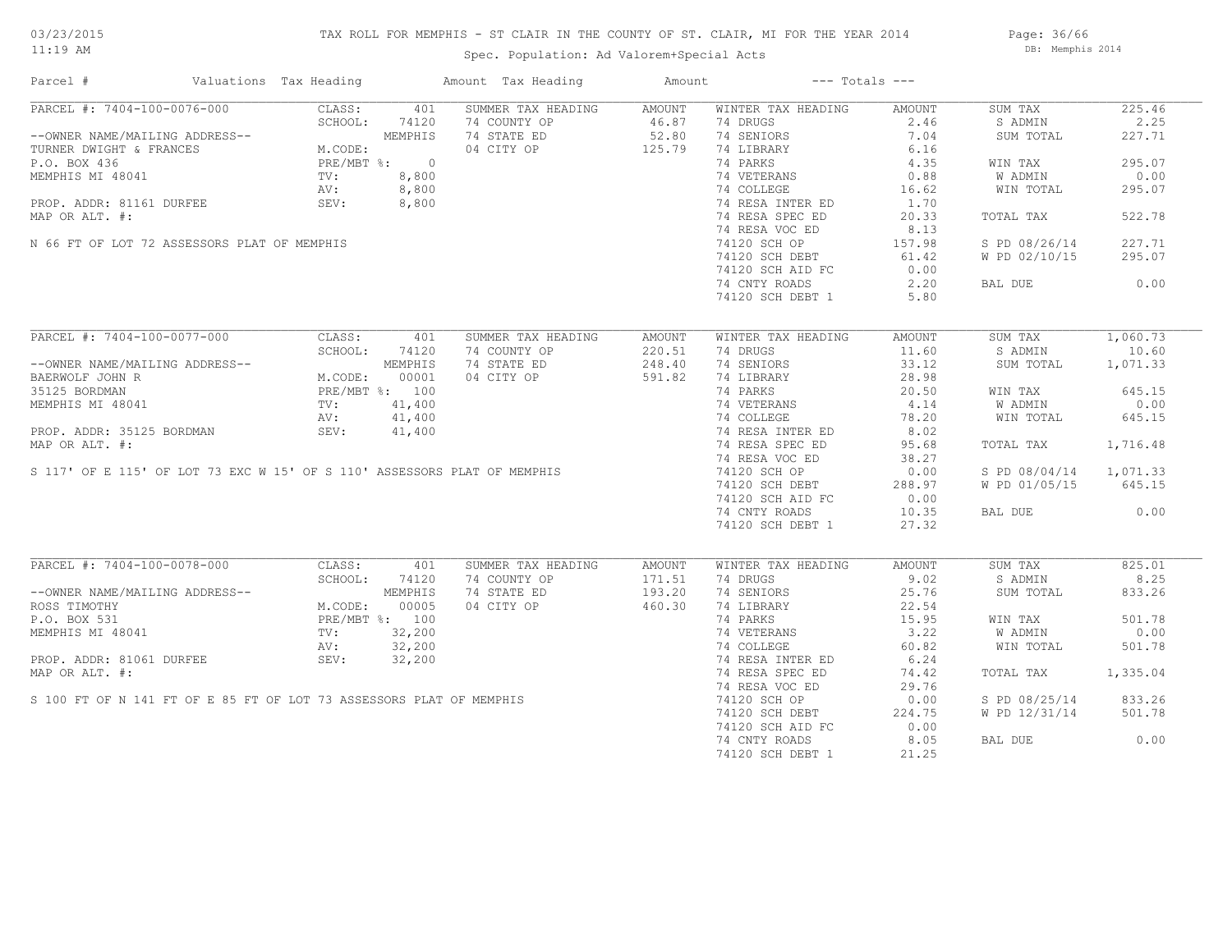# TAX ROLL FOR MEMPHIS - ST CLAIR IN THE COUNTY OF ST. CLAIR, MI FOR THE YEAR 2014

Spec. Population: Ad Valorem+Special Acts

Page: 36/66 DB: Memphis 2014

| Parcel #                                                                                                                                                                                                                                               | Valuations Tax Heading |               | Amount Tax Heading                                                                                                                                                                                                                                            | Amount           | $---$ Totals $---$                                                                                                                                              |                  |                        |          |
|--------------------------------------------------------------------------------------------------------------------------------------------------------------------------------------------------------------------------------------------------------|------------------------|---------------|---------------------------------------------------------------------------------------------------------------------------------------------------------------------------------------------------------------------------------------------------------------|------------------|-----------------------------------------------------------------------------------------------------------------------------------------------------------------|------------------|------------------------|----------|
| PARCEL #: 7404-100-0076-000                                                                                                                                                                                                                            |                        | CLASS: 401    | SUMMER TAX HEADING                                                                                                                                                                                                                                            | AMOUNT           | WINTER TAX HEADING                                                                                                                                              | AMOUNT           | SUM TAX                | 225.46   |
|                                                                                                                                                                                                                                                        |                        |               |                                                                                                                                                                                                                                                               |                  | 74 DRUGS                                                                                                                                                        |                  | S ADMIN                | 2.25     |
| --OWNER NAME/MAILING ADDRESS--<br>--OWNER NAME/MAILING ADDRESS--<br>TURNER DWIGHT & FRANCES<br>P.O. BOX 436<br>MEMPHIS MI 48041<br>PROP. ADDR: 81161 DURFEE<br>MOP. OR NTT #:<br>MAP OR NTT #:<br>8,800<br>MAP OR NTT #:<br>8,800<br>MAP OR NTT #:<br> |                        |               | 74 COUNTY OP<br>74 STATE ED 52.80<br>04 CITY OP 125.79<br>74 STATE ED                                                                                                                                                                                         |                  | 74 SENIORS                                                                                                                                                      | $2.46$<br>$7.04$ | SUM TOTAL              | 227.71   |
|                                                                                                                                                                                                                                                        |                        |               |                                                                                                                                                                                                                                                               |                  | 74 LIBRARY                                                                                                                                                      | 6.16             |                        |          |
|                                                                                                                                                                                                                                                        |                        |               |                                                                                                                                                                                                                                                               |                  | 74 PARKS                                                                                                                                                        | 4.35             | WIN TAX                | 295.07   |
|                                                                                                                                                                                                                                                        |                        |               |                                                                                                                                                                                                                                                               |                  |                                                                                                                                                                 |                  | W ADMIN                | 0.00     |
|                                                                                                                                                                                                                                                        |                        |               |                                                                                                                                                                                                                                                               |                  | 74 VETERANS 0.88<br>74 COLLEGE 16.62                                                                                                                            |                  | WIN TOTAL              | 295.07   |
|                                                                                                                                                                                                                                                        |                        |               |                                                                                                                                                                                                                                                               |                  | 74 RESA INTER ED                                                                                                                                                | 1.70             |                        |          |
| MAP OR ALT. #:                                                                                                                                                                                                                                         |                        |               |                                                                                                                                                                                                                                                               |                  | 74 RESA SPEC ED                                                                                                                                                 | 20.33            | TOTAL TAX              | 522.78   |
|                                                                                                                                                                                                                                                        |                        |               |                                                                                                                                                                                                                                                               |                  | 74 RESA VOC ED                                                                                                                                                  | 8.13             |                        |          |
|                                                                                                                                                                                                                                                        |                        |               |                                                                                                                                                                                                                                                               |                  |                                                                                                                                                                 |                  |                        |          |
| N 66 FT OF LOT 72 ASSESSORS PLAT OF MEMPHIS                                                                                                                                                                                                            |                        |               |                                                                                                                                                                                                                                                               |                  | 74120 SCH OP                                                                                                                                                    | 157.98           | S PD 08/26/14          | 227.71   |
|                                                                                                                                                                                                                                                        |                        |               |                                                                                                                                                                                                                                                               |                  | 74120 SCH DEBT                                                                                                                                                  | 61.42            | W PD 02/10/15          | 295.07   |
|                                                                                                                                                                                                                                                        |                        |               |                                                                                                                                                                                                                                                               |                  | 74120 SCH AID FC                                                                                                                                                | 0.00             |                        |          |
|                                                                                                                                                                                                                                                        |                        |               |                                                                                                                                                                                                                                                               |                  | 74 CNTY ROADS                                                                                                                                                   | 2,20             | BAL DUE                | 0.00     |
|                                                                                                                                                                                                                                                        |                        |               |                                                                                                                                                                                                                                                               |                  | 74120 SCH DEBT 1                                                                                                                                                | 5.80             |                        |          |
|                                                                                                                                                                                                                                                        |                        |               |                                                                                                                                                                                                                                                               |                  |                                                                                                                                                                 |                  |                        |          |
| PARCEL #: 7404-100-0077-000 CLASS: 401                                                                                                                                                                                                                 |                        |               | SUMMER TAX HEADING                                                                                                                                                                                                                                            | AMOUNT           | WINTER TAX HEADING                                                                                                                                              | AMOUNT           | SUM TAX                | 1,060.73 |
|                                                                                                                                                                                                                                                        |                        | SCHOOL: 74120 | 74 COUNTY OP                                                                                                                                                                                                                                                  | 220.51<br>248.40 | 74 DRUGS                                                                                                                                                        | 11.60            | S ADMIN                | 10.60    |
|                                                                                                                                                                                                                                                        |                        |               | 74 STATE ED                                                                                                                                                                                                                                                   |                  | 74 SENIORS                                                                                                                                                      | 33.12            | SUM TOTAL 1,071.33     |          |
|                                                                                                                                                                                                                                                        |                        |               | 04 CITY OP 591.82                                                                                                                                                                                                                                             |                  |                                                                                                                                                                 |                  |                        |          |
|                                                                                                                                                                                                                                                        |                        |               |                                                                                                                                                                                                                                                               |                  |                                                                                                                                                                 |                  | WIN TAX                | 645.15   |
| --OWNER NAME/MAILING ADDRESS--<br>BAERWOLF JOHN R<br>MEMPHIS MI 48041 PRE/MBT %: 00001<br>MEMPHIS MI 48041 PRE/MBT %: 100<br>MEMPHIS MI 48041 PRE/MBT %: 41,400<br>AV: 41,400                                                                          |                        |               | 35125 BORDMAN<br>MEMPHIS MI 48041<br>MEMPHIS MI 48041<br>PROP. ADDR: 35125 BORDMAN<br>MP OR ALT. #:<br>MAP OR ALT. #:<br>STATER ED<br>MAP OR ALT. #:<br>STATER ED<br>MAP OR ALT. #:<br>STATER ED<br>T4 RESA INTER ED<br>T4 RESA INTER ED<br>T4 RESA SPEC      |                  | 74 LIBRARY<br>74 LIBRARY<br>74 VETERANS<br>74 COLLEGE 78.20<br>74 RESA INTER ED 8.02<br>74 RESA SPEC ED 95.68<br>77 PESA SPEC ED 95.68<br>77 PESA SPEC ED 95.68 |                  | W ADMIN                | 0.00     |
|                                                                                                                                                                                                                                                        |                        |               |                                                                                                                                                                                                                                                               |                  |                                                                                                                                                                 |                  | WIN TOTAL              | 645.15   |
|                                                                                                                                                                                                                                                        |                        |               |                                                                                                                                                                                                                                                               |                  |                                                                                                                                                                 |                  |                        |          |
|                                                                                                                                                                                                                                                        |                        |               |                                                                                                                                                                                                                                                               |                  |                                                                                                                                                                 |                  |                        | 1,716.48 |
|                                                                                                                                                                                                                                                        |                        |               |                                                                                                                                                                                                                                                               |                  |                                                                                                                                                                 |                  | TOTAL TAX              |          |
|                                                                                                                                                                                                                                                        |                        |               |                                                                                                                                                                                                                                                               |                  |                                                                                                                                                                 | 38.27            |                        |          |
|                                                                                                                                                                                                                                                        |                        |               |                                                                                                                                                                                                                                                               |                  |                                                                                                                                                                 | 0.00             | S PD 08/04/14 1,071.33 |          |
|                                                                                                                                                                                                                                                        |                        |               |                                                                                                                                                                                                                                                               |                  |                                                                                                                                                                 | 288.97           | W PD 01/05/15 645.15   |          |
|                                                                                                                                                                                                                                                        |                        |               |                                                                                                                                                                                                                                                               |                  | 74120 SCH AID FC                                                                                                                                                | 0.00             |                        |          |
|                                                                                                                                                                                                                                                        |                        |               |                                                                                                                                                                                                                                                               |                  | 74 CNTY ROADS                                                                                                                                                   | 10.35            | BAL DUE                | 0.00     |
|                                                                                                                                                                                                                                                        |                        |               |                                                                                                                                                                                                                                                               |                  | 74120 SCH DEBT 1                                                                                                                                                | 27.32            |                        |          |
|                                                                                                                                                                                                                                                        |                        |               |                                                                                                                                                                                                                                                               |                  |                                                                                                                                                                 |                  |                        |          |
| PARCEL #: 7404-100-0078-000 CLASS:                                                                                                                                                                                                                     |                        | 401           | SUMMER TAX HEADING<br>PARCEL #: 7404-100-0078-000 CLASS: 401 SUMMER TAX HEADING AMOUNT<br>--OWNER NAME/MAILING ADDRESS--<br>ROSS TIMOTHY MAILING ADDRESS--<br>ROSS TIMOTHY M.CODE: 00005 04 CITY OP 171.51<br>P.O. BOX 531 PRE/MBT %: 100<br>MEMPHIS MI 48041 | AMOUNT           | WINTER TAX HEADING                                                                                                                                              | AMOUNT           | SUM TAX                | 825.01   |
|                                                                                                                                                                                                                                                        |                        |               |                                                                                                                                                                                                                                                               |                  | 74 DRUGS                                                                                                                                                        | 9.02             | S ADMIN                | 8.25     |
|                                                                                                                                                                                                                                                        |                        |               |                                                                                                                                                                                                                                                               |                  | 74 SENIORS                                                                                                                                                      | 25.76            | SUM TOTAL              | 833.26   |
|                                                                                                                                                                                                                                                        |                        |               |                                                                                                                                                                                                                                                               |                  | 74 LIBRARY<br>74 DIBRARY<br>74 PARKS<br>74 VETERANS<br>74 COLLEGE<br>74 RESA INTER ED<br>8.24                                                                   |                  |                        |          |
|                                                                                                                                                                                                                                                        |                        |               |                                                                                                                                                                                                                                                               |                  |                                                                                                                                                                 |                  | WIN TAX                | 501.78   |
|                                                                                                                                                                                                                                                        |                        |               |                                                                                                                                                                                                                                                               |                  |                                                                                                                                                                 |                  | W ADMIN                | 0.00     |
|                                                                                                                                                                                                                                                        |                        |               |                                                                                                                                                                                                                                                               |                  |                                                                                                                                                                 |                  | WIN TOTAL              | 501.78   |
|                                                                                                                                                                                                                                                        |                        |               |                                                                                                                                                                                                                                                               |                  |                                                                                                                                                                 |                  |                        |          |
|                                                                                                                                                                                                                                                        |                        |               |                                                                                                                                                                                                                                                               |                  | 74 RESA SPEC ED                                                                                                                                                 | 74.42            | TOTAL TAX 1,335.04     |          |
|                                                                                                                                                                                                                                                        |                        |               |                                                                                                                                                                                                                                                               |                  | 74 RESA VOC ED                                                                                                                                                  | 29.76            |                        |          |
|                                                                                                                                                                                                                                                        |                        |               |                                                                                                                                                                                                                                                               |                  | 74120 SCH OP                                                                                                                                                    | 0.00             | S PD 08/25/14 833.26   |          |
|                                                                                                                                                                                                                                                        |                        |               |                                                                                                                                                                                                                                                               |                  | 74120 SCH DEBT                                                                                                                                                  | 224.75           | W PD 12/31/14 501.78   |          |
|                                                                                                                                                                                                                                                        |                        |               |                                                                                                                                                                                                                                                               |                  | 74120 SCH AID FC                                                                                                                                                | 0.00             |                        |          |
|                                                                                                                                                                                                                                                        |                        |               |                                                                                                                                                                                                                                                               |                  | 74 CNTY ROADS                                                                                                                                                   | 8.05             | BAL DUE                | 0.00     |
|                                                                                                                                                                                                                                                        |                        |               |                                                                                                                                                                                                                                                               |                  |                                                                                                                                                                 |                  |                        |          |
|                                                                                                                                                                                                                                                        |                        |               |                                                                                                                                                                                                                                                               |                  | 74120 SCH DEBT 1                                                                                                                                                | 21.25            |                        |          |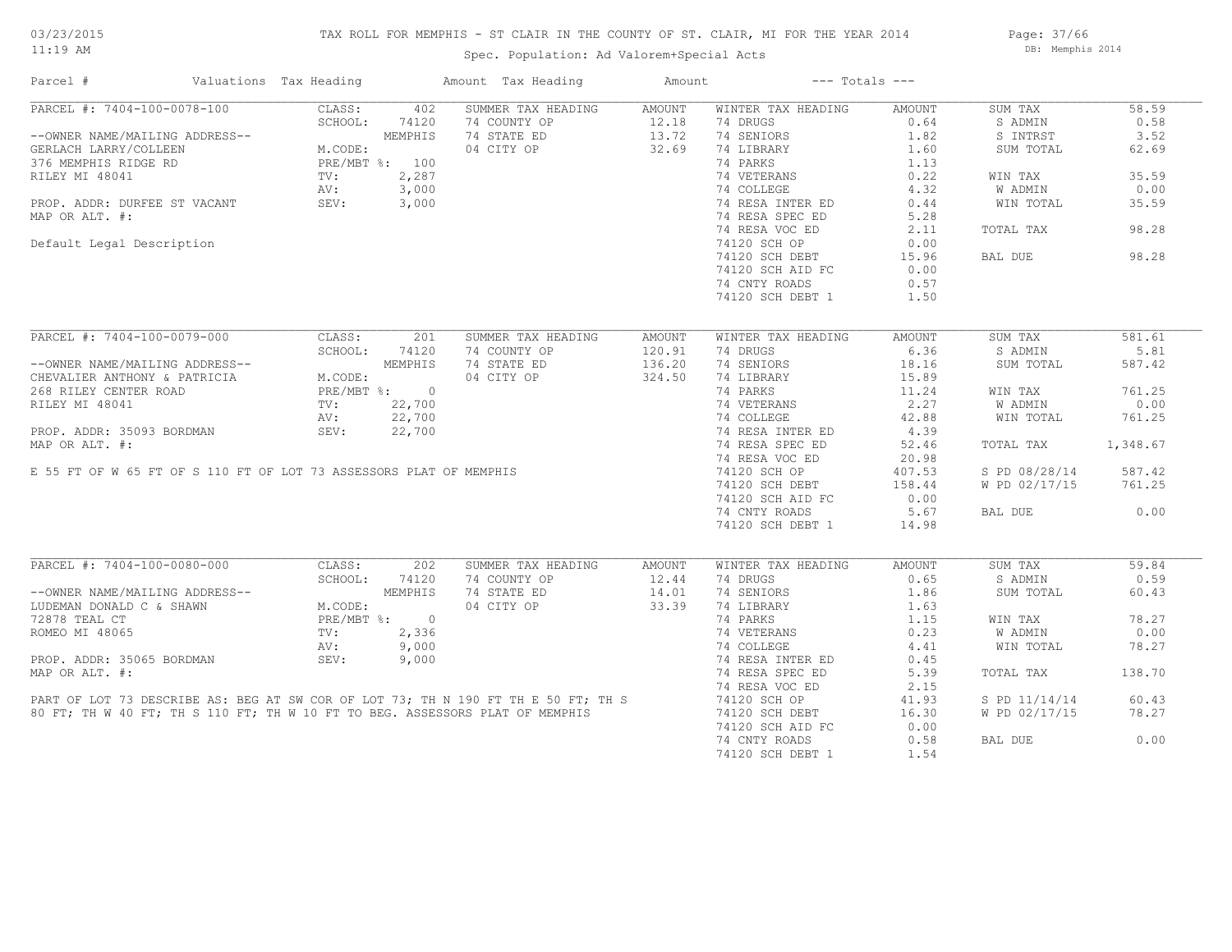# TAX ROLL FOR MEMPHIS - ST CLAIR IN THE COUNTY OF ST. CLAIR, MI FOR THE YEAR 2014

Spec. Population: Ad Valorem+Special Acts

Page: 37/66 DB: Memphis 2014

| Parcel #                                                                                                                                                | Valuations Tax Heading |        | Amount Tax Heading                                                                                                                                                | Amount             | $---$ Totals $---$                  |        |               |          |
|---------------------------------------------------------------------------------------------------------------------------------------------------------|------------------------|--------|-------------------------------------------------------------------------------------------------------------------------------------------------------------------|--------------------|-------------------------------------|--------|---------------|----------|
| PARCEL #: 7404-100-0078-100                                                                                                                             | CLASS:                 | 402    | SUMMER TAX HEADING                                                                                                                                                | AMOUNT             | WINTER TAX HEADING                  | AMOUNT | SUM TAX       | 58.59    |
|                                                                                                                                                         | SCHOOL:                | 74120  | 74 COUNTY OP                                                                                                                                                      | $12.18$<br>$13.72$ | 74 DRUGS                            | 0.64   | S ADMIN       | 0.58     |
|                                                                                                                                                         |                        |        | 74 STATE ED                                                                                                                                                       |                    | 74 SENIORS                          | 1.82   | S INTRST      | 3.52     |
|                                                                                                                                                         |                        |        | 04 CITY OP                                                                                                                                                        | 32.69              | 74 LIBRARY                          | 1.60   | SUM TOTAL     | 62.69    |
|                                                                                                                                                         |                        |        |                                                                                                                                                                   |                    | 74 PARKS                            | 1.13   |               |          |
|                                                                                                                                                         |                        |        |                                                                                                                                                                   |                    | 74 VETERANS                         | 0.22   | WIN TAX       | 35.59    |
|                                                                                                                                                         |                        |        |                                                                                                                                                                   |                    | 74 COLLEGE                          | 4.32   | W ADMIN       | 0.00     |
|                                                                                                                                                         |                        |        |                                                                                                                                                                   |                    |                                     | 0.44   | WIN TOTAL     | 35.59    |
| MAP OR ALT. #:                                                                                                                                          |                        |        |                                                                                                                                                                   |                    | 74 RESA INTER ED<br>74 RESA SPEC ED | 5.28   |               |          |
|                                                                                                                                                         |                        |        |                                                                                                                                                                   |                    | 74 RESA VOC ED                      | 2.11   | TOTAL TAX     | 98.28    |
|                                                                                                                                                         |                        |        |                                                                                                                                                                   |                    |                                     |        |               |          |
| Default Legal Description                                                                                                                               |                        |        |                                                                                                                                                                   |                    | 74120 SCH OP                        | 0.00   |               |          |
|                                                                                                                                                         |                        |        |                                                                                                                                                                   |                    | 74120 SCH DEBT                      | 15.96  | BAL DUE       | 98.28    |
|                                                                                                                                                         |                        |        |                                                                                                                                                                   |                    | 74120 SCH AID FC                    | 0.00   |               |          |
|                                                                                                                                                         |                        |        |                                                                                                                                                                   |                    | 74 CNTY ROADS                       | 0.57   |               |          |
|                                                                                                                                                         |                        |        |                                                                                                                                                                   |                    | 74120 SCH DEBT 1                    | 1.50   |               |          |
|                                                                                                                                                         |                        |        |                                                                                                                                                                   |                    |                                     |        |               |          |
| PARCEL #: 7404-100-0079-000                                                                                                                             | CLASS:                 | 201    | SUMMER TAX HEADING                                                                                                                                                | AMOUNT             | WINTER TAX HEADING                  | AMOUNT | SUM TAX       | 581.61   |
|                                                                                                                                                         | SCHOOL:                | 74120  | 74 COUNTY OP                                                                                                                                                      | 120.91             | 74 DRUGS                            | 6.36   | S ADMIN       | 5.81     |
| --OWNER NAME/MAILING ADDRESS--<br>CHEVALIER ANTHONY & PATRICIA M.CODE:<br>268 RILEY CENTER ROAD PRE/MBT %: 0<br>RILEY MI 48041 TV: 22,700<br>AV: 22,700 |                        |        | 74 STATE ED                                                                                                                                                       | 136.20             | 74 SENIORS                          | 18.16  | SUM TOTAL     | 587.42   |
|                                                                                                                                                         |                        |        | 04 CITY OP                                                                                                                                                        | 324.50             | 74 LIBRARY                          | 15.89  |               |          |
|                                                                                                                                                         |                        |        |                                                                                                                                                                   |                    | 74 PARKS                            | 11.24  | WIN TAX       | 761.25   |
|                                                                                                                                                         |                        |        |                                                                                                                                                                   |                    | 74 VETERANS                         | 2.27   | W ADMIN       | 0.00     |
|                                                                                                                                                         |                        |        |                                                                                                                                                                   |                    | 74 COLLEGE                          | 42.88  | WIN TOTAL     | 761.25   |
| PROP. ADDR: 35093 BORDMAN                                                                                                                               | SEV:                   | 22,700 |                                                                                                                                                                   |                    | 74 RESA INTER ED                    | 4.39   |               |          |
| MAP OR ALT. #:                                                                                                                                          |                        |        |                                                                                                                                                                   |                    | 74 RESA SPEC ED                     |        |               | 1,348.67 |
|                                                                                                                                                         |                        |        |                                                                                                                                                                   |                    |                                     | 52.46  | TOTAL TAX     |          |
|                                                                                                                                                         |                        |        |                                                                                                                                                                   |                    | 74 RESA VOC ED                      | 20.98  |               |          |
| E 55 FT OF W 65 FT OF S 110 FT OF LOT 73 ASSESSORS PLAT OF MEMPHIS                                                                                      |                        |        |                                                                                                                                                                   |                    | 74120 SCH OP                        | 407.53 | S PD 08/28/14 | 587.42   |
|                                                                                                                                                         |                        |        |                                                                                                                                                                   |                    | 74120 SCH DEBT                      | 158.44 | W PD 02/17/15 | 761.25   |
|                                                                                                                                                         |                        |        |                                                                                                                                                                   |                    | 74120 SCH AID FC                    | 0.00   |               |          |
|                                                                                                                                                         |                        |        |                                                                                                                                                                   |                    | 74 CNTY ROADS                       | 5.67   | BAL DUE       | 0.00     |
|                                                                                                                                                         |                        |        |                                                                                                                                                                   |                    | 74120 SCH DEBT 1                    | 14.98  |               |          |
|                                                                                                                                                         |                        |        |                                                                                                                                                                   |                    |                                     |        |               |          |
| PARCEL #: 7404-100-0080-000                                                                                                                             | CLASS:                 | 202    | SUMMER TAX HEADING                                                                                                                                                | AMOUNT             | WINTER TAX HEADING                  | AMOUNT | SUM TAX       | 59.84    |
|                                                                                                                                                         | SCHOOL:                | 74120  | 74 COUNTY OP                                                                                                                                                      | 12.44              | 74 DRUGS                            | 0.65   | S ADMIN       | 0.59     |
|                                                                                                                                                         |                        |        | 74 STATE ED                                                                                                                                                       | 14.01              | 74 SENIORS                          | 1.86   | SUM TOTAL     | 60.43    |
| --OWNER NAME/MAILING ADDRESS--<br>LUDEMAN DONALD C & SHAWN<br>72878 TEAL CT<br>ROMEO MI 48065<br>ROMEO MI 48065<br>PRE/MBT %:<br>2,336<br>AV:<br>9,000  |                        |        | 04 CITY OP                                                                                                                                                        | 33.39              | 74 LIBRARY                          | 1.63   |               |          |
|                                                                                                                                                         |                        |        |                                                                                                                                                                   |                    | 74 PARKS                            | 1.15   | WIN TAX       | 78.27    |
|                                                                                                                                                         |                        |        |                                                                                                                                                                   |                    | 74 VETERANS                         | 0.23   | W ADMIN       | 0.00     |
|                                                                                                                                                         | AV:                    | 9,000  |                                                                                                                                                                   |                    | 74 COLLEGE                          | 4.41   | WIN TOTAL     | 78.27    |
| PROP. ADDR: 35065 BORDMAN SEV:                                                                                                                          |                        | 9,000  |                                                                                                                                                                   |                    | 74 RESA INTER ED                    | 0.45   |               |          |
| MAP OR ALT. #:                                                                                                                                          |                        |        |                                                                                                                                                                   |                    | 74 RESA SPEC ED                     | 5.39   | TOTAL TAX     | 138.70   |
|                                                                                                                                                         |                        |        |                                                                                                                                                                   |                    | 74 RESA VOC ED                      | 2.15   |               |          |
|                                                                                                                                                         |                        |        |                                                                                                                                                                   |                    | 74120 SCH OP                        | 41.93  | S PD 11/14/14 | 60.43    |
|                                                                                                                                                         |                        |        | PART OF LOT 73 DESCRIBE AS: BEG AT SW COR OF LOT 73; TH N 190 FT TH E 50 FT; TH S<br>80 FT; TH W 40 FT; TH S 110 FT; TH W 10 FT TO BEG. ASSESSORS PLAT OF MEMPHIS |                    | 74120 SCH DEBT                      | 16.30  | W PD 02/17/15 | 78.27    |
|                                                                                                                                                         |                        |        |                                                                                                                                                                   |                    | 74120 SCH AID FC                    | 0.00   |               |          |
|                                                                                                                                                         |                        |        |                                                                                                                                                                   |                    |                                     |        |               | 0.00     |
|                                                                                                                                                         |                        |        |                                                                                                                                                                   |                    | 74 CNTY ROADS                       | 0.58   | BAL DUE       |          |
|                                                                                                                                                         |                        |        |                                                                                                                                                                   |                    | 74120 SCH DEBT 1                    | 1.54   |               |          |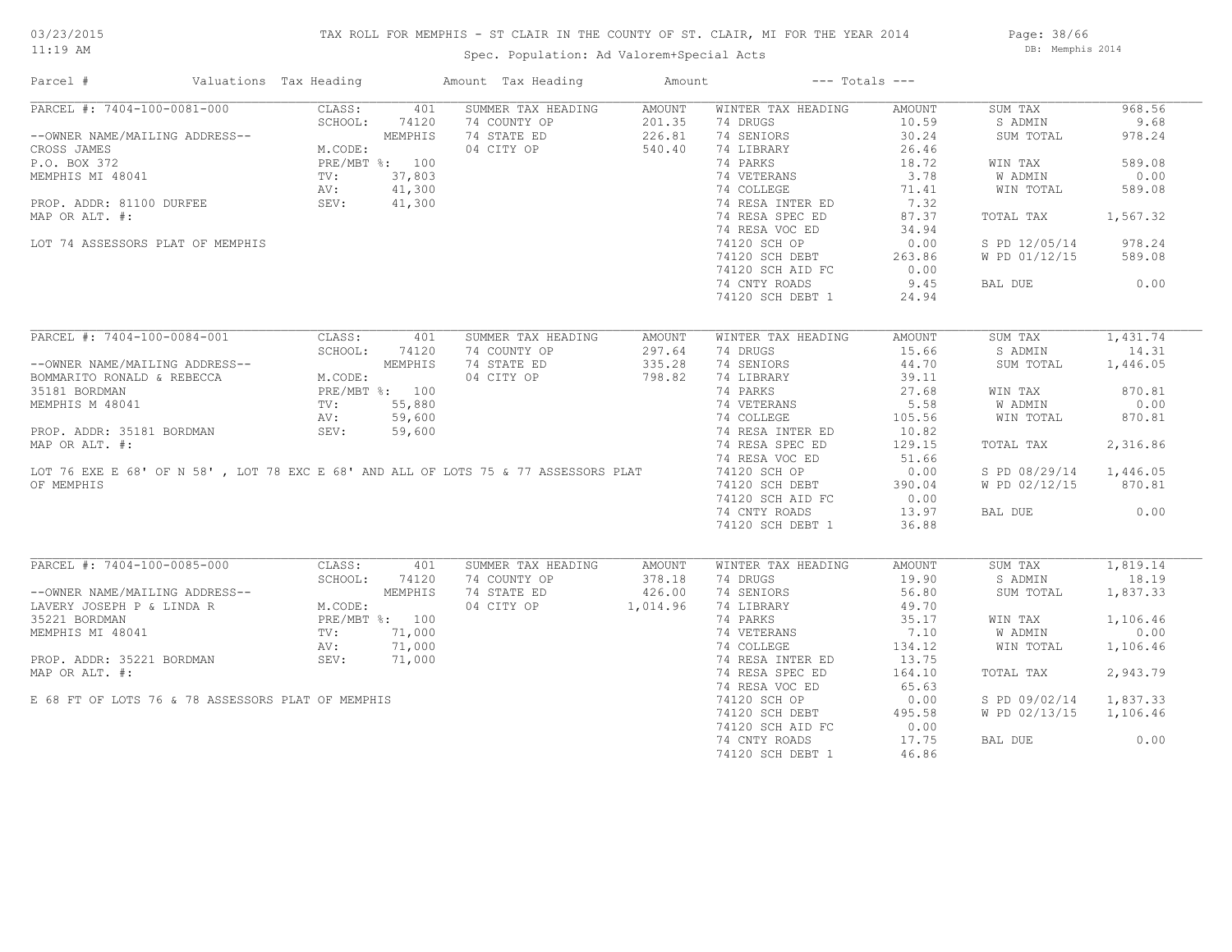# TAX ROLL FOR MEMPHIS - ST CLAIR IN THE COUNTY OF ST. CLAIR, MI FOR THE YEAR 2014

Spec. Population: Ad Valorem+Special Acts

Page: 38/66 DB: Memphis 2014

| Parcel #                                                                                                                                                                                                                                         | Valuations Tax Heading |               | Amount Tax Heading  | Amount               | $---$ Totals $---$                                              |        |                        |          |
|--------------------------------------------------------------------------------------------------------------------------------------------------------------------------------------------------------------------------------------------------|------------------------|---------------|---------------------|----------------------|-----------------------------------------------------------------|--------|------------------------|----------|
| PARCEL #: 7404-100-0081-000                                                                                                                                                                                                                      | CLASS:                 | 401           | SUMMER TAX HEADING  | AMOUNT               | WINTER TAX HEADING                                              | AMOUNT | SUM TAX                | 968.56   |
|                                                                                                                                                                                                                                                  |                        |               | 74 COUNTY OP        |                      | 74 DRUGS                                                        | 10.59  | S ADMIN                | 9.68     |
| --OWNER NAME/MAILING ADDRESS--<br>CROSS JAMES<br>P.O. BOX 372<br>MEMPHIS MI 48041<br>MEMPHIS MI 48041<br>PROP. ADDR: 81100 DURFEE<br>MAP OR ALT. #:<br>MAP OR ALT. #:<br>PROP. ADDR: 81100 DURFEE<br>MAP OR ALT. #:<br>MAP OR ALT. #:            |                        |               | 74 STATE ED         | $201.35$<br>$226.81$ | 74 SENIORS                                                      | 30.24  | SUM TOTAL              | 978.24   |
|                                                                                                                                                                                                                                                  |                        |               | 04 CITY OP          | 540.40               | 74 LIBRARY                                                      | 26.46  |                        |          |
|                                                                                                                                                                                                                                                  |                        |               |                     |                      | 74 PARKS                                                        | 18.72  | WIN TAX                | 589.08   |
|                                                                                                                                                                                                                                                  |                        |               |                     |                      |                                                                 | 3.78   | W ADMIN                | 0.00     |
|                                                                                                                                                                                                                                                  |                        |               |                     |                      | 74 VETERANS<br>74 COLLEGE                                       | 71.41  | WIN TOTAL              | 589.08   |
|                                                                                                                                                                                                                                                  |                        |               |                     |                      |                                                                 | 7.32   |                        |          |
| MAP OR ALT. #:                                                                                                                                                                                                                                   |                        |               |                     |                      | 74 RESA INTER ED<br>74 RESA SPEC ED<br>74 RESA SPEC ED          | 87.37  | TOTAL TAX              | 1,567.32 |
|                                                                                                                                                                                                                                                  |                        |               |                     |                      | 74 RESA VOC ED                                                  | 34.94  |                        |          |
| LOT 74 ASSESSORS PLAT OF MEMPHIS                                                                                                                                                                                                                 |                        |               |                     |                      | 74120 SCH OP                                                    | 0.00   | S PD 12/05/14 978.24   |          |
|                                                                                                                                                                                                                                                  |                        |               |                     |                      | 74120 SCH DEBT                                                  | 263.86 | W PD 01/12/15 589.08   |          |
|                                                                                                                                                                                                                                                  |                        |               |                     |                      | 74120 SCH AID FC                                                | 0.00   |                        |          |
|                                                                                                                                                                                                                                                  |                        |               |                     |                      |                                                                 | 9.45   |                        | 0.00     |
|                                                                                                                                                                                                                                                  |                        |               |                     |                      | 74 CNTY ROADS                                                   |        | BAL DUE                |          |
|                                                                                                                                                                                                                                                  |                        |               |                     |                      | 74120 SCH DEBT 1                                                | 24.94  |                        |          |
|                                                                                                                                                                                                                                                  |                        |               |                     |                      |                                                                 |        |                        |          |
| PARCEL #: 7404-100-0084-001                                                                                                                                                                                                                      | CLASS:                 | 401           | SUMMER TAX HEADING  | AMOUNT               | WINTER TAX HEADING                                              | AMOUNT | SUM TAX                | 1,431.74 |
|                                                                                                                                                                                                                                                  |                        | SCHOOL: 74120 | 74 COUNTY OP        | 297.64               | 74 DRUGS                                                        | 15.66  | S ADMIN                | 14.31    |
| --OWNER NAME/MAILING ADDRESS--<br>BOMMARITO RONALD & REBECCA MEMPHIS<br>35181 BORDMAN MEMPHIS M 48041 TV: 55,880<br>MEMPHIS M 48041 TV: 55,880<br>AV: 59,600                                                                                     |                        |               | 74 STATE ED         | 335.28               | 74 SENIORS                                                      | 44.70  | SUM TOTAL              | 1,446.05 |
|                                                                                                                                                                                                                                                  |                        |               | 04 CITY OP 798.82   |                      | 74 LIBRARY<br>74 LIBKARY<br>74 PARKS                            | 39.11  |                        |          |
|                                                                                                                                                                                                                                                  |                        |               |                     |                      |                                                                 | 27.68  | WIN TAX                | 870.81   |
|                                                                                                                                                                                                                                                  |                        |               |                     |                      | 74 VETERANS<br>74 COLLEGE<br>74 RESA INTER ED                   | 5.58   | W ADMIN                | 0.00     |
| MEMPHIS M 48041<br>PROP. ADDR: 35181 BORDMAN<br>MAP OR ALT. #:<br>LOT 76 EXE E 68' OF N 58', LOT 78 EXC E 68' AND ALL OF LOTS 75 & 77 ASSESSORS PLAT<br>PROP. ADDR: 35181 BORDMAN<br>SEV:<br>59,600<br>T4 RESA INTER ED<br>74 RESA SPEC ED<br>74 |                        |               |                     |                      |                                                                 | 105.56 | WIN TOTAL              | 870.81   |
|                                                                                                                                                                                                                                                  |                        |               |                     |                      |                                                                 | 10.82  |                        |          |
|                                                                                                                                                                                                                                                  |                        |               |                     |                      |                                                                 | 129.15 | TOTAL TAX              | 2,316.86 |
|                                                                                                                                                                                                                                                  |                        |               |                     |                      |                                                                 | 51.66  |                        |          |
|                                                                                                                                                                                                                                                  |                        |               |                     |                      |                                                                 | 0.00   | S PD 08/29/14 1,446.05 |          |
| OF MEMPHIS                                                                                                                                                                                                                                       |                        |               |                     |                      | 74120 SCH DEBT                                                  | 390.04 | W PD 02/12/15 870.81   |          |
|                                                                                                                                                                                                                                                  |                        |               |                     |                      | 74120 SCH AID FC                                                | 0.00   |                        |          |
|                                                                                                                                                                                                                                                  |                        |               |                     |                      | 74 CNTY ROADS                                                   | 13.97  | BAL DUE                | 0.00     |
|                                                                                                                                                                                                                                                  |                        |               |                     |                      | 74120 SCH DEBT 1                                                | 36.88  |                        |          |
|                                                                                                                                                                                                                                                  |                        |               |                     |                      |                                                                 |        |                        |          |
| PARCEL #: 7404-100-0085-000                                                                                                                                                                                                                      | CLASS:                 | 401           | SUMMER TAX HEADING  | AMOUNT               | WINTER TAX HEADING                                              | AMOUNT | SUM TAX                | 1,819.14 |
|                                                                                                                                                                                                                                                  | SCHOOL:                |               | 74 COUNTY OP        | 378.18               | 74 DRUGS                                                        | 19.90  | S ADMIN                | 18.19    |
|                                                                                                                                                                                                                                                  |                        |               | 74 STATE ED 426.00  |                      | 74 SENIORS                                                      | 56.80  | SUM TOTAL              | 1,837.33 |
| --OWNER NAME/MAILING ADDRESS--<br>LAVERY JOSEPH P & LINDA R<br>35221 BORDMAN<br>MEMPHIS MI 48041<br>PRE/MBT %: 100<br>PROP. ADDR: 35221 BORDMAN<br>PROP. ADDR: 35221 BORDMAN<br>PROP. ADDR: 35221 BORDMAN<br>PROP. ADDR: 35221 BORDMAN<br>PROP.  |                        |               | 04 CITY OP 1,014.96 |                      | 74 LIBRARY                                                      | 49.70  |                        |          |
|                                                                                                                                                                                                                                                  |                        |               |                     |                      | 74 PARKS                                                        | 35.17  | WIN TAX                | 1,106.46 |
|                                                                                                                                                                                                                                                  |                        |               |                     |                      | 74 VETERANS 7.10<br>74 COLLEGE 134.12<br>74 RESA INTER ED 13.75 |        | W ADMIN                | 0.00     |
|                                                                                                                                                                                                                                                  |                        |               |                     |                      |                                                                 |        | WIN TOTAL              | 1,106.46 |
|                                                                                                                                                                                                                                                  |                        |               |                     |                      |                                                                 |        |                        |          |
| MAP OR ALT. #:                                                                                                                                                                                                                                   |                        |               |                     |                      | 74 RESA SPEC ED                                                 | 164.10 | TOTAL TAX              | 2,943.79 |
|                                                                                                                                                                                                                                                  |                        |               |                     |                      | 74 RESA VOC ED                                                  | 65.63  |                        |          |
| E 68 FT OF LOTS 76 & 78 ASSESSORS PLAT OF MEMPHIS                                                                                                                                                                                                |                        |               |                     |                      | 74120 SCH OP                                                    | 0.00   | S PD 09/02/14 1,837.33 |          |
|                                                                                                                                                                                                                                                  |                        |               |                     |                      | 74120 SCH DEBT                                                  | 495.58 | W PD 02/13/15 1,106.46 |          |
|                                                                                                                                                                                                                                                  |                        |               |                     |                      | 74120 SCH AID FC                                                | 0.00   |                        |          |
|                                                                                                                                                                                                                                                  |                        |               |                     |                      | 74 CNTY ROADS                                                   | 17.75  | BAL DUE                | 0.00     |
|                                                                                                                                                                                                                                                  |                        |               |                     |                      |                                                                 | 46.86  |                        |          |
|                                                                                                                                                                                                                                                  |                        |               |                     |                      | 74120 SCH DEBT 1                                                |        |                        |          |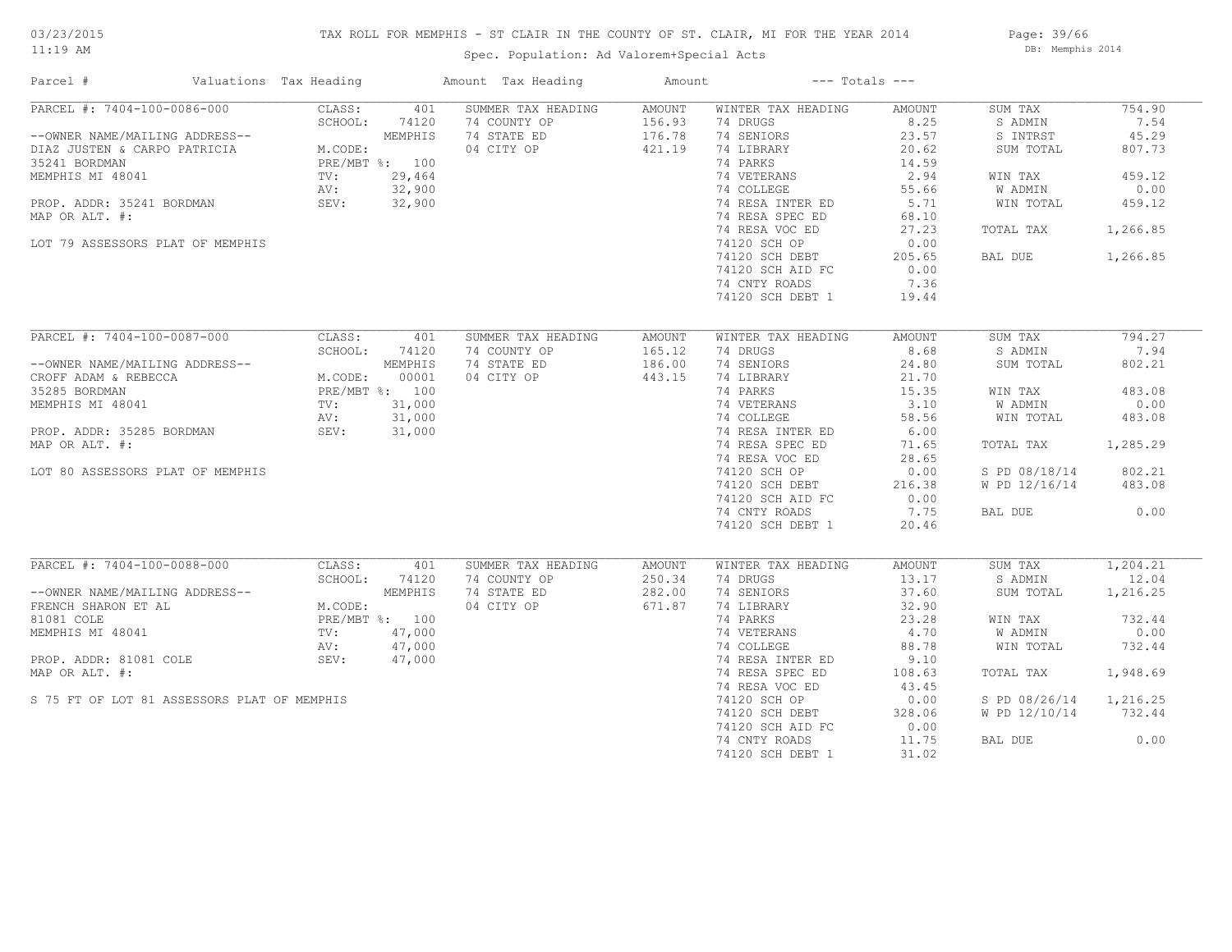# 03/23/2015

#### TAX ROLL FOR MEMPHIS - ST CLAIR IN THE COUNTY OF ST. CLAIR, MI FOR THE YEAR 2014

11:19 AM

# Spec. Population: Ad Valorem+Special Acts

Page: 39/66 DB: Memphis 2014

| Parcel #<br>Valuations Tax Heading          |                                                                  | Amount Tax Heading | Amount | $---$ Totals $---$ |               |               |          |
|---------------------------------------------|------------------------------------------------------------------|--------------------|--------|--------------------|---------------|---------------|----------|
| PARCEL #: 7404-100-0086-000                 | CLASS:<br>401                                                    | SUMMER TAX HEADING | AMOUNT | WINTER TAX HEADING | AMOUNT        | SUM TAX       | 754.90   |
|                                             | SCHOOL:<br>74120                                                 | 74 COUNTY OP       | 156.93 | 74 DRUGS           | 8.25          | S ADMIN       | 7.54     |
| --OWNER NAME/MAILING ADDRESS--              | M. CODE:<br>MEMPHIS                                              | 74 STATE ED        | 176.78 | 74 SENIORS         | 23.57         | S INTRST      | 45.29    |
| DIAZ JUSTEN & CARPO PATRICIA                |                                                                  | 04 CITY OP         | 421.19 | 74 LIBRARY         | 20.62         | SUM TOTAL     | 807.73   |
| 35241 BORDMAN                               | PRE/MBT %: 100                                                   |                    |        | 74 PARKS           | 14.59         |               |          |
| MEMPHIS MI 48041                            | TV:<br>29,464                                                    |                    |        | 74 VETERANS        | 2.94          | WIN TAX       | 459.12   |
|                                             | AV:<br>32,900                                                    |                    |        | 74 COLLEGE         | 55.66         | W ADMIN       | 0.00     |
| PROP. ADDR: 35241 BORDMAN                   | SEV:<br>32,900                                                   |                    |        | 74 RESA INTER ED   | 5.71          | WIN TOTAL     | 459.12   |
| MAP OR ALT. #:                              |                                                                  |                    |        | 74 RESA SPEC ED    | 68.10         |               |          |
|                                             |                                                                  |                    |        | 74 RESA VOC ED     | 27.23         | TOTAL TAX     | 1,266.85 |
| LOT 79 ASSESSORS PLAT OF MEMPHIS            |                                                                  |                    |        | 74120 SCH OP       | 0.00          |               |          |
|                                             |                                                                  |                    |        | 74120 SCH DEBT     | 205.65        | BAL DUE       | 1,266.85 |
|                                             |                                                                  |                    |        | 74120 SCH AID FC   | 0.00          |               |          |
|                                             |                                                                  |                    |        |                    | 7.36          |               |          |
|                                             |                                                                  |                    |        | 74 CNTY ROADS      |               |               |          |
|                                             |                                                                  |                    |        | 74120 SCH DEBT 1   | 19.44         |               |          |
| PARCEL #: 7404-100-0087-000                 | CLASS:<br>401                                                    | SUMMER TAX HEADING | AMOUNT | WINTER TAX HEADING | <b>AMOUNT</b> | SUM TAX       | 794.27   |
|                                             | SCHOOL:<br>74120                                                 | 74 COUNTY OP       | 165.12 | 74 DRUGS           | 8.68          | S ADMIN       | 7.94     |
|                                             | M.CODE: MEMPHIS<br>M.CODE: 00001<br>PRE/MBT %: 100<br>TV: 31.000 |                    |        |                    |               |               |          |
| --OWNER NAME/MAILING ADDRESS--              |                                                                  | 74 STATE ED        | 186.00 | 74 SENIORS         | 24.80         | SUM TOTAL     | 802.21   |
| CROFF ADAM & REBECCA                        |                                                                  | 04 CITY OP         | 443.15 | 74 LIBRARY         | 21.70         |               |          |
| 35285 BORDMAN                               |                                                                  |                    |        | 74 PARKS           | 15.35         | WIN TAX       | 483.08   |
| MEMPHIS MI 48041                            |                                                                  |                    |        | 74 VETERANS        | 3.10          | W ADMIN       | 0.00     |
|                                             | 31,000<br>AV:                                                    |                    |        | 74 COLLEGE         | 58.56         | WIN TOTAL     | 483.08   |
| PROP. ADDR: 35285 BORDMAN                   | SEV:<br>31,000                                                   |                    |        | 74 RESA INTER ED   | 6.00          |               |          |
| MAP OR ALT. #:                              |                                                                  |                    |        | 74 RESA SPEC ED    | 71.65         | TOTAL TAX     | 1,285.29 |
|                                             |                                                                  |                    |        | 74 RESA VOC ED     | 28.65         |               |          |
| LOT 80 ASSESSORS PLAT OF MEMPHIS            |                                                                  |                    |        | 74120 SCH OP       | 0.00          | S PD 08/18/14 | 802.21   |
|                                             |                                                                  |                    |        | 74120 SCH DEBT     | 216.38        | W PD 12/16/14 | 483.08   |
|                                             |                                                                  |                    |        | 74120 SCH AID FC   | 0.00          |               |          |
|                                             |                                                                  |                    |        | 74 CNTY ROADS      | 7.75          | BAL DUE       | 0.00     |
|                                             |                                                                  |                    |        |                    |               |               |          |
|                                             |                                                                  |                    |        | 74120 SCH DEBT 1   | 20.46         |               |          |
| PARCEL #: 7404-100-0088-000                 | CLASS:<br>401                                                    | SUMMER TAX HEADING | AMOUNT | WINTER TAX HEADING | AMOUNT        | SUM TAX       | 1,204.21 |
|                                             | SCHOOL:<br>74120                                                 | 74 COUNTY OP       | 250.34 | 74 DRUGS           | 13.17         | S ADMIN       | 12.04    |
| --OWNER NAME/MAILING ADDRESS--              | MEMPHIS                                                          | 74 STATE ED        | 282.00 | 74 SENIORS         | 37.60         | SUM TOTAL     | 1,216.25 |
| FRENCH SHARON ET AL                         | M.CODE:                                                          | 04 CITY OP         | 671.87 | 74 LIBRARY         | 32.90         |               |          |
| 81081 COLE                                  | PRE/MBT %: 100                                                   |                    |        | 74 PARKS           | 23.28         |               | 732.44   |
|                                             |                                                                  |                    |        |                    |               | WIN TAX       | 0.00     |
| MEMPHIS MI 48041                            | 47,000<br>$\text{TV}$ :                                          |                    |        | 74 VETERANS        | 4.70          | W ADMIN       |          |
|                                             | AV:<br>47,000                                                    |                    |        | 74 COLLEGE         | 88.78         | WIN TOTAL     | 732.44   |
| PROP. ADDR: 81081 COLE                      | SEV:<br>47,000                                                   |                    |        | 74 RESA INTER ED   | 9.10          |               |          |
| MAP OR ALT. #:                              |                                                                  |                    |        | 74 RESA SPEC ED    | 108.63        | TOTAL TAX     | 1,948.69 |
|                                             |                                                                  |                    |        | 74 RESA VOC ED     | 43.45         |               |          |
| S 75 FT OF LOT 81 ASSESSORS PLAT OF MEMPHIS |                                                                  |                    |        | 74120 SCH OP       | 0.00          | S PD 08/26/14 | 1,216.25 |
|                                             |                                                                  |                    |        | 74120 SCH DEBT     | 328.06        | W PD 12/10/14 | 732.44   |
|                                             |                                                                  |                    |        | 74120 SCH AID FC   | 0.00          |               |          |
|                                             |                                                                  |                    |        | 74 CNTY ROADS      | 11.75         | BAL DUE       | 0.00     |
|                                             |                                                                  |                    |        | 74120 SCH DEBT 1   | 31.02         |               |          |
|                                             |                                                                  |                    |        |                    |               |               |          |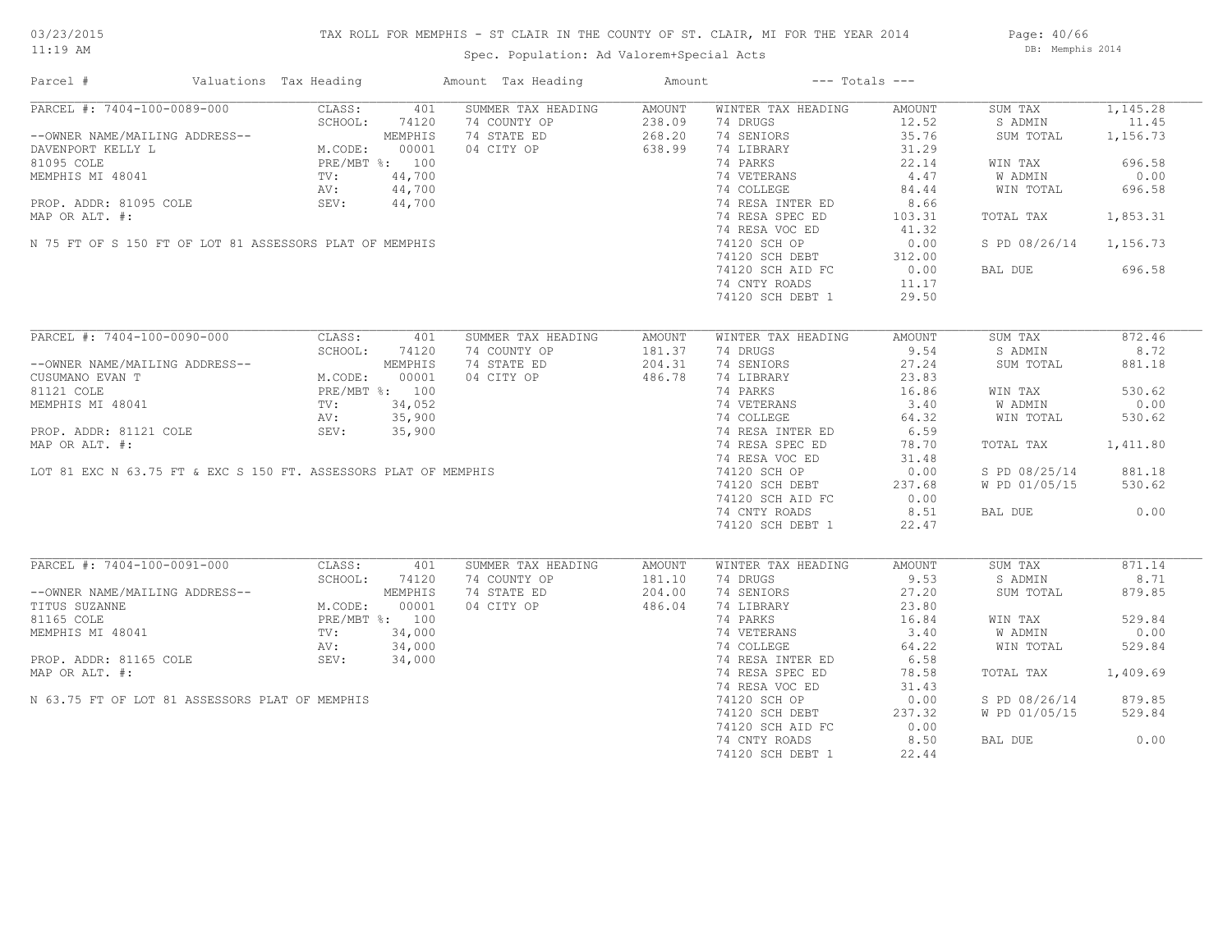# TAX ROLL FOR MEMPHIS - ST CLAIR IN THE COUNTY OF ST. CLAIR, MI FOR THE YEAR 2014

Spec. Population: Ad Valorem+Special Acts

Page: 40/66 DB: Memphis 2014

| Parcel #                                                        | Valuations Tax Heading                                                                                                                                                                                                                                                                   |        | Amount Tax Heading | Amount |                    | $---$ Totals $---$ |                        |          |
|-----------------------------------------------------------------|------------------------------------------------------------------------------------------------------------------------------------------------------------------------------------------------------------------------------------------------------------------------------------------|--------|--------------------|--------|--------------------|--------------------|------------------------|----------|
| PARCEL #: 7404-100-0089-000                                     | CLASS:                                                                                                                                                                                                                                                                                   | 401    | SUMMER TAX HEADING | AMOUNT | WINTER TAX HEADING | AMOUNT             | SUM TAX                | 1,145.28 |
|                                                                 | SCHOOL:<br>$\begin{tabular}{ll} \texttt{AG} \texttt{ADDRESS--} & \texttt{M.CODE:} & \texttt{00001} \\ & \texttt{PRE/MBT} \texttt{8}: & 00001 \\ & \texttt{PRE/MBT} \texttt{8}: & 100 \\ & \texttt{TV:} & 44,700 \\ & \texttt{AV:} & 44,700 \\ & \texttt{QPU:} & 44,700 \\ \end{tabular}$ | 74120  | 74 COUNTY OP       | 238.09 | 74 DRUGS           | 12.52              | S ADMIN                | 11.45    |
| --OWNER NAME/MAILING ADDRESS--                                  |                                                                                                                                                                                                                                                                                          |        | 74 STATE ED        | 268.20 | 74 SENIORS         | 35.76              | SUM TOTAL              | 1,156.73 |
| DAVENPORT KELLY L                                               |                                                                                                                                                                                                                                                                                          |        | 04 CITY OP         | 638.99 | 74 LIBRARY         | 31.29              |                        |          |
| 81095 COLE                                                      |                                                                                                                                                                                                                                                                                          |        |                    |        | 74 PARKS           | 22.14              | WIN TAX                | 696.58   |
| MEMPHIS MI 48041                                                |                                                                                                                                                                                                                                                                                          |        |                    |        | 74 VETERANS        | 4.47               | W ADMIN                | 0.00     |
|                                                                 |                                                                                                                                                                                                                                                                                          |        |                    |        | 74 COLLEGE         | 84.44              | WIN TOTAL              | 696.58   |
| PROP. ADDR: 81095 COLE SEV: 44,700                              |                                                                                                                                                                                                                                                                                          |        |                    |        | 74 RESA INTER ED   | 8.66               |                        |          |
|                                                                 |                                                                                                                                                                                                                                                                                          |        |                    |        | 74 RESA SPEC ED    |                    |                        | 1,853.31 |
| MAP OR ALT. #:                                                  |                                                                                                                                                                                                                                                                                          |        |                    |        |                    | 103.31             | TOTAL TAX              |          |
|                                                                 |                                                                                                                                                                                                                                                                                          |        |                    |        | 74 RESA VOC ED     | 41.32              |                        |          |
| N 75 FT OF S 150 FT OF LOT 81 ASSESSORS PLAT OF MEMPHIS         |                                                                                                                                                                                                                                                                                          |        |                    |        | 74120 SCH OP       | 0.00               | S PD 08/26/14 1,156.73 |          |
|                                                                 |                                                                                                                                                                                                                                                                                          |        |                    |        | 74120 SCH DEBT     | 312.00             |                        |          |
|                                                                 |                                                                                                                                                                                                                                                                                          |        |                    |        | 74120 SCH AID FC   | 0.00               | BAL DUE                | 696.58   |
|                                                                 |                                                                                                                                                                                                                                                                                          |        |                    |        | 74 CNTY ROADS      | 11.17              |                        |          |
|                                                                 |                                                                                                                                                                                                                                                                                          |        |                    |        | 74120 SCH DEBT 1   | 29.50              |                        |          |
|                                                                 |                                                                                                                                                                                                                                                                                          |        |                    |        |                    |                    |                        |          |
| PARCEL #: 7404-100-0090-000                                     | CLASS:                                                                                                                                                                                                                                                                                   | 401    | SUMMER TAX HEADING | AMOUNT | WINTER TAX HEADING | AMOUNT             | SUM TAX                | 872.46   |
|                                                                 | SCHOOL:                                                                                                                                                                                                                                                                                  | 74120  | 74 COUNTY OP       | 181.37 | 74 DRUGS           | 9.54               | S ADMIN                | 8.72     |
| --OWNER NAME/MAILING ADDRESS--                                  | NG ADDRESS--<br>M.CODE: 00001<br>PRE/MBT %: 100<br>TV: 34,052<br>AV: 35,900<br>TV: 35,900                                                                                                                                                                                                |        | 74 STATE ED        | 204.31 | 74 SENIORS         | 27.24              | SUM TOTAL              | 881.18   |
|                                                                 |                                                                                                                                                                                                                                                                                          |        |                    |        |                    |                    |                        |          |
| CUSUMANO EVAN T                                                 |                                                                                                                                                                                                                                                                                          |        | 04 CITY OP         | 486.78 | 74 LIBRARY         | 23.83              |                        |          |
| 81121 COLE                                                      |                                                                                                                                                                                                                                                                                          |        |                    |        | 74 PARKS           | 16.86              | WIN TAX                | 530.62   |
| MEMPHIS MI 48041                                                |                                                                                                                                                                                                                                                                                          |        |                    |        | 74 VETERANS        | 3.40               | W ADMIN                | 0.00     |
|                                                                 |                                                                                                                                                                                                                                                                                          |        |                    |        | 74 COLLEGE         | 64.32              | WIN TOTAL              | 530.62   |
| PROP. ADDR: 81121 COLE                                          | SEV:                                                                                                                                                                                                                                                                                     | 35,900 |                    |        | 74 RESA INTER ED   | 6.59               |                        |          |
| MAP OR ALT. #:                                                  |                                                                                                                                                                                                                                                                                          |        |                    |        | 74 RESA SPEC ED    | 78.70              | TOTAL TAX              | 1,411.80 |
|                                                                 |                                                                                                                                                                                                                                                                                          |        |                    |        | 74 RESA VOC ED     | 31.48              |                        |          |
| LOT 81 EXC N 63.75 FT & EXC S 150 FT. ASSESSORS PLAT OF MEMPHIS |                                                                                                                                                                                                                                                                                          |        |                    |        | 74120 SCH OP       | 0.00               | S PD 08/25/14          | 881.18   |
|                                                                 |                                                                                                                                                                                                                                                                                          |        |                    |        | 74120 SCH DEBT     | 237.68             | W PD 01/05/15          | 530.62   |
|                                                                 |                                                                                                                                                                                                                                                                                          |        |                    |        | 74120 SCH AID FC   | 0.00               |                        |          |
|                                                                 |                                                                                                                                                                                                                                                                                          |        |                    |        | 74 CNTY ROADS      | 8.51               | BAL DUE                | 0.00     |
|                                                                 |                                                                                                                                                                                                                                                                                          |        |                    |        |                    |                    |                        |          |
|                                                                 |                                                                                                                                                                                                                                                                                          |        |                    |        | 74120 SCH DEBT 1   | 22.47              |                        |          |
|                                                                 |                                                                                                                                                                                                                                                                                          |        |                    |        |                    |                    |                        |          |
| PARCEL #: 7404-100-0091-000                                     | CLASS:                                                                                                                                                                                                                                                                                   | 401    | SUMMER TAX HEADING | AMOUNT | WINTER TAX HEADING | AMOUNT             | SUM TAX                | 871.14   |
|                                                                 | SCHOOL:                                                                                                                                                                                                                                                                                  |        | 74 COUNTY OP       | 181.10 | 74 DRUGS           | 9.53               | S ADMIN                | 8.71     |
| --OWNER NAME/MAILING ADDRESS--                                  | SCHOOL: 74120<br>MEMPHIS<br>M.CODE: 00001<br>PRE/MBT %: 100<br>TV: 34,000<br>NV:                                                                                                                                                                                                         |        | 74 STATE ED        | 204.00 | 74 SENIORS         | 27.20              | SUM TOTAL              | 879.85   |
| TITUS SUZANNE                                                   |                                                                                                                                                                                                                                                                                          |        | 04 CITY OP         | 486.04 | 74 LIBRARY         | 23.80              |                        |          |
| 81165 COLE                                                      |                                                                                                                                                                                                                                                                                          |        |                    |        | 74 PARKS           | 16.84              | WIN TAX                | 529.84   |
| MEMPHIS MI 48041                                                |                                                                                                                                                                                                                                                                                          |        |                    |        | 74 VETERANS        | 3.40               | W ADMIN                | 0.00     |
|                                                                 | AV:                                                                                                                                                                                                                                                                                      | 34,000 |                    |        | 74 COLLEGE         | 64.22              | WIN TOTAL              | 529.84   |
| PROP. ADDR: 81165 COLE                                          | SEV:                                                                                                                                                                                                                                                                                     | 34,000 |                    |        | 74 RESA INTER ED   | 6.58               |                        |          |
| MAP OR ALT. #:                                                  |                                                                                                                                                                                                                                                                                          |        |                    |        | 74 RESA SPEC ED    | 78.58              | TOTAL TAX              | 1,409.69 |
|                                                                 |                                                                                                                                                                                                                                                                                          |        |                    |        | 74 RESA VOC ED     | 31.43              |                        |          |
|                                                                 |                                                                                                                                                                                                                                                                                          |        |                    |        |                    |                    |                        |          |
| N 63.75 FT OF LOT 81 ASSESSORS PLAT OF MEMPHIS                  |                                                                                                                                                                                                                                                                                          |        |                    |        | 74120 SCH OP       | 0.00               | S PD 08/26/14          | 879.85   |
|                                                                 |                                                                                                                                                                                                                                                                                          |        |                    |        | 74120 SCH DEBT     | 237.32             | W PD 01/05/15          | 529.84   |
|                                                                 |                                                                                                                                                                                                                                                                                          |        |                    |        | 74120 SCH AID FC   | 0.00               |                        |          |
|                                                                 |                                                                                                                                                                                                                                                                                          |        |                    |        | 74 CNTY ROADS      | 8.50               | BAL DUE                | 0.00     |
|                                                                 |                                                                                                                                                                                                                                                                                          |        |                    |        | 74120 SCH DEBT 1   | 22.44              |                        |          |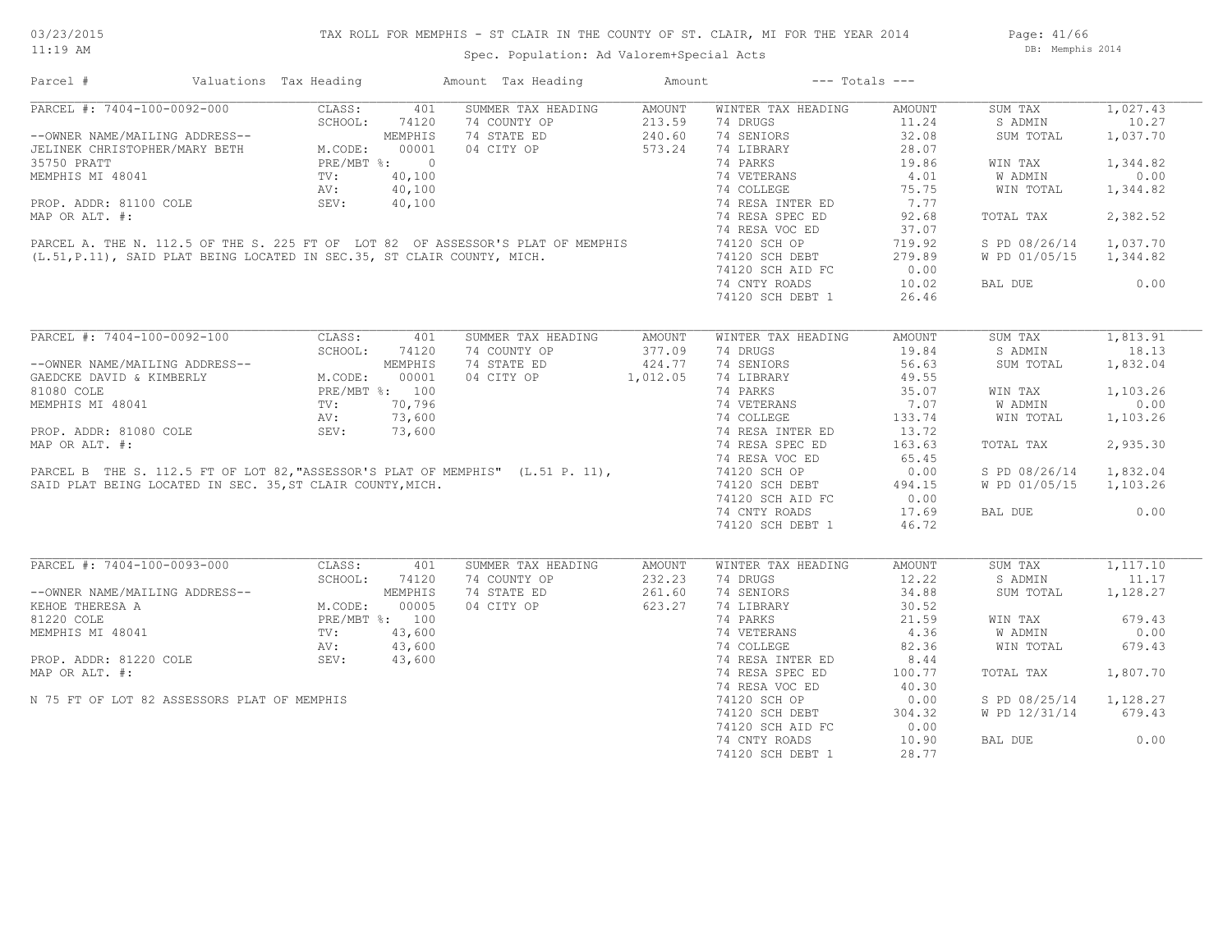Spec. Population: Ad Valorem+Special Acts

Page: 41/66 DB: Memphis 2014

| Parcel #                                                                                                                                     | Valuations Tax Heading |                | Amount Tax Heading                                                                                                                                         | Amount   |                    | $---$ Totals $---$ |               |          |
|----------------------------------------------------------------------------------------------------------------------------------------------|------------------------|----------------|------------------------------------------------------------------------------------------------------------------------------------------------------------|----------|--------------------|--------------------|---------------|----------|
| PARCEL #: 7404-100-0092-000                                                                                                                  | CLASS:                 | 401            | SUMMER TAX HEADING                                                                                                                                         | AMOUNT   | WINTER TAX HEADING | AMOUNT             | SUM TAX       | 1,027.43 |
|                                                                                                                                              | SCHOOL:                | 74120          | 74 COUNTY OP                                                                                                                                               | 213.59   | 74 DRUGS           | 11.24              | S ADMIN       | 10.27    |
| --OWNER NAME/MAILING ADDRESS--<br>JELINEK CHRISTOPHER/MARY BETH M.CODE: 00001<br>35750 PRATT PRE/MBT %: 0<br>MEMPHIS MI 48041 TV: 40,100     |                        |                | 74 STATE ED                                                                                                                                                | 240.60   | 74 SENIORS         | 32.08              | SUM TOTAL     | 1,037.70 |
|                                                                                                                                              |                        |                | 04 CITY OP                                                                                                                                                 | 573.24   | 74 LIBRARY         | 28.07              |               |          |
|                                                                                                                                              |                        |                |                                                                                                                                                            |          | 74 PARKS           | 19.86              | WIN TAX       | 1,344.82 |
|                                                                                                                                              |                        |                |                                                                                                                                                            |          | 74 VETERANS        | 4.01               | W ADMIN       | 0.00     |
|                                                                                                                                              | AV:                    | 40,100         |                                                                                                                                                            |          | 74 COLLEGE         | 75.75              | WIN TOTAL     | 1,344.82 |
| PROP. ADDR: 81100 COLE                                                                                                                       | SEV:                   | 40,100         |                                                                                                                                                            |          | 74 RESA INTER ED   | 7.77               |               |          |
| MAP OR ALT. #:                                                                                                                               |                        |                |                                                                                                                                                            |          | 74 RESA SPEC ED    | 92.68              | TOTAL TAX     | 2,382.52 |
|                                                                                                                                              |                        |                |                                                                                                                                                            |          | 74 RESA VOC ED     | 37.07              |               |          |
|                                                                                                                                              |                        |                |                                                                                                                                                            |          | 74120 SCH OP       | 719.92             | S PD 08/26/14 | 1,037.70 |
|                                                                                                                                              |                        |                | PARCEL A. THE N. 112.5 OF THE S. 225 FT OF LOT 82 OF ASSESSOR'S PLAT OF MEMPHIS<br>(L.51, P.11), SAID PLAT BEING LOCATED IN SEC.35, ST CLAIR COUNTY, MICH. |          | 74120 SCH DEBT     | 279.89             | W PD 01/05/15 | 1,344.82 |
|                                                                                                                                              |                        |                |                                                                                                                                                            |          | 74120 SCH AID FC   | 0.00               |               |          |
|                                                                                                                                              |                        |                |                                                                                                                                                            |          |                    |                    |               | 0.00     |
|                                                                                                                                              |                        |                |                                                                                                                                                            |          | 74 CNTY ROADS      | 10.02              | BAL DUE       |          |
|                                                                                                                                              |                        |                |                                                                                                                                                            |          | 74120 SCH DEBT 1   | 26.46              |               |          |
| PARCEL #: 7404-100-0092-100                                                                                                                  | CLASS:                 | 401            | SUMMER TAX HEADING                                                                                                                                         | AMOUNT   | WINTER TAX HEADING | AMOUNT             | SUM TAX       | 1,813.91 |
|                                                                                                                                              | SCHOOL:                | 74120          | 74 COUNTY OP                                                                                                                                               | 377.09   | 74 DRUGS           | 19.84              | S ADMIN       | 18.13    |
|                                                                                                                                              |                        |                |                                                                                                                                                            |          |                    |                    |               |          |
| --OWNER NAME/MAILING ADDRESS--<br>GAEDCKE DAVID & KIMBERLY<br>81080 COLE<br>MEMPHIS MI 48041<br>MEMPHIS MI 48041<br>TV: 70,796<br>AV: 73.600 |                        |                | 74 STATE ED                                                                                                                                                | 424.77   | 74 SENIORS         | 56.63              | SUM TOTAL     | 1,832.04 |
|                                                                                                                                              |                        |                | 04 CITY OP                                                                                                                                                 | 1,012.05 | 74 LIBRARY         | 49.55              |               |          |
|                                                                                                                                              |                        |                |                                                                                                                                                            |          | 74 PARKS           | 35.07              | WIN TAX       | 1,103.26 |
|                                                                                                                                              |                        |                |                                                                                                                                                            |          | 74 VETERANS        | 7.07               | W ADMIN       | 0.00     |
|                                                                                                                                              | AV:                    | 73,600         |                                                                                                                                                            |          | 74 COLLEGE         | 133.74             | WIN TOTAL     | 1,103.26 |
| PROP. ADDR: 81080 COLE                                                                                                                       | SEV:                   | 73,600         |                                                                                                                                                            |          | 74 RESA INTER ED   | 13.72              |               |          |
| MAP OR ALT. #:                                                                                                                               |                        |                |                                                                                                                                                            |          | 74 RESA SPEC ED    | 163.63             | TOTAL TAX     | 2,935.30 |
|                                                                                                                                              |                        |                |                                                                                                                                                            |          | 74 RESA VOC ED     | 65.45              |               |          |
|                                                                                                                                              |                        |                | PARCEL B THE S. 112.5 FT OF LOT 82, "ASSESSOR'S PLAT OF MEMPHIS" (L.51 P. 11),                                                                             |          | 74120 SCH OP       | 0.00               | S PD 08/26/14 | 1,832.04 |
| SAID PLAT BEING LOCATED IN SEC. 35, ST CLAIR COUNTY, MICH.                                                                                   |                        |                |                                                                                                                                                            |          | 74120 SCH DEBT     | 494.15             | W PD 01/05/15 | 1,103.26 |
|                                                                                                                                              |                        |                |                                                                                                                                                            |          | 74120 SCH AID FC   | 0.00               |               |          |
|                                                                                                                                              |                        |                |                                                                                                                                                            |          | 74 CNTY ROADS      | 17.69              | BAL DUE       | 0.00     |
|                                                                                                                                              |                        |                |                                                                                                                                                            |          | 74120 SCH DEBT 1   | 46.72              |               |          |
|                                                                                                                                              |                        |                |                                                                                                                                                            |          |                    |                    |               |          |
| PARCEL #: 7404-100-0093-000                                                                                                                  | CLASS:                 | 401            | SUMMER TAX HEADING                                                                                                                                         | AMOUNT   | WINTER TAX HEADING | AMOUNT             | SUM TAX       | 1,117.10 |
|                                                                                                                                              | SCHOOL:                | 74120          | 74 COUNTY OP                                                                                                                                               | 232.23   | 74 DRUGS           | 12.22              | S ADMIN       | 11.17    |
| --OWNER NAME/MAILING ADDRESS--                                                                                                               |                        | MEMPHIS        | 74 STATE ED                                                                                                                                                | 261.60   | 74 SENIORS         | 34.88              | SUM TOTAL     | 1,128.27 |
| KEHOE THERESA A                                                                                                                              | M.CODE:                | 00005          | 04 CITY OP                                                                                                                                                 | 623.27   | 74 LIBRARY         | 30.52              |               |          |
| 81220 COLE                                                                                                                                   |                        | PRE/MBT %: 100 |                                                                                                                                                            |          | 74 PARKS           | 21.59              | WIN TAX       | 679.43   |
| MEMPHIS MI 48041                                                                                                                             | TV:                    | 43,600         |                                                                                                                                                            |          | 74 VETERANS        | 4.36               | W ADMIN       | 0.00     |
|                                                                                                                                              | AV:                    | 43,600         |                                                                                                                                                            |          | 74 COLLEGE         | 82.36              | WIN TOTAL     | 679.43   |
| PROP. ADDR: 81220 COLE                                                                                                                       | SEV:                   | 43,600         |                                                                                                                                                            |          | 74 RESA INTER ED   | 8.44               |               |          |
| MAP OR ALT. #:                                                                                                                               |                        |                |                                                                                                                                                            |          | 74 RESA SPEC ED    | 100.77             | TOTAL TAX     | 1,807.70 |
|                                                                                                                                              |                        |                |                                                                                                                                                            |          | 74 RESA VOC ED     | 40.30              |               |          |
| N 75 FT OF LOT 82 ASSESSORS PLAT OF MEMPHIS                                                                                                  |                        |                |                                                                                                                                                            |          | 74120 SCH OP       | 0.00               | S PD 08/25/14 | 1,128.27 |
|                                                                                                                                              |                        |                |                                                                                                                                                            |          | 74120 SCH DEBT     | 304.32             | W PD 12/31/14 | 679.43   |
|                                                                                                                                              |                        |                |                                                                                                                                                            |          | 74120 SCH AID FC   | 0.00               |               |          |
|                                                                                                                                              |                        |                |                                                                                                                                                            |          |                    |                    | BAL DUE       | 0.00     |
|                                                                                                                                              |                        |                |                                                                                                                                                            |          | 74 CNTY ROADS      | 10.90              |               |          |
|                                                                                                                                              |                        |                |                                                                                                                                                            |          | 74120 SCH DEBT 1   | 28.77              |               |          |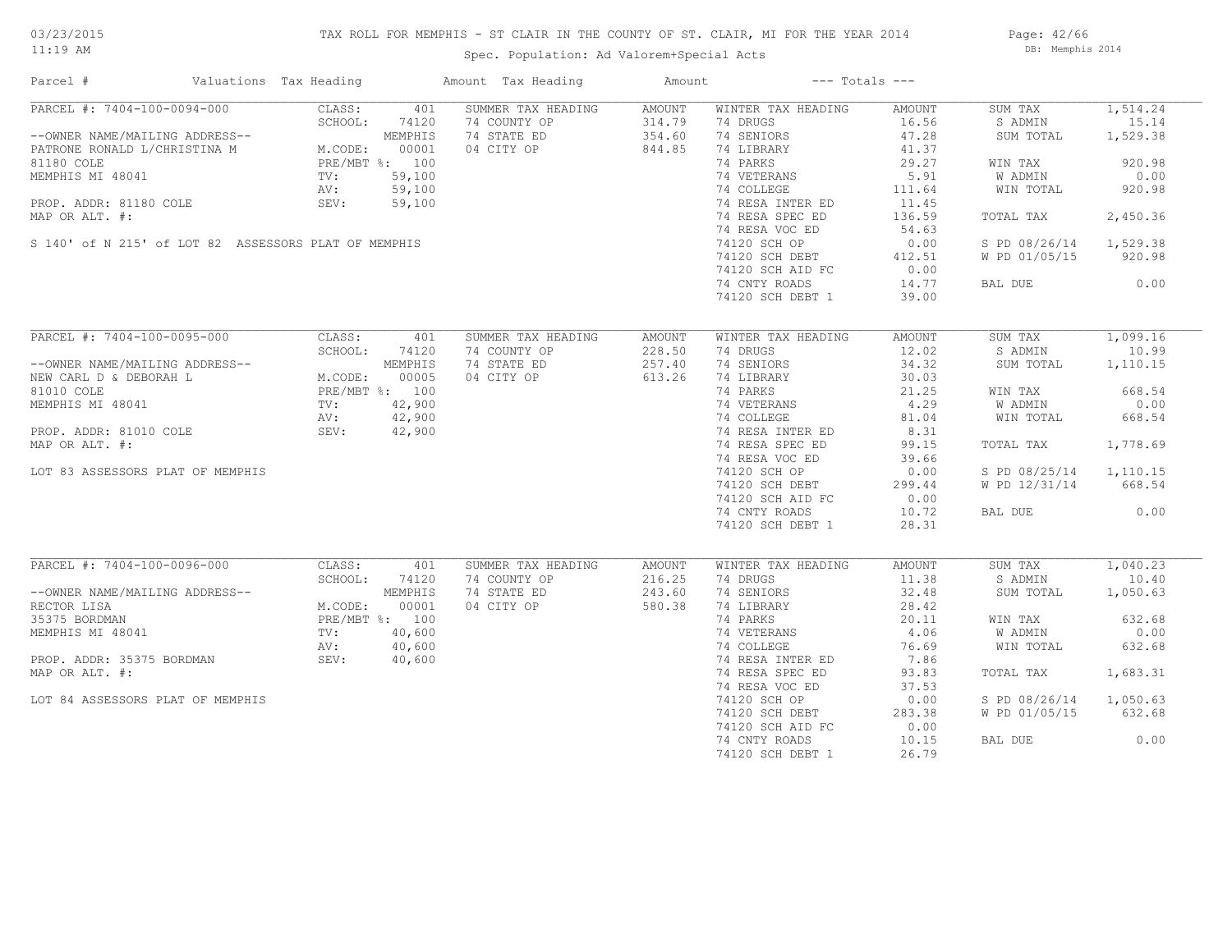# TAX ROLL FOR MEMPHIS - ST CLAIR IN THE COUNTY OF ST. CLAIR, MI FOR THE YEAR 2014

Spec. Population: Ad Valorem+Special Acts

Page: 42/66 DB: Memphis 2014

| Parcel #                                                                                                                                                                                                                                               | Valuations Tax Heading |                | Amount Tax Heading               | Amount |                                     | $---$ Totals $---$ |                        |          |
|--------------------------------------------------------------------------------------------------------------------------------------------------------------------------------------------------------------------------------------------------------|------------------------|----------------|----------------------------------|--------|-------------------------------------|--------------------|------------------------|----------|
| PARCEL #: 7404-100-0094-000                                                                                                                                                                                                                            | CLASS:                 | 401            | SUMMER TAX HEADING               | AMOUNT | WINTER TAX HEADING                  | AMOUNT             | SUM TAX                | 1,514.24 |
|                                                                                                                                                                                                                                                        | SCHOOL:                | 74120          | 74 COUNTY OP                     | 314.79 | 74 DRUGS                            | 16.56              | S ADMIN                | 15.14    |
| --OWNER NAME/MAILING ADDRESS--<br>PATRONE RONALD L/CHRISTINA M MODE:<br>PAIRO GOLE                                                                                                                                                                     |                        | MEMPHIS        | 74 STATE ED                      | 354.60 | 74 SENIORS                          | 47.28              | SUM TOTAL              | 1,529.38 |
|                                                                                                                                                                                                                                                        |                        | 00001          | 04 CITY OP                       | 844.85 | 74 LIBRARY                          | 41.37              |                        |          |
| 81180 COLE                                                                                                                                                                                                                                             | PRE/MBT %: 100         |                |                                  |        | 74 PARKS                            | 29.27              | WIN TAX                | 920.98   |
| MEMPHIS MI 48041                                                                                                                                                                                                                                       |                        | 59,100         |                                  |        | 74 VETERANS                         | 5.91               | W ADMIN                | 0.00     |
|                                                                                                                                                                                                                                                        | TV:                    |                |                                  |        |                                     |                    |                        |          |
|                                                                                                                                                                                                                                                        | AV:                    | 59,100         |                                  |        | 74 COLLEGE                          | 111.64             | WIN TOTAL              | 920.98   |
| PROP. ADDR: 81180 COLE                                                                                                                                                                                                                                 | SEV:                   | 59,100         |                                  |        | 74 RESA INTER ED<br>74 BESA SPEC ED | 11.45              |                        |          |
| MAP OR ALT. #:                                                                                                                                                                                                                                         |                        |                |                                  |        | 74 RESA SPEC ED                     | 136.59             | TOTAL TAX              | 2,450.36 |
|                                                                                                                                                                                                                                                        |                        |                |                                  |        | 74 RESA VOC ED                      | 54.63              |                        |          |
| S 140' of N 215' of LOT 82 ASSESSORS PLAT OF MEMPHIS                                                                                                                                                                                                   |                        |                |                                  |        | 74120 SCH OP                        | 0.00               | S PD 08/26/14 1,529.38 |          |
|                                                                                                                                                                                                                                                        |                        |                |                                  |        | 74120 SCH DEBT<br>74120 SCH BEBT    | 412.51             | W PD 01/05/15          | 920.98   |
|                                                                                                                                                                                                                                                        |                        |                |                                  |        | 74120 SCH AID FC                    | 0.00               |                        |          |
|                                                                                                                                                                                                                                                        |                        |                |                                  |        | 74 CNTY ROADS                       | 14.77              | BAL DUE                | 0.00     |
|                                                                                                                                                                                                                                                        |                        |                |                                  |        | 74120 SCH DEBT 1                    | 39.00              |                        |          |
|                                                                                                                                                                                                                                                        |                        |                |                                  |        |                                     |                    |                        |          |
| PARCEL #: 7404-100-0095-000                                                                                                                                                                                                                            | CLASS:                 | 401            | SUMMER TAX HEADING               | AMOUNT | WINTER TAX HEADING                  | AMOUNT             | SUM TAX                | 1,099.16 |
|                                                                                                                                                                                                                                                        | SCHOOL:                | 74120          | 74 COUNTY OP                     | 228.50 | 74 DRUGS                            | 12.02              | S ADMIN                | 10.99    |
|                                                                                                                                                                                                                                                        |                        |                |                                  |        |                                     |                    |                        |          |
| --OWNER NAME/MAILING ADDRESS--<br>NEW CARL D & DEBORAH L<br>M.CODE: 00005<br>81010 COLE<br>M.CODE: 00005<br>81010 COLE<br>PRE/MBT %: 100<br>MEMPHIS MI 48041<br>TV: 42,900<br>PROP. ADDR: 81010 COLE<br>PRE/MBT %: 100<br>AV: 42,900<br>PROP. ADDR: 81 |                        |                | 74 STATE ED                      | 257.40 | 74 SENIORS                          | 34.32              | SUM TOTAL              | 1,110.15 |
|                                                                                                                                                                                                                                                        |                        |                | 04 CITY OP                       | 613.26 | 74 LIBRARY                          | 30.03              |                        |          |
|                                                                                                                                                                                                                                                        |                        |                |                                  |        | 74 PARKS                            | 21.25              | WIN TAX                | 668.54   |
|                                                                                                                                                                                                                                                        |                        |                | $\frac{1}{10}$<br>00<br>00<br>00 |        | 74 VETERANS<br>74 COLLEGE           | 4.29               | W ADMIN                | 0.00     |
|                                                                                                                                                                                                                                                        |                        |                |                                  |        |                                     | 81.04              | WIN TOTAL              | 668.54   |
|                                                                                                                                                                                                                                                        |                        |                |                                  |        | 74 RESA INTER ED                    | 8.31               |                        |          |
| MAP OR ALT. #:                                                                                                                                                                                                                                         |                        |                |                                  |        | 74 RESA SPEC ED                     | 99.15              | TOTAL TAX              | 1,778.69 |
|                                                                                                                                                                                                                                                        |                        |                |                                  |        | 74 RESA VOC ED                      | 39.66              |                        |          |
| LOT 83 ASSESSORS PLAT OF MEMPHIS                                                                                                                                                                                                                       |                        |                |                                  |        | 74120 SCH OP                        | 0.00               | S PD 08/25/14 1,110.15 |          |
|                                                                                                                                                                                                                                                        |                        |                |                                  |        | 74120 SCH DEBT                      | 299.44             | W PD 12/31/14          | 668.54   |
|                                                                                                                                                                                                                                                        |                        |                |                                  |        |                                     |                    |                        |          |
|                                                                                                                                                                                                                                                        |                        |                |                                  |        | 74120 SCH AID FC                    | 0.00               |                        |          |
|                                                                                                                                                                                                                                                        |                        |                |                                  |        | 74 CNTY ROADS                       | 10.72              | BAL DUE                | 0.00     |
|                                                                                                                                                                                                                                                        |                        |                |                                  |        | 74120 SCH DEBT 1                    | 28.31              |                        |          |
|                                                                                                                                                                                                                                                        |                        |                |                                  |        |                                     |                    |                        |          |
| PARCEL #: 7404-100-0096-000                                                                                                                                                                                                                            | CLASS:                 | 401            | SUMMER TAX HEADING               | AMOUNT | WINTER TAX HEADING                  | AMOUNT             | SUM TAX                | 1,040.23 |
|                                                                                                                                                                                                                                                        | SCHOOL:                | 74120          | 74 COUNTY OP                     | 216.25 | 74 DRUGS                            | 11.38              | S ADMIN                | 10.40    |
| --OWNER NAME/MAILING ADDRESS--                                                                                                                                                                                                                         |                        | MEMPHIS        | 74 STATE ED                      | 243.60 | 74 SENIORS                          | 32.48              | SUM TOTAL              | 1,050.63 |
| RECTOR LISA                                                                                                                                                                                                                                            | M.CODE:                | 00001          | 04 CITY OP                       | 580.38 | 74 LIBRARY                          | 28.42              |                        |          |
| 35375 BORDMAN                                                                                                                                                                                                                                          |                        | PRE/MBT %: 100 |                                  |        | 74 PARKS                            | 20.11              | WIN TAX                | 632.68   |
| MEMPHIS MI 48041                                                                                                                                                                                                                                       | $\text{TV}$ :          | 40,600         |                                  |        | 74 VETERANS<br>74 COLLEGE           | 4.06               | W ADMIN                | 0.00     |
|                                                                                                                                                                                                                                                        | AV:                    | 40,600         |                                  |        |                                     | 76.69              | WIN TOTAL              | 632.68   |
| PROP. ADDR: 35375 BORDMAN SEV: 40,600                                                                                                                                                                                                                  |                        |                |                                  |        | 74 RESA INTER ED                    | 7.86               |                        |          |
| MAP OR ALT. #:                                                                                                                                                                                                                                         |                        |                |                                  |        | 74 RESA SPEC ED                     | 93.83              | TOTAL TAX              | 1,683.31 |
|                                                                                                                                                                                                                                                        |                        |                |                                  |        | 74 RESA VOC ED                      | 37.53              |                        |          |
| LOT 84 ASSESSORS PLAT OF MEMPHIS                                                                                                                                                                                                                       |                        |                |                                  |        | 74120 SCH OP                        | 0.00               | S PD 08/26/14 1,050.63 |          |
|                                                                                                                                                                                                                                                        |                        |                |                                  |        | 74120 SCH DEBT                      | 283.38             | W PD 01/05/15          | 632.68   |
|                                                                                                                                                                                                                                                        |                        |                |                                  |        | 74120 SCH AID FC                    | 0.00               |                        |          |
|                                                                                                                                                                                                                                                        |                        |                |                                  |        |                                     |                    |                        |          |
|                                                                                                                                                                                                                                                        |                        |                |                                  |        | 74 CNTY ROADS                       | 10.15              | BAL DUE                | 0.00     |
|                                                                                                                                                                                                                                                        |                        |                |                                  |        | 74120 SCH DEBT 1                    | 26.79              |                        |          |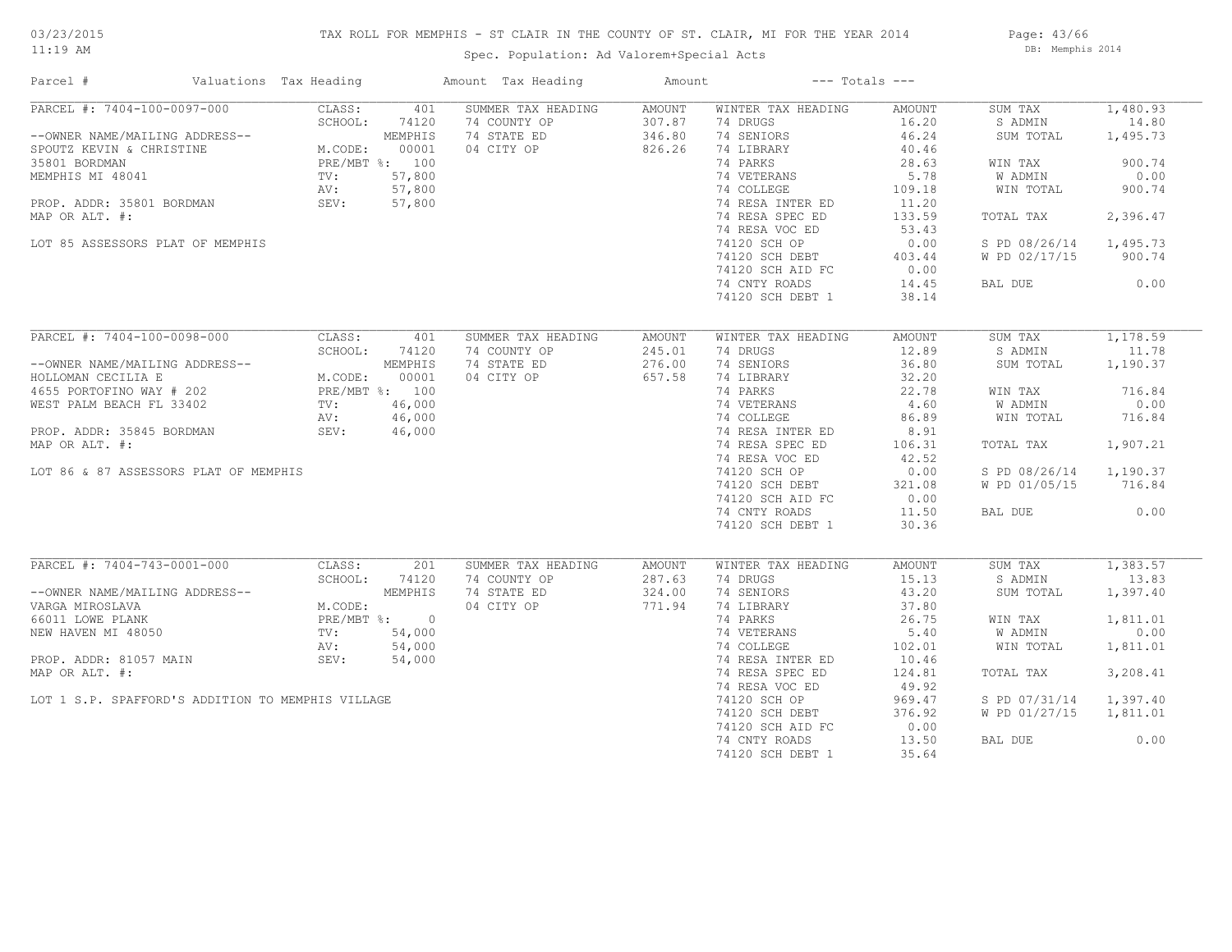# TAX ROLL FOR MEMPHIS - ST CLAIR IN THE COUNTY OF ST. CLAIR, MI FOR THE YEAR 2014

Spec. Population: Ad Valorem+Special Acts

Page: 43/66 DB: Memphis 2014

| Parcel #                                                                                                                                                                                                                     | Valuations Tax Heading                                                          |               | Amount Tax Heading | Amount | $---$ Totals $---$                        |        |                        |          |
|------------------------------------------------------------------------------------------------------------------------------------------------------------------------------------------------------------------------------|---------------------------------------------------------------------------------|---------------|--------------------|--------|-------------------------------------------|--------|------------------------|----------|
| PARCEL #: 7404-100-0097-000                                                                                                                                                                                                  | CLASS:                                                                          | 401           | SUMMER TAX HEADING | AMOUNT | WINTER TAX HEADING                        | AMOUNT | SUM TAX                | 1,480.93 |
| --OWNER NAME/MAILING ADDRESS--<br>SCHOOL: 74120<br>SPOUTZ KEVIN & CHRISTINE<br>35801 BORDMAN<br>MEMPHIS MI 48041<br>PROP. ADDR: 35801 BORDMAN<br>PROP. ADDR: 35801 BORDMAN<br>MAP OR ALT. #: 57,800<br>MAP OR ALT. #: 57,800 | SCHOOL:                                                                         | 74120         | 74 COUNTY OP       | 307.87 | 74 DRUGS                                  | 16.20  | S ADMIN                | 14.80    |
|                                                                                                                                                                                                                              |                                                                                 |               | 74 STATE ED        | 346.80 | 74 SENIORS                                | 46.24  | SUM TOTAL              | 1,495.73 |
|                                                                                                                                                                                                                              |                                                                                 |               | 04 CITY OP         | 826.26 | 74 LIBRARY                                | 40.46  |                        |          |
|                                                                                                                                                                                                                              |                                                                                 |               |                    |        | 74 PARKS                                  | 28.63  | WIN TAX                | 900.74   |
|                                                                                                                                                                                                                              |                                                                                 |               |                    |        | 74 VETERANS<br>74 COLLEGE                 | 5.78   | W ADMIN                | 0.00     |
|                                                                                                                                                                                                                              |                                                                                 |               |                    |        |                                           | 109.18 | WIN TOTAL              | 900.74   |
|                                                                                                                                                                                                                              |                                                                                 |               |                    |        | 74 RESA INTER ED                          | 11.20  |                        |          |
| MAP OR ALT. #:                                                                                                                                                                                                               |                                                                                 |               |                    |        | 74 RESA SPEC ED                           | 133.59 | TOTAL TAX              | 2,396.47 |
|                                                                                                                                                                                                                              |                                                                                 |               |                    |        | 74 RESA VOC ED                            | 53.43  |                        |          |
| LOT 85 ASSESSORS PLAT OF MEMPHIS                                                                                                                                                                                             |                                                                                 |               |                    |        | 74120 SCH OP                              | 0.00   | S PD 08/26/14 1,495.73 |          |
|                                                                                                                                                                                                                              |                                                                                 |               |                    |        |                                           | 403.44 | W PD 02/17/15          | 900.74   |
|                                                                                                                                                                                                                              |                                                                                 |               |                    |        | 74120 SCH DEBT<br>74120 SCH AID FC        | 0.00   |                        |          |
|                                                                                                                                                                                                                              |                                                                                 |               |                    |        | 74 CNTY ROADS                             | 14.45  | BAL DUE                | 0.00     |
|                                                                                                                                                                                                                              |                                                                                 |               |                    |        | 74120 SCH DEBT 1                          | 38.14  |                        |          |
|                                                                                                                                                                                                                              |                                                                                 |               |                    |        |                                           |        |                        |          |
| PARCEL #: 7404-100-0098-000                                                                                                                                                                                                  |                                                                                 |               |                    |        |                                           |        |                        |          |
|                                                                                                                                                                                                                              | CLASS:                                                                          | 401           | SUMMER TAX HEADING | AMOUNT | WINTER TAX HEADING                        | AMOUNT | SUM TAX                | 1,178.59 |
|                                                                                                                                                                                                                              |                                                                                 | SCHOOL: 74120 | 74 COUNTY OP       | 245.01 | 74 DRUGS                                  | 12.89  | S ADMIN                | 11.78    |
|                                                                                                                                                                                                                              |                                                                                 |               | 74 STATE ED        | 276.00 | 74 SENIORS                                | 36.80  | SUM TOTAL              | 1,190.37 |
|                                                                                                                                                                                                                              |                                                                                 |               | 04 CITY OP 657.58  |        | 74 LIBRARY                                | 32.20  |                        |          |
| --OWNER NAME/MAILING ADDRESS--<br>HOLLOMAN CECILIA E M.CODE: 00001<br>4655 PORTOFINO WAY # 202 PRE/MBT %: 100<br>WEST PALM BEACH FL 33402 TV: 46,000<br>AV: 46,000                                                           |                                                                                 |               |                    |        | 74 PARKS                                  | 22.78  | WIN TAX                | 716.84   |
|                                                                                                                                                                                                                              |                                                                                 |               |                    |        | 74 VETERANS 4.60<br>74 COLLEGE 86.89      |        | W ADMIN                | 0.00     |
|                                                                                                                                                                                                                              |                                                                                 |               |                    |        |                                           |        | WIN TOTAL              | 716.84   |
| PROP. ADDR: 35845 BORDMAN                                                                                                                                                                                                    | SEV: 46,000                                                                     |               |                    |        | 74 RESA INTER ED                          | 8.91   |                        |          |
| MAP OR ALT. #:                                                                                                                                                                                                               |                                                                                 |               |                    |        | 74 RESA SPEC ED                           | 106.31 | TOTAL TAX              | 1,907.21 |
|                                                                                                                                                                                                                              |                                                                                 |               |                    |        | 74 RESA VOC ED                            | 42.52  |                        |          |
| LOT 86 & 87 ASSESSORS PLAT OF MEMPHIS                                                                                                                                                                                        |                                                                                 |               |                    |        | 74120 SCH OP                              | 0.00   | S PD 08/26/14 1,190.37 |          |
|                                                                                                                                                                                                                              |                                                                                 |               |                    |        | 74120 SCH DEBT                            | 321.08 | W PD 01/05/15 716.84   |          |
|                                                                                                                                                                                                                              |                                                                                 |               |                    |        | 74120 SCH AID FC                          | 0.00   |                        |          |
|                                                                                                                                                                                                                              |                                                                                 |               |                    |        | 74 CNTY ROADS                             | 11.50  | BAL DUE                | 0.00     |
|                                                                                                                                                                                                                              |                                                                                 |               |                    |        | 74120 SCH DEBT 1                          | 30.36  |                        |          |
|                                                                                                                                                                                                                              |                                                                                 |               |                    |        |                                           |        |                        |          |
| PARCEL #: 7404-743-0001-000                                                                                                                                                                                                  | CLASS:                                                                          | 201           | SUMMER TAX HEADING | AMOUNT | WINTER TAX HEADING                        | AMOUNT | SUM TAX                | 1,383.57 |
|                                                                                                                                                                                                                              | SCHOOL:                                                                         | 74120         | 74 COUNTY OP       | 287.63 | 74 DRUGS                                  | 15.13  | S ADMIN                | 13.83    |
| --OWNER NAME/MAILING ADDRESS--                                                                                                                                                                                               |                                                                                 |               | 74 STATE ED        | 324.00 | 74 SENIORS                                | 43.20  | SUM TOTAL              | 1,397.40 |
| VARGA MIROSLAVA                                                                                                                                                                                                              | ING ADDRESS--<br>M.CODE:<br>M.CODE:<br>PRE/MBT %: 0<br>TV: 54,000<br>AV: 54,000 |               | 04 CITY OP         | 771.94 | 74 LIBRARY                                | 37.80  |                        |          |
| 66011 LOWE PLANK                                                                                                                                                                                                             |                                                                                 |               |                    |        | 74 LIBRARY<br>74 PARKS                    | 26.75  | WIN TAX                | 1,811.01 |
| NEW HAVEN MI 48050                                                                                                                                                                                                           |                                                                                 |               |                    |        |                                           | 5.40   | W ADMIN                | 0.00     |
|                                                                                                                                                                                                                              |                                                                                 |               |                    |        | <sup>-</sup><br>74 VETERANS<br>74 COLLEGE | 102.01 | WIN TOTAL              | 1,811.01 |
| PROP. ADDR: 81057 MAIN                                                                                                                                                                                                       | SEV:                                                                            | 54,000        |                    |        | 74 RESA INTER ED                          | 10.46  |                        |          |
| MAP OR ALT. #:                                                                                                                                                                                                               |                                                                                 |               |                    |        | 74 RESA SPEC ED                           | 124.81 | TOTAL TAX              | 3,208.41 |
|                                                                                                                                                                                                                              |                                                                                 |               |                    |        | 74 RESA VOC ED                            | 49.92  |                        |          |
| LOT 1 S.P. SPAFFORD'S ADDITION TO MEMPHIS VILLAGE                                                                                                                                                                            |                                                                                 |               |                    |        | 74120 SCH OP                              | 969.47 | S PD 07/31/14 1,397.40 |          |
|                                                                                                                                                                                                                              |                                                                                 |               |                    |        | 74120 SCH DEBT                            | 376.92 | W PD 01/27/15          | 1,811.01 |
|                                                                                                                                                                                                                              |                                                                                 |               |                    |        | 74120 SCH AID FC                          | 0.00   |                        |          |
|                                                                                                                                                                                                                              |                                                                                 |               |                    |        | 74 CNTY ROADS                             | 13.50  | BAL DUE                | 0.00     |
|                                                                                                                                                                                                                              |                                                                                 |               |                    |        |                                           | 35.64  |                        |          |
|                                                                                                                                                                                                                              |                                                                                 |               |                    |        | 74120 SCH DEBT 1                          |        |                        |          |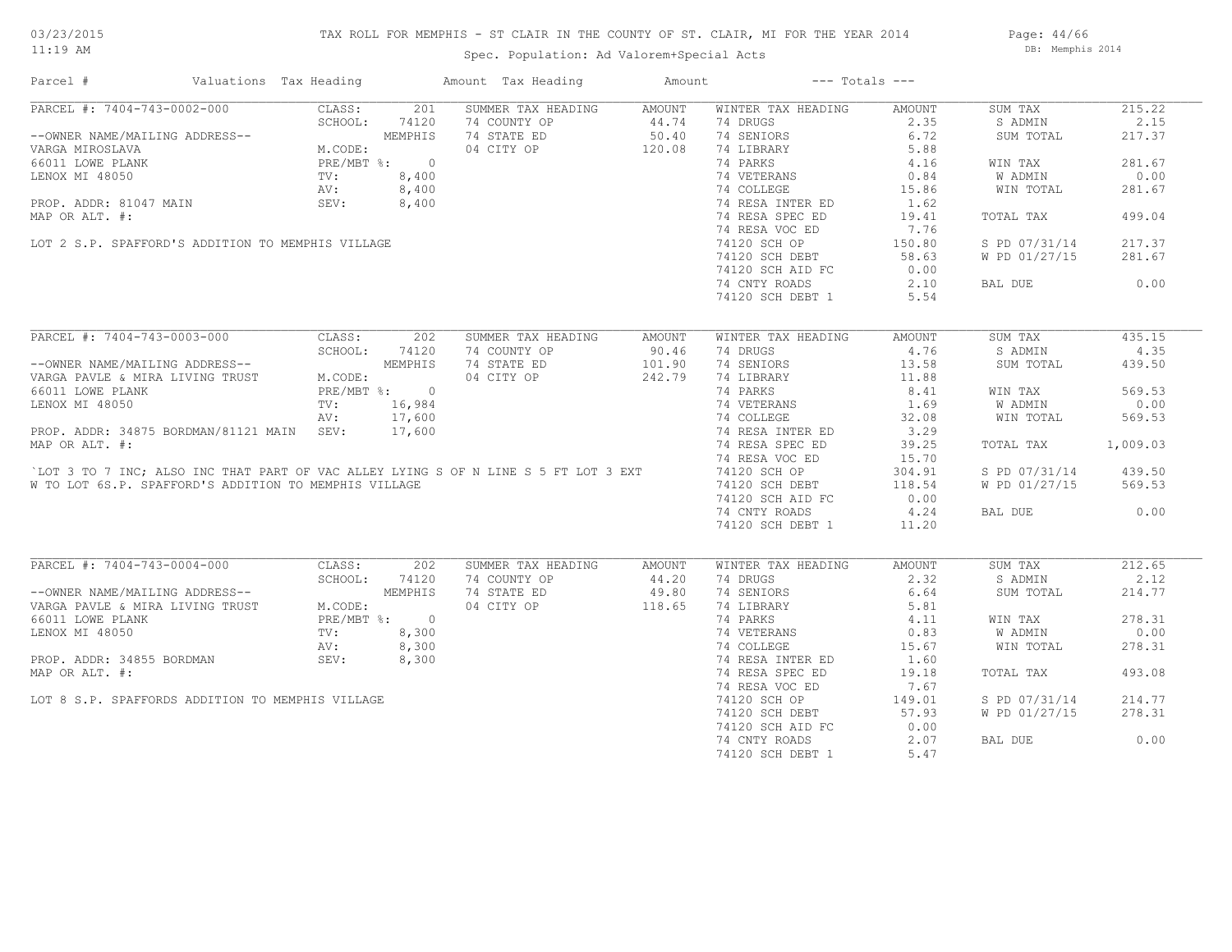# TAX ROLL FOR MEMPHIS - ST CLAIR IN THE COUNTY OF ST. CLAIR, MI FOR THE YEAR 2014

Spec. Population: Ad Valorem+Special Acts

Page: 44/66 DB: Memphis 2014

| Parcel #                                                                                                                                                                                                                                    | Valuations Tax Heading               |         |            | Amount Tax Heading                                | Amount              | $---$ Totals $---$                                                                      |        |                |          |
|---------------------------------------------------------------------------------------------------------------------------------------------------------------------------------------------------------------------------------------------|--------------------------------------|---------|------------|---------------------------------------------------|---------------------|-----------------------------------------------------------------------------------------|--------|----------------|----------|
| PARCEL #: 7404-743-0002-000                                                                                                                                                                                                                 |                                      | CLASS:  | 201        | SUMMER TAX HEADING AMOUNT                         |                     | WINTER TAX HEADING                                                                      | AMOUNT | SUM TAX        | 215.22   |
|                                                                                                                                                                                                                                             |                                      |         |            | 74 COUNTY OP                                      |                     | 74 DRUGS                                                                                | 2.35   | S ADMIN        | 2.15     |
| --OWNER NAME/MAILING ADDRESS--<br>CHOOL: 74120<br>VARGA MIROSLAVA MODRESS--<br>VARGA MIROSLAVA M.CODE: MEMPHIS<br>VARGA MIROSLAVA M.CODE: PRE/MBT %: 0<br>LENOX MI 48050 TV: 8,400<br>PROP. ADDR: 81047 MAIN SEV: 8,400<br>PROP. ADDR: 1047 |                                      |         |            | 74 STATE ED                                       | $44.74$<br>50.40    | 74 SENIORS                                                                              | 6.72   | SUM TOTAL      | 217.37   |
|                                                                                                                                                                                                                                             |                                      |         |            | 04 CITY OP 120.08                                 |                     | 74 LIBRARY                                                                              | 5.88   |                |          |
|                                                                                                                                                                                                                                             |                                      |         |            |                                                   |                     | 74 PARKS                                                                                | 4.16   | WIN TAX        | 281.67   |
|                                                                                                                                                                                                                                             |                                      |         |            | $0$<br>8,400<br>8,400<br>8,400                    |                     |                                                                                         | 0.84   | W ADMIN        | 0.00     |
|                                                                                                                                                                                                                                             |                                      |         |            |                                                   |                     | 74 VETERANS<br>74 COLLEGE                                                               | 15.86  | WIN TOTAL      | 281.67   |
|                                                                                                                                                                                                                                             |                                      |         |            |                                                   |                     | 74 RESA INTER ED                                                                        | 1.62   |                |          |
| MAP OR ALT. #:                                                                                                                                                                                                                              |                                      |         |            |                                                   |                     | 74 RESA SPEC ED                                                                         | 19.41  | TOTAL TAX      | 499.04   |
|                                                                                                                                                                                                                                             |                                      |         |            |                                                   |                     | 74 RESA VOC ED                                                                          | 7.76   |                |          |
| LOT 2 S.P. SPAFFORD'S ADDITION TO MEMPHIS VILLAGE                                                                                                                                                                                           |                                      |         |            |                                                   |                     | 74120 SCH OP                                                                            | 150.80 | S PD 07/31/14  | 217.37   |
|                                                                                                                                                                                                                                             |                                      |         |            |                                                   |                     | 74120 SCH DEBT                                                                          | 58.63  | W PD 01/27/15  | 281.67   |
|                                                                                                                                                                                                                                             |                                      |         |            |                                                   |                     | 74120 SCH AID FC                                                                        | 0.00   |                |          |
|                                                                                                                                                                                                                                             |                                      |         |            |                                                   |                     | 74 CNTY ROADS                                                                           | 2.10   | BAL DUE        | 0.00     |
|                                                                                                                                                                                                                                             |                                      |         |            |                                                   |                     |                                                                                         |        |                |          |
|                                                                                                                                                                                                                                             |                                      |         |            |                                                   |                     | 74120 SCH DEBT 1                                                                        | 5.54   |                |          |
|                                                                                                                                                                                                                                             |                                      |         |            |                                                   |                     |                                                                                         |        |                |          |
| PARCEL #: 7404-743-0003-000                                                                                                                                                                                                                 |                                      |         | CLASS: 202 | SUMMER TAX HEADING                                | AMOUNT              | WINTER TAX HEADING                                                                      | AMOUNT | SUM TAX        | 435.15   |
|                                                                                                                                                                                                                                             |                                      |         |            | 74 COUNTY OP                                      | $90.46$<br>$101.90$ | 74 DRUGS                                                                                | 4.76   | S ADMIN        | 4.35     |
|                                                                                                                                                                                                                                             |                                      |         |            | 74 STATE ED                                       |                     | 74 SENIORS                                                                              | 13.58  | SUM TOTAL      | 439.50   |
| RARCEL #: /404-/43 0000 000<br>--OWNER NAME/MAILING ADDRESS--<br>VARGA PAVLE & MIRA LIVING TRUST M.CODE:<br>66011 LOWE PLANK PRE/MBT \$: 000                                                                                                |                                      |         |            | 04 CITY OP 242.79                                 |                     | 74 LIBRARY<br>74 LIBRARY<br>74 PARKS                                                    | 11.88  |                |          |
|                                                                                                                                                                                                                                             |                                      |         |            |                                                   |                     | 11.00<br>74 VETERANS<br>74 COLLEGE 169<br>74 RESA INTER ED 3.29<br>74 RESA SPECTER 3.29 |        | WIN TAX        | 569.53   |
| LENOX MI 48050                                                                                                                                                                                                                              | PRE/MBT $\text{\$}:$ 0<br>TV: 16,984 |         |            |                                                   |                     |                                                                                         |        | <b>W ADMIN</b> | 0.00     |
|                                                                                                                                                                                                                                             |                                      |         | AV: 17,600 |                                                   |                     |                                                                                         |        | WIN TOTAL      | 569.53   |
| PROP. ADDR: 34875 BORDMAN/81121 MAIN SEV:                                                                                                                                                                                                   |                                      |         | 17,600     |                                                   |                     |                                                                                         |        |                |          |
| MAP OR ALT. #:                                                                                                                                                                                                                              |                                      |         |            |                                                   |                     | 74 RESA SPEC ED                                                                         | 39.25  | TOTAL TAX      | 1,009.03 |
|                                                                                                                                                                                                                                             |                                      |         |            |                                                   |                     | 74 RESA VOC ED                                                                          | 15.70  |                |          |
| 'LOT 3 TO 7 INC; ALSO INC THAT PART OF VAC ALLEY LYING S OF N LINE S 5 FT LOT 3 EXT                                                                                                                                                         |                                      |         |            |                                                   |                     | 74 RESA VOC ED<br>74120 SCH OP<br>------                                                | 304.91 | S PD 07/31/14  | 439.50   |
| W TO LOT 6S.P. SPAFFORD'S ADDITION TO MEMPHIS VILLAGE                                                                                                                                                                                       |                                      |         |            |                                                   |                     | 74120 SCH DEBT                                                                          | 118.54 | W PD 01/27/15  | 569.53   |
|                                                                                                                                                                                                                                             |                                      |         |            |                                                   |                     | 74120 SCH AID FC                                                                        | 0.00   |                |          |
|                                                                                                                                                                                                                                             |                                      |         |            |                                                   |                     | 74 CNTY ROADS                                                                           | 4.24   | BAL DUE        | 0.00     |
|                                                                                                                                                                                                                                             |                                      |         |            |                                                   |                     | 74120 SCH DEBT 1                                                                        | 11.20  |                |          |
|                                                                                                                                                                                                                                             |                                      |         |            |                                                   |                     |                                                                                         |        |                |          |
| PARCEL #: 7404-743-0004-000 CLASS:                                                                                                                                                                                                          |                                      |         | 202        | SUMMER TAX HEADING                                | AMOUNT              | WINTER TAX HEADING                                                                      | AMOUNT | SUM TAX        | 212.65   |
|                                                                                                                                                                                                                                             |                                      | SCHOOL: | 74120      | 74 COUNTY OP                                      | 44.20               | 74 DRUGS                                                                                | 2.32   | S ADMIN        | 2.12     |
|                                                                                                                                                                                                                                             |                                      |         |            |                                                   |                     | 74 SENIORS                                                                              | 6.64   | SUM TOTAL      | 214.77   |
|                                                                                                                                                                                                                                             |                                      |         |            | 74 COUNTRE ED<br>74 STATE ED<br>04 CITY OP 118.65 |                     | 74 LIBRARY                                                                              | 5.81   |                |          |
| --OWNER NAME/MAILING ADDRESS--<br>VARGA PAVLE & MIRA LIVING TRUST M.CODE:<br>66011 LOWE PLANK PRE/MBT & PRE/MBT & 0<br>LENOX MI 48050 TV: 8,300<br>PROP. ADDR: 34855 BORDMAN SEV: 8,300<br>PROP. ADDR: 34855 BORDMAN SEV: 8,300             |                                      |         |            |                                                   |                     | <sup>4</sup><br>74 VETERANS<br>74 VETERANS<br>77 COLLEGE                                | 4.11   | WIN TAX        | 278.31   |
|                                                                                                                                                                                                                                             |                                      |         |            |                                                   |                     |                                                                                         | 0.83   | W ADMIN        | 0.00     |
|                                                                                                                                                                                                                                             |                                      |         |            |                                                   |                     |                                                                                         | 15.67  | WIN TOTAL      | 278.31   |
|                                                                                                                                                                                                                                             |                                      |         |            |                                                   |                     |                                                                                         | 1.60   |                |          |
|                                                                                                                                                                                                                                             |                                      |         |            |                                                   |                     |                                                                                         |        |                |          |
| MAP OR ALT. #:                                                                                                                                                                                                                              |                                      |         |            |                                                   |                     | 74 RESA SPEC ED                                                                         | 19.18  | TOTAL TAX      | 493.08   |
|                                                                                                                                                                                                                                             |                                      |         |            |                                                   |                     | 74 RESA VOC ED                                                                          | 7.67   |                |          |
| LOT 8 S.P. SPAFFORDS ADDITION TO MEMPHIS VILLAGE                                                                                                                                                                                            |                                      |         |            |                                                   |                     | 74120 SCH OP<br>74120 SCH DEBT                                                          | 149.01 | S PD 07/31/14  | 214.77   |
|                                                                                                                                                                                                                                             |                                      |         |            |                                                   |                     | 74120 SCH DEBT                                                                          | 57.93  | W PD 01/27/15  | 278.31   |
|                                                                                                                                                                                                                                             |                                      |         |            |                                                   |                     | 74120 SCH AID FC                                                                        | 0.00   |                |          |
|                                                                                                                                                                                                                                             |                                      |         |            |                                                   |                     | 74 CNTY ROADS                                                                           | 2.07   | BAL DUE        | 0.00     |
|                                                                                                                                                                                                                                             |                                      |         |            |                                                   |                     | 74120 SCH DEBT 1                                                                        | 5.47   |                |          |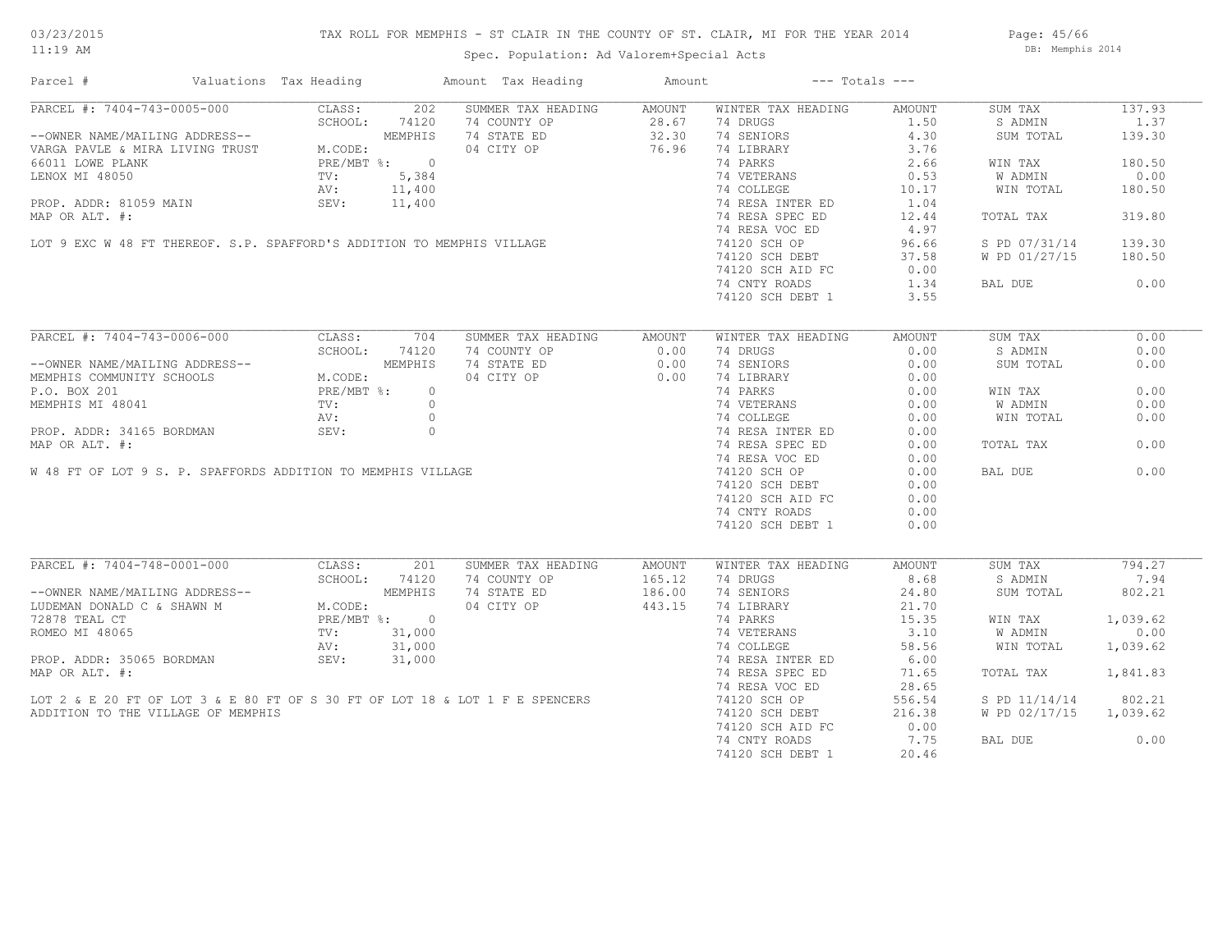# TAX ROLL FOR MEMPHIS - ST CLAIR IN THE COUNTY OF ST. CLAIR, MI FOR THE YEAR 2014

Spec. Population: Ad Valorem+Special Acts

Page: 45/66 DB: Memphis 2014

| Parcel #                                                                                       | Valuations Tax Heading |              | Amount Tax Heading                                                           | Amount |                    | $---$ Totals $---$ |               |          |
|------------------------------------------------------------------------------------------------|------------------------|--------------|------------------------------------------------------------------------------|--------|--------------------|--------------------|---------------|----------|
| PARCEL #: 7404-743-0005-000                                                                    | CLASS:                 | 202          | SUMMER TAX HEADING                                                           | AMOUNT | WINTER TAX HEADING | AMOUNT             | SUM TAX       | 137.93   |
|                                                                                                | SCHOOL:                | 74120        | 74 COUNTY OP                                                                 | 28.67  | 74 DRUGS           | 1.50               | S ADMIN       | 1.37     |
| --OWNER NAME/MAILING ADDRESS--                                                                 |                        | MEMPHIS      | 74 STATE ED                                                                  | 32.30  | 74 SENIORS         | 4.30               | SUM TOTAL     | 139.30   |
| VARGA PAVLE & MIRA LIVING TRUST                                                                | M.CODE:                |              | 04 CITY OP                                                                   | 76.96  | 74 LIBRARY         | 3.76               |               |          |
| 66011 LOWE PLANK                                                                               |                        | PRE/MBT %: 0 |                                                                              |        | 74 PARKS           | 2.66               | WIN TAX       | 180.50   |
| LENOX MI 48050                                                                                 | $\text{TV}$ :          | 5,384        |                                                                              |        | 74 VETERANS        | 0.53               | W ADMIN       | 0.00     |
|                                                                                                | AV:                    | 11,400       |                                                                              |        | 74 COLLEGE         | 10.17              | WIN TOTAL     | 180.50   |
| PROP. ADDR: 81059 MAIN                                                                         | SEV:                   | 11,400       |                                                                              |        | 74 RESA INTER ED   | 1.04               |               |          |
| MAP OR ALT. #:                                                                                 |                        |              |                                                                              |        | 74 RESA SPEC ED    | 12.44              | TOTAL TAX     | 319.80   |
|                                                                                                |                        |              |                                                                              |        | 74 RESA VOC ED     | 4.97               |               |          |
|                                                                                                |                        |              | LOT 9 EXC W 48 FT THEREOF. S.P. SPAFFORD'S ADDITION TO MEMPHIS VILLAGE       |        | 74120 SCH OP       | 96.66              | S PD 07/31/14 | 139.30   |
|                                                                                                |                        |              |                                                                              |        | 74120 SCH DEBT     | 37.58              | W PD 01/27/15 | 180.50   |
|                                                                                                |                        |              |                                                                              |        |                    |                    |               |          |
|                                                                                                |                        |              |                                                                              |        | 74120 SCH AID FC   | 0.00               |               |          |
|                                                                                                |                        |              |                                                                              |        | 74 CNTY ROADS      | 1.34               | BAL DUE       | 0.00     |
|                                                                                                |                        |              |                                                                              |        | 74120 SCH DEBT 1   | 3.55               |               |          |
| PARCEL #: 7404-743-0006-000                                                                    | CLASS:                 | 704          | SUMMER TAX HEADING                                                           | AMOUNT | WINTER TAX HEADING | AMOUNT             | SUM TAX       | 0.00     |
|                                                                                                | SCHOOL:                | 74120        | 74 COUNTY OP                                                                 | 0.00   | 74 DRUGS           | 0.00               | S ADMIN       | 0.00     |
|                                                                                                |                        | MEMPHIS      | 74 STATE ED                                                                  | 0.00   | 74 SENIORS         | 0.00               | SUM TOTAL     | 0.00     |
| --OWNER NAME/MAILING ADDRESS--<br>MEMPHIS COMMUNITY SCHOOLS M.CODE:<br>P.O. BOX 201 PRE/MBT %: |                        |              |                                                                              |        |                    |                    |               |          |
|                                                                                                |                        |              | 04 CITY OP                                                                   | 0.00   | 74 LIBRARY         | 0.00               |               |          |
|                                                                                                |                        | $\circ$      |                                                                              |        | 74 PARKS           | 0.00               | WIN TAX       | 0.00     |
| MEMPHIS MI 48041                                                                               | $\operatorname{TV}$ :  | $\Omega$     |                                                                              |        | 74 VETERANS        | 0.00               | W ADMIN       | 0.00     |
|                                                                                                | AV:                    | $\circ$      |                                                                              |        | 74 COLLEGE         | 0.00               | WIN TOTAL     | 0.00     |
| PROP. ADDR: 34165 BORDMAN                                                                      | SEV:                   | $\circ$      |                                                                              |        | 74 RESA INTER ED   | 0.00               |               |          |
| MAP OR ALT. #:                                                                                 |                        |              |                                                                              |        | 74 RESA SPEC ED    | 0.00               | TOTAL TAX     | 0.00     |
|                                                                                                |                        |              |                                                                              |        | 74 RESA VOC ED     | 0.00               |               |          |
| W 48 FT OF LOT 9 S. P. SPAFFORDS ADDITION TO MEMPHIS VILLAGE                                   |                        |              |                                                                              |        | 74120 SCH OP       | 0.00               | BAL DUE       | 0.00     |
|                                                                                                |                        |              |                                                                              |        | 74120 SCH DEBT     | 0.00               |               |          |
|                                                                                                |                        |              |                                                                              |        | 74120 SCH AID FC   | 0.00               |               |          |
|                                                                                                |                        |              |                                                                              |        | 74 CNTY ROADS      | 0.00               |               |          |
|                                                                                                |                        |              |                                                                              |        | 74120 SCH DEBT 1   | 0.00               |               |          |
|                                                                                                |                        |              |                                                                              |        |                    |                    |               |          |
| PARCEL #: 7404-748-0001-000                                                                    | CLASS:                 | 201          | SUMMER TAX HEADING                                                           | AMOUNT | WINTER TAX HEADING | AMOUNT             | SUM TAX       | 794.27   |
|                                                                                                | SCHOOL:                | 74120        | 74 COUNTY OP                                                                 | 165.12 | 74 DRUGS           | 8.68               | S ADMIN       | 7.94     |
|                                                                                                |                        | MEMPHIS      | 74 STATE ED                                                                  | 186.00 | 74 SENIORS         | 24.80              | SUM TOTAL     | 802.21   |
| --OWNER NAME/MAILING ADDRESS--<br>LUDEMAN DONALD C & SHAWN M                                   | M.CODE:                |              | 04 CITY OP                                                                   | 443.15 | 74 LIBRARY         | 21.70              |               |          |
| 72878 TEAL CT                                                                                  |                        | PRE/MBT %: 0 |                                                                              |        | 74 PARKS           | 15.35              | WIN TAX       | 1,039.62 |
| ROMEO MI 48065                                                                                 | $\text{TV}$ :          | 31,000       |                                                                              |        | 74 VETERANS        | 3.10               | W ADMIN       | 0.00     |
|                                                                                                | AV:                    | 31,000       |                                                                              |        | 74 COLLEGE         | 58.56              | WIN TOTAL     | 1,039.62 |
| PROP. ADDR: 35065 BORDMAN                                                                      | SEV:                   | 31,000       |                                                                              |        | 74 RESA INTER ED   | 6.00               |               |          |
| MAP OR ALT. #:                                                                                 |                        |              |                                                                              |        | 74 RESA SPEC ED    | 71.65              | TOTAL TAX     | 1,841.83 |
|                                                                                                |                        |              |                                                                              |        |                    |                    |               |          |
|                                                                                                |                        |              |                                                                              |        | 74 RESA VOC ED     | 28.65              |               |          |
|                                                                                                |                        |              | LOT 2 & E 20 FT OF LOT 3 & E 80 FT OF S 30 FT OF LOT 18 & LOT 1 F E SPENCERS |        | 74120 SCH OP       | 556.54             | S PD 11/14/14 | 802.21   |
| ADDITION TO THE VILLAGE OF MEMPHIS                                                             |                        |              |                                                                              |        | 74120 SCH DEBT     | 216.38             | W PD 02/17/15 | 1,039.62 |
|                                                                                                |                        |              |                                                                              |        | 74120 SCH AID FC   | 0.00               |               |          |
|                                                                                                |                        |              |                                                                              |        | 74 CNTY ROADS      | 7.75               | BAL DUE       | 0.00     |
|                                                                                                |                        |              |                                                                              |        | 74120 SCH DEBT 1   | 20.46              |               |          |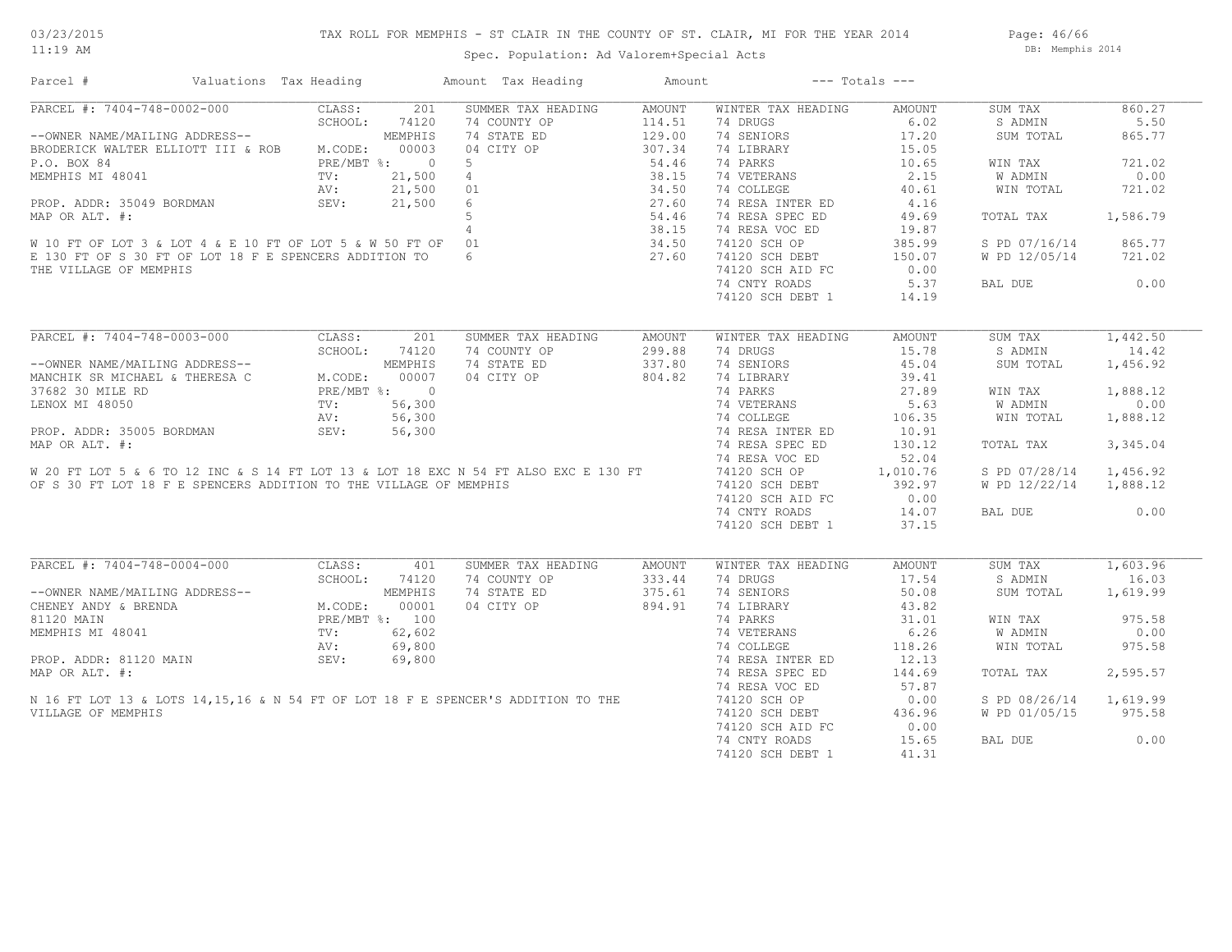Page: 46/66 DB: Memphis 2014

# Spec. Population: Ad Valorem+Special Acts

| Parcel #                                                                                            | Valuations Tax Heading     |                | Amount Tax Heading | Amount |                    | $---$ Totals $---$ |               |          |
|-----------------------------------------------------------------------------------------------------|----------------------------|----------------|--------------------|--------|--------------------|--------------------|---------------|----------|
| PARCEL #: 7404-748-0002-000                                                                         | CLASS:                     | 201            | SUMMER TAX HEADING | AMOUNT | WINTER TAX HEADING | AMOUNT             | SUM TAX       | 860.27   |
|                                                                                                     | SCHOOL:                    | 74120          | 74 COUNTY OP       | 114.51 | 74 DRUGS           | 6.02               | S ADMIN       | 5.50     |
| --OWNER NAME/MAILING ADDRESS--                                                                      |                            | MEMPHIS        | 74 STATE ED        | 129.00 | 74 SENIORS         | 17.20              | SUM TOTAL     | 865.77   |
| BRODERICK WALTER ELLIOTT III & ROB                                                                  | M.CODE:                    | 00003          | 04 CITY OP         | 307.34 | 74 LIBRARY         | 15.05              |               |          |
| P.O. BOX 84                                                                                         |                            | PRE/MBT %: 0   | 5                  | 54.46  | 74 PARKS           | 10.65              | WIN TAX       | 721.02   |
| MEMPHIS MI 48041                                                                                    | TV:                        | 21,500         | $\overline{4}$     | 38.15  | 74 VETERANS        | 2.15               | W ADMIN       | 0.00     |
|                                                                                                     | AV:                        | 21,500         | 01                 | 34.50  | 74 COLLEGE         | 40.61              | WIN TOTAL     | 721.02   |
| PROP. ADDR: 35049 BORDMAN                                                                           | SEV:                       | 21,500         | 6                  | 27.60  | 74 RESA INTER ED   | 4.16               |               |          |
| MAP OR ALT. #:                                                                                      |                            |                | 5                  | 54.46  | 74 RESA SPEC ED    | 49.69              | TOTAL TAX     | 1,586.79 |
|                                                                                                     |                            |                | $4\overline{ }$    | 38.15  | 74 RESA VOC ED     | 19.87              |               |          |
| W 10 FT OF LOT 3 & LOT 4 & E 10 FT OF LOT 5 & W 50 FT OF 01                                         |                            |                |                    | 34.50  | 74120 SCH OP       | 385.99             | S PD 07/16/14 | 865.77   |
| E 130 FT OF S 30 FT OF LOT 18 F E SPENCERS ADDITION TO                                              |                            |                | 6                  | 27.60  | 74120 SCH DEBT     | 150.07             | W PD 12/05/14 | 721.02   |
| THE VILLAGE OF MEMPHIS                                                                              |                            |                |                    |        | 74120 SCH AID FC   | 0.00               |               |          |
|                                                                                                     |                            |                |                    |        | 74 CNTY ROADS      | 5.37               | BAL DUE       | 0.00     |
|                                                                                                     |                            |                |                    |        | 74120 SCH DEBT 1   | 14.19              |               |          |
|                                                                                                     |                            |                |                    |        |                    |                    |               |          |
| PARCEL #: 7404-748-0003-000                                                                         | CLASS:                     | 201            | SUMMER TAX HEADING | AMOUNT | WINTER TAX HEADING | AMOUNT             | SUM TAX       | 1,442.50 |
|                                                                                                     | SCHOOL:                    | 74120          | 74 COUNTY OP       | 299.88 | 74 DRUGS           | 15.78              | S ADMIN       | 14.42    |
| --OWNER NAME/MAILING ADDRESS--                                                                      |                            | MEMPHIS        | 74 STATE ED        | 337.80 | 74 SENIORS         | 45.04              | SUM TOTAL     | 1,456.92 |
| MANCHIK SR MICHAEL & THERESA C                                                                      | M.CODE:                    | 00007          | 04 CITY OP         | 804.82 | 74 LIBRARY         | 39.41              |               |          |
| 37682 30 MILE RD                                                                                    |                            |                |                    |        | 74 PARKS           | 27.89              | WIN TAX       | 1,888.12 |
|                                                                                                     | PRE/MBT %: 0<br>TV: 56,300 |                |                    |        | 74 VETERANS        | 5.63               | W ADMIN       | 0.00     |
|                                                                                                     |                            |                |                    |        | 74 COLLEGE         | 106.35             | WIN TOTAL     | 1,888.12 |
|                                                                                                     |                            |                |                    |        | 74 RESA INTER ED   | 10.91              |               |          |
|                                                                                                     |                            |                |                    |        | 74 RESA SPEC ED    | 130.12             | TOTAL TAX     | 3,345.04 |
|                                                                                                     |                            |                |                    |        | 74 RESA VOC ED     | 52.04              |               |          |
|                                                                                                     |                            |                |                    |        | 74120 SCH OP       | 1,010.76           | S PD 07/28/14 | 1,456.92 |
| OF S 30 FT LOT 18 F E SPENCERS ADDITION TO THE VILLAGE OF MEMPHIS                                   |                            |                |                    |        | 74120 SCH DEBT     | 392.97             | W PD 12/22/14 | 1,888.12 |
|                                                                                                     |                            |                |                    |        | 74120 SCH AID FC   | 0.00               |               |          |
|                                                                                                     |                            |                |                    |        | 74 CNTY ROADS      | 14.07              | BAL DUE       | 0.00     |
|                                                                                                     |                            |                |                    |        | 74120 SCH DEBT 1   | 37.15              |               |          |
|                                                                                                     |                            |                |                    |        |                    |                    |               |          |
| PARCEL #: 7404-748-0004-000                                                                         | CLASS:                     | 401            | SUMMER TAX HEADING | AMOUNT | WINTER TAX HEADING | AMOUNT             | SUM TAX       | 1,603.96 |
|                                                                                                     | SCHOOL:                    | 74120          | 74 COUNTY OP       | 333.44 | 74 DRUGS           | 17.54              | S ADMIN       | 16.03    |
| --OWNER NAME/MAILING ADDRESS--                                                                      |                            | MEMPHIS        | 74 STATE ED        | 375.61 | 74 SENIORS         | 50.08              | SUM TOTAL     | 1,619.99 |
| CHENEY ANDY & BRENDA                                                                                | M.CODE:                    | 00001          | 04 CITY OP         | 894.91 | 74 LIBRARY         | 43.82              |               |          |
| 81120 MAIN                                                                                          |                            | PRE/MBT %: 100 |                    |        | 74 PARKS           | 31.01              | WIN TAX       | 975.58   |
| MEMPHIS MI 48041                                                                                    | TV:                        | 62,602         |                    |        | 74 VETERANS        | 6.26               | W ADMIN       | 0.00     |
|                                                                                                     | AV:                        | 69,800         |                    |        | 74 COLLEGE         | 118.26             | WIN TOTAL     | 975.58   |
| PROP. ADDR: 81120 MAIN                                                                              | SEV:                       | 69,800         |                    |        | 74 RESA INTER ED   | 12.13              |               |          |
|                                                                                                     |                            |                |                    |        | 74 RESA SPEC ED    | 144.69             | TOTAL TAX     | 2,595.57 |
| N 16 FT LOT 13 & LOTS 14,15,16 & N 54 FT OF LOT 18 F E SPENCER'S ADDITION TO THE VILLAGE OF MEMPHIS |                            |                |                    |        | 74 RESA VOC ED     | 57.87              |               |          |
|                                                                                                     |                            |                |                    |        | 74120 SCH OP       | 0.00               | S PD 08/26/14 | 1,619.99 |
|                                                                                                     |                            |                |                    |        | 74120 SCH DEBT     | 436.96             | W PD 01/05/15 | 975.58   |
|                                                                                                     |                            |                |                    |        | 74120 SCH AID FC   | 0.00               |               |          |
|                                                                                                     |                            |                |                    |        | 74 CNTY ROADS      | 15.65              | BAL DUE       | 0.00     |
|                                                                                                     |                            |                |                    |        | 74120 SCH DEBT 1   | 41.31              |               |          |
|                                                                                                     |                            |                |                    |        |                    |                    |               |          |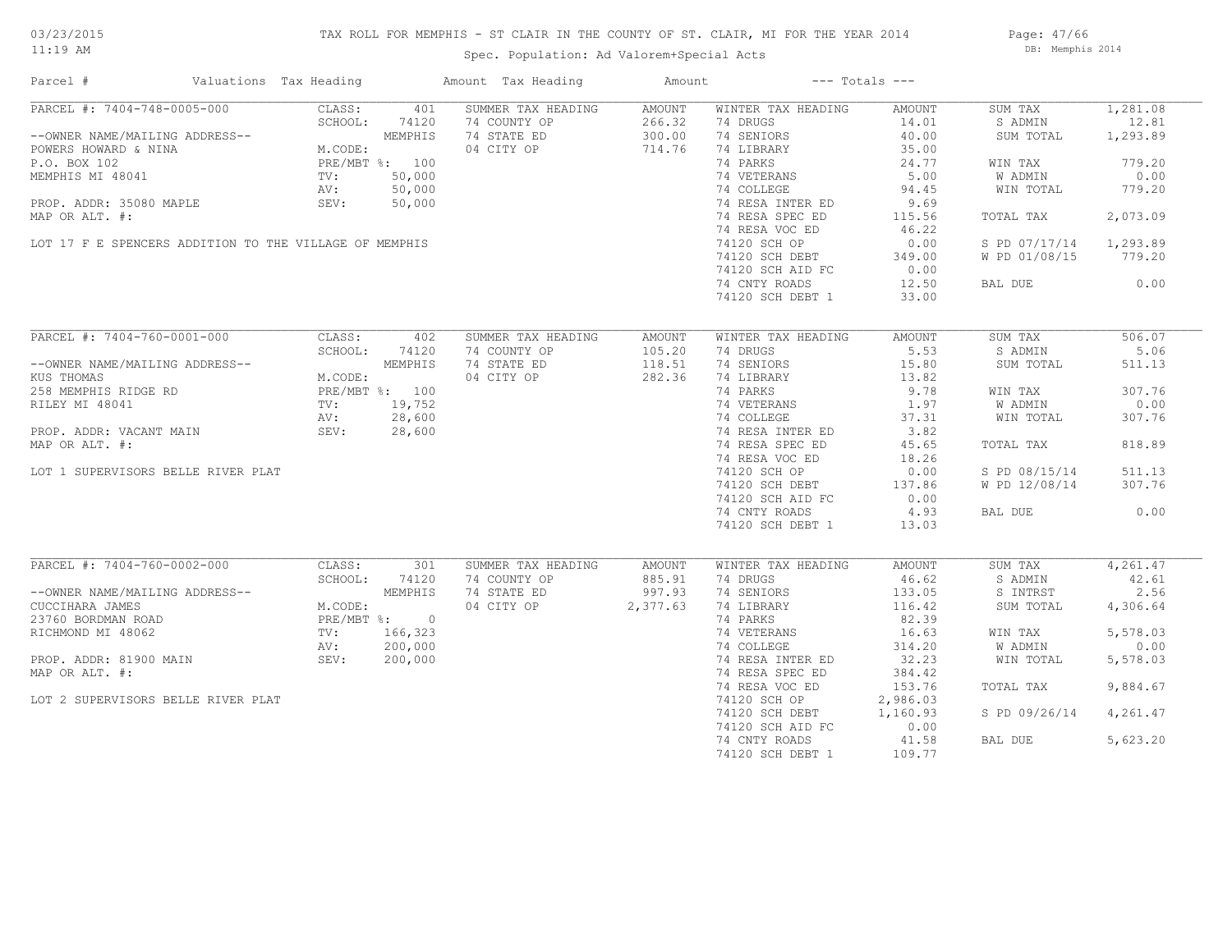# TAX ROLL FOR MEMPHIS - ST CLAIR IN THE COUNTY OF ST. CLAIR, MI FOR THE YEAR 2014

Spec. Population: Ad Valorem+Special Acts

Page: 47/66 DB: Memphis 2014

| Parcel #                                                                                                                                                                                                                                           | Valuations Tax Heading |                                            |              | Amount Tax Heading  | Amount |                           | $---$ Totals $---$ |               |          |
|----------------------------------------------------------------------------------------------------------------------------------------------------------------------------------------------------------------------------------------------------|------------------------|--------------------------------------------|--------------|---------------------|--------|---------------------------|--------------------|---------------|----------|
| PARCEL #: 7404-748-0005-000                                                                                                                                                                                                                        |                        | CLASS:                                     | 401          | SUMMER TAX HEADING  | AMOUNT | WINTER TAX HEADING        | AMOUNT             | SUM TAX       | 1,281.08 |
|                                                                                                                                                                                                                                                    |                        | SCHOOL:                                    | 74120        | 74 COUNTY OP        | 266.32 | 74 DRUGS                  | 14.01              | S ADMIN       | 12.81    |
| --OWNER NAME/MAILING ADDRESS--<br>POWERS HOWARD & NINA<br>POWERS HOWARD & NINA<br>P.O. BOX 102<br>MEMPHIS MI 48041<br>MEMPHIS MI 48041<br>TV: 50,000<br>PROP. ADDR: 35080 MAPLE<br>PROP. ADDR: 35080 MAPLE<br>SEV: 50,000<br>PROP. ADDR: 35080 MAP |                        |                                            |              | 74 STATE ED         | 300.00 | 74 SENIORS                | 40.00              | SUM TOTAL     | 1,293.89 |
|                                                                                                                                                                                                                                                    |                        |                                            |              | 04 CITY OP          | 714.76 | 74 LIBRARY                | 35.00              |               |          |
|                                                                                                                                                                                                                                                    |                        |                                            |              |                     |        | 74 PARKS                  | 24.77              | WIN TAX       | 779.20   |
|                                                                                                                                                                                                                                                    |                        |                                            |              |                     |        | 74 VETERANS               | 5.00               | W ADMIN       | 0.00     |
|                                                                                                                                                                                                                                                    |                        |                                            |              |                     |        | 74 COLLEGE                | 94.45              | WIN TOTAL     | 779.20   |
|                                                                                                                                                                                                                                                    |                        |                                            |              |                     |        | 74 RESA INTER ED          | 9.69               |               |          |
| MAP OR ALT. #:                                                                                                                                                                                                                                     |                        |                                            |              |                     |        | 74 RESA SPEC ED           | 115.56             | TOTAL TAX     | 2,073.09 |
|                                                                                                                                                                                                                                                    |                        |                                            |              |                     |        | 74 RESA VOC ED            | 46.22              |               |          |
| LOT 17 F E SPENCERS ADDITION TO THE VILLAGE OF MEMPHIS                                                                                                                                                                                             |                        |                                            |              |                     |        | 74120 SCH OP              | 0.00               |               | 1,293.89 |
|                                                                                                                                                                                                                                                    |                        |                                            |              |                     |        |                           |                    | S PD 07/17/14 |          |
|                                                                                                                                                                                                                                                    |                        |                                            |              |                     |        | 74120 SCH DEBT            | 349.00             | W PD 01/08/15 | 779.20   |
|                                                                                                                                                                                                                                                    |                        |                                            |              |                     |        | 74120 SCH AID FC          | 0.00               |               |          |
|                                                                                                                                                                                                                                                    |                        |                                            |              |                     |        | 74 CNTY ROADS             | 12.50              | BAL DUE       | 0.00     |
|                                                                                                                                                                                                                                                    |                        |                                            |              |                     |        | 74120 SCH DEBT 1          | 33.00              |               |          |
|                                                                                                                                                                                                                                                    |                        |                                            |              |                     |        |                           |                    |               |          |
| PARCEL #: 7404-760-0001-000                                                                                                                                                                                                                        |                        | CLASS:                                     | 402          | SUMMER TAX HEADING  | AMOUNT | WINTER TAX HEADING        | AMOUNT             | SUM TAX       | 506.07   |
|                                                                                                                                                                                                                                                    |                        | SCHOOL:                                    | 74120        | 74 COUNTY OP        | 105.20 | 74 DRUGS                  | 5.53               | S ADMIN       | 5.06     |
| --OWNER NAME/MAILING ADDRESS--                                                                                                                                                                                                                     |                        |                                            | MEMPHIS      | 74 STATE ED         | 118.51 | 74 SENIORS                | 15.80              | SUM TOTAL     | 511.13   |
| KUS THOMAS                                                                                                                                                                                                                                         |                        | M.CODE:                                    |              | 04 CITY OP          | 282.36 | 74 LIBRARY                | 13.82              |               |          |
| 258 MEMPHIS RIDGE RD                                                                                                                                                                                                                               |                        | PRE/MBT %: 100<br>TV: 19,752<br>AV: 28,600 |              |                     |        | 74 PARKS                  | 9.78               | WIN TAX       | 307.76   |
| RILEY MI 48041                                                                                                                                                                                                                                     |                        |                                            |              |                     |        | 74 VETERANS<br>74 COLLEGE | 1.97               | W ADMIN       | 0.00     |
|                                                                                                                                                                                                                                                    |                        |                                            |              |                     |        |                           | 37.31              | WIN TOTAL     | 307.76   |
| PROP. ADDR: VACANT MAIN                                                                                                                                                                                                                            |                        | SEV: 28,600                                |              |                     |        | 74 RESA INTER ED          | 3.82               |               |          |
| MAP OR ALT. #:                                                                                                                                                                                                                                     |                        |                                            |              |                     |        | 74 RESA SPEC ED           | 45.65              | TOTAL TAX     | 818.89   |
|                                                                                                                                                                                                                                                    |                        |                                            |              |                     |        | 74 RESA VOC ED            | 18.26              |               |          |
| LOT 1 SUPERVISORS BELLE RIVER PLAT                                                                                                                                                                                                                 |                        |                                            |              |                     |        | 74120 SCH OP              | 0.00               | S PD 08/15/14 | 511.13   |
|                                                                                                                                                                                                                                                    |                        |                                            |              |                     |        | 74120 SCH DEBT            | 137.86             | W PD 12/08/14 | 307.76   |
|                                                                                                                                                                                                                                                    |                        |                                            |              |                     |        | 74120 SCH AID FC          | 0.00               |               |          |
|                                                                                                                                                                                                                                                    |                        |                                            |              |                     |        | 74 CNTY ROADS             | 4.93               | BAL DUE       | 0.00     |
|                                                                                                                                                                                                                                                    |                        |                                            |              |                     |        | 74120 SCH DEBT 1          | 13.03              |               |          |
|                                                                                                                                                                                                                                                    |                        |                                            |              |                     |        |                           |                    |               |          |
| PARCEL #: 7404-760-0002-000                                                                                                                                                                                                                        |                        | CLASS:                                     | 301          | SUMMER TAX HEADING  | AMOUNT | WINTER TAX HEADING        | AMOUNT             | SUM TAX       | 4,261.47 |
|                                                                                                                                                                                                                                                    |                        | SCHOOL:                                    | 74120        | 74 COUNTY OP        | 885.91 | 74 DRUGS                  | 46.62              | S ADMIN       | 42.61    |
| --OWNER NAME/MAILING ADDRESS--                                                                                                                                                                                                                     |                        |                                            | MEMPHIS      | 74 STATE ED         | 997.93 | 74 SENIORS                | 133.05             | S INTRST      | 2.56     |
| CUCCIHARA JAMES                                                                                                                                                                                                                                    |                        | M.CODE:                                    |              | 04 CITY OP 2,377.63 |        | 74 LIBRARY                | 116.42             | SUM TOTAL     | 4,306.64 |
| 23760 BORDMAN ROAD                                                                                                                                                                                                                                 |                        |                                            | PRE/MBT %: 0 |                     |        | 74 PARKS                  | 82.39              |               |          |
| RICHMOND MI 48062                                                                                                                                                                                                                                  |                        |                                            | TV: 166,323  |                     |        | 74 VETERANS               | 16.63              | WIN TAX       | 5,578.03 |
|                                                                                                                                                                                                                                                    |                        | AV:                                        | 200,000      |                     |        | 74 COLLEGE                | 314.20             | W ADMIN       | 0.00     |
| PROP. ADDR: 81900 MAIN                                                                                                                                                                                                                             |                        | SEV:                                       | 200,000      |                     |        | 74 RESA INTER ED          | 32.23              | WIN TOTAL     | 5,578.03 |
| MAP OR ALT. #:                                                                                                                                                                                                                                     |                        |                                            |              |                     |        | 74 RESA SPEC ED           | 384.42             |               |          |
|                                                                                                                                                                                                                                                    |                        |                                            |              |                     |        |                           |                    |               |          |
|                                                                                                                                                                                                                                                    |                        |                                            |              |                     |        | 74 RESA VOC ED            | 153.76             | TOTAL TAX     | 9,884.67 |
| LOT 2 SUPERVISORS BELLE RIVER PLAT                                                                                                                                                                                                                 |                        |                                            |              |                     |        | 74120 SCH OP              | 2,986.03           |               |          |
|                                                                                                                                                                                                                                                    |                        |                                            |              |                     |        | 74120 SCH DEBT            | 1,160.93           | S PD 09/26/14 | 4,261.47 |
|                                                                                                                                                                                                                                                    |                        |                                            |              |                     |        | 74120 SCH AID FC          | 0.00               |               |          |
|                                                                                                                                                                                                                                                    |                        |                                            |              |                     |        | 74 CNTY ROADS             | 41.58              | BAL DUE       | 5,623.20 |
|                                                                                                                                                                                                                                                    |                        |                                            |              |                     |        | 74120 SCH DEBT 1          | 109.77             |               |          |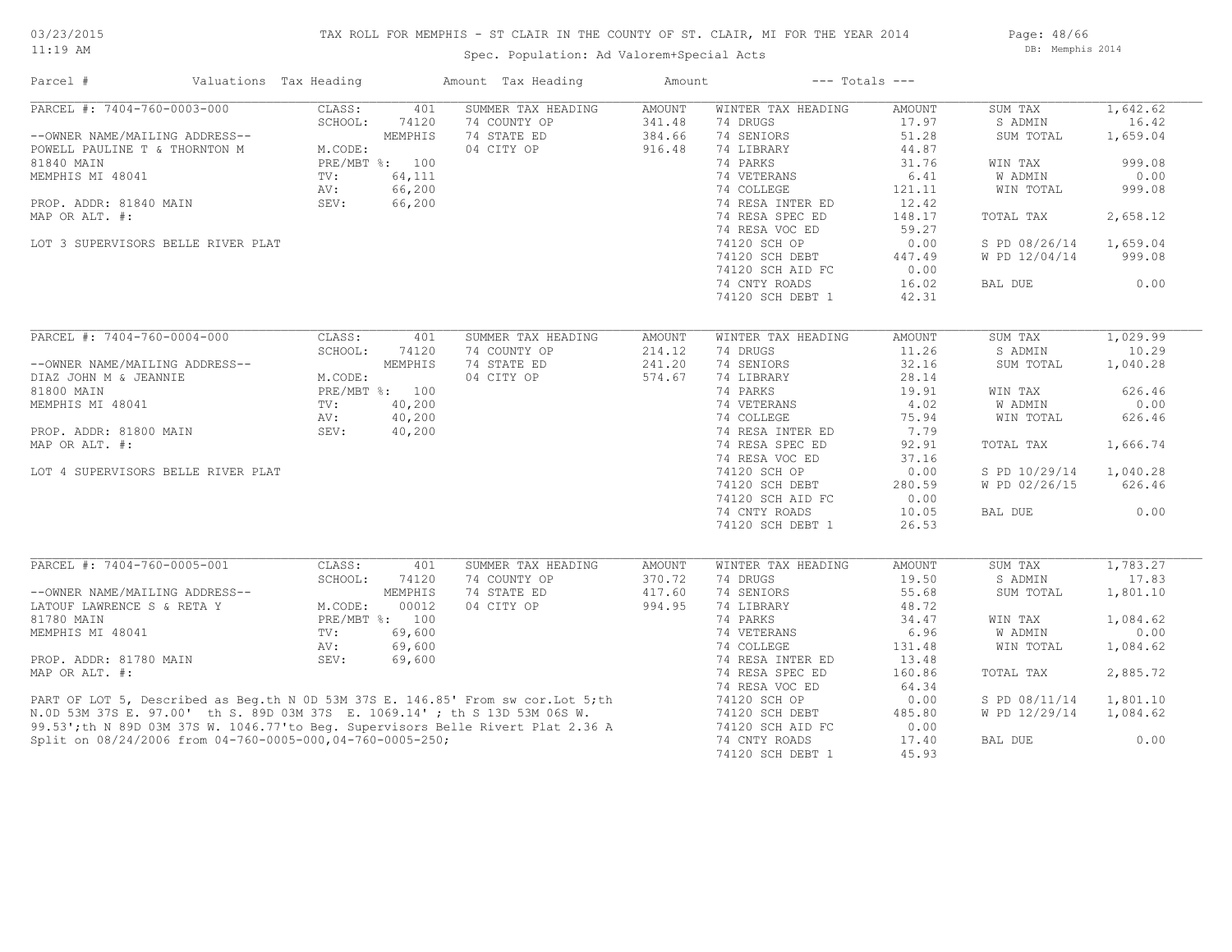# TAX ROLL FOR MEMPHIS - ST CLAIR IN THE COUNTY OF ST. CLAIR, MI FOR THE YEAR 2014

Spec. Population: Ad Valorem+Special Acts

Page: 48/66 DB: Memphis 2014

| PARCEL #: 7404-760-0003-000<br>SUMMER TAX HEADING<br>CLASS:<br>401<br><b>AMOUNT</b><br>WINTER TAX HEADING<br>SUM TAX<br>1,642.62<br>AMOUNT<br>16.42<br>SCHOOL:<br>74120<br>74 COUNTY OP<br>341.48<br>74 DRUGS<br>17.97<br>S ADMIN<br>MEMPHIS<br>74 STATE ED<br>384.66<br>74 SENIORS<br>51.28<br>1,659.04<br>--OWNER NAME/MAILING ADDRESS--<br>SUM TOTAL<br>04 CITY OP<br>916.48<br>44.87<br>M.CODE:<br>74 LIBRARY<br>POWELL PAULINE T & THORNTON M<br>PRE/MBT %: 100<br>74 PARKS<br>31.76<br>999.08<br>WIN TAX<br>64,111<br>74 VETERANS<br>6.41<br><b>W ADMIN</b><br>0.00<br>TV:<br>66,200<br>74 COLLEGE<br>121.11<br>999.08<br>AV:<br>WIN TOTAL<br>PROP. ADDR: 81840 MAIN<br>SEV:<br>66,200<br>74 RESA INTER ED<br>12.42<br>74 RESA SPEC ED<br>148.17<br>2,658.12<br>TOTAL TAX<br>74 RESA VOC ED<br>59.27<br>74120 SCH OP<br>LOT 3 SUPERVISORS BELLE RIVER PLAT<br>0.00<br>S PD 08/26/14<br>1,659.04<br>74120 SCH DEBT<br>447.49<br>W PD 12/04/14<br>999.08<br>74120 SCH AID FC<br>0.00<br>74 CNTY ROADS<br>16.02<br>0.00<br>BAL DUE<br>74120 SCH DEBT 1<br>42.31<br>PARCEL #: 7404-760-0004-000<br>CLASS:<br>401<br>SUMMER TAX HEADING<br>AMOUNT<br>WINTER TAX HEADING<br>AMOUNT<br>SUM TAX<br>1,029.99<br>214.12<br>11.26<br>SCHOOL:<br>74120<br>74 COUNTY OP<br>74 DRUGS<br>S ADMIN<br>10.29<br>32.16<br>--OWNER NAME/MAILING ADDRESS--<br>MEMPHIS<br>74 STATE ED<br>241.20<br>74 SENIORS<br>1,040.28<br>SUM TOTAL<br>M.CODE:<br>04 CITY OP<br>574.67<br>74 LIBRARY<br>28.14<br>DIAZ JOHN M & JEANNIE<br>PRE/MBT %: 100<br>74 PARKS<br>81800 MAIN<br>19.91<br>WIN TAX<br>626.46<br>74 VETERANS<br>MEMPHIS MI 48041<br>40,200<br>4.02<br>W ADMIN<br>0.00<br>$\text{TV}$ :<br>74 COLLEGE<br>40,200<br>AV:<br>75.94<br>WIN TOTAL<br>626.46<br>74 RESA INTER ED<br>7.79<br>40,200<br>PROP. ADDR: 81800 MAIN<br>SEV:<br>74 RESA SPEC ED<br>MAP OR ALT. #:<br>92.91<br>TOTAL TAX<br>1,666.74<br>74 RESA VOC ED<br>37.16<br>74120 SCH OP<br>0.00<br>S PD 10/29/14<br>1,040.28<br>LOT 4 SUPERVISORS BELLE RIVER PLAT<br>74120 SCH DEBT<br>280.59<br>W PD 02/26/15<br>626.46<br>74120 SCH AID FC<br>0.00<br>0.00<br>74 CNTY ROADS<br>10.05<br>BAL DUE<br>74120 SCH DEBT 1<br>26.53<br>PARCEL #: 7404-760-0005-001<br>CLASS:<br>SUMMER TAX HEADING<br>1,783.27<br>401<br>AMOUNT<br>WINTER TAX HEADING<br>AMOUNT<br>SUM TAX<br>SCHOOL:<br>74120<br>74 COUNTY OP<br>370.72<br>74 DRUGS<br>19.50<br>S ADMIN<br>17.83<br>MEMPHIS<br>74 STATE ED<br>417.60<br>74 SENIORS<br>1,801.10<br>LATOUF LAWRENCE S & RETA Y M.CODE:<br>81780 MAIN<br>55.68<br>SUM TOTAL<br>00012<br>04 CITY OP<br>994.95<br>74 LIBRARY<br>48.72<br>74 PARKS<br>PRE/MBT %: 100<br>34.47<br>WIN TAX<br>1,084.62<br>0.00<br>74 VETERANS<br>6.96<br>MEMPHIS MI 48041<br>$\texttt{TV}$ :<br>69,600<br>W ADMIN<br>69,600<br>74 COLLEGE<br>131.48<br>WIN TOTAL<br>AV:<br>1,084.62<br>69,600<br>74 RESA INTER ED<br>13.48<br>PROP. ADDR: 81780 MAIN<br>SEV:<br>2,885.72<br>74 RESA SPEC ED<br>160.86<br>TOTAL TAX<br>74 RESA VOC ED<br>64.34<br>PART OF LOT 5, Described as Beg.th N 0D 53M 37S E. 146.85' From sw cor.Lot 5;th<br>N.OD 53M 37S E. 97.00' th S. 89D 03M 37S E. 1069.14' ; th S 13D 53M 06S W.<br>99.53';th N 89D 03M 37S W. 1046.77'to Beg. Supervisors Belle Rivert<br>74120 SCH OP<br>0.00<br>S PD 08/11/14<br>1,801.10<br>74120 SCH DEBT<br>485.80<br>W PD 12/29/14<br>1,084.62<br>74120 SCH AID FC<br>0.00<br>74 CNTY ROADS<br>0.00<br>Split on 08/24/2006 from 04-760-0005-000,04-760-0005-250;<br>17.40<br>BAL DUE | Parcel #         | Valuations Tax Heading |  | Amount Tax Heading | Amount |                  | $---$ Totals $---$ |  |
|----------------------------------------------------------------------------------------------------------------------------------------------------------------------------------------------------------------------------------------------------------------------------------------------------------------------------------------------------------------------------------------------------------------------------------------------------------------------------------------------------------------------------------------------------------------------------------------------------------------------------------------------------------------------------------------------------------------------------------------------------------------------------------------------------------------------------------------------------------------------------------------------------------------------------------------------------------------------------------------------------------------------------------------------------------------------------------------------------------------------------------------------------------------------------------------------------------------------------------------------------------------------------------------------------------------------------------------------------------------------------------------------------------------------------------------------------------------------------------------------------------------------------------------------------------------------------------------------------------------------------------------------------------------------------------------------------------------------------------------------------------------------------------------------------------------------------------------------------------------------------------------------------------------------------------------------------------------------------------------------------------------------------------------------------------------------------------------------------------------------------------------------------------------------------------------------------------------------------------------------------------------------------------------------------------------------------------------------------------------------------------------------------------------------------------------------------------------------------------------------------------------------------------------------------------------------------------------------------------------------------------------------------------------------------------------------------------------------------------------------------------------------------------------------------------------------------------------------------------------------------------------------------------------------------------------------------------------------------------------------------------------------------------------------------------------------------------------------------------------------------------------------------------------------------------------------------------------------------------------------------------------------------------------------------------------------------------------------------------------------------------------------------------------------------------------------------------------------------------------------|------------------|------------------------|--|--------------------|--------|------------------|--------------------|--|
|                                                                                                                                                                                                                                                                                                                                                                                                                                                                                                                                                                                                                                                                                                                                                                                                                                                                                                                                                                                                                                                                                                                                                                                                                                                                                                                                                                                                                                                                                                                                                                                                                                                                                                                                                                                                                                                                                                                                                                                                                                                                                                                                                                                                                                                                                                                                                                                                                                                                                                                                                                                                                                                                                                                                                                                                                                                                                                                                                                                                                                                                                                                                                                                                                                                                                                                                                                                                                                                                                              |                  |                        |  |                    |        |                  |                    |  |
|                                                                                                                                                                                                                                                                                                                                                                                                                                                                                                                                                                                                                                                                                                                                                                                                                                                                                                                                                                                                                                                                                                                                                                                                                                                                                                                                                                                                                                                                                                                                                                                                                                                                                                                                                                                                                                                                                                                                                                                                                                                                                                                                                                                                                                                                                                                                                                                                                                                                                                                                                                                                                                                                                                                                                                                                                                                                                                                                                                                                                                                                                                                                                                                                                                                                                                                                                                                                                                                                                              |                  |                        |  |                    |        |                  |                    |  |
|                                                                                                                                                                                                                                                                                                                                                                                                                                                                                                                                                                                                                                                                                                                                                                                                                                                                                                                                                                                                                                                                                                                                                                                                                                                                                                                                                                                                                                                                                                                                                                                                                                                                                                                                                                                                                                                                                                                                                                                                                                                                                                                                                                                                                                                                                                                                                                                                                                                                                                                                                                                                                                                                                                                                                                                                                                                                                                                                                                                                                                                                                                                                                                                                                                                                                                                                                                                                                                                                                              |                  |                        |  |                    |        |                  |                    |  |
|                                                                                                                                                                                                                                                                                                                                                                                                                                                                                                                                                                                                                                                                                                                                                                                                                                                                                                                                                                                                                                                                                                                                                                                                                                                                                                                                                                                                                                                                                                                                                                                                                                                                                                                                                                                                                                                                                                                                                                                                                                                                                                                                                                                                                                                                                                                                                                                                                                                                                                                                                                                                                                                                                                                                                                                                                                                                                                                                                                                                                                                                                                                                                                                                                                                                                                                                                                                                                                                                                              |                  |                        |  |                    |        |                  |                    |  |
|                                                                                                                                                                                                                                                                                                                                                                                                                                                                                                                                                                                                                                                                                                                                                                                                                                                                                                                                                                                                                                                                                                                                                                                                                                                                                                                                                                                                                                                                                                                                                                                                                                                                                                                                                                                                                                                                                                                                                                                                                                                                                                                                                                                                                                                                                                                                                                                                                                                                                                                                                                                                                                                                                                                                                                                                                                                                                                                                                                                                                                                                                                                                                                                                                                                                                                                                                                                                                                                                                              | 81840 MAIN       |                        |  |                    |        |                  |                    |  |
|                                                                                                                                                                                                                                                                                                                                                                                                                                                                                                                                                                                                                                                                                                                                                                                                                                                                                                                                                                                                                                                                                                                                                                                                                                                                                                                                                                                                                                                                                                                                                                                                                                                                                                                                                                                                                                                                                                                                                                                                                                                                                                                                                                                                                                                                                                                                                                                                                                                                                                                                                                                                                                                                                                                                                                                                                                                                                                                                                                                                                                                                                                                                                                                                                                                                                                                                                                                                                                                                                              | MEMPHIS MI 48041 |                        |  |                    |        |                  |                    |  |
|                                                                                                                                                                                                                                                                                                                                                                                                                                                                                                                                                                                                                                                                                                                                                                                                                                                                                                                                                                                                                                                                                                                                                                                                                                                                                                                                                                                                                                                                                                                                                                                                                                                                                                                                                                                                                                                                                                                                                                                                                                                                                                                                                                                                                                                                                                                                                                                                                                                                                                                                                                                                                                                                                                                                                                                                                                                                                                                                                                                                                                                                                                                                                                                                                                                                                                                                                                                                                                                                                              |                  |                        |  |                    |        |                  |                    |  |
|                                                                                                                                                                                                                                                                                                                                                                                                                                                                                                                                                                                                                                                                                                                                                                                                                                                                                                                                                                                                                                                                                                                                                                                                                                                                                                                                                                                                                                                                                                                                                                                                                                                                                                                                                                                                                                                                                                                                                                                                                                                                                                                                                                                                                                                                                                                                                                                                                                                                                                                                                                                                                                                                                                                                                                                                                                                                                                                                                                                                                                                                                                                                                                                                                                                                                                                                                                                                                                                                                              |                  |                        |  |                    |        |                  |                    |  |
|                                                                                                                                                                                                                                                                                                                                                                                                                                                                                                                                                                                                                                                                                                                                                                                                                                                                                                                                                                                                                                                                                                                                                                                                                                                                                                                                                                                                                                                                                                                                                                                                                                                                                                                                                                                                                                                                                                                                                                                                                                                                                                                                                                                                                                                                                                                                                                                                                                                                                                                                                                                                                                                                                                                                                                                                                                                                                                                                                                                                                                                                                                                                                                                                                                                                                                                                                                                                                                                                                              | MAP OR ALT. #:   |                        |  |                    |        |                  |                    |  |
|                                                                                                                                                                                                                                                                                                                                                                                                                                                                                                                                                                                                                                                                                                                                                                                                                                                                                                                                                                                                                                                                                                                                                                                                                                                                                                                                                                                                                                                                                                                                                                                                                                                                                                                                                                                                                                                                                                                                                                                                                                                                                                                                                                                                                                                                                                                                                                                                                                                                                                                                                                                                                                                                                                                                                                                                                                                                                                                                                                                                                                                                                                                                                                                                                                                                                                                                                                                                                                                                                              |                  |                        |  |                    |        |                  |                    |  |
|                                                                                                                                                                                                                                                                                                                                                                                                                                                                                                                                                                                                                                                                                                                                                                                                                                                                                                                                                                                                                                                                                                                                                                                                                                                                                                                                                                                                                                                                                                                                                                                                                                                                                                                                                                                                                                                                                                                                                                                                                                                                                                                                                                                                                                                                                                                                                                                                                                                                                                                                                                                                                                                                                                                                                                                                                                                                                                                                                                                                                                                                                                                                                                                                                                                                                                                                                                                                                                                                                              |                  |                        |  |                    |        |                  |                    |  |
|                                                                                                                                                                                                                                                                                                                                                                                                                                                                                                                                                                                                                                                                                                                                                                                                                                                                                                                                                                                                                                                                                                                                                                                                                                                                                                                                                                                                                                                                                                                                                                                                                                                                                                                                                                                                                                                                                                                                                                                                                                                                                                                                                                                                                                                                                                                                                                                                                                                                                                                                                                                                                                                                                                                                                                                                                                                                                                                                                                                                                                                                                                                                                                                                                                                                                                                                                                                                                                                                                              |                  |                        |  |                    |        |                  |                    |  |
|                                                                                                                                                                                                                                                                                                                                                                                                                                                                                                                                                                                                                                                                                                                                                                                                                                                                                                                                                                                                                                                                                                                                                                                                                                                                                                                                                                                                                                                                                                                                                                                                                                                                                                                                                                                                                                                                                                                                                                                                                                                                                                                                                                                                                                                                                                                                                                                                                                                                                                                                                                                                                                                                                                                                                                                                                                                                                                                                                                                                                                                                                                                                                                                                                                                                                                                                                                                                                                                                                              |                  |                        |  |                    |        |                  |                    |  |
|                                                                                                                                                                                                                                                                                                                                                                                                                                                                                                                                                                                                                                                                                                                                                                                                                                                                                                                                                                                                                                                                                                                                                                                                                                                                                                                                                                                                                                                                                                                                                                                                                                                                                                                                                                                                                                                                                                                                                                                                                                                                                                                                                                                                                                                                                                                                                                                                                                                                                                                                                                                                                                                                                                                                                                                                                                                                                                                                                                                                                                                                                                                                                                                                                                                                                                                                                                                                                                                                                              |                  |                        |  |                    |        |                  |                    |  |
|                                                                                                                                                                                                                                                                                                                                                                                                                                                                                                                                                                                                                                                                                                                                                                                                                                                                                                                                                                                                                                                                                                                                                                                                                                                                                                                                                                                                                                                                                                                                                                                                                                                                                                                                                                                                                                                                                                                                                                                                                                                                                                                                                                                                                                                                                                                                                                                                                                                                                                                                                                                                                                                                                                                                                                                                                                                                                                                                                                                                                                                                                                                                                                                                                                                                                                                                                                                                                                                                                              |                  |                        |  |                    |        |                  |                    |  |
|                                                                                                                                                                                                                                                                                                                                                                                                                                                                                                                                                                                                                                                                                                                                                                                                                                                                                                                                                                                                                                                                                                                                                                                                                                                                                                                                                                                                                                                                                                                                                                                                                                                                                                                                                                                                                                                                                                                                                                                                                                                                                                                                                                                                                                                                                                                                                                                                                                                                                                                                                                                                                                                                                                                                                                                                                                                                                                                                                                                                                                                                                                                                                                                                                                                                                                                                                                                                                                                                                              |                  |                        |  |                    |        |                  |                    |  |
|                                                                                                                                                                                                                                                                                                                                                                                                                                                                                                                                                                                                                                                                                                                                                                                                                                                                                                                                                                                                                                                                                                                                                                                                                                                                                                                                                                                                                                                                                                                                                                                                                                                                                                                                                                                                                                                                                                                                                                                                                                                                                                                                                                                                                                                                                                                                                                                                                                                                                                                                                                                                                                                                                                                                                                                                                                                                                                                                                                                                                                                                                                                                                                                                                                                                                                                                                                                                                                                                                              |                  |                        |  |                    |        |                  |                    |  |
|                                                                                                                                                                                                                                                                                                                                                                                                                                                                                                                                                                                                                                                                                                                                                                                                                                                                                                                                                                                                                                                                                                                                                                                                                                                                                                                                                                                                                                                                                                                                                                                                                                                                                                                                                                                                                                                                                                                                                                                                                                                                                                                                                                                                                                                                                                                                                                                                                                                                                                                                                                                                                                                                                                                                                                                                                                                                                                                                                                                                                                                                                                                                                                                                                                                                                                                                                                                                                                                                                              |                  |                        |  |                    |        |                  |                    |  |
|                                                                                                                                                                                                                                                                                                                                                                                                                                                                                                                                                                                                                                                                                                                                                                                                                                                                                                                                                                                                                                                                                                                                                                                                                                                                                                                                                                                                                                                                                                                                                                                                                                                                                                                                                                                                                                                                                                                                                                                                                                                                                                                                                                                                                                                                                                                                                                                                                                                                                                                                                                                                                                                                                                                                                                                                                                                                                                                                                                                                                                                                                                                                                                                                                                                                                                                                                                                                                                                                                              |                  |                        |  |                    |        |                  |                    |  |
|                                                                                                                                                                                                                                                                                                                                                                                                                                                                                                                                                                                                                                                                                                                                                                                                                                                                                                                                                                                                                                                                                                                                                                                                                                                                                                                                                                                                                                                                                                                                                                                                                                                                                                                                                                                                                                                                                                                                                                                                                                                                                                                                                                                                                                                                                                                                                                                                                                                                                                                                                                                                                                                                                                                                                                                                                                                                                                                                                                                                                                                                                                                                                                                                                                                                                                                                                                                                                                                                                              |                  |                        |  |                    |        |                  |                    |  |
|                                                                                                                                                                                                                                                                                                                                                                                                                                                                                                                                                                                                                                                                                                                                                                                                                                                                                                                                                                                                                                                                                                                                                                                                                                                                                                                                                                                                                                                                                                                                                                                                                                                                                                                                                                                                                                                                                                                                                                                                                                                                                                                                                                                                                                                                                                                                                                                                                                                                                                                                                                                                                                                                                                                                                                                                                                                                                                                                                                                                                                                                                                                                                                                                                                                                                                                                                                                                                                                                                              |                  |                        |  |                    |        |                  |                    |  |
|                                                                                                                                                                                                                                                                                                                                                                                                                                                                                                                                                                                                                                                                                                                                                                                                                                                                                                                                                                                                                                                                                                                                                                                                                                                                                                                                                                                                                                                                                                                                                                                                                                                                                                                                                                                                                                                                                                                                                                                                                                                                                                                                                                                                                                                                                                                                                                                                                                                                                                                                                                                                                                                                                                                                                                                                                                                                                                                                                                                                                                                                                                                                                                                                                                                                                                                                                                                                                                                                                              |                  |                        |  |                    |        |                  |                    |  |
|                                                                                                                                                                                                                                                                                                                                                                                                                                                                                                                                                                                                                                                                                                                                                                                                                                                                                                                                                                                                                                                                                                                                                                                                                                                                                                                                                                                                                                                                                                                                                                                                                                                                                                                                                                                                                                                                                                                                                                                                                                                                                                                                                                                                                                                                                                                                                                                                                                                                                                                                                                                                                                                                                                                                                                                                                                                                                                                                                                                                                                                                                                                                                                                                                                                                                                                                                                                                                                                                                              |                  |                        |  |                    |        |                  |                    |  |
|                                                                                                                                                                                                                                                                                                                                                                                                                                                                                                                                                                                                                                                                                                                                                                                                                                                                                                                                                                                                                                                                                                                                                                                                                                                                                                                                                                                                                                                                                                                                                                                                                                                                                                                                                                                                                                                                                                                                                                                                                                                                                                                                                                                                                                                                                                                                                                                                                                                                                                                                                                                                                                                                                                                                                                                                                                                                                                                                                                                                                                                                                                                                                                                                                                                                                                                                                                                                                                                                                              |                  |                        |  |                    |        |                  |                    |  |
|                                                                                                                                                                                                                                                                                                                                                                                                                                                                                                                                                                                                                                                                                                                                                                                                                                                                                                                                                                                                                                                                                                                                                                                                                                                                                                                                                                                                                                                                                                                                                                                                                                                                                                                                                                                                                                                                                                                                                                                                                                                                                                                                                                                                                                                                                                                                                                                                                                                                                                                                                                                                                                                                                                                                                                                                                                                                                                                                                                                                                                                                                                                                                                                                                                                                                                                                                                                                                                                                                              |                  |                        |  |                    |        |                  |                    |  |
|                                                                                                                                                                                                                                                                                                                                                                                                                                                                                                                                                                                                                                                                                                                                                                                                                                                                                                                                                                                                                                                                                                                                                                                                                                                                                                                                                                                                                                                                                                                                                                                                                                                                                                                                                                                                                                                                                                                                                                                                                                                                                                                                                                                                                                                                                                                                                                                                                                                                                                                                                                                                                                                                                                                                                                                                                                                                                                                                                                                                                                                                                                                                                                                                                                                                                                                                                                                                                                                                                              |                  |                        |  |                    |        |                  |                    |  |
|                                                                                                                                                                                                                                                                                                                                                                                                                                                                                                                                                                                                                                                                                                                                                                                                                                                                                                                                                                                                                                                                                                                                                                                                                                                                                                                                                                                                                                                                                                                                                                                                                                                                                                                                                                                                                                                                                                                                                                                                                                                                                                                                                                                                                                                                                                                                                                                                                                                                                                                                                                                                                                                                                                                                                                                                                                                                                                                                                                                                                                                                                                                                                                                                                                                                                                                                                                                                                                                                                              |                  |                        |  |                    |        |                  |                    |  |
|                                                                                                                                                                                                                                                                                                                                                                                                                                                                                                                                                                                                                                                                                                                                                                                                                                                                                                                                                                                                                                                                                                                                                                                                                                                                                                                                                                                                                                                                                                                                                                                                                                                                                                                                                                                                                                                                                                                                                                                                                                                                                                                                                                                                                                                                                                                                                                                                                                                                                                                                                                                                                                                                                                                                                                                                                                                                                                                                                                                                                                                                                                                                                                                                                                                                                                                                                                                                                                                                                              |                  |                        |  |                    |        |                  |                    |  |
|                                                                                                                                                                                                                                                                                                                                                                                                                                                                                                                                                                                                                                                                                                                                                                                                                                                                                                                                                                                                                                                                                                                                                                                                                                                                                                                                                                                                                                                                                                                                                                                                                                                                                                                                                                                                                                                                                                                                                                                                                                                                                                                                                                                                                                                                                                                                                                                                                                                                                                                                                                                                                                                                                                                                                                                                                                                                                                                                                                                                                                                                                                                                                                                                                                                                                                                                                                                                                                                                                              |                  |                        |  |                    |        |                  |                    |  |
|                                                                                                                                                                                                                                                                                                                                                                                                                                                                                                                                                                                                                                                                                                                                                                                                                                                                                                                                                                                                                                                                                                                                                                                                                                                                                                                                                                                                                                                                                                                                                                                                                                                                                                                                                                                                                                                                                                                                                                                                                                                                                                                                                                                                                                                                                                                                                                                                                                                                                                                                                                                                                                                                                                                                                                                                                                                                                                                                                                                                                                                                                                                                                                                                                                                                                                                                                                                                                                                                                              |                  |                        |  |                    |        |                  |                    |  |
|                                                                                                                                                                                                                                                                                                                                                                                                                                                                                                                                                                                                                                                                                                                                                                                                                                                                                                                                                                                                                                                                                                                                                                                                                                                                                                                                                                                                                                                                                                                                                                                                                                                                                                                                                                                                                                                                                                                                                                                                                                                                                                                                                                                                                                                                                                                                                                                                                                                                                                                                                                                                                                                                                                                                                                                                                                                                                                                                                                                                                                                                                                                                                                                                                                                                                                                                                                                                                                                                                              |                  |                        |  |                    |        |                  |                    |  |
|                                                                                                                                                                                                                                                                                                                                                                                                                                                                                                                                                                                                                                                                                                                                                                                                                                                                                                                                                                                                                                                                                                                                                                                                                                                                                                                                                                                                                                                                                                                                                                                                                                                                                                                                                                                                                                                                                                                                                                                                                                                                                                                                                                                                                                                                                                                                                                                                                                                                                                                                                                                                                                                                                                                                                                                                                                                                                                                                                                                                                                                                                                                                                                                                                                                                                                                                                                                                                                                                                              |                  |                        |  |                    |        |                  |                    |  |
|                                                                                                                                                                                                                                                                                                                                                                                                                                                                                                                                                                                                                                                                                                                                                                                                                                                                                                                                                                                                                                                                                                                                                                                                                                                                                                                                                                                                                                                                                                                                                                                                                                                                                                                                                                                                                                                                                                                                                                                                                                                                                                                                                                                                                                                                                                                                                                                                                                                                                                                                                                                                                                                                                                                                                                                                                                                                                                                                                                                                                                                                                                                                                                                                                                                                                                                                                                                                                                                                                              |                  |                        |  |                    |        |                  |                    |  |
|                                                                                                                                                                                                                                                                                                                                                                                                                                                                                                                                                                                                                                                                                                                                                                                                                                                                                                                                                                                                                                                                                                                                                                                                                                                                                                                                                                                                                                                                                                                                                                                                                                                                                                                                                                                                                                                                                                                                                                                                                                                                                                                                                                                                                                                                                                                                                                                                                                                                                                                                                                                                                                                                                                                                                                                                                                                                                                                                                                                                                                                                                                                                                                                                                                                                                                                                                                                                                                                                                              |                  |                        |  |                    |        |                  |                    |  |
|                                                                                                                                                                                                                                                                                                                                                                                                                                                                                                                                                                                                                                                                                                                                                                                                                                                                                                                                                                                                                                                                                                                                                                                                                                                                                                                                                                                                                                                                                                                                                                                                                                                                                                                                                                                                                                                                                                                                                                                                                                                                                                                                                                                                                                                                                                                                                                                                                                                                                                                                                                                                                                                                                                                                                                                                                                                                                                                                                                                                                                                                                                                                                                                                                                                                                                                                                                                                                                                                                              |                  |                        |  |                    |        |                  |                    |  |
|                                                                                                                                                                                                                                                                                                                                                                                                                                                                                                                                                                                                                                                                                                                                                                                                                                                                                                                                                                                                                                                                                                                                                                                                                                                                                                                                                                                                                                                                                                                                                                                                                                                                                                                                                                                                                                                                                                                                                                                                                                                                                                                                                                                                                                                                                                                                                                                                                                                                                                                                                                                                                                                                                                                                                                                                                                                                                                                                                                                                                                                                                                                                                                                                                                                                                                                                                                                                                                                                                              |                  |                        |  |                    |        |                  |                    |  |
|                                                                                                                                                                                                                                                                                                                                                                                                                                                                                                                                                                                                                                                                                                                                                                                                                                                                                                                                                                                                                                                                                                                                                                                                                                                                                                                                                                                                                                                                                                                                                                                                                                                                                                                                                                                                                                                                                                                                                                                                                                                                                                                                                                                                                                                                                                                                                                                                                                                                                                                                                                                                                                                                                                                                                                                                                                                                                                                                                                                                                                                                                                                                                                                                                                                                                                                                                                                                                                                                                              |                  |                        |  |                    |        |                  |                    |  |
|                                                                                                                                                                                                                                                                                                                                                                                                                                                                                                                                                                                                                                                                                                                                                                                                                                                                                                                                                                                                                                                                                                                                                                                                                                                                                                                                                                                                                                                                                                                                                                                                                                                                                                                                                                                                                                                                                                                                                                                                                                                                                                                                                                                                                                                                                                                                                                                                                                                                                                                                                                                                                                                                                                                                                                                                                                                                                                                                                                                                                                                                                                                                                                                                                                                                                                                                                                                                                                                                                              |                  |                        |  |                    |        |                  |                    |  |
|                                                                                                                                                                                                                                                                                                                                                                                                                                                                                                                                                                                                                                                                                                                                                                                                                                                                                                                                                                                                                                                                                                                                                                                                                                                                                                                                                                                                                                                                                                                                                                                                                                                                                                                                                                                                                                                                                                                                                                                                                                                                                                                                                                                                                                                                                                                                                                                                                                                                                                                                                                                                                                                                                                                                                                                                                                                                                                                                                                                                                                                                                                                                                                                                                                                                                                                                                                                                                                                                                              |                  |                        |  |                    |        |                  |                    |  |
|                                                                                                                                                                                                                                                                                                                                                                                                                                                                                                                                                                                                                                                                                                                                                                                                                                                                                                                                                                                                                                                                                                                                                                                                                                                                                                                                                                                                                                                                                                                                                                                                                                                                                                                                                                                                                                                                                                                                                                                                                                                                                                                                                                                                                                                                                                                                                                                                                                                                                                                                                                                                                                                                                                                                                                                                                                                                                                                                                                                                                                                                                                                                                                                                                                                                                                                                                                                                                                                                                              |                  |                        |  |                    |        |                  |                    |  |
|                                                                                                                                                                                                                                                                                                                                                                                                                                                                                                                                                                                                                                                                                                                                                                                                                                                                                                                                                                                                                                                                                                                                                                                                                                                                                                                                                                                                                                                                                                                                                                                                                                                                                                                                                                                                                                                                                                                                                                                                                                                                                                                                                                                                                                                                                                                                                                                                                                                                                                                                                                                                                                                                                                                                                                                                                                                                                                                                                                                                                                                                                                                                                                                                                                                                                                                                                                                                                                                                                              |                  |                        |  |                    |        |                  |                    |  |
|                                                                                                                                                                                                                                                                                                                                                                                                                                                                                                                                                                                                                                                                                                                                                                                                                                                                                                                                                                                                                                                                                                                                                                                                                                                                                                                                                                                                                                                                                                                                                                                                                                                                                                                                                                                                                                                                                                                                                                                                                                                                                                                                                                                                                                                                                                                                                                                                                                                                                                                                                                                                                                                                                                                                                                                                                                                                                                                                                                                                                                                                                                                                                                                                                                                                                                                                                                                                                                                                                              | MAP OR ALT. #:   |                        |  |                    |        |                  |                    |  |
|                                                                                                                                                                                                                                                                                                                                                                                                                                                                                                                                                                                                                                                                                                                                                                                                                                                                                                                                                                                                                                                                                                                                                                                                                                                                                                                                                                                                                                                                                                                                                                                                                                                                                                                                                                                                                                                                                                                                                                                                                                                                                                                                                                                                                                                                                                                                                                                                                                                                                                                                                                                                                                                                                                                                                                                                                                                                                                                                                                                                                                                                                                                                                                                                                                                                                                                                                                                                                                                                                              |                  |                        |  |                    |        |                  |                    |  |
|                                                                                                                                                                                                                                                                                                                                                                                                                                                                                                                                                                                                                                                                                                                                                                                                                                                                                                                                                                                                                                                                                                                                                                                                                                                                                                                                                                                                                                                                                                                                                                                                                                                                                                                                                                                                                                                                                                                                                                                                                                                                                                                                                                                                                                                                                                                                                                                                                                                                                                                                                                                                                                                                                                                                                                                                                                                                                                                                                                                                                                                                                                                                                                                                                                                                                                                                                                                                                                                                                              |                  |                        |  |                    |        |                  |                    |  |
|                                                                                                                                                                                                                                                                                                                                                                                                                                                                                                                                                                                                                                                                                                                                                                                                                                                                                                                                                                                                                                                                                                                                                                                                                                                                                                                                                                                                                                                                                                                                                                                                                                                                                                                                                                                                                                                                                                                                                                                                                                                                                                                                                                                                                                                                                                                                                                                                                                                                                                                                                                                                                                                                                                                                                                                                                                                                                                                                                                                                                                                                                                                                                                                                                                                                                                                                                                                                                                                                                              |                  |                        |  |                    |        |                  |                    |  |
|                                                                                                                                                                                                                                                                                                                                                                                                                                                                                                                                                                                                                                                                                                                                                                                                                                                                                                                                                                                                                                                                                                                                                                                                                                                                                                                                                                                                                                                                                                                                                                                                                                                                                                                                                                                                                                                                                                                                                                                                                                                                                                                                                                                                                                                                                                                                                                                                                                                                                                                                                                                                                                                                                                                                                                                                                                                                                                                                                                                                                                                                                                                                                                                                                                                                                                                                                                                                                                                                                              |                  |                        |  |                    |        |                  |                    |  |
|                                                                                                                                                                                                                                                                                                                                                                                                                                                                                                                                                                                                                                                                                                                                                                                                                                                                                                                                                                                                                                                                                                                                                                                                                                                                                                                                                                                                                                                                                                                                                                                                                                                                                                                                                                                                                                                                                                                                                                                                                                                                                                                                                                                                                                                                                                                                                                                                                                                                                                                                                                                                                                                                                                                                                                                                                                                                                                                                                                                                                                                                                                                                                                                                                                                                                                                                                                                                                                                                                              |                  |                        |  |                    |        |                  |                    |  |
|                                                                                                                                                                                                                                                                                                                                                                                                                                                                                                                                                                                                                                                                                                                                                                                                                                                                                                                                                                                                                                                                                                                                                                                                                                                                                                                                                                                                                                                                                                                                                                                                                                                                                                                                                                                                                                                                                                                                                                                                                                                                                                                                                                                                                                                                                                                                                                                                                                                                                                                                                                                                                                                                                                                                                                                                                                                                                                                                                                                                                                                                                                                                                                                                                                                                                                                                                                                                                                                                                              |                  |                        |  |                    |        | 74120 SCH DEBT 1 | 45.93              |  |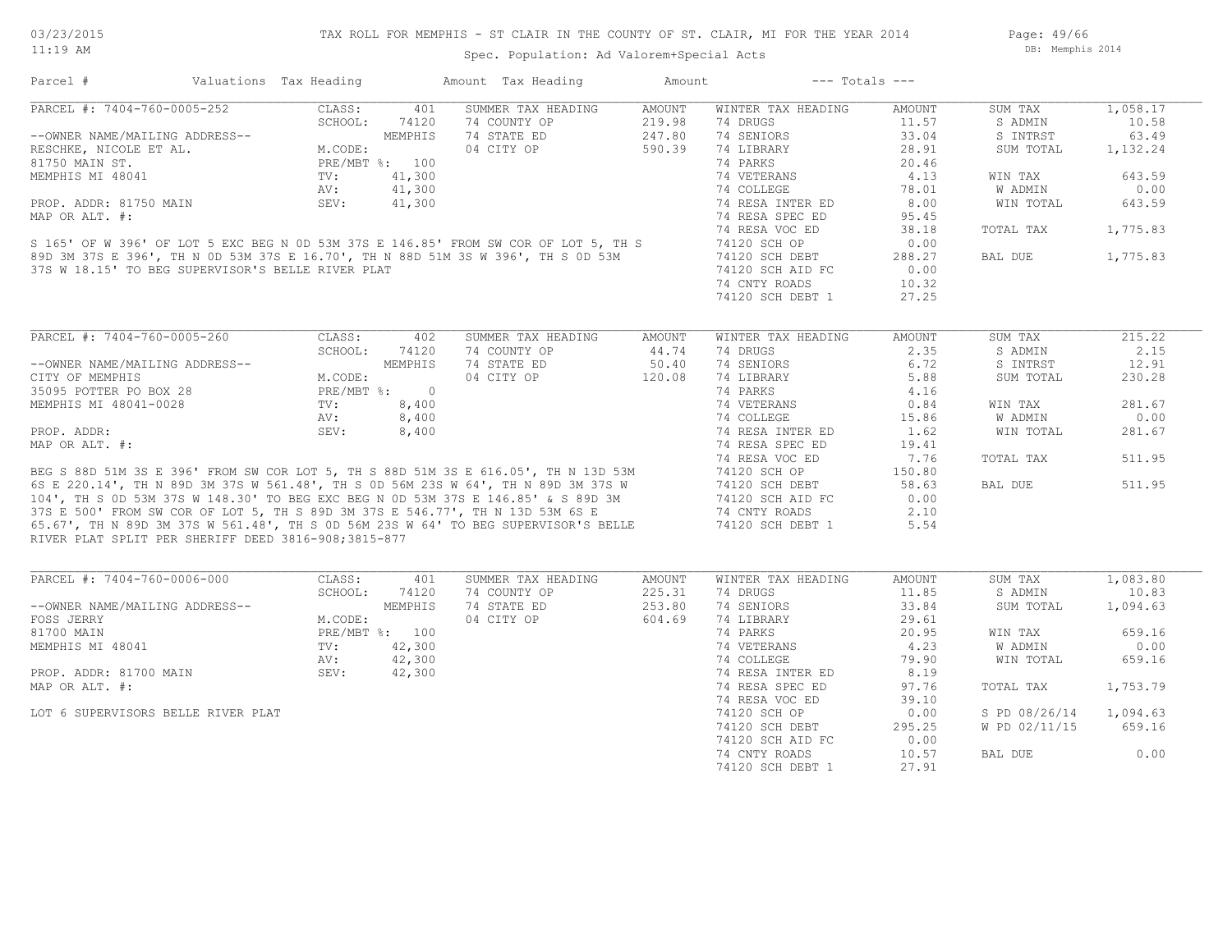Page: 49/66 DB: Memphis 2014

| PARCEL #: 7404-760-0005-252<br>CLASS:<br>401<br>SUMMER TAX HEADING<br>AMOUNT<br>WINTER TAX HEADING<br>AMOUNT<br>SUM TAX<br>74 COUNTY OP<br>74 DRUGS<br>11.57<br>SCHOOL:<br>74120<br>219.98<br>S ADMIN<br>74 STATE ED<br>247.80<br>74 SENIORS<br>33.04<br>63.49<br>--OWNER NAME/MAILING ADDRESS--<br>S INTRST<br>M.CODE:<br>M.CODE:<br>PRE/MBT %: 100<br>TV.<br>04 CITY OP<br>590.39<br>74 LIBRARY<br>28.91<br>SUM TOTAL<br>1,132.24<br>74 PARKS<br>20.46<br>4.13<br>643.59<br>74 VETERANS<br>WIN TAX<br>41,300<br>74 COLLEGE<br>78.01<br><b>W ADMIN</b><br>0.00<br>AV:<br>41,300<br>8.00<br>WIN TOTAL<br>643.59<br>SEV:<br>74 RESA INTER ED<br>74 RESA SPEC ED<br>95.45<br>1,775.83<br>74 RESA VOC ED<br>38.18<br>TOTAL TAX<br>S 165' OF W 396' OF LOT 5 EXC BEG N OD 53M 37S E 146.85' FROM SW COR OF LOT 5, TH S<br>89D 3M 37S E 396', TH N OD 53M 37S E 16.70', TH N 88D 51M 3S W 396', TH S OD 53M<br>74120 SCH OP<br>0.00<br>74120 SCH DEBT<br>288.27<br>BAL DUE<br>1,775.83<br>37S W 18.15' TO BEG SUPERVISOR'S BELLE RIVER PLAT<br>0.00<br>74120 SCH AID FC<br>74 CNTY ROADS<br>10.32<br>74120 SCH DEBT 1<br>27.25<br>PARCEL #: 7404-760-0005-260<br>CLASS:<br>215.22<br>402<br>SUMMER TAX HEADING<br>AMOUNT<br>WINTER TAX HEADING<br>AMOUNT<br>SUM TAX<br>SCHOOL:<br>74 COUNTY OP<br>44.74<br>2.35<br>74120<br>74 DRUGS<br>S ADMIN<br>2.15<br>--OWNER NAME/MAILING ADDRESS--<br>CITY OF MEMPHIS<br>35095 POTTER PO BOX 28<br>PRE/MBT %: 0<br>PRE/MBT %: 0<br>6.72<br>74 STATE ED<br>50.40<br>74 SENIORS<br>S INTRST<br>12.91<br>04 CITY OP<br>5.88<br>120.08<br>74 LIBRARY<br>230.28<br>SUM TOTAL<br>74 PARKS<br>4.16<br>8,400<br>74 VETERANS<br>0.84<br>281.67<br>MEMPHIS MI 48041-0028<br>$\operatorname{TV}$ :<br>WIN TAX<br>8,400<br>74 COLLEGE<br>15.86<br>W ADMIN<br>0.00<br>AV:<br>PROP. ADDR:<br>SEV:<br>8,400<br>74 RESA INTER ED<br>1.62<br>WIN TOTAL<br>281.67<br>MAP OR ALT. #:<br>74 RESA SPEC ED<br>19.41<br>74 RESA VOC ED<br>7.76<br>511.95<br>TOTAL TAX<br>BEG S 88D 51M 3S E 396' FROM SW COR LOT 5, TH S 88D 51M 3S E 616.05', TH N 13D 53M<br>6S E 220.14', TH N 89D 3M 37S W 561.48', TH S 0D 56M 23S W 64', TH N 89D 3M 37S W<br>104', TH S 0D 53M 37S W 148.30' TO BEG EXC BEG N 0D 53M 3<br>150.80<br>74120 SCH OP<br>511.95<br>74120 SCH DEBT<br>58.63<br>BAL DUE<br>74120 SCH AID FC<br>0.00<br>2.10<br>74 CNTY ROADS<br>74120 SCH DEBT 1<br>5.54<br>RIVER PLAT SPLIT PER SHERIFF DEED 3816-908;3815-877<br>PARCEL #: 7404-760-0006-000<br>CLASS:<br>401<br>SUMMER TAX HEADING<br>AMOUNT<br>WINTER TAX HEADING<br>AMOUNT<br>SUM TAX<br>74 COUNTY OP<br>SCHOOL:<br>74120<br>225.31<br>74 DRUGS<br>11.85<br>S ADMIN<br>253.80<br>MEMPHIS<br>74 STATE ED<br>74 SENIORS<br>33.84<br>SUM TOTAL<br>1,094.63<br>--OWNER NAME/MAILING ADDRESS--<br>M.CODE:<br>04 CITY OP<br>604.69<br>74 LIBRARY<br>FOSS JERRY<br>29.61<br>PRE/MBT %: 100<br>74 PARKS<br>659.16<br>81700 MAIN<br>20.95<br>WIN TAX<br>4.23<br>W ADMIN<br>0.00<br>MEMPHIS MI 48041<br>TV:<br>42,300<br>74 VETERANS<br>$300$<br>$300$<br>$300$<br>AV:<br>42,300<br>74 COLLEGE<br>79.90<br>WIN TOTAL<br>659.16<br>PROP. ADDR: 81700 MAIN<br>SEV:<br>42,300<br>8.19<br>74 RESA INTER ED<br>74 RESA SPEC ED<br>97.76<br>TOTAL TAX<br>1,753.79<br>74 RESA VOC ED<br>39.10<br>74120 SCH OP<br>0.00<br>S PD 08/26/14<br>1,094.63<br>LOT 6 SUPERVISORS BELLE RIVER PLAT<br>295.25<br>W PD 02/11/15<br>659.16<br>74120 SCH DEBT<br>74120 SCH AID FC<br>0.00<br>0.00<br>74 CNTY ROADS<br>10.57<br>BAL DUE<br>74120 SCH DEBT 1<br>27.91 | Parcel #               | Valuations Tax Heading | Amount Tax Heading | Amount | $---$ Totals $---$ |          |
|----------------------------------------------------------------------------------------------------------------------------------------------------------------------------------------------------------------------------------------------------------------------------------------------------------------------------------------------------------------------------------------------------------------------------------------------------------------------------------------------------------------------------------------------------------------------------------------------------------------------------------------------------------------------------------------------------------------------------------------------------------------------------------------------------------------------------------------------------------------------------------------------------------------------------------------------------------------------------------------------------------------------------------------------------------------------------------------------------------------------------------------------------------------------------------------------------------------------------------------------------------------------------------------------------------------------------------------------------------------------------------------------------------------------------------------------------------------------------------------------------------------------------------------------------------------------------------------------------------------------------------------------------------------------------------------------------------------------------------------------------------------------------------------------------------------------------------------------------------------------------------------------------------------------------------------------------------------------------------------------------------------------------------------------------------------------------------------------------------------------------------------------------------------------------------------------------------------------------------------------------------------------------------------------------------------------------------------------------------------------------------------------------------------------------------------------------------------------------------------------------------------------------------------------------------------------------------------------------------------------------------------------------------------------------------------------------------------------------------------------------------------------------------------------------------------------------------------------------------------------------------------------------------------------------------------------------------------------------------------------------------------------------------------------------------------------------------------------------------------------------------------------------------------------------------------------------------------------------------------------------------------------------------------------------------------------------------------------------------------------------------------------------------------------------------------------------------------------------------------------------------------------|------------------------|------------------------|--------------------|--------|--------------------|----------|
| 10.58<br>1,083.80<br>10.83                                                                                                                                                                                                                                                                                                                                                                                                                                                                                                                                                                                                                                                                                                                                                                                                                                                                                                                                                                                                                                                                                                                                                                                                                                                                                                                                                                                                                                                                                                                                                                                                                                                                                                                                                                                                                                                                                                                                                                                                                                                                                                                                                                                                                                                                                                                                                                                                                                                                                                                                                                                                                                                                                                                                                                                                                                                                                                                                                                                                                                                                                                                                                                                                                                                                                                                                                                                                                                                                                           |                        |                        |                    |        |                    | 1,058.17 |
|                                                                                                                                                                                                                                                                                                                                                                                                                                                                                                                                                                                                                                                                                                                                                                                                                                                                                                                                                                                                                                                                                                                                                                                                                                                                                                                                                                                                                                                                                                                                                                                                                                                                                                                                                                                                                                                                                                                                                                                                                                                                                                                                                                                                                                                                                                                                                                                                                                                                                                                                                                                                                                                                                                                                                                                                                                                                                                                                                                                                                                                                                                                                                                                                                                                                                                                                                                                                                                                                                                                      |                        |                        |                    |        |                    |          |
|                                                                                                                                                                                                                                                                                                                                                                                                                                                                                                                                                                                                                                                                                                                                                                                                                                                                                                                                                                                                                                                                                                                                                                                                                                                                                                                                                                                                                                                                                                                                                                                                                                                                                                                                                                                                                                                                                                                                                                                                                                                                                                                                                                                                                                                                                                                                                                                                                                                                                                                                                                                                                                                                                                                                                                                                                                                                                                                                                                                                                                                                                                                                                                                                                                                                                                                                                                                                                                                                                                                      |                        |                        |                    |        |                    |          |
|                                                                                                                                                                                                                                                                                                                                                                                                                                                                                                                                                                                                                                                                                                                                                                                                                                                                                                                                                                                                                                                                                                                                                                                                                                                                                                                                                                                                                                                                                                                                                                                                                                                                                                                                                                                                                                                                                                                                                                                                                                                                                                                                                                                                                                                                                                                                                                                                                                                                                                                                                                                                                                                                                                                                                                                                                                                                                                                                                                                                                                                                                                                                                                                                                                                                                                                                                                                                                                                                                                                      | RESCHKE, NICOLE ET AL. |                        |                    |        |                    |          |
|                                                                                                                                                                                                                                                                                                                                                                                                                                                                                                                                                                                                                                                                                                                                                                                                                                                                                                                                                                                                                                                                                                                                                                                                                                                                                                                                                                                                                                                                                                                                                                                                                                                                                                                                                                                                                                                                                                                                                                                                                                                                                                                                                                                                                                                                                                                                                                                                                                                                                                                                                                                                                                                                                                                                                                                                                                                                                                                                                                                                                                                                                                                                                                                                                                                                                                                                                                                                                                                                                                                      | 81750 MAIN ST.         |                        |                    |        |                    |          |
|                                                                                                                                                                                                                                                                                                                                                                                                                                                                                                                                                                                                                                                                                                                                                                                                                                                                                                                                                                                                                                                                                                                                                                                                                                                                                                                                                                                                                                                                                                                                                                                                                                                                                                                                                                                                                                                                                                                                                                                                                                                                                                                                                                                                                                                                                                                                                                                                                                                                                                                                                                                                                                                                                                                                                                                                                                                                                                                                                                                                                                                                                                                                                                                                                                                                                                                                                                                                                                                                                                                      | MEMPHIS MI 48041       |                        |                    |        |                    |          |
|                                                                                                                                                                                                                                                                                                                                                                                                                                                                                                                                                                                                                                                                                                                                                                                                                                                                                                                                                                                                                                                                                                                                                                                                                                                                                                                                                                                                                                                                                                                                                                                                                                                                                                                                                                                                                                                                                                                                                                                                                                                                                                                                                                                                                                                                                                                                                                                                                                                                                                                                                                                                                                                                                                                                                                                                                                                                                                                                                                                                                                                                                                                                                                                                                                                                                                                                                                                                                                                                                                                      |                        |                        |                    |        |                    |          |
|                                                                                                                                                                                                                                                                                                                                                                                                                                                                                                                                                                                                                                                                                                                                                                                                                                                                                                                                                                                                                                                                                                                                                                                                                                                                                                                                                                                                                                                                                                                                                                                                                                                                                                                                                                                                                                                                                                                                                                                                                                                                                                                                                                                                                                                                                                                                                                                                                                                                                                                                                                                                                                                                                                                                                                                                                                                                                                                                                                                                                                                                                                                                                                                                                                                                                                                                                                                                                                                                                                                      | PROP. ADDR: 81750 MAIN |                        |                    |        |                    |          |
|                                                                                                                                                                                                                                                                                                                                                                                                                                                                                                                                                                                                                                                                                                                                                                                                                                                                                                                                                                                                                                                                                                                                                                                                                                                                                                                                                                                                                                                                                                                                                                                                                                                                                                                                                                                                                                                                                                                                                                                                                                                                                                                                                                                                                                                                                                                                                                                                                                                                                                                                                                                                                                                                                                                                                                                                                                                                                                                                                                                                                                                                                                                                                                                                                                                                                                                                                                                                                                                                                                                      | MAP OR ALT. #:         |                        |                    |        |                    |          |
|                                                                                                                                                                                                                                                                                                                                                                                                                                                                                                                                                                                                                                                                                                                                                                                                                                                                                                                                                                                                                                                                                                                                                                                                                                                                                                                                                                                                                                                                                                                                                                                                                                                                                                                                                                                                                                                                                                                                                                                                                                                                                                                                                                                                                                                                                                                                                                                                                                                                                                                                                                                                                                                                                                                                                                                                                                                                                                                                                                                                                                                                                                                                                                                                                                                                                                                                                                                                                                                                                                                      |                        |                        |                    |        |                    |          |
|                                                                                                                                                                                                                                                                                                                                                                                                                                                                                                                                                                                                                                                                                                                                                                                                                                                                                                                                                                                                                                                                                                                                                                                                                                                                                                                                                                                                                                                                                                                                                                                                                                                                                                                                                                                                                                                                                                                                                                                                                                                                                                                                                                                                                                                                                                                                                                                                                                                                                                                                                                                                                                                                                                                                                                                                                                                                                                                                                                                                                                                                                                                                                                                                                                                                                                                                                                                                                                                                                                                      |                        |                        |                    |        |                    |          |
|                                                                                                                                                                                                                                                                                                                                                                                                                                                                                                                                                                                                                                                                                                                                                                                                                                                                                                                                                                                                                                                                                                                                                                                                                                                                                                                                                                                                                                                                                                                                                                                                                                                                                                                                                                                                                                                                                                                                                                                                                                                                                                                                                                                                                                                                                                                                                                                                                                                                                                                                                                                                                                                                                                                                                                                                                                                                                                                                                                                                                                                                                                                                                                                                                                                                                                                                                                                                                                                                                                                      |                        |                        |                    |        |                    |          |
|                                                                                                                                                                                                                                                                                                                                                                                                                                                                                                                                                                                                                                                                                                                                                                                                                                                                                                                                                                                                                                                                                                                                                                                                                                                                                                                                                                                                                                                                                                                                                                                                                                                                                                                                                                                                                                                                                                                                                                                                                                                                                                                                                                                                                                                                                                                                                                                                                                                                                                                                                                                                                                                                                                                                                                                                                                                                                                                                                                                                                                                                                                                                                                                                                                                                                                                                                                                                                                                                                                                      |                        |                        |                    |        |                    |          |
|                                                                                                                                                                                                                                                                                                                                                                                                                                                                                                                                                                                                                                                                                                                                                                                                                                                                                                                                                                                                                                                                                                                                                                                                                                                                                                                                                                                                                                                                                                                                                                                                                                                                                                                                                                                                                                                                                                                                                                                                                                                                                                                                                                                                                                                                                                                                                                                                                                                                                                                                                                                                                                                                                                                                                                                                                                                                                                                                                                                                                                                                                                                                                                                                                                                                                                                                                                                                                                                                                                                      |                        |                        |                    |        |                    |          |
|                                                                                                                                                                                                                                                                                                                                                                                                                                                                                                                                                                                                                                                                                                                                                                                                                                                                                                                                                                                                                                                                                                                                                                                                                                                                                                                                                                                                                                                                                                                                                                                                                                                                                                                                                                                                                                                                                                                                                                                                                                                                                                                                                                                                                                                                                                                                                                                                                                                                                                                                                                                                                                                                                                                                                                                                                                                                                                                                                                                                                                                                                                                                                                                                                                                                                                                                                                                                                                                                                                                      |                        |                        |                    |        |                    |          |
|                                                                                                                                                                                                                                                                                                                                                                                                                                                                                                                                                                                                                                                                                                                                                                                                                                                                                                                                                                                                                                                                                                                                                                                                                                                                                                                                                                                                                                                                                                                                                                                                                                                                                                                                                                                                                                                                                                                                                                                                                                                                                                                                                                                                                                                                                                                                                                                                                                                                                                                                                                                                                                                                                                                                                                                                                                                                                                                                                                                                                                                                                                                                                                                                                                                                                                                                                                                                                                                                                                                      |                        |                        |                    |        |                    |          |
|                                                                                                                                                                                                                                                                                                                                                                                                                                                                                                                                                                                                                                                                                                                                                                                                                                                                                                                                                                                                                                                                                                                                                                                                                                                                                                                                                                                                                                                                                                                                                                                                                                                                                                                                                                                                                                                                                                                                                                                                                                                                                                                                                                                                                                                                                                                                                                                                                                                                                                                                                                                                                                                                                                                                                                                                                                                                                                                                                                                                                                                                                                                                                                                                                                                                                                                                                                                                                                                                                                                      |                        |                        |                    |        |                    |          |
|                                                                                                                                                                                                                                                                                                                                                                                                                                                                                                                                                                                                                                                                                                                                                                                                                                                                                                                                                                                                                                                                                                                                                                                                                                                                                                                                                                                                                                                                                                                                                                                                                                                                                                                                                                                                                                                                                                                                                                                                                                                                                                                                                                                                                                                                                                                                                                                                                                                                                                                                                                                                                                                                                                                                                                                                                                                                                                                                                                                                                                                                                                                                                                                                                                                                                                                                                                                                                                                                                                                      |                        |                        |                    |        |                    |          |
|                                                                                                                                                                                                                                                                                                                                                                                                                                                                                                                                                                                                                                                                                                                                                                                                                                                                                                                                                                                                                                                                                                                                                                                                                                                                                                                                                                                                                                                                                                                                                                                                                                                                                                                                                                                                                                                                                                                                                                                                                                                                                                                                                                                                                                                                                                                                                                                                                                                                                                                                                                                                                                                                                                                                                                                                                                                                                                                                                                                                                                                                                                                                                                                                                                                                                                                                                                                                                                                                                                                      |                        |                        |                    |        |                    |          |
|                                                                                                                                                                                                                                                                                                                                                                                                                                                                                                                                                                                                                                                                                                                                                                                                                                                                                                                                                                                                                                                                                                                                                                                                                                                                                                                                                                                                                                                                                                                                                                                                                                                                                                                                                                                                                                                                                                                                                                                                                                                                                                                                                                                                                                                                                                                                                                                                                                                                                                                                                                                                                                                                                                                                                                                                                                                                                                                                                                                                                                                                                                                                                                                                                                                                                                                                                                                                                                                                                                                      |                        |                        |                    |        |                    |          |
|                                                                                                                                                                                                                                                                                                                                                                                                                                                                                                                                                                                                                                                                                                                                                                                                                                                                                                                                                                                                                                                                                                                                                                                                                                                                                                                                                                                                                                                                                                                                                                                                                                                                                                                                                                                                                                                                                                                                                                                                                                                                                                                                                                                                                                                                                                                                                                                                                                                                                                                                                                                                                                                                                                                                                                                                                                                                                                                                                                                                                                                                                                                                                                                                                                                                                                                                                                                                                                                                                                                      |                        |                        |                    |        |                    |          |
|                                                                                                                                                                                                                                                                                                                                                                                                                                                                                                                                                                                                                                                                                                                                                                                                                                                                                                                                                                                                                                                                                                                                                                                                                                                                                                                                                                                                                                                                                                                                                                                                                                                                                                                                                                                                                                                                                                                                                                                                                                                                                                                                                                                                                                                                                                                                                                                                                                                                                                                                                                                                                                                                                                                                                                                                                                                                                                                                                                                                                                                                                                                                                                                                                                                                                                                                                                                                                                                                                                                      |                        |                        |                    |        |                    |          |
|                                                                                                                                                                                                                                                                                                                                                                                                                                                                                                                                                                                                                                                                                                                                                                                                                                                                                                                                                                                                                                                                                                                                                                                                                                                                                                                                                                                                                                                                                                                                                                                                                                                                                                                                                                                                                                                                                                                                                                                                                                                                                                                                                                                                                                                                                                                                                                                                                                                                                                                                                                                                                                                                                                                                                                                                                                                                                                                                                                                                                                                                                                                                                                                                                                                                                                                                                                                                                                                                                                                      |                        |                        |                    |        |                    |          |
|                                                                                                                                                                                                                                                                                                                                                                                                                                                                                                                                                                                                                                                                                                                                                                                                                                                                                                                                                                                                                                                                                                                                                                                                                                                                                                                                                                                                                                                                                                                                                                                                                                                                                                                                                                                                                                                                                                                                                                                                                                                                                                                                                                                                                                                                                                                                                                                                                                                                                                                                                                                                                                                                                                                                                                                                                                                                                                                                                                                                                                                                                                                                                                                                                                                                                                                                                                                                                                                                                                                      |                        |                        |                    |        |                    |          |
|                                                                                                                                                                                                                                                                                                                                                                                                                                                                                                                                                                                                                                                                                                                                                                                                                                                                                                                                                                                                                                                                                                                                                                                                                                                                                                                                                                                                                                                                                                                                                                                                                                                                                                                                                                                                                                                                                                                                                                                                                                                                                                                                                                                                                                                                                                                                                                                                                                                                                                                                                                                                                                                                                                                                                                                                                                                                                                                                                                                                                                                                                                                                                                                                                                                                                                                                                                                                                                                                                                                      |                        |                        |                    |        |                    |          |
|                                                                                                                                                                                                                                                                                                                                                                                                                                                                                                                                                                                                                                                                                                                                                                                                                                                                                                                                                                                                                                                                                                                                                                                                                                                                                                                                                                                                                                                                                                                                                                                                                                                                                                                                                                                                                                                                                                                                                                                                                                                                                                                                                                                                                                                                                                                                                                                                                                                                                                                                                                                                                                                                                                                                                                                                                                                                                                                                                                                                                                                                                                                                                                                                                                                                                                                                                                                                                                                                                                                      |                        |                        |                    |        |                    |          |
|                                                                                                                                                                                                                                                                                                                                                                                                                                                                                                                                                                                                                                                                                                                                                                                                                                                                                                                                                                                                                                                                                                                                                                                                                                                                                                                                                                                                                                                                                                                                                                                                                                                                                                                                                                                                                                                                                                                                                                                                                                                                                                                                                                                                                                                                                                                                                                                                                                                                                                                                                                                                                                                                                                                                                                                                                                                                                                                                                                                                                                                                                                                                                                                                                                                                                                                                                                                                                                                                                                                      |                        |                        |                    |        |                    |          |
|                                                                                                                                                                                                                                                                                                                                                                                                                                                                                                                                                                                                                                                                                                                                                                                                                                                                                                                                                                                                                                                                                                                                                                                                                                                                                                                                                                                                                                                                                                                                                                                                                                                                                                                                                                                                                                                                                                                                                                                                                                                                                                                                                                                                                                                                                                                                                                                                                                                                                                                                                                                                                                                                                                                                                                                                                                                                                                                                                                                                                                                                                                                                                                                                                                                                                                                                                                                                                                                                                                                      |                        |                        |                    |        |                    |          |
|                                                                                                                                                                                                                                                                                                                                                                                                                                                                                                                                                                                                                                                                                                                                                                                                                                                                                                                                                                                                                                                                                                                                                                                                                                                                                                                                                                                                                                                                                                                                                                                                                                                                                                                                                                                                                                                                                                                                                                                                                                                                                                                                                                                                                                                                                                                                                                                                                                                                                                                                                                                                                                                                                                                                                                                                                                                                                                                                                                                                                                                                                                                                                                                                                                                                                                                                                                                                                                                                                                                      |                        |                        |                    |        |                    |          |
|                                                                                                                                                                                                                                                                                                                                                                                                                                                                                                                                                                                                                                                                                                                                                                                                                                                                                                                                                                                                                                                                                                                                                                                                                                                                                                                                                                                                                                                                                                                                                                                                                                                                                                                                                                                                                                                                                                                                                                                                                                                                                                                                                                                                                                                                                                                                                                                                                                                                                                                                                                                                                                                                                                                                                                                                                                                                                                                                                                                                                                                                                                                                                                                                                                                                                                                                                                                                                                                                                                                      |                        |                        |                    |        |                    |          |
|                                                                                                                                                                                                                                                                                                                                                                                                                                                                                                                                                                                                                                                                                                                                                                                                                                                                                                                                                                                                                                                                                                                                                                                                                                                                                                                                                                                                                                                                                                                                                                                                                                                                                                                                                                                                                                                                                                                                                                                                                                                                                                                                                                                                                                                                                                                                                                                                                                                                                                                                                                                                                                                                                                                                                                                                                                                                                                                                                                                                                                                                                                                                                                                                                                                                                                                                                                                                                                                                                                                      |                        |                        |                    |        |                    |          |
|                                                                                                                                                                                                                                                                                                                                                                                                                                                                                                                                                                                                                                                                                                                                                                                                                                                                                                                                                                                                                                                                                                                                                                                                                                                                                                                                                                                                                                                                                                                                                                                                                                                                                                                                                                                                                                                                                                                                                                                                                                                                                                                                                                                                                                                                                                                                                                                                                                                                                                                                                                                                                                                                                                                                                                                                                                                                                                                                                                                                                                                                                                                                                                                                                                                                                                                                                                                                                                                                                                                      |                        |                        |                    |        |                    |          |
|                                                                                                                                                                                                                                                                                                                                                                                                                                                                                                                                                                                                                                                                                                                                                                                                                                                                                                                                                                                                                                                                                                                                                                                                                                                                                                                                                                                                                                                                                                                                                                                                                                                                                                                                                                                                                                                                                                                                                                                                                                                                                                                                                                                                                                                                                                                                                                                                                                                                                                                                                                                                                                                                                                                                                                                                                                                                                                                                                                                                                                                                                                                                                                                                                                                                                                                                                                                                                                                                                                                      |                        |                        |                    |        |                    |          |
|                                                                                                                                                                                                                                                                                                                                                                                                                                                                                                                                                                                                                                                                                                                                                                                                                                                                                                                                                                                                                                                                                                                                                                                                                                                                                                                                                                                                                                                                                                                                                                                                                                                                                                                                                                                                                                                                                                                                                                                                                                                                                                                                                                                                                                                                                                                                                                                                                                                                                                                                                                                                                                                                                                                                                                                                                                                                                                                                                                                                                                                                                                                                                                                                                                                                                                                                                                                                                                                                                                                      |                        |                        |                    |        |                    |          |
|                                                                                                                                                                                                                                                                                                                                                                                                                                                                                                                                                                                                                                                                                                                                                                                                                                                                                                                                                                                                                                                                                                                                                                                                                                                                                                                                                                                                                                                                                                                                                                                                                                                                                                                                                                                                                                                                                                                                                                                                                                                                                                                                                                                                                                                                                                                                                                                                                                                                                                                                                                                                                                                                                                                                                                                                                                                                                                                                                                                                                                                                                                                                                                                                                                                                                                                                                                                                                                                                                                                      |                        |                        |                    |        |                    |          |
|                                                                                                                                                                                                                                                                                                                                                                                                                                                                                                                                                                                                                                                                                                                                                                                                                                                                                                                                                                                                                                                                                                                                                                                                                                                                                                                                                                                                                                                                                                                                                                                                                                                                                                                                                                                                                                                                                                                                                                                                                                                                                                                                                                                                                                                                                                                                                                                                                                                                                                                                                                                                                                                                                                                                                                                                                                                                                                                                                                                                                                                                                                                                                                                                                                                                                                                                                                                                                                                                                                                      |                        |                        |                    |        |                    |          |
|                                                                                                                                                                                                                                                                                                                                                                                                                                                                                                                                                                                                                                                                                                                                                                                                                                                                                                                                                                                                                                                                                                                                                                                                                                                                                                                                                                                                                                                                                                                                                                                                                                                                                                                                                                                                                                                                                                                                                                                                                                                                                                                                                                                                                                                                                                                                                                                                                                                                                                                                                                                                                                                                                                                                                                                                                                                                                                                                                                                                                                                                                                                                                                                                                                                                                                                                                                                                                                                                                                                      |                        |                        |                    |        |                    |          |
|                                                                                                                                                                                                                                                                                                                                                                                                                                                                                                                                                                                                                                                                                                                                                                                                                                                                                                                                                                                                                                                                                                                                                                                                                                                                                                                                                                                                                                                                                                                                                                                                                                                                                                                                                                                                                                                                                                                                                                                                                                                                                                                                                                                                                                                                                                                                                                                                                                                                                                                                                                                                                                                                                                                                                                                                                                                                                                                                                                                                                                                                                                                                                                                                                                                                                                                                                                                                                                                                                                                      |                        |                        |                    |        |                    |          |
|                                                                                                                                                                                                                                                                                                                                                                                                                                                                                                                                                                                                                                                                                                                                                                                                                                                                                                                                                                                                                                                                                                                                                                                                                                                                                                                                                                                                                                                                                                                                                                                                                                                                                                                                                                                                                                                                                                                                                                                                                                                                                                                                                                                                                                                                                                                                                                                                                                                                                                                                                                                                                                                                                                                                                                                                                                                                                                                                                                                                                                                                                                                                                                                                                                                                                                                                                                                                                                                                                                                      |                        |                        |                    |        |                    |          |
|                                                                                                                                                                                                                                                                                                                                                                                                                                                                                                                                                                                                                                                                                                                                                                                                                                                                                                                                                                                                                                                                                                                                                                                                                                                                                                                                                                                                                                                                                                                                                                                                                                                                                                                                                                                                                                                                                                                                                                                                                                                                                                                                                                                                                                                                                                                                                                                                                                                                                                                                                                                                                                                                                                                                                                                                                                                                                                                                                                                                                                                                                                                                                                                                                                                                                                                                                                                                                                                                                                                      |                        |                        |                    |        |                    |          |
|                                                                                                                                                                                                                                                                                                                                                                                                                                                                                                                                                                                                                                                                                                                                                                                                                                                                                                                                                                                                                                                                                                                                                                                                                                                                                                                                                                                                                                                                                                                                                                                                                                                                                                                                                                                                                                                                                                                                                                                                                                                                                                                                                                                                                                                                                                                                                                                                                                                                                                                                                                                                                                                                                                                                                                                                                                                                                                                                                                                                                                                                                                                                                                                                                                                                                                                                                                                                                                                                                                                      |                        |                        |                    |        |                    |          |
|                                                                                                                                                                                                                                                                                                                                                                                                                                                                                                                                                                                                                                                                                                                                                                                                                                                                                                                                                                                                                                                                                                                                                                                                                                                                                                                                                                                                                                                                                                                                                                                                                                                                                                                                                                                                                                                                                                                                                                                                                                                                                                                                                                                                                                                                                                                                                                                                                                                                                                                                                                                                                                                                                                                                                                                                                                                                                                                                                                                                                                                                                                                                                                                                                                                                                                                                                                                                                                                                                                                      |                        |                        |                    |        |                    |          |
|                                                                                                                                                                                                                                                                                                                                                                                                                                                                                                                                                                                                                                                                                                                                                                                                                                                                                                                                                                                                                                                                                                                                                                                                                                                                                                                                                                                                                                                                                                                                                                                                                                                                                                                                                                                                                                                                                                                                                                                                                                                                                                                                                                                                                                                                                                                                                                                                                                                                                                                                                                                                                                                                                                                                                                                                                                                                                                                                                                                                                                                                                                                                                                                                                                                                                                                                                                                                                                                                                                                      | MAP OR ALT. #:         |                        |                    |        |                    |          |
|                                                                                                                                                                                                                                                                                                                                                                                                                                                                                                                                                                                                                                                                                                                                                                                                                                                                                                                                                                                                                                                                                                                                                                                                                                                                                                                                                                                                                                                                                                                                                                                                                                                                                                                                                                                                                                                                                                                                                                                                                                                                                                                                                                                                                                                                                                                                                                                                                                                                                                                                                                                                                                                                                                                                                                                                                                                                                                                                                                                                                                                                                                                                                                                                                                                                                                                                                                                                                                                                                                                      |                        |                        |                    |        |                    |          |
|                                                                                                                                                                                                                                                                                                                                                                                                                                                                                                                                                                                                                                                                                                                                                                                                                                                                                                                                                                                                                                                                                                                                                                                                                                                                                                                                                                                                                                                                                                                                                                                                                                                                                                                                                                                                                                                                                                                                                                                                                                                                                                                                                                                                                                                                                                                                                                                                                                                                                                                                                                                                                                                                                                                                                                                                                                                                                                                                                                                                                                                                                                                                                                                                                                                                                                                                                                                                                                                                                                                      |                        |                        |                    |        |                    |          |
|                                                                                                                                                                                                                                                                                                                                                                                                                                                                                                                                                                                                                                                                                                                                                                                                                                                                                                                                                                                                                                                                                                                                                                                                                                                                                                                                                                                                                                                                                                                                                                                                                                                                                                                                                                                                                                                                                                                                                                                                                                                                                                                                                                                                                                                                                                                                                                                                                                                                                                                                                                                                                                                                                                                                                                                                                                                                                                                                                                                                                                                                                                                                                                                                                                                                                                                                                                                                                                                                                                                      |                        |                        |                    |        |                    |          |
|                                                                                                                                                                                                                                                                                                                                                                                                                                                                                                                                                                                                                                                                                                                                                                                                                                                                                                                                                                                                                                                                                                                                                                                                                                                                                                                                                                                                                                                                                                                                                                                                                                                                                                                                                                                                                                                                                                                                                                                                                                                                                                                                                                                                                                                                                                                                                                                                                                                                                                                                                                                                                                                                                                                                                                                                                                                                                                                                                                                                                                                                                                                                                                                                                                                                                                                                                                                                                                                                                                                      |                        |                        |                    |        |                    |          |
|                                                                                                                                                                                                                                                                                                                                                                                                                                                                                                                                                                                                                                                                                                                                                                                                                                                                                                                                                                                                                                                                                                                                                                                                                                                                                                                                                                                                                                                                                                                                                                                                                                                                                                                                                                                                                                                                                                                                                                                                                                                                                                                                                                                                                                                                                                                                                                                                                                                                                                                                                                                                                                                                                                                                                                                                                                                                                                                                                                                                                                                                                                                                                                                                                                                                                                                                                                                                                                                                                                                      |                        |                        |                    |        |                    |          |
|                                                                                                                                                                                                                                                                                                                                                                                                                                                                                                                                                                                                                                                                                                                                                                                                                                                                                                                                                                                                                                                                                                                                                                                                                                                                                                                                                                                                                                                                                                                                                                                                                                                                                                                                                                                                                                                                                                                                                                                                                                                                                                                                                                                                                                                                                                                                                                                                                                                                                                                                                                                                                                                                                                                                                                                                                                                                                                                                                                                                                                                                                                                                                                                                                                                                                                                                                                                                                                                                                                                      |                        |                        |                    |        |                    |          |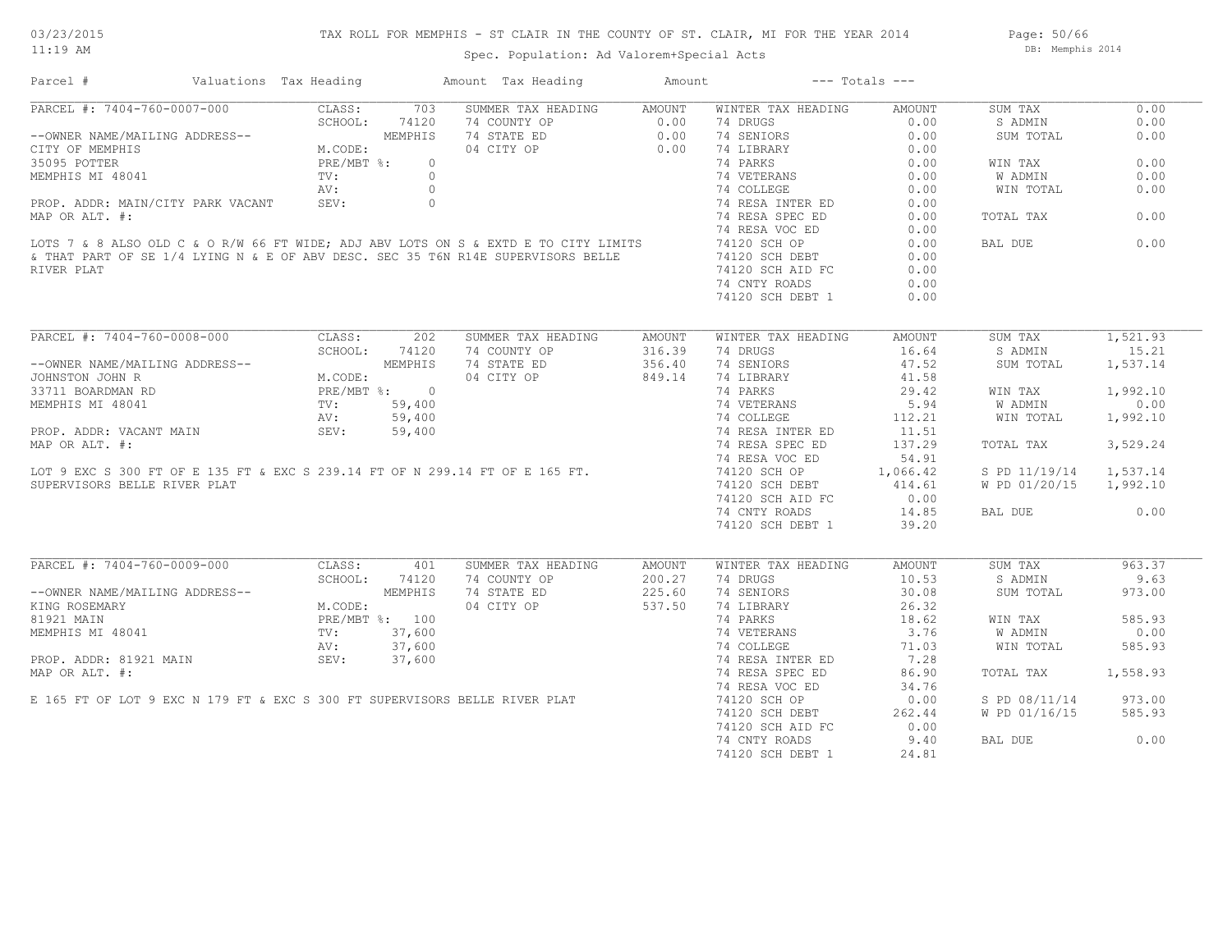# 03/23/2015

11:19 AM

Page: 50/66 DB: Memphis 2014

Spec. Population: Ad Valorem+Special Acts

| Parcel #                                                                                                                                                                                                                                                                                                                                                                                                                                                                                                                                                                                                                                             | Valuations Tax Heading |            | Amount Tax Heading                      | Amount | $---$ Totals $---$                           |               |                        |          |
|------------------------------------------------------------------------------------------------------------------------------------------------------------------------------------------------------------------------------------------------------------------------------------------------------------------------------------------------------------------------------------------------------------------------------------------------------------------------------------------------------------------------------------------------------------------------------------------------------------------------------------------------------|------------------------|------------|-----------------------------------------|--------|----------------------------------------------|---------------|------------------------|----------|
| PARCEL #: 7404-760-0007-000 CLASS: 703<br>--OWNER NAME/MAILING ADDRESS--<br>CITY OF MEMPHIS M.CODE: MEMPHIS<br>35095 POTTER PRE/MBT %: 0<br>MEMPHIS MI 48041 TV: 0<br>PRE/MBT %: 0<br>PRE/MBT %: 0<br>PRE/MBT %: 0<br>2010<br>$\begin{tabular}{l c c c c c} \hline \texttt{PANCER} & \#: 7404-760-0007-000 & \texttt{CLASS:} & 703 & \texttt{SUMMER TAX HEADING} & \texttt{AMOUNT} & \texttt{WINTER TAX HEADING} & \texttt{AMOUNT} \\ - & - & \texttt{OMNER} \texttt{NAME/MAILING} \texttt{ADDRESS--} & \texttt{MEDNENES} & 0.00 & 74 & \texttt{DRENORS} & 0.00 \\ \texttt{CITY OF MEMPHIS} & \texttt{M. CODE:} & \texttt{M. CODE:} & 0.00 & 74 & \$ |                        | 703        | SUMMER TAX HEADING AMOUNT               |        | WINTER TAX HEADING                           | AMOUNT        | SUM TAX                | 0.00     |
|                                                                                                                                                                                                                                                                                                                                                                                                                                                                                                                                                                                                                                                      |                        |            |                                         |        |                                              |               | S ADMIN                | 0.00     |
|                                                                                                                                                                                                                                                                                                                                                                                                                                                                                                                                                                                                                                                      |                        |            |                                         |        |                                              |               | SUM TOTAL              | 0.00     |
|                                                                                                                                                                                                                                                                                                                                                                                                                                                                                                                                                                                                                                                      |                        |            |                                         |        |                                              |               |                        |          |
|                                                                                                                                                                                                                                                                                                                                                                                                                                                                                                                                                                                                                                                      |                        |            |                                         |        |                                              |               | WIN TAX                | 0.00     |
|                                                                                                                                                                                                                                                                                                                                                                                                                                                                                                                                                                                                                                                      |                        |            |                                         |        |                                              |               | W ADMIN                | 0.00     |
|                                                                                                                                                                                                                                                                                                                                                                                                                                                                                                                                                                                                                                                      |                        |            |                                         |        |                                              |               | WIN TOTAL              | 0.00     |
|                                                                                                                                                                                                                                                                                                                                                                                                                                                                                                                                                                                                                                                      |                        |            |                                         |        |                                              |               |                        |          |
|                                                                                                                                                                                                                                                                                                                                                                                                                                                                                                                                                                                                                                                      |                        |            |                                         |        |                                              |               | TOTAL TAX              | 0.00     |
|                                                                                                                                                                                                                                                                                                                                                                                                                                                                                                                                                                                                                                                      |                        |            |                                         |        |                                              |               |                        |          |
|                                                                                                                                                                                                                                                                                                                                                                                                                                                                                                                                                                                                                                                      |                        |            |                                         |        |                                              |               | BAL DUE                | 0.00     |
|                                                                                                                                                                                                                                                                                                                                                                                                                                                                                                                                                                                                                                                      |                        |            |                                         |        |                                              |               |                        |          |
| RIVER PLAT                                                                                                                                                                                                                                                                                                                                                                                                                                                                                                                                                                                                                                           |                        |            |                                         |        | 74120 SCH AID FC                             | 0.00          |                        |          |
|                                                                                                                                                                                                                                                                                                                                                                                                                                                                                                                                                                                                                                                      |                        |            |                                         |        |                                              | 0.00          |                        |          |
|                                                                                                                                                                                                                                                                                                                                                                                                                                                                                                                                                                                                                                                      |                        |            |                                         |        | 74 CNTY ROADS                                |               |                        |          |
|                                                                                                                                                                                                                                                                                                                                                                                                                                                                                                                                                                                                                                                      |                        |            |                                         |        | 74120 SCH DEBT 1                             | 0.00          |                        |          |
| PARCEL #: 7404-760-0008-000<br>CLASS: 202<br>--OWNER NAME/MAILING ADDRESS--<br>JOHNSTON JOHN R<br>33711 BOARDMAN RD<br>MEMPHIS MI 48041<br>PROP. ADDR: VACANT MAIN<br>MEMPHIS MI 48041<br>PROP. ADDR: VACANT MAIN<br>MAR OR ATTRESS (29,400<br>PRO                                                                                                                                                                                                                                                                                                                                                                                                   |                        | 202        | SUMMER TAX HEADING                      | AMOUNT | WINTER TAX HEADING                           | AMOUNT        | SUM TAX                | 1,521.93 |
|                                                                                                                                                                                                                                                                                                                                                                                                                                                                                                                                                                                                                                                      |                        |            |                                         |        |                                              |               | S ADMIN                | 15.21    |
| $\begin{tabular}{l c c c c c} \multicolumn{1}{c}{\textbf{PACEL}} & $\ast$: $7404-760-0008-000$ & \multicolumn{1}{c}{\textbf{CLOS}}:\\ & $\texttt{SCHODRSE}$ & $\texttt{SCHODRSE}$ & $\texttt{MMOUNT} $\times$ & $\texttt{BADING}$ & $\texttt{AMODRSE}$\\ --oWNER NAME/MALIING ADDRESS-- & $\texttt{SEHOOL}:$ $74120$ & $74$ & $\texttt{COMPT} $\times$ & $74$ & $\texttt{SRIATE}$ & $16.64$ & $16.64$ & $16.64$ & $16$                                                                                                                                                                                                                               |                        |            |                                         |        |                                              |               | SUM TOTAL              | 1,537.14 |
|                                                                                                                                                                                                                                                                                                                                                                                                                                                                                                                                                                                                                                                      |                        |            |                                         |        |                                              |               |                        |          |
|                                                                                                                                                                                                                                                                                                                                                                                                                                                                                                                                                                                                                                                      |                        |            |                                         |        |                                              |               | WIN TAX                | 1,992.10 |
|                                                                                                                                                                                                                                                                                                                                                                                                                                                                                                                                                                                                                                                      |                        |            |                                         |        |                                              |               |                        |          |
|                                                                                                                                                                                                                                                                                                                                                                                                                                                                                                                                                                                                                                                      |                        |            |                                         |        |                                              |               | <b>W ADMIN</b>         | 0.00     |
|                                                                                                                                                                                                                                                                                                                                                                                                                                                                                                                                                                                                                                                      |                        |            |                                         |        |                                              |               | WIN TOTAL              | 1,992.10 |
|                                                                                                                                                                                                                                                                                                                                                                                                                                                                                                                                                                                                                                                      |                        |            |                                         |        |                                              |               |                        |          |
|                                                                                                                                                                                                                                                                                                                                                                                                                                                                                                                                                                                                                                                      |                        |            |                                         |        |                                              |               | TOTAL TAX              | 3,529.24 |
|                                                                                                                                                                                                                                                                                                                                                                                                                                                                                                                                                                                                                                                      |                        |            |                                         |        |                                              |               |                        |          |
|                                                                                                                                                                                                                                                                                                                                                                                                                                                                                                                                                                                                                                                      |                        |            |                                         |        |                                              |               | S PD 11/19/14 1,537.14 |          |
|                                                                                                                                                                                                                                                                                                                                                                                                                                                                                                                                                                                                                                                      |                        |            |                                         |        |                                              |               | W PD 01/20/15 1,992.10 |          |
|                                                                                                                                                                                                                                                                                                                                                                                                                                                                                                                                                                                                                                                      |                        |            |                                         |        |                                              |               |                        |          |
|                                                                                                                                                                                                                                                                                                                                                                                                                                                                                                                                                                                                                                                      |                        |            |                                         |        | 74120 SCH AID FC 0.00<br>74 CNTY ROADS 14.85 |               | BAL DUE                | 0.00     |
|                                                                                                                                                                                                                                                                                                                                                                                                                                                                                                                                                                                                                                                      |                        |            |                                         |        | 74120 SCH DEBT 1                             | 39.20         |                        |          |
|                                                                                                                                                                                                                                                                                                                                                                                                                                                                                                                                                                                                                                                      |                        |            |                                         |        |                                              |               |                        |          |
| PARCEL #: 7404-760-0009-000                                                                                                                                                                                                                                                                                                                                                                                                                                                                                                                                                                                                                          |                        | CLASS: 401 | SUMMER TAX HEADING                      | AMOUNT | WINTER TAX HEADING                           | <b>AMOUNT</b> | SUM TAX                | 963.37   |
| CHOOL: 74120<br>--OWNER NAME/MAILING ADDRESS--<br>KING ROSEMARY<br>81921 MAIN<br>MEMPHIS MI 48041<br>PRE/MBT %: 100<br>PROP. ADDR: 81921 MAIN<br>MEMPHIS MI 37,600<br>PROP. ADDR: 81921 MAIN<br>NERE (MBT %: 37,600<br>AV: 37,600<br>NERE (MBT %: 37                                                                                                                                                                                                                                                                                                                                                                                                 |                        |            | 74 COUNTY OP                            | 200.27 | 74 DRUGS                                     | 10.53         | S ADMIN                | 9.63     |
|                                                                                                                                                                                                                                                                                                                                                                                                                                                                                                                                                                                                                                                      |                        |            | 74 STATE ED 225.60<br>04 CITY OP 537.50 |        | 74 SENIORS                                   | 30.08         | SUM TOTAL              | 973.00   |
|                                                                                                                                                                                                                                                                                                                                                                                                                                                                                                                                                                                                                                                      |                        |            |                                         |        | 74 LIBRARY                                   | 26.32         |                        |          |
|                                                                                                                                                                                                                                                                                                                                                                                                                                                                                                                                                                                                                                                      |                        |            |                                         |        |                                              |               | WIN TAX                | 585.93   |
|                                                                                                                                                                                                                                                                                                                                                                                                                                                                                                                                                                                                                                                      |                        |            |                                         |        |                                              |               | W ADMIN                | 0.00     |
|                                                                                                                                                                                                                                                                                                                                                                                                                                                                                                                                                                                                                                                      |                        |            |                                         |        |                                              |               | WIN TOTAL              | 585.93   |
|                                                                                                                                                                                                                                                                                                                                                                                                                                                                                                                                                                                                                                                      |                        |            |                                         |        |                                              |               |                        |          |
|                                                                                                                                                                                                                                                                                                                                                                                                                                                                                                                                                                                                                                                      |                        |            |                                         |        | 74 RESA SPEC ED                              | 86.90         | TOTAL TAX              | 1,558.93 |
| 81921 MAIN<br>MEMPHIS MI 48041<br>MEMPHIS MI 48041<br>PROP. ADDR: 81921 MAIN<br>MAP OR ALT. #:<br>E 165 FT OF LOT 9 EXC N 179 FT & EXC S 300 FT SUPERVISORS BELLE RIVER PLAT                                                                                                                                                                                                                                                                                                                                                                                                                                                                         |                        |            |                                         |        | 74 RESA VOC ED 34.76                         |               |                        |          |
|                                                                                                                                                                                                                                                                                                                                                                                                                                                                                                                                                                                                                                                      |                        |            |                                         |        | 74120 SCH OP                                 | 0.00          | S PD 08/11/14 973.00   |          |
|                                                                                                                                                                                                                                                                                                                                                                                                                                                                                                                                                                                                                                                      |                        |            |                                         |        | 74120 SCH DEBT                               | 262.44        | W PD 01/16/15          | 585.93   |
|                                                                                                                                                                                                                                                                                                                                                                                                                                                                                                                                                                                                                                                      |                        |            |                                         |        | 74120 SCH AID FC                             | 0.00          |                        |          |
|                                                                                                                                                                                                                                                                                                                                                                                                                                                                                                                                                                                                                                                      |                        |            |                                         |        |                                              |               | BAL DUE                | 0.00     |
|                                                                                                                                                                                                                                                                                                                                                                                                                                                                                                                                                                                                                                                      |                        |            |                                         |        | 74 CNTY ROADS 9.40                           |               |                        |          |
|                                                                                                                                                                                                                                                                                                                                                                                                                                                                                                                                                                                                                                                      |                        |            |                                         |        | 74120 SCH DEBT 1                             | 24.81         |                        |          |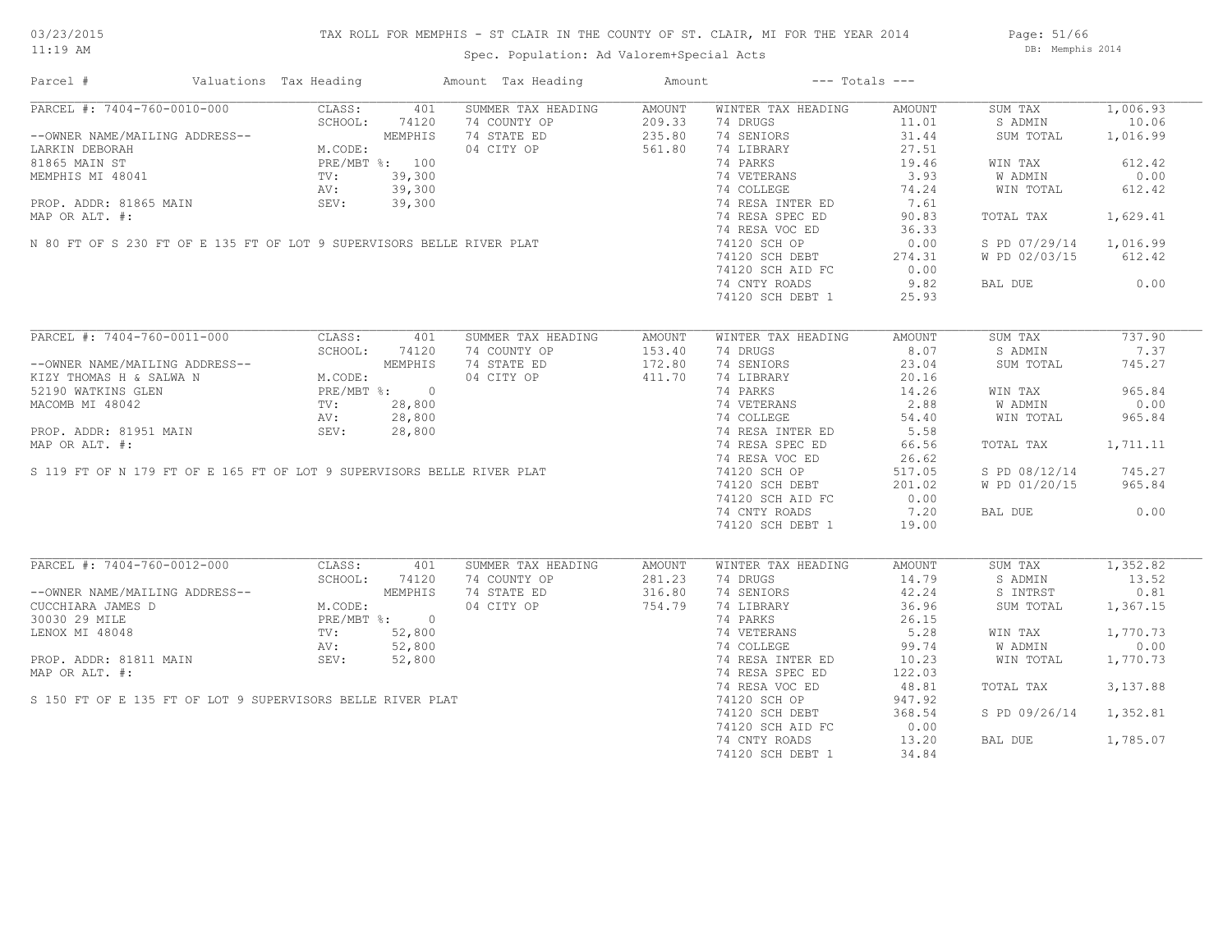# TAX ROLL FOR MEMPHIS - ST CLAIR IN THE COUNTY OF ST. CLAIR, MI FOR THE YEAR 2014

Spec. Population: Ad Valorem+Special Acts

Page: 51/66 DB: Memphis 2014

| Parcel #                                                                                                                                                                                                                                                                | Valuations Tax Heading                                                 |        | Amount Tax Heading                                                                                                                                                                                                        | Amount |                    | $---$ Totals $---$ |                |          |
|-------------------------------------------------------------------------------------------------------------------------------------------------------------------------------------------------------------------------------------------------------------------------|------------------------------------------------------------------------|--------|---------------------------------------------------------------------------------------------------------------------------------------------------------------------------------------------------------------------------|--------|--------------------|--------------------|----------------|----------|
| PARCEL #: 7404-760-0010-000<br>PARCEL #: 7404-700<br>--OWNER NAME/MAILING ADDRESS--<br>LARKIN DEBORAH ST<br>81865 MAIN ST<br>WECODE: PRE/MBT %: 100<br>PRE/MBT %: 100<br>TV: 39,300<br>AV: 39,300<br>PV: 39,300<br>PV: 39,300<br>PV: 39,300<br>PV: 39,300<br>PV: 39,300 | CLASS:                                                                 |        | SUMMER TAX HEADING                                                                                                                                                                                                        | AMOUNT | WINTER TAX HEADING | AMOUNT             | SUM TAX        | 1,006.93 |
|                                                                                                                                                                                                                                                                         |                                                                        |        | 74 COUNTY OP                                                                                                                                                                                                              | 209.33 | 74 DRUGS           | 11.01              | S ADMIN        | 10.06    |
|                                                                                                                                                                                                                                                                         |                                                                        |        | 74 STATE ED                                                                                                                                                                                                               | 235.80 | 74 SENIORS         | 31.44              | SUM TOTAL      | 1,016.99 |
|                                                                                                                                                                                                                                                                         |                                                                        |        | 04 CITY OP                                                                                                                                                                                                                | 561.80 | 74 LIBRARY         | 27.51              |                |          |
|                                                                                                                                                                                                                                                                         |                                                                        |        | LARKIN DEBORAH<br>81865 MAIN ST<br>MEMPHIS MI 48041<br>PROP. ADDR: 81865 MAIN AV: 39,300<br>PROP. ADDR: 81865 MAIN SEV: 39,300<br>MAP OR ALT. #:<br>N 80 FT OF S 230 FT OF E 135 FT OF LOT 9 SUPERVISORS BELLE RIVER PLAT |        | 74 PARKS           | 19.46              | WIN TAX        | 612.42   |
|                                                                                                                                                                                                                                                                         |                                                                        |        |                                                                                                                                                                                                                           |        | 74 VETERANS        | 3.93               | W ADMIN        | 0.00     |
|                                                                                                                                                                                                                                                                         |                                                                        |        |                                                                                                                                                                                                                           |        | 74 COLLEGE         | 74.24              | WIN TOTAL      | 612.42   |
|                                                                                                                                                                                                                                                                         |                                                                        |        |                                                                                                                                                                                                                           |        | 74 RESA INTER ED   | 7.61               |                |          |
|                                                                                                                                                                                                                                                                         |                                                                        |        |                                                                                                                                                                                                                           |        | 74 RESA SPEC ED    | 90.83              | TOTAL TAX      | 1,629.41 |
|                                                                                                                                                                                                                                                                         |                                                                        |        |                                                                                                                                                                                                                           |        |                    |                    |                |          |
|                                                                                                                                                                                                                                                                         |                                                                        |        |                                                                                                                                                                                                                           |        | 74 RESA VOC ED     | 36.33              |                |          |
|                                                                                                                                                                                                                                                                         |                                                                        |        |                                                                                                                                                                                                                           |        | 74120 SCH OP       | 0.00               | S PD 07/29/14  | 1,016.99 |
|                                                                                                                                                                                                                                                                         |                                                                        |        |                                                                                                                                                                                                                           |        | 74120 SCH DEBT     | 274.31             | W PD 02/03/15  | 612.42   |
|                                                                                                                                                                                                                                                                         |                                                                        |        |                                                                                                                                                                                                                           |        | 74120 SCH AID FC   | 0.00               |                |          |
|                                                                                                                                                                                                                                                                         |                                                                        |        |                                                                                                                                                                                                                           |        | 74 CNTY ROADS      | 9.82               | BAL DUE        | 0.00     |
|                                                                                                                                                                                                                                                                         |                                                                        |        |                                                                                                                                                                                                                           |        | 74120 SCH DEBT 1   | 25.93              |                |          |
|                                                                                                                                                                                                                                                                         |                                                                        |        |                                                                                                                                                                                                                           |        |                    |                    |                |          |
| ARCEL #: 7404-760-0011-<br>--OWNER NAME/MAILING ADDRESS--<br>KIZY THOMAS H & SALWA N M.CODE:<br>52190 WATKINS GLEN PRE/MBT %: 0<br>AV: 28,800<br>AV: 28,800<br>SEV: 28,800<br>SEV: 28,800<br>28,800<br>SEV: 28,800                                                      |                                                                        |        | SUMMER TAX HEADING                                                                                                                                                                                                        | AMOUNT | WINTER TAX HEADING | AMOUNT             | SUM TAX        | 737.90   |
|                                                                                                                                                                                                                                                                         |                                                                        |        | 74 COUNTY OP                                                                                                                                                                                                              | 153.40 | 74 DRUGS           | 8.07               | S ADMIN        | 7.37     |
|                                                                                                                                                                                                                                                                         |                                                                        |        | 74 STATE ED                                                                                                                                                                                                               | 172.80 | 74 SENIORS         | 23.04              | SUM TOTAL      | 745.27   |
|                                                                                                                                                                                                                                                                         |                                                                        |        |                                                                                                                                                                                                                           |        | 74 LIBRARY         | 20.16              |                |          |
|                                                                                                                                                                                                                                                                         |                                                                        |        | XILY THOMAS H & SALWA N<br>52190 WATKINS GLEN<br>MACOMB MI 48042<br>PROP. ADDR: 81951 MAIN<br>MAP OR ALT. #:<br>S 119 FT OF N 179 FT OF E 165 FT OF LOT 9 SUPERVISORS BELLE RIVER PLAT                                    |        |                    |                    |                |          |
|                                                                                                                                                                                                                                                                         |                                                                        |        |                                                                                                                                                                                                                           |        | 74 PARKS           | 14.26              | WIN TAX        | 965.84   |
|                                                                                                                                                                                                                                                                         |                                                                        |        |                                                                                                                                                                                                                           |        | 74 VETERANS        | 2.88               | W ADMIN        | 0.00     |
|                                                                                                                                                                                                                                                                         |                                                                        |        |                                                                                                                                                                                                                           |        | 74 COLLEGE         | 54.40              | WIN TOTAL      | 965.84   |
|                                                                                                                                                                                                                                                                         |                                                                        |        |                                                                                                                                                                                                                           |        | 74 RESA INTER ED   | 5.58               |                |          |
|                                                                                                                                                                                                                                                                         |                                                                        |        |                                                                                                                                                                                                                           |        | 74 RESA SPEC ED    | 66.56              | TOTAL TAX      | 1,711.11 |
|                                                                                                                                                                                                                                                                         |                                                                        |        |                                                                                                                                                                                                                           |        | 74 RESA VOC ED     | 26.62              |                |          |
|                                                                                                                                                                                                                                                                         |                                                                        |        |                                                                                                                                                                                                                           |        | 74120 SCH OP       | 517.05             | S PD 08/12/14  | 745.27   |
|                                                                                                                                                                                                                                                                         |                                                                        |        |                                                                                                                                                                                                                           |        | 74120 SCH DEBT     | 201.02             | W PD 01/20/15  | 965.84   |
|                                                                                                                                                                                                                                                                         |                                                                        |        |                                                                                                                                                                                                                           |        | 74120 SCH AID FC   | 0.00               |                |          |
|                                                                                                                                                                                                                                                                         |                                                                        |        |                                                                                                                                                                                                                           |        | 74 CNTY ROADS      | 7.20               | BAL DUE        | 0.00     |
|                                                                                                                                                                                                                                                                         |                                                                        |        |                                                                                                                                                                                                                           |        |                    |                    |                |          |
|                                                                                                                                                                                                                                                                         |                                                                        |        |                                                                                                                                                                                                                           |        | 74120 SCH DEBT 1   | 19.00              |                |          |
| PARCEL #: 7404-760-0012-000                                                                                                                                                                                                                                             |                                                                        |        |                                                                                                                                                                                                                           |        |                    |                    |                |          |
|                                                                                                                                                                                                                                                                         | CLASS:                                                                 | 401    | SUMMER TAX HEADING                                                                                                                                                                                                        | AMOUNT | WINTER TAX HEADING | AMOUNT             | SUM TAX        | 1,352.82 |
|                                                                                                                                                                                                                                                                         | SCHOOL:                                                                | 74120  | 74 COUNTY OP                                                                                                                                                                                                              | 281.23 | 74 DRUGS           | 14.79              | S ADMIN        | 13.52    |
| --OWNER NAME/MAILING ADDRESS--                                                                                                                                                                                                                                          |                                                                        |        | 74 STATE ED                                                                                                                                                                                                               | 316.80 | 74 SENIORS         | 42.24              | S INTRST       | 0.81     |
| CUCCHIARA JAMES D                                                                                                                                                                                                                                                       | MEMPHIS<br>M.CODE:<br>PRE/MBT %: 0<br>TV: 52,800<br>AV: 52,800<br>~--- |        | 04 CITY OP                                                                                                                                                                                                                | 754.79 | 74 LIBRARY         | 36.96              | SUM TOTAL      | 1,367.15 |
| 30030 29 MILE                                                                                                                                                                                                                                                           |                                                                        |        |                                                                                                                                                                                                                           |        | 74 PARKS           | 26.15              |                |          |
| LENOX MI 48048                                                                                                                                                                                                                                                          |                                                                        |        | RT<br>AT                                                                                                                                                                                                                  |        | 74 VETERANS        | 5.28               | WIN TAX        | 1,770.73 |
|                                                                                                                                                                                                                                                                         |                                                                        |        |                                                                                                                                                                                                                           |        | 74 COLLEGE         | 99.74              | <b>W ADMIN</b> | 0.00     |
| PROP. ADDR: 81811 MAIN                                                                                                                                                                                                                                                  | SEV:                                                                   | 52,800 |                                                                                                                                                                                                                           |        | 74 RESA INTER ED   | 10.23              | WIN TOTAL      | 1,770.73 |
| MAP OR ALT. #:                                                                                                                                                                                                                                                          |                                                                        |        |                                                                                                                                                                                                                           |        | 74 RESA SPEC ED    | 122.03             |                |          |
|                                                                                                                                                                                                                                                                         |                                                                        |        |                                                                                                                                                                                                                           |        | 74 RESA VOC ED     | 48.81              | TOTAL TAX      | 3,137.88 |
| S 150 FT OF E 135 FT OF LOT 9 SUPERVISORS BELLE RIVER PLAT                                                                                                                                                                                                              |                                                                        |        |                                                                                                                                                                                                                           |        | 74120 SCH OP       | 947.92             |                |          |
|                                                                                                                                                                                                                                                                         |                                                                        |        |                                                                                                                                                                                                                           |        |                    |                    |                |          |
|                                                                                                                                                                                                                                                                         |                                                                        |        |                                                                                                                                                                                                                           |        | 74120 SCH DEBT     | 368.54             | S PD 09/26/14  | 1,352.81 |
|                                                                                                                                                                                                                                                                         |                                                                        |        |                                                                                                                                                                                                                           |        | 74120 SCH AID FC   | 0.00               |                |          |
|                                                                                                                                                                                                                                                                         |                                                                        |        |                                                                                                                                                                                                                           |        | 74 CNTY ROADS      | 13.20              | BAL DUE        | 1,785.07 |
|                                                                                                                                                                                                                                                                         |                                                                        |        |                                                                                                                                                                                                                           |        | 74120 SCH DEBT 1   | 34.84              |                |          |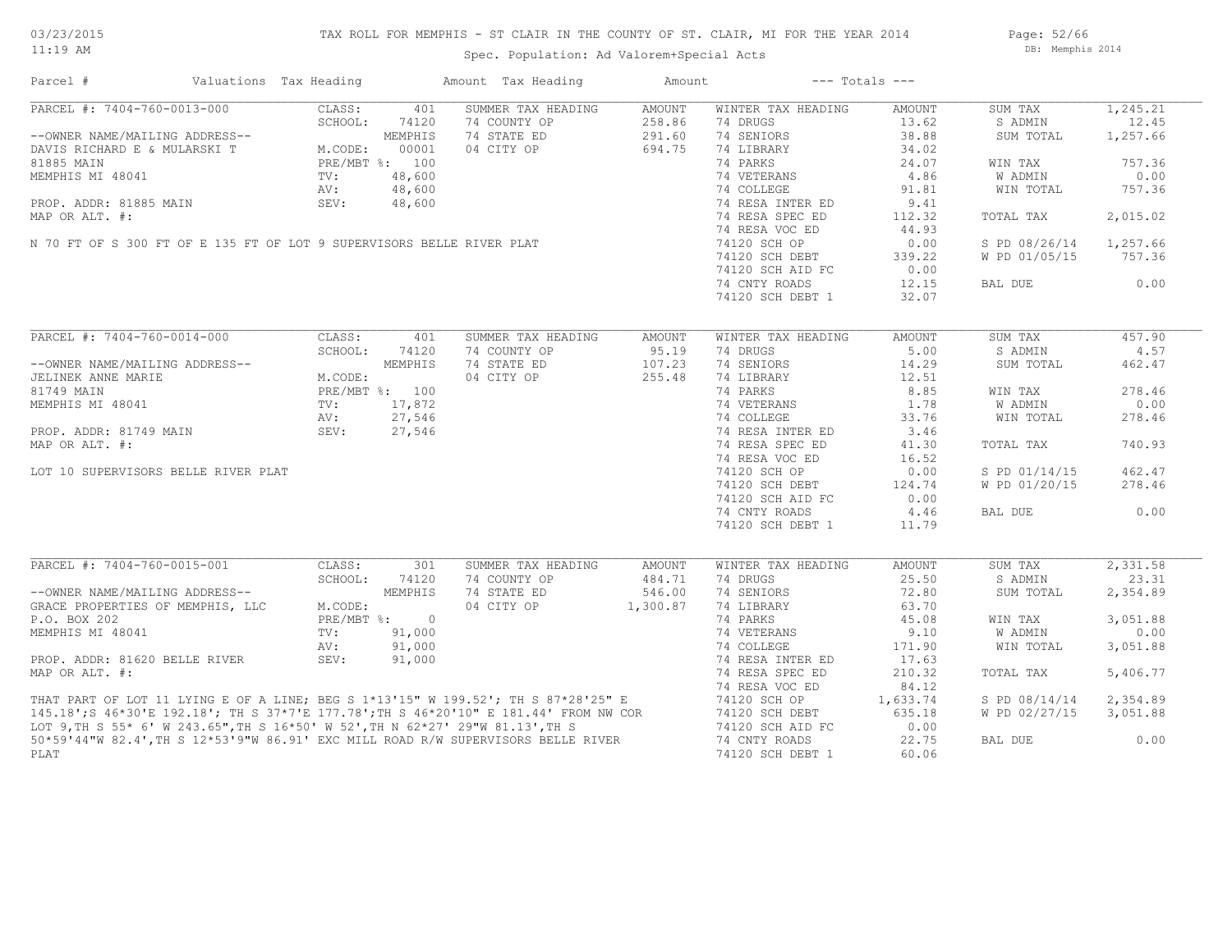# TAX ROLL FOR MEMPHIS - ST CLAIR IN THE COUNTY OF ST. CLAIR, MI FOR THE YEAR 2014

Spec. Population: Ad Valorem+Special Acts

Page: 52/66 DB: Memphis 2014

| Parcel #                                                                                                                                                                                                                             | Valuations Tax Heading |         |                | Amount Tax Heading | Amount   |                    | $---$ Totals $---$ |               |          |
|--------------------------------------------------------------------------------------------------------------------------------------------------------------------------------------------------------------------------------------|------------------------|---------|----------------|--------------------|----------|--------------------|--------------------|---------------|----------|
| PARCEL #: 7404-760-0013-000                                                                                                                                                                                                          |                        | CLASS:  | 401            | SUMMER TAX HEADING | AMOUNT   | WINTER TAX HEADING | AMOUNT             | SUM TAX       | 1,245.21 |
|                                                                                                                                                                                                                                      |                        | SCHOOL: | 74120          | 74 COUNTY OP       | 258.86   | 74 DRUGS           | 13.62              | S ADMIN       | 12.45    |
| --OWNER NAME/MAILING ADDRESS--                                                                                                                                                                                                       |                        |         | MEMPHIS        | 74 STATE ED        | 291.60   | 74 SENIORS         | 38.88              | SUM TOTAL     | 1,257.66 |
| DAVIS RICHARD E & MULARSKI T                                                                                                                                                                                                         |                        | M.CODE: | 00001          | 04 CITY OP         | 694.75   | 74 LIBRARY         | 34.02              |               |          |
| 81885 MAIN                                                                                                                                                                                                                           |                        |         | PRE/MBT %: 100 |                    |          | 74 PARKS           | 24.07              | WIN TAX       | 757.36   |
| MEMPHIS MI 48041                                                                                                                                                                                                                     | TV:                    |         | 48,600         |                    |          | 74 VETERANS        | 4.86               | W ADMIN       | 0.00     |
|                                                                                                                                                                                                                                      | AV:                    |         | 48,600         |                    |          | 74 COLLEGE         | 91.81              | WIN TOTAL     | 757.36   |
|                                                                                                                                                                                                                                      |                        |         |                |                    |          | 74 RESA INTER ED   | 9.41               |               |          |
| PROP. ADDR: 81885 MAIN<br>MAP OR ALT. #:<br>N 70 FT OF S 300 FT OF E 135 FT OF LOT 9 SUPERVISORS BELLE RIVER PLAT                                                                                                                    |                        |         |                |                    |          | 74 RESA SPEC ED    | 112.32             | TOTAL TAX     | 2,015.02 |
|                                                                                                                                                                                                                                      |                        |         |                |                    |          | 74 RESA VOC ED     | 44.93              |               |          |
|                                                                                                                                                                                                                                      |                        |         |                |                    |          | 74120 SCH OP       | 0.00               | S PD 08/26/14 | 1,257.66 |
|                                                                                                                                                                                                                                      |                        |         |                |                    |          |                    |                    |               |          |
|                                                                                                                                                                                                                                      |                        |         |                |                    |          | 74120 SCH DEBT     | 339.22             | W PD 01/05/15 | 757.36   |
|                                                                                                                                                                                                                                      |                        |         |                |                    |          | 74120 SCH AID FC   | 0.00               |               |          |
|                                                                                                                                                                                                                                      |                        |         |                |                    |          | 74 CNTY ROADS      | 12.15              | BAL DUE       | 0.00     |
|                                                                                                                                                                                                                                      |                        |         |                |                    |          | 74120 SCH DEBT 1   | 32.07              |               |          |
|                                                                                                                                                                                                                                      |                        |         |                |                    |          |                    |                    |               |          |
| PARCEL #: 7404-760-0014-000                                                                                                                                                                                                          |                        | CLASS:  | 401            | SUMMER TAX HEADING | AMOUNT   | WINTER TAX HEADING | AMOUNT             | SUM TAX       | 457.90   |
|                                                                                                                                                                                                                                      |                        | SCHOOL: | 74120          | 74 COUNTY OP       | 95.19    | 74 DRUGS           | 5.00               | S ADMIN       | 4.57     |
| --OWNER NAME/MAILING ADDRESS--                                                                                                                                                                                                       |                        |         | MEMPHIS        | 74 STATE ED        | 107.23   | 74 SENIORS         | 14.29              | SUM TOTAL     | 462.47   |
| JELINEK ANNE MARIE                                                                                                                                                                                                                   |                        | M.CODE: |                | 04 CITY OP         | 255.48   | 74 LIBRARY         | 12.51              |               |          |
| 81749 MAIN                                                                                                                                                                                                                           |                        |         | PRE/MBT %: 100 |                    |          | 74 PARKS           | 8.85               | WIN TAX       | 278.46   |
| MEMPHIS MI 48041                                                                                                                                                                                                                     | TV:                    |         | 17,872         |                    |          | 74 VETERANS        | 1.78               | W ADMIN       | 0.00     |
|                                                                                                                                                                                                                                      | AV:                    |         | 27,546         |                    |          | 74 COLLEGE         | 33.76              | WIN TOTAL     | 278.46   |
| PROP. ADDR: 81749 MAIN                                                                                                                                                                                                               |                        | SEV:    | 27,546         |                    |          | 74 RESA INTER ED   | 3.46               |               |          |
| MAP OR ALT. #:                                                                                                                                                                                                                       |                        |         |                |                    |          | 74 RESA SPEC ED    | 41.30              |               | 740.93   |
|                                                                                                                                                                                                                                      |                        |         |                |                    |          |                    |                    | TOTAL TAX     |          |
|                                                                                                                                                                                                                                      |                        |         |                |                    |          | 74 RESA VOC ED     | 16.52              |               |          |
| LOT 10 SUPERVISORS BELLE RIVER PLAT                                                                                                                                                                                                  |                        |         |                |                    |          | 74120 SCH OP       | 0.00               | S PD 01/14/15 | 462.47   |
|                                                                                                                                                                                                                                      |                        |         |                |                    |          | 74120 SCH DEBT     | 124.74             | W PD 01/20/15 | 278.46   |
|                                                                                                                                                                                                                                      |                        |         |                |                    |          | 74120 SCH AID FC   | 0.00               |               |          |
|                                                                                                                                                                                                                                      |                        |         |                |                    |          | 74 CNTY ROADS      | 4.46               | BAL DUE       | 0.00     |
|                                                                                                                                                                                                                                      |                        |         |                |                    |          | 74120 SCH DEBT 1   | 11.79              |               |          |
|                                                                                                                                                                                                                                      |                        |         |                |                    |          |                    |                    |               |          |
| PARCEL #: 7404-760-0015-001                                                                                                                                                                                                          |                        | CLASS:  | 301            | SUMMER TAX HEADING | AMOUNT   | WINTER TAX HEADING | AMOUNT             | SUM TAX       | 2,331.58 |
|                                                                                                                                                                                                                                      |                        | SCHOOL: | 74120          | 74 COUNTY OP       | 484.71   | 74 DRUGS           | 25.50              | S ADMIN       | 23.31    |
| --OWNER NAME/MAILING ADDRESS--                                                                                                                                                                                                       |                        |         | MEMPHIS        | 74 STATE ED        | 546.00   | 74 SENIORS         | 72.80              | SUM TOTAL     | 2,354.89 |
| GRACE PROPERTIES OF MEMPHIS, LLC                                                                                                                                                                                                     |                        | M.CODE: |                | 04 CITY OP         | 1,300.87 | 74 LIBRARY         | 63.70              |               |          |
| P.O. BOX 202                                                                                                                                                                                                                         |                        |         | PRE/MBT %: 0   |                    |          | 74 PARKS           | 45.08              | WIN TAX       | 3,051.88 |
| MEMPHIS MI 48041                                                                                                                                                                                                                     | TV:                    |         | 91,000         |                    |          | 74 VETERANS        | 9.10               | W ADMIN       | 0.00     |
|                                                                                                                                                                                                                                      | AV:                    |         | 91,000         |                    |          | 74 COLLEGE         | 171.90             | WIN TOTAL     | 3,051.88 |
| PROP. ADDR: 81620 BELLE RIVER                                                                                                                                                                                                        |                        | SEV:    | 91,000         |                    |          | 74 RESA INTER ED   | 17.63              |               |          |
| MAP OR ALT. #:                                                                                                                                                                                                                       |                        |         |                |                    |          | 74 RESA SPEC ED    | 210.32             | TOTAL TAX     | 5,406.77 |
|                                                                                                                                                                                                                                      |                        |         |                |                    |          | 74 RESA VOC ED     | 84.12              |               |          |
|                                                                                                                                                                                                                                      |                        |         |                |                    |          | 74120 SCH OP       | 1,633.74           | S PD 08/14/14 | 2,354.89 |
| THAT PART OF LOT 11 LYING E OF A LINE; BEG S 1*13'15" W 199.52'; TH S 87*28'25" E<br>145.18';S 46*30'E 192.18'; TH S 37*7'E 177.78';TH S 46*20'10" E 181.44' FROM NW COR<br>LOT 9,TH S 55* 6' W 243.65",TH S 16*50' W 52',TH N 62*27 |                        |         |                |                    |          | 74120 SCH DEBT     | 635.18             | W PD 02/27/15 | 3,051.88 |
|                                                                                                                                                                                                                                      |                        |         |                |                    |          | 74120 SCH AID FC   | 0.00               |               |          |
|                                                                                                                                                                                                                                      |                        |         |                |                    |          |                    |                    |               | 0.00     |
| 50*59'44"W 82.4', TH S 12*53'9"W 86.91' EXC MILL ROAD R/W SUPERVISORS BELLE RIVER                                                                                                                                                    |                        |         |                |                    |          | 74 CNTY ROADS      | 22.75              | BAL DUE       |          |
| PLAT                                                                                                                                                                                                                                 |                        |         |                |                    |          | 74120 SCH DEBT 1   | 60.06              |               |          |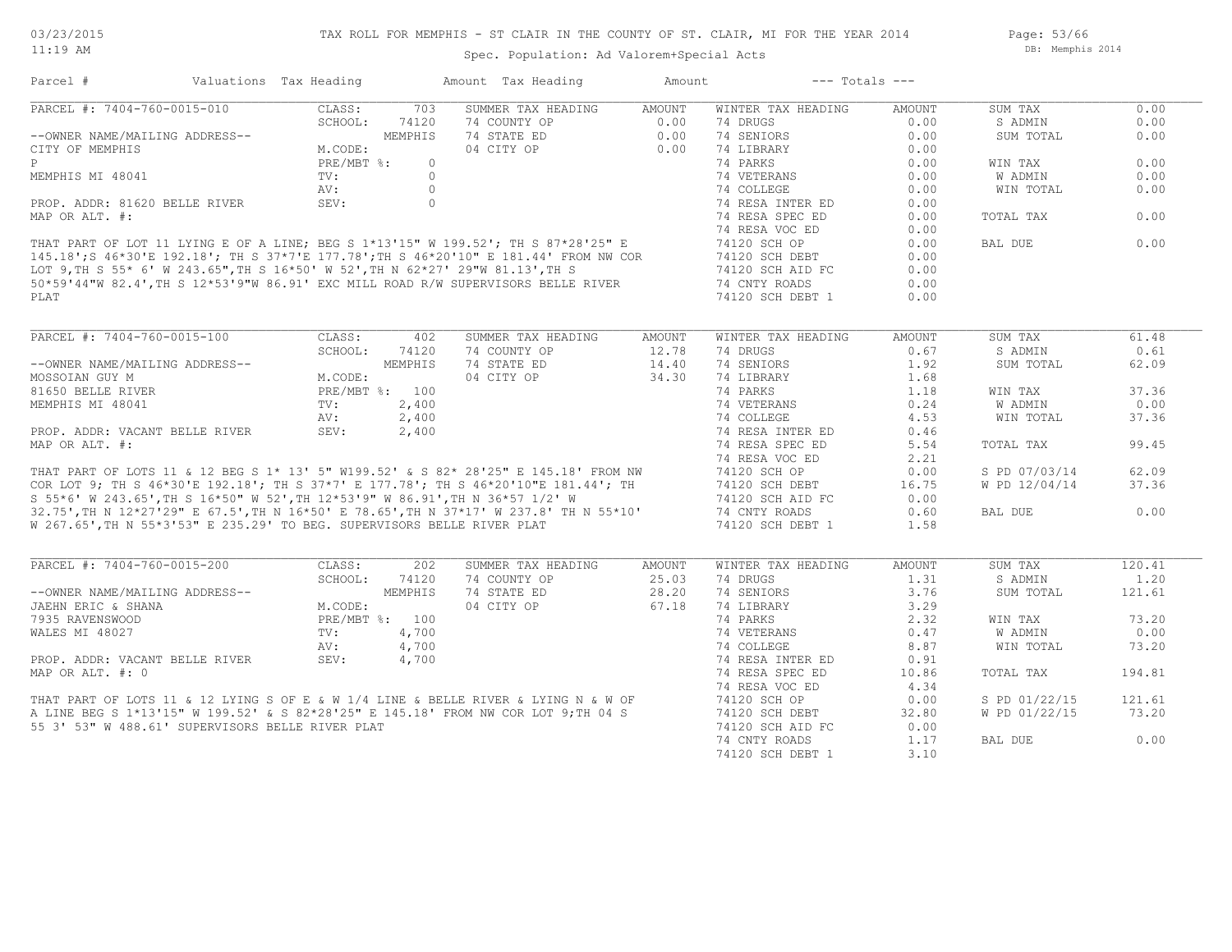Page: 53/66 DB: Memphis 2014

| Parcel #                                                                | Valuations Tax Heading |                |            | Amount Tax Heading                                                                                                                                                                                                                   | Amount | $---$ Totals $---$ |        |               |        |
|-------------------------------------------------------------------------|------------------------|----------------|------------|--------------------------------------------------------------------------------------------------------------------------------------------------------------------------------------------------------------------------------------|--------|--------------------|--------|---------------|--------|
| PARCEL #: 7404-760-0015-010                                             |                        | CLASS:         | 703        | SUMMER TAX HEADING                                                                                                                                                                                                                   | AMOUNT | WINTER TAX HEADING | AMOUNT | SUM TAX       | 0.00   |
|                                                                         |                        | SCHOOL:        | 74120      | 74 COUNTY OP                                                                                                                                                                                                                         | 0.00   | 74 DRUGS           | 0.00   | S ADMIN       | 0.00   |
| --OWNER NAME/MAILING ADDRESS--                                          |                        |                | MEMPHIS    | 74 STATE ED                                                                                                                                                                                                                          | 0.00   | 74 SENIORS         | 0.00   | SUM TOTAL     | 0.00   |
| CITY OF MEMPHIS                                                         |                        | M.CODE:        |            | 04 CITY OP                                                                                                                                                                                                                           | 0.00   | 74 LIBRARY         | 0.00   |               |        |
| P                                                                       |                        | PRE/MBT %:     | $\Omega$   |                                                                                                                                                                                                                                      |        | 74 PARKS           | 0.00   | WIN TAX       | 0.00   |
| MEMPHIS MI 48041                                                        |                        | TV:            | $\bigcirc$ |                                                                                                                                                                                                                                      |        | 74 VETERANS        | 0.00   | W ADMIN       | 0.00   |
|                                                                         |                        | AV:            | $\circ$    |                                                                                                                                                                                                                                      |        | 74 COLLEGE         | 0.00   | WIN TOTAL     | 0.00   |
| PROP. ADDR: 81620 BELLE RIVER                                           |                        | SEV:           | $\circ$    |                                                                                                                                                                                                                                      |        | 74 RESA INTER ED   | 0.00   |               |        |
| MAP OR ALT. #:                                                          |                        |                |            |                                                                                                                                                                                                                                      |        | 74 RESA SPEC ED    | 0.00   | TOTAL TAX     | 0.00   |
|                                                                         |                        |                |            |                                                                                                                                                                                                                                      |        | 74 RESA VOC ED     | 0.00   |               |        |
|                                                                         |                        |                |            | THAT PART OF LOT 11 LYING E OF A LINE; BEG S 1*13'15" W 199.52'; TH S 87*28'25" E                                                                                                                                                    |        | 74120 SCH OP       | 0.00   | BAL DUE       | 0.00   |
|                                                                         |                        |                |            |                                                                                                                                                                                                                                      |        |                    | 0.00   |               |        |
|                                                                         |                        |                |            | 145.18';S 46*30'E 192.18'; TH S 37*7'E 177.78';TH S 46*20'10" E 181.44' FROM NW COR<br>LOT 9,TH S 55* 6' W 243.65",TH S 16*50' W 52',TH N 62*27' 29"W 81.13',TH S<br>50*59'44"W 82.4',TH S 12*53'9"W 86.91' EXC MILL ROAD R/W SUPERV |        | 74120 SCH DEBT     |        |               |        |
|                                                                         |                        |                |            |                                                                                                                                                                                                                                      |        | 74120 SCH AID FC   | 0.00   |               |        |
|                                                                         |                        |                |            |                                                                                                                                                                                                                                      |        | 74 CNTY ROADS      | 0.00   |               |        |
| PLAT                                                                    |                        |                |            |                                                                                                                                                                                                                                      |        | 74120 SCH DEBT 1   | 0.00   |               |        |
|                                                                         |                        |                |            |                                                                                                                                                                                                                                      |        |                    |        |               |        |
| PARCEL #: 7404-760-0015-100                                             |                        | CLASS:         | 402        | SUMMER TAX HEADING                                                                                                                                                                                                                   | AMOUNT | WINTER TAX HEADING | AMOUNT | SUM TAX       | 61.48  |
|                                                                         |                        | SCHOOL:        | 74120      | 74 COUNTY OP                                                                                                                                                                                                                         | 12.78  | 74 DRUGS           | 0.67   | S ADMIN       | 0.61   |
| --OWNER NAME/MAILING ADDRESS--                                          |                        |                | MEMPHIS    | 74 STATE ED                                                                                                                                                                                                                          | 14.40  | 74 SENIORS         | 1.92   | SUM TOTAL     | 62.09  |
| MOSSOIAN GUY M                                                          |                        | M.CODE:        |            | 04 CITY OP                                                                                                                                                                                                                           | 34.30  | 74 LIBRARY         | 1.68   |               |        |
| 81650 BELLE RIVER                                                       |                        | PRE/MBT %: 100 |            |                                                                                                                                                                                                                                      |        | 74 PARKS           | 1.18   | WIN TAX       | 37.36  |
| MEMPHIS MI 48041                                                        |                        | $\text{TV}$ :  | 2,400      |                                                                                                                                                                                                                                      |        | 74 VETERANS        | 0.24   | W ADMIN       | 0.00   |
|                                                                         |                        | AV:            | 2,400      |                                                                                                                                                                                                                                      |        | 74 COLLEGE         | 4.53   | WIN TOTAL     | 37.36  |
| PROP. ADDR: VACANT BELLE RIVER                                          |                        | Av:<br>SEV:    | 2,400      |                                                                                                                                                                                                                                      |        | 74 RESA INTER ED   | 0.46   |               |        |
| MAP OR ALT. #:                                                          |                        |                |            |                                                                                                                                                                                                                                      |        | 74 RESA SPEC ED    | 5.54   | TOTAL TAX     | 99.45  |
|                                                                         |                        |                |            |                                                                                                                                                                                                                                      |        | 74 RESA VOC ED     | 2.21   |               |        |
|                                                                         |                        |                |            |                                                                                                                                                                                                                                      |        | 74120 SCH OP       | 0.00   | S PD 07/03/14 | 62.09  |
|                                                                         |                        |                |            | THAT PART OF LOTS 11 & 12 BEG S 1* 13' 5" W199.52' & S 82* 28'25" E 145.18' FROM NW<br>COR LOT 9; TH S 46*30'E 192.18'; TH S 37*7' E 177.78'; TH S 46*20'10"E 181.44'; TH<br>S 55*6' W 243.65',TH S 16*50" W 52',TH 12*53'9" W 86.91 |        |                    |        |               |        |
|                                                                         |                        |                |            |                                                                                                                                                                                                                                      |        | 74120 SCH DEBT     | 16.75  | W PD 12/04/14 | 37.36  |
|                                                                         |                        |                |            |                                                                                                                                                                                                                                      |        | 74120 SCH AID FC   | 0.00   |               |        |
|                                                                         |                        |                |            |                                                                                                                                                                                                                                      |        | 74 CNTY ROADS      | 0.60   | BAL DUE       | 0.00   |
| W 267.65', TH N 55*3'53" E 235.29' TO BEG. SUPERVISORS BELLE RIVER PLAT |                        |                |            |                                                                                                                                                                                                                                      |        | 74120 SCH DEBT 1   | 1.58   |               |        |
|                                                                         |                        |                |            |                                                                                                                                                                                                                                      |        |                    |        |               |        |
| PARCEL #: 7404-760-0015-200                                             |                        | CLASS:         | 202        | SUMMER TAX HEADING                                                                                                                                                                                                                   | AMOUNT | WINTER TAX HEADING | AMOUNT | SUM TAX       | 120.41 |
|                                                                         |                        | SCHOOL:        | 74120      | 74 COUNTY OP                                                                                                                                                                                                                         | 25.03  | 74 DRUGS           | 1.31   | S ADMIN       | 1,20   |
| --OWNER NAME/MAILING ADDRESS--                                          |                        |                | MEMPHIS    | 74 STATE ED                                                                                                                                                                                                                          | 28.20  | 74 SENIORS         | 3.76   | SUM TOTAL     | 121.61 |
| JAEHN ERIC & SHANA                                                      |                        | M.CODE:        |            | 04 CITY OP                                                                                                                                                                                                                           | 67.18  | 74 LIBRARY         | 3.29   |               |        |
| 7935 RAVENSWOOD                                                         |                        | PRE/MBT %: 100 |            |                                                                                                                                                                                                                                      |        | 74 PARKS           | 2.32   | WIN TAX       | 73.20  |
| WALES MI 48027                                                          |                        | TV:            | 4,700      |                                                                                                                                                                                                                                      |        | 74 VETERANS        | 0.47   | W ADMIN       | 0.00   |
|                                                                         |                        | AV:            | 4,700      |                                                                                                                                                                                                                                      |        | 74 COLLEGE         | 8.87   | WIN TOTAL     | 73.20  |
| PROP. ADDR: VACANT BELLE RIVER                                          |                        | SEV:           | 4,700      |                                                                                                                                                                                                                                      |        | 74 RESA INTER ED   | 0.91   |               |        |
| MAP OR ALT. #: 0                                                        |                        |                |            |                                                                                                                                                                                                                                      |        | 74 RESA SPEC ED    | 10.86  | TOTAL TAX     | 194.81 |
|                                                                         |                        |                |            |                                                                                                                                                                                                                                      |        | 74 RESA VOC ED     | 4.34   |               |        |
|                                                                         |                        |                |            |                                                                                                                                                                                                                                      |        | 74120 SCH OP       | 0.00   | S PD 01/22/15 | 121.61 |
|                                                                         |                        |                |            | THAT PART OF LOTS 11 & 12 LYING S OF E & W 1/4 LINE & BELLE RIVER & LYING N & W OF A LINE BEG S 1*13'15" W 199.52' & S 82*28'25" E 145.18' FROM NW COR LOT 9; TH 04 S                                                                |        | 74120 SCH DEBT     | 32.80  | W PD 01/22/15 | 73.20  |
| 55 3' 53" W 488.61' SUPERVISORS BELLE RIVER PLAT                        |                        |                |            |                                                                                                                                                                                                                                      |        | 74120 SCH AID FC   | 0.00   |               |        |
|                                                                         |                        |                |            |                                                                                                                                                                                                                                      |        |                    |        |               |        |
|                                                                         |                        |                |            |                                                                                                                                                                                                                                      |        | 74 CNTY ROADS      | 1.17   | BAL DUE       | 0.00   |
|                                                                         |                        |                |            |                                                                                                                                                                                                                                      |        | 74120 SCH DEBT 1   | 3.10   |               |        |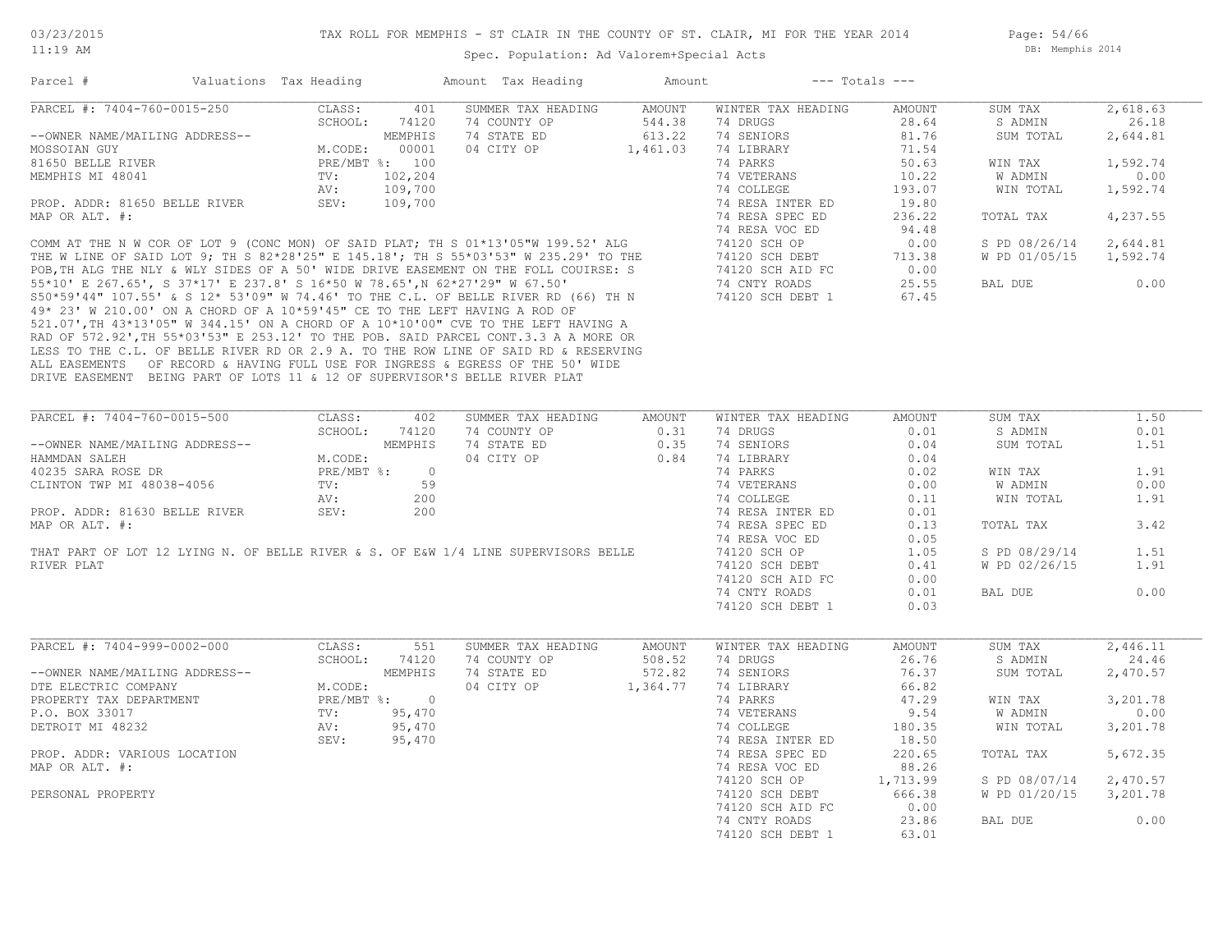Page: 54/66 DB: Memphis 2014

| Parcel #                                                                   | Valuations Tax Heading |                |                | Amount Tax Heading                                                                                                                                                                                                               | Amount   |                    | $---$ Totals $---$ |               |          |
|----------------------------------------------------------------------------|------------------------|----------------|----------------|----------------------------------------------------------------------------------------------------------------------------------------------------------------------------------------------------------------------------------|----------|--------------------|--------------------|---------------|----------|
| PARCEL #: 7404-760-0015-250                                                |                        | CLASS:         | 401            | SUMMER TAX HEADING                                                                                                                                                                                                               | AMOUNT   | WINTER TAX HEADING | <b>AMOUNT</b>      | SUM TAX       | 2,618.63 |
|                                                                            |                        | SCHOOL:        | 74120          | 74 COUNTY OP                                                                                                                                                                                                                     | 544.38   | 74 DRUGS           | 28.64              | S ADMIN       | 26.18    |
| --OWNER NAME/MAILING ADDRESS--                                             |                        |                | MEMPHIS        | 74 STATE ED                                                                                                                                                                                                                      | 613.22   | 74 SENIORS         | 81.76              | SUM TOTAL     | 2,644.81 |
| MOSSOIAN GUY                                                               |                        | M.CODE:        | 00001          | 04 CITY OP                                                                                                                                                                                                                       | 1,461.03 | 74 LIBRARY         | 71.54              |               |          |
| 81650 BELLE RIVER                                                          |                        | PRE/MBT %: 100 |                |                                                                                                                                                                                                                                  |          | 74 PARKS           | 50.63              | WIN TAX       | 1,592.74 |
| MEMPHIS MI 48041                                                           |                        | TV:            | 102,204        |                                                                                                                                                                                                                                  |          | 74 VETERANS        | 10.22              | W ADMIN       | 0.00     |
|                                                                            |                        | AV:            | 109,700        |                                                                                                                                                                                                                                  |          | 74 COLLEGE         | 193.07             | WIN TOTAL     | 1,592.74 |
| PROP. ADDR: 81650 BELLE RIVER                                              |                        | SEV:           | 109,700        |                                                                                                                                                                                                                                  |          | 74 RESA INTER ED   | 19.80              |               |          |
| MAP OR ALT. #:                                                             |                        |                |                |                                                                                                                                                                                                                                  |          | 74 RESA SPEC ED    | 236.22             | TOTAL TAX     | 4,237.55 |
|                                                                            |                        |                |                |                                                                                                                                                                                                                                  |          | 74 RESA VOC ED     | 94.48              |               |          |
|                                                                            |                        |                |                | COMM AT THE N W COR OF LOT 9 (CONC MON) OF SAID PLAT, THIS $01*13'05'''$ $199.52'$ ALG                                                                                                                                           |          | 74120 SCH OP       | 0.00               | S PD 08/26/14 | 2,644.81 |
|                                                                            |                        |                |                | THE W LINE OF SAID LOT 9; TH S 82*28'25" E 145.18'; TH S 55*03'53" W 235.29' TO THE                                                                                                                                              |          | 74120 SCH DEBT     | 713.38             | W PD 01/05/15 | 1,592.74 |
|                                                                            |                        |                |                |                                                                                                                                                                                                                                  |          | 74120 SCH AID FC   | 0.00               |               |          |
|                                                                            |                        |                |                | THE W LINE OF SAID LOT 9; TH S 82*28'25" E 145.18'; TH S 55*03'53" W 235.29' TO THE POB,TH ALG THE NLY & WLY SIDES OF A 50' WIDE DRIVE EASEMENT ON THE FOLL COUIRSE: S<br>55*10' E 267.65', S 37*17' E 237.8' S 16*50 W 78.65',N |          | 74 CNTY ROADS      | 25.55              | BAL DUE       | 0.00     |
|                                                                            |                        |                |                | S50*59'44" 107.55' & S 12* 53'09" W 74.46' TO THE C.L. OF BELLE RIVER RD (66) TH N                                                                                                                                               |          | 74120 SCH DEBT 1   | 67.45              |               |          |
| 49* 23' W 210.00' ON A CHORD OF A 10*59'45" CE TO THE LEFT HAVING A ROD OF |                        |                |                |                                                                                                                                                                                                                                  |          |                    |                    |               |          |
|                                                                            |                        |                |                | 521.07', TH 43*13'05" W 344.15' ON A CHORD OF A 10*10'00" CVE TO THE LEFT HAVING A                                                                                                                                               |          |                    |                    |               |          |
|                                                                            |                        |                |                | RAD OF 572.92', TH 55*03'53" E 253.12' TO THE POB. SAID PARCEL CONT.3.3 A A MORE OR                                                                                                                                              |          |                    |                    |               |          |
|                                                                            |                        |                |                | LESS TO THE C.L. OF BELLE RIVER RD OR 2.9 A. TO THE ROW LINE OF SAID RD & RESERVING                                                                                                                                              |          |                    |                    |               |          |
|                                                                            |                        |                |                |                                                                                                                                                                                                                                  |          |                    |                    |               |          |
| DRIVE EASEMENT BEING PART OF LOTS 11 & 12 OF SUPERVISOR'S BELLE RIVER PLAT |                        |                |                | ALL EASEMENTS OF RECORD & HAVING FULL USE FOR INGRESS & EGRESS OF THE 50' WIDE                                                                                                                                                   |          |                    |                    |               |          |
|                                                                            |                        |                |                |                                                                                                                                                                                                                                  |          |                    |                    |               |          |
|                                                                            |                        |                |                |                                                                                                                                                                                                                                  |          |                    |                    |               |          |
| PARCEL #: 7404-760-0015-500                                                |                        | CLASS:         | 402            | SUMMER TAX HEADING                                                                                                                                                                                                               | AMOUNT   | WINTER TAX HEADING | AMOUNT             | SUM TAX       | 1.50     |
|                                                                            |                        | SCHOOL: 74120  |                | 74 COUNTY OP                                                                                                                                                                                                                     | 0.31     | 74 DRUGS           | 0.01               | S ADMIN       | 0.01     |
| --OWNER NAME/MAILING ADDRESS--                                             |                        |                | MEMPHIS        | 74 STATE ED                                                                                                                                                                                                                      | 0.35     | 74 SENIORS         | 0.04               | SUM TOTAL     | 1.51     |
| HAMMDAN SALEH                                                              |                        | M.CODE:        |                | 04 CITY OP                                                                                                                                                                                                                       | 0.84     | 74 LIBRARY         | 0.04               |               |          |
| 40235 SARA ROSE DR                                                         |                        | $PRE/MBT$ %:   | $\overline{0}$ |                                                                                                                                                                                                                                  |          | 74 PARKS           | 0.02               | WIN TAX       | 1.91     |
| CLINTON TWP MI 48038-4056                                                  |                        | TV:            | 59             |                                                                                                                                                                                                                                  |          | 74 VETERANS        | 0.00               | W ADMIN       | 0.00     |
|                                                                            |                        | AV:            | 200            |                                                                                                                                                                                                                                  |          | 74 COLLEGE         | 0.11               | WIN TOTAL     | 1.91     |
| PROP. ADDR: 81630 BELLE RIVER                                              |                        | SEV:           | 200            |                                                                                                                                                                                                                                  |          | 74 RESA INTER ED   | 0.01               |               |          |
|                                                                            |                        |                |                |                                                                                                                                                                                                                                  |          |                    |                    |               |          |
| MAP OR ALT. #:                                                             |                        |                |                |                                                                                                                                                                                                                                  |          | 74 RESA SPEC ED    | 0.13               | TOTAL TAX     | 3.42     |
|                                                                            |                        |                |                |                                                                                                                                                                                                                                  |          | 74 RESA VOC ED     | 0.05               |               |          |
|                                                                            |                        |                |                | THAT PART OF LOT 12 LYING N. OF BELLE RIVER & S. OF E&W 1/4 LINE SUPERVISORS BELLE                                                                                                                                               |          | 74120 SCH OP       | 1.05               | S PD 08/29/14 | 1.51     |
| RIVER PLAT                                                                 |                        |                |                |                                                                                                                                                                                                                                  |          | 74120 SCH DEBT     | 0.41               | W PD 02/26/15 | 1.91     |
|                                                                            |                        |                |                |                                                                                                                                                                                                                                  |          | 74120 SCH AID FC   | 0.00               |               |          |
|                                                                            |                        |                |                |                                                                                                                                                                                                                                  |          | 74 CNTY ROADS      | 0.01               | BAL DUE       | 0.00     |
|                                                                            |                        |                |                |                                                                                                                                                                                                                                  |          | 74120 SCH DEBT 1   | 0.03               |               |          |
|                                                                            |                        |                |                |                                                                                                                                                                                                                                  |          |                    |                    |               |          |
| PARCEL #: 7404-999-0002-000                                                |                        | CLASS:         | 551            | SUMMER TAX HEADING                                                                                                                                                                                                               | AMOUNT   | WINTER TAX HEADING | <b>AMOUNT</b>      | SUM TAX       | 2,446.11 |
|                                                                            |                        | SCHOOL: 74120  |                | 74 COUNTY OP                                                                                                                                                                                                                     | 508.52   | 74 DRUGS           | 26.76              | S ADMIN       | 24.46    |
| --OWNER NAME/MAILING ADDRESS--                                             |                        |                | MEMPHIS        | 74 STATE ED                                                                                                                                                                                                                      | 572.82   | 74 SENIORS         | 76.37              | SUM TOTAL     | 2,470.57 |
| DTE ELECTRIC COMPANY                                                       |                        | M.CODE:        |                | 04 CITY OP                                                                                                                                                                                                                       | 1,364.77 | 74 LIBRARY         | 66.82              |               |          |
| PROPERTY TAX DEPARTMENT                                                    |                        | PRE/MBT %: 0   |                |                                                                                                                                                                                                                                  |          | 74 PARKS           | 47.29              | WIN TAX       | 3,201.78 |
| P.O. BOX 33017                                                             |                        | TV:            | 95,470         |                                                                                                                                                                                                                                  |          | 74 VETERANS        | 9.54               | W ADMIN       | 0.00     |
| DETROIT MI 48232                                                           |                        | AV:            | 95,470         |                                                                                                                                                                                                                                  |          | 74 COLLEGE         | 180.35             | WIN TOTAL     | 3,201.78 |
|                                                                            |                        | SEV:           | 95,470         |                                                                                                                                                                                                                                  |          | 74 RESA INTER ED   | 18.50              |               |          |
| PROP. ADDR: VARIOUS LOCATION                                               |                        |                |                |                                                                                                                                                                                                                                  |          | 74 RESA SPEC ED    | 220.65             | TOTAL TAX     | 5,672.35 |
| MAP OR ALT. #:                                                             |                        |                |                |                                                                                                                                                                                                                                  |          | 74 RESA VOC ED     | 88.26              |               |          |
|                                                                            |                        |                |                |                                                                                                                                                                                                                                  |          |                    | 1,713.99           |               | 2,470.57 |
|                                                                            |                        |                |                |                                                                                                                                                                                                                                  |          | 74120 SCH OP       |                    | S PD 08/07/14 |          |
| PERSONAL PROPERTY                                                          |                        |                |                |                                                                                                                                                                                                                                  |          | 74120 SCH DEBT     | 666.38             | W PD 01/20/15 | 3,201.78 |
|                                                                            |                        |                |                |                                                                                                                                                                                                                                  |          | 74120 SCH AID FC   | 0.00               |               |          |
|                                                                            |                        |                |                |                                                                                                                                                                                                                                  |          | 74 CNTY ROADS      | 23.86              | BAL DUE       | 0.00     |
|                                                                            |                        |                |                |                                                                                                                                                                                                                                  |          | 74120 SCH DEBT 1   | 63.01              |               |          |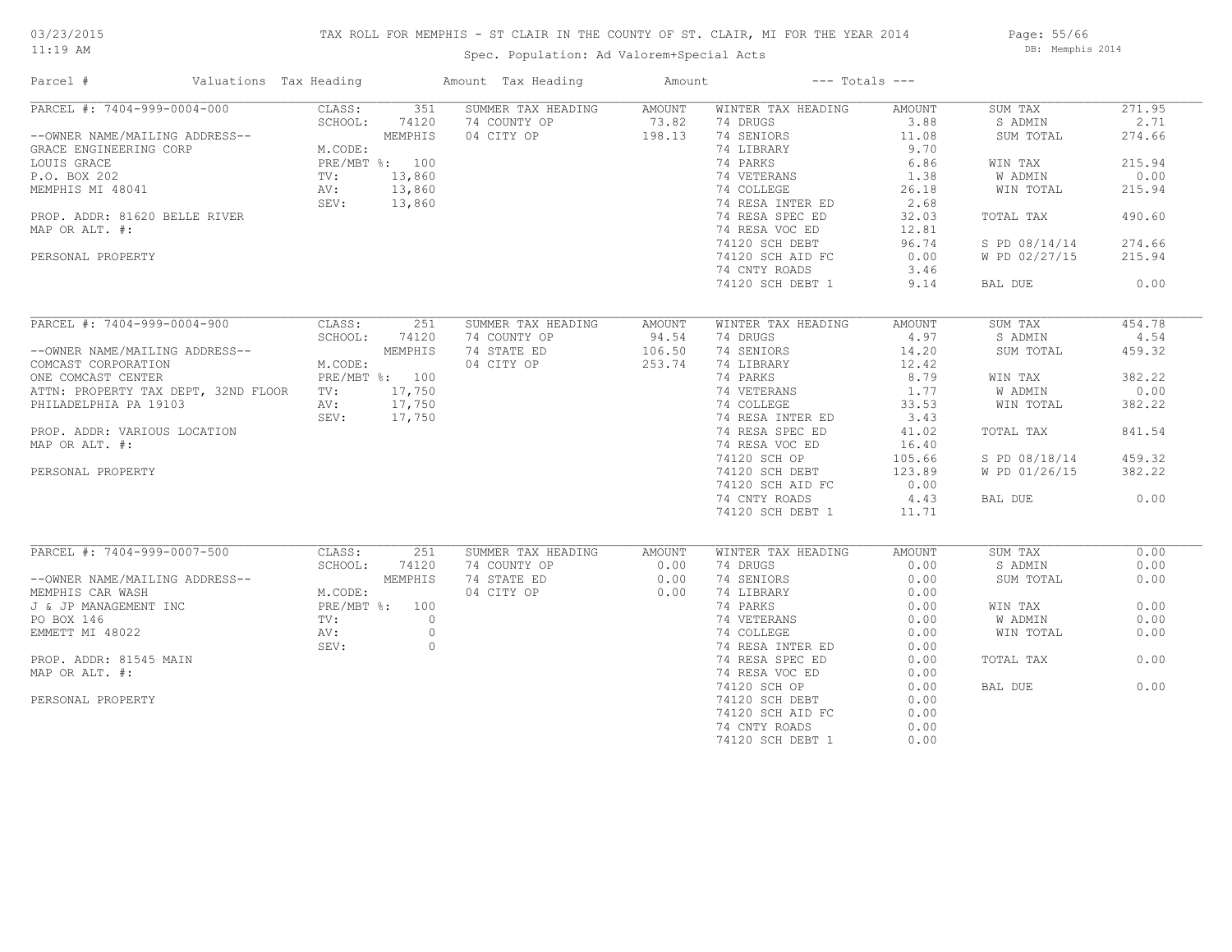# 03/23/2015

11:19 AM

#### TAX ROLL FOR MEMPHIS - ST CLAIR IN THE COUNTY OF ST. CLAIR, MI FOR THE YEAR 2014

Spec. Population: Ad Valorem+Special Acts

Page: 55/66 DB: Memphis 2014

| Parcel #                                | Valuations Tax Heading                                   |                | Amount Tax Heading        | Amount |                    | $---$ Totals $---$ |               |        |
|-----------------------------------------|----------------------------------------------------------|----------------|---------------------------|--------|--------------------|--------------------|---------------|--------|
| PARCEL #: 7404-999-0004-000             | CLASS:                                                   | 351            | SUMMER TAX HEADING        | AMOUNT | WINTER TAX HEADING | AMOUNT             | SUM TAX       | 271.95 |
|                                         | SCHOOL:                                                  | 74120          | 74 COUNTY OP              | 73.82  | 74 DRUGS           | 3.88               | S ADMIN       | 2.71   |
| --OWNER NAME/MAILING ADDRESS--          |                                                          | MEMPHIS        | 04 CITY OP                | 198.13 | 74 SENIORS         | 11.08              | SUM TOTAL     | 274.66 |
| GRACE ENGINEERING CORP                  | M.CODE:                                                  |                |                           |        | 74 LIBRARY         | 9.70               |               |        |
| LOUIS GRACE                             |                                                          | PRE/MBT %: 100 |                           |        | 74 PARKS           | 6.86               | WIN TAX       | 215.94 |
| P.O. BOX 202                            | $\begin{aligned} \text{TV:} \\ \text{AV:} \end{aligned}$ | 13,860         |                           |        | 74 VETERANS        | 1.38               | W ADMIN       | 0.00   |
| MEMPHIS MI 48041                        |                                                          | 13,860         |                           |        | 74 COLLEGE         | 26.18              | WIN TOTAL     | 215.94 |
|                                         |                                                          | SEV: 13,860    |                           |        | 74 RESA INTER ED   | 2.68               |               |        |
| PROP. ADDR: 81620 BELLE RIVER           |                                                          |                |                           |        | 74 RESA SPEC ED    | 32.03              | TOTAL TAX     | 490.60 |
| MAP OR ALT. #:                          |                                                          |                |                           |        | 74 RESA VOC ED     | 12.81              |               |        |
|                                         |                                                          |                |                           |        | 74120 SCH DEBT     | 96.74              | S PD 08/14/14 | 274.66 |
| PERSONAL PROPERTY                       |                                                          |                |                           |        | 74120 SCH AID FC   | 0.00               | W PD 02/27/15 | 215.94 |
|                                         |                                                          |                |                           |        | 74 CNTY ROADS      | 3.46               |               |        |
|                                         |                                                          |                |                           |        | 74120 SCH DEBT 1   | 9.14               | BAL DUE       | 0.00   |
|                                         |                                                          |                |                           |        |                    |                    |               |        |
| PARCEL #: 7404-999-0004-900             | CLASS:                                                   |                | 251<br>SUMMER TAX HEADING | AMOUNT | WINTER TAX HEADING | AMOUNT             | SUM TAX       | 454.78 |
|                                         | SCHOOL:                                                  | 74120          | 74 COUNTY OP              | 94.54  | 74 DRUGS           | 4.97               | S ADMIN       | 4.54   |
| --OWNER NAME/MAILING ADDRESS--          |                                                          | MEMPHIS        | 74 STATE ED               | 106.50 | 74 SENIORS         | 14.20              | SUM TOTAL     | 459.32 |
| COMCAST CORPORATION                     | M.CODE:                                                  |                | 04 CITY OP                | 253.74 | 74 LIBRARY         | 12.42              |               |        |
| ONE COMCAST CENTER                      |                                                          | PRE/MBT %: 100 |                           |        | 74 PARKS           | 8.79               | WIN TAX       | 382.22 |
| ATTN: PROPERTY TAX DEPT, 32ND FLOOR TV: |                                                          | 17,750         |                           |        | 74 VETERANS        | 1.77               | W ADMIN       | 0.00   |
| PHILADELPHIA PA 19103                   | AV:                                                      | 17,750         |                           |        | 74 COLLEGE         | 33.53              | WIN TOTAL     | 382.22 |
|                                         |                                                          | SEV: 17,750    |                           |        | 74 RESA INTER ED   | 3.43               |               |        |
| PROP. ADDR: VARIOUS LOCATION            |                                                          |                |                           |        | 74 RESA SPEC ED    | 41.02              | TOTAL TAX     | 841.54 |
| MAP OR ALT. #:                          |                                                          |                |                           |        | 74 RESA VOC ED     | 16.40              |               |        |
|                                         |                                                          |                |                           |        |                    |                    |               |        |
|                                         |                                                          |                |                           |        | 74120 SCH OP       | 105.66             | S PD 08/18/14 | 459.32 |
| PERSONAL PROPERTY                       |                                                          |                |                           |        | 74120 SCH DEBT     | 123.89             | W PD 01/26/15 | 382.22 |
|                                         |                                                          |                |                           |        | 74120 SCH AID FC   | 0.00               |               |        |
|                                         |                                                          |                |                           |        | 74 CNTY ROADS      | 4.43               | BAL DUE       | 0.00   |
|                                         |                                                          |                |                           |        | 74120 SCH DEBT 1   | 11.71              |               |        |
| PARCEL #: 7404-999-0007-500             | CLASS:                                                   |                | SUMMER TAX HEADING<br>251 | AMOUNT | WINTER TAX HEADING | <b>AMOUNT</b>      | SUM TAX       | 0.00   |
|                                         | SCHOOL:                                                  | 74120          | 74 COUNTY OP              | 0.00   | 74 DRUGS           | 0.00               | S ADMIN       | 0.00   |
| --OWNER NAME/MAILING ADDRESS--          |                                                          | MEMPHIS        | 74 STATE ED               | 0.00   | 74 SENIORS         | 0.00               | SUM TOTAL     | 0.00   |
|                                         |                                                          |                |                           | 0.00   |                    | 0.00               |               |        |
| MEMPHIS CAR WASH                        | M.CODE:                                                  |                | 04 CITY OP                |        | 74 LIBRARY         |                    |               |        |
| J & JP MANAGEMENT INC                   |                                                          | PRE/MBT %: 100 |                           |        | 74 PARKS           | 0.00               | WIN TAX       | 0.00   |
| PO BOX 146                              | TV:                                                      |                | $\circ$                   |        | 74 VETERANS        | 0.00               | W ADMIN       | 0.00   |
| EMMETT MI 48022                         | AV:                                                      |                | $\circ$                   |        | 74 COLLEGE         | 0.00               | WIN TOTAL     | 0.00   |
|                                         | SEV:                                                     |                | $\circ$                   |        | 74 RESA INTER ED   | 0.00               |               |        |
| PROP. ADDR: 81545 MAIN                  |                                                          |                |                           |        | 74 RESA SPEC ED    | 0.00               | TOTAL TAX     | 0.00   |
| MAP OR ALT. #:                          |                                                          |                |                           |        | 74 RESA VOC ED     | 0.00               |               |        |
|                                         |                                                          |                |                           |        | 74120 SCH OP       | 0.00               | BAL DUE       | 0.00   |
| PERSONAL PROPERTY                       |                                                          |                |                           |        | 74120 SCH DEBT     | 0.00               |               |        |
|                                         |                                                          |                |                           |        | 74120 SCH AID FC   | 0.00               |               |        |
|                                         |                                                          |                |                           |        | 74 CNTY ROADS      | 0.00               |               |        |
|                                         |                                                          |                |                           |        | 74120 SCH DEBT 1   | 0.00               |               |        |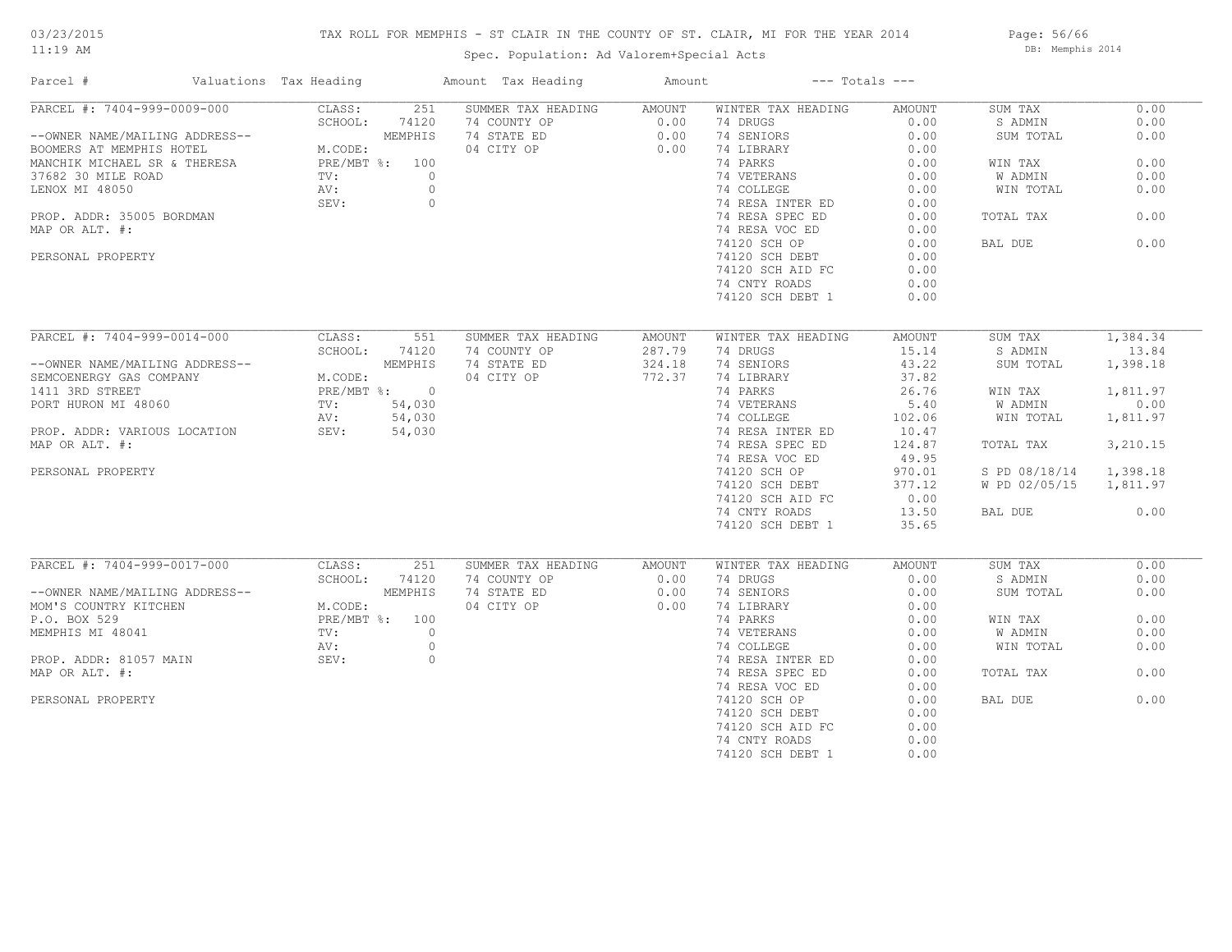# TAX ROLL FOR MEMPHIS - ST CLAIR IN THE COUNTY OF ST. CLAIR, MI FOR THE YEAR 2014

Spec. Population: Ad Valorem+Special Acts

Page: 56/66 DB: Memphis 2014

| Parcel #                                                                                                                          | Valuations Tax Heading |                                |                | Amount Tax Heading        | Amount           |                    | $---$ Totals $---$ |                        |          |
|-----------------------------------------------------------------------------------------------------------------------------------|------------------------|--------------------------------|----------------|---------------------------|------------------|--------------------|--------------------|------------------------|----------|
| PARCEL #: 7404-999-0009-000                                                                                                       |                        | CLASS:                         | 251            | SUMMER TAX HEADING AMOUNT |                  | WINTER TAX HEADING | AMOUNT             | SUM TAX                | 0.00     |
|                                                                                                                                   |                        | SCHOOL:                        | 74120          | 74 COUNTY OP              |                  | 74 DRUGS           | 0.00               | S ADMIN                | 0.00     |
| --OWNER NAME/MAILING ADDRESS--                                                                                                    |                        |                                | MEMPHIS        | 74 STATE ED               | $0.00$<br>$0.00$ | 74 SENIORS         | 0.00               | SUM TOTAL              | 0.00     |
| BOOMERS AT MEMPHIS HOTEL                                                                                                          |                        | ESA PRE/MBT %: 100             |                | 04 CITY OP                | 0.00             | 74 LIBRARY         | 0.00               |                        |          |
| MANCHIK MICHAEL SR & THERESA                                                                                                      |                        |                                |                |                           |                  | 74 PARKS           | 0.00               | WIN TAX                | 0.00     |
| 37682 30 MILE ROAD                                                                                                                |                        | TV:                            | $\overline{0}$ |                           |                  | 74 VETERANS        | 0.00               | W ADMIN                | 0.00     |
| LENOX MI 48050                                                                                                                    |                        | AV:                            | $\circ$        |                           |                  | 74 COLLEGE         | 0.00               | WIN TOTAL              | 0.00     |
|                                                                                                                                   |                        | SEV:                           | $\circ$        |                           |                  | 74 RESA INTER ED   | 0.00               |                        |          |
| PROP. ADDR: 35005 BORDMAN                                                                                                         |                        |                                |                |                           |                  | 74 RESA SPEC ED    | 0.00               | TOTAL TAX              | 0.00     |
| MAP OR ALT. #:                                                                                                                    |                        |                                |                |                           |                  | 74 RESA VOC ED     | 0.00               |                        |          |
|                                                                                                                                   |                        |                                |                |                           |                  | 74120 SCH OP       | 0.00               | BAL DUE                | 0.00     |
| PERSONAL PROPERTY                                                                                                                 |                        |                                |                |                           |                  | 74120 SCH DEBT     | 0.00               |                        |          |
|                                                                                                                                   |                        |                                |                |                           |                  | 74120 SCH AID FC   | 0.00               |                        |          |
|                                                                                                                                   |                        |                                |                |                           |                  |                    | 0.00               |                        |          |
|                                                                                                                                   |                        |                                |                |                           |                  | 74 CNTY ROADS      |                    |                        |          |
|                                                                                                                                   |                        |                                |                |                           |                  | 74120 SCH DEBT 1   | 0.00               |                        |          |
|                                                                                                                                   |                        |                                |                |                           |                  |                    |                    |                        |          |
| PARCEL #: 7404-999-0014-000                                                                                                       |                        |                                | CLASS: 551     | SUMMER TAX HEADING        | AMOUNT           | WINTER TAX HEADING | AMOUNT             | SUM TAX                | 1,384.34 |
|                                                                                                                                   |                        | SCHOOL:                        | 74120          | 74 COUNTY OP              | 287.79           | 74 DRUGS           | 15.14              | S ADMIN                | 13.84    |
| --OWNER NAME/MAILING ADDRESS--<br>SEMCOENERGY GAS COMPANY M.CODE:<br>1411 3RD STREET PORT HURON MI 48060 TV: 54,030<br>2M. 54,030 |                        |                                |                | 74 STATE ED               | 324.18           | 74 SENIORS         | 43.22              | SUM TOTAL              | 1,398.18 |
|                                                                                                                                   |                        |                                |                | 04 CITY OP                | 772.37           | 74 LIBRARY         | 37.82              |                        |          |
|                                                                                                                                   |                        |                                |                |                           |                  | 74 PARKS           | 26.76              | WIN TAX                | 1,811.97 |
|                                                                                                                                   |                        |                                |                |                           |                  | 74 VETERANS        | 5.40               | W ADMIN                | 0.00     |
|                                                                                                                                   |                        | AV: 54,030                     |                |                           |                  | 74 COLLEGE         | 102.06             | WIN TOTAL              | 1,811.97 |
| PROP. ADDR: VARIOUS LOCATION SEV: 54,030                                                                                          |                        |                                |                |                           |                  | 74 RESA INTER ED   | 10.47              |                        |          |
| MAP OR ALT. #:                                                                                                                    |                        |                                |                |                           |                  | 74 RESA SPEC ED    | 124.87             | TOTAL TAX              | 3,210.15 |
|                                                                                                                                   |                        |                                |                |                           |                  | 74 RESA VOC ED     | 49.95              |                        |          |
| PERSONAL PROPERTY                                                                                                                 |                        |                                |                |                           |                  | 74120 SCH OP       | 970.01             | S PD 08/18/14 1,398.18 |          |
|                                                                                                                                   |                        |                                |                |                           |                  | 74120 SCH DEBT     | 377.12             | W PD 02/05/15 1,811.97 |          |
|                                                                                                                                   |                        |                                |                |                           |                  | 74120 SCH AID FC   | 0.00               |                        |          |
|                                                                                                                                   |                        |                                |                |                           |                  | 74 CNTY ROADS      | 13.50              | BAL DUE                | 0.00     |
|                                                                                                                                   |                        |                                |                |                           |                  | 74120 SCH DEBT 1   | 35.65              |                        |          |
|                                                                                                                                   |                        |                                |                |                           |                  |                    |                    |                        |          |
| PARCEL #: 7404-999-0017-000                                                                                                       |                        | CLASS:                         | 251            | SUMMER TAX HEADING        | AMOUNT           | WINTER TAX HEADING | AMOUNT             | SUM TAX                | 0.00     |
|                                                                                                                                   |                        | SCHOOL:                        | 74120          | 74 COUNTY OP              | 0.00             | 74 DRUGS           | 0.00               | S ADMIN                | 0.00     |
| --OWNER NAME/MAILING ADDRESS--                                                                                                    |                        |                                | MEMPHIS        | 74 STATE ED               | 0.00             | 74 SENIORS         | 0.00               | SUM TOTAL              | 0.00     |
| MOM'S COUNTRY KITCHEN                                                                                                             |                        |                                |                | 04 CITY OP                | 0.00             | 74 LIBRARY         | 0.00               |                        |          |
| P.O. BOX 529                                                                                                                      |                        | M.CODE:<br>PRE/MBT %: 100<br>0 |                |                           |                  | 74 PARKS           | 0.00               | WIN TAX                | 0.00     |
| MEMPHIS MI 48041                                                                                                                  |                        |                                |                |                           |                  | 74 VETERANS        | 0.00               | W ADMIN                | 0.00     |
|                                                                                                                                   |                        |                                | $\circ$        |                           |                  | 74 COLLEGE         | 0.00               | WIN TOTAL              | 0.00     |
|                                                                                                                                   |                        | AV:                            |                |                           |                  |                    |                    |                        |          |
| PROP. ADDR: 81057 MAIN                                                                                                            |                        | SEV:                           | $\circ$        |                           |                  | 74 RESA INTER ED   | 0.00               |                        |          |
| MAP OR ALT. #:                                                                                                                    |                        |                                |                |                           |                  | 74 RESA SPEC ED    | 0.00               | TOTAL TAX              | 0.00     |
|                                                                                                                                   |                        |                                |                |                           |                  | 74 RESA VOC ED     | 0.00               |                        |          |
| PERSONAL PROPERTY                                                                                                                 |                        |                                |                |                           |                  | 74120 SCH OP       | 0.00               | BAL DUE                | 0.00     |
|                                                                                                                                   |                        |                                |                |                           |                  | 74120 SCH DEBT     | 0.00               |                        |          |
|                                                                                                                                   |                        |                                |                |                           |                  | 74120 SCH AID FC   | 0.00               |                        |          |
|                                                                                                                                   |                        |                                |                |                           |                  | 74 CNTY ROADS      | 0.00               |                        |          |
|                                                                                                                                   |                        |                                |                |                           |                  | 74120 SCH DEBT 1   | 0.00               |                        |          |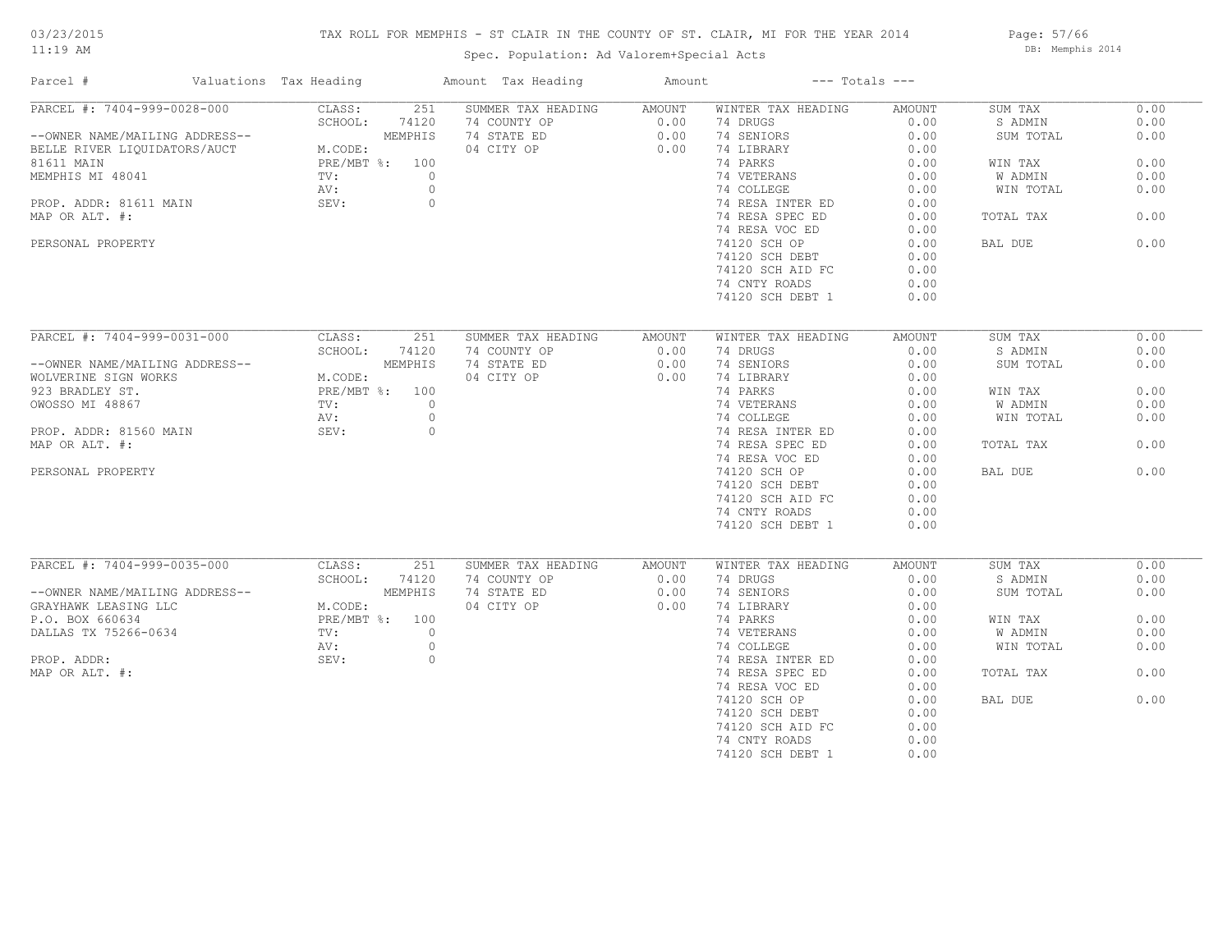# TAX ROLL FOR MEMPHIS - ST CLAIR IN THE COUNTY OF ST. CLAIR, MI FOR THE YEAR 2014

Spec. Population: Ad Valorem+Special Acts

Page: 57/66 DB: Memphis 2014

| Parcel #                       | Valuations Tax Heading |                | Amount Tax Heading | Amount | $---$ Totals $---$ |                  |           |      |
|--------------------------------|------------------------|----------------|--------------------|--------|--------------------|------------------|-----------|------|
| PARCEL #: 7404-999-0028-000    | CLASS:                 | 251            | SUMMER TAX HEADING | AMOUNT | WINTER TAX HEADING | AMOUNT           | SUM TAX   | 0.00 |
|                                | SCHOOL:                | 74120          | 74 COUNTY OP       | 0.00   | 74 DRUGS           | 0.00             | S ADMIN   | 0.00 |
| --OWNER NAME/MAILING ADDRESS-- |                        | MEMPHIS        | 74 STATE ED        | 0.00   | 74 SENIORS         | 0.00             | SUM TOTAL | 0.00 |
| BELLE RIVER LIQUIDATORS/AUCT   | M.CODE:                |                | 04 CITY OP         | 0.00   | 74 LIBRARY         | 0.00             |           |      |
| 81611 MAIN                     | PRE/MBT %: 100         |                |                    |        | 74 PARKS           | 0.00             | WIN TAX   | 0.00 |
| MEMPHIS MI 48041               | TV:                    | $\circ$        |                    |        | 74 VETERANS        | 0.00             | W ADMIN   | 0.00 |
|                                | AV:                    | $\circ$        |                    |        | 74 COLLEGE         | 0.00             | WIN TOTAL | 0.00 |
| PROP. ADDR: 81611 MAIN         | SEV:                   | $\circ$        |                    |        | 74 RESA INTER ED   | 0.00             |           |      |
| MAP OR ALT. #:                 |                        |                |                    |        | 74 RESA SPEC ED    | 0.00             | TOTAL TAX | 0.00 |
|                                |                        |                |                    |        | 74 RESA VOC ED     | 0.00             |           |      |
| PERSONAL PROPERTY              |                        |                |                    |        | 74120 SCH OP       | 0.00             | BAL DUE   | 0.00 |
|                                |                        |                |                    |        | 74120 SCH DEBT     | 0.00             |           |      |
|                                |                        |                |                    |        | 74120 SCH AID FC   | 0.00             |           |      |
|                                |                        |                |                    |        |                    |                  |           |      |
|                                |                        |                |                    |        | 74 CNTY ROADS      | 0.00             |           |      |
|                                |                        |                |                    |        | 74120 SCH DEBT 1   | 0.00             |           |      |
|                                |                        |                |                    |        |                    |                  |           |      |
| PARCEL #: 7404-999-0031-000    | CLASS:                 | 251            | SUMMER TAX HEADING | AMOUNT | WINTER TAX HEADING | AMOUNT           | SUM TAX   | 0.00 |
|                                | SCHOOL:                | 74120          | 74 COUNTY OP       | 0.00   | 74 DRUGS           | 0.00             | S ADMIN   | 0.00 |
| --OWNER NAME/MAILING ADDRESS-- |                        | MEMPHIS        | 74 STATE ED        | 0.00   | 74 SENIORS         | 0.00             | SUM TOTAL | 0.00 |
| WOLVERINE SIGN WORKS           | M.CODE:                |                | 04 CITY OP         | 0.00   | 74 LIBRARY         | 0.00             |           |      |
| 923 BRADLEY ST.                | PRE/MBT %: 100         |                |                    |        | 74 PARKS           | 0.00             | WIN TAX   | 0.00 |
| OWOSSO MI 48867                | TV:                    | $\circ$        |                    |        | 74 VETERANS        | $0.00$<br>$0.00$ | W ADMIN   | 0.00 |
|                                | AV:                    | $\circ$        |                    |        | 74 COLLEGE         |                  | WIN TOTAL | 0.00 |
| PROP. ADDR: 81560 MAIN         | SEV:                   | $\circ$        |                    |        | 74 RESA INTER ED   | 0.00             |           |      |
| MAP OR ALT. #:                 |                        |                |                    |        | 74 RESA SPEC ED    | 0.00             | TOTAL TAX | 0.00 |
|                                |                        |                |                    |        | 74 RESA VOC ED     | 0.00             |           |      |
| PERSONAL PROPERTY              |                        |                |                    |        | 74120 SCH OP       | 0.00             | BAL DUE   | 0.00 |
|                                |                        |                |                    |        | 74120 SCH DEBT     | 0.00             |           |      |
|                                |                        |                |                    |        | 74120 SCH AID FC   | 0.00             |           |      |
|                                |                        |                |                    |        | 74 CNTY ROADS      | 0.00             |           |      |
|                                |                        |                |                    |        | 74120 SCH DEBT 1   | 0.00             |           |      |
|                                |                        |                |                    |        |                    |                  |           |      |
|                                |                        |                |                    |        |                    |                  |           |      |
| PARCEL #: 7404-999-0035-000    | CLASS:                 | 251            | SUMMER TAX HEADING | AMOUNT | WINTER TAX HEADING | AMOUNT           | SUM TAX   | 0.00 |
|                                | SCHOOL:                | 74120          | 74 COUNTY OP       | 0.00   | 74 DRUGS           | 0.00             | S ADMIN   | 0.00 |
| --OWNER NAME/MAILING ADDRESS-- |                        | MEMPHIS        | 74 STATE ED        | 0.00   | 74 SENIORS         | 0.00             | SUM TOTAL | 0.00 |
| GRAYHAWK LEASING LLC           | M.CODE:                |                | 04 CITY OP         | 0.00   | 74 LIBRARY         | 0.00             |           |      |
| P.O. BOX 660634                |                        | PRE/MBT %: 100 |                    |        | 74 PARKS           | 0.00             | WIN TAX   | 0.00 |
| DALLAS TX 75266-0634           | TV:                    | $\circ$        |                    |        | 74 VETERANS        | 0.00             | W ADMIN   | 0.00 |
|                                | AV:                    | $\circ$        |                    |        | 74 COLLEGE         | 0.00             | WIN TOTAL | 0.00 |
| PROP. ADDR:                    | SEV:                   | $\circ$        |                    |        | 74 RESA INTER ED   | 0.00             |           |      |
| MAP OR ALT. #:                 |                        |                |                    |        | 74 RESA SPEC ED    | 0.00             | TOTAL TAX | 0.00 |
|                                |                        |                |                    |        | 74 RESA VOC ED     | 0.00             |           |      |
|                                |                        |                |                    |        | 74120 SCH OP       | 0.00             | BAL DUE   | 0.00 |
|                                |                        |                |                    |        | 74120 SCH DEBT     | 0.00             |           |      |
|                                |                        |                |                    |        | 74120 SCH AID FC   | 0.00             |           |      |
|                                |                        |                |                    |        | 74 CNTY ROADS      | 0.00             |           |      |
|                                |                        |                |                    |        | 74120 SCH DEBT 1   | 0.00             |           |      |
|                                |                        |                |                    |        |                    |                  |           |      |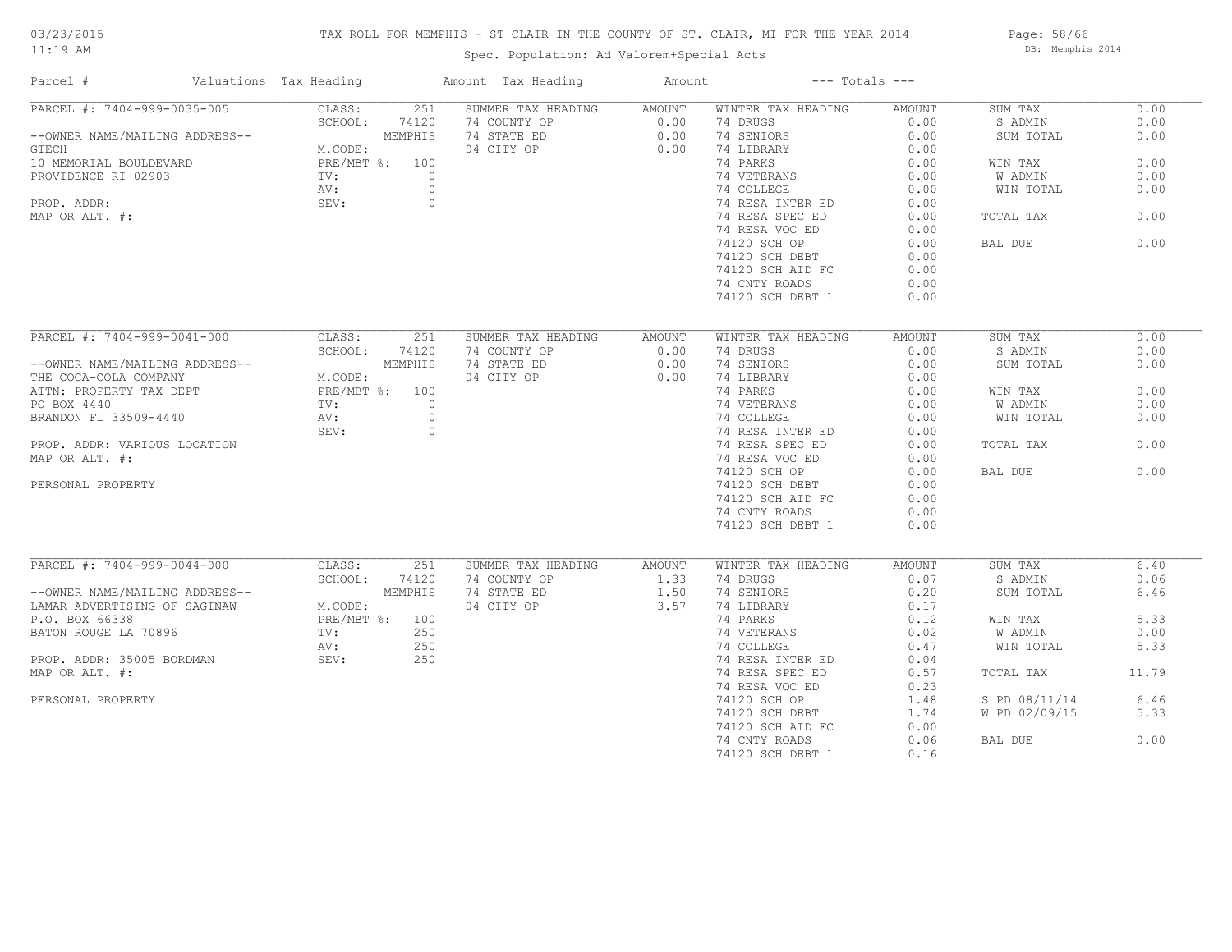# TAX ROLL FOR MEMPHIS - ST CLAIR IN THE COUNTY OF ST. CLAIR, MI FOR THE YEAR 2014

Spec. Population: Ad Valorem+Special Acts

Page: 58/66 DB: Memphis 2014

| Parcel #                                                                                                                                                                                             | Valuations Tax Heading |         | Amount Tax Heading | Amount         | $---$ Totals $---$             |                |                    |       |
|------------------------------------------------------------------------------------------------------------------------------------------------------------------------------------------------------|------------------------|---------|--------------------|----------------|--------------------------------|----------------|--------------------|-------|
| PARCEL #: 7404-999-0035-005                                                                                                                                                                          | CLASS:                 | 251     | SUMMER TAX HEADING | AMOUNT         | WINTER TAX HEADING             | AMOUNT         | SUM TAX            | 0.00  |
|                                                                                                                                                                                                      | SCHOOL:                | 74120   | 74 COUNTY OP       | 0.00           | 74 DRUGS                       | 0.00           | S ADMIN            | 0.00  |
| --OWNER NAME/MAILING ADDRESS--                                                                                                                                                                       |                        | MEMPHIS | 74 STATE ED        | 0.00           | 74 SENIORS                     | 0.00           | SUM TOTAL          | 0.00  |
| GTECH                                                                                                                                                                                                | M.CODE:                |         | 04 CITY OP         | 0.00           | 74 LIBRARY                     | 0.00           |                    |       |
| 10 MEMORIAL BOULDEVARD                                                                                                                                                                               | PRE/MBT %: 100         |         |                    |                | 74 PARKS                       | 0.00           | WIN TAX            | 0.00  |
| PROVIDENCE RI 02903                                                                                                                                                                                  | TV:                    | $\circ$ |                    |                | 74 VETERANS                    | 0.00           | W ADMIN            | 0.00  |
|                                                                                                                                                                                                      | AV:                    | $\circ$ |                    |                | 74 COLLEGE                     | 0.00           | WIN TOTAL          | 0.00  |
| PROP. ADDR:                                                                                                                                                                                          | SEV:                   | $\circ$ |                    |                | 74 RESA INTER ED               | 0.00           |                    |       |
| MAP OR ALT. #:                                                                                                                                                                                       |                        |         |                    |                | 74 RESA SPEC ED                | 0.00           | TOTAL TAX          | 0.00  |
|                                                                                                                                                                                                      |                        |         |                    |                | 74 RESA VOC ED                 | 0.00           |                    |       |
|                                                                                                                                                                                                      |                        |         |                    |                | 74120 SCH OP                   | 0.00           | BAL DUE            | 0.00  |
|                                                                                                                                                                                                      |                        |         |                    |                | 74120 SCH DEBT                 | 0.00           |                    |       |
|                                                                                                                                                                                                      |                        |         |                    |                | 74120 SCH AID FC               | 0.00           |                    |       |
|                                                                                                                                                                                                      |                        |         |                    |                | 74 CNTY ROADS                  | 0.00           |                    |       |
|                                                                                                                                                                                                      |                        |         |                    |                | 74120 SCH DEBT 1               | 0.00           |                    |       |
|                                                                                                                                                                                                      |                        |         |                    |                |                                |                |                    |       |
|                                                                                                                                                                                                      |                        |         |                    |                |                                |                |                    |       |
| PARCEL #: 7404-999-0041-000                                                                                                                                                                          | CLASS:                 | 251     | SUMMER TAX HEADING | AMOUNT         | WINTER TAX HEADING             | AMOUNT         | SUM TAX            | 0.00  |
|                                                                                                                                                                                                      | SCHOOL: 74120          |         | 74 COUNTY OP       | 0.00           | 74 DRUGS                       | 0.00           | S ADMIN            | 0.00  |
|                                                                                                                                                                                                      |                        |         | 74 STATE ED        | 0.00           | 74 SENIORS                     | 0.00           | SUM TOTAL          | 0.00  |
|                                                                                                                                                                                                      |                        |         | 04 CITY OP         | 0.00           | 74 LIBRARY                     | 0.00           |                    |       |
| --OWNER NAME/MAILING ADDRESS--<br>THE COCA-COLA COMPANY MEMPHIS<br>ATTN: PROPERTY TAX DEPT PRE/MBT %: 100<br>PO BOX 4440<br>BRANDON FL 33509-4440 AV: 0<br>PRE/MBT %: 0<br>PRANDON FL 33509-4440 AV: |                        |         |                    |                | 74 PARKS                       | 0.00           | WIN TAX            | 0.00  |
|                                                                                                                                                                                                      |                        |         |                    |                | 74 VETERANS                    | 0.00           | W ADMIN            | 0.00  |
|                                                                                                                                                                                                      |                        |         |                    |                | 74 COLLEGE                     | 0.00           | WIN TOTAL          | 0.00  |
|                                                                                                                                                                                                      | SEV:                   | $\circ$ |                    |                | 74 RESA INTER ED               | 0.00           |                    |       |
| PROP. ADDR: VARIOUS LOCATION                                                                                                                                                                         |                        |         |                    |                | 74 RESA SPEC ED                | 0.00           | TOTAL TAX          | 0.00  |
| MAP OR ALT. #:                                                                                                                                                                                       |                        |         |                    |                | 74 RESA VOC ED                 | 0.00           |                    |       |
|                                                                                                                                                                                                      |                        |         |                    |                | 74120 SCH OP                   | 0.00           | BAL DUE            | 0.00  |
| PERSONAL PROPERTY                                                                                                                                                                                    |                        |         |                    |                | 74120 SCH DEBT                 | 0.00           |                    |       |
|                                                                                                                                                                                                      |                        |         |                    |                | 74120 SCH AID FC               | 0.00           |                    |       |
|                                                                                                                                                                                                      |                        |         |                    |                | 74 CNTY ROADS                  | 0.00           |                    |       |
|                                                                                                                                                                                                      |                        |         |                    |                | 74120 SCH DEBT 1               | 0.00           |                    |       |
|                                                                                                                                                                                                      |                        |         |                    |                |                                |                |                    |       |
| PARCEL #: 7404-999-0044-000                                                                                                                                                                          | CLASS:                 | 251     | SUMMER TAX HEADING |                |                                |                |                    | 6.40  |
|                                                                                                                                                                                                      | SCHOOL:                | 74120   | 74 COUNTY OP       | AMOUNT<br>1.33 | WINTER TAX HEADING<br>74 DRUGS | AMOUNT<br>0.07 | SUM TAX<br>S ADMIN | 0.06  |
|                                                                                                                                                                                                      |                        |         | 74 STATE ED        | 1.50           | 74 SENIORS                     | 0.20           | SUM TOTAL          | 6.46  |
| --OWNER NAME/MAILING ADDRESS--<br>LAMAR ADVERTISING OF SAGINAW M.CODE:<br>P.O. BOX 66338 PRE/MBT %: 100                                                                                              |                        |         | 04 CITY OP         | 3.57           | 74 LIBRARY                     | 0.17           |                    |       |
|                                                                                                                                                                                                      |                        |         |                    |                |                                |                |                    |       |
|                                                                                                                                                                                                      |                        | 250     |                    |                | 74 PARKS                       | 0.12           | WIN TAX            | 5.33  |
| BATON ROUGE LA 70896                                                                                                                                                                                 | $\text{TV}$ :          |         |                    |                | 74 VETERANS                    | 0.02           | W ADMIN            | 0.00  |
|                                                                                                                                                                                                      | AV:                    | 250     |                    |                | 74 COLLEGE                     | 0.47           | WIN TOTAL          | 5.33  |
| PROP. ADDR: 35005 BORDMAN                                                                                                                                                                            | SEV:                   | 250     |                    |                | 74 RESA INTER ED               | 0.04           |                    |       |
| MAP OR ALT. #:                                                                                                                                                                                       |                        |         |                    |                | 74 RESA SPEC ED                | 0.57           | TOTAL TAX          | 11.79 |
|                                                                                                                                                                                                      |                        |         |                    |                | 74 RESA VOC ED                 | 0.23           |                    |       |
| PERSONAL PROPERTY                                                                                                                                                                                    |                        |         |                    |                | 74120 SCH OP                   | 1.48           | S PD 08/11/14      | 6.46  |
|                                                                                                                                                                                                      |                        |         |                    |                | 74120 SCH DEBT                 | 1.74           | W PD 02/09/15      | 5.33  |
|                                                                                                                                                                                                      |                        |         |                    |                | 74120 SCH AID FC               | 0.00           |                    |       |
|                                                                                                                                                                                                      |                        |         |                    |                | 74 CNTY ROADS                  | 0.06           | BAL DUE            | 0.00  |
|                                                                                                                                                                                                      |                        |         |                    |                | 74120 SCH DEBT 1               | 0.16           |                    |       |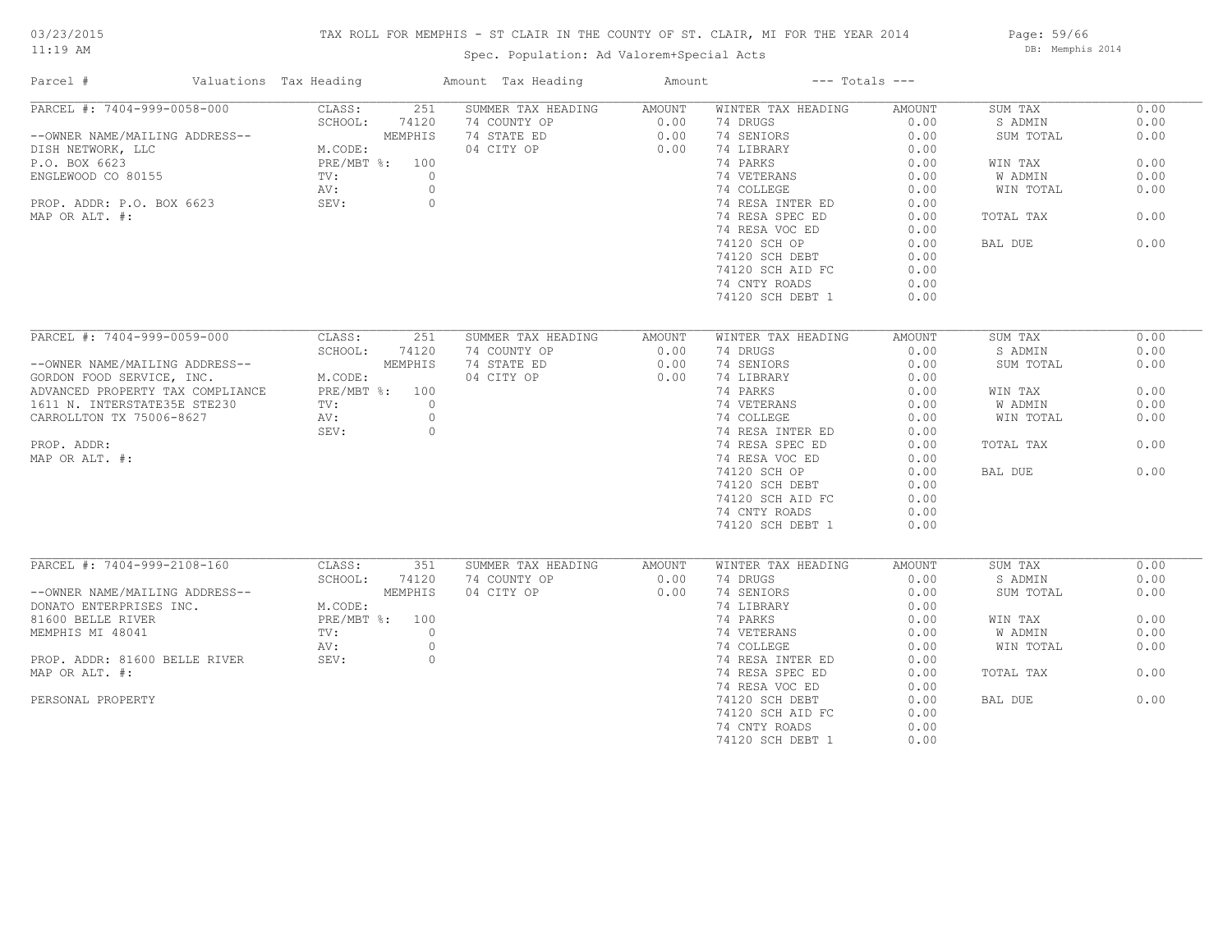# TAX ROLL FOR MEMPHIS - ST CLAIR IN THE COUNTY OF ST. CLAIR, MI FOR THE YEAR 2014

Spec. Population: Ad Valorem+Special Acts

Page: 59/66 DB: Memphis 2014

| Parcel #                         | Valuations Tax Heading | Amount Tax Heading | Amount | $---$ Totals $---$ |        |           |      |
|----------------------------------|------------------------|--------------------|--------|--------------------|--------|-----------|------|
| PARCEL #: 7404-999-0058-000      | CLASS:<br>251          | SUMMER TAX HEADING | AMOUNT | WINTER TAX HEADING | AMOUNT | SUM TAX   | 0.00 |
|                                  | SCHOOL:<br>74120       | 74 COUNTY OP       | 0.00   | 74 DRUGS           | 0.00   | S ADMIN   | 0.00 |
| --OWNER NAME/MAILING ADDRESS--   | MEMPHIS                | 74 STATE ED        | 0.00   | 74 SENIORS         | 0.00   | SUM TOTAL | 0.00 |
| DISH NETWORK, LLC                | M.CODE:                | 04 CITY OP         | 0.00   | 74 LIBRARY         | 0.00   |           |      |
| P.O. BOX 6623                    | PRE/MBT %: 100         |                    |        | 74 PARKS           | 0.00   | WIN TAX   | 0.00 |
| ENGLEWOOD CO 80155               | $\text{TV}$ :          | $\circ$            |        | 74 VETERANS        | 0.00   | W ADMIN   | 0.00 |
|                                  | AV:                    | $\circ$            |        | 74 COLLEGE         | 0.00   | WIN TOTAL | 0.00 |
| PROP. ADDR: P.O. BOX 6623        | SEV:                   | $\circ$            |        | 74 RESA INTER ED   | 0.00   |           |      |
| MAP OR ALT. #:                   |                        |                    |        | 74 RESA SPEC ED    | 0.00   | TOTAL TAX | 0.00 |
|                                  |                        |                    |        | 74 RESA VOC ED     | 0.00   |           |      |
|                                  |                        |                    |        | 74120 SCH OP       | 0.00   | BAL DUE   | 0.00 |
|                                  |                        |                    |        | 74120 SCH DEBT     | 0.00   |           |      |
|                                  |                        |                    |        |                    |        |           |      |
|                                  |                        |                    |        | 74120 SCH AID FC   | 0.00   |           |      |
|                                  |                        |                    |        | 74 CNTY ROADS      | 0.00   |           |      |
|                                  |                        |                    |        | 74120 SCH DEBT 1   | 0.00   |           |      |
|                                  |                        |                    |        |                    |        |           |      |
| PARCEL #: 7404-999-0059-000      | CLASS:<br>251          | SUMMER TAX HEADING | AMOUNT | WINTER TAX HEADING | AMOUNT | SUM TAX   | 0.00 |
|                                  | SCHOOL:<br>74120       | 74 COUNTY OP       | 0.00   | 74 DRUGS           | 0.00   | S ADMIN   | 0.00 |
| --OWNER NAME/MAILING ADDRESS--   | MEMPHIS                | 74 STATE ED        | 0.00   | 74 SENIORS         | 0.00   | SUM TOTAL | 0.00 |
| GORDON FOOD SERVICE, INC.        | M.CODE:                | 04 CITY OP         | 0.00   | 74 LIBRARY         | 0.00   |           |      |
| ADVANCED PROPERTY TAX COMPLIANCE | PRE/MBT %: 100         |                    |        | 74 PARKS           | 0.00   | WIN TAX   | 0.00 |
| 1611 N. INTERSTATE35E STE230     | TV:                    | $\circ$            |        | 74 VETERANS        | 0.00   | W ADMIN   | 0.00 |
| CARROLLTON TX 75006-8627         | AV:                    | $\circ$            |        | 74 COLLEGE         | 0.00   | WIN TOTAL | 0.00 |
|                                  | SEV:                   | $\circ$            |        | 74 RESA INTER ED   | 0.00   |           |      |
| PROP. ADDR:                      |                        |                    |        | 74 RESA SPEC ED    | 0.00   | TOTAL TAX | 0.00 |
| MAP OR ALT. #:                   |                        |                    |        | 74 RESA VOC ED     | 0.00   |           |      |
|                                  |                        |                    |        | 74120 SCH OP       | 0.00   | BAL DUE   | 0.00 |
|                                  |                        |                    |        | 74120 SCH DEBT     | 0.00   |           |      |
|                                  |                        |                    |        | 74120 SCH AID FC   | 0.00   |           |      |
|                                  |                        |                    |        | 74 CNTY ROADS      | 0.00   |           |      |
|                                  |                        |                    |        | 74120 SCH DEBT 1   | 0.00   |           |      |
|                                  |                        |                    |        |                    |        |           |      |
| PARCEL #: 7404-999-2108-160      | CLASS:<br>351          | SUMMER TAX HEADING | AMOUNT | WINTER TAX HEADING | AMOUNT | SUM TAX   | 0.00 |
|                                  | SCHOOL:<br>74120       | 74 COUNTY OP       | 0.00   | 74 DRUGS           | 0.00   | S ADMIN   | 0.00 |
| --OWNER NAME/MAILING ADDRESS--   | MEMPHIS                | 04 CITY OP         | 0.00   | 74 SENIORS         | 0.00   | SUM TOTAL | 0.00 |
| DONATO ENTERPRISES INC.          | M.CODE:                |                    |        | 74 LIBRARY         | 0.00   |           |      |
| 81600 BELLE RIVER                | PRE/MBT %: 100         |                    |        | 74 PARKS           | 0.00   | WIN TAX   | 0.00 |
| MEMPHIS MI 48041                 | TV:                    | $\circ$            |        | 74 VETERANS        | 0.00   | W ADMIN   | 0.00 |
|                                  | AV:                    | $\circ$            |        | 74 COLLEGE         | 0.00   | WIN TOTAL | 0.00 |
| PROP. ADDR: 81600 BELLE RIVER    | SEV:                   | $\circ$            |        | 74 RESA INTER ED   | 0.00   |           |      |
| MAP OR ALT. #:                   |                        |                    |        | 74 RESA SPEC ED    | 0.00   | TOTAL TAX | 0.00 |
|                                  |                        |                    |        | 74 RESA VOC ED     | 0.00   |           |      |
| PERSONAL PROPERTY                |                        |                    |        | 74120 SCH DEBT     | 0.00   | BAL DUE   | 0.00 |
|                                  |                        |                    |        | 74120 SCH AID FC   | 0.00   |           |      |
|                                  |                        |                    |        | 74 CNTY ROADS      | 0.00   |           |      |
|                                  |                        |                    |        | 74120 SCH DEBT 1   | 0.00   |           |      |
|                                  |                        |                    |        |                    |        |           |      |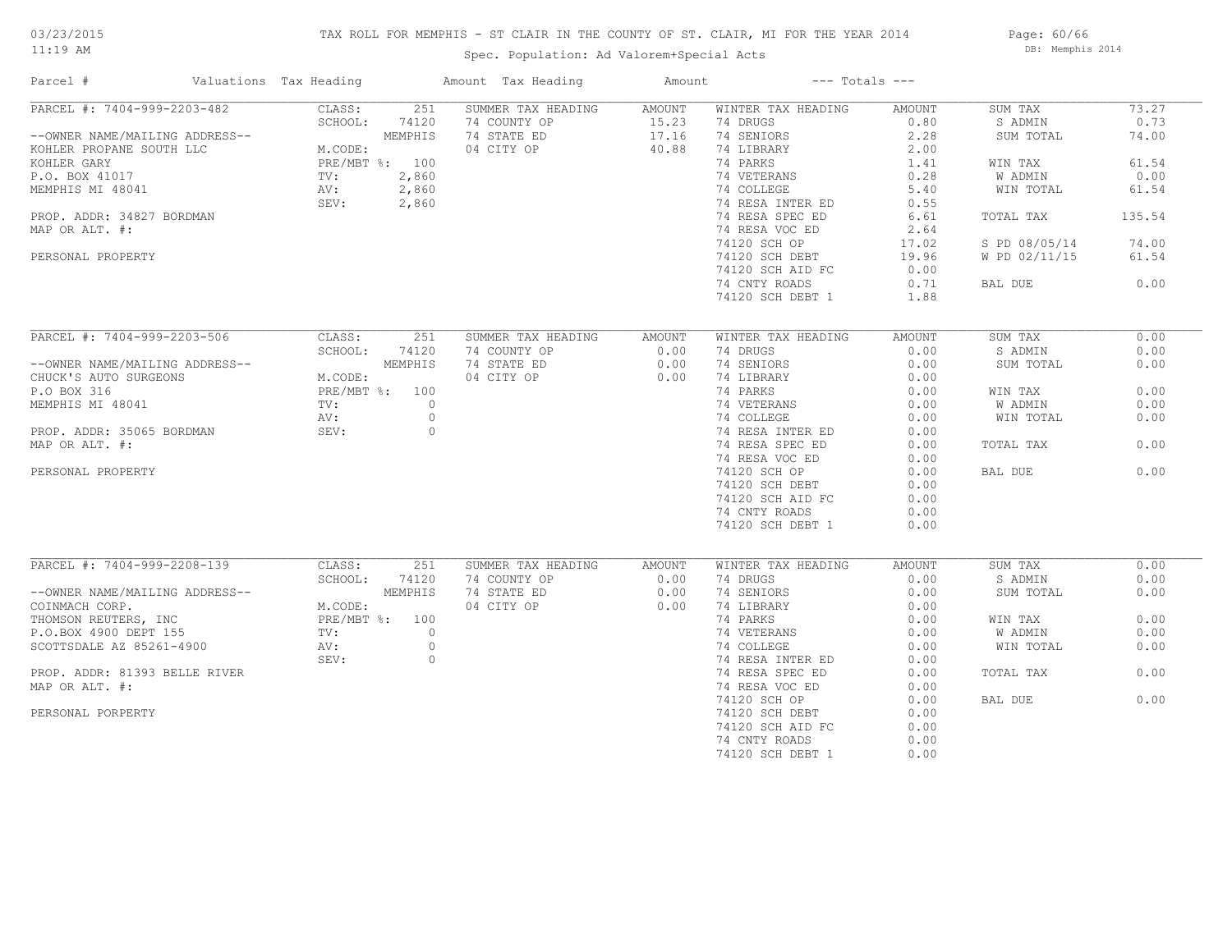# TAX ROLL FOR MEMPHIS - ST CLAIR IN THE COUNTY OF ST. CLAIR, MI FOR THE YEAR 2014

Spec. Population: Ad Valorem+Special Acts

Page: 60/66 DB: Memphis 2014

| Parcel #                                                                                                                                                                              | Valuations Tax Heading                                 |         | Amount Tax Heading | Amount | $---$ Totals $---$ |        |               |        |
|---------------------------------------------------------------------------------------------------------------------------------------------------------------------------------------|--------------------------------------------------------|---------|--------------------|--------|--------------------|--------|---------------|--------|
| PARCEL #: 7404-999-2203-482                                                                                                                                                           | CLASS:                                                 | 251     | SUMMER TAX HEADING | AMOUNT | WINTER TAX HEADING | AMOUNT | SUM TAX       | 73.27  |
|                                                                                                                                                                                       | SCHOOL:                                                | 74120   | 74 COUNTY OP       | 15.23  | 74 DRUGS           | 0.80   | S ADMIN       | 0.73   |
| --OWNER NAME/MAILING ADDRESS--                                                                                                                                                        | $\sim$ $\sim$ $\sim$ $\sim$ $\sim$ $\sim$ $\sim$       | MEMPHIS | 74 STATE ED        | 17.16  | 74 SENIORS         | 2.28   | SUM TOTAL     | 74.00  |
| EXEREND PROPANE SOUTH LLC<br>EXCHLER GARY<br>P.O. BOX 41017<br>P.O. BOX 41017<br>M.CODE:<br>M.CODE:<br>PRE/MBT %: 100<br>P.O. BOX 41017<br>TV: 2,860<br>MEMPHIS MI 48041<br>AV: 2,860 |                                                        |         | 04 CITY OP         | 40.88  | 74 LIBRARY         | 2.00   |               |        |
|                                                                                                                                                                                       |                                                        |         |                    |        | 74 PARKS           | 1.41   | WIN TAX       | 61.54  |
|                                                                                                                                                                                       |                                                        |         |                    |        | 74 VETERANS        | 0.28   | W ADMIN       | 0.00   |
|                                                                                                                                                                                       |                                                        |         |                    |        | 74 COLLEGE         | 5.40   | WIN TOTAL     | 61.54  |
|                                                                                                                                                                                       | SEV:                                                   | 2,860   |                    |        | 74 RESA INTER ED   | 0.55   |               |        |
| PROP. ADDR: 34827 BORDMAN                                                                                                                                                             |                                                        |         |                    |        | 74 RESA SPEC ED    | 6.61   | TOTAL TAX     | 135.54 |
| MAP OR ALT. #:                                                                                                                                                                        |                                                        |         |                    |        | 74 RESA VOC ED     |        |               |        |
|                                                                                                                                                                                       |                                                        |         |                    |        |                    | 2.64   |               |        |
|                                                                                                                                                                                       |                                                        |         |                    |        | 74120 SCH OP       | 17.02  | S PD 08/05/14 | 74.00  |
| PERSONAL PROPERTY                                                                                                                                                                     |                                                        |         |                    |        | 74120 SCH DEBT     | 19.96  | W PD 02/11/15 | 61.54  |
|                                                                                                                                                                                       |                                                        |         |                    |        | 74120 SCH AID FC   | 0.00   |               |        |
|                                                                                                                                                                                       |                                                        |         |                    |        | 74 CNTY ROADS      | 0.71   | BAL DUE       | 0.00   |
|                                                                                                                                                                                       |                                                        |         |                    |        | 74120 SCH DEBT 1   | 1.88   |               |        |
|                                                                                                                                                                                       |                                                        |         |                    |        |                    |        |               |        |
| PARCEL #: 7404-999-2203-506                                                                                                                                                           | CLASS:                                                 | 251     | SUMMER TAX HEADING | AMOUNT | WINTER TAX HEADING | AMOUNT | SUM TAX       | 0.00   |
|                                                                                                                                                                                       | SCHOOL:                                                | 74120   | 74 COUNTY OP       | 0.00   | 74 DRUGS           | 0.00   | S ADMIN       | 0.00   |
| --OWNER NAME/MAILING ADDRESS--                                                                                                                                                        |                                                        |         | 74 STATE ED        | 0.00   | 74 SENIORS         | 0.00   | SUM TOTAL     | 0.00   |
| CHUCK'S AUTO SURGEONS                                                                                                                                                                 | ADDRESS--<br>M.CODE:<br>PRE/MBT %: 100<br>TV:<br>NV:   |         | 04 CITY OP         | 0.00   | 74 LIBRARY         | 0.00   |               |        |
| P.O BOX 316                                                                                                                                                                           |                                                        |         |                    |        | 74 PARKS           | 0.00   |               | 0.00   |
|                                                                                                                                                                                       |                                                        |         |                    |        |                    |        | WIN TAX       |        |
| MEMPHIS MI 48041                                                                                                                                                                      |                                                        |         |                    |        | 74 VETERANS        | 0.00   | W ADMIN       | 0.00   |
|                                                                                                                                                                                       | AV:                                                    | $\circ$ |                    |        | 74 COLLEGE         | 0.00   | WIN TOTAL     | 0.00   |
| PROP. ADDR: 35065 BORDMAN                                                                                                                                                             | SEV:                                                   | $\circ$ |                    |        | 74 RESA INTER ED   | 0.00   |               |        |
| MAP OR ALT. #:                                                                                                                                                                        |                                                        |         |                    |        | 74 RESA SPEC ED    | 0.00   | TOTAL TAX     | 0.00   |
|                                                                                                                                                                                       |                                                        |         |                    |        | 74 RESA VOC ED     | 0.00   |               |        |
| PERSONAL PROPERTY                                                                                                                                                                     |                                                        |         |                    |        | 74120 SCH OP       | 0.00   | BAL DUE       | 0.00   |
|                                                                                                                                                                                       |                                                        |         |                    |        | 74120 SCH DEBT     | 0.00   |               |        |
|                                                                                                                                                                                       |                                                        |         |                    |        | 74120 SCH AID FC   | 0.00   |               |        |
|                                                                                                                                                                                       |                                                        |         |                    |        | 74 CNTY ROADS      | 0.00   |               |        |
|                                                                                                                                                                                       |                                                        |         |                    |        | 74120 SCH DEBT 1   | 0.00   |               |        |
|                                                                                                                                                                                       |                                                        |         |                    |        |                    |        |               |        |
| PARCEL #: 7404-999-2208-139                                                                                                                                                           | CLASS:                                                 | 251     | SUMMER TAX HEADING | AMOUNT | WINTER TAX HEADING | AMOUNT | SUM TAX       | 0.00   |
|                                                                                                                                                                                       | SCHOOL:                                                | 74120   | 74 COUNTY OP       | 0.00   | 74 DRUGS           | 0.00   | S ADMIN       | 0.00   |
|                                                                                                                                                                                       |                                                        |         |                    |        |                    |        |               |        |
| --OWNER NAME/MAILING ADDRESS--                                                                                                                                                        |                                                        | MEMPHIS | 74 STATE ED        | 0.00   | 74 SENIORS         | 0.00   | SUM TOTAL     | 0.00   |
| COINMACH CORP.                                                                                                                                                                        | M.CODE:<br>PRE/MBT %: 100<br>TV: 0<br>AV: 0<br>~~~~. ( |         | 04 CITY OP         | 0.00   | 74 LIBRARY         | 0.00   |               |        |
| COMMAND REUTERS, INC<br>P.O.BOX 4900 DEPT 155<br>SCOTTSDALE AZ 85261-4900                                                                                                             |                                                        |         |                    |        | 74 PARKS           | 0.00   | WIN TAX       | 0.00   |
|                                                                                                                                                                                       |                                                        |         |                    |        | 74 VETERANS        | 0.00   | W ADMIN       | 0.00   |
|                                                                                                                                                                                       |                                                        |         |                    |        | 74 COLLEGE         | 0.00   | WIN TOTAL     | 0.00   |
|                                                                                                                                                                                       |                                                        |         |                    |        | 74 RESA INTER ED   | 0.00   |               |        |
| PROP. ADDR: 81393 BELLE RIVER                                                                                                                                                         |                                                        |         |                    |        | 74 RESA SPEC ED    | 0.00   | TOTAL TAX     | 0.00   |
| MAP OR ALT. #:                                                                                                                                                                        |                                                        |         |                    |        | 74 RESA VOC ED     | 0.00   |               |        |
|                                                                                                                                                                                       |                                                        |         |                    |        | 74120 SCH OP       | 0.00   | BAL DUE       | 0.00   |
| PERSONAL PORPERTY                                                                                                                                                                     |                                                        |         |                    |        | 74120 SCH DEBT     | 0.00   |               |        |
|                                                                                                                                                                                       |                                                        |         |                    |        | 74120 SCH AID FC   | 0.00   |               |        |
|                                                                                                                                                                                       |                                                        |         |                    |        |                    |        |               |        |
|                                                                                                                                                                                       |                                                        |         |                    |        | 74 CNTY ROADS      | 0.00   |               |        |
|                                                                                                                                                                                       |                                                        |         |                    |        | 74120 SCH DEBT 1   | 0.00   |               |        |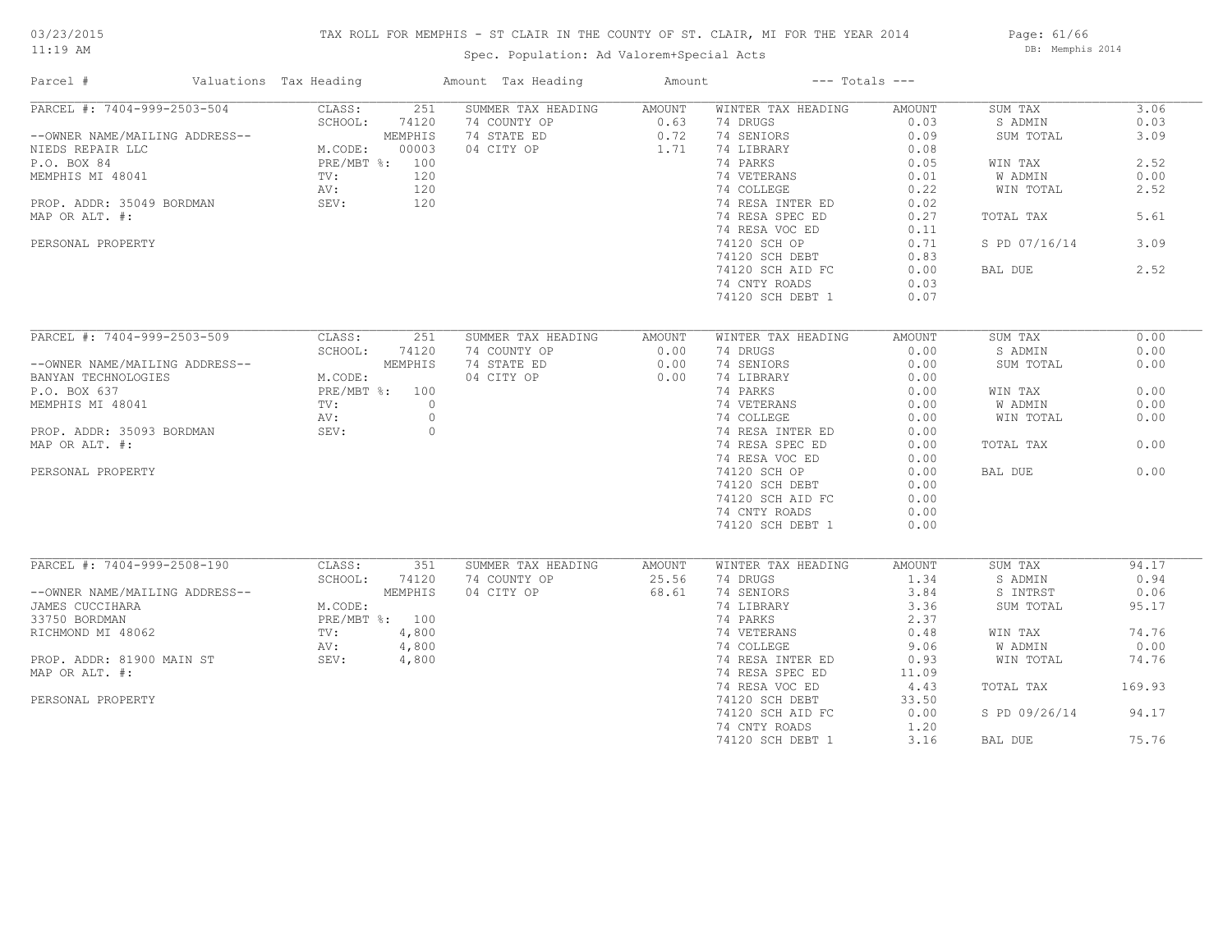# TAX ROLL FOR MEMPHIS - ST CLAIR IN THE COUNTY OF ST. CLAIR, MI FOR THE YEAR 2014

Spec. Population: Ad Valorem+Special Acts

Page: 61/66 DB: Memphis 2014

| Parcel #                       | Valuations Tax Heading |                                      |         | Amount Tax Heading        | Amount           |                                               | $---$ Totals $---$ |               |        |
|--------------------------------|------------------------|--------------------------------------|---------|---------------------------|------------------|-----------------------------------------------|--------------------|---------------|--------|
| PARCEL #: 7404-999-2503-504    |                        | CLASS:                               | 251     | SUMMER TAX HEADING AMOUNT |                  | WINTER TAX HEADING                            | AMOUNT             | SUM TAX       | 3.06   |
|                                |                        | SCHOOL:                              | 74120   | 74 COUNTY OP              |                  | 74 DRUGS                                      | 0.03               | S ADMIN       | 0.03   |
| --OWNER NAME/MAILING ADDRESS-- |                        |                                      | MEMPHIS | 74 STATE ED               | $0.63$<br>$0.72$ | 74 SENIORS                                    | 0.09               | SUM TOTAL     | 3.09   |
| NIEDS REPAIR LLC               |                        | M.CODE: 000<br>PRE/MBT %: 100<br>120 |         | 04 CITY OP                | 1.71             | 74 LIBRARY                                    | 0.08               |               |        |
| P.O. BOX 84                    |                        |                                      |         |                           |                  | 74 PARKS                                      | 0.05               | WIN TAX       | 2.52   |
| MEMPHIS MI 48041               |                        |                                      |         |                           |                  | 74 VETERANS                                   | 0.01               | W ADMIN       | 0.00   |
|                                |                        | AV:                                  | 120     |                           |                  | 74 COLLEGE                                    | 0.22               | WIN TOTAL     | 2.52   |
| PROP. ADDR: 35049 BORDMAN      |                        | SEV:                                 | 120     |                           |                  | 74 RESA INTER ED                              | 0.02               |               |        |
|                                |                        |                                      |         |                           |                  |                                               |                    |               |        |
| MAP OR ALT. #:                 |                        |                                      |         |                           |                  | 74 RESA SPEC ED                               | 0.27               | TOTAL TAX     | 5.61   |
|                                |                        |                                      |         |                           |                  | 74 RESA VOC ED                                | 0.11               |               |        |
| PERSONAL PROPERTY              |                        |                                      |         |                           |                  | 74120 SCH OP                                  | 0.71               | S PD 07/16/14 | 3.09   |
|                                |                        |                                      |         |                           |                  | 74120 SCH DEBT                                | 0.83               |               |        |
|                                |                        |                                      |         |                           |                  | 74120 SCH AID FC                              | 0.00               | BAL DUE       | 2.52   |
|                                |                        |                                      |         |                           |                  | 74 CNTY ROADS                                 | 0.03               |               |        |
|                                |                        |                                      |         |                           |                  | 74120 SCH DEBT 1                              | 0.07               |               |        |
|                                |                        |                                      |         |                           |                  |                                               |                    |               |        |
| PARCEL #: 7404-999-2503-509    |                        | CLASS:                               | 251     | SUMMER TAX HEADING        | AMOUNT           | WINTER TAX HEADING                            | AMOUNT             | SUM TAX       | 0.00   |
|                                |                        | SCHOOL:                              | 74120   | 74 COUNTY OP              | 0.00             | 74 DRUGS                                      | 0.00               | S ADMIN       | 0.00   |
|                                |                        |                                      |         |                           |                  |                                               |                    |               |        |
| --OWNER NAME/MAILING ADDRESS-- |                        |                                      | MEMPHIS | 74 STATE ED               | 0.00             | 74 SENIORS                                    | 0.00               | SUM TOTAL     | 0.00   |
| BANYAN TECHNOLOGIES            |                        | M.CODE:                              |         | 04 CITY OP                | 0.00             | 74 LIBRARY                                    | 0.00               |               |        |
| P.O. BOX 637                   |                        | PRE/MBT %: 100                       |         |                           |                  | 74 PARKS                                      | 0.00               | WIN TAX       | 0.00   |
| MEMPHIS MI 48041               |                        | TV:                                  | $\circ$ |                           |                  |                                               | 0.00               | W ADMIN       | 0.00   |
|                                |                        | AV:                                  | $\circ$ |                           |                  | 74 VETERANS<br>74 COLLEGE<br>74 RESA INTER ED | 0.00               | WIN TOTAL     | 0.00   |
| PROP. ADDR: 35093 BORDMAN      |                        | SEV:                                 | $\circ$ |                           |                  |                                               | 0.00               |               |        |
| MAP OR ALT. #:                 |                        |                                      |         |                           |                  | 74 RESA SPEC ED                               | 0.00               | TOTAL TAX     | 0.00   |
|                                |                        |                                      |         |                           |                  | 74 RESA VOC ED                                | 0.00               |               |        |
| PERSONAL PROPERTY              |                        |                                      |         |                           |                  | 74120 SCH OP                                  | 0.00               | BAL DUE       | 0.00   |
|                                |                        |                                      |         |                           |                  | 74120 SCH DEBT                                | 0.00               |               |        |
|                                |                        |                                      |         |                           |                  | 74120 SCH AID FC                              | 0.00               |               |        |
|                                |                        |                                      |         |                           |                  |                                               |                    |               |        |
|                                |                        |                                      |         |                           |                  | 74 CNTY ROADS                                 | 0.00               |               |        |
|                                |                        |                                      |         |                           |                  | 74120 SCH DEBT 1                              | 0.00               |               |        |
|                                |                        |                                      |         |                           |                  |                                               |                    |               |        |
| PARCEL #: 7404-999-2508-190    |                        | CLASS:                               | 351     | SUMMER TAX HEADING        | AMOUNT           | WINTER TAX HEADING                            | AMOUNT             | SUM TAX       | 94.17  |
|                                |                        | SCHOOL:                              | 74120   | 74 COUNTY OP              | 25.56            | 74 DRUGS                                      | 1.34               | S ADMIN       | 0.94   |
| --OWNER NAME/MAILING ADDRESS-- |                        |                                      | MEMPHIS | 04 CITY OP                | 68.61            | 74 SENIORS                                    | 3.84               | S INTRST      | 0.06   |
| JAMES CUCCIHARA                |                        | M.CODE:                              |         |                           |                  | 74 LIBRARY                                    | 3.36               | SUM TOTAL     | 95.17  |
| 33750 BORDMAN                  |                        | PRE/MBT %: 100                       |         |                           |                  | 74 PARKS                                      | 2.37               |               |        |
| RICHMOND MI 48062              |                        | TV:                                  | 4,800   |                           |                  | 74 VETERANS                                   | 0.48               | WIN TAX       | 74.76  |
|                                |                        | AV:                                  | 4,800   |                           |                  | 74 COLLEGE                                    | 9.06               | W ADMIN       | 0.00   |
| PROP. ADDR: 81900 MAIN ST      |                        | SEV:                                 | 4,800   |                           |                  | 74 RESA INTER ED                              | 0.93               | WIN TOTAL     | 74.76  |
| MAP OR ALT. #:                 |                        |                                      |         |                           |                  | 74 RESA SPEC ED                               | 11.09              |               |        |
|                                |                        |                                      |         |                           |                  |                                               |                    | TOTAL TAX     | 169.93 |
|                                |                        |                                      |         |                           |                  | 74 RESA VOC ED                                | 4.43               |               |        |
| PERSONAL PROPERTY              |                        |                                      |         |                           |                  | 74120 SCH DEBT                                | 33.50              |               |        |
|                                |                        |                                      |         |                           |                  | 74120 SCH AID FC                              | 0.00               | S PD 09/26/14 | 94.17  |
|                                |                        |                                      |         |                           |                  | 74 CNTY ROADS                                 | 1,20               |               |        |
|                                |                        |                                      |         |                           |                  | 74120 SCH DEBT 1                              | 3.16               | BAL DUE       | 75.76  |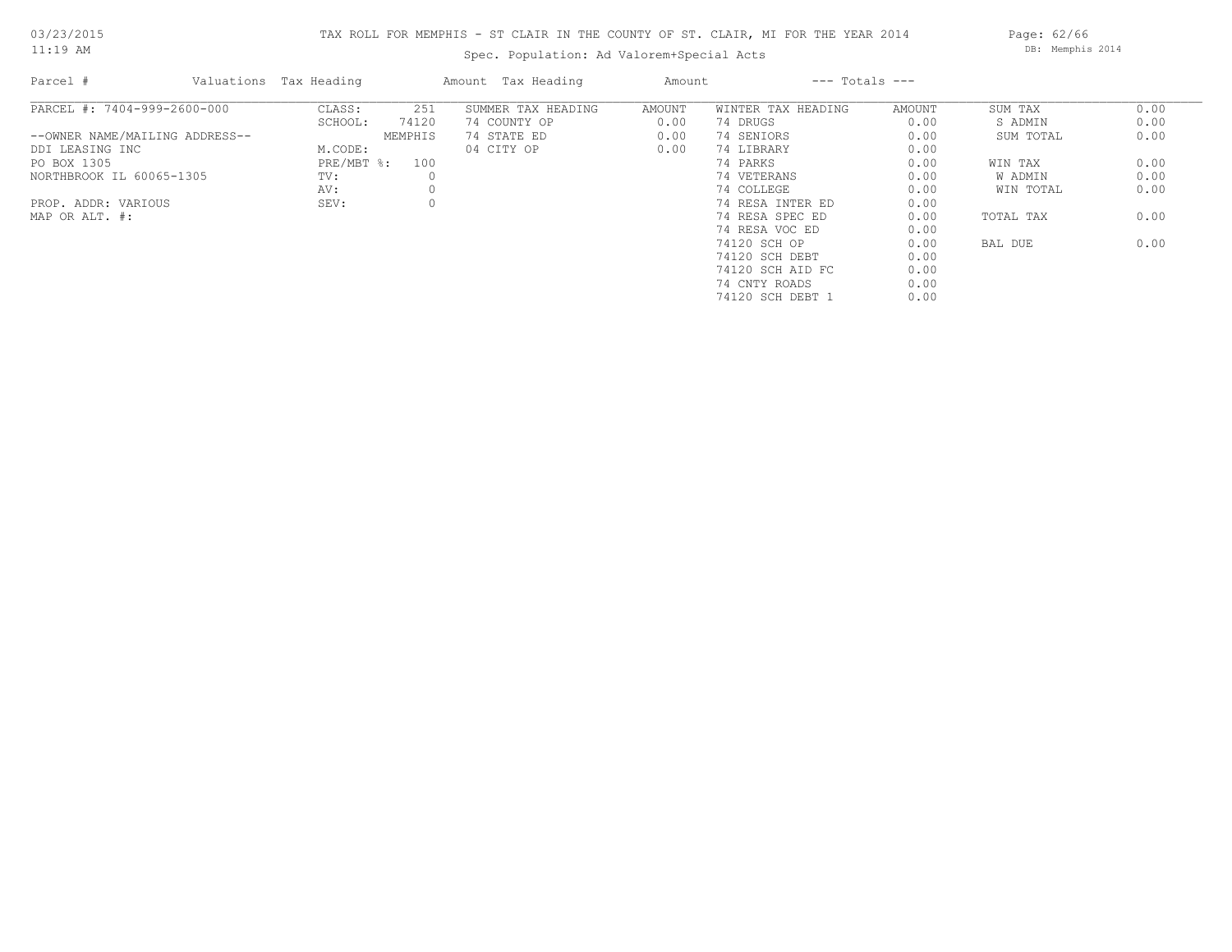# TAX ROLL FOR MEMPHIS - ST CLAIR IN THE COUNTY OF ST. CLAIR, MI FOR THE YEAR 2014

Spec. Population: Ad Valorem+Special Acts

Page: 62/66 DB: Memphis 2014

| Parcel #                       | Valuations Tax Heading |                | Amount Tax Heading | Amount |                    | $---$ Totals $---$ |           |      |
|--------------------------------|------------------------|----------------|--------------------|--------|--------------------|--------------------|-----------|------|
| PARCEL #: 7404-999-2600-000    | CLASS:                 | 251            | SUMMER TAX HEADING | AMOUNT | WINTER TAX HEADING | AMOUNT             | SUM TAX   | 0.00 |
|                                | SCHOOL:                | 74120          | 74 COUNTY OP       | 0.00   | 74 DRUGS           | 0.00               | S ADMIN   | 0.00 |
| --OWNER NAME/MAILING ADDRESS-- |                        | MEMPHIS        | 74 STATE ED        | 0.00   | 74 SENIORS         | 0.00               | SUM TOTAL | 0.00 |
| DDI LEASING INC                | M.CODE:                |                | 04 CITY OP         | 0.00   | 74 LIBRARY         | 0.00               |           |      |
| PO BOX 1305                    |                        | PRE/MBT %: 100 |                    |        | 74 PARKS           | 0.00               | WIN TAX   | 0.00 |
| NORTHBROOK IL 60065-1305       | TV:                    |                |                    |        | 74 VETERANS        | 0.00               | W ADMIN   | 0.00 |
|                                | AV:                    |                |                    |        | 74 COLLEGE         | 0.00               | WIN TOTAL | 0.00 |
| PROP. ADDR: VARIOUS            | SEV:                   |                |                    |        | 74 RESA INTER ED   | 0.00               |           |      |
| MAP OR ALT. #:                 |                        |                |                    |        | 74 RESA SPEC ED    | 0.00               | TOTAL TAX | 0.00 |
|                                |                        |                |                    |        | 74 RESA VOC ED     | 0.00               |           |      |
|                                |                        |                |                    |        | 74120 SCH OP       | 0.00               | BAL DUE   | 0.00 |
|                                |                        |                |                    |        | 74120 SCH DEBT     | 0.00               |           |      |
|                                |                        |                |                    |        | 74120 SCH AID FC   | 0.00               |           |      |
|                                |                        |                |                    |        | 74 CNTY ROADS      | 0.00               |           |      |
|                                |                        |                |                    |        | 74120 SCH DEBT 1   | 0.00               |           |      |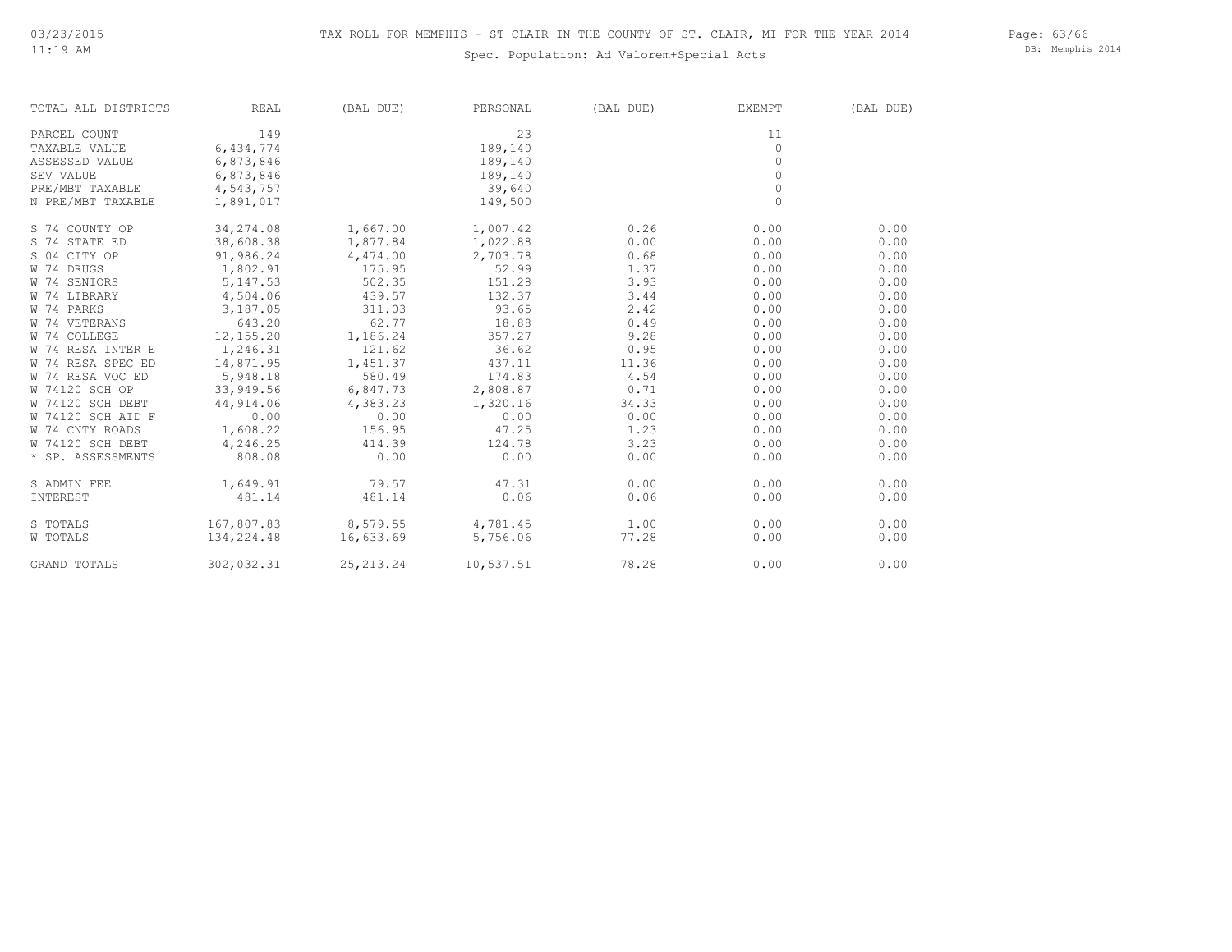Page: 63/66 DB: Memphis 2014

| TOTAL ALL DISTRICTS | REAL       | (BAL DUE)          | PERSONAL                                  | (BAL DUE) | EXEMPT       | (BAL DUE) |
|---------------------|------------|--------------------|-------------------------------------------|-----------|--------------|-----------|
| PARCEL COUNT        | 149        |                    | 23                                        |           | 11           |           |
| TAXABLE VALUE       | 6,434,774  |                    | 189,140                                   |           | $\circ$      |           |
| ASSESSED VALUE      | 6,873,846  |                    | 189,140                                   |           | $\circ$      |           |
| <b>SEV VALUE</b>    | 6,873,846  |                    | 189,140                                   |           | $\circ$      |           |
| PRE/MBT TAXABLE     | 4,543,757  |                    | 39,640                                    |           | $\circ$      |           |
| N PRE/MBT TAXABLE   | 1,891,017  |                    | 149,500                                   |           | $\mathbf{0}$ |           |
| S 74 COUNTY OP      | 34,274.08  | 1,667.00           | 1,007.42                                  | 0.26      | 0.00         | 0.00      |
| S 74 STATE ED       | 38,608.38  | 1,877.84           | 1,022.88                                  | 0.00      | 0.00         | 0.00      |
| S 04 CITY OP        | 91,986.24  | 4,474.00           | 2,703.78                                  | 0.68      | 0.00         | 0.00      |
| W 74 DRUGS          | 1,802.91   | 175.95             | 52.99                                     | 1.37      | 0.00         | 0.00      |
| W 74 SENIORS        | 5, 147.53  | 502.35             | 151.28                                    | 3.93      | 0.00         | 0.00      |
| W 74 LIBRARY        | 4,504.06   | 439.57             | 132.37                                    | 3.44      | 0.00         | 0.00      |
| W 74 PARKS          | 3,187.05   | 311.03             | 93.65                                     | 2.42      | 0.00         | 0.00      |
| W 74 VETERANS       | 643.20     | 62.77              | 18.88                                     | 0.49      | 0.00         | 0.00      |
| W 74 COLLEGE        | 12,155.20  | 1,186.24           | 357.27                                    | 9.28      | 0.00         | 0.00      |
| W 74 RESA INTER E   | 1,246.31   | 121.62             | 36.62                                     | 0.95      | 0.00         | 0.00      |
| W 74 RESA SPEC ED   | 14,871.95  | 1,451.37           | 437.11                                    | 11.36     | 0.00         | 0.00      |
| W 74 RESA VOC ED    | 5,948.18   | 580.49             | 174.83                                    | 4.54      | 0.00         | 0.00      |
| W 74120 SCH OP      | 33,949.56  | 6,847.73           | 2,808.87                                  | 0.71      | 0.00         | 0.00      |
| W 74120 SCH DEBT    | 44,914.06  | 4,383.23           | 1,320.16                                  | 34.33     | 0.00         | 0.00      |
| W 74120 SCH AID F   | 0.00       | 0.00               | 0.00                                      | 0.00      | 0.00         | 0.00      |
| W 74 CNTY ROADS     | 1,608.22   | 156.95             | 47.25                                     | 1.23      | 0.00         | 0.00      |
| W 74120 SCH DEBT    | 4,246.25   | 414.39             | 124.78                                    | 3.23      | 0.00         | 0.00      |
| * SP. ASSESSMENTS   | 808.08     | 0.00               | 0.00                                      | 0.00      | 0.00         | 0.00      |
| S ADMIN FEE         | 1,649.91   | 79.57              | 47.31                                     | 0.00      | 0.00         | 0.00      |
| INTEREST            | 481.14     | 481.14             | 0.06                                      | 0.06      | 0.00         | 0.00      |
| S TOTALS            |            |                    | $167,807.83$ $8,579.55$ $4,781.45$ $1.00$ |           | 0.00         | 0.00      |
| W TOTALS            | 134,224.48 | 16,633.69 5,756.06 |                                           | 77.28     | 0.00         | 0.00      |
| GRAND TOTALS        | 302,032.31 | 25, 213. 24        | 10,537.51                                 | 78.28     | 0.00         | 0.00      |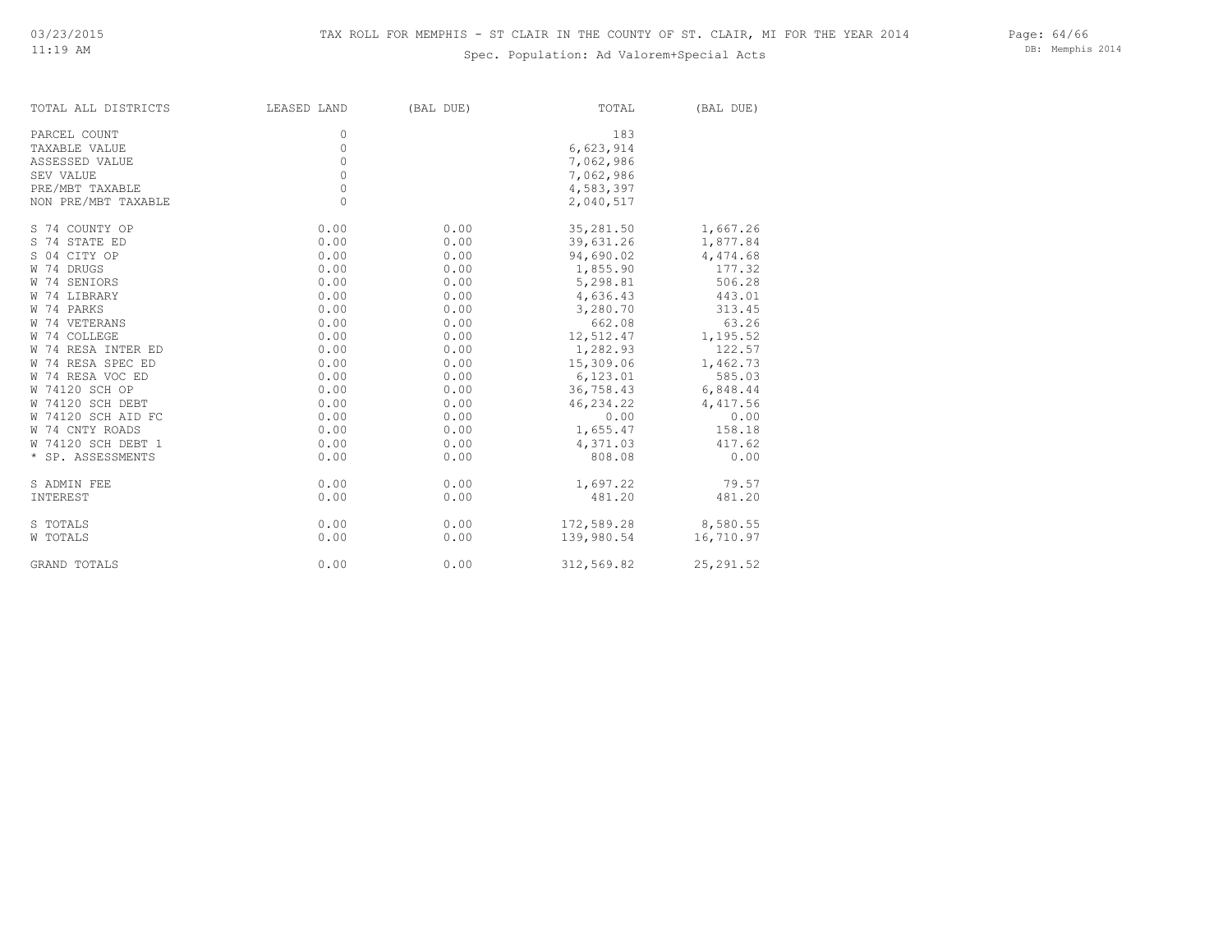DB: Memphis 2014

| TOTAL ALL DISTRICTS | LEASED LAND | (BAL DUE) | TOTAL      | (BAL DUE)  |
|---------------------|-------------|-----------|------------|------------|
| PARCEL COUNT        | 0           |           | 183        |            |
| TAXABLE VALUE       | 0           |           | 6,623,914  |            |
| ASSESSED VALUE      | $\circ$     |           | 7,062,986  |            |
| SEV VALUE           | $\circ$     |           | 7,062,986  |            |
| PRE/MBT TAXABLE     | $\circ$     |           | 4,583,397  |            |
| NON PRE/MBT TAXABLE | 0           |           | 2,040,517  |            |
| S 74 COUNTY OP      | 0.00        | 0.00      | 35,281.50  | 1,667.26   |
| S 74 STATE ED       | 0.00        | 0.00      | 39,631.26  | 1,877.84   |
| S 04 CITY OP        | 0.00        | 0.00      | 94,690.02  | 4,474.68   |
| W 74 DRUGS          | 0.00        | 0.00      | 1,855.90   | 177.32     |
| W 74 SENIORS        | 0.00        | 0.00      | 5,298.81   | 506.28     |
| W 74 LIBRARY        | 0.00        | 0.00      | 4,636.43   | 443.01     |
| W 74 PARKS          | 0.00        | 0.00      | 3,280.70   | 313.45     |
| W 74 VETERANS       | 0.00        | 0.00      | 662.08     | 63.26      |
| W 74 COLLEGE        | 0.00        | 0.00      | 12,512.47  | 1,195.52   |
| W 74 RESA INTER ED  | 0.00        | 0.00      | 1,282.93   | 122.57     |
| W 74 RESA SPEC ED   | 0.00        | 0.00      | 15,309.06  | 1,462.73   |
| W 74 RESA VOC ED    | 0.00        | 0.00      | 6,123.01   | 585.03     |
| W 74120 SCH OP      | 0.00        | 0.00      | 36,758.43  | 6,848.44   |
| W 74120 SCH DEBT    | 0.00        | 0.00      | 46,234.22  | 4,417.56   |
| W 74120 SCH AID FC  | 0.00        | 0.00      | 0.00       | 0.00       |
| W 74 CNTY ROADS     | 0.00        | 0.00      | 1,655.47   | 158.18     |
| W 74120 SCH DEBT 1  | 0.00        | 0.00      | 4,371.03   | 417.62     |
| * SP. ASSESSMENTS   | 0.00        | 0.00      | 808.08     | 0.00       |
| S ADMIN FEE         | 0.00        | 0.00      | 1,697.22   | 79.57      |
| INTEREST            | 0.00        | 0.00      | 481.20     | 481.20     |
| S TOTALS            | 0.00        | 0.00      | 172,589.28 | 8,580.55   |
| W TOTALS            | 0.00        | 0.00      | 139,980.54 | 16,710.97  |
| <b>GRAND TOTALS</b> | 0.00        | 0.00      | 312,569.82 | 25, 291.52 |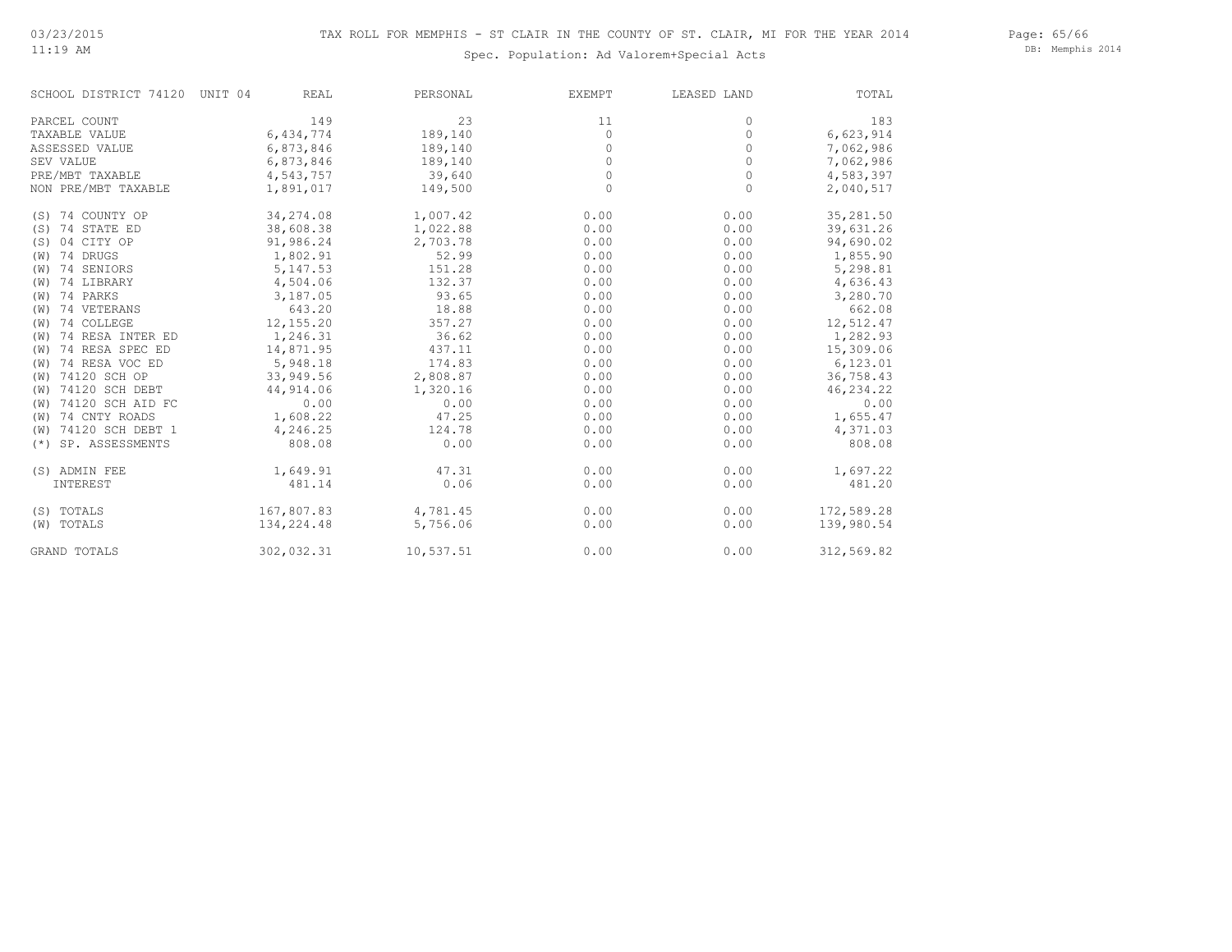11:19 AM

# Spec. Population: Ad Valorem+Special Acts

Page: 65/66 DB: Memphis 2014

| SCHOOL DISTRICT 74120    | UNIT 04<br>REAL | PERSONAL  | EXEMPT  | LEASED LAND | TOTAL      |
|--------------------------|-----------------|-----------|---------|-------------|------------|
| PARCEL COUNT             | 149             | 23        | 11      | $\circ$     | 183        |
| TAXABLE VALUE            | 6,434,774       | 189,140   | $\circ$ | $\mathbb O$ | 6,623,914  |
| ASSESSED VALUE           | 6,873,846       | 189,140   | $\circ$ | $\circ$     | 7,062,986  |
| SEV VALUE                | 6,873,846       | 189,140   | $\circ$ | $\circ$     | 7,062,986  |
| PRE/MBT TAXABLE          | 4,543,757       | 39,640    | $\circ$ | 0           | 4,583,397  |
| NON PRE/MBT TAXABLE      | 1,891,017       | 149,500   | $\circ$ | $\Omega$    | 2,040,517  |
| (S) 74 COUNTY OP         | 34,274.08       | 1,007.42  | 0.00    | 0.00        | 35,281.50  |
| (S) 74 STATE ED          | 38,608.38       | 1,022.88  | 0.00    | 0.00        | 39,631.26  |
| (S) 04 CITY OP           | 91,986.24       | 2,703.78  | 0.00    | 0.00        | 94,690.02  |
| (W) 74 DRUGS             | 1,802.91        | 52.99     | 0.00    | 0.00        | 1,855.90   |
| (W) 74 SENIORS           | 5,147.53        | 151.28    | 0.00    | 0.00        | 5,298.81   |
| (W) 74 LIBRARY           | 4,504.06        | 132.37    | 0.00    | 0.00        | 4,636.43   |
| (W) 74 PARKS             | 3,187.05        | 93.65     | 0.00    | 0.00        | 3,280.70   |
| (W) 74 VETERANS          | 643.20          | 18.88     | 0.00    | 0.00        | 662.08     |
| (W) 74 COLLEGE           | 12,155.20       | 357.27    | 0.00    | 0.00        | 12,512.47  |
| (W) 74 RESA INTER ED     | 1,246.31        | 36.62     | 0.00    | 0.00        | 1,282.93   |
| (W) 74 RESA SPEC ED      | 14,871.95       | 437.11    | 0.00    | 0.00        | 15,309.06  |
| (W) 74 RESA VOC ED       | 5,948.18        | 174.83    | 0.00    | 0.00        | 6,123.01   |
| (W) 74120 SCH OP         | 33,949.56       | 2,808.87  | 0.00    | 0.00        | 36,758.43  |
| (W) 74120 SCH DEBT       | 44, 914.06      | 1,320.16  | 0.00    | 0.00        | 46, 234.22 |
| (W) 74120 SCH AID FC     | 0.00            | 0.00      | 0.00    | 0.00        | 0.00       |
| (W) 74 CNTY ROADS        | 1,608.22        | 47.25     | 0.00    | 0.00        | 1,655.47   |
| (W) 74120 SCH DEBT 1     | 4,246.25        | 124.78    | 0.00    | 0.00        | 4,371.03   |
| SP. ASSESSMENTS<br>$(*)$ | 808.08          | 0.00      | 0.00    | 0.00        | 808.08     |
| (S) ADMIN FEE            | 1,649.91        | 47.31     | 0.00    | 0.00        | 1,697.22   |
| INTEREST                 | 481.14          | 0.06      | 0.00    | 0.00        | 481.20     |
| (S) TOTALS               | 167,807.83      | 4,781.45  | 0.00    | 0.00        | 172,589.28 |
| (W) TOTALS               | 134,224.48      | 5,756.06  | 0.00    | 0.00        | 139,980.54 |
| GRAND TOTALS             | 302,032.31      | 10,537.51 | 0.00    | 0.00        | 312,569.82 |